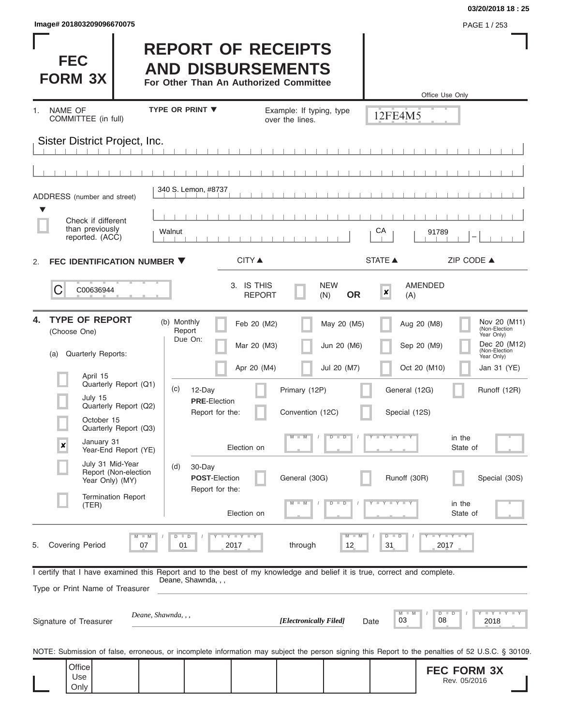| Image# 201803209096670075 | PAGE 1 / 253 |
|---------------------------|--------------|
|                           |              |

**FEC FORM 3X**

#### **03/20/2018 18 : 25**

#### **REPORT OF RECEIPTS AND DISBURSEMENTS**

**For Other Than An Authorized Committee**

|                              |                                                             |                                                                                                                                                   |                             |                                             |                                           |                       | Office Use Only                    |                                             |
|------------------------------|-------------------------------------------------------------|---------------------------------------------------------------------------------------------------------------------------------------------------|-----------------------------|---------------------------------------------|-------------------------------------------|-----------------------|------------------------------------|---------------------------------------------|
| <b>NAME OF</b><br>1.         | COMMITTEE (in full)                                         | <b>TYPE OR PRINT ▼</b>                                                                                                                            |                             | Example: If typing, type<br>over the lines. |                                           | 12FE4M5               |                                    |                                             |
|                              | Sister District Project, Inc.                               |                                                                                                                                                   |                             |                                             |                                           |                       |                                    |                                             |
|                              |                                                             |                                                                                                                                                   |                             |                                             |                                           |                       |                                    |                                             |
|                              |                                                             |                                                                                                                                                   |                             |                                             |                                           |                       |                                    |                                             |
|                              | ADDRESS (number and street)                                 | 340 S. Lemon, #8737                                                                                                                               |                             |                                             |                                           |                       |                                    |                                             |
| v                            | Check if different<br>than previously<br>reported. (ACC)    | Walnut                                                                                                                                            |                             |                                             |                                           | СA                    | 91789<br>-                         |                                             |
| 2.                           | FEC IDENTIFICATION NUMBER ▼                                 |                                                                                                                                                   | <b>CITY ▲</b>               |                                             |                                           | STATE A               | ZIP CODE ▲                         |                                             |
| C                            | C00636944                                                   |                                                                                                                                                   | 3. IS THIS<br><b>REPORT</b> |                                             | <b>NEW</b><br><b>OR</b><br>(N)            | $\pmb{\times}$<br>(A) | <b>AMENDED</b>                     |                                             |
| 4.<br>(Choose One)           | <b>TYPE OF REPORT</b>                                       | (b) Monthly<br>Report                                                                                                                             | Feb 20 (M2)                 |                                             | May 20 (M5)                               |                       | Aug 20 (M8)                        | Nov 20 (M11)<br>(Non-Election<br>Year Only) |
| (a)                          | <b>Quarterly Reports:</b>                                   | Due On:                                                                                                                                           | Mar 20 (M3)                 |                                             | Jun 20 (M6)                               |                       | Sep 20 (M9)                        | Dec 20 (M12)<br>(Non-Election<br>Year Only) |
|                              | April 15                                                    |                                                                                                                                                   | Apr 20 (M4)                 |                                             | Jul 20 (M7)                               |                       | Oct 20 (M10)                       | Jan 31 (YE)                                 |
|                              | Quarterly Report (Q1)<br>July 15                            | (c)<br>12-Day                                                                                                                                     |                             | Primary (12P)                               |                                           | General (12G)         |                                    | Runoff (12R)                                |
|                              | Quarterly Report (Q2)                                       | <b>PRE</b> Election                                                                                                                               | Report for the:             | Convention (12C)                            |                                           | Special (12S)         |                                    |                                             |
|                              | October 15<br>Quarterly Report (Q3)                         |                                                                                                                                                   |                             |                                             |                                           | Y L Y L Y             |                                    |                                             |
| ×                            | January 31<br>Year-End Report (YE)                          |                                                                                                                                                   | Election on                 | - M                                         | $\overline{\mathsf{D}}$<br>$\overline{D}$ |                       | in the<br>State of                 |                                             |
|                              | July 31 Mid-Year<br>Report (Non-election<br>Year Only) (MY) | 30-Day<br>(d)                                                                                                                                     | <b>POST-Election</b>        | General (30G)                               |                                           | Runoff (30R)          |                                    | Special (30S)                               |
|                              | <b>Termination Report</b>                                   |                                                                                                                                                   | Report for the:             | $-M$ $/$                                    |                                           |                       |                                    |                                             |
|                              | (TER)                                                       |                                                                                                                                                   | Election on                 |                                             |                                           |                       | in the<br>State of                 |                                             |
| <b>Covering Period</b><br>5. | 07                                                          | $\Box$<br>01                                                                                                                                      | Y I Y I Y<br>2017           | through                                     | 12                                        | D<br>D<br>31          | $-Y - Y - Y$<br>2017               |                                             |
|                              |                                                             | I certify that I have examined this Report and to the best of my knowledge and belief it is true, correct and complete.<br>Deane, Shawnda, , ,    |                             |                                             |                                           |                       |                                    |                                             |
|                              | Type or Print Name of Treasurer                             |                                                                                                                                                   |                             |                                             |                                           |                       |                                    |                                             |
| Signature of Treasurer       |                                                             | Deane, Shawnda, , ,                                                                                                                               |                             | [Electronically Filed]                      |                                           | 03<br>Date            | D<br>08                            | <b>LEY LEY</b><br>2018                      |
|                              |                                                             | NOTE: Submission of false, erroneous, or incomplete information may subject the person signing this Report to the penalties of 52 U.S.C. § 30109. |                             |                                             |                                           |                       |                                    |                                             |
| Office<br>Use                |                                                             |                                                                                                                                                   |                             |                                             |                                           |                       | <b>FEC FORM 3X</b><br>Rev. 05/2016 |                                             |
| Only                         |                                                             |                                                                                                                                                   |                             |                                             |                                           |                       |                                    |                                             |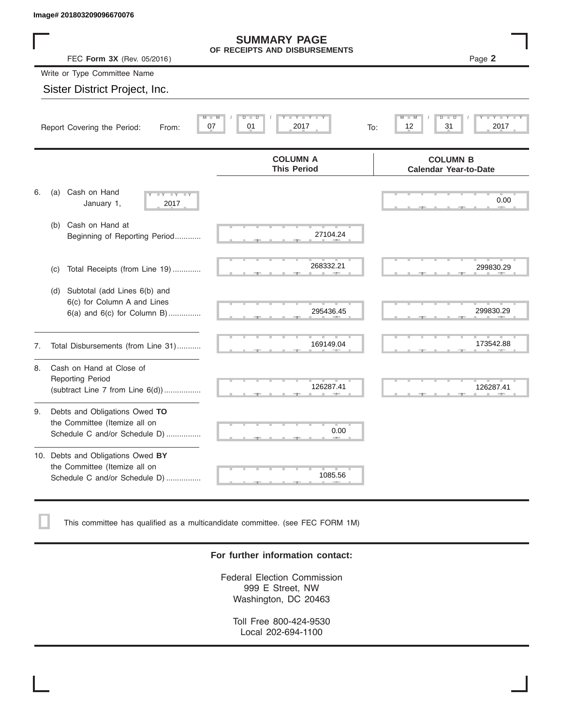|    | Image# 201803209096670076                                                                             |                                                                                                                                                                                                                                                 |                                                 |
|----|-------------------------------------------------------------------------------------------------------|-------------------------------------------------------------------------------------------------------------------------------------------------------------------------------------------------------------------------------------------------|-------------------------------------------------|
|    | FEC Form 3X (Rev. 05/2016)                                                                            | <b>SUMMARY PAGE</b><br>OF RECEIPTS AND DISBURSEMENTS                                                                                                                                                                                            | Page 2                                          |
|    | Write or Type Committee Name                                                                          |                                                                                                                                                                                                                                                 |                                                 |
|    | Sister District Project, Inc.                                                                         |                                                                                                                                                                                                                                                 |                                                 |
|    | 07<br>Report Covering the Period:<br>From:                                                            | Y TYT<br>D<br>D<br>01<br>2017                                                                                                                                                                                                                   | 31<br>2017<br>12<br>To:                         |
|    |                                                                                                       | <b>COLUMN A</b><br><b>This Period</b>                                                                                                                                                                                                           | <b>COLUMN B</b><br><b>Calendar Year-to-Date</b> |
| 6. | Cash on Hand<br>(a)<br>$-Y - -Y - -Y$<br>January 1,<br>2017                                           |                                                                                                                                                                                                                                                 | 0.00                                            |
|    | Cash on Hand at<br>(b)<br>Beginning of Reporting Period                                               | 27104.24                                                                                                                                                                                                                                        |                                                 |
|    | Total Receipts (from Line 19)<br>(c)                                                                  | 268332.21                                                                                                                                                                                                                                       | 299830.29                                       |
|    | Subtotal (add Lines 6(b) and<br>(d)<br>6(c) for Column A and Lines<br>$6(a)$ and $6(c)$ for Column B) | 295436.45                                                                                                                                                                                                                                       | 299830.29                                       |
| 7. | Total Disbursements (from Line 31)                                                                    | 169149.04                                                                                                                                                                                                                                       | 173542.88                                       |
| 8. | Cash on Hand at Close of<br><b>Reporting Period</b><br>(subtract Line $7$ from Line $6(d)$ )          | 126287.41                                                                                                                                                                                                                                       | 126287.41                                       |
| 9. | Debts and Obligations Owed TO<br>the Committee (Itemize all on<br>Schedule C and/or Schedule D)       | 0.00                                                                                                                                                                                                                                            |                                                 |
|    | 10. Debts and Obligations Owed BY<br>the Committee (Itemize all on<br>Schedule C and/or Schedule D)   | <b>The Contract of the Contract of the Contract of the Contract of the Contract of the Contract of the Contract of the Contract of The Contract of The Contract of The Contract of The Contract of The Contract of The Contract </b><br>1085.56 |                                                 |

This committee has qualified as a multicandidate committee. (see FEC FORM 1M)

#### **For further information contact:**

Federal Election Commission 999 E Street, NW Washington, DC 20463

Toll Free 800-424-9530 Local 202-694-1100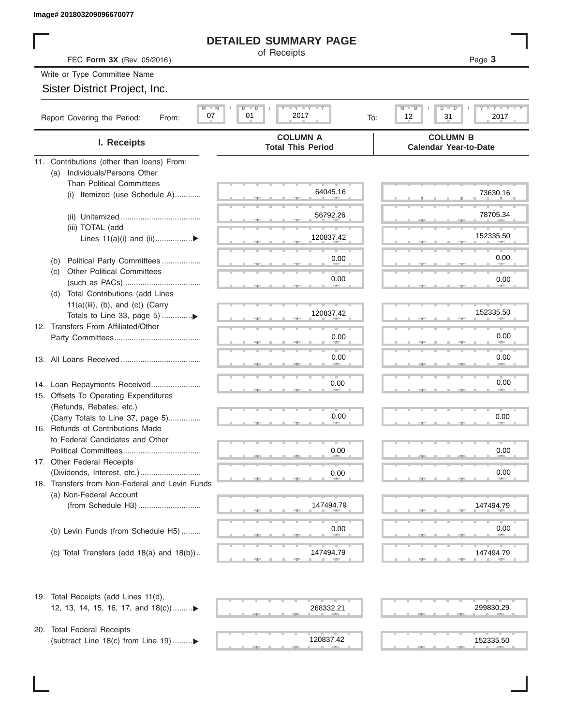#### **DETAILED SUMMARY PAGE**

|                                                                               | <b>DETAILED SUMMARY PAGE</b>                            |                                                                       |
|-------------------------------------------------------------------------------|---------------------------------------------------------|-----------------------------------------------------------------------|
| FEC Form 3X (Rev. 05/2016)                                                    | of Receipts                                             | Page 3                                                                |
| Write or Type Committee Name                                                  |                                                         |                                                                       |
| Sister District Project, Inc.                                                 |                                                         |                                                                       |
|                                                                               |                                                         |                                                                       |
| $M - M$<br>07<br>Report Covering the Period:<br>From:                         | $I - Y - I - Y - I - Y$<br>$D$ $D$<br>01<br>2017<br>To: | $T - Y - T - Y - T$<br>$M - M$<br>$D$ $\Box$<br>ъ<br>12<br>31<br>2017 |
| I. Receipts                                                                   | <b>COLUMN A</b><br><b>Total This Period</b>             | <b>COLUMN B</b><br><b>Calendar Year-to-Date</b>                       |
| 11. Contributions (other than loans) From:                                    |                                                         |                                                                       |
| Individuals/Persons Other<br>(a)                                              |                                                         |                                                                       |
| <b>Than Political Committees</b><br>(i) Itemized (use Schedule A)             | 64045.16                                                | 73630.16                                                              |
|                                                                               |                                                         |                                                                       |
|                                                                               | 56792.26                                                | 78705.34                                                              |
| (iii) TOTAL (add                                                              |                                                         |                                                                       |
| Lines $11(a)(i)$ and $(ii)$                                                   | 120837.42                                               | 152335.50                                                             |
|                                                                               | 0.00                                                    | 0.00                                                                  |
| Political Party Committees<br>(b)<br><b>Other Political Committees</b><br>(C) |                                                         |                                                                       |
|                                                                               | 0.00                                                    | 0.00                                                                  |
| Total Contributions (add Lines<br>(d)                                         |                                                         |                                                                       |
| $11(a)(iii)$ , (b), and (c)) (Carry                                           |                                                         |                                                                       |
| Totals to Line 33, page 5) ▶                                                  | 120837.42                                               | 152335.50                                                             |
| 12. Transfers From Affiliated/Other                                           |                                                         | 0.00                                                                  |
|                                                                               | 0.00                                                    |                                                                       |
|                                                                               | 0.00                                                    | 0.00                                                                  |
|                                                                               |                                                         |                                                                       |
| 14. Loan Repayments Received                                                  | 0.00                                                    | 0.00                                                                  |
| 15. Offsets To Operating Expenditures                                         |                                                         |                                                                       |
| (Refunds, Rebates, etc.)                                                      |                                                         |                                                                       |
| (Carry Totals to Line 37, page 5)                                             | 0.00                                                    | 0.00                                                                  |
| 16. Refunds of Contributions Made<br>to Federal Candidates and Other          |                                                         |                                                                       |
| Political Committees                                                          | 0.00                                                    | 0.00                                                                  |
| 17. Other Federal Receipts                                                    |                                                         |                                                                       |
|                                                                               | 0.00                                                    | 0.00                                                                  |
| 18. Transfers from Non-Federal and Levin Funds                                |                                                         |                                                                       |
| (a) Non-Federal Account                                                       | 147494.79                                               |                                                                       |
|                                                                               |                                                         | 147494.79                                                             |
| (b) Levin Funds (from Schedule H5)                                            | 0.00                                                    | 0.00                                                                  |
|                                                                               |                                                         |                                                                       |
| (c) Total Transfers (add $18(a)$ and $18(b)$ )                                | 147494.79                                               | 147494.79                                                             |
|                                                                               |                                                         |                                                                       |
| 19. Total Receipts (add Lines 11(d),                                          |                                                         |                                                                       |
| 12, 13, 14, 15, 16, 17, and 18(c)                                             | 268332.21                                               | 299830.29                                                             |
| 20. Total Federal Receipts                                                    |                                                         |                                                                       |
| (subtract Line 18(c) from Line 19) ▶                                          | 120837.42                                               | 152335.50                                                             |
|                                                                               |                                                         |                                                                       |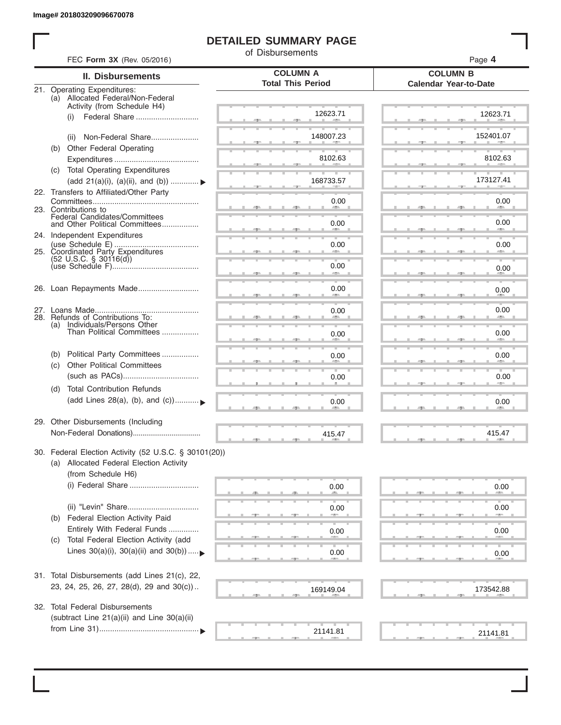I

#### **DETAILED SUMMARY PAGE**

of Disbursements

| FEC Form 3X (Rev. 05/2016)                                                    | u <i>usuus</i> anents                       | Page 4                                          |  |  |  |  |
|-------------------------------------------------------------------------------|---------------------------------------------|-------------------------------------------------|--|--|--|--|
| <b>II. Disbursements</b>                                                      | <b>COLUMN A</b><br><b>Total This Period</b> | <b>COLUMN B</b><br><b>Calendar Year-to-Date</b> |  |  |  |  |
| <b>Operating Expenditures:</b><br>21.<br>(a) Allocated Federal/Non-Federal    |                                             |                                                 |  |  |  |  |
| Activity (from Schedule H4)                                                   |                                             |                                                 |  |  |  |  |
| Federal Share<br>(i)                                                          | 12623.71                                    | 12623.71                                        |  |  |  |  |
| Non-Federal Share<br>(ii)                                                     | 148007.23                                   | 152401.07                                       |  |  |  |  |
| Other Federal Operating<br>(b)                                                |                                             |                                                 |  |  |  |  |
|                                                                               | 8102.63                                     | 8102.63                                         |  |  |  |  |
| <b>Total Operating Expenditures</b><br>(C)                                    |                                             |                                                 |  |  |  |  |
| (add 21(a)(i), (a)(ii), and (b))                                              | 168733.57                                   | 173127.41                                       |  |  |  |  |
| 22. Transfers to Affiliated/Other Party                                       | 0.00                                        | 0.00                                            |  |  |  |  |
| 23. Contributions to                                                          |                                             |                                                 |  |  |  |  |
| <b>Federal Candidates/Committees</b><br>and Other Political Committees        | 0.00                                        | 0.00                                            |  |  |  |  |
| 24. Independent Expenditures                                                  |                                             |                                                 |  |  |  |  |
| 25. Coordinated Party Expenditures                                            | 0.00                                        | 0.00                                            |  |  |  |  |
| $(52 \text{ U.S.C. }$ § 30116(d))                                             |                                             |                                                 |  |  |  |  |
|                                                                               | 0.00                                        | 0.00                                            |  |  |  |  |
|                                                                               | 0.00                                        | 0.00                                            |  |  |  |  |
|                                                                               |                                             |                                                 |  |  |  |  |
| 27.                                                                           | 0.00                                        | 0.00                                            |  |  |  |  |
| 28. Refunds of Contributions To:<br>(a) Individuals/Persons Other             |                                             |                                                 |  |  |  |  |
| Than Political Committees                                                     | 0.00                                        | 0.00                                            |  |  |  |  |
|                                                                               |                                             |                                                 |  |  |  |  |
| Political Party Committees<br>(b)<br><b>Other Political Committees</b><br>(C) | 0.00                                        | 0.00                                            |  |  |  |  |
|                                                                               | 0.00                                        | 0.00                                            |  |  |  |  |
| <b>Total Contribution Refunds</b><br>(d)                                      |                                             |                                                 |  |  |  |  |
| (add Lines 28(a), (b), and (c))                                               | 0.00                                        | 0.00                                            |  |  |  |  |
|                                                                               |                                             |                                                 |  |  |  |  |
| 29. Other Disbursements (Including                                            |                                             |                                                 |  |  |  |  |
|                                                                               | 415.47                                      | 415.47                                          |  |  |  |  |
| 30. Federal Election Activity (52 U.S.C. § 30101(20))                         |                                             |                                                 |  |  |  |  |
| (a) Allocated Federal Election Activity                                       |                                             |                                                 |  |  |  |  |
| (from Schedule H6)                                                            |                                             |                                                 |  |  |  |  |
|                                                                               | 0.00                                        | 0.00                                            |  |  |  |  |
|                                                                               |                                             |                                                 |  |  |  |  |
| Federal Election Activity Paid<br>(b)                                         | 0.00<br><b>COLLECTION</b>                   | 0.00<br>-                                       |  |  |  |  |
| Entirely With Federal Funds                                                   | 0.00                                        | 0.00                                            |  |  |  |  |
| Total Federal Election Activity (add<br>(C)                                   |                                             |                                                 |  |  |  |  |
| Lines $30(a)(i)$ , $30(a)(ii)$ and $30(b))$                                   | 0.00                                        | 0.00                                            |  |  |  |  |
|                                                                               |                                             |                                                 |  |  |  |  |
| 31. Total Disbursements (add Lines 21(c), 22,                                 |                                             |                                                 |  |  |  |  |
| 23, 24, 25, 26, 27, 28(d), 29 and 30(c))                                      | 169149.04                                   | 173542.88                                       |  |  |  |  |
| 32. Total Federal Disbursements                                               |                                             |                                                 |  |  |  |  |
| (subtract Line 21(a)(ii) and Line 30(a)(ii)                                   |                                             |                                                 |  |  |  |  |
|                                                                               | 21141.81                                    |                                                 |  |  |  |  |
|                                                                               |                                             | 21141.81                                        |  |  |  |  |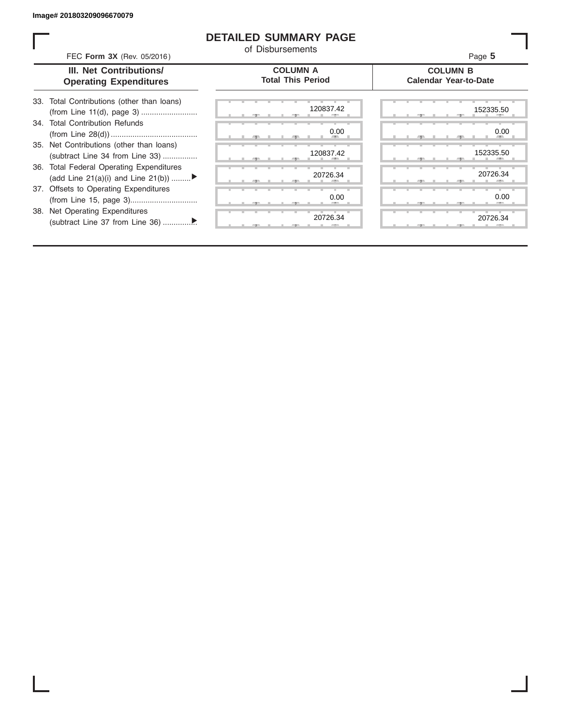#### **DETAILED SUMMARY PAGE**

of Disbursements

FEC **Form 3X** (Rev. 05/2016) Page **5**

| III. Net Contributions/       |
|-------------------------------|
| <b>Operating Expenditures</b> |
|                               |

**COLUMN A Total This Period**

#### **COLUMN B Calendar Year-to-Date**

| 33. Total Contributions (other than loans) |  |
|--------------------------------------------|--|
| 34. Total Contribution Refunds             |  |
|                                            |  |
| 35. Net Contributions (other than loans)   |  |
| (subtract Line 34 from Line 33)            |  |
| 36. Total Federal Operating Expenditures   |  |
| (add Line 21(a)(i) and Line 21(b))         |  |
| 37. Offsets to Operating Expenditures      |  |
|                                            |  |
| 38. Net Operating Expenditures             |  |
|                                            |  |

|  | æ     |   | 生  | 120837.42     |
|--|-------|---|----|---------------|
|  |       |   |    | 0.00          |
|  | - 7 - | ш | 49 | п.<br>٠       |
|  | a.    |   | 51 | 120837.42     |
|  |       |   |    |               |
|  | 51    |   | 51 | 20726.34      |
|  |       |   |    | 0.00          |
|  | э     |   | ÷  | e.            |
|  |       |   |    | т<br>20726.34 |
|  |       |   |    |               |

|  |  |     | 120837.42           |  |  |     | 152335.50           |
|--|--|-----|---------------------|--|--|-----|---------------------|
|  |  | -91 | 0.00<br><b>AREA</b> |  |  | -90 | 0.00<br><b>AREA</b> |
|  |  |     | 120837.42           |  |  |     | 152335.50           |
|  |  |     |                     |  |  |     |                     |
|  |  |     | 20726.34            |  |  |     | 20726.34            |
|  |  |     | 0.00                |  |  |     | 0.00                |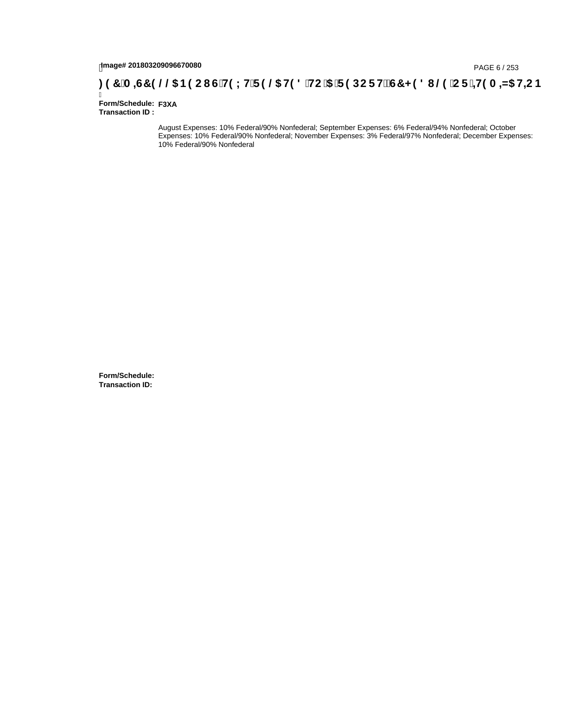# tmage# 201803209096670080<br>DAGE 6 / 253 B9 CI G`H9 LH`F 9 **@ H9 8 `HC `5 `F 9 DC F Hž G7 < 9 8 I @ `C F `<del>J I</del>9 A <del>A</del>5 H<del>C</del> B ؛ 3 7 `A =G7 9 @@ B9 CI G`H9 LH`F 9 @ H9 8 `HC `5 `F 9 DC F Hž G7 < 9 8 I @ `C F `<del>J I</del>9 A**

Ī **Form/Schedule: F3XA Transaction ID :** 

> August Expenses: 10% Federal/90% Nonfederal; September Expenses: 6% Federal/94% Nonfederal; October Expenses: 10% Federal/90% Nonfederal; November Expenses: 3% Federal/97% Nonfederal; December Expenses: 10% Federal/90% Nonfederal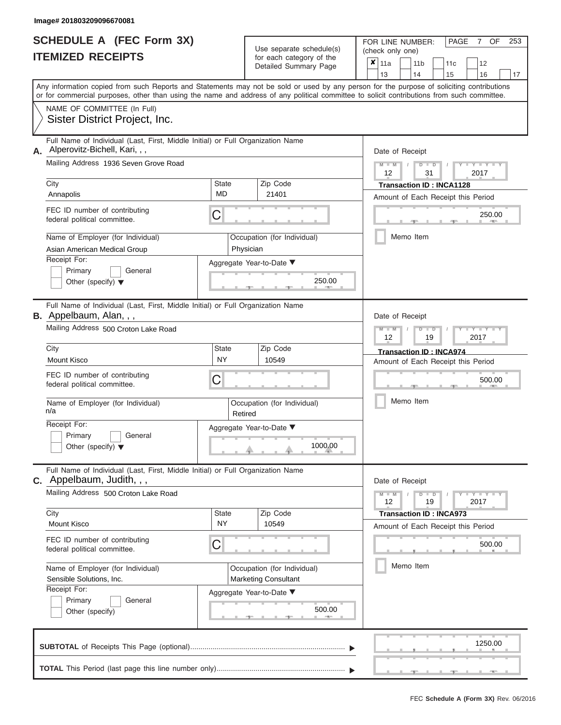|                          | <b>SCHEDULE A (FEC Form 3X)</b> |
|--------------------------|---------------------------------|
| <b>ITEMIZED RECEIPTS</b> |                                 |

Use separate schedule(s) (check only one)<br>for each category of the  $\begin{array}{|c|c|c|c|c|}\hline \textbf{X} & 11a & 14 \\\hline \end{array}$ 

FOR LINE NUMBER: PAGE 7

OF 253

|                                                                                                                                     | TEMIZED RECEIPTS                                                                                                                                                                                                                                                                        |                                    | for each category of the<br>Detailed Summary Page |                                                            | x                                                     | 11a<br>13                                                            |                                                        | 11 <sub>b</sub><br>14 |           | 11c<br>15                 | 12<br>16                                                              | 17            |        |  |
|-------------------------------------------------------------------------------------------------------------------------------------|-----------------------------------------------------------------------------------------------------------------------------------------------------------------------------------------------------------------------------------------------------------------------------------------|------------------------------------|---------------------------------------------------|------------------------------------------------------------|-------------------------------------------------------|----------------------------------------------------------------------|--------------------------------------------------------|-----------------------|-----------|---------------------------|-----------------------------------------------------------------------|---------------|--------|--|
|                                                                                                                                     | Any information copied from such Reports and Statements may not be sold or used by any person for the purpose of soliciting contributions<br>or for commercial purposes, other than using the name and address of any political committee to solicit contributions from such committee. |                                    |                                                   |                                                            |                                                       |                                                                      |                                                        |                       |           |                           |                                                                       |               |        |  |
|                                                                                                                                     | NAME OF COMMITTEE (In Full)<br>Sister District Project, Inc.                                                                                                                                                                                                                            |                                    |                                                   |                                                            |                                                       |                                                                      |                                                        |                       |           |                           |                                                                       |               |        |  |
| А.                                                                                                                                  | Full Name of Individual (Last, First, Middle Initial) or Full Organization Name<br>Alperovitz-Bichell, Kari, , ,                                                                                                                                                                        |                                    |                                                   |                                                            |                                                       |                                                                      | Date of Receipt                                        |                       |           |                           |                                                                       |               |        |  |
|                                                                                                                                     | Mailing Address 1936 Seven Grove Road                                                                                                                                                                                                                                                   |                                    |                                                   |                                                            |                                                       |                                                                      | $M - M$<br>12                                          |                       |           | D<br>$\overline{D}$<br>31 |                                                                       | Y TYT<br>2017 |        |  |
|                                                                                                                                     | City<br>Annapolis                                                                                                                                                                                                                                                                       | State<br><b>MD</b>                 |                                                   | Zip Code<br>21401                                          |                                                       |                                                                      |                                                        |                       |           |                           | <b>Transaction ID: INCA1128</b><br>Amount of Each Receipt this Period |               |        |  |
|                                                                                                                                     | FEC ID number of contributing<br>federal political committee.                                                                                                                                                                                                                           | C                                  |                                                   |                                                            |                                                       |                                                                      |                                                        |                       |           |                           |                                                                       |               | 250.00 |  |
|                                                                                                                                     | Name of Employer (for Individual)<br>Asian American Medical Group                                                                                                                                                                                                                       | Physician                          |                                                   | Occupation (for Individual)                                |                                                       |                                                                      |                                                        | Memo Item             |           |                           |                                                                       |               |        |  |
|                                                                                                                                     | Receipt For:<br>Primary<br>General<br>Other (specify) $\blacktriangledown$                                                                                                                                                                                                              |                                    |                                                   | Aggregate Year-to-Date ▼<br>250.00                         |                                                       |                                                                      |                                                        |                       |           |                           |                                                                       |               |        |  |
|                                                                                                                                     | Full Name of Individual (Last, First, Middle Initial) or Full Organization Name<br>B. Appelbaum, Alan, , ,                                                                                                                                                                              |                                    |                                                   |                                                            |                                                       |                                                                      | Date of Receipt                                        |                       |           |                           |                                                                       |               |        |  |
|                                                                                                                                     | Mailing Address 500 Croton Lake Road                                                                                                                                                                                                                                                    |                                    |                                                   |                                                            |                                                       |                                                                      | $Y = Y$<br>$\overline{\mathbb{D}}$<br>12<br>2017<br>19 |                       |           |                           |                                                                       |               |        |  |
|                                                                                                                                     | City<br><b>Mount Kisco</b>                                                                                                                                                                                                                                                              | State<br><b>NY</b>                 |                                                   | Zip Code<br>10549                                          |                                                       | <b>Transaction ID: INCA974</b><br>Amount of Each Receipt this Period |                                                        |                       |           |                           |                                                                       |               |        |  |
| FEC ID number of contributing<br>С<br>federal political committee.                                                                  |                                                                                                                                                                                                                                                                                         |                                    |                                                   |                                                            |                                                       |                                                                      |                                                        |                       |           | 500.00                    |                                                                       |               |        |  |
|                                                                                                                                     | Name of Employer (for Individual)<br>n/a                                                                                                                                                                                                                                                |                                    | Occupation (for Individual)<br>Retired            |                                                            |                                                       |                                                                      |                                                        |                       | Memo Item |                           |                                                                       |               |        |  |
|                                                                                                                                     | Receipt For:<br>Primary<br>General<br>Other (specify) $\blacktriangledown$                                                                                                                                                                                                              |                                    |                                                   | Aggregate Year-to-Date ▼<br>1000.00                        |                                                       |                                                                      |                                                        |                       |           |                           |                                                                       |               |        |  |
| Full Name of Individual (Last, First, Middle Initial) or Full Organization Name<br>C. Appelbaum, Judith, , ,                        |                                                                                                                                                                                                                                                                                         |                                    |                                                   |                                                            |                                                       |                                                                      | Date of Receipt                                        |                       |           |                           |                                                                       |               |        |  |
| Mailing Address 500 Croton Lake Road                                                                                                |                                                                                                                                                                                                                                                                                         |                                    |                                                   |                                                            | $Y - Y - Y$<br>$M - M$<br>$D$ $D$<br>2017<br>12<br>19 |                                                                      |                                                        |                       |           |                           |                                                                       |               |        |  |
|                                                                                                                                     | City<br><b>Mount Kisco</b>                                                                                                                                                                                                                                                              | <b>State</b><br>NY                 |                                                   | Zip Code<br>10549                                          |                                                       |                                                                      |                                                        |                       |           |                           | <b>Transaction ID: INCA973</b><br>Amount of Each Receipt this Period  |               |        |  |
| FEC ID number of contributing<br>C<br>federal political committee.<br>Name of Employer (for Individual)<br>Sensible Solutions, Inc. |                                                                                                                                                                                                                                                                                         |                                    |                                                   |                                                            |                                                       |                                                                      |                                                        |                       |           |                           |                                                                       |               | 500.00 |  |
|                                                                                                                                     |                                                                                                                                                                                                                                                                                         |                                    |                                                   | Occupation (for Individual)<br><b>Marketing Consultant</b> |                                                       |                                                                      |                                                        | Memo Item             |           |                           |                                                                       |               |        |  |
|                                                                                                                                     | Receipt For:<br>Primary<br>General<br>Other (specify)                                                                                                                                                                                                                                   | Aggregate Year-to-Date ▼<br>500.00 |                                                   |                                                            |                                                       |                                                                      |                                                        |                       |           |                           |                                                                       |               |        |  |
|                                                                                                                                     |                                                                                                                                                                                                                                                                                         |                                    |                                                   |                                                            |                                                       |                                                                      |                                                        |                       |           |                           |                                                                       | 1250.00       |        |  |
|                                                                                                                                     |                                                                                                                                                                                                                                                                                         |                                    |                                                   |                                                            |                                                       |                                                                      |                                                        |                       |           |                           |                                                                       |               |        |  |

 ▲ ▲ ▲ , , .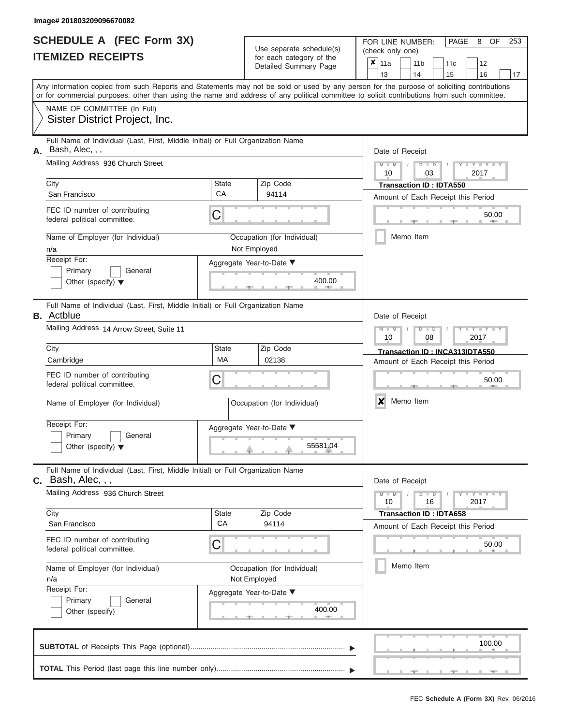|                          | <b>SCHEDULE A (FEC Form 3X)</b> |
|--------------------------|---------------------------------|
| <b>ITEMIZED RECEIPTS</b> |                                 |

Use separate schedule(s)<br>for each category of the

FOR LINE NUMBER:<br>(check only one)

PAGE 8 OF 253

|                                           |                                                                                                                                            |                          | $0.0011$ $0.000$<br>Detailed Summary Page   |  | X.              | 11a                                               |  | 11 <sub>b</sub> |               | 11c                            | 12                                 |        |  |  |  |
|-------------------------------------------|--------------------------------------------------------------------------------------------------------------------------------------------|--------------------------|---------------------------------------------|--|-----------------|---------------------------------------------------|--|-----------------|---------------|--------------------------------|------------------------------------|--------|--|--|--|
|                                           | Any information copied from such Reports and Statements may not be sold or used by any person for the purpose of soliciting contributions  |                          |                                             |  |                 | 13                                                |  | 14              |               | 15                             | 16                                 | 17     |  |  |  |
|                                           | or for commercial purposes, other than using the name and address of any political committee to solicit contributions from such committee. |                          |                                             |  |                 |                                                   |  |                 |               |                                |                                    |        |  |  |  |
|                                           | NAME OF COMMITTEE (In Full)                                                                                                                |                          |                                             |  |                 |                                                   |  |                 |               |                                |                                    |        |  |  |  |
|                                           | Sister District Project, Inc.                                                                                                              |                          |                                             |  |                 |                                                   |  |                 |               |                                |                                    |        |  |  |  |
|                                           | Full Name of Individual (Last, First, Middle Initial) or Full Organization Name<br>A. Bash, Alec, , ,                                      |                          |                                             |  | Date of Receipt |                                                   |  |                 |               |                                |                                    |        |  |  |  |
|                                           | Mailing Address 936 Church Street                                                                                                          |                          |                                             |  |                 | $M - M$<br>10                                     |  |                 | $D$ $D$<br>03 |                                | $Y - Y - I$<br>2017                |        |  |  |  |
|                                           | City                                                                                                                                       | <b>State</b>             | Zip Code                                    |  |                 |                                                   |  |                 |               | <b>Transaction ID: IDTA550</b> |                                    |        |  |  |  |
|                                           | San Francisco                                                                                                                              | CA                       | 94114                                       |  |                 |                                                   |  |                 |               |                                | Amount of Each Receipt this Period |        |  |  |  |
|                                           | FEC ID number of contributing<br>federal political committee.                                                                              | С                        |                                             |  |                 |                                                   |  |                 |               |                                |                                    | 50.00  |  |  |  |
|                                           | Name of Employer (for Individual)<br>n/a                                                                                                   |                          | Occupation (for Individual)<br>Not Employed |  |                 |                                                   |  | Memo Item       |               |                                |                                    |        |  |  |  |
|                                           | Receipt For:                                                                                                                               |                          | Aggregate Year-to-Date ▼                    |  |                 |                                                   |  |                 |               |                                |                                    |        |  |  |  |
|                                           | Primary<br>General<br>Other (specify) $\blacktriangledown$                                                                                 |                          | 400.00                                      |  |                 |                                                   |  |                 |               |                                |                                    |        |  |  |  |
|                                           | Full Name of Individual (Last, First, Middle Initial) or Full Organization Name<br><b>B.</b> Actblue                                       |                          |                                             |  | Date of Receipt |                                                   |  |                 |               |                                |                                    |        |  |  |  |
| Mailing Address 14 Arrow Street, Suite 11 |                                                                                                                                            |                          |                                             |  |                 | $M - M$<br>$Y - Y$<br>$D$ $D$<br>08<br>2017<br>10 |  |                 |               |                                |                                    |        |  |  |  |
|                                           | City                                                                                                                                       | <b>State</b>             | Zip Code                                    |  |                 | Transaction ID: INCA313IDTA550                    |  |                 |               |                                |                                    |        |  |  |  |
|                                           | MA<br>02138<br>Cambridge                                                                                                                   |                          |                                             |  |                 |                                                   |  |                 |               |                                | Amount of Each Receipt this Period |        |  |  |  |
|                                           | FEC ID number of contributing<br>federal political committee.                                                                              | С                        |                                             |  | 50.00           |                                                   |  |                 |               |                                |                                    |        |  |  |  |
|                                           | Name of Employer (for Individual)                                                                                                          |                          | Occupation (for Individual)                 |  | X<br>Memo Item  |                                                   |  |                 |               |                                |                                    |        |  |  |  |
|                                           | Receipt For:                                                                                                                               |                          | Aggregate Year-to-Date ▼                    |  |                 |                                                   |  |                 |               |                                |                                    |        |  |  |  |
|                                           | Primary<br>General                                                                                                                         |                          |                                             |  |                 |                                                   |  |                 |               |                                |                                    |        |  |  |  |
|                                           | Other (specify) $\blacktriangledown$                                                                                                       |                          | 55581.04                                    |  |                 |                                                   |  |                 |               |                                |                                    |        |  |  |  |
|                                           | Full Name of Individual (Last, First, Middle Initial) or Full Organization Name<br>$C.$ Bash, Alec, , ,                                    |                          |                                             |  |                 | Date of Receipt                                   |  |                 |               |                                |                                    |        |  |  |  |
|                                           | Mailing Address 936 Church Street                                                                                                          |                          |                                             |  |                 | $M - M$<br>10                                     |  |                 | $D$ $D$<br>16 |                                | Y = Y = Y = Y<br>2017              |        |  |  |  |
|                                           | City                                                                                                                                       | <b>State</b>             | Zip Code                                    |  |                 |                                                   |  |                 |               | <b>Transaction ID: IDTA658</b> |                                    |        |  |  |  |
|                                           | San Francisco                                                                                                                              | CA                       | 94114                                       |  |                 |                                                   |  |                 |               |                                | Amount of Each Receipt this Period |        |  |  |  |
|                                           | FEC ID number of contributing<br>С<br>federal political committee.                                                                         |                          |                                             |  |                 |                                                   |  |                 |               |                                |                                    | 50.00  |  |  |  |
| Name of Employer (for Individual)<br>n/a  |                                                                                                                                            |                          | Occupation (for Individual)<br>Not Employed |  | Memo Item       |                                                   |  |                 |               |                                |                                    |        |  |  |  |
|                                           | Receipt For:                                                                                                                               | Aggregate Year-to-Date ▼ |                                             |  |                 |                                                   |  |                 |               |                                |                                    |        |  |  |  |
|                                           | Primary<br>General                                                                                                                         |                          |                                             |  |                 |                                                   |  |                 |               |                                |                                    |        |  |  |  |
|                                           | Other (specify)                                                                                                                            |                          | 400.00                                      |  |                 |                                                   |  |                 |               |                                |                                    |        |  |  |  |
|                                           |                                                                                                                                            |                          |                                             |  |                 |                                                   |  |                 |               |                                |                                    | 100.00 |  |  |  |
|                                           |                                                                                                                                            |                          |                                             |  |                 |                                                   |  |                 |               |                                |                                    |        |  |  |  |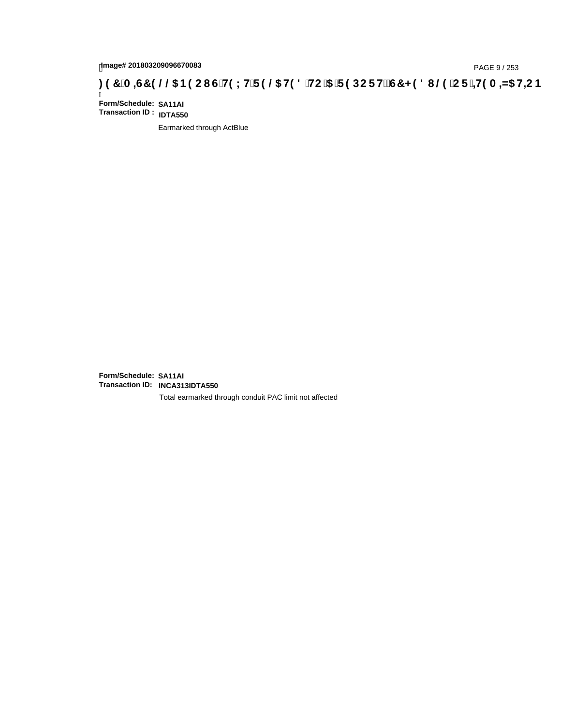# page# 201803209096670083<br>DAGE 9 / 253 DOC THOLH F 9 @ H9 8 HC '5 'F 9 DC F Hz G7 < 9 8 I @ 'C F '<del>1 I</del>9 A <del>A</del>5 H=C B : 97 'A =G7 9 @ & B9 C I G 'H9 L H F 9 @ H9 8 'HC '5 'F 9 DC F Hz G7 < 9 8 I

Ī **Form/Schedule: SA11AI Transaction ID : IDTA550**

Earmarked through ActBlue

**Form/Schedule: SA11AI Transaction ID: INCA313IDTA550**

Total earmarked through conduit PAC limit not affected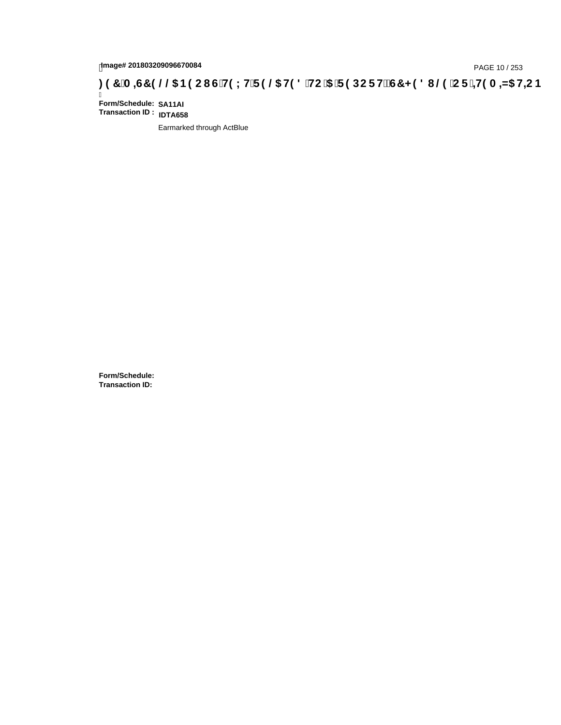# page# 201803209096670084<br>Denge# 201803209096670084<br>**(OD) CF + H9 A = A/5 H=C IS TH9 L H F 9 @ H9 8 `HC `5 `F 9 DC F Hž G7 < 9 8 I @ `C F `<del>I 1</del>9 A = A/5 H=C B .**

Ī **Form/Schedule: SA11AI Transaction ID : IDTA658**

Earmarked through ActBlue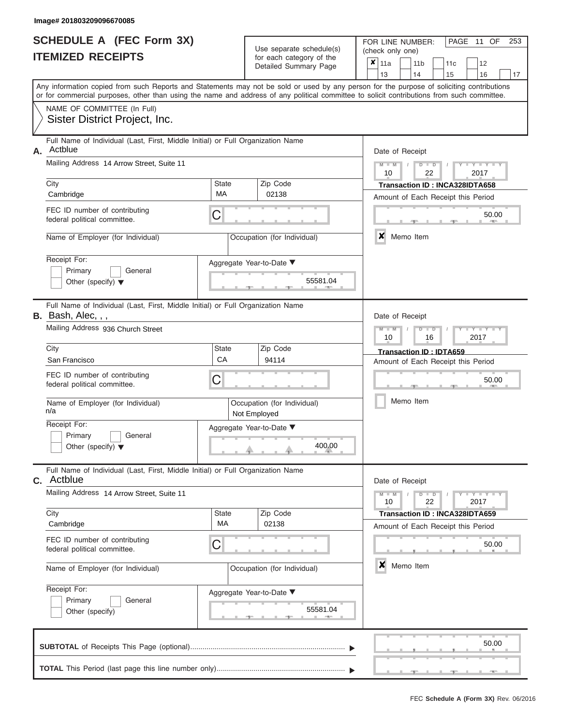| SCHEDULE A (FEC Form 3X) |  |
|--------------------------|--|
| <b>ITEMIZED RECEIPTS</b> |  |

| SCHEDULE A (FEC Form 3X)<br><b>ITEMIZED RECEIPTS</b>                                                                                                                                                                                                                                                                                                           | Use separate schedule(s)<br>for each category of the<br>Detailed Summary Page                                          | 253<br>FOR LINE NUMBER:<br>PAGE<br>OF<br>11<br>(check only one)<br>$\boldsymbol{x}$<br>11a<br>11 <sub>b</sub><br>12<br>11 <sub>c</sub>                                                    |
|----------------------------------------------------------------------------------------------------------------------------------------------------------------------------------------------------------------------------------------------------------------------------------------------------------------------------------------------------------------|------------------------------------------------------------------------------------------------------------------------|-------------------------------------------------------------------------------------------------------------------------------------------------------------------------------------------|
| Any information copied from such Reports and Statements may not be sold or used by any person for the purpose of soliciting contributions                                                                                                                                                                                                                      |                                                                                                                        | 13<br>14<br>15<br>16<br>17                                                                                                                                                                |
| or for commercial purposes, other than using the name and address of any political committee to solicit contributions from such committee.<br>NAME OF COMMITTEE (In Full)<br>Sister District Project, Inc.                                                                                                                                                     |                                                                                                                        |                                                                                                                                                                                           |
| Full Name of Individual (Last, First, Middle Initial) or Full Organization Name<br>Actblue<br>Α.<br>Mailing Address 14 Arrow Street, Suite 11<br>City<br>Cambridge<br>FEC ID number of contributing<br>federal political committee.<br>Name of Employer (for Individual)<br>Receipt For:<br>Primary<br>General<br>Other (specify) $\blacktriangledown$         | Zip Code<br><b>State</b><br>MA<br>02138<br>C<br>Occupation (for Individual)<br>Aggregate Year-to-Date ▼<br>55581.04    | Date of Receipt<br>$M = M$ /<br>$Y = Y =$<br>$D$ $D$<br>10<br>22<br>2017<br>Transaction ID: INCA328IDTA658<br>Amount of Each Receipt this Period<br>50.00<br><b>AND</b><br>x<br>Memo Item |
| Full Name of Individual (Last, First, Middle Initial) or Full Organization Name<br>B. Bash, Alec, , ,<br>Mailing Address 936 Church Street<br>City<br>San Francisco<br>FEC ID number of contributing<br>federal political committee.<br>Name of Employer (for Individual)<br>n/a<br>Receipt For:<br>Primary<br>General<br>Other (specify) $\blacktriangledown$ | State<br>Zip Code<br>CA<br>94114<br>C<br>Occupation (for Individual)<br>Not Employed<br>Aggregate Year-to-Date ▼       | Date of Receipt<br>$M - M$<br>$D$ $\Box$ $D$<br>$T - Y = T - T$<br>10<br>2017<br>16<br>Transaction ID: IDTA659<br>Amount of Each Receipt this Period<br>50.00<br>Memo Item                |
| Full Name of Individual (Last, First, Middle Initial) or Full Organization Name<br><b>C.</b> Actblue<br>Mailing Address 14 Arrow Street, Suite 11<br>City<br>Cambridge<br>FEC ID number of contributing<br>federal political committee.<br>Name of Employer (for Individual)<br>Receipt For:<br>Primary<br>General<br>Other (specify)                          | 400.00<br>Zip Code<br>State<br>MA<br>02138<br>C<br>Occupation (for Individual)<br>Aggregate Year-to-Date ▼<br>55581.04 | Date of Receipt<br>$M - M$<br>$D$ $D$<br>10<br>22<br>2017<br>Transaction ID: INCA328IDTA659<br>Amount of Each Receipt this Period<br>50.00<br>$\boldsymbol{x}$<br>Memo Item               |
|                                                                                                                                                                                                                                                                                                                                                                |                                                                                                                        | 50.00                                                                                                                                                                                     |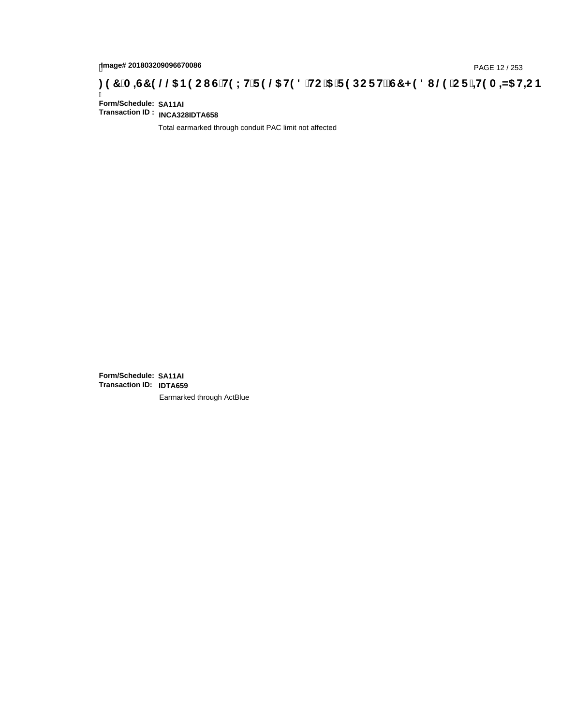# page# 201803209096670086<br>Denge# 201803209096670086<br>**(OR) CDES 366 HD 2006 BOOL GTH9 LHTF 9 @ HD 8 THC 15 TF 9 DC F HZ G7 < 9 8 I @ 1 CF 1<del>1 I</del>9 A =N5 H=C B 3 : 97 .**

Ī **Form/Schedule: SA11AI Transaction ID : INCA328IDTA658**

Total earmarked through conduit PAC limit not affected

**Form/Schedule: SA11AI Transaction ID: IDTA659**Earmarked through ActBlue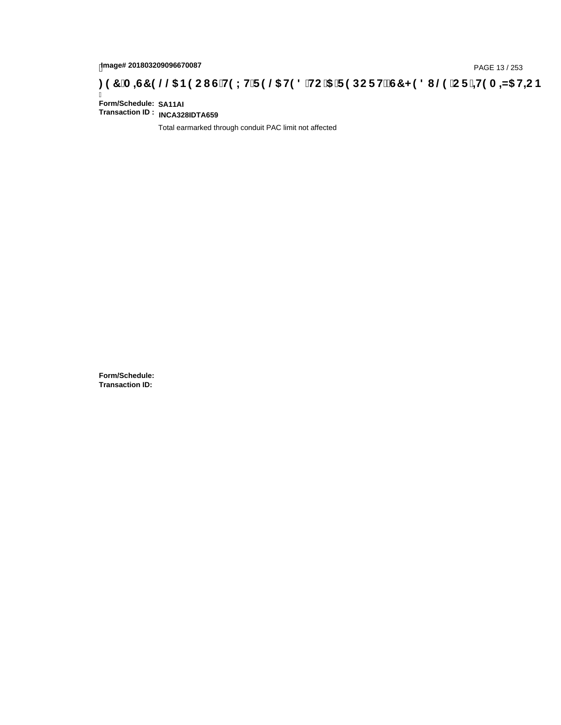# page# 201803209096670087<br>Denge# 201803209096670087<br>**( Of `+H9 A =N5 H=C B (@6 B9 CI | G`H9 L H`F 9 @6 H9 8 `HC `5 `F 9 DC F H** $\breve{E}$ **G7 < 9 8 I | @9 `C F `<del>+H</del>9 A =N5 H=C B**

Ī **Form/Schedule: SA11AI Transaction ID : INCA328IDTA659**

Total earmarked through conduit PAC limit not affected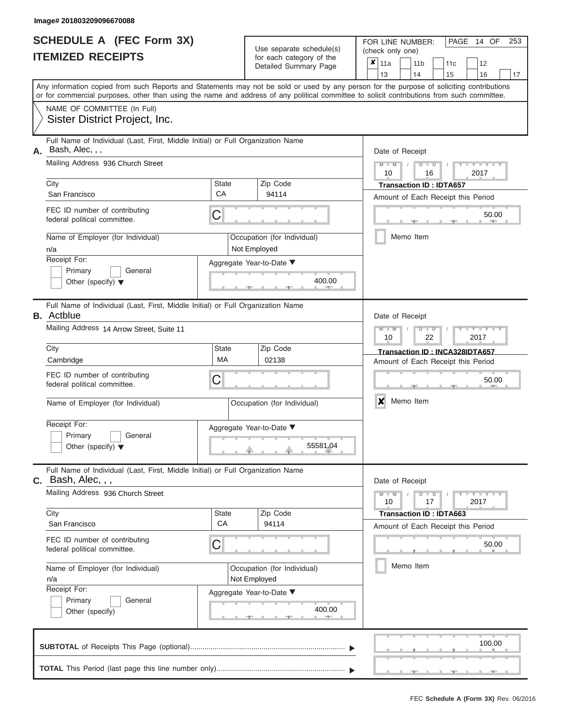|                          | SCHEDULE A (FEC Form 3X) |
|--------------------------|--------------------------|
| <b>ITEMIZED RECEIPTS</b> |                          |

Use separate schedule(s)<br>for each category of the

FOR LINE NUMBER:<br>(check only one)

PAGE 14 OF 253

|                                           |                                                                                                                                            |                                                                         | $\alpha$<br>Detailed Summary Page           | ×               | 11a             |                                                   | 11 <sub>b</sub> | 11c                                | 12                                 |    |  |  |  |  |  |
|-------------------------------------------|--------------------------------------------------------------------------------------------------------------------------------------------|-------------------------------------------------------------------------|---------------------------------------------|-----------------|-----------------|---------------------------------------------------|-----------------|------------------------------------|------------------------------------|----|--|--|--|--|--|
|                                           | Any information copied from such Reports and Statements may not be sold or used by any person for the purpose of soliciting contributions  |                                                                         |                                             |                 | 13              |                                                   | 14              | 15                                 | 16                                 | 17 |  |  |  |  |  |
|                                           | or for commercial purposes, other than using the name and address of any political committee to solicit contributions from such committee. |                                                                         |                                             |                 |                 |                                                   |                 |                                    |                                    |    |  |  |  |  |  |
|                                           | NAME OF COMMITTEE (In Full)                                                                                                                |                                                                         |                                             |                 |                 |                                                   |                 |                                    |                                    |    |  |  |  |  |  |
|                                           | Sister District Project, Inc.                                                                                                              |                                                                         |                                             |                 |                 |                                                   |                 |                                    |                                    |    |  |  |  |  |  |
| А.                                        | Full Name of Individual (Last, First, Middle Initial) or Full Organization Name<br>Bash, Alec, , ,                                         |                                                                         |                                             | Date of Receipt |                 |                                                   |                 |                                    |                                    |    |  |  |  |  |  |
|                                           | Mailing Address 936 Church Street                                                                                                          |                                                                         |                                             |                 | $M - M$<br>10   |                                                   | $D$ $D$<br>16   |                                    | $Y - Y - I$<br>2017                |    |  |  |  |  |  |
|                                           | City                                                                                                                                       | State                                                                   | Zip Code                                    |                 |                 |                                                   |                 | <b>Transaction ID: IDTA657</b>     |                                    |    |  |  |  |  |  |
|                                           | San Francisco                                                                                                                              | CA                                                                      | 94114                                       |                 |                 |                                                   |                 |                                    | Amount of Each Receipt this Period |    |  |  |  |  |  |
|                                           | FEC ID number of contributing<br>federal political committee.                                                                              | C                                                                       |                                             | 50.00           |                 |                                                   |                 |                                    |                                    |    |  |  |  |  |  |
|                                           | Name of Employer (for Individual)<br>n/a                                                                                                   |                                                                         | Occupation (for Individual)<br>Not Employed |                 |                 |                                                   | Memo Item       |                                    |                                    |    |  |  |  |  |  |
|                                           | Receipt For:                                                                                                                               |                                                                         | Aggregate Year-to-Date ▼                    |                 |                 |                                                   |                 |                                    |                                    |    |  |  |  |  |  |
|                                           | Primary<br>General<br>Other (specify) $\blacktriangledown$                                                                                 |                                                                         | 400.00                                      |                 |                 |                                                   |                 |                                    |                                    |    |  |  |  |  |  |
|                                           | Full Name of Individual (Last, First, Middle Initial) or Full Organization Name<br><b>B.</b> Actblue                                       |                                                                         |                                             | Date of Receipt |                 |                                                   |                 |                                    |                                    |    |  |  |  |  |  |
| Mailing Address 14 Arrow Street, Suite 11 |                                                                                                                                            |                                                                         |                                             |                 |                 | $M - M$<br>$Y - Y$<br>$D$ $D$<br>10<br>22<br>2017 |                 |                                    |                                    |    |  |  |  |  |  |
| City<br>State<br>MA                       |                                                                                                                                            |                                                                         | Zip Code                                    |                 |                 |                                                   |                 |                                    | Transaction ID: INCA328IDTA657     |    |  |  |  |  |  |
|                                           | Cambridge                                                                                                                                  | 02138                                                                   |                                             |                 |                 |                                                   |                 | Amount of Each Receipt this Period |                                    |    |  |  |  |  |  |
|                                           | FEC ID number of contributing<br>federal political committee.                                                                              | С                                                                       |                                             |                 |                 |                                                   |                 |                                    | 50.00                              |    |  |  |  |  |  |
|                                           | Name of Employer (for Individual)                                                                                                          |                                                                         | Occupation (for Individual)                 | X<br>Memo Item  |                 |                                                   |                 |                                    |                                    |    |  |  |  |  |  |
|                                           | Receipt For:                                                                                                                               |                                                                         | Aggregate Year-to-Date ▼                    |                 |                 |                                                   |                 |                                    |                                    |    |  |  |  |  |  |
|                                           | Primary<br>General                                                                                                                         |                                                                         |                                             |                 |                 |                                                   |                 |                                    |                                    |    |  |  |  |  |  |
|                                           | Other (specify) $\blacktriangledown$                                                                                                       |                                                                         | 55581.04                                    |                 |                 |                                                   |                 |                                    |                                    |    |  |  |  |  |  |
|                                           | Full Name of Individual (Last, First, Middle Initial) or Full Organization Name<br><b>C.</b> Bash, Alec, , ,                               |                                                                         |                                             |                 | Date of Receipt |                                                   |                 |                                    |                                    |    |  |  |  |  |  |
|                                           | Mailing Address 936 Church Street                                                                                                          |                                                                         |                                             |                 | $M - M$<br>10   |                                                   | $D$ $D$<br>17   |                                    | Y = Y = Y = Y<br>2017              |    |  |  |  |  |  |
|                                           | City                                                                                                                                       | State<br>CA                                                             | Zip Code                                    |                 |                 |                                                   |                 | <b>Transaction ID: IDTA663</b>     |                                    |    |  |  |  |  |  |
|                                           | San Francisco                                                                                                                              |                                                                         | 94114                                       |                 |                 |                                                   |                 |                                    | Amount of Each Receipt this Period |    |  |  |  |  |  |
|                                           | FEC ID number of contributing<br>federal political committee.                                                                              | C                                                                       |                                             |                 |                 |                                                   |                 |                                    | 50.00                              |    |  |  |  |  |  |
|                                           | Name of Employer (for Individual)<br>n/a                                                                                                   | Occupation (for Individual)<br>Not Employed<br>Aggregate Year-to-Date ▼ |                                             |                 |                 |                                                   | Memo Item       |                                    |                                    |    |  |  |  |  |  |
|                                           | Receipt For:                                                                                                                               |                                                                         |                                             |                 |                 |                                                   |                 |                                    |                                    |    |  |  |  |  |  |
|                                           | Primary<br>General                                                                                                                         |                                                                         | 400.00                                      |                 |                 |                                                   |                 |                                    |                                    |    |  |  |  |  |  |
|                                           | Other (specify)                                                                                                                            |                                                                         |                                             |                 |                 |                                                   |                 |                                    |                                    |    |  |  |  |  |  |
|                                           |                                                                                                                                            |                                                                         |                                             |                 |                 |                                                   |                 |                                    | 100.00                             |    |  |  |  |  |  |
|                                           |                                                                                                                                            |                                                                         |                                             |                 |                 |                                                   |                 |                                    |                                    |    |  |  |  |  |  |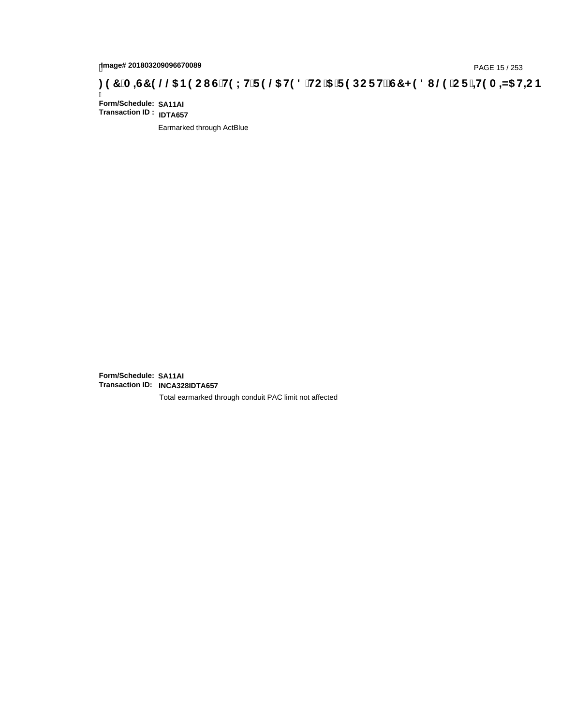### page# 201803209096670089<br>DAGE 15 / 253 DOC THOLH F 9 @ H9 8 HC '5 'F 9 DC F Hz G7 < 9 8 I @ 'C F '<del>1 1</del>9 A <del>A</del>5 H=C B : 97 'A =G7 9 @ & B9 C I G 'H9 LH F 9 @ H9 8 'HC '5 'F 9 DC F Hz G7 < 9 8 I @ 'C F '<del>1 1</del>9 A =N5 H=C B

Ī **Form/Schedule: SA11AI Transaction ID : IDTA657**

Earmarked through ActBlue

**Form/Schedule: SA11AI Transaction ID: INCA328IDTA657**

Total earmarked through conduit PAC limit not affected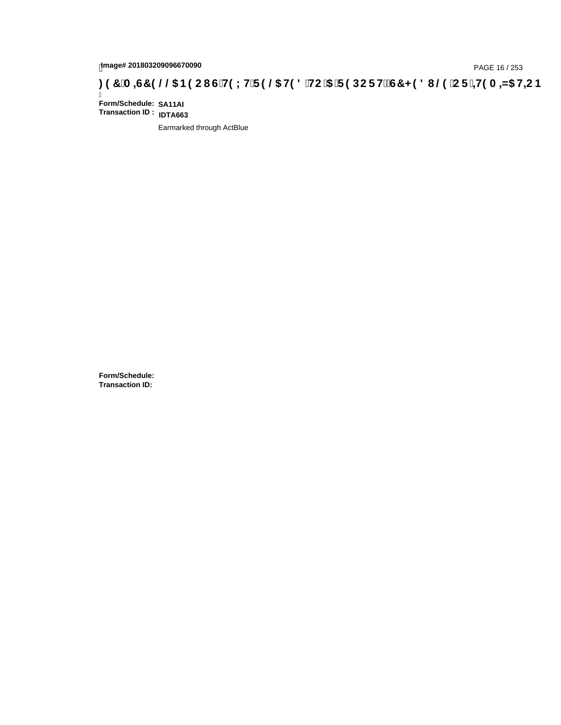# page# 201803209096670090<br>DAGE 16 / 253 DOC THOLH F 9 @ H9 8 HC '5 'F 9 DC F Hz G7 < 9 8 I @ 'C F '<del>J 1</del>9 A <del>A</del>5 H=C B : 97 'A =G7 9 @ & B9 C I G 'H9 L H F 9 @ H9 8 'HC '5 'F 9 DC F Hz G7 < 9 8 I

Ī **Form/Schedule: SA11AI Transaction ID : IDTA663**

Earmarked through ActBlue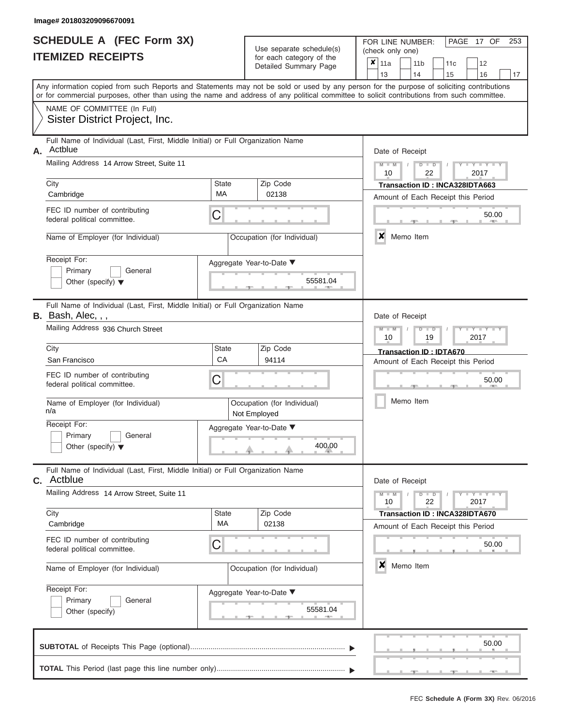|                          | <b>SCHEDULE A (FEC Form 3X)</b> |
|--------------------------|---------------------------------|
| <b>ITEMIZED RECEIPTS</b> |                                 |

Use separate schedule(s)<br>for each category of the

FOR LINE NUMBER:

PAGE 17 OF 253

| <b>ITEMIZED RECEIPTS</b>                                         |                                                                                                                                                                                                                                                                                         |                    | Use separate schedule(s)<br>for each category of the |                       |   | (check only one)                            |           |                       |                                                                      |      |                     |    |  |
|------------------------------------------------------------------|-----------------------------------------------------------------------------------------------------------------------------------------------------------------------------------------------------------------------------------------------------------------------------------------|--------------------|------------------------------------------------------|-----------------------|---|---------------------------------------------|-----------|-----------------------|----------------------------------------------------------------------|------|---------------------|----|--|
|                                                                  |                                                                                                                                                                                                                                                                                         |                    |                                                      | Detailed Summary Page |   | $\overline{\mathbf{x}}$   11a<br>13         |           | 11 <sub>b</sub><br>14 | 11 <sub>c</sub><br>15                                                |      | 12<br>16            | 17 |  |
|                                                                  | Any information copied from such Reports and Statements may not be sold or used by any person for the purpose of soliciting contributions<br>or for commercial purposes, other than using the name and address of any political committee to solicit contributions from such committee. |                    |                                                      |                       |   |                                             |           |                       |                                                                      |      |                     |    |  |
|                                                                  | NAME OF COMMITTEE (In Full)<br>Sister District Project, Inc.                                                                                                                                                                                                                            |                    |                                                      |                       |   |                                             |           |                       |                                                                      |      |                     |    |  |
| А.                                                               | Full Name of Individual (Last, First, Middle Initial) or Full Organization Name<br>Actblue                                                                                                                                                                                              |                    |                                                      |                       |   | Date of Receipt                             |           |                       |                                                                      |      |                     |    |  |
|                                                                  | Mailing Address 14 Arrow Street, Suite 11                                                                                                                                                                                                                                               |                    |                                                      |                       |   | $M - M$<br>10                               |           | $D$ $D$<br>22         |                                                                      |      | $Y - Y - Y$<br>2017 |    |  |
|                                                                  | City<br>Cambridge                                                                                                                                                                                                                                                                       | <b>State</b><br>МA | Zip Code<br>02138                                    |                       |   |                                             |           |                       | Transaction ID: INCA328IDTA663<br>Amount of Each Receipt this Period |      |                     |    |  |
|                                                                  | FEC ID number of contributing<br>federal political committee.                                                                                                                                                                                                                           | C                  |                                                      |                       |   |                                             |           |                       |                                                                      |      | 50.00               |    |  |
|                                                                  | Name of Employer (for Individual)                                                                                                                                                                                                                                                       |                    | Occupation (for Individual)                          |                       |   | x                                           |           | Memo Item             |                                                                      |      |                     |    |  |
|                                                                  | Receipt For:<br>Primary<br>General<br>Other (specify) $\blacktriangledown$                                                                                                                                                                                                              |                    | Aggregate Year-to-Date ▼                             | 55581.04              |   |                                             |           |                       |                                                                      |      |                     |    |  |
|                                                                  | Full Name of Individual (Last, First, Middle Initial) or Full Organization Name<br><b>B.</b> Bash, Alec, $, \, , \,$                                                                                                                                                                    |                    |                                                      |                       |   | Date of Receipt                             |           |                       |                                                                      |      |                     |    |  |
| Mailing Address 936 Church Street                                |                                                                                                                                                                                                                                                                                         |                    |                                                      |                       |   | $M - M$<br>10                               |           | $D$ $D$<br>19         |                                                                      | 2017 | $+Y+Y+Y$            |    |  |
|                                                                  | City<br>San Francisco                                                                                                                                                                                                                                                                   | <b>State</b><br>СA | Zip Code<br>94114                                    |                       |   |                                             |           |                       | Transaction ID: IDTA670                                              |      |                     |    |  |
|                                                                  | FEC ID number of contributing<br>federal political committee.                                                                                                                                                                                                                           | C                  |                                                      |                       |   | Amount of Each Receipt this Period<br>50.00 |           |                       |                                                                      |      |                     |    |  |
|                                                                  | Name of Employer (for Individual)<br>n/a                                                                                                                                                                                                                                                |                    | Occupation (for Individual)<br>Not Employed          |                       |   |                                             |           | Memo Item             |                                                                      |      |                     |    |  |
|                                                                  | Receipt For:<br>Primary<br>General<br>Other (specify) $\blacktriangledown$                                                                                                                                                                                                              |                    | Aggregate Year-to-Date ▼<br>400.00                   |                       |   |                                             |           |                       |                                                                      |      |                     |    |  |
|                                                                  | Full Name of Individual (Last, First, Middle Initial) or Full Organization Name<br><b>C.</b> Actblue                                                                                                                                                                                    |                    |                                                      |                       |   | Date of Receipt                             |           |                       |                                                                      |      |                     |    |  |
|                                                                  | Mailing Address 14 Arrow Street, Suite 11                                                                                                                                                                                                                                               |                    |                                                      |                       |   | $M -$<br>$\overline{\mathsf{M}}$<br>10      |           | $D$ $\Box$ $D$<br>22  |                                                                      | 2017 | $Y - Y - Y$         |    |  |
|                                                                  | City<br>Cambridge                                                                                                                                                                                                                                                                       | <b>State</b><br>MA | Zip Code<br>02138                                    |                       |   |                                             |           |                       | Transaction ID: INCA328IDTA670<br>Amount of Each Receipt this Period |      |                     |    |  |
|                                                                  | FEC ID number of contributing<br>federal political committee.                                                                                                                                                                                                                           | С                  |                                                      |                       |   |                                             |           |                       |                                                                      |      | 50.00               |    |  |
| Name of Employer (for Individual)<br>Occupation (for Individual) |                                                                                                                                                                                                                                                                                         |                    |                                                      |                       | X |                                             | Memo Item |                       |                                                                      |      |                     |    |  |
|                                                                  | Receipt For:<br>General<br>Primary<br>Other (specify)                                                                                                                                                                                                                                   |                    | Aggregate Year-to-Date ▼                             | 55581.04<br>A         |   |                                             |           |                       |                                                                      |      |                     |    |  |
|                                                                  |                                                                                                                                                                                                                                                                                         |                    |                                                      |                       |   |                                             |           |                       |                                                                      |      | 50.00               |    |  |
|                                                                  |                                                                                                                                                                                                                                                                                         |                    |                                                      |                       |   |                                             |           |                       |                                                                      |      |                     |    |  |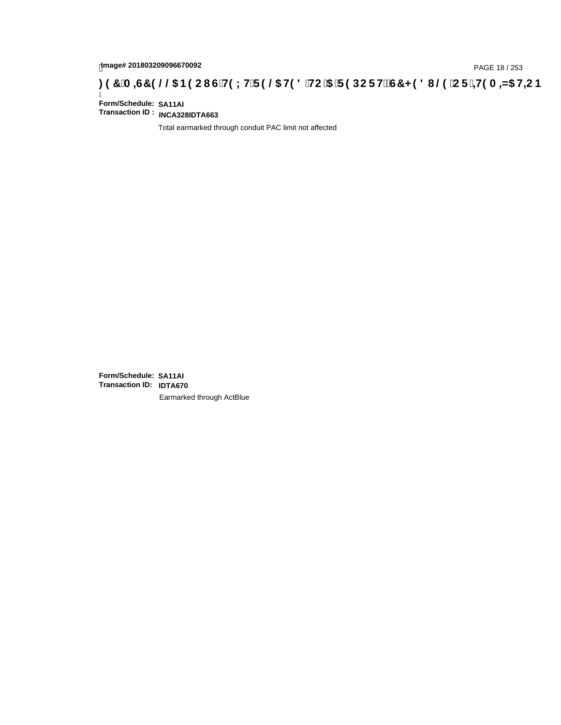# page# 201803209096670092<br>Denge# 201803209096670092<br>**( Of `+H9 A =N5 H=C B (@G B9 CI | G`H9 L H`F 9 @G H9 8 `HC `5 `F 9 DC F H** $\breve{E}$ **G7 < 9 8 I | @G `C F `<del>+H</del>9 A =N5 H=C B**

Ī **Form/Schedule: SA11AI Transaction ID : INCA328IDTA663**

Total earmarked through conduit PAC limit not affected

**Form/Schedule: SA11AI Transaction ID: IDTA670**Earmarked through ActBlue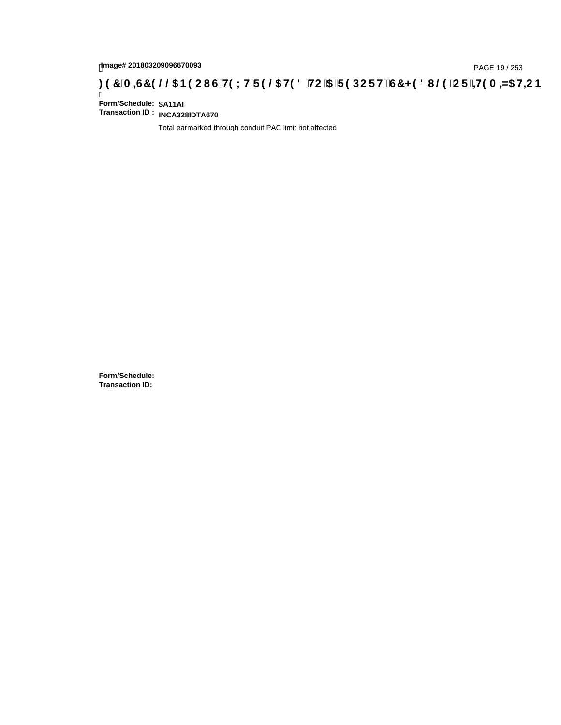# page# 201803209096670093<br>DAGE 19 / 253 DOC THOLH F 9 @ H9 8 HC '5 'F 9 DC F Hz G7 < 9 8 I @ 'C F '<del>1 I</del>9 A <del>A</del>ls H+C B : 9 7 'A =67 9 @ B9 C I G 'H9 LH F 9 @ H9 8 'HC '5 'F 9 DC F Hz G7 < 9 8 I

Ī **Form/Schedule: SA11AI Transaction ID : INCA328IDTA670**

Total earmarked through conduit PAC limit not affected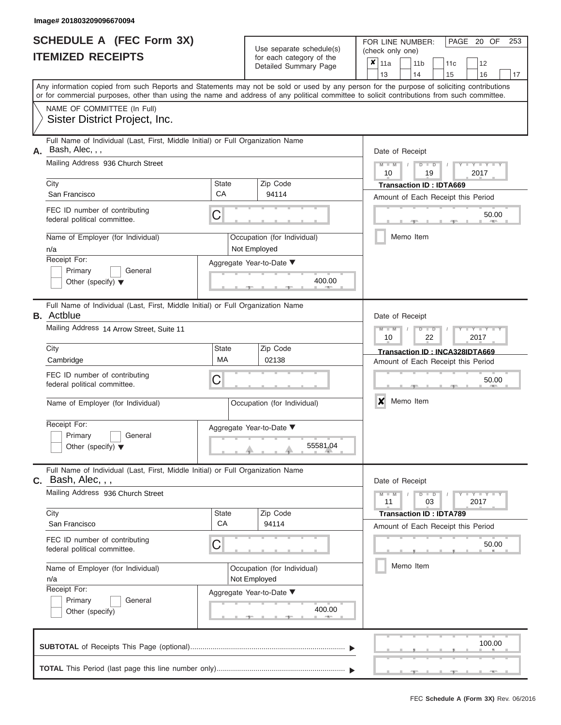|                          | SCHEDULE A (FEC Form 3X) |
|--------------------------|--------------------------|
| <b>ITEMIZED RECEIPTS</b> |                          |

Use separate schedule(s)<br>for each category of the

FOR LINE NUMBER:<br>(check only one)

PAGE 20 OF 253

|                                                                      |                                                                                                                                            |                                             | $\alpha$<br>Detailed Summary Page           | x                              | 11a             |                                                   | 11 <sub>b</sub>                | 11c | 12                                 |    |  |  |  |  |
|----------------------------------------------------------------------|--------------------------------------------------------------------------------------------------------------------------------------------|---------------------------------------------|---------------------------------------------|--------------------------------|-----------------|---------------------------------------------------|--------------------------------|-----|------------------------------------|----|--|--|--|--|
|                                                                      | Any information copied from such Reports and Statements may not be sold or used by any person for the purpose of soliciting contributions  |                                             |                                             |                                | 13              |                                                   | 14                             | 15  | 16                                 | 17 |  |  |  |  |
|                                                                      | or for commercial purposes, other than using the name and address of any political committee to solicit contributions from such committee. |                                             |                                             |                                |                 |                                                   |                                |     |                                    |    |  |  |  |  |
|                                                                      | NAME OF COMMITTEE (In Full)                                                                                                                |                                             |                                             |                                |                 |                                                   |                                |     |                                    |    |  |  |  |  |
|                                                                      | Sister District Project, Inc.                                                                                                              |                                             |                                             |                                |                 |                                                   |                                |     |                                    |    |  |  |  |  |
| А.                                                                   | Full Name of Individual (Last, First, Middle Initial) or Full Organization Name<br>Bash, Alec, , ,                                         |                                             |                                             | Date of Receipt                |                 |                                                   |                                |     |                                    |    |  |  |  |  |
|                                                                      | Mailing Address 936 Church Street                                                                                                          |                                             |                                             |                                | $M - M$<br>10   |                                                   | $D$ $D$<br>19                  |     | $Y - Y - I$<br>2017                |    |  |  |  |  |
|                                                                      | City                                                                                                                                       | State                                       | Zip Code                                    |                                |                 |                                                   | <b>Transaction ID: IDTA669</b> |     |                                    |    |  |  |  |  |
|                                                                      | San Francisco                                                                                                                              | CA                                          | 94114                                       |                                |                 |                                                   |                                |     | Amount of Each Receipt this Period |    |  |  |  |  |
|                                                                      | FEC ID number of contributing<br>federal political committee.                                                                              | C                                           |                                             |                                |                 |                                                   |                                |     | 50.00                              |    |  |  |  |  |
|                                                                      | Name of Employer (for Individual)<br>n/a                                                                                                   |                                             | Occupation (for Individual)<br>Not Employed |                                |                 |                                                   | Memo Item                      |     |                                    |    |  |  |  |  |
|                                                                      | Receipt For:                                                                                                                               |                                             | Aggregate Year-to-Date ▼                    |                                |                 |                                                   |                                |     |                                    |    |  |  |  |  |
| Primary<br>General<br>400.00<br>Other (specify) $\blacktriangledown$ |                                                                                                                                            |                                             |                                             |                                |                 |                                                   |                                |     |                                    |    |  |  |  |  |
|                                                                      | Full Name of Individual (Last, First, Middle Initial) or Full Organization Name<br><b>B.</b> Actblue                                       |                                             |                                             |                                | Date of Receipt |                                                   |                                |     |                                    |    |  |  |  |  |
| Mailing Address 14 Arrow Street, Suite 11                            |                                                                                                                                            |                                             |                                             |                                |                 | $M - M$<br>$Y - Y$<br>$D$ $D$<br>10<br>22<br>2017 |                                |     |                                    |    |  |  |  |  |
|                                                                      | City                                                                                                                                       | Zip Code                                    |                                             | Transaction ID: INCA328IDTA669 |                 |                                                   |                                |     |                                    |    |  |  |  |  |
| MA<br>02138<br>Cambridge                                             |                                                                                                                                            |                                             |                                             |                                |                 |                                                   |                                |     | Amount of Each Receipt this Period |    |  |  |  |  |
|                                                                      | FEC ID number of contributing<br>federal political committee.                                                                              | С                                           |                                             |                                | 50.00           |                                                   |                                |     |                                    |    |  |  |  |  |
|                                                                      | Name of Employer (for Individual)                                                                                                          |                                             | Occupation (for Individual)                 |                                | X<br>Memo Item  |                                                   |                                |     |                                    |    |  |  |  |  |
|                                                                      | Receipt For:                                                                                                                               |                                             | Aggregate Year-to-Date ▼                    |                                |                 |                                                   |                                |     |                                    |    |  |  |  |  |
|                                                                      | Primary<br>General<br>Other (specify) $\blacktriangledown$                                                                                 |                                             | 55581.04                                    |                                |                 |                                                   |                                |     |                                    |    |  |  |  |  |
|                                                                      | Full Name of Individual (Last, First, Middle Initial) or Full Organization Name<br>$c.$ Bash, Alec, , ,                                    |                                             |                                             |                                | Date of Receipt |                                                   |                                |     |                                    |    |  |  |  |  |
|                                                                      | Mailing Address 936 Church Street                                                                                                          |                                             |                                             |                                | $M - M$<br>11   |                                                   | $D$ $D$<br>03                  |     | $Y - Y - Y - Y - I - Y$<br>2017    |    |  |  |  |  |
|                                                                      | City                                                                                                                                       | State<br>CA                                 | Zip Code                                    |                                |                 |                                                   | <b>Transaction ID: IDTA789</b> |     |                                    |    |  |  |  |  |
|                                                                      | San Francisco                                                                                                                              |                                             | 94114                                       |                                |                 |                                                   |                                |     | Amount of Each Receipt this Period |    |  |  |  |  |
|                                                                      | FEC ID number of contributing<br>C<br>federal political committee.                                                                         |                                             |                                             |                                |                 |                                                   |                                |     | 50.00                              |    |  |  |  |  |
|                                                                      | Name of Employer (for Individual)<br>n/a                                                                                                   | Occupation (for Individual)<br>Not Employed |                                             | Memo Item                      |                 |                                                   |                                |     |                                    |    |  |  |  |  |
|                                                                      | Receipt For:                                                                                                                               | Aggregate Year-to-Date ▼                    |                                             |                                |                 |                                                   |                                |     |                                    |    |  |  |  |  |
|                                                                      | Primary<br>General<br>Other (specify)                                                                                                      |                                             | 400.00                                      |                                |                 |                                                   |                                |     |                                    |    |  |  |  |  |
|                                                                      |                                                                                                                                            |                                             |                                             |                                |                 |                                                   |                                |     | 100.00                             |    |  |  |  |  |
|                                                                      |                                                                                                                                            |                                             |                                             |                                |                 |                                                   |                                |     | --                                 |    |  |  |  |  |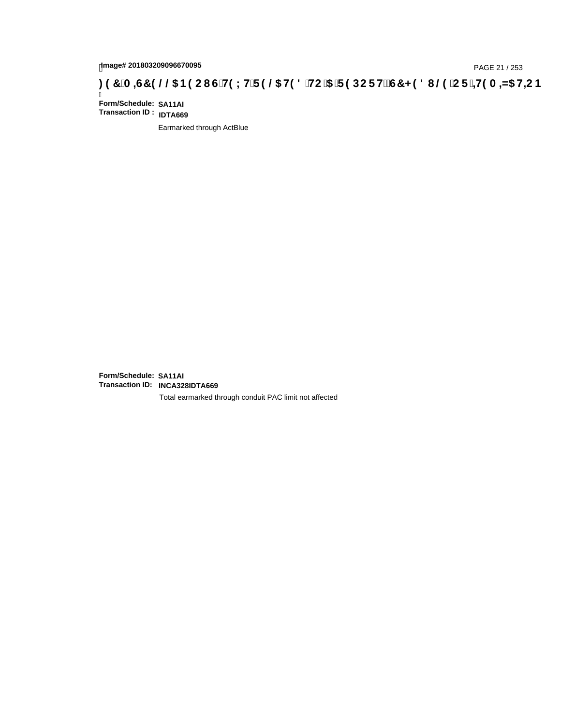# page# 201803209096670095<br>DAGE 21 / 253 DOC THOLH F 9 @ H9 8 HC '5 'F 9 DC F Hz G7 < 9 8 I @ 'C F '<del>1 I</del>9 A <del>A</del>ls H+C B : 9 7 `A =67 9 @ B9 C I G `H9 L H F 9 @ H9 8 `HC `5 `F 9 DC F Hz G7 < 9 8 I

Ī **Form/Schedule: SA11AI Transaction ID : IDTA669**

Earmarked through ActBlue

**Form/Schedule: SA11AI Transaction ID: INCA328IDTA669**

Total earmarked through conduit PAC limit not affected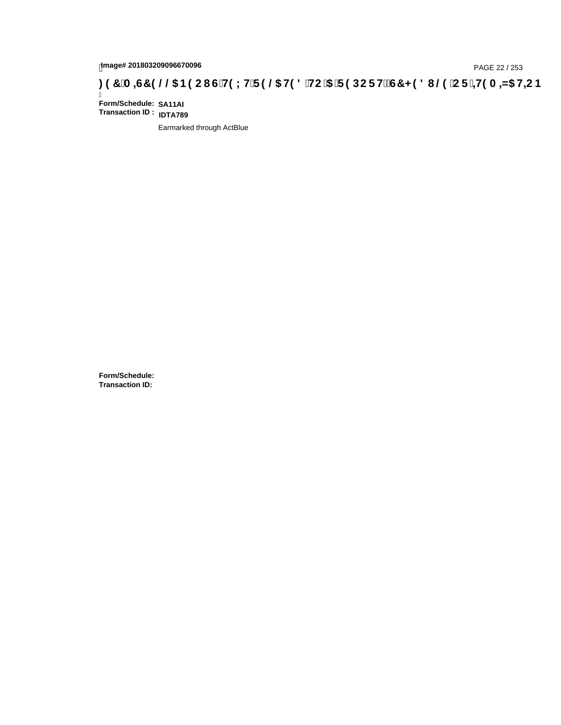# tmage# 201803209096670096<br>DAGE 22 / 253 DOC THIS LHIF 9 **4G HO 8 HC 15 T 9 DC F HŽ G7 < 9 8 I 4G C F 1 <del>11</del>9 A <del>4</del>N5 H<del>C</del> B بـ 37 A = 4G AM5 HC B .**

Ī **Form/Schedule: SA11AI Transaction ID : IDTA789**

Earmarked through ActBlue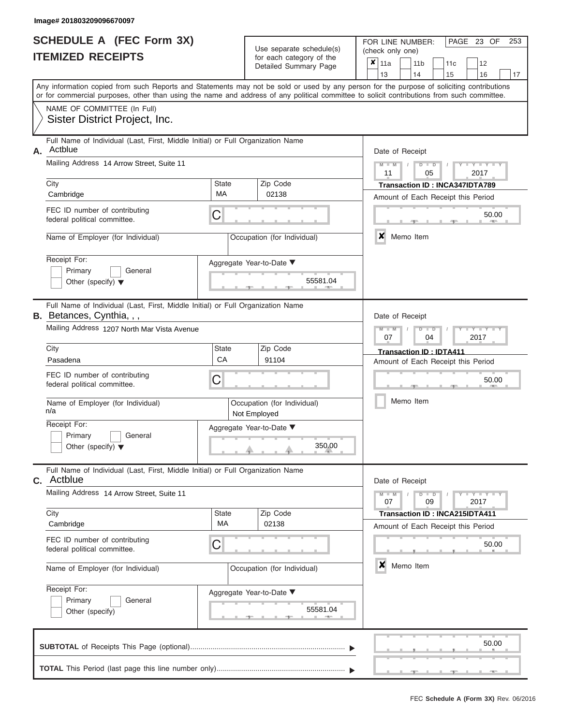| <b>SCHEDULE A (FEC Form 3X)</b><br><b>ITEMIZED RECEIPTS</b>                                                                                                                                                                                                                             | Use separate schedule(s)<br>for each category of the<br>Detailed Summary Page | PAGE 23 OF<br>FOR LINE NUMBER:<br>(check only one)<br>$\overline{\mathbf{x}}$ 11a<br>11 <sub>b</sub><br>$ 12\rangle$<br>11c<br>14<br>13<br>15<br>16 |  |  |  |  |  |
|-----------------------------------------------------------------------------------------------------------------------------------------------------------------------------------------------------------------------------------------------------------------------------------------|-------------------------------------------------------------------------------|-----------------------------------------------------------------------------------------------------------------------------------------------------|--|--|--|--|--|
| Any information copied from such Reports and Statements may not be sold or used by any person for the purpose of soliciting contributions<br>or for commercial purposes, other than using the name and address of any political committee to solicit contributions from such committee. |                                                                               |                                                                                                                                                     |  |  |  |  |  |
| NAME OF COMMITTEE (In Full)<br>Sister District Project, Inc.                                                                                                                                                                                                                            |                                                                               |                                                                                                                                                     |  |  |  |  |  |
| Full Names of Individual (Leat Final Middle Initial) on Full Opportunities Names                                                                                                                                                                                                        |                                                                               |                                                                                                                                                     |  |  |  |  |  |

| А. | Full Name of Individual (Last, First, Middle Initial) or Full Organization Name<br>Actblue |                                                       |                                                          | Date of Receipt                                                                  |  |
|----|--------------------------------------------------------------------------------------------|-------------------------------------------------------|----------------------------------------------------------|----------------------------------------------------------------------------------|--|
|    | Mailing Address 14 Arrow Street, Suite 11<br>City                                          | $M - M$<br>$Y - Y - Y$<br>$D$ $D$<br>11<br>05<br>2017 |                                                          |                                                                                  |  |
|    | Cambridge                                                                                  | <b>State</b><br>MA                                    | Zip Code<br>02138                                        | <b>Transaction ID: INCA347IDTA789</b><br>Amount of Each Receipt this Period      |  |
|    | FEC ID number of contributing<br>federal political committee.                              | 50.00<br><b>AREA</b><br>X<br>Memo Item                |                                                          |                                                                                  |  |
|    | Name of Employer (for Individual)                                                          |                                                       | Occupation (for Individual)                              |                                                                                  |  |
|    | Receipt For:<br>Primary<br>General<br>Other (specify) $\blacktriangledown$                 |                                                       | Aggregate Year-to-Date ▼<br>55581.04                     |                                                                                  |  |
|    | Full Name of Individual (Last, First, Middle Initial) or Full Organization Name            |                                                       |                                                          |                                                                                  |  |
|    | <b>B.</b> Betances, Cynthia, , ,<br>Mailing Address 1207 North Mar Vista Avenue            |                                                       |                                                          | Date of Receipt<br>$T - Y = T - Y = T$<br>$M - M$<br>$D$ $D$<br>07<br>04<br>2017 |  |
|    | City                                                                                       | <b>State</b>                                          | Zip Code                                                 | <b>Transaction ID: IDTA411</b>                                                   |  |
|    | Pasadena                                                                                   | CA                                                    | 91104                                                    | Amount of Each Receipt this Period                                               |  |
|    | FEC ID number of contributing<br>federal political committee.                              | C                                                     |                                                          |                                                                                  |  |
|    | Name of Employer (for Individual)<br>n/a                                                   |                                                       | Occupation (for Individual)<br>Not Employed              | Memo Item                                                                        |  |
|    | Receipt For:<br>Primary<br>General<br>Other (specify) $\blacktriangledown$                 |                                                       | Aggregate Year-to-Date ▼<br>350.00                       |                                                                                  |  |
| C. | Full Name of Individual (Last, First, Middle Initial) or Full Organization Name<br>Actblue |                                                       |                                                          | Date of Receipt                                                                  |  |
|    | Mailing Address 14 Arrow Street, Suite 11                                                  |                                                       |                                                          | $M -$<br>$Y - Y - Y$<br>$\overline{\mathsf{M}}$<br>$D$ $D$<br>07<br>09<br>2017   |  |
|    | City                                                                                       | <b>State</b>                                          | Zip Code                                                 | <b>Transaction ID: INCA215IDTA411</b>                                            |  |
|    | Cambridge                                                                                  | MA                                                    | 02138                                                    | Amount of Each Receipt this Period                                               |  |
|    | FEC ID number of contributing<br>federal political committee.                              | ⌒                                                     |                                                          | 50.00                                                                            |  |
|    | Name of Employer (for Individual)                                                          |                                                       | Occupation (for Individual)                              | X<br>Memo Item                                                                   |  |
|    | Receipt For:<br>Primary<br>General<br>Other (specify)                                      |                                                       | Aggregate Year-to-Date ▼<br>55581.04<br>$-1 - 40 -$<br>一 |                                                                                  |  |
|    | <b>CURTOTAL</b> of Pocoints This Page (optional)                                           |                                                       |                                                          | 50.00                                                                            |  |

 ▲ ▲ ▲ , , .  $, \qquad$  50. **SUBTOTAL** of Receipts This Page (optional)............................................................................ **TOTAL** This Period (last page this line number only)............................................................... ▼ ▼

|13 | |14 | |15 | |16 | |17

23 OF 253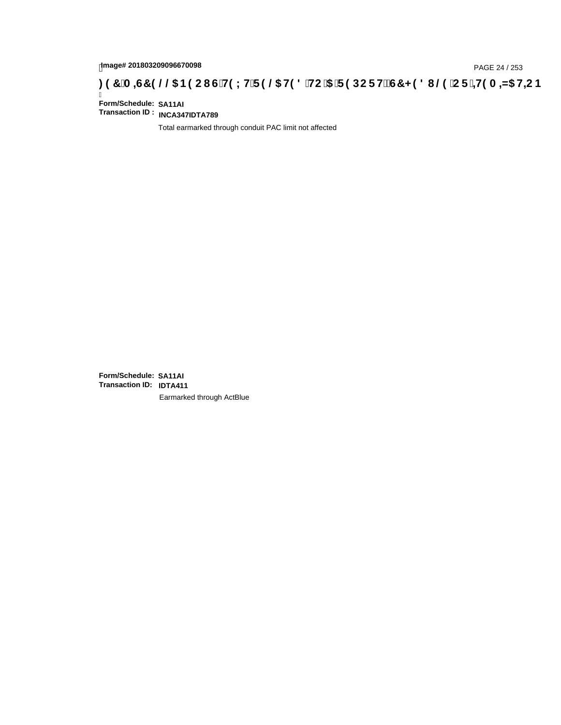# page# 201803209096670098<br>Denge# 201803209096670098<br>**(CF + H9 A = A/5 H=C B (@6) B9 CI G + H9 L H F 9 @6 H9 8 FHC '5 F 9 DC F + EGT < 9 8 I . @9 'C F + H9 A = A/5 H=C B**

Ī **Form/Schedule: SA11AI Transaction ID : INCA347IDTA789**

Total earmarked through conduit PAC limit not affected

**Form/Schedule: SA11AI Transaction ID: IDTA411**Earmarked through ActBlue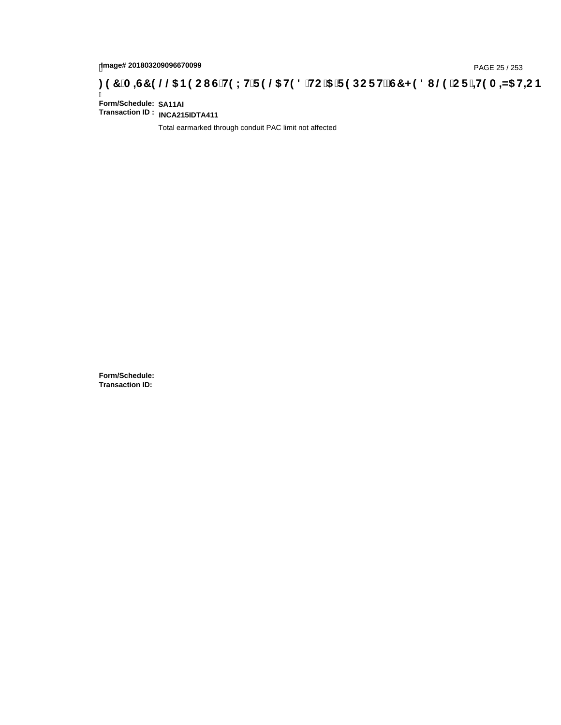# page# 201803209096670099<br>DAGE 25 / 253 DOC THOLH F 9 @ H9 8 HC '5 'F 9 DC F Hz G7 < 9 8 I @ 'C F '<del>1 I</del>9 A <del>A</del>5 H=C B : 97 'A =G7 9 @ & B9 C I G 'H9 LH F 9 @ H9 8 'HC '5 'F 9 DC F Hz G7 < 9 8 I @ 'C F '<del>1 I</del>9 A =N5 H=C B

Ī **Form/Schedule: SA11AI Transaction ID : INCA215IDTA411**

Total earmarked through conduit PAC limit not affected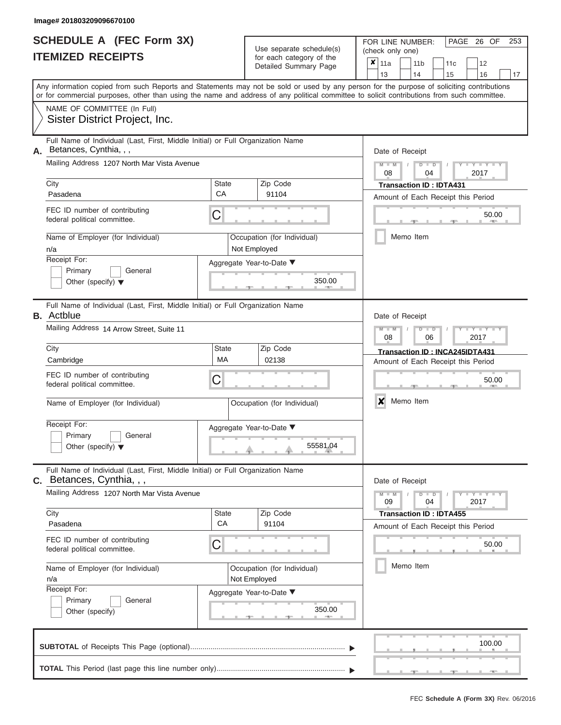|                          | <b>SCHEDULE A (FEC Form 3X)</b> |
|--------------------------|---------------------------------|
| <b>ITEMIZED RECEIPTS</b> |                                 |

Use separate schedule(s)<br>for each category of the

FOR LINE NUMBER:<br>(check only one)

PAGE 26 OF 253

|                                             | IILMILLU INLVLII IV                                                                                                                        |                                             |  | iul eauli caleguly ul lile<br>Detailed Summary Page | × | 11a                                    |                                | 11 <sub>b</sub>                    |                      | 11c                                |  | 12                  |    |  |  |  |
|---------------------------------------------|--------------------------------------------------------------------------------------------------------------------------------------------|---------------------------------------------|--|-----------------------------------------------------|---|----------------------------------------|--------------------------------|------------------------------------|----------------------|------------------------------------|--|---------------------|----|--|--|--|
|                                             | Any information copied from such Reports and Statements may not be sold or used by any person for the purpose of soliciting contributions  |                                             |  |                                                     |   | 13                                     |                                | 14                                 |                      | 15                                 |  | 16                  | 17 |  |  |  |
|                                             | or for commercial purposes, other than using the name and address of any political committee to solicit contributions from such committee. |                                             |  |                                                     |   |                                        |                                |                                    |                      |                                    |  |                     |    |  |  |  |
|                                             | NAME OF COMMITTEE (In Full)                                                                                                                |                                             |  |                                                     |   |                                        |                                |                                    |                      |                                    |  |                     |    |  |  |  |
|                                             | Sister District Project, Inc.                                                                                                              |                                             |  |                                                     |   |                                        |                                |                                    |                      |                                    |  |                     |    |  |  |  |
| А.                                          | Full Name of Individual (Last, First, Middle Initial) or Full Organization Name<br>Betances, Cynthia, , ,                                  |                                             |  |                                                     |   |                                        | Date of Receipt                |                                    |                      |                                    |  |                     |    |  |  |  |
|                                             | Mailing Address 1207 North Mar Vista Avenue                                                                                                |                                             |  |                                                     |   | $M - M$<br>$D$ $D$<br>2017<br>08<br>04 |                                |                                    |                      |                                    |  |                     |    |  |  |  |
|                                             | City                                                                                                                                       | <b>State</b><br>Zip Code                    |  |                                                     |   |                                        | <b>Transaction ID: IDTA431</b> |                                    |                      |                                    |  |                     |    |  |  |  |
|                                             | Pasadena                                                                                                                                   | CA                                          |  | 91104                                               |   | Amount of Each Receipt this Period     |                                |                                    |                      |                                    |  |                     |    |  |  |  |
|                                             | FEC ID number of contributing<br>federal political committee.                                                                              | C                                           |  |                                                     |   |                                        |                                |                                    |                      |                                    |  | 50.00               |    |  |  |  |
|                                             | Name of Employer (for Individual)<br>n/a                                                                                                   | Occupation (for Individual)<br>Not Employed |  |                                                     |   |                                        |                                | Memo Item                          |                      |                                    |  |                     |    |  |  |  |
|                                             | Receipt For:                                                                                                                               | Aggregate Year-to-Date ▼                    |  |                                                     |   |                                        |                                |                                    |                      |                                    |  |                     |    |  |  |  |
|                                             | Primary<br>General<br>Other (specify) $\blacktriangledown$                                                                                 |                                             |  | 350.00                                              |   |                                        |                                |                                    |                      |                                    |  |                     |    |  |  |  |
|                                             | Full Name of Individual (Last, First, Middle Initial) or Full Organization Name<br><b>B.</b> Actblue                                       |                                             |  |                                                     |   | Date of Receipt                        |                                |                                    |                      |                                    |  |                     |    |  |  |  |
|                                             | Mailing Address 14 Arrow Street, Suite 11                                                                                                  |                                             |  |                                                     |   | $M - M$<br>08                          |                                |                                    | $D$ $D$<br>06        |                                    |  | 2017                |    |  |  |  |
|                                             | Zip Code<br>City<br>State<br><b>MA</b>                                                                                                     |                                             |  |                                                     |   | Transaction ID: INCA245IDTA431         |                                |                                    |                      |                                    |  |                     |    |  |  |  |
|                                             | Cambridge                                                                                                                                  | 02138                                       |  |                                                     |   |                                        |                                | Amount of Each Receipt this Period |                      |                                    |  |                     |    |  |  |  |
|                                             | FEC ID number of contributing<br>federal political committee.                                                                              | C                                           |  |                                                     |   |                                        |                                |                                    |                      |                                    |  | 50.00               |    |  |  |  |
|                                             | Name of Employer (for Individual)<br>Occupation (for Individual)                                                                           |                                             |  |                                                     |   | X                                      |                                | Memo Item                          |                      |                                    |  |                     |    |  |  |  |
| Receipt For:                                |                                                                                                                                            |                                             |  | Aggregate Year-to-Date ▼                            |   |                                        |                                |                                    |                      |                                    |  |                     |    |  |  |  |
|                                             | Primary<br>General<br>Other (specify) $\blacktriangledown$                                                                                 |                                             |  | 55581.04                                            |   |                                        |                                |                                    |                      |                                    |  |                     |    |  |  |  |
| С.                                          | Full Name of Individual (Last, First, Middle Initial) or Full Organization Name<br>Betances, Cynthia, , ,                                  |                                             |  |                                                     |   | Date of Receipt                        |                                |                                    |                      |                                    |  |                     |    |  |  |  |
| Mailing Address 1207 North Mar Vista Avenue |                                                                                                                                            |                                             |  |                                                     |   | $M - M$<br>09                          |                                |                                    | $D$ $\Box$ $D$<br>04 |                                    |  | $Y = Y = Y$<br>2017 |    |  |  |  |
|                                             | City                                                                                                                                       | State                                       |  | Zip Code                                            |   |                                        |                                |                                    |                      | <b>Transaction ID: IDTA455</b>     |  |                     |    |  |  |  |
|                                             | Pasadena                                                                                                                                   | CA                                          |  | 91104                                               |   |                                        |                                |                                    |                      | Amount of Each Receipt this Period |  |                     |    |  |  |  |
|                                             | FEC ID number of contributing<br>federal political committee.                                                                              | C                                           |  |                                                     |   |                                        |                                |                                    |                      |                                    |  | 50.00               |    |  |  |  |
|                                             | Name of Employer (for Individual)<br>Occupation (for Individual)<br>Not Employed<br>n/a                                                    |                                             |  |                                                     |   | Memo Item                              |                                |                                    |                      |                                    |  |                     |    |  |  |  |
|                                             | Receipt For:                                                                                                                               | Aggregate Year-to-Date ▼                    |  |                                                     |   |                                        |                                |                                    |                      |                                    |  |                     |    |  |  |  |
|                                             | Primary<br>General                                                                                                                         |                                             |  |                                                     |   |                                        |                                |                                    |                      |                                    |  |                     |    |  |  |  |
|                                             | Other (specify)                                                                                                                            | 350.00                                      |  |                                                     |   |                                        |                                |                                    |                      |                                    |  |                     |    |  |  |  |
|                                             |                                                                                                                                            |                                             |  |                                                     |   |                                        |                                |                                    |                      |                                    |  | 100.00              |    |  |  |  |
|                                             |                                                                                                                                            |                                             |  |                                                     |   |                                        |                                |                                    |                      |                                    |  |                     |    |  |  |  |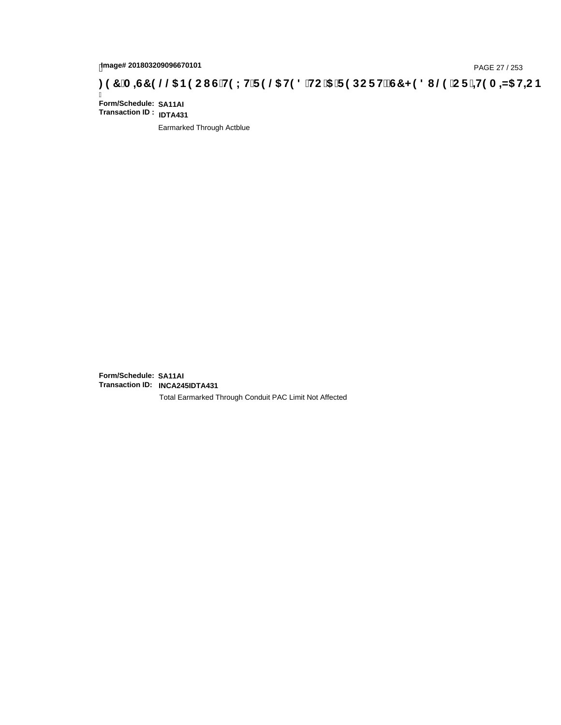### page# 201803209096670101<br>Denge# 201803209096670101<br>**( O, T ) ( O, G) HD LH F 9 @ H9 8 `HC `5 `F 9 DC F Hž G7 < 9 8 I @ `C F `<del>J I</del>9 A =N5 H=C B**

Ī **Form/Schedule: SA11AI Transaction ID : IDTA431**

Earmarked Through Actblue

**Form/Schedule: SA11AI Transaction ID: INCA245IDTA431**

Total Earmarked Through Conduit PAC Limit Not Affected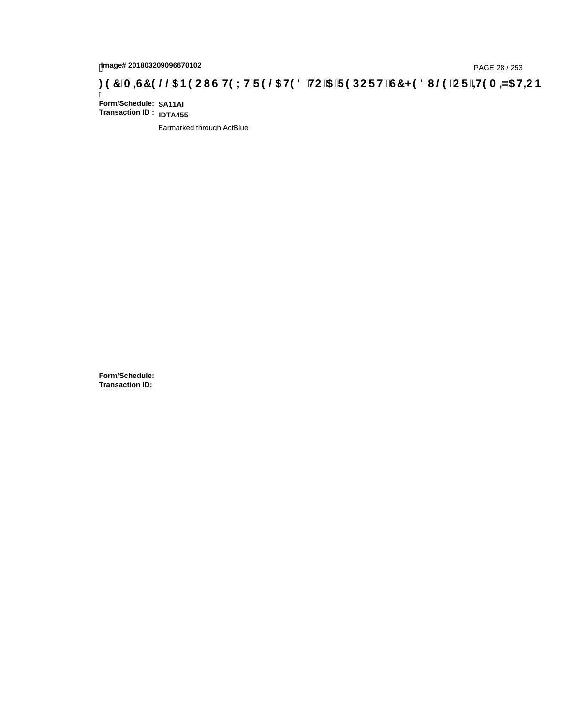# page# 201803209096670102<br>Denge# 201803209096670102<br>**(OD, CF, HOO, City LHTP 9 @ HOO, HC '5 TP DCF HZG7 < 9 8 I @ 'CF '+H9 A =N5 H=CB : 97 'A =G7 9 @ B9 CI**

Ī **Form/Schedule: SA11AI Transaction ID : IDTA455**

Earmarked through ActBlue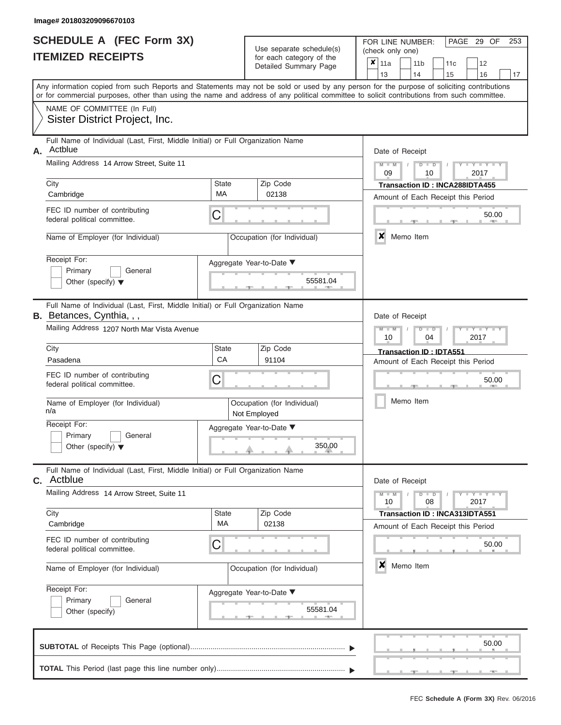| SCHEDULE A (FEC Form 3X) |  |
|--------------------------|--|
| <b>ITEMIZED RECEIPTS</b> |  |

| SCHEDULE A (FEC Form 3X)<br><b>ITEMIZED RECEIPTS</b>                                                                                                                                                                                                                                                                                                                              | Use separate schedule(s)<br>for each category of the<br>Detailed Summary Page                                                     | 253<br>FOR LINE NUMBER:<br>PAGE 29 OF<br>(check only one)<br>×<br>11a<br>11 <sub>b</sub><br>12<br>11 <sub>c</sub><br>13<br>14<br>15<br>16<br>17                                                                                                                                         |
|-----------------------------------------------------------------------------------------------------------------------------------------------------------------------------------------------------------------------------------------------------------------------------------------------------------------------------------------------------------------------------------|-----------------------------------------------------------------------------------------------------------------------------------|-----------------------------------------------------------------------------------------------------------------------------------------------------------------------------------------------------------------------------------------------------------------------------------------|
| NAME OF COMMITTEE (In Full)<br>Sister District Project, Inc.                                                                                                                                                                                                                                                                                                                      |                                                                                                                                   | Any information copied from such Reports and Statements may not be sold or used by any person for the purpose of soliciting contributions<br>or for commercial purposes, other than using the name and address of any political committee to solicit contributions from such committee. |
| Full Name of Individual (Last, First, Middle Initial) or Full Organization Name<br>Actblue<br>Α.<br>Mailing Address 14 Arrow Street, Suite 11<br>City<br>Cambridge<br>FEC ID number of contributing<br>federal political committee.<br>Name of Employer (for Individual)<br>Receipt For:<br>Primary<br>General<br>Other (specify) $\blacktriangledown$                            | <b>State</b><br>Zip Code<br>МA<br>02138<br>C<br>Occupation (for Individual)<br>Aggregate Year-to-Date ▼<br>55581.04               | Date of Receipt<br>$M - M$ /<br>$D$ $D$<br>$Y - Y - Y$<br>09<br>2017<br>10<br>Transaction ID: INCA288IDTA455<br>Amount of Each Receipt this Period<br>50.00<br>$-0.011$<br>×<br>Memo Item                                                                                               |
| Full Name of Individual (Last, First, Middle Initial) or Full Organization Name<br><b>B.</b> Betances, Cynthia, , ,<br>Mailing Address 1207 North Mar Vista Avenue<br>City<br>Pasadena<br>FEC ID number of contributing<br>federal political committee.<br>Name of Employer (for Individual)<br>n/a<br>Receipt For:<br>Primary<br>General<br>Other (specify) $\blacktriangledown$ | <b>State</b><br>Zip Code<br>CA<br>91104<br>С<br>Occupation (for Individual)<br>Not Employed<br>Aggregate Year-to-Date ▼<br>350.00 | Date of Receipt<br>$M - M$<br>$D$ $\Box$ $D$<br>$T - Y = T - T$<br>10<br>2017<br>04<br>Transaction ID: IDTA551<br>Amount of Each Receipt this Period<br>50.00<br>Memo Item                                                                                                              |
| Full Name of Individual (Last, First, Middle Initial) or Full Organization Name<br>c. Actblue<br>Mailing Address 14 Arrow Street, Suite 11<br>City<br>Cambridge<br>FEC ID number of contributing<br>federal political committee.<br>Name of Employer (for Individual)<br>Receipt For:<br>Primary<br>General<br>Other (specify)                                                    | Zip Code<br><b>State</b><br>MA<br>02138<br>С<br>Occupation (for Individual)<br>Aggregate Year-to-Date ▼<br>55581.04               | Date of Receipt<br>$M - M$<br>$D$ $D$<br>$T - Y = Y - T Y$<br>10<br>08<br>2017<br><b>Transaction ID : INCA313IDTA551</b><br>Amount of Each Receipt this Period<br>50.00<br>×<br>Memo Item                                                                                               |
|                                                                                                                                                                                                                                                                                                                                                                                   |                                                                                                                                   | 50.00                                                                                                                                                                                                                                                                                   |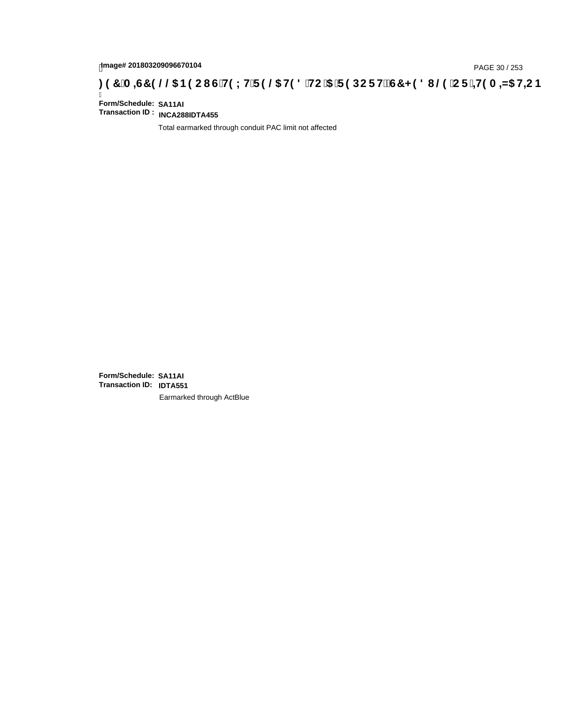# page# 201803209096670104<br>Denge# 201803209096670104<br>**(OR) THE CITS HEARGE STEP OF HEAR-ART HEARGE STEP OF HEAR-ART HEARGE STEP OF THEAR-ART HEARGE STEP 30 / 253**

Ī **Form/Schedule: SA11AI Transaction ID : INCA288IDTA455**

Total earmarked through conduit PAC limit not affected

**Form/Schedule: SA11AI Transaction ID: IDTA551**Earmarked through ActBlue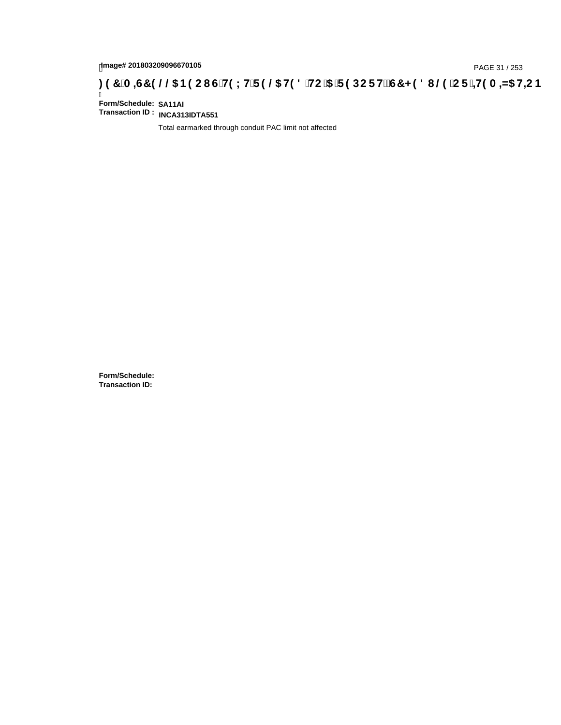# page# 201803209096670105<br>DAGE 31 / 253 PAGE 31 / 253<br>**DAGE 31 / 253 A = 45 HEC B (G'H9 LH'F 9 @ H9 8 'HC '5 'F 9 DC F H** $\breve{c}$ **G7 < 9 8 I @ 'C F '<del>+1</del>9 A = 45 HEC B :**

Ī **Form/Schedule: SA11AI Transaction ID : INCA313IDTA551**

Total earmarked through conduit PAC limit not affected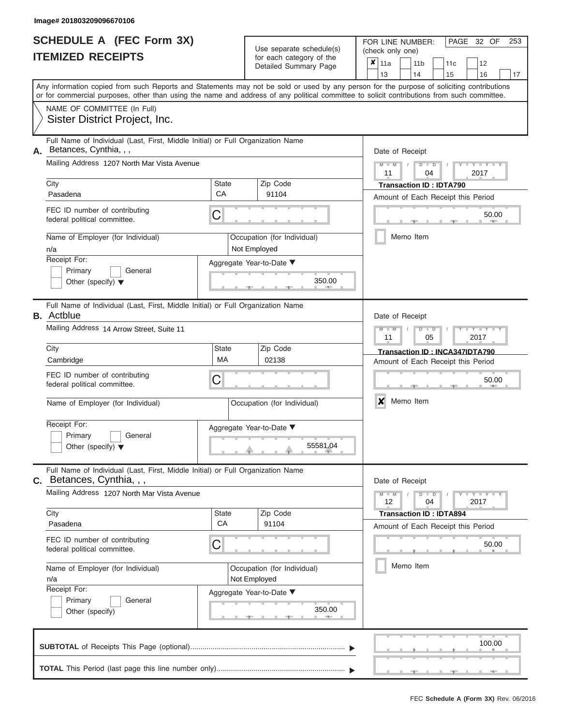|                          | <b>SCHEDULE A (FEC Form 3X)</b> |
|--------------------------|---------------------------------|
| <b>ITEMIZED RECEIPTS</b> |                                 |

FOR LINE NUMBER:<br>(check only one) Use separate schedule(s)<br>for each category of the

| IILMILLU NLVLIF IJ                                                                                                                                                                                                                                                                      |                                             | ior each calegory or the<br>Detailed Summary Page | ×               | 11a             |                                        | 11 <sub>b</sub>      | 11c                                                                  |  | 12                       |    |  |  |  |  |  |
|-----------------------------------------------------------------------------------------------------------------------------------------------------------------------------------------------------------------------------------------------------------------------------------------|---------------------------------------------|---------------------------------------------------|-----------------|-----------------|----------------------------------------|----------------------|----------------------------------------------------------------------|--|--------------------------|----|--|--|--|--|--|
| Any information copied from such Reports and Statements may not be sold or used by any person for the purpose of soliciting contributions<br>or for commercial purposes, other than using the name and address of any political committee to solicit contributions from such committee. |                                             |                                                   |                 | 13              |                                        | 14                   | 15                                                                   |  | 16                       | 17 |  |  |  |  |  |
| NAME OF COMMITTEE (In Full)<br>Sister District Project, Inc.                                                                                                                                                                                                                            |                                             |                                                   |                 |                 |                                        |                      |                                                                      |  |                          |    |  |  |  |  |  |
| Full Name of Individual (Last, First, Middle Initial) or Full Organization Name<br>Betances, Cynthia, , ,<br>Α.                                                                                                                                                                         |                                             |                                                   |                 |                 | Date of Receipt                        |                      |                                                                      |  |                          |    |  |  |  |  |  |
| Mailing Address 1207 North Mar Vista Avenue                                                                                                                                                                                                                                             |                                             |                                                   |                 |                 | $M - M$<br>$D$ $D$<br>11<br>2017<br>04 |                      |                                                                      |  |                          |    |  |  |  |  |  |
| City<br>Pasadena                                                                                                                                                                                                                                                                        | State<br>CA                                 | Zip Code<br>91104                                 |                 |                 |                                        |                      | <b>Transaction ID: IDTA790</b><br>Amount of Each Receipt this Period |  |                          |    |  |  |  |  |  |
| FEC ID number of contributing<br>federal political committee.                                                                                                                                                                                                                           | С                                           |                                                   |                 |                 |                                        |                      | 50.00                                                                |  |                          |    |  |  |  |  |  |
| Name of Employer (for Individual)<br>n/a                                                                                                                                                                                                                                                | Occupation (for Individual)<br>Not Employed |                                                   |                 |                 | Memo Item                              |                      |                                                                      |  |                          |    |  |  |  |  |  |
| Receipt For:<br>Primary<br>General<br>Other (specify) $\blacktriangledown$                                                                                                                                                                                                              |                                             | Aggregate Year-to-Date ▼<br>350.00                |                 |                 |                                        |                      |                                                                      |  |                          |    |  |  |  |  |  |
| Full Name of Individual (Last, First, Middle Initial) or Full Organization Name<br><b>B.</b> Actblue                                                                                                                                                                                    |                                             |                                                   | Date of Receipt |                 |                                        |                      |                                                                      |  |                          |    |  |  |  |  |  |
| Mailing Address 14 Arrow Street, Suite 11                                                                                                                                                                                                                                               |                                             |                                                   |                 |                 |                                        | $D$ $\Box$ $D$<br>05 |                                                                      |  | 2017                     |    |  |  |  |  |  |
| City<br>Cambridge                                                                                                                                                                                                                                                                       | State<br><b>MA</b>                          | Zip Code<br>02138                                 |                 |                 |                                        |                      | Transaction ID: INCA347IDTA790<br>Amount of Each Receipt this Period |  |                          |    |  |  |  |  |  |
| FEC ID number of contributing<br>federal political committee.                                                                                                                                                                                                                           | С                                           |                                                   |                 |                 |                                        |                      | 50.00<br>$\boldsymbol{x}$<br>Memo Item                               |  |                          |    |  |  |  |  |  |
| Name of Employer (for Individual)                                                                                                                                                                                                                                                       | Occupation (for Individual)                 |                                                   |                 |                 |                                        |                      |                                                                      |  |                          |    |  |  |  |  |  |
| Receipt For:<br>Primary<br>General<br>Other (specify) $\blacktriangledown$                                                                                                                                                                                                              |                                             | Aggregate Year-to-Date ▼<br>55581.04              |                 |                 |                                        |                      |                                                                      |  |                          |    |  |  |  |  |  |
| Full Name of Individual (Last, First, Middle Initial) or Full Organization Name<br>Betances, Cynthia, , ,<br>С.                                                                                                                                                                         |                                             |                                                   |                 | Date of Receipt |                                        |                      |                                                                      |  |                          |    |  |  |  |  |  |
| Mailing Address 1207 North Mar Vista Avenue                                                                                                                                                                                                                                             |                                             |                                                   |                 | $M - M$<br>12   |                                        | $D$ $D$<br>04        |                                                                      |  | $-Y - Y - Y - Y$<br>2017 |    |  |  |  |  |  |
| City<br>Pasadena                                                                                                                                                                                                                                                                        | State<br>СA                                 | Zip Code<br>91104                                 |                 |                 |                                        |                      | <b>Transaction ID: IDTA894</b><br>Amount of Each Receipt this Period |  |                          |    |  |  |  |  |  |
| FEC ID number of contributing<br>federal political committee.                                                                                                                                                                                                                           | С                                           |                                                   |                 |                 |                                        |                      | 50.00                                                                |  |                          |    |  |  |  |  |  |
| Name of Employer (for Individual)<br>n/a                                                                                                                                                                                                                                                | Occupation (for Individual)<br>Not Employed | Memo Item                                         |                 |                 |                                        |                      |                                                                      |  |                          |    |  |  |  |  |  |
| Receipt For:<br>General<br>Primary<br>Other (specify)                                                                                                                                                                                                                                   |                                             | Aggregate Year-to-Date ▼<br>350.00                |                 |                 |                                        |                      |                                                                      |  |                          |    |  |  |  |  |  |
|                                                                                                                                                                                                                                                                                         |                                             |                                                   |                 |                 |                                        |                      |                                                                      |  | 100.00                   |    |  |  |  |  |  |
|                                                                                                                                                                                                                                                                                         |                                             |                                                   |                 |                 |                                        |                      |                                                                      |  |                          |    |  |  |  |  |  |

PAGE 32 OF 253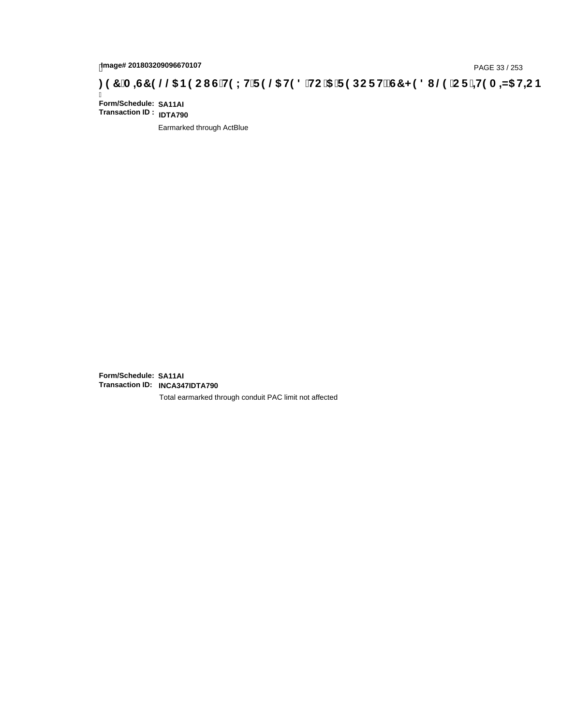# page# 201803209096670107<br>Denge# 201803209096670107<br>**( Of `+H9 A =N5 H=C B (@6 B9 C I G`H9 L H`F 9 @6 H9 8 `HC `5 `F 9 DC F H** $\breve{c}$ **G7 < 9 8 I @9 `C F `<del>+H</del>9 A =N5 H=C B**

Ī **Form/Schedule: SA11AI Transaction ID : IDTA790**

Earmarked through ActBlue

**Form/Schedule: SA11AI Transaction ID: INCA347IDTA790**

Total earmarked through conduit PAC limit not affected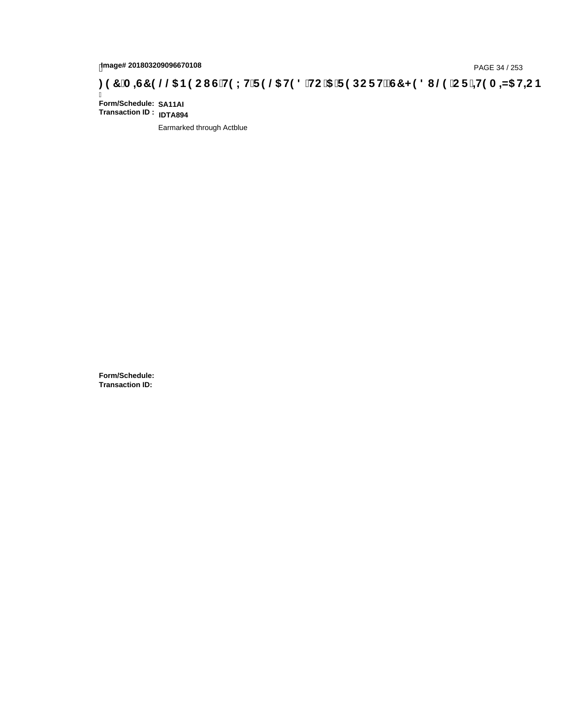# page# 201803209096670108<br>Denge# 201803209096670108<br>**(CF + H9 A = A/5 H=C B (@6) B9 CI G + H9 L H F 9 @6 H9 8 FHC '5 F 9 DC F + EGT < 9 8 I . @9 'C F + H9 A = A/5 H=C B**

Ī **Form/Schedule: SA11AI Transaction ID : IDTA894**

Earmarked through Actblue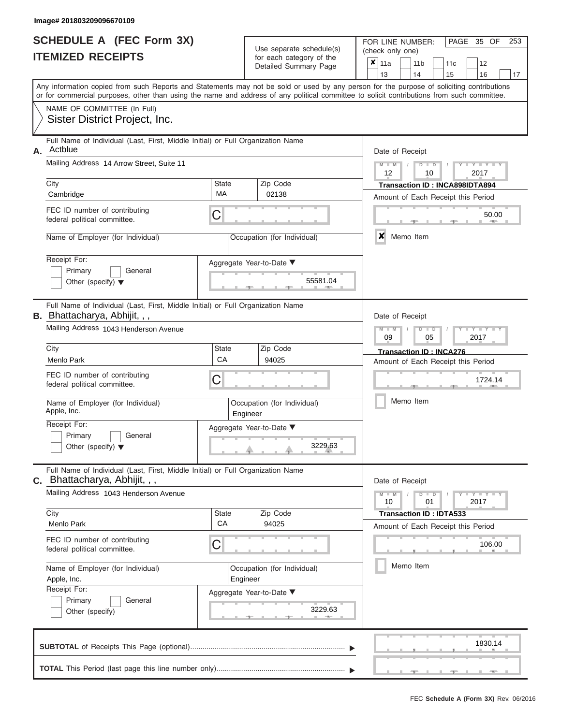|                          | <b>SCHEDULE A (FEC Form 3X)</b> |
|--------------------------|---------------------------------|
| <b>ITEMIZED RECEIPTS</b> |                                 |

Use separate schedule(s) (check only one)<br>for each category of the  $\begin{array}{|c|c|c|c|c|}\hline \textbf{X} & 11a & 14 \\\hline \end{array}$ 

FOR LINE NUMBER:

 $\overline{\phantom{0}}$ 

PAGE 35 OF 253

 $\overline{\phantom{0}}$ 

|                                                                                                                                            |                                         | Detailed Summary Page                | x<br>  11a<br>12<br>11 b<br>11c<br>13<br>14<br>15<br>16<br>17                                                                             |  |  |  |  |  |  |  |  |  |  |
|--------------------------------------------------------------------------------------------------------------------------------------------|-----------------------------------------|--------------------------------------|-------------------------------------------------------------------------------------------------------------------------------------------|--|--|--|--|--|--|--|--|--|--|
| or for commercial purposes, other than using the name and address of any political committee to solicit contributions from such committee. |                                         |                                      | Any information copied from such Reports and Statements may not be sold or used by any person for the purpose of soliciting contributions |  |  |  |  |  |  |  |  |  |  |
| NAME OF COMMITTEE (In Full)<br>Sister District Project, Inc.                                                                               |                                         |                                      |                                                                                                                                           |  |  |  |  |  |  |  |  |  |  |
| Full Name of Individual (Last, First, Middle Initial) or Full Organization Name<br>Actblue<br>А.                                           | Date of Receipt                         |                                      |                                                                                                                                           |  |  |  |  |  |  |  |  |  |  |
| Mailing Address 14 Arrow Street, Suite 11                                                                                                  |                                         |                                      |                                                                                                                                           |  |  |  |  |  |  |  |  |  |  |
| City<br>Cambridge                                                                                                                          | State<br>MA                             | Zip Code<br>02138                    | Transaction ID: INCA898IDTA894                                                                                                            |  |  |  |  |  |  |  |  |  |  |
| FEC ID number of contributing<br>federal political committee.                                                                              | С                                       |                                      | Amount of Each Receipt this Period<br>50.00<br><b>ARTIS</b>                                                                               |  |  |  |  |  |  |  |  |  |  |
| Name of Employer (for Individual)                                                                                                          |                                         | Occupation (for Individual)          | x<br>Memo Item                                                                                                                            |  |  |  |  |  |  |  |  |  |  |
| Receipt For:<br>Primary<br>General<br>Other (specify) $\blacktriangledown$                                                                 |                                         | Aggregate Year-to-Date ▼<br>55581.04 |                                                                                                                                           |  |  |  |  |  |  |  |  |  |  |
| Full Name of Individual (Last, First, Middle Initial) or Full Organization Name<br>B. Bhattacharya, Abhijit, , ,                           |                                         |                                      | Date of Receipt                                                                                                                           |  |  |  |  |  |  |  |  |  |  |
| Mailing Address 1043 Henderson Avenue                                                                                                      |                                         |                                      |                                                                                                                                           |  |  |  |  |  |  |  |  |  |  |
| City<br>Menlo Park                                                                                                                         | State<br>СA                             | Zip Code<br>94025                    | <b>Transaction ID: INCA276</b><br>Amount of Each Receipt this Period                                                                      |  |  |  |  |  |  |  |  |  |  |
| FEC ID number of contributing<br>federal political committee.                                                                              | С                                       |                                      | 1724.14                                                                                                                                   |  |  |  |  |  |  |  |  |  |  |
| Name of Employer (for Individual)<br>Apple, Inc.                                                                                           | Occupation (for Individual)<br>Engineer |                                      | Memo Item                                                                                                                                 |  |  |  |  |  |  |  |  |  |  |
| Receipt For:<br>General<br>Primary<br>Other (specify) $\blacktriangledown$                                                                 |                                         | Aggregate Year-to-Date ▼<br>3229.63  |                                                                                                                                           |  |  |  |  |  |  |  |  |  |  |
| Full Name of Individual (Last, First, Middle Initial) or Full Organization Name<br>C. Bhattacharya, Abhijit, , ,                           |                                         |                                      | Date of Receipt                                                                                                                           |  |  |  |  |  |  |  |  |  |  |
| Mailing Address 1043 Henderson Avenue                                                                                                      |                                         |                                      |                                                                                                                                           |  |  |  |  |  |  |  |  |  |  |
| City<br>Menlo Park                                                                                                                         | State<br>CA                             | Zip Code<br>94025                    | <b>Transaction ID: IDTA533</b><br>Amount of Each Receipt this Period                                                                      |  |  |  |  |  |  |  |  |  |  |
| FEC ID number of contributing<br>federal political committee.                                                                              | С                                       |                                      | 106.00                                                                                                                                    |  |  |  |  |  |  |  |  |  |  |
| Name of Employer (for Individual)<br>Apple, Inc.                                                                                           | Occupation (for Individual)<br>Engineer |                                      |                                                                                                                                           |  |  |  |  |  |  |  |  |  |  |
| Receipt For:<br>Primary<br>General<br>Other (specify)                                                                                      |                                         | Aggregate Year-to-Date ▼<br>3229.63  |                                                                                                                                           |  |  |  |  |  |  |  |  |  |  |
|                                                                                                                                            |                                         |                                      | 1830.14<br>$-1$                                                                                                                           |  |  |  |  |  |  |  |  |  |  |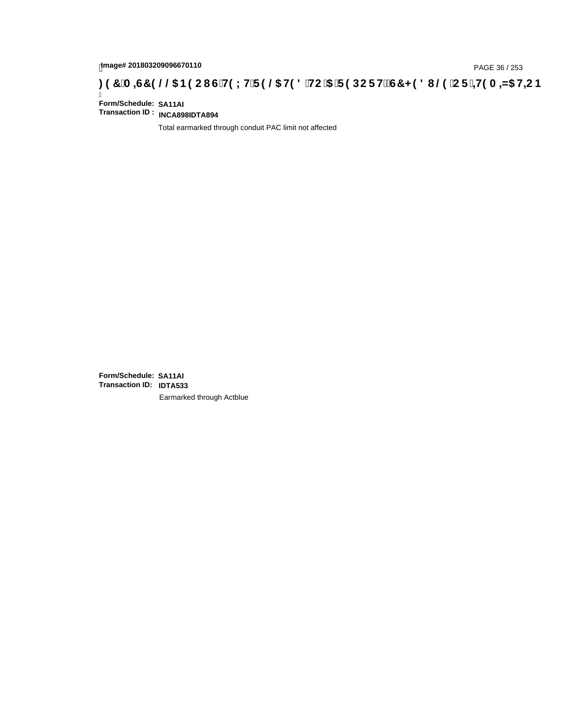# tmage# 201803209096670110<br>DAGE 36 / 253 PAGE 36 / 253<br>**DAGE 345 HE ST 9 @ RO CI C HO L H F 9 @ HO 8 `HC `5 `F 9 DC F HŽ G7 < 9 8 I @ `C F `<del>4 I</del>O A <del>A</del>I5 H<del>L</del>C B : 9 7 `A = 45 H**

Ī **Form/Schedule: SA11AI Transaction ID : INCA898IDTA894**

Total earmarked through conduit PAC limit not affected

**Form/Schedule: SA11AI Transaction ID: IDTA533**Earmarked through Actblue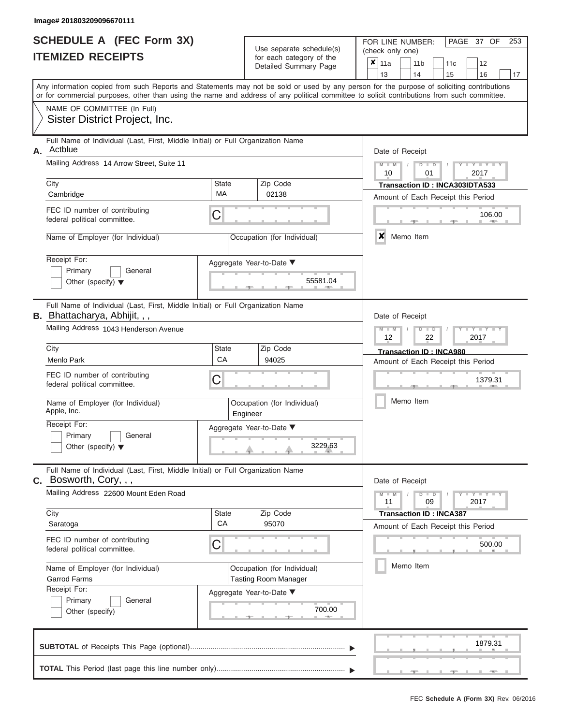|                          | SCHEDULE A (FEC Form 3X) |  |
|--------------------------|--------------------------|--|
| <b>ITEMIZED RECEIPTS</b> |                          |  |

Use separate schedule(s) (check only one) for each category of the  $\sqrt{2}$ 

FOR LINE NUMBER:<br>(check only one)

PAGE 37 OF 253

|    | TEMIZED RECEIPTS                                                                                                                                                                                                                                                                        |                                                                 | for each category of the<br>Detailed Summary Page          | ×<br>11a<br>11 <sub>b</sub><br>11 <sub>c</sub><br>12<br>13<br>14<br>15<br>16<br>17 |  |  |  |  |  |  |  |
|----|-----------------------------------------------------------------------------------------------------------------------------------------------------------------------------------------------------------------------------------------------------------------------------------------|-----------------------------------------------------------------|------------------------------------------------------------|------------------------------------------------------------------------------------|--|--|--|--|--|--|--|
|    | Any information copied from such Reports and Statements may not be sold or used by any person for the purpose of soliciting contributions<br>or for commercial purposes, other than using the name and address of any political committee to solicit contributions from such committee. |                                                                 |                                                            |                                                                                    |  |  |  |  |  |  |  |
|    | NAME OF COMMITTEE (In Full)<br>Sister District Project, Inc.                                                                                                                                                                                                                            |                                                                 |                                                            |                                                                                    |  |  |  |  |  |  |  |
| А. | Full Name of Individual (Last, First, Middle Initial) or Full Organization Name<br>Actblue                                                                                                                                                                                              | Date of Receipt                                                 |                                                            |                                                                                    |  |  |  |  |  |  |  |
|    | Mailing Address 14 Arrow Street. Suite 11                                                                                                                                                                                                                                               |                                                                 |                                                            | $Y = Y$<br>D<br>D<br>2017<br>10<br>01                                              |  |  |  |  |  |  |  |
|    | City<br>Cambridge                                                                                                                                                                                                                                                                       | <b>State</b><br>MA                                              | Zip Code<br>02138                                          | Transaction ID: INCA303IDTA533<br>Amount of Each Receipt this Period               |  |  |  |  |  |  |  |
|    | FEC ID number of contributing<br>federal political committee.                                                                                                                                                                                                                           | C                                                               |                                                            | 106.00                                                                             |  |  |  |  |  |  |  |
|    | Name of Employer (for Individual)                                                                                                                                                                                                                                                       |                                                                 | Occupation (for Individual)                                | ×<br>Memo Item                                                                     |  |  |  |  |  |  |  |
|    | Receipt For:<br>Primary<br>General<br>Other (specify) $\blacktriangledown$                                                                                                                                                                                                              |                                                                 | Aggregate Year-to-Date ▼<br>55581.04                       |                                                                                    |  |  |  |  |  |  |  |
|    | Full Name of Individual (Last, First, Middle Initial) or Full Organization Name<br><b>B.</b> Bhattacharya, Abhijit, , ,                                                                                                                                                                 |                                                                 |                                                            | Date of Receipt                                                                    |  |  |  |  |  |  |  |
|    | Mailing Address 1043 Henderson Avenue                                                                                                                                                                                                                                                   | Y TY T<br>$\overline{\mathsf{M}}$<br>D<br>⊃<br>2017<br>12<br>22 |                                                            |                                                                                    |  |  |  |  |  |  |  |
|    | City<br>Menlo Park                                                                                                                                                                                                                                                                      | <b>State</b><br>CA                                              | Zip Code<br>94025                                          | Transaction ID: INCA980<br>Amount of Each Receipt this Period                      |  |  |  |  |  |  |  |
|    | FEC ID number of contributing<br>federal political committee.                                                                                                                                                                                                                           | С                                                               |                                                            | 1379.31                                                                            |  |  |  |  |  |  |  |
|    | Name of Employer (for Individual)<br>Apple, Inc.                                                                                                                                                                                                                                        |                                                                 | Occupation (for Individual)<br>Engineer                    | Memo Item                                                                          |  |  |  |  |  |  |  |
|    | Receipt For:<br>Primary<br>General<br>Other (specify) $\blacktriangledown$                                                                                                                                                                                                              |                                                                 | Aggregate Year-to-Date ▼<br>3229.63                        |                                                                                    |  |  |  |  |  |  |  |
|    | Full Name of Individual (Last, First, Middle Initial) or Full Organization Name<br>C. Bosworth, Cory, , ,                                                                                                                                                                               |                                                                 |                                                            | Date of Receipt                                                                    |  |  |  |  |  |  |  |
|    | Mailing Address 22600 Mount Eden Road                                                                                                                                                                                                                                                   |                                                                 |                                                            | $Y - Y - Y$<br>$M - M$<br>D<br>$\overline{\phantom{a}}$<br>2017<br>11<br>09        |  |  |  |  |  |  |  |
|    | City<br>Saratoga                                                                                                                                                                                                                                                                        | <b>State</b><br>CA                                              | Zip Code<br>95070                                          | <b>Transaction ID: INCA387</b><br>Amount of Each Receipt this Period               |  |  |  |  |  |  |  |
|    | FEC ID number of contributing<br>federal political committee.                                                                                                                                                                                                                           | C                                                               |                                                            | 500.00                                                                             |  |  |  |  |  |  |  |
|    | Name of Employer (for Individual)<br><b>Garrod Farms</b><br>Receipt For:                                                                                                                                                                                                                |                                                                 | Occupation (for Individual)<br><b>Tasting Room Manager</b> | Memo Item                                                                          |  |  |  |  |  |  |  |
|    | Primary<br>General<br>Other (specify)                                                                                                                                                                                                                                                   |                                                                 | Aggregate Year-to-Date ▼<br>700.00                         |                                                                                    |  |  |  |  |  |  |  |
|    |                                                                                                                                                                                                                                                                                         |                                                                 |                                                            | 1879.31                                                                            |  |  |  |  |  |  |  |
|    |                                                                                                                                                                                                                                                                                         |                                                                 |                                                            |                                                                                    |  |  |  |  |  |  |  |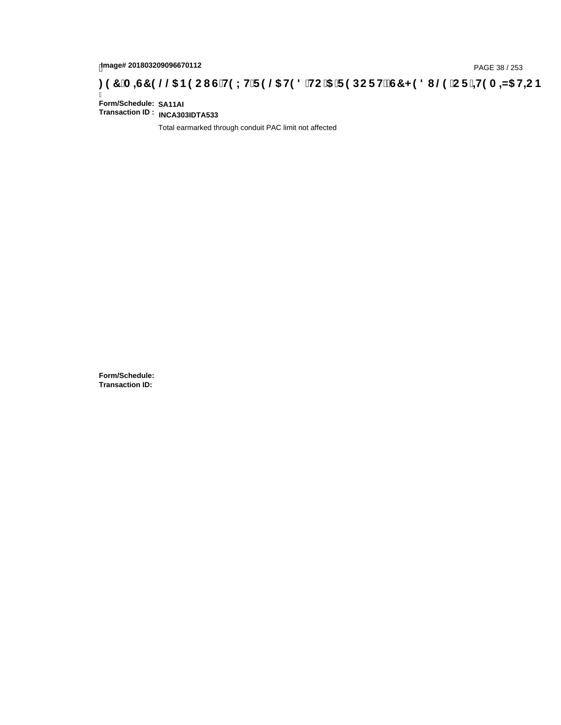# page# 201803209096670112<br>Denge# 201803209096670112<br>**(OD) CF :4H9 A =N5 H=C B (@D) B9 CI G`H9 LH`F 9 @D H9 8 `HC `5 `F 9 DC F H** $\breve{E}$ **G7 < 9 8 I @D `C F `4H9 A =N5 H=C B**

Ī **Form/Schedule: SA11AI Transaction ID : INCA303IDTA533**

Total earmarked through conduit PAC limit not affected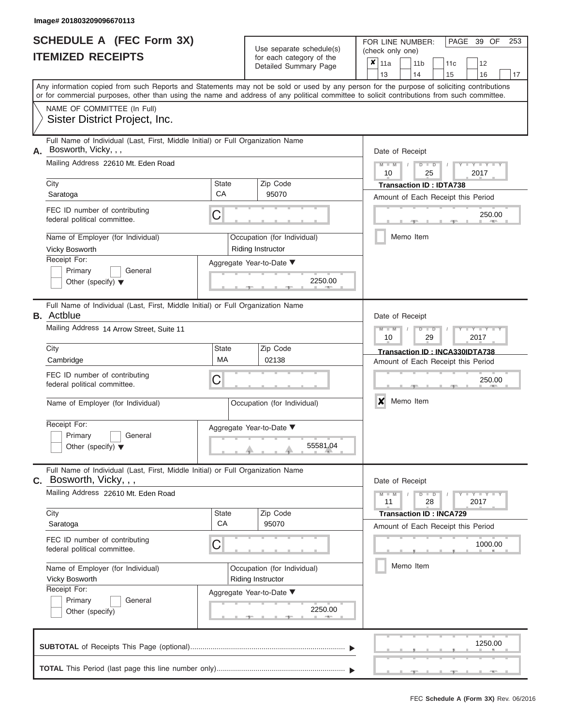|                          | <b>SCHEDULE A (FEC Form 3X)</b> |
|--------------------------|---------------------------------|
| <b>ITEMIZED RECEIPTS</b> |                                 |

FOR LINE NUMBER:<br>(check only one)

PAGE 39 OF 253

|      | IILMILLU NLVLIF IJ                                                                                                                                                                                                                                                                      |                                                         |                                                                      | ior each calegory or the<br>Detailed Summary Page |                 | ×<br>11a<br>12<br>11 <sub>b</sub><br>11c<br>13<br>14<br>15<br>16 |                                               |                                                                      |               |                                                                      |  |                          |    |  |  |  |
|------|-----------------------------------------------------------------------------------------------------------------------------------------------------------------------------------------------------------------------------------------------------------------------------------------|---------------------------------------------------------|----------------------------------------------------------------------|---------------------------------------------------|-----------------|------------------------------------------------------------------|-----------------------------------------------|----------------------------------------------------------------------|---------------|----------------------------------------------------------------------|--|--------------------------|----|--|--|--|
|      | Any information copied from such Reports and Statements may not be sold or used by any person for the purpose of soliciting contributions<br>or for commercial purposes, other than using the name and address of any political committee to solicit contributions from such committee. |                                                         |                                                                      |                                                   |                 |                                                                  |                                               |                                                                      |               |                                                                      |  |                          | 17 |  |  |  |
|      | NAME OF COMMITTEE (In Full)<br>Sister District Project, Inc.                                                                                                                                                                                                                            |                                                         |                                                                      |                                                   |                 |                                                                  |                                               |                                                                      |               |                                                                      |  |                          |    |  |  |  |
| Α.   | Full Name of Individual (Last, First, Middle Initial) or Full Organization Name<br>Bosworth, Vicky, , ,                                                                                                                                                                                 |                                                         |                                                                      |                                                   | Date of Receipt |                                                                  |                                               |                                                                      |               |                                                                      |  |                          |    |  |  |  |
|      | Mailing Address 22610 Mt. Eden Road                                                                                                                                                                                                                                                     |                                                         | $M - M$<br>$D$ $D$<br>$\overline{\phantom{a}}$<br>2017<br>10<br>25   |                                                   |                 |                                                                  |                                               |                                                                      |               |                                                                      |  |                          |    |  |  |  |
| City | Saratoga                                                                                                                                                                                                                                                                                | State<br>CA                                             | <b>Transaction ID: IDTA738</b><br>Amount of Each Receipt this Period |                                                   |                 |                                                                  |                                               |                                                                      |               |                                                                      |  |                          |    |  |  |  |
|      | FEC ID number of contributing<br>federal political committee.                                                                                                                                                                                                                           | С                                                       |                                                                      |                                                   | 250.00          |                                                                  |                                               |                                                                      |               |                                                                      |  |                          |    |  |  |  |
|      | Name of Employer (for Individual)<br>Vicky Bosworth                                                                                                                                                                                                                                     | Occupation (for Individual)<br>Riding Instructor        |                                                                      |                                                   |                 | Memo Item                                                        |                                               |                                                                      |               |                                                                      |  |                          |    |  |  |  |
|      | Receipt For:<br>Primary<br>General<br>Other (specify) $\blacktriangledown$                                                                                                                                                                                                              | Aggregate Year-to-Date ▼<br>2250.00                     |                                                                      |                                                   |                 |                                                                  |                                               |                                                                      |               |                                                                      |  |                          |    |  |  |  |
|      | Full Name of Individual (Last, First, Middle Initial) or Full Organization Name<br><b>B.</b> Actblue                                                                                                                                                                                    |                                                         |                                                                      |                                                   |                 | Date of Receipt                                                  |                                               |                                                                      |               |                                                                      |  |                          |    |  |  |  |
|      | Mailing Address 14 Arrow Street, Suite 11<br>Zip Code                                                                                                                                                                                                                                   |                                                         |                                                                      |                                                   |                 |                                                                  | $M - M$<br>$D$ $\Box$ $D$<br>29<br>2017<br>10 |                                                                      |               |                                                                      |  |                          |    |  |  |  |
| City | Cambridge                                                                                                                                                                                                                                                                               | State<br><b>MA</b>                                      |                                                                      |                                                   |                 |                                                                  |                                               | Transaction ID: INCA330IDTA738<br>Amount of Each Receipt this Period |               |                                                                      |  |                          |    |  |  |  |
|      | FEC ID number of contributing<br>federal political committee.                                                                                                                                                                                                                           | С                                                       | 250.00                                                               |                                                   |                 |                                                                  |                                               |                                                                      |               |                                                                      |  |                          |    |  |  |  |
|      | Name of Employer (for Individual)                                                                                                                                                                                                                                                       | Occupation (for Individual)                             |                                                                      | X                                                 |                 | Memo Item                                                        |                                               |                                                                      |               |                                                                      |  |                          |    |  |  |  |
|      | Receipt For:<br>Primary<br>General<br>Other (specify) $\blacktriangledown$                                                                                                                                                                                                              |                                                         |                                                                      | Aggregate Year-to-Date ▼<br>55581.04              |                 |                                                                  |                                               |                                                                      |               |                                                                      |  |                          |    |  |  |  |
| С.   | Full Name of Individual (Last, First, Middle Initial) or Full Organization Name<br>Bosworth, Vicky, , ,                                                                                                                                                                                 |                                                         |                                                                      |                                                   |                 | Date of Receipt                                                  |                                               |                                                                      |               |                                                                      |  |                          |    |  |  |  |
|      | Mailing Address 22610 Mt. Eden Road                                                                                                                                                                                                                                                     |                                                         |                                                                      |                                                   |                 | $M - M$<br>11                                                    |                                               |                                                                      | $D$ $D$<br>28 |                                                                      |  | $-Y - Y - Y - Y$<br>2017 |    |  |  |  |
| City | Saratoga                                                                                                                                                                                                                                                                                | State<br>CA                                             |                                                                      | Zip Code<br>95070                                 |                 |                                                                  |                                               |                                                                      |               | <b>Transaction ID: INCA729</b><br>Amount of Each Receipt this Period |  |                          |    |  |  |  |
|      | FEC ID number of contributing<br>federal political committee.                                                                                                                                                                                                                           | С                                                       |                                                                      |                                                   |                 |                                                                  |                                               |                                                                      |               |                                                                      |  | 1000.00                  |    |  |  |  |
|      | Name of Employer (for Individual)<br>Vicky Bosworth                                                                                                                                                                                                                                     | Occupation (for Individual)<br><b>Riding Instructor</b> |                                                                      |                                                   |                 | Memo Item                                                        |                                               |                                                                      |               |                                                                      |  |                          |    |  |  |  |
|      | Receipt For:<br>General<br>Primary<br>Other (specify)                                                                                                                                                                                                                                   | Aggregate Year-to-Date ▼                                |                                                                      |                                                   |                 |                                                                  |                                               |                                                                      |               |                                                                      |  |                          |    |  |  |  |
|      |                                                                                                                                                                                                                                                                                         |                                                         |                                                                      |                                                   |                 |                                                                  |                                               |                                                                      |               |                                                                      |  | 1250.00                  |    |  |  |  |
|      |                                                                                                                                                                                                                                                                                         |                                                         |                                                                      |                                                   |                 |                                                                  |                                               |                                                                      |               |                                                                      |  |                          |    |  |  |  |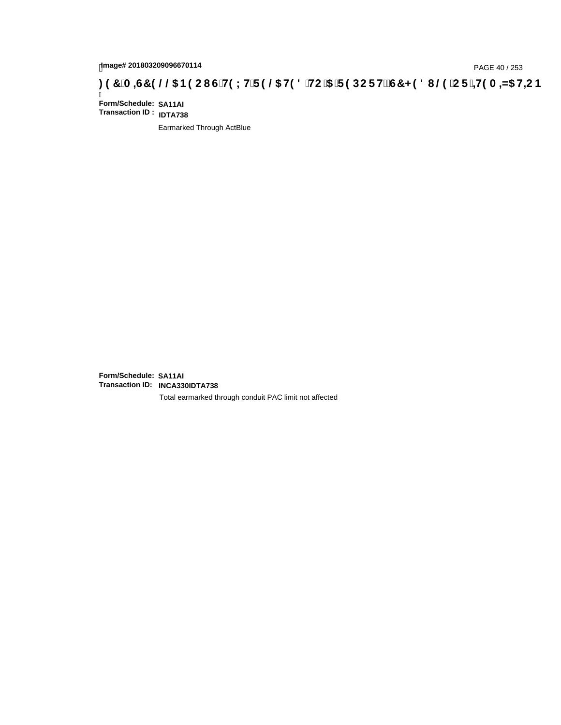# page# 201803209096670114<br>Denge# 201803209096670114<br>**(OD) CF :4H9 A =N5 H=C B (@D) B9 CI G`H9 LH`F 9 @D H9 8 `HC `5 `F 9 DC F H** $\breve{E}$ **G7 < 9 8 I @D `C F `<del>4 I</del>9 A =N5 H=C B**

Ī **Form/Schedule: SA11AI Transaction ID : IDTA738**

Earmarked Through ActBlue

**Form/Schedule: SA11AI Transaction ID: INCA330IDTA738**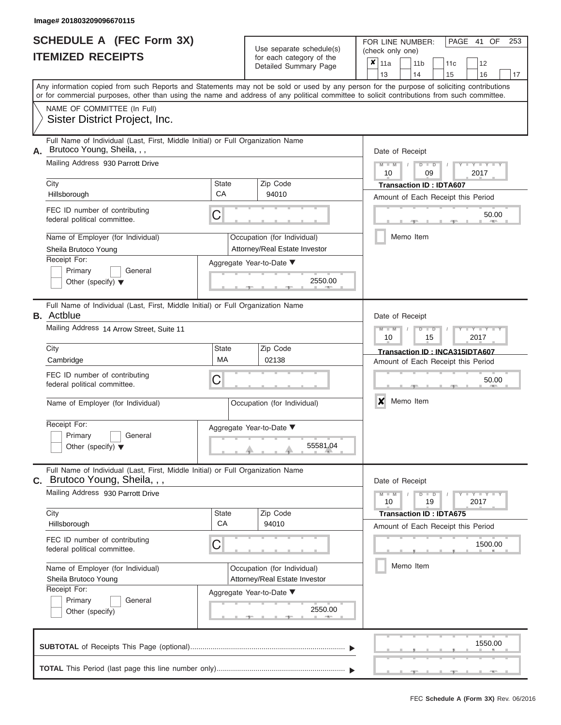|                          | <b>SCHEDULE A (FEC Form 3X)</b> |
|--------------------------|---------------------------------|
| <b>ITEMIZED RECEIPTS</b> |                                 |

FOR LINE NUMBER:<br>(check only one)

PAGE 41 OF 253

|    |                                                                                                                                                                                                                                                                                         |                             | ivi vavii valvyviy vi liiv<br>Detailed Summary Page | x                                                     | 11a             |                                    | 11 <sub>b</sub>                    | 11c                                             | 12 |         |    |  |  |  |  |  |  |
|----|-----------------------------------------------------------------------------------------------------------------------------------------------------------------------------------------------------------------------------------------------------------------------------------------|-----------------------------|-----------------------------------------------------|-------------------------------------------------------|-----------------|------------------------------------|------------------------------------|-------------------------------------------------|----|---------|----|--|--|--|--|--|--|
|    |                                                                                                                                                                                                                                                                                         |                             |                                                     |                                                       | 13              |                                    | 14                                 | 15                                              | 16 |         | 17 |  |  |  |  |  |  |
|    | Any information copied from such Reports and Statements may not be sold or used by any person for the purpose of soliciting contributions<br>or for commercial purposes, other than using the name and address of any political committee to solicit contributions from such committee. |                             |                                                     |                                                       |                 |                                    |                                    |                                                 |    |         |    |  |  |  |  |  |  |
|    | NAME OF COMMITTEE (In Full)                                                                                                                                                                                                                                                             |                             |                                                     |                                                       |                 |                                    |                                    |                                                 |    |         |    |  |  |  |  |  |  |
|    | Sister District Project, Inc.                                                                                                                                                                                                                                                           |                             |                                                     |                                                       |                 |                                    |                                    |                                                 |    |         |    |  |  |  |  |  |  |
|    |                                                                                                                                                                                                                                                                                         |                             |                                                     |                                                       |                 |                                    |                                    |                                                 |    |         |    |  |  |  |  |  |  |
| А. | Full Name of Individual (Last, First, Middle Initial) or Full Organization Name<br>Brutoco Young, Sheila, , ,                                                                                                                                                                           |                             |                                                     |                                                       | Date of Receipt |                                    |                                    |                                                 |    |         |    |  |  |  |  |  |  |
|    | Mailing Address 930 Parrott Drive                                                                                                                                                                                                                                                       |                             |                                                     |                                                       |                 |                                    |                                    |                                                 |    |         |    |  |  |  |  |  |  |
|    |                                                                                                                                                                                                                                                                                         |                             |                                                     | $M - M$<br>$D$ $D$<br>$Y - Y - I$<br>10<br>09<br>2017 |                 |                                    |                                    |                                                 |    |         |    |  |  |  |  |  |  |
|    | City                                                                                                                                                                                                                                                                                    | State                       | Zip Code                                            |                                                       |                 |                                    | <b>Transaction ID: IDTA607</b>     |                                                 |    |         |    |  |  |  |  |  |  |
|    | Hillsborough                                                                                                                                                                                                                                                                            | CA                          | 94010                                               | Amount of Each Receipt this Period                    |                 |                                    |                                    |                                                 |    |         |    |  |  |  |  |  |  |
|    | FEC ID number of contributing<br>federal political committee.                                                                                                                                                                                                                           | С                           |                                                     |                                                       |                 |                                    | 50.00<br><b>AND</b>                |                                                 |    |         |    |  |  |  |  |  |  |
|    | Name of Employer (for Individual)                                                                                                                                                                                                                                                       |                             | Occupation (for Individual)                         |                                                       |                 | Memo Item                          |                                    |                                                 |    |         |    |  |  |  |  |  |  |
|    | Sheila Brutoco Young                                                                                                                                                                                                                                                                    |                             | Attorney/Real Estate Investor                       |                                                       |                 |                                    |                                    |                                                 |    |         |    |  |  |  |  |  |  |
|    | Receipt For:                                                                                                                                                                                                                                                                            | Aggregate Year-to-Date ▼    |                                                     |                                                       |                 |                                    |                                    |                                                 |    |         |    |  |  |  |  |  |  |
|    | Primary<br>General                                                                                                                                                                                                                                                                      |                             |                                                     |                                                       |                 |                                    |                                    |                                                 |    |         |    |  |  |  |  |  |  |
|    | Other (specify) $\blacktriangledown$                                                                                                                                                                                                                                                    |                             | 2550.00                                             |                                                       |                 |                                    |                                    |                                                 |    |         |    |  |  |  |  |  |  |
|    | Full Name of Individual (Last, First, Middle Initial) or Full Organization Name<br><b>B.</b> Actblue                                                                                                                                                                                    |                             |                                                     | Date of Receipt                                       |                 |                                    |                                    |                                                 |    |         |    |  |  |  |  |  |  |
|    | Mailing Address 14 Arrow Street, Suite 11                                                                                                                                                                                                                                               |                             |                                                     |                                                       |                 |                                    |                                    | $M - M$<br>$D$ $D$<br>Y I Y<br>10<br>2017<br>15 |    |         |    |  |  |  |  |  |  |
|    |                                                                                                                                                                                                                                                                                         | Zip Code                    |                                                     |                                                       |                 |                                    |                                    |                                                 |    |         |    |  |  |  |  |  |  |
|    | City                                                                                                                                                                                                                                                                                    | State<br>MA                 |                                                     |                                                       |                 | Transaction ID: INCA315IDTA607     |                                    |                                                 |    |         |    |  |  |  |  |  |  |
|    | Cambridge                                                                                                                                                                                                                                                                               |                             |                                                     |                                                       |                 | Amount of Each Receipt this Period |                                    |                                                 |    |         |    |  |  |  |  |  |  |
|    | FEC ID number of contributing<br>federal political committee.                                                                                                                                                                                                                           | С                           |                                                     |                                                       |                 |                                    |                                    |                                                 |    | 50.00   |    |  |  |  |  |  |  |
|    | Name of Employer (for Individual)                                                                                                                                                                                                                                                       | Occupation (for Individual) |                                                     |                                                       |                 | X<br>Memo Item                     |                                    |                                                 |    |         |    |  |  |  |  |  |  |
|    | Receipt For:                                                                                                                                                                                                                                                                            |                             |                                                     |                                                       |                 |                                    |                                    |                                                 |    |         |    |  |  |  |  |  |  |
|    | Primary<br>General                                                                                                                                                                                                                                                                      | Aggregate Year-to-Date ▼    |                                                     |                                                       |                 |                                    |                                    |                                                 |    |         |    |  |  |  |  |  |  |
|    | Other (specify) $\blacktriangledown$                                                                                                                                                                                                                                                    |                             | 55581.04                                            |                                                       |                 |                                    |                                    |                                                 |    |         |    |  |  |  |  |  |  |
|    |                                                                                                                                                                                                                                                                                         |                             |                                                     |                                                       |                 |                                    |                                    |                                                 |    |         |    |  |  |  |  |  |  |
| С. | Full Name of Individual (Last, First, Middle Initial) or Full Organization Name<br>Brutoco Young, Sheila, , ,                                                                                                                                                                           |                             |                                                     |                                                       | Date of Receipt |                                    |                                    |                                                 |    |         |    |  |  |  |  |  |  |
|    | Mailing Address 930 Parrott Drive                                                                                                                                                                                                                                                       |                             |                                                     | $M - M$<br>Y - Y - Y - Y<br>$D$ $D$                   |                 |                                    |                                    |                                                 |    |         |    |  |  |  |  |  |  |
|    |                                                                                                                                                                                                                                                                                         |                             |                                                     | 10<br>19<br>2017                                      |                 |                                    |                                    |                                                 |    |         |    |  |  |  |  |  |  |
|    | City<br>Hillsborough                                                                                                                                                                                                                                                                    | State<br>CA                 | Zip Code<br>94010                                   |                                                       |                 |                                    | <b>Transaction ID: IDTA675</b>     |                                                 |    |         |    |  |  |  |  |  |  |
|    |                                                                                                                                                                                                                                                                                         |                             |                                                     |                                                       |                 |                                    | Amount of Each Receipt this Period |                                                 |    |         |    |  |  |  |  |  |  |
|    | FEC ID number of contributing<br>federal political committee.                                                                                                                                                                                                                           | С                           |                                                     |                                                       |                 |                                    |                                    |                                                 |    | 1500.00 |    |  |  |  |  |  |  |
|    | Name of Employer (for Individual)                                                                                                                                                                                                                                                       |                             | Occupation (for Individual)                         |                                                       |                 |                                    | Memo Item                          |                                                 |    |         |    |  |  |  |  |  |  |
|    | Sheila Brutoco Young                                                                                                                                                                                                                                                                    |                             | Attorney/Real Estate Investor                       |                                                       |                 |                                    |                                    |                                                 |    |         |    |  |  |  |  |  |  |
|    | Receipt For:                                                                                                                                                                                                                                                                            | Aggregate Year-to-Date ▼    |                                                     |                                                       |                 |                                    |                                    |                                                 |    |         |    |  |  |  |  |  |  |
|    | General<br>Primary<br>Other (specify)                                                                                                                                                                                                                                                   |                             | 2550.00                                             |                                                       |                 |                                    |                                    |                                                 |    |         |    |  |  |  |  |  |  |
|    |                                                                                                                                                                                                                                                                                         |                             | $-1$                                                |                                                       |                 |                                    |                                    |                                                 |    |         |    |  |  |  |  |  |  |
|    |                                                                                                                                                                                                                                                                                         |                             |                                                     |                                                       |                 |                                    |                                    |                                                 |    | 1550.00 |    |  |  |  |  |  |  |
|    |                                                                                                                                                                                                                                                                                         |                             |                                                     |                                                       |                 |                                    |                                    |                                                 |    |         |    |  |  |  |  |  |  |
|    |                                                                                                                                                                                                                                                                                         |                             |                                                     |                                                       |                 |                                    |                                    |                                                 |    |         |    |  |  |  |  |  |  |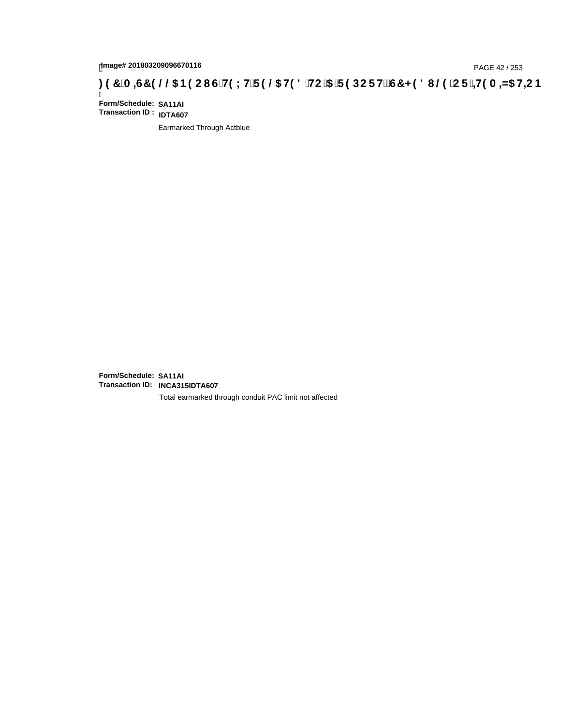# page# 201803209096670116<br>Denge# 201803209096670116<br>**(OD, CD, The Canadian City of HPIC HTP 9 @ H9 8 `HC `5 `F 9 DC F HZ G7 < 9 8 I @ `C F `<del>1 I</del>9 A =N5 H=C B .**

Ī **Form/Schedule: SA11AI Transaction ID : IDTA607**

Earmarked Through Actblue

**Form/Schedule: SA11AI Transaction ID: INCA315IDTA607**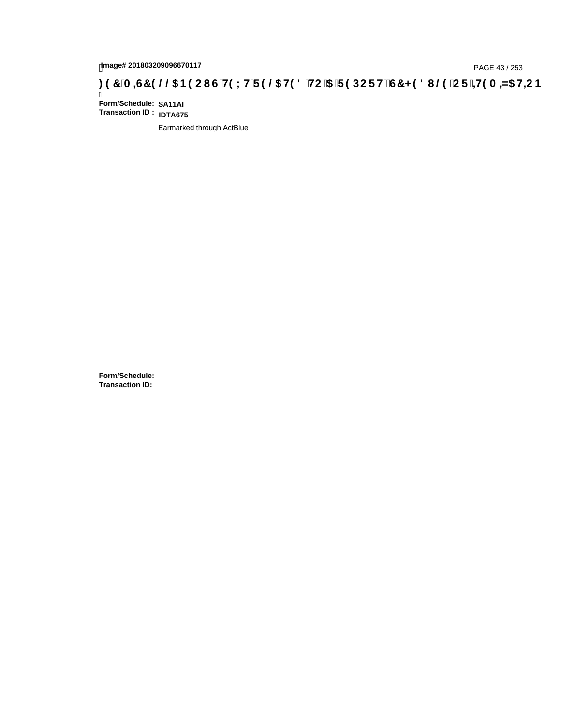# page# 201803209096670117<br>Denge# 201803209096670117<br>**( Of Tange 201803209096670117 / The CHOLHTF 9 @ H9 8 THC 15 TF 9 DC F H** $\breve{E}$ **G7 < 9 8 I @ 1C F 1<del>4 I</del>9 A = N5 H= CB**

Ī **Form/Schedule: SA11AI Transaction ID : IDTA675**

Earmarked through ActBlue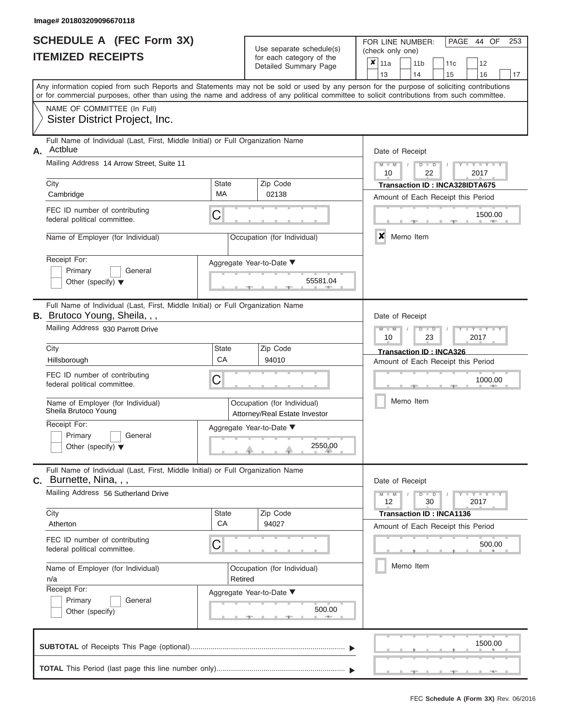|                          | <b>SCHEDULE A (FEC Form 3X)</b> |
|--------------------------|---------------------------------|
| <b>ITEMIZED RECEIPTS</b> |                                 |

FOR LINE NUMBER:

PAGE 44 OF 253

|    |                                                                                                                                                                                                                                                                                         |                    | Use separate schedule(s)                                     | (check only one)                                                                                 |  |  |  |  |  |  |  |  |
|----|-----------------------------------------------------------------------------------------------------------------------------------------------------------------------------------------------------------------------------------------------------------------------------------------|--------------------|--------------------------------------------------------------|--------------------------------------------------------------------------------------------------|--|--|--|--|--|--|--|--|
|    | <b>ITEMIZED RECEIPTS</b>                                                                                                                                                                                                                                                                |                    | for each category of the<br>Detailed Summary Page            | $\boldsymbol{\mathsf{x}}$  <br>11a<br>11 <sub>b</sub><br>12<br>11c<br>14<br>13<br>15<br>16<br>17 |  |  |  |  |  |  |  |  |
|    | Any information copied from such Reports and Statements may not be sold or used by any person for the purpose of soliciting contributions<br>or for commercial purposes, other than using the name and address of any political committee to solicit contributions from such committee. |                    |                                                              |                                                                                                  |  |  |  |  |  |  |  |  |
|    | NAME OF COMMITTEE (In Full)<br>Sister District Project, Inc.                                                                                                                                                                                                                            |                    |                                                              |                                                                                                  |  |  |  |  |  |  |  |  |
| А. | Full Name of Individual (Last, First, Middle Initial) or Full Organization Name<br>Actblue                                                                                                                                                                                              |                    |                                                              | Date of Receipt                                                                                  |  |  |  |  |  |  |  |  |
|    | Mailing Address 14 Arrow Street, Suite 11                                                                                                                                                                                                                                               |                    |                                                              | $M - M$<br>$D$ $\Box$ $D$<br>Y TYT<br>10<br>22<br>2017                                           |  |  |  |  |  |  |  |  |
|    | City<br>Cambridge                                                                                                                                                                                                                                                                       | <b>State</b><br>MA | Zip Code<br>02138                                            | Transaction ID: INCA328IDTA675<br>Amount of Each Receipt this Period                             |  |  |  |  |  |  |  |  |
|    | FEC ID number of contributing<br>federal political committee.                                                                                                                                                                                                                           | C                  |                                                              | 1500.00                                                                                          |  |  |  |  |  |  |  |  |
|    | Name of Employer (for Individual)                                                                                                                                                                                                                                                       |                    | Occupation (for Individual)                                  | X<br>Memo Item                                                                                   |  |  |  |  |  |  |  |  |
|    | Receipt For:<br>Primary<br>General<br>Other (specify) $\blacktriangledown$                                                                                                                                                                                                              |                    | Aggregate Year-to-Date ▼<br>55581.04                         |                                                                                                  |  |  |  |  |  |  |  |  |
|    | Full Name of Individual (Last, First, Middle Initial) or Full Organization Name<br><b>B.</b> Brutoco Young, Sheila, , ,                                                                                                                                                                 |                    |                                                              | Date of Receipt                                                                                  |  |  |  |  |  |  |  |  |
|    | Mailing Address 930 Parrott Drive                                                                                                                                                                                                                                                       |                    |                                                              | $M - M$<br>Y TYT<br>$D$ $D$<br>2017<br>10<br>23                                                  |  |  |  |  |  |  |  |  |
|    | City<br>Hillsborough                                                                                                                                                                                                                                                                    | <b>State</b><br>CA | Zip Code<br>94010                                            | Transaction ID: INCA326<br>Amount of Each Receipt this Period                                    |  |  |  |  |  |  |  |  |
|    | FEC ID number of contributing<br>federal political committee.                                                                                                                                                                                                                           | С                  |                                                              | 1000.00                                                                                          |  |  |  |  |  |  |  |  |
|    | Name of Employer (for Individual)<br>Sheila Brutoco Young                                                                                                                                                                                                                               |                    | Occupation (for Individual)<br>Attorney/Real Estate Investor | Memo Item                                                                                        |  |  |  |  |  |  |  |  |
|    | Receipt For:<br>Primary<br>General<br>Other (specify) $\blacktriangledown$                                                                                                                                                                                                              |                    | Aggregate Year-to-Date ▼<br>2550.00                          |                                                                                                  |  |  |  |  |  |  |  |  |
|    | Full Name of Individual (Last, First, Middle Initial) or Full Organization Name<br>$c.$ Burnette, Nina, , ,                                                                                                                                                                             |                    |                                                              | Date of Receipt                                                                                  |  |  |  |  |  |  |  |  |
|    | Mailing Address 56 Sutherland Drive                                                                                                                                                                                                                                                     |                    |                                                              | $M - M$<br>$D$ $\Box$ $D$<br>$Y - Y - Y - Y - Y$<br>12<br>30<br>2017                             |  |  |  |  |  |  |  |  |
|    | City<br>Atherton                                                                                                                                                                                                                                                                        | <b>State</b><br>CA | Zip Code<br>94027                                            | <b>Transaction ID: INCA1136</b><br>Amount of Each Receipt this Period                            |  |  |  |  |  |  |  |  |
|    | FEC ID number of contributing<br>federal political committee.                                                                                                                                                                                                                           | С                  |                                                              | 500.00                                                                                           |  |  |  |  |  |  |  |  |
|    | Name of Employer (for Individual)<br>n/a                                                                                                                                                                                                                                                | Retired            | Occupation (for Individual)                                  | Memo Item                                                                                        |  |  |  |  |  |  |  |  |
|    | Receipt For:<br>Primary<br>General<br>Other (specify)                                                                                                                                                                                                                                   |                    | Aggregate Year-to-Date ▼<br>500.00<br>$-$                    |                                                                                                  |  |  |  |  |  |  |  |  |
|    |                                                                                                                                                                                                                                                                                         |                    |                                                              | 1500.00                                                                                          |  |  |  |  |  |  |  |  |
|    |                                                                                                                                                                                                                                                                                         |                    |                                                              |                                                                                                  |  |  |  |  |  |  |  |  |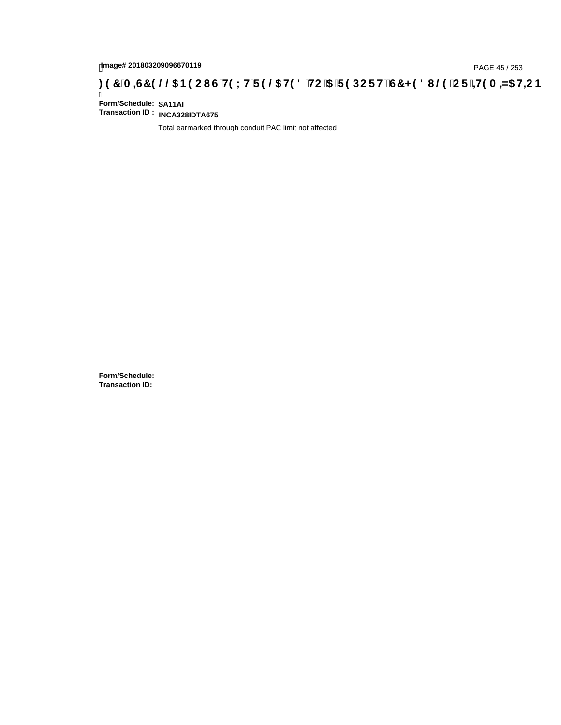# page# 201803209096670119<br>DAGE 45 / 253 PAGE 45 / 253<br>**DAGE 25 / TO GOOD US THE LIFE 9 @ H9 8 `HC `5 `F 9 DC F HŽ G7 < 9 8 I @ `C F `<del>J 1</del>9 A =N5 H=C B**

Ī **Form/Schedule: SA11AI Transaction ID : INCA328IDTA675**

Total earmarked through conduit PAC limit not affected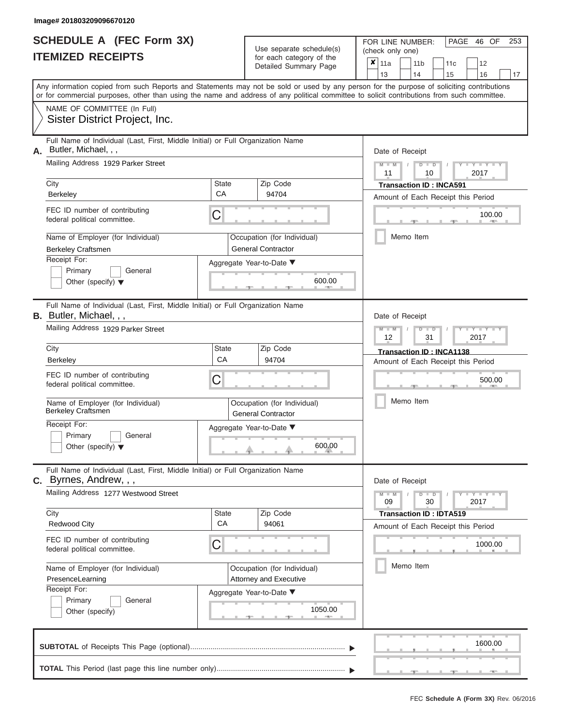|                          | <b>SCHEDULE A (FEC Form 3X)</b> |
|--------------------------|---------------------------------|
| <b>ITEMIZED RECEIPTS</b> |                                 |

| SCHEDULE A (FEC Form 3X)<br><b>ITEMIZED RECEIPTS</b>                                                                                                                                                                                                                                                                                                                                                |                         | Use separate schedule(s)<br>for each category of the<br>Detailed Summary Page                                       | 253<br>FOR LINE NUMBER:<br>PAGE 46 OF<br>(check only one)<br>$\overline{\mathbf{x}}$   11a<br>11 <sub>b</sub><br>11c<br>12                                                                      |
|-----------------------------------------------------------------------------------------------------------------------------------------------------------------------------------------------------------------------------------------------------------------------------------------------------------------------------------------------------------------------------------------------------|-------------------------|---------------------------------------------------------------------------------------------------------------------|-------------------------------------------------------------------------------------------------------------------------------------------------------------------------------------------------|
| Any information copied from such Reports and Statements may not be sold or used by any person for the purpose of soliciting contributions<br>or for commercial purposes, other than using the name and address of any political committee to solicit contributions from such committee.                                                                                                             |                         |                                                                                                                     | 13<br>14<br>15<br>16<br>17                                                                                                                                                                      |
| NAME OF COMMITTEE (In Full)<br>Sister District Project, Inc.                                                                                                                                                                                                                                                                                                                                        |                         |                                                                                                                     |                                                                                                                                                                                                 |
| Full Name of Individual (Last, First, Middle Initial) or Full Organization Name<br>Butler, Michael, , ,<br>А.<br>Mailing Address 1929 Parker Street<br>City<br><b>Berkeley</b><br>FEC ID number of contributing<br>federal political committee.<br>Name of Employer (for Individual)<br><b>Berkeley Craftsmen</b><br>Receipt For:<br>Primary<br>General<br>Other (specify) $\blacktriangledown$     | <b>State</b><br>CA<br>C | Zip Code<br>94704<br>Occupation (for Individual)<br><b>General Contractor</b><br>Aggregate Year-to-Date ▼<br>600.00 | Date of Receipt<br>$M - M$<br>$D$ $D$<br>Y TYT<br>$\sqrt{ }$<br>11<br>2017<br>10<br><b>Transaction ID: INCA591</b><br>Amount of Each Receipt this Period<br>100.00<br><b>AND I</b><br>Memo Item |
| Full Name of Individual (Last, First, Middle Initial) or Full Organization Name<br><b>B.</b> Butler, Michael, , ,<br>Mailing Address 1929 Parker Street<br>City<br><b>Berkeley</b><br>FEC ID number of contributing<br>federal political committee.<br>Name of Employer (for Individual)<br><b>Berkeley Craftsmen</b><br>Receipt For:<br>Primary<br>General<br>Other (specify) $\blacktriangledown$ | State<br>CA<br>С        | Zip Code<br>94704<br>Occupation (for Individual)<br><b>General Contractor</b><br>Aggregate Year-to-Date ▼<br>600.00 | Date of Receipt<br>$M - M$<br>$D$ $\Box$ $D$<br>Y TYT<br>12<br>31<br>2017<br>Transaction ID: INCA1138<br>Amount of Each Receipt this Period<br>500.00<br>Memo Item                              |
| Full Name of Individual (Last, First, Middle Initial) or Full Organization Name<br><b>C.</b> Byrnes, Andrew, , ,<br>Mailing Address 1277 Westwood Street<br>City<br><b>Redwood City</b><br>FEC ID number of contributing<br>federal political committee.<br>Name of Employer (for Individual)<br>PresenceLearning<br>Receipt For:<br>Primary<br>General<br>Other (specify)                          | <b>State</b><br>CA<br>С | Zip Code<br>94061<br>Occupation (for Individual)<br>Attorney and Executive<br>Aggregate Year-to-Date ▼<br>1050.00   | Date of Receipt<br>$M - M$<br>$D$ $D$<br>$T - Y = Y - T Y$<br>30<br>09<br>2017<br><b>Transaction ID: IDTA519</b><br>Amount of Each Receipt this Period<br>1000.00<br>Memo Item                  |
|                                                                                                                                                                                                                                                                                                                                                                                                     |                         |                                                                                                                     | 1600.00                                                                                                                                                                                         |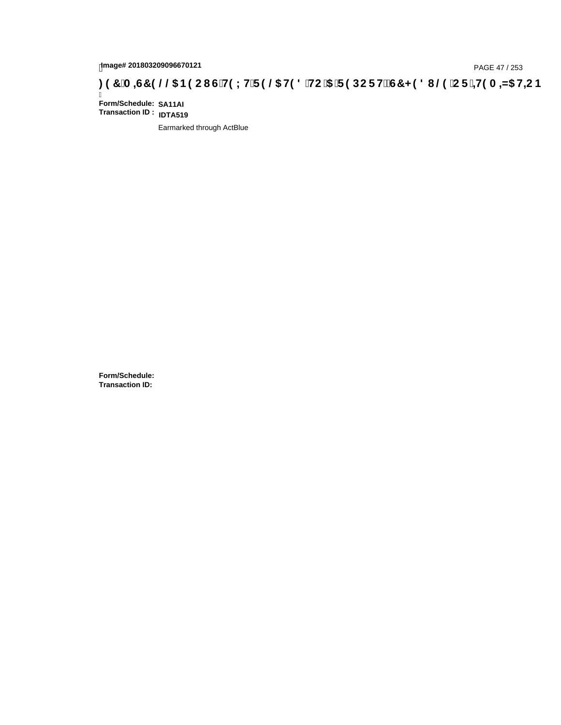# page# 201803209096670121<br>Denge# 201803209096670121<br>**(@CF`+H9 A =N5 H=CB) TA =G7 9 @@B9 CI G`H9 LH`F 9 @ H9 8 `HC `5 `F 9 DC F H** $\breve{E}$ **G7 < 9 8 I**

Ī **Form/Schedule: SA11AI Transaction ID : IDTA519**

Earmarked through ActBlue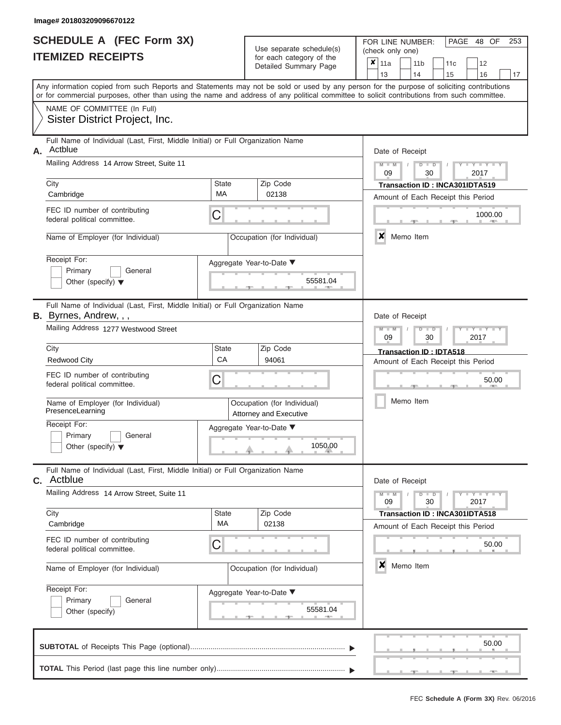ı

|                          | <b>SCHEDULE A (FEC Form 3X)</b> |
|--------------------------|---------------------------------|
| <b>ITEMIZED RECEIPTS</b> |                                 |

Use separate schedule(s) (check only one)<br>for each category of the  $\begin{array}{|c|c|c|c|c|}\n\hline\n\text{Initial Summary goes} & & \text{with } & \text{with } & \text{with } & \text{with } & \text{with } & \text{with } & \text{with } & \text{with } & \text{with } & \text{with } & \text{with } & \text{with } & \text{with } & \text{with } & \text{with } & \text{with } & \text{with } & \text{with } & \text{with } & \text{with } & \text$ 

FOR LINE NUMBER:

PAGE 48 OF 253

 $\overline{\phantom{0}}$ 

|    |                                                                                                                                                                                                                                                                                         |                    | Detailed Summary Page                                 | $\mathbf{x}$                                                    | 11a<br>13                                  |  | 11 <sub>b</sub><br>14 | 11c<br>15                                                                   | 12<br>16          |       |  |  |  |  |
|----|-----------------------------------------------------------------------------------------------------------------------------------------------------------------------------------------------------------------------------------------------------------------------------------------|--------------------|-------------------------------------------------------|-----------------------------------------------------------------|--------------------------------------------|--|-----------------------|-----------------------------------------------------------------------------|-------------------|-------|--|--|--|--|
|    | Any information copied from such Reports and Statements may not be sold or used by any person for the purpose of soliciting contributions<br>or for commercial purposes, other than using the name and address of any political committee to solicit contributions from such committee. |                    |                                                       |                                                                 |                                            |  |                       |                                                                             |                   | 17    |  |  |  |  |
|    | NAME OF COMMITTEE (In Full)<br>Sister District Project, Inc.                                                                                                                                                                                                                            |                    |                                                       |                                                                 |                                            |  |                       |                                                                             |                   |       |  |  |  |  |
| А. | Full Name of Individual (Last, First, Middle Initial) or Full Organization Name<br>Actblue                                                                                                                                                                                              |                    |                                                       |                                                                 | Date of Receipt                            |  |                       |                                                                             |                   |       |  |  |  |  |
|    | Mailing Address 14 Arrow Street, Suite 11                                                                                                                                                                                                                                               |                    |                                                       |                                                                 | $-Y$<br>$D$ $\Box$ $D$<br>09<br>30<br>2017 |  |                       |                                                                             |                   |       |  |  |  |  |
|    | City<br>Cambridge                                                                                                                                                                                                                                                                       | <b>State</b><br>MA | Zip Code<br>02138                                     | Transaction ID: INCA301IDTA519                                  |                                            |  |                       |                                                                             |                   |       |  |  |  |  |
|    | FEC ID number of contributing<br>federal political committee.                                                                                                                                                                                                                           | C                  |                                                       | Amount of Each Receipt this Period<br>1000.00<br><b>COLLEGE</b> |                                            |  |                       |                                                                             |                   |       |  |  |  |  |
|    | Name of Employer (for Individual)                                                                                                                                                                                                                                                       |                    | Occupation (for Individual)                           |                                                                 | X                                          |  | Memo Item             |                                                                             |                   |       |  |  |  |  |
|    | Receipt For:<br>Primary<br>General<br>Other (specify) $\blacktriangledown$                                                                                                                                                                                                              |                    | Aggregate Year-to-Date ▼<br>55581.04                  |                                                                 |                                            |  |                       |                                                                             |                   |       |  |  |  |  |
|    | Full Name of Individual (Last, First, Middle Initial) or Full Organization Name<br><b>B.</b> Byrnes, Andrew, , ,                                                                                                                                                                        |                    |                                                       | Date of Receipt                                                 |                                            |  |                       |                                                                             |                   |       |  |  |  |  |
|    | Mailing Address 1277 Westwood Street                                                                                                                                                                                                                                                    |                    |                                                       | $D - I$<br>Y TYT<br>$M - M$<br>09<br>30<br>2017                 |                                            |  |                       |                                                                             |                   |       |  |  |  |  |
|    | City<br><b>Redwood City</b>                                                                                                                                                                                                                                                             | State<br>CA        | Zip Code<br>94061                                     |                                                                 |                                            |  |                       | <b>Transaction ID: IDTA518</b><br>Amount of Each Receipt this Period        |                   |       |  |  |  |  |
|    | FEC ID number of contributing<br>federal political committee.                                                                                                                                                                                                                           | C                  |                                                       | 50.00                                                           |                                            |  |                       |                                                                             |                   |       |  |  |  |  |
|    | Name of Employer (for Individual)<br>PresenceLearning                                                                                                                                                                                                                                   |                    | Occupation (for Individual)<br>Attorney and Executive |                                                                 |                                            |  | Memo Item             |                                                                             |                   |       |  |  |  |  |
|    | Receipt For:<br>Primary<br>General<br>Other (specify) $\blacktriangledown$                                                                                                                                                                                                              |                    | Aggregate Year-to-Date ▼<br>1050.00                   |                                                                 |                                            |  |                       |                                                                             |                   |       |  |  |  |  |
| C. | Full Name of Individual (Last, First, Middle Initial) or Full Organization Name<br>Actblue                                                                                                                                                                                              |                    |                                                       |                                                                 | Date of Receipt                            |  |                       |                                                                             |                   |       |  |  |  |  |
|    | Mailing Address 14 Arrow Street, Suite 11                                                                                                                                                                                                                                               |                    |                                                       |                                                                 | $M -$<br>$\overline{\mathsf{M}}$<br>09     |  | $D$ $D$<br>30         |                                                                             | $Y = Y =$<br>2017 |       |  |  |  |  |
|    | City<br>Cambridge                                                                                                                                                                                                                                                                       | State<br>МA        | Zip Code<br>02138                                     |                                                                 |                                            |  |                       | <b>Transaction ID: INCA301IDTA518</b><br>Amount of Each Receipt this Period |                   |       |  |  |  |  |
|    | FEC ID number of contributing<br>federal political committee.                                                                                                                                                                                                                           | C                  |                                                       |                                                                 |                                            |  |                       |                                                                             |                   | 50.00 |  |  |  |  |
|    | Name of Employer (for Individual)                                                                                                                                                                                                                                                       |                    | Occupation (for Individual)                           | x<br>Memo Item                                                  |                                            |  |                       |                                                                             |                   |       |  |  |  |  |
|    | Receipt For:<br>Primary<br>General<br>Other (specify)                                                                                                                                                                                                                                   |                    | Aggregate Year-to-Date ▼<br>55581.04                  |                                                                 |                                            |  |                       |                                                                             |                   |       |  |  |  |  |
|    |                                                                                                                                                                                                                                                                                         |                    |                                                       |                                                                 |                                            |  |                       |                                                                             |                   | 50.00 |  |  |  |  |
|    |                                                                                                                                                                                                                                                                                         |                    |                                                       |                                                                 |                                            |  |                       |                                                                             |                   |       |  |  |  |  |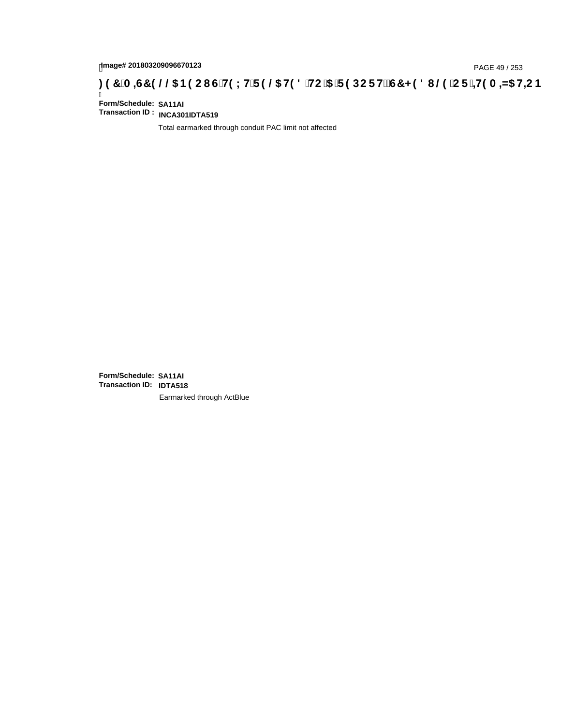# page# 201803209096670123<br>Denge# 201803209096670123<br>**(OD) CF :4H9 A =N5 H=C B (@D) B 9 C I G H9 L H F 9 @G H9 8 `HC `5 `F 9 DC F H** $\breve{E}$ **G7 < 9 8 I @D `C F `4H9 A =N5 H=C B**

Ī **Form/Schedule: SA11AI Transaction ID : INCA301IDTA519**

Total earmarked through conduit PAC limit not affected

**Form/Schedule: SA11AI Transaction ID: IDTA518**Earmarked through ActBlue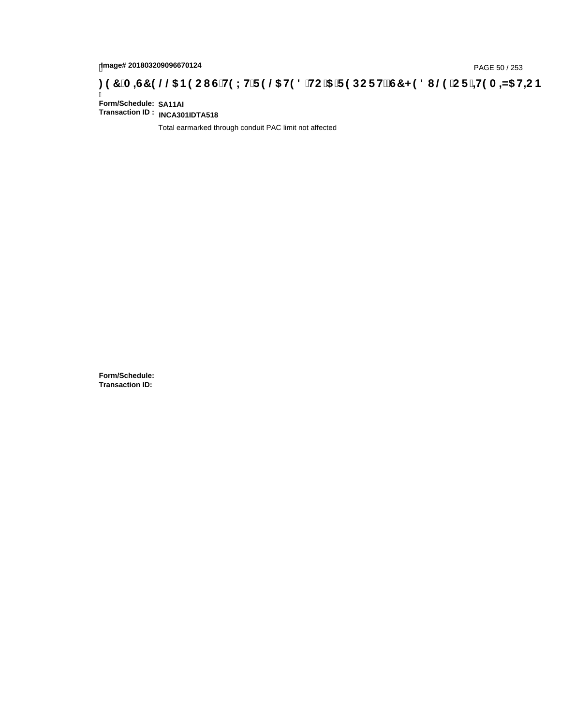# page# 201803209096670124<br>DAGE 50 / 253 PAGE 50 / 253<br>**DAGE 7 ORGE 50 / 253 CI G`H9 LH`F 9 @ H9 8 `HC `5 `F 9 DC F Hž G7 < 9 8 I @ `C F `<del>J I</del>9 A <del>A</del>5 H<del>C</del> B : 9 7 `A =67 9 @ & B9 C I G`H9 LH`F 9 @ H9 8 `HC `5 `F 9 DC F Hž**

Ī **Form/Schedule: SA11AI Transaction ID : INCA301IDTA518**

Total earmarked through conduit PAC limit not affected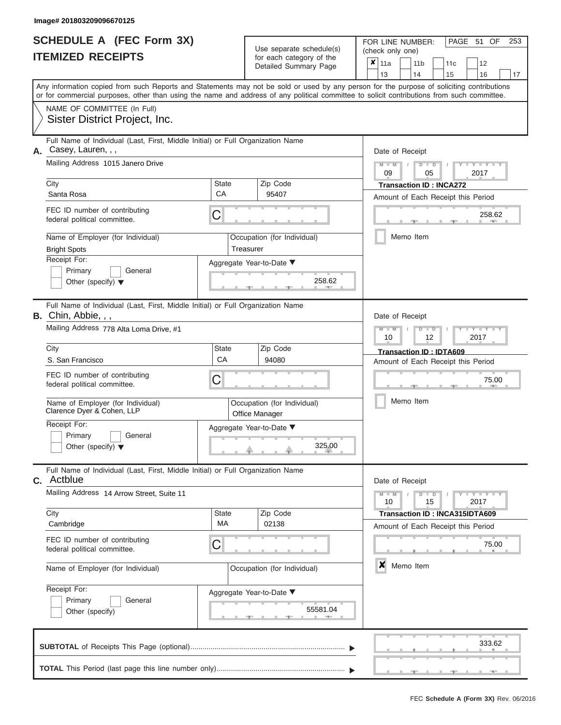|                          | <b>SCHEDULE A (FEC Form 3X)</b> |
|--------------------------|---------------------------------|
| <b>ITEMIZED RECEIPTS</b> |                                 |

FOR LINE NUMBER:<br>(check only one)

PAGE 51 OF 253

| IILMILLU INLVLII IV                                                                                                                       |                                                                                 |                                               |                             | iul caull calcyuly ul lillo<br>Detailed Summary Page                                                                                       | x                                  | 11a                                             |                | 11 <sub>b</sub> |               | 11c                                |  | 12                  |    |  |
|-------------------------------------------------------------------------------------------------------------------------------------------|---------------------------------------------------------------------------------|-----------------------------------------------|-----------------------------|--------------------------------------------------------------------------------------------------------------------------------------------|------------------------------------|-------------------------------------------------|----------------|-----------------|---------------|------------------------------------|--|---------------------|----|--|
| Any information copied from such Reports and Statements may not be sold or used by any person for the purpose of soliciting contributions |                                                                                 |                                               |                             |                                                                                                                                            |                                    | 13                                              |                | 14              |               | 15                                 |  | 16                  | 17 |  |
|                                                                                                                                           |                                                                                 |                                               |                             | or for commercial purposes, other than using the name and address of any political committee to solicit contributions from such committee. |                                    |                                                 |                |                 |               |                                    |  |                     |    |  |
| NAME OF COMMITTEE (In Full)                                                                                                               |                                                                                 |                                               |                             |                                                                                                                                            |                                    |                                                 |                |                 |               |                                    |  |                     |    |  |
| Sister District Project, Inc.                                                                                                             |                                                                                 |                                               |                             |                                                                                                                                            |                                    |                                                 |                |                 |               |                                    |  |                     |    |  |
| Casey, Lauren, , ,                                                                                                                        | Full Name of Individual (Last, First, Middle Initial) or Full Organization Name |                                               |                             |                                                                                                                                            | Date of Receipt                    |                                                 |                |                 |               |                                    |  |                     |    |  |
| Α.<br>Mailing Address 1015 Janero Drive                                                                                                   |                                                                                 |                                               |                             |                                                                                                                                            |                                    |                                                 |                |                 |               |                                    |  |                     |    |  |
|                                                                                                                                           |                                                                                 |                                               |                             |                                                                                                                                            |                                    | $M - M$<br>$D$ $D$<br>$- Y$<br>09<br>05<br>2017 |                |                 |               |                                    |  |                     |    |  |
| City                                                                                                                                      |                                                                                 | <b>State</b>                                  |                             | Zip Code                                                                                                                                   |                                    | <b>Transaction ID: INCA272</b>                  |                |                 |               |                                    |  |                     |    |  |
| Santa Rosa                                                                                                                                |                                                                                 | CA                                            |                             | 95407                                                                                                                                      |                                    |                                                 |                |                 |               | Amount of Each Receipt this Period |  |                     |    |  |
| FEC ID number of contributing<br>federal political committee.                                                                             |                                                                                 | C                                             |                             |                                                                                                                                            |                                    |                                                 |                |                 |               |                                    |  | 258.62              |    |  |
| Name of Employer (for Individual)<br><b>Bright Spots</b>                                                                                  |                                                                                 | Treasurer                                     |                             | Occupation (for Individual)                                                                                                                |                                    |                                                 | Memo Item      |                 |               |                                    |  |                     |    |  |
| Receipt For:                                                                                                                              |                                                                                 |                                               |                             | Aggregate Year-to-Date ▼                                                                                                                   |                                    |                                                 |                |                 |               |                                    |  |                     |    |  |
| Primary<br>Other (specify) $\blacktriangledown$                                                                                           | General                                                                         |                                               |                             | 258.62                                                                                                                                     |                                    |                                                 |                |                 |               |                                    |  |                     |    |  |
|                                                                                                                                           |                                                                                 |                                               |                             |                                                                                                                                            |                                    |                                                 |                |                 |               |                                    |  |                     |    |  |
| B. Chin, Abbie, , ,                                                                                                                       | Full Name of Individual (Last, First, Middle Initial) or Full Organization Name |                                               |                             |                                                                                                                                            |                                    | Date of Receipt                                 |                |                 |               |                                    |  |                     |    |  |
| Mailing Address 778 Alta Loma Drive, #1                                                                                                   |                                                                                 |                                               |                             |                                                                                                                                            |                                    | $M - M$<br>$D$ $D$<br>т<br>10<br>12<br>2017     |                |                 |               |                                    |  |                     |    |  |
| City                                                                                                                                      |                                                                                 | <b>State</b>                                  |                             | Zip Code                                                                                                                                   |                                    |                                                 |                |                 |               | <b>Transaction ID: IDTA609</b>     |  |                     |    |  |
| S. San Francisco                                                                                                                          |                                                                                 | CA                                            |                             | 94080                                                                                                                                      | Amount of Each Receipt this Period |                                                 |                |                 |               |                                    |  |                     |    |  |
| FEC ID number of contributing<br>federal political committee.                                                                             |                                                                                 | C                                             |                             |                                                                                                                                            |                                    |                                                 |                |                 |               |                                    |  | 75.00               |    |  |
| Name of Employer (for Individual)<br>Clarence Dyer & Cohen, LLP                                                                           |                                                                                 | Occupation (for Individual)<br>Office Manager |                             |                                                                                                                                            | Memo Item                          |                                                 |                |                 |               |                                    |  |                     |    |  |
| Receipt For:                                                                                                                              |                                                                                 | Aggregate Year-to-Date ▼                      |                             |                                                                                                                                            |                                    |                                                 |                |                 |               |                                    |  |                     |    |  |
| Primary<br>Other (specify) $\blacktriangledown$                                                                                           | General                                                                         |                                               | 325.00                      |                                                                                                                                            |                                    |                                                 |                |                 |               |                                    |  |                     |    |  |
| c. Actblue                                                                                                                                | Full Name of Individual (Last, First, Middle Initial) or Full Organization Name |                                               |                             |                                                                                                                                            |                                    | Date of Receipt                                 |                |                 |               |                                    |  |                     |    |  |
| Mailing Address 14 Arrow Street, Suite 11                                                                                                 |                                                                                 |                                               |                             |                                                                                                                                            |                                    | $M - M$<br>10                                   |                |                 | $D$ $D$<br>15 |                                    |  | $Y - Y - Y$<br>2017 |    |  |
| City                                                                                                                                      |                                                                                 | State                                         |                             | Zip Code                                                                                                                                   |                                    |                                                 |                |                 |               | Transaction ID: INCA315IDTA609     |  |                     |    |  |
| Cambridge                                                                                                                                 |                                                                                 | MA                                            |                             | 02138                                                                                                                                      |                                    |                                                 |                |                 |               | Amount of Each Receipt this Period |  |                     |    |  |
| FEC ID number of contributing<br>federal political committee.                                                                             |                                                                                 | C                                             |                             |                                                                                                                                            |                                    |                                                 |                |                 |               |                                    |  | 75.00               |    |  |
| Name of Employer (for Individual)                                                                                                         |                                                                                 |                                               | Occupation (for Individual) |                                                                                                                                            |                                    |                                                 | ×<br>Memo Item |                 |               |                                    |  |                     |    |  |
| Receipt For:<br>Aggregate Year-to-Date ▼                                                                                                  |                                                                                 |                                               |                             |                                                                                                                                            |                                    |                                                 |                |                 |               |                                    |  |                     |    |  |
| Primary                                                                                                                                   | 55581.04                                                                        |                                               |                             |                                                                                                                                            |                                    |                                                 |                |                 |               |                                    |  |                     |    |  |
| Other (specify)                                                                                                                           |                                                                                 |                                               |                             |                                                                                                                                            |                                    |                                                 |                |                 |               |                                    |  |                     |    |  |
|                                                                                                                                           |                                                                                 |                                               |                             |                                                                                                                                            |                                    |                                                 |                |                 |               |                                    |  | 333.62              |    |  |
|                                                                                                                                           |                                                                                 |                                               |                             |                                                                                                                                            |                                    |                                                 |                |                 |               |                                    |  |                     |    |  |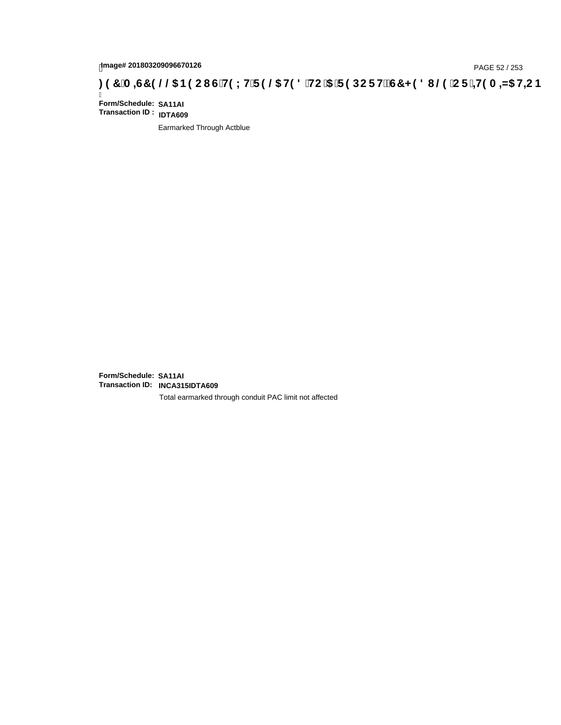# tmage# 201803209096670126<br>DAGE 52 / 253 PAGE 52 / 253<br>**DAGE 52 / A =G7 9 @@ B9 CI G`H9 LH`F 9 @ H9 8 `HC`5 `F 9 DC F Hž G7 < 9 8 I @ `C F `<del>I 1</del>9 A =N5 H=C B**

Ī **Form/Schedule: SA11AI Transaction ID : IDTA609**

Earmarked Through Actblue

**Form/Schedule: SA11AI Transaction ID: INCA315IDTA609**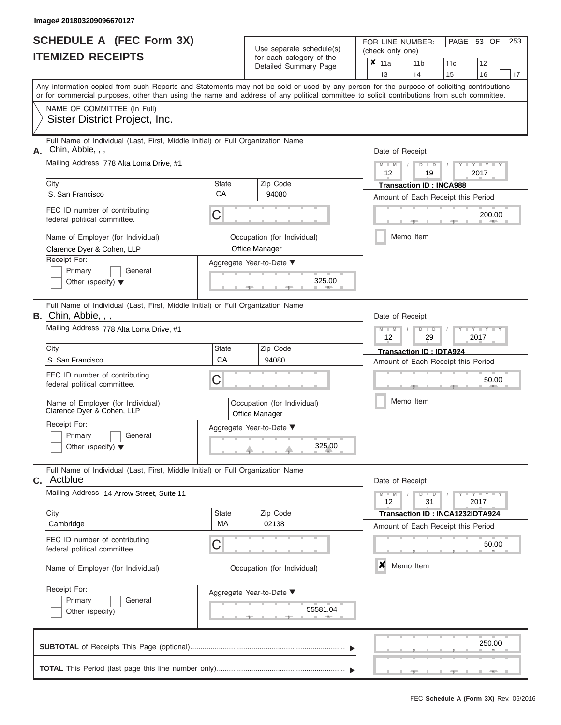|                          | <b>SCHEDULE A (FEC Form 3X)</b> |
|--------------------------|---------------------------------|
| <b>ITEMIZED RECEIPTS</b> |                                 |

| SCHEDULE A (FEC Form 3X)<br><b>ITEMIZED RECEIPTS</b>                                                          |              | Use separate schedule(s)<br>for each category of the | 253<br>FOR LINE NUMBER:<br>PAGE 53 OF<br>(check only one)<br>$\boldsymbol{x}$<br>11a<br>11 <sub>b</sub><br>12<br>11 <sub>c</sub>                                                                                                                                                        |
|---------------------------------------------------------------------------------------------------------------|--------------|------------------------------------------------------|-----------------------------------------------------------------------------------------------------------------------------------------------------------------------------------------------------------------------------------------------------------------------------------------|
|                                                                                                               |              | Detailed Summary Page                                | 13<br>14<br>15<br>16<br>17                                                                                                                                                                                                                                                              |
|                                                                                                               |              |                                                      | Any information copied from such Reports and Statements may not be sold or used by any person for the purpose of soliciting contributions<br>or for commercial purposes, other than using the name and address of any political committee to solicit contributions from such committee. |
| NAME OF COMMITTEE (In Full)<br>Sister District Project, Inc.                                                  |              |                                                      |                                                                                                                                                                                                                                                                                         |
| Full Name of Individual (Last, First, Middle Initial) or Full Organization Name<br>Chin, Abbie, , ,<br>Α.     |              |                                                      | Date of Receipt                                                                                                                                                                                                                                                                         |
| Mailing Address 778 Alta Loma Drive, #1<br>City                                                               | <b>State</b> | Zip Code                                             | $M = M$ /<br>Y TYT<br>$D$ $D$<br>12<br>19<br>2017                                                                                                                                                                                                                                       |
| S. San Francisco                                                                                              | CA           | 94080                                                | <b>Transaction ID: INCA988</b><br>Amount of Each Receipt this Period                                                                                                                                                                                                                    |
| FEC ID number of contributing<br>federal political committee.                                                 | C            |                                                      | 200.00<br><b>AND IN</b>                                                                                                                                                                                                                                                                 |
| Name of Employer (for Individual)<br>Clarence Dyer & Cohen, LLP                                               |              | Occupation (for Individual)<br>Office Manager        | Memo Item                                                                                                                                                                                                                                                                               |
| Receipt For:<br>Primary<br>General                                                                            |              | Aggregate Year-to-Date ▼                             |                                                                                                                                                                                                                                                                                         |
| Other (specify) $\blacktriangledown$                                                                          |              | 325.00<br><b>CONTRACTOR</b>                          |                                                                                                                                                                                                                                                                                         |
| Full Name of Individual (Last, First, Middle Initial) or Full Organization Name<br><b>B.</b> Chin, Abbie, , , |              |                                                      | Date of Receipt                                                                                                                                                                                                                                                                         |
| Mailing Address 778 Alta Loma Drive, #1                                                                       |              |                                                      | $M - M$<br>$D$ $\Box$ $D$<br>$T - Y = T - T$<br>12<br>2017<br>29                                                                                                                                                                                                                        |
| City<br>S. San Francisco                                                                                      | State<br>CA  | Zip Code<br>94080                                    | Transaction ID: IDTA924                                                                                                                                                                                                                                                                 |
| FEC ID number of contributing<br>federal political committee.                                                 | C            |                                                      | Amount of Each Receipt this Period<br>50.00                                                                                                                                                                                                                                             |
| Name of Employer (for Individual)<br>Clarence Dyer & Cohen, LLP                                               |              | Occupation (for Individual)<br>Office Manager        | Memo Item                                                                                                                                                                                                                                                                               |
| Receipt For:                                                                                                  |              | Aggregate Year-to-Date ▼                             |                                                                                                                                                                                                                                                                                         |
| Primary<br>General<br>Other (specify) $\blacktriangledown$                                                    |              | 325.00                                               |                                                                                                                                                                                                                                                                                         |
| Full Name of Individual (Last, First, Middle Initial) or Full Organization Name<br><b>C.</b> Actblue          |              |                                                      | Date of Receipt                                                                                                                                                                                                                                                                         |
| Mailing Address 14 Arrow Street, Suite 11                                                                     |              | Zip Code                                             | $M - M$<br>$T - Y = Y - T Y$<br>$D$ $D$<br>12<br>31<br>2017                                                                                                                                                                                                                             |
| City<br>Cambridge                                                                                             | State<br>MA  | 02138                                                | Transaction ID: INCA1232IDTA924<br>Amount of Each Receipt this Period                                                                                                                                                                                                                   |
| FEC ID number of contributing<br>federal political committee.                                                 | C            |                                                      | 50.00                                                                                                                                                                                                                                                                                   |
| Name of Employer (for Individual)                                                                             |              | Occupation (for Individual)                          | $\boldsymbol{x}$<br>Memo Item                                                                                                                                                                                                                                                           |
| Receipt For:<br>Primary<br>General<br>Other (specify)                                                         |              | Aggregate Year-to-Date ▼<br>55581.04                 |                                                                                                                                                                                                                                                                                         |
|                                                                                                               |              |                                                      | 250.00                                                                                                                                                                                                                                                                                  |
|                                                                                                               |              |                                                      |                                                                                                                                                                                                                                                                                         |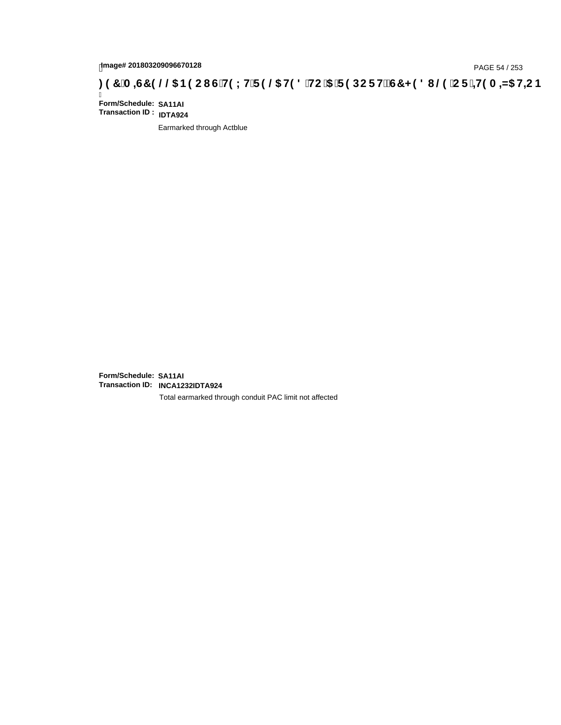# page# 201803209096670128<br>Denge# 201803209096670128<br>**(OD) CF :4+19 A =N5 H=C B (@G) B9 CI G`H9 LH`F 9 @6 H9 8 `HC `5 `F 9 DC F H** $\breve{E}$ **G7 < 9 8 I @9 `C F `4+19 A =N5 H=C B**

Ī **Form/Schedule: SA11AI Transaction ID : IDTA924**

Earmarked through Actblue

**Form/Schedule: SA11AI Transaction ID: INCA1232IDTA924**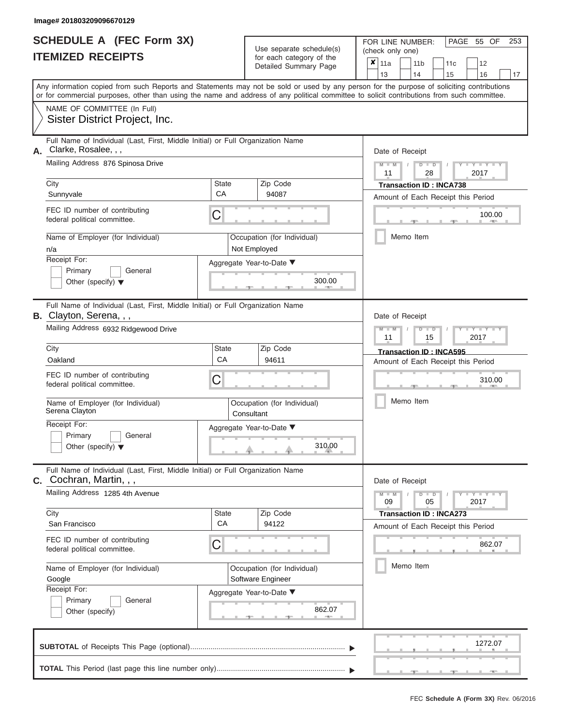|                          | <b>SCHEDULE A (FEC Form 3X)</b> |
|--------------------------|---------------------------------|
| <b>ITEMIZED RECEIPTS</b> |                                 |

FOR LINE NUMBER:<br>(check only one)

PAGE 55 OF 253

|                                                                    |                                                                                                                                            |             | badii batogory<br>Detailed Summary Page | ×               | 11a                        |                  | 11 <sub>b</sub>                      | 11c  | 12                                 |    |  |  |  |
|--------------------------------------------------------------------|--------------------------------------------------------------------------------------------------------------------------------------------|-------------|-----------------------------------------|-----------------|----------------------------|------------------|--------------------------------------|------|------------------------------------|----|--|--|--|
|                                                                    | Any information copied from such Reports and Statements may not be sold or used by any person for the purpose of soliciting contributions  |             |                                         |                 | 13                         |                  | 14                                   | 15   | 16                                 | 17 |  |  |  |
|                                                                    | or for commercial purposes, other than using the name and address of any political committee to solicit contributions from such committee. |             |                                         |                 |                            |                  |                                      |      |                                    |    |  |  |  |
|                                                                    | NAME OF COMMITTEE (In Full)                                                                                                                |             |                                         |                 |                            |                  |                                      |      |                                    |    |  |  |  |
|                                                                    | Sister District Project, Inc.                                                                                                              |             |                                         |                 |                            |                  |                                      |      |                                    |    |  |  |  |
|                                                                    | Full Name of Individual (Last, First, Middle Initial) or Full Organization Name                                                            |             |                                         |                 |                            |                  |                                      |      |                                    |    |  |  |  |
| А.                                                                 | Clarke, Rosalee, , ,<br>Mailing Address 876 Spinosa Drive                                                                                  |             |                                         | Date of Receipt |                            |                  |                                      |      |                                    |    |  |  |  |
|                                                                    |                                                                                                                                            |             |                                         |                 | $M - M$<br>11              |                  | $D$ $D$<br>28                        |      | $Y - Y - I$<br>2017                |    |  |  |  |
|                                                                    | City                                                                                                                                       | State<br>CA | Zip Code<br>94087                       |                 |                            |                  | <b>Transaction ID: INCA738</b>       |      |                                    |    |  |  |  |
|                                                                    | Sunnyvale                                                                                                                                  |             |                                         |                 |                            |                  |                                      |      | Amount of Each Receipt this Period |    |  |  |  |
| FEC ID number of contributing<br>C<br>federal political committee. |                                                                                                                                            |             |                                         |                 |                            |                  |                                      |      | 100.00                             |    |  |  |  |
|                                                                    | Name of Employer (for Individual)                                                                                                          |             | Occupation (for Individual)             |                 |                            |                  | Memo Item                            |      |                                    |    |  |  |  |
|                                                                    | n/a                                                                                                                                        |             | Not Employed                            |                 |                            |                  |                                      |      |                                    |    |  |  |  |
|                                                                    | Receipt For:                                                                                                                               |             | Aggregate Year-to-Date ▼                |                 |                            |                  |                                      |      |                                    |    |  |  |  |
|                                                                    | Primary<br>General<br>Other (specify) $\blacktriangledown$                                                                                 |             | 300.00                                  |                 |                            |                  |                                      |      |                                    |    |  |  |  |
|                                                                    |                                                                                                                                            |             |                                         |                 |                            |                  |                                      |      |                                    |    |  |  |  |
|                                                                    | Full Name of Individual (Last, First, Middle Initial) or Full Organization Name<br>B. Clayton, Serena, , ,                                 |             |                                         |                 |                            |                  |                                      |      |                                    |    |  |  |  |
|                                                                    | Mailing Address 6932 Ridgewood Drive                                                                                                       |             |                                         |                 | Date of Receipt<br>$M - M$ |                  | $D$ $D$                              |      | $Y - Y$                            |    |  |  |  |
|                                                                    |                                                                                                                                            |             |                                         |                 |                            | 11<br>2017<br>15 |                                      |      |                                    |    |  |  |  |
|                                                                    | City<br>Oakland                                                                                                                            | State<br>CA | Zip Code<br>94611                       |                 |                            |                  | Transaction ID: INCA595              |      |                                    |    |  |  |  |
|                                                                    | FEC ID number of contributing                                                                                                              |             |                                         |                 |                            |                  |                                      |      | Amount of Each Receipt this Period |    |  |  |  |
| С<br>federal political committee.                                  |                                                                                                                                            |             |                                         |                 | 310.00                     |                  |                                      |      |                                    |    |  |  |  |
|                                                                    | Name of Employer (for Individual)                                                                                                          |             | Occupation (for Individual)             |                 |                            |                  | Memo Item                            |      |                                    |    |  |  |  |
|                                                                    | Serena Clayton                                                                                                                             | Consultant  |                                         |                 |                            |                  |                                      |      |                                    |    |  |  |  |
|                                                                    | Receipt For:<br>Primary<br>General                                                                                                         |             | Aggregate Year-to-Date ▼                |                 |                            |                  |                                      |      |                                    |    |  |  |  |
|                                                                    | Other (specify) $\blacktriangledown$                                                                                                       |             | 310.00                                  |                 |                            |                  |                                      |      |                                    |    |  |  |  |
|                                                                    |                                                                                                                                            |             |                                         |                 |                            |                  |                                      |      |                                    |    |  |  |  |
|                                                                    | Full Name of Individual (Last, First, Middle Initial) or Full Organization Name<br>$c.$ Cochran, Martin, , ,                               |             |                                         |                 | Date of Receipt            |                  |                                      |      |                                    |    |  |  |  |
|                                                                    | Mailing Address 1285 4th Avenue                                                                                                            |             |                                         |                 | $M - M$                    |                  | $D$ $D$                              |      | $Y - Y - Y - Y - I - Y$            |    |  |  |  |
|                                                                    | City                                                                                                                                       | State       | Zip Code                                |                 | 09                         |                  | 05<br><b>Transaction ID: INCA273</b> |      | 2017                               |    |  |  |  |
|                                                                    | San Francisco                                                                                                                              | CA          | 94122                                   |                 |                            |                  |                                      |      | Amount of Each Receipt this Period |    |  |  |  |
|                                                                    | FEC ID number of contributing<br>C                                                                                                         |             |                                         |                 |                            |                  |                                      |      | 862.07                             |    |  |  |  |
|                                                                    | federal political committee.                                                                                                               |             |                                         |                 |                            |                  |                                      |      |                                    |    |  |  |  |
|                                                                    | Name of Employer (for Individual)                                                                                                          |             | Occupation (for Individual)             |                 | Memo Item                  |                  |                                      |      |                                    |    |  |  |  |
|                                                                    | Google<br>Receipt For:                                                                                                                     |             | Software Engineer                       |                 |                            |                  |                                      |      |                                    |    |  |  |  |
|                                                                    | Primary<br>General                                                                                                                         |             | Aggregate Year-to-Date ▼                |                 |                            |                  |                                      |      |                                    |    |  |  |  |
|                                                                    | 862.07<br>Other (specify)                                                                                                                  |             |                                         |                 |                            |                  |                                      |      |                                    |    |  |  |  |
|                                                                    |                                                                                                                                            |             |                                         |                 |                            |                  |                                      |      |                                    |    |  |  |  |
|                                                                    |                                                                                                                                            |             |                                         |                 |                            |                  |                                      |      | 1272.07                            |    |  |  |  |
|                                                                    |                                                                                                                                            |             |                                         |                 |                            |                  |                                      |      |                                    |    |  |  |  |
|                                                                    |                                                                                                                                            |             |                                         |                 |                            |                  |                                      | -90- | $-1$                               |    |  |  |  |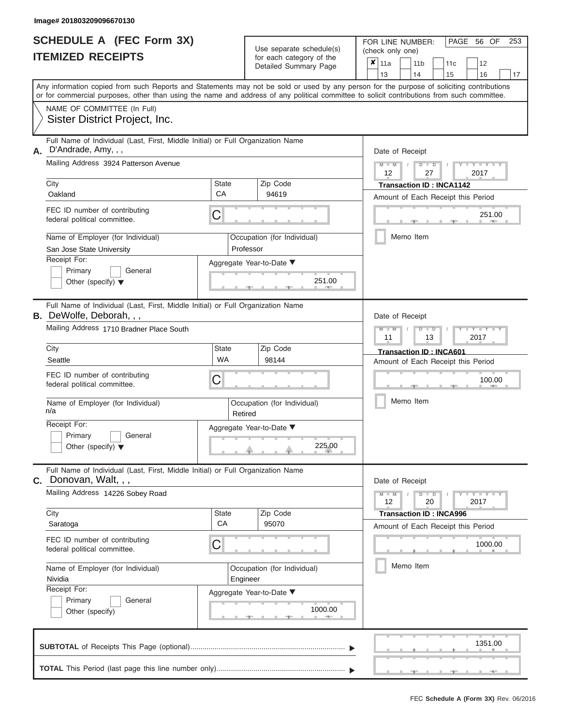|                          | <b>SCHEDULE A (FEC Form 3X)</b> |
|--------------------------|---------------------------------|
| <b>ITEMIZED RECEIPTS</b> |                                 |

FOR LINE NUMBER:<br>(check only one) Use separate schedule(s)<br>for each category of the

|                                                                                                                                                                                                                                                                                         |                          | ivi vavii valvyviy vi liiv<br>Detailed Summary Page | x                                                         | 11a             |  | 11 <sub>b</sub>                | 11c  | 12                                 |    |  |
|-----------------------------------------------------------------------------------------------------------------------------------------------------------------------------------------------------------------------------------------------------------------------------------------|--------------------------|-----------------------------------------------------|-----------------------------------------------------------|-----------------|--|--------------------------------|------|------------------------------------|----|--|
|                                                                                                                                                                                                                                                                                         |                          |                                                     |                                                           | 13              |  | 14                             | 15   | 16                                 | 17 |  |
| Any information copied from such Reports and Statements may not be sold or used by any person for the purpose of soliciting contributions<br>or for commercial purposes, other than using the name and address of any political committee to solicit contributions from such committee. |                          |                                                     |                                                           |                 |  |                                |      |                                    |    |  |
| NAME OF COMMITTEE (In Full)                                                                                                                                                                                                                                                             |                          |                                                     |                                                           |                 |  |                                |      |                                    |    |  |
| Sister District Project, Inc.                                                                                                                                                                                                                                                           |                          |                                                     |                                                           |                 |  |                                |      |                                    |    |  |
| Full Name of Individual (Last, First, Middle Initial) or Full Organization Name<br>D'Andrade, Amy, , ,<br>А.                                                                                                                                                                            |                          |                                                     | Date of Receipt                                           |                 |  |                                |      |                                    |    |  |
| Mailing Address 3924 Patterson Avenue                                                                                                                                                                                                                                                   |                          |                                                     | $M$ $M$ $N$<br>$D$ $D$<br>$Y - Y - I$<br>12<br>27<br>2017 |                 |  |                                |      |                                    |    |  |
| City                                                                                                                                                                                                                                                                                    | State                    | Zip Code                                            | <b>Transaction ID: INCA1142</b>                           |                 |  |                                |      |                                    |    |  |
| Oakland                                                                                                                                                                                                                                                                                 | CA                       | 94619                                               |                                                           |                 |  |                                |      | Amount of Each Receipt this Period |    |  |
| FEC ID number of contributing<br>federal political committee.                                                                                                                                                                                                                           | C                        |                                                     |                                                           |                 |  |                                | $-1$ | 251.00<br><b>AND I</b>             |    |  |
| Name of Employer (for Individual)<br>San Jose State University                                                                                                                                                                                                                          |                          | Occupation (for Individual)<br>Professor            |                                                           |                 |  | Memo Item                      |      |                                    |    |  |
| Receipt For:                                                                                                                                                                                                                                                                            |                          | Aggregate Year-to-Date ▼                            |                                                           |                 |  |                                |      |                                    |    |  |
| Primary<br>General<br>Other (specify) $\blacktriangledown$                                                                                                                                                                                                                              |                          | 251.00                                              |                                                           |                 |  |                                |      |                                    |    |  |
| Full Name of Individual (Last, First, Middle Initial) or Full Organization Name<br><b>B.</b> DeWolfe, Deborah, , ,                                                                                                                                                                      |                          |                                                     |                                                           | Date of Receipt |  |                                |      |                                    |    |  |
| Mailing Address 1710 Bradner Place South                                                                                                                                                                                                                                                |                          | $M - M$<br>$D$ $D$<br>Y Y<br>11<br>13<br>2017       |                                                           |                 |  |                                |      |                                    |    |  |
| City                                                                                                                                                                                                                                                                                    | State                    | Zip Code                                            |                                                           |                 |  | <b>Transaction ID: INCA601</b> |      |                                    |    |  |
| Seattle                                                                                                                                                                                                                                                                                 | <b>WA</b>                | 98144                                               |                                                           |                 |  |                                |      | Amount of Each Receipt this Period |    |  |
| FEC ID number of contributing<br>federal political committee.                                                                                                                                                                                                                           | С                        | 100.00                                              |                                                           |                 |  |                                |      |                                    |    |  |
| Name of Employer (for Individual)<br>n/a                                                                                                                                                                                                                                                | Retired                  | Occupation (for Individual)                         | Memo Item                                                 |                 |  |                                |      |                                    |    |  |
| Receipt For:                                                                                                                                                                                                                                                                            |                          | Aggregate Year-to-Date ▼                            |                                                           |                 |  |                                |      |                                    |    |  |
| Primary<br>General<br>Other (specify) $\blacktriangledown$                                                                                                                                                                                                                              |                          | 225.00                                              |                                                           |                 |  |                                |      |                                    |    |  |
| Full Name of Individual (Last, First, Middle Initial) or Full Organization Name<br>Donovan, Walt, , ,<br>С.                                                                                                                                                                             |                          |                                                     |                                                           | Date of Receipt |  |                                |      |                                    |    |  |
| Mailing Address 14226 Sobey Road                                                                                                                                                                                                                                                        |                          |                                                     |                                                           | $M - M$<br>12   |  | $D$ $D$<br>20                  |      | Y - Y - Y - Y<br>2017              |    |  |
| City                                                                                                                                                                                                                                                                                    | State<br>CA              | Zip Code                                            |                                                           |                 |  | <b>Transaction ID: INCA996</b> |      |                                    |    |  |
| Saratoga                                                                                                                                                                                                                                                                                |                          | 95070                                               |                                                           |                 |  |                                |      | Amount of Each Receipt this Period |    |  |
| FEC ID number of contributing<br>federal political committee.                                                                                                                                                                                                                           | С                        |                                                     |                                                           |                 |  |                                |      | 1000.00                            |    |  |
| Name of Employer (for Individual)<br>Nividia                                                                                                                                                                                                                                            |                          | Occupation (for Individual)<br>Engineer             |                                                           |                 |  | Memo Item                      |      |                                    |    |  |
| Receipt For:                                                                                                                                                                                                                                                                            | Aggregate Year-to-Date ▼ |                                                     |                                                           |                 |  |                                |      |                                    |    |  |
| Primary<br>General<br>Other (specify)                                                                                                                                                                                                                                                   |                          | 1000.00                                             |                                                           |                 |  |                                |      |                                    |    |  |
|                                                                                                                                                                                                                                                                                         |                          |                                                     |                                                           |                 |  |                                |      |                                    |    |  |
|                                                                                                                                                                                                                                                                                         |                          |                                                     |                                                           |                 |  |                                |      | 1351.00                            |    |  |
|                                                                                                                                                                                                                                                                                         |                          |                                                     |                                                           |                 |  |                                |      |                                    |    |  |

PAGE 56 OF 253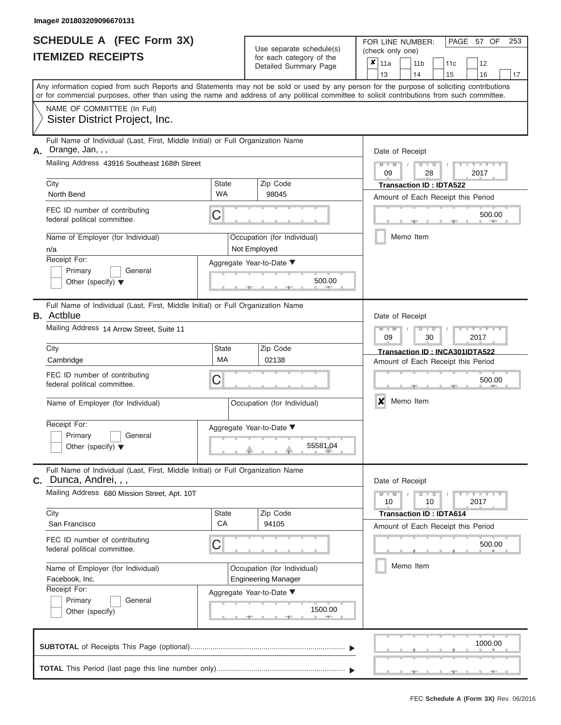|                          | <b>SCHEDULE A (FEC Form 3X)</b> |
|--------------------------|---------------------------------|
| <b>ITEMIZED RECEIPTS</b> |                                 |

Use separate schedule(s) (check only one) for each category of the  $\Box$ 

FOR LINE NUMBER:<br>(check only one)

PAGE 57 OF 253

| IIEMIZED RECEIPIS                                                  |                                                                                                       |                                                       | for each category of the<br>Detailed Summary Page         | $\pmb{\times}$<br>11a<br>11 <sub>b</sub><br>12<br>11c<br>13<br>14<br>15<br>16<br>17                                                                                                                                                                                                     |
|--------------------------------------------------------------------|-------------------------------------------------------------------------------------------------------|-------------------------------------------------------|-----------------------------------------------------------|-----------------------------------------------------------------------------------------------------------------------------------------------------------------------------------------------------------------------------------------------------------------------------------------|
|                                                                    |                                                                                                       |                                                       |                                                           | Any information copied from such Reports and Statements may not be sold or used by any person for the purpose of soliciting contributions<br>or for commercial purposes, other than using the name and address of any political committee to solicit contributions from such committee. |
|                                                                    | NAME OF COMMITTEE (In Full)<br>Sister District Project, Inc.                                          |                                                       |                                                           |                                                                                                                                                                                                                                                                                         |
| А.                                                                 | Full Name of Individual (Last, First, Middle Initial) or Full Organization Name<br>Drange, Jan, , ,   |                                                       |                                                           | Date of Receipt                                                                                                                                                                                                                                                                         |
| City                                                               | Mailing Address 43916 Southeast 168th Street                                                          | State                                                 | Zip Code                                                  | $T - Y = -Y$<br>D<br>$\blacksquare$<br>2017<br>09<br>28                                                                                                                                                                                                                                 |
| North Bend                                                         |                                                                                                       | <b>WA</b>                                             | 98045                                                     | <b>Transaction ID: IDTA522</b><br>Amount of Each Receipt this Period                                                                                                                                                                                                                    |
|                                                                    | FEC ID number of contributing<br>federal political committee.                                         | C                                                     |                                                           | 500.00                                                                                                                                                                                                                                                                                  |
| n/a                                                                | Name of Employer (for Individual)                                                                     | Occupation (for Individual)<br>Not Employed           | Memo Item                                                 |                                                                                                                                                                                                                                                                                         |
| Receipt For:                                                       | Primary<br>General<br>Other (specify) $\blacktriangledown$                                            |                                                       |                                                           |                                                                                                                                                                                                                                                                                         |
| <b>B.</b> Actblue                                                  | Full Name of Individual (Last, First, Middle Initial) or Full Organization Name                       |                                                       |                                                           | Date of Receipt                                                                                                                                                                                                                                                                         |
|                                                                    | Mailing Address 14 Arrow Street, Suite 11                                                             | M<br>Y TYT<br>$\blacksquare$<br>D<br>2017<br>09<br>30 |                                                           |                                                                                                                                                                                                                                                                                         |
| City<br>Cambridge                                                  |                                                                                                       | State<br>МA                                           | Zip Code<br>02138                                         | Transaction ID: INCA301IDTA522<br>Amount of Each Receipt this Period                                                                                                                                                                                                                    |
| FEC ID number of contributing<br>С<br>federal political committee. |                                                                                                       |                                                       |                                                           | 500.00                                                                                                                                                                                                                                                                                  |
|                                                                    | Name of Employer (for Individual)                                                                     |                                                       | Occupation (for Individual)                               | X<br>Memo Item                                                                                                                                                                                                                                                                          |
| Receipt For:                                                       | Primary<br>General<br>Other (specify) $\blacktriangledown$                                            |                                                       | Aggregate Year-to-Date ▼<br>55581.04                      |                                                                                                                                                                                                                                                                                         |
| C.                                                                 | Full Name of Individual (Last, First, Middle Initial) or Full Organization Name<br>Dunca, Andrei, , , |                                                       |                                                           | Date of Receipt                                                                                                                                                                                                                                                                         |
|                                                                    | Mailing Address 680 Mission Street, Apt. 10T                                                          |                                                       |                                                           | $M - M$<br>Y L Y L<br>$D$ $D$<br>2017<br>10<br>10                                                                                                                                                                                                                                       |
| City                                                               | San Francisco                                                                                         | State<br>CA                                           | Zip Code<br>94105                                         | <b>Transaction ID: IDTA614</b><br>Amount of Each Receipt this Period                                                                                                                                                                                                                    |
|                                                                    | FEC ID number of contributing<br>federal political committee.                                         | C                                                     |                                                           | 500.00                                                                                                                                                                                                                                                                                  |
|                                                                    | Name of Employer (for Individual)<br>Facebook, Inc.                                                   |                                                       | Occupation (for Individual)<br><b>Engineering Manager</b> | Memo Item                                                                                                                                                                                                                                                                               |
| Receipt For:                                                       | Primary<br>General<br>Other (specify)                                                                 |                                                       | Aggregate Year-to-Date ▼<br>1500.00                       |                                                                                                                                                                                                                                                                                         |
|                                                                    |                                                                                                       |                                                       |                                                           | 1000.00                                                                                                                                                                                                                                                                                 |
|                                                                    |                                                                                                       |                                                       |                                                           |                                                                                                                                                                                                                                                                                         |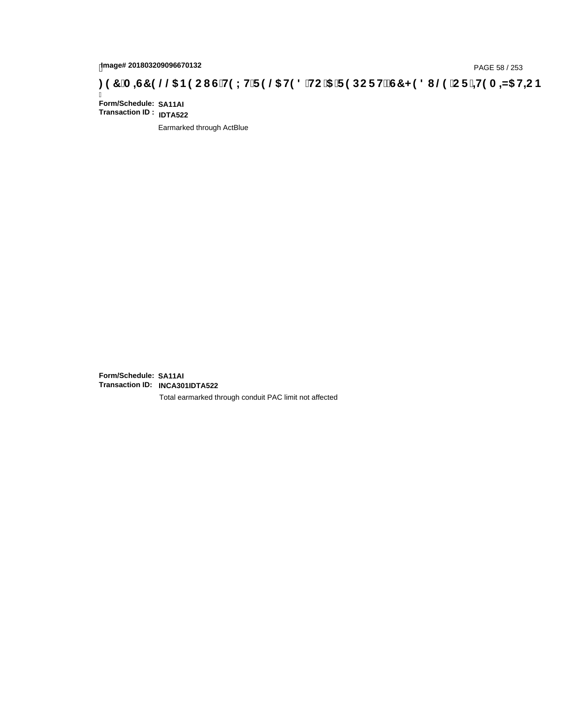# page# 201803209096670132<br>Denge# 201803209096670132<br>**(OD) CF :4H9 A =N5 H=C B (@D) B 9 C I G H9 L H F 9 @ H9 8 `HC `5 `F 9 DC F H** $\breve{E}$ **G7 < 9 8 I @ `C F `4H9 A =N5 H=C B**

Ī **Form/Schedule: SA11AI Transaction ID : IDTA522**

Earmarked through ActBlue

**Form/Schedule: SA11AI Transaction ID: INCA301IDTA522**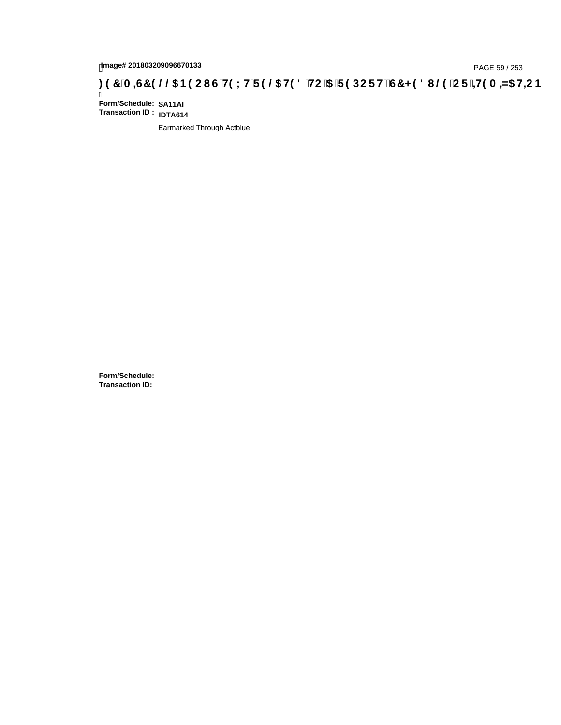# page# 201803209096670133<br>DAGE 59 / 253 DOC THOLH F 9 @ H9 8 HC '5 'F 9 DC F Hz G7 < 9 8 I @ 'C F '<del>1 I</del>9 A <del>A</del>ls H=C B : 97 'A =G7 9 @ & B9 C I G 'H9 LH F 9 @ H9 8 'HC '5 'F 9 DC F Hz G7 < 9 8 I

Ī **Form/Schedule: SA11AI Transaction ID : IDTA614**

Earmarked Through Actblue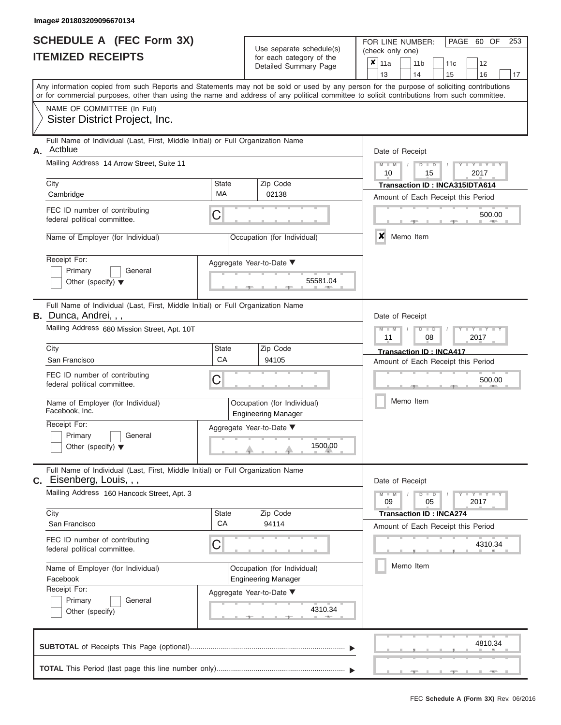|                          | <b>SCHEDULE A (FEC Form 3X)</b> |
|--------------------------|---------------------------------|
| <b>ITEMIZED RECEIPTS</b> |                                 |

FOR LINE NUMBER:

PAGE 60 OF 253

|                          |                                                                                                             |                           | Use separate schedule(s)                                  | (check only one)                                                                                                                                                                                                                                                                        |  |  |  |  |  |  |
|--------------------------|-------------------------------------------------------------------------------------------------------------|---------------------------|-----------------------------------------------------------|-----------------------------------------------------------------------------------------------------------------------------------------------------------------------------------------------------------------------------------------------------------------------------------------|--|--|--|--|--|--|
| <b>ITEMIZED RECEIPTS</b> |                                                                                                             |                           | for each category of the<br>Detailed Summary Page         | $\boldsymbol{x}$<br>11a<br>12<br>11 <sub>b</sub><br>11c<br>13<br>14<br>15<br>16<br>17                                                                                                                                                                                                   |  |  |  |  |  |  |
|                          |                                                                                                             |                           |                                                           | Any information copied from such Reports and Statements may not be sold or used by any person for the purpose of soliciting contributions<br>or for commercial purposes, other than using the name and address of any political committee to solicit contributions from such committee. |  |  |  |  |  |  |
|                          | NAME OF COMMITTEE (In Full)<br>Sister District Project, Inc.                                                |                           |                                                           |                                                                                                                                                                                                                                                                                         |  |  |  |  |  |  |
| А.                       | Full Name of Individual (Last, First, Middle Initial) or Full Organization Name<br>Actblue                  |                           |                                                           | Date of Receipt                                                                                                                                                                                                                                                                         |  |  |  |  |  |  |
|                          | Mailing Address 14 Arrow Street, Suite 11                                                                   |                           |                                                           | $M - M$<br>Y I Y I<br>$D$ $D$<br>10<br>2017<br>15                                                                                                                                                                                                                                       |  |  |  |  |  |  |
|                          | City<br>Cambridge                                                                                           | State<br>MA               | Zip Code<br>02138                                         | Transaction ID: INCA315IDTA614<br>Amount of Each Receipt this Period                                                                                                                                                                                                                    |  |  |  |  |  |  |
|                          | FEC ID number of contributing<br>federal political committee.                                               | C                         |                                                           | 500.00                                                                                                                                                                                                                                                                                  |  |  |  |  |  |  |
|                          | Name of Employer (for Individual)                                                                           |                           | Occupation (for Individual)                               | x<br>Memo Item                                                                                                                                                                                                                                                                          |  |  |  |  |  |  |
|                          | Receipt For:<br>Primary<br>General<br>Other (specify) $\blacktriangledown$                                  |                           | Aggregate Year-to-Date ▼<br>55581.04                      |                                                                                                                                                                                                                                                                                         |  |  |  |  |  |  |
| В.                       | Full Name of Individual (Last, First, Middle Initial) or Full Organization Name<br>Dunca, Andrei, , ,       |                           |                                                           | Date of Receipt                                                                                                                                                                                                                                                                         |  |  |  |  |  |  |
|                          | Mailing Address 680 Mission Street, Apt. 10T                                                                |                           |                                                           | $T - Y = T - T$<br>$\overline{\mathsf{M}}$<br>$D$ $D$<br>2017<br>11<br>08                                                                                                                                                                                                               |  |  |  |  |  |  |
|                          | City<br>San Francisco                                                                                       | State<br>СA               | Zip Code<br>94105                                         | <b>Transaction ID: INCA417</b><br>Amount of Each Receipt this Period                                                                                                                                                                                                                    |  |  |  |  |  |  |
|                          | FEC ID number of contributing<br>federal political committee.                                               | C                         |                                                           | 500.00                                                                                                                                                                                                                                                                                  |  |  |  |  |  |  |
|                          | Name of Employer (for Individual)<br>Facebook, Inc.                                                         |                           | Occupation (for Individual)<br><b>Engineering Manager</b> | Memo Item                                                                                                                                                                                                                                                                               |  |  |  |  |  |  |
|                          | Receipt For:<br>Primary<br>General<br>Other (specify) $\blacktriangledown$                                  |                           | Aggregate Year-to-Date ▼<br>1500.00                       |                                                                                                                                                                                                                                                                                         |  |  |  |  |  |  |
|                          | Full Name of Individual (Last, First, Middle Initial) or Full Organization Name<br>C. Eisenberg, Louis, , , |                           |                                                           | Date of Receipt                                                                                                                                                                                                                                                                         |  |  |  |  |  |  |
|                          | Mailing Address 160 Hancock Street, Apt. 3                                                                  |                           |                                                           | $Y = Y = Y + Y$<br>$M - M$<br>$D$ $\Box$ $D$<br>05<br>09<br>2017                                                                                                                                                                                                                        |  |  |  |  |  |  |
|                          | City<br>San Francisco                                                                                       | <b>State</b><br><b>CA</b> | Zip Code<br>94114                                         | <b>Transaction ID: INCA274</b><br>Amount of Each Receipt this Period                                                                                                                                                                                                                    |  |  |  |  |  |  |
|                          | FEC ID number of contributing<br>federal political committee.                                               | C                         |                                                           | 4310.34                                                                                                                                                                                                                                                                                 |  |  |  |  |  |  |
|                          | Name of Employer (for Individual)<br>Facebook                                                               |                           | Occupation (for Individual)<br><b>Engineering Manager</b> | Memo Item                                                                                                                                                                                                                                                                               |  |  |  |  |  |  |
|                          | Receipt For:<br>General<br>Primary<br>Other (specify)                                                       |                           | Aggregate Year-to-Date ▼<br>4310.34<br><b>AND</b>         |                                                                                                                                                                                                                                                                                         |  |  |  |  |  |  |
|                          |                                                                                                             |                           |                                                           | 4810.34                                                                                                                                                                                                                                                                                 |  |  |  |  |  |  |
|                          |                                                                                                             |                           |                                                           |                                                                                                                                                                                                                                                                                         |  |  |  |  |  |  |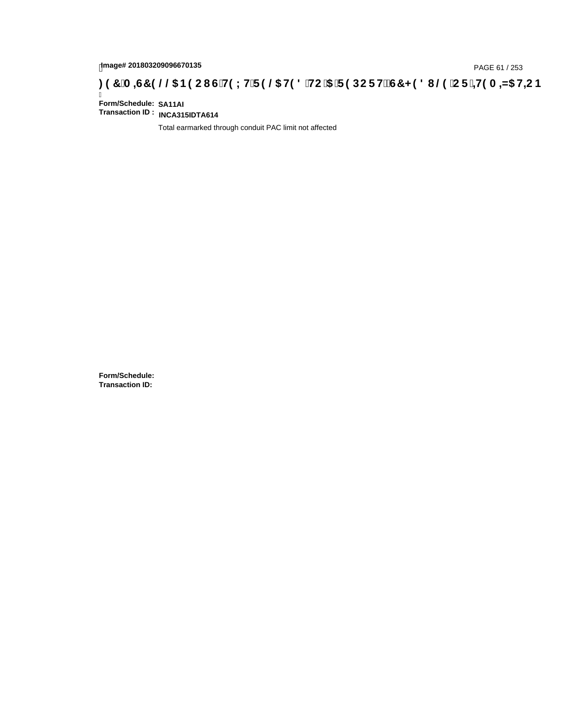# page# 201803209096670135<br>DAGE 61 / 253 PAGE 61 / 253<br>**DAGE 7 JA =G7 9 @@ B9 CI G`H9 LH`F 9 @ H9 8 `HC `5 `F 9 DC F Hž G7 < 9 8 I @ `C F `<del>I 1</del>9 A =N5 H=C B**

Ī **Form/Schedule: SA11AI Transaction ID : INCA315IDTA614**

Total earmarked through conduit PAC limit not affected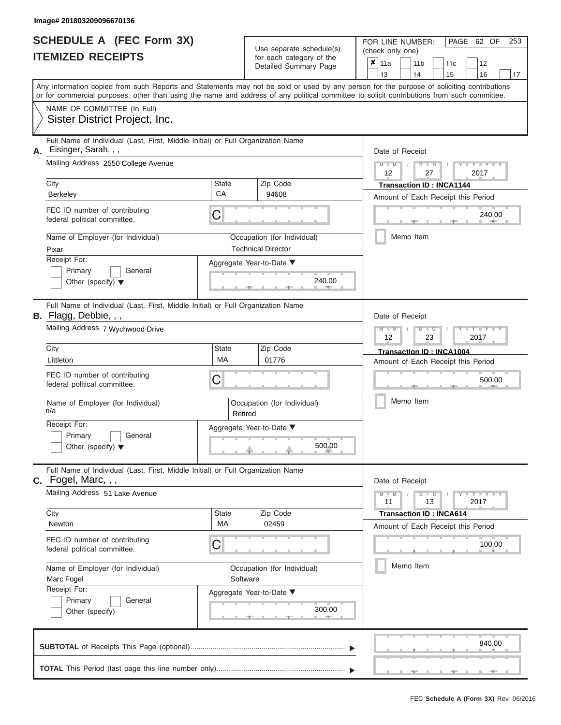|                          | <b>SCHEDULE A (FEC Form 3X)</b> |
|--------------------------|---------------------------------|
| <b>ITEMIZED RECEIPTS</b> |                                 |

FOR LINE NUMBER:<br>(check only one)

PAGE 62 OF 253

|                                                                            |                                                                                                                                                                                                                                                                                         |                    |          | badii balogory of lin<br>Detailed Summary Page           |                 | ×                                            | 11a<br>13                          |           | 11 <sub>b</sub><br>14 |                      | 11 <sub>c</sub><br>15           |  | 12<br>16              |    |  |
|----------------------------------------------------------------------------|-----------------------------------------------------------------------------------------------------------------------------------------------------------------------------------------------------------------------------------------------------------------------------------------|--------------------|----------|----------------------------------------------------------|-----------------|----------------------------------------------|------------------------------------|-----------|-----------------------|----------------------|---------------------------------|--|-----------------------|----|--|
|                                                                            | Any information copied from such Reports and Statements may not be sold or used by any person for the purpose of soliciting contributions<br>or for commercial purposes, other than using the name and address of any political committee to solicit contributions from such committee. |                    |          |                                                          |                 |                                              |                                    |           |                       |                      |                                 |  |                       | 17 |  |
|                                                                            | NAME OF COMMITTEE (In Full)<br>Sister District Project, Inc.                                                                                                                                                                                                                            |                    |          |                                                          |                 |                                              |                                    |           |                       |                      |                                 |  |                       |    |  |
| А.                                                                         | Full Name of Individual (Last, First, Middle Initial) or Full Organization Name<br>Eisinger, Sarah, , ,<br>Mailing Address 2550 College Avenue                                                                                                                                          |                    |          |                                                          | Date of Receipt |                                              |                                    |           |                       |                      |                                 |  |                       |    |  |
|                                                                            |                                                                                                                                                                                                                                                                                         |                    |          |                                                          |                 | $M - M$<br>$D$ $D$<br>12<br>2017<br>27       |                                    |           |                       |                      |                                 |  |                       |    |  |
|                                                                            | City<br>Berkeley                                                                                                                                                                                                                                                                        | <b>State</b><br>CA |          | Zip Code<br>94608                                        |                 |                                              | Amount of Each Receipt this Period |           |                       |                      | <b>Transaction ID: INCA1144</b> |  |                       |    |  |
|                                                                            | FEC ID number of contributing<br>federal political committee.                                                                                                                                                                                                                           | C                  |          |                                                          |                 |                                              |                                    |           |                       |                      |                                 |  | 240.00                |    |  |
|                                                                            | Name of Employer (for Individual)<br>Pixar                                                                                                                                                                                                                                              |                    |          | Occupation (for Individual)<br><b>Technical Director</b> |                 |                                              |                                    | Memo Item |                       |                      |                                 |  |                       |    |  |
| Receipt For:<br>Primary<br>General<br>Other (specify) $\blacktriangledown$ |                                                                                                                                                                                                                                                                                         |                    |          | Aggregate Year-to-Date ▼<br>240.00                       |                 |                                              |                                    |           |                       |                      |                                 |  |                       |    |  |
|                                                                            | Full Name of Individual (Last, First, Middle Initial) or Full Organization Name<br><b>B.</b> Flagg, Debbie, , ,                                                                                                                                                                         |                    |          |                                                          |                 |                                              | Date of Receipt<br>$M - M$         |           |                       |                      |                                 |  |                       |    |  |
|                                                                            | Mailing Address 7 Wychwood Drive                                                                                                                                                                                                                                                        |                    |          |                                                          |                 |                                              |                                    |           |                       | $D$ $\Box$ $D$<br>23 |                                 |  | Y TY<br>2017          |    |  |
|                                                                            | City<br>Littleton                                                                                                                                                                                                                                                                       | <b>State</b><br>MA |          | Zip Code<br>01776                                        |                 |                                              | Amount of Each Receipt this Period |           |                       |                      | Transaction ID: INCA1004        |  |                       |    |  |
|                                                                            | FEC ID number of contributing<br>C<br>federal political committee.                                                                                                                                                                                                                      |                    |          |                                                          |                 |                                              |                                    |           |                       |                      | 500.00                          |  |                       |    |  |
|                                                                            | Name of Employer (for Individual)<br>n/a                                                                                                                                                                                                                                                | Retired            |          | Occupation (for Individual)                              | Memo Item       |                                              |                                    |           |                       |                      |                                 |  |                       |    |  |
|                                                                            | Receipt For:<br>Primary<br>General<br>Other (specify) $\blacktriangledown$                                                                                                                                                                                                              |                    |          | Aggregate Year-to-Date ▼<br>500.00                       |                 |                                              |                                    |           |                       |                      |                                 |  |                       |    |  |
|                                                                            | Full Name of Individual (Last, First, Middle Initial) or Full Organization Name<br>C. Fogel, Marc, , ,                                                                                                                                                                                  |                    |          |                                                          |                 |                                              | Date of Receipt                    |           |                       |                      |                                 |  |                       |    |  |
|                                                                            | Mailing Address 51 Lake Avenue                                                                                                                                                                                                                                                          |                    |          |                                                          |                 |                                              | $M - M$<br>11                      |           |                       | $D$ $D$<br>13        |                                 |  | Y - Y - Y - Y<br>2017 |    |  |
|                                                                            | City<br>Newton                                                                                                                                                                                                                                                                          | <b>State</b><br>МA |          | Zip Code<br>02459                                        |                 |                                              |                                    |           |                       |                      | <b>Transaction ID: INCA614</b>  |  |                       |    |  |
|                                                                            | FEC ID number of contributing<br>C<br>federal political committee.<br>Name of Employer (for Individual)<br>Marc Fogel<br>Receipt For:                                                                                                                                                   |                    |          |                                                          |                 | Amount of Each Receipt this Period<br>100.00 |                                    |           |                       |                      |                                 |  |                       |    |  |
|                                                                            |                                                                                                                                                                                                                                                                                         |                    | Software | Occupation (for Individual)                              |                 | Memo Item                                    |                                    |           |                       |                      |                                 |  |                       |    |  |
|                                                                            | Primary<br>General<br>Other (specify)                                                                                                                                                                                                                                                   |                    |          | Aggregate Year-to-Date ▼<br>300.00                       |                 |                                              |                                    |           |                       |                      |                                 |  |                       |    |  |
|                                                                            |                                                                                                                                                                                                                                                                                         |                    |          |                                                          |                 |                                              |                                    |           |                       |                      |                                 |  | 840.00                |    |  |
|                                                                            |                                                                                                                                                                                                                                                                                         |                    |          |                                                          |                 |                                              |                                    |           |                       |                      |                                 |  |                       |    |  |

 ▲ ▲ ▲ , , .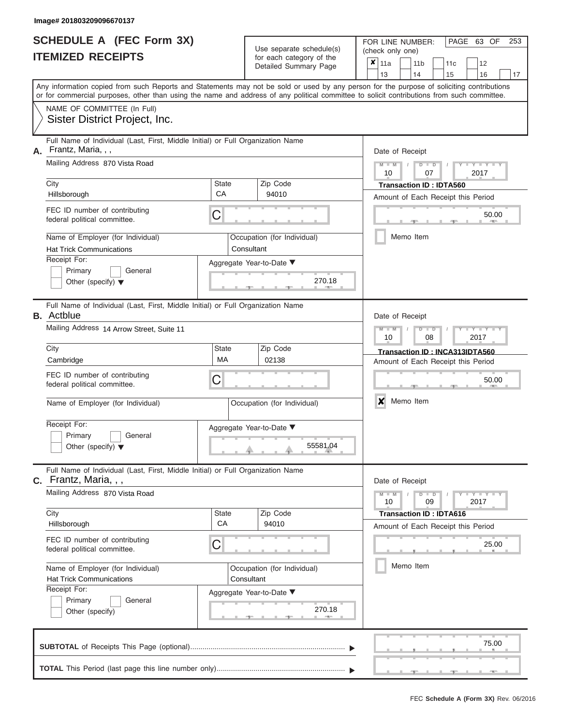|                          | <b>SCHEDULE A (FEC Form 3X)</b> |
|--------------------------|---------------------------------|
| <b>ITEMIZED RECEIPTS</b> |                                 |

Use separate schedule(s) (check only one)<br>for each category of the  $\begin{array}{|c|c|c|c|c|}\n\hline\n\text{Initial Summary goes} & & \text{with } & \text{with } & \text{with } & \text{with } & \text{with } & \text{with } & \text{with } & \text{with } & \text{with } & \text{with } & \text{with } & \text{with } & \text{with } & \text{with } & \text{with } & \text{with } & \text{with } & \text{with } & \text{with } & \text{with } & \text$ 

FOR LINE NUMBER:

PAGE 63 OF 253

| IIEMIZED RECEIPIS                                                                                               | for each category of the<br>Detailed Summary Page                                                                                          | $\pmb{\times}$<br>11a<br>11 <sub>b</sub><br>11c<br>12<br>13<br>14<br>15<br>16<br>17                                                       |
|-----------------------------------------------------------------------------------------------------------------|--------------------------------------------------------------------------------------------------------------------------------------------|-------------------------------------------------------------------------------------------------------------------------------------------|
|                                                                                                                 | or for commercial purposes, other than using the name and address of any political committee to solicit contributions from such committee. | Any information copied from such Reports and Statements may not be sold or used by any person for the purpose of soliciting contributions |
| NAME OF COMMITTEE (In Full)<br>Sister District Project, Inc.                                                    |                                                                                                                                            |                                                                                                                                           |
| Full Name of Individual (Last, First, Middle Initial) or Full Organization Name<br>Frantz, Maria, , ,<br>А.     |                                                                                                                                            | Date of Receipt                                                                                                                           |
| Mailing Address 870 Vista Road                                                                                  |                                                                                                                                            | $M - M$<br>Y TYT<br>D<br>$\blacksquare$<br>2017<br>10<br>07                                                                               |
| City<br>Hillsborough                                                                                            | Zip Code<br><b>State</b><br>СA<br>94010                                                                                                    | <b>Transaction ID: IDTA560</b><br>Amount of Each Receipt this Period                                                                      |
| FEC ID number of contributing<br>federal political committee.                                                   | C                                                                                                                                          | 50.00                                                                                                                                     |
| Name of Employer (for Individual)<br><b>Hat Trick Communications</b>                                            | Occupation (for Individual)<br>Consultant                                                                                                  | Memo Item                                                                                                                                 |
| Receipt For:<br>Primary<br>General<br>Other (specify) $\blacktriangledown$                                      | Aggregate Year-to-Date ▼<br>270.18                                                                                                         |                                                                                                                                           |
| Full Name of Individual (Last, First, Middle Initial) or Full Organization Name<br><b>B.</b> Actblue            |                                                                                                                                            | Date of Receipt                                                                                                                           |
| Mailing Address 14 Arrow Street, Suite 11                                                                       |                                                                                                                                            | $\overline{\mathsf{M}}$<br>$Y - Y$<br>$\Box$<br>D<br>2017<br>10<br>08                                                                     |
| City<br>Cambridge                                                                                               | Zip Code<br>State<br>МA<br>02138                                                                                                           | Transaction ID: INCA313IDTA560<br>Amount of Each Receipt this Period                                                                      |
| FEC ID number of contributing<br>federal political committee.                                                   | С                                                                                                                                          | 50.00                                                                                                                                     |
| Name of Employer (for Individual)                                                                               | Occupation (for Individual)                                                                                                                | X<br>Memo Item                                                                                                                            |
| Receipt For:<br>Primary<br>General<br>Other (specify) $\blacktriangledown$                                      | Aggregate Year-to-Date ▼<br>55581.04                                                                                                       |                                                                                                                                           |
| Full Name of Individual (Last, First, Middle Initial) or Full Organization Name<br><b>C.</b> Frantz, Maria, , , |                                                                                                                                            | Date of Receipt                                                                                                                           |
| Mailing Address 870 Vista Road                                                                                  |                                                                                                                                            | $M - M$<br>Y I Y I<br>$D$ $D$<br>2017<br>10<br>09                                                                                         |
| City<br>Hillsborough                                                                                            | Zip Code<br><b>State</b><br>CA<br>94010                                                                                                    | <b>Transaction ID: IDTA616</b><br>Amount of Each Receipt this Period                                                                      |
| FEC ID number of contributing<br>federal political committee.                                                   | 25.00                                                                                                                                      |                                                                                                                                           |
| Name of Employer (for Individual)<br><b>Hat Trick Communications</b>                                            | Occupation (for Individual)<br>Consultant                                                                                                  | Memo Item                                                                                                                                 |
| Receipt For:<br>Primary<br>General<br>Other (specify)                                                           | Aggregate Year-to-Date ▼<br>270.18                                                                                                         |                                                                                                                                           |
|                                                                                                                 |                                                                                                                                            | 75.00                                                                                                                                     |
|                                                                                                                 |                                                                                                                                            |                                                                                                                                           |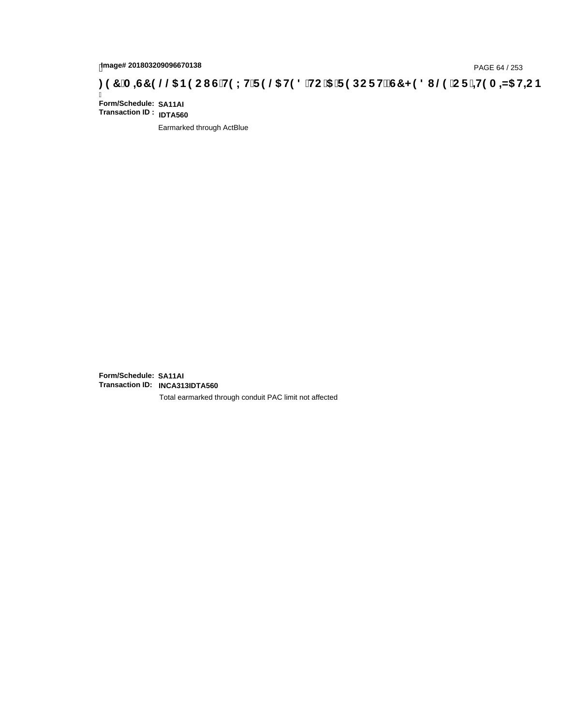# page# 201803209096670138<br>DAGE 64 / 253 PAGE 64 / 253<br>**DAGE 7 JA =G7 9 @@ B9 CI G`H9 LH`F 9 @ H9 8 `HC `5 `F 9 DC F Hž G7 < 9 8 I @ `C F `<del>J I</del>9 A =N5 H=C B**

Ī **Form/Schedule: SA11AI Transaction ID : IDTA560**

Earmarked through ActBlue

**Form/Schedule: SA11AI Transaction ID: INCA313IDTA560**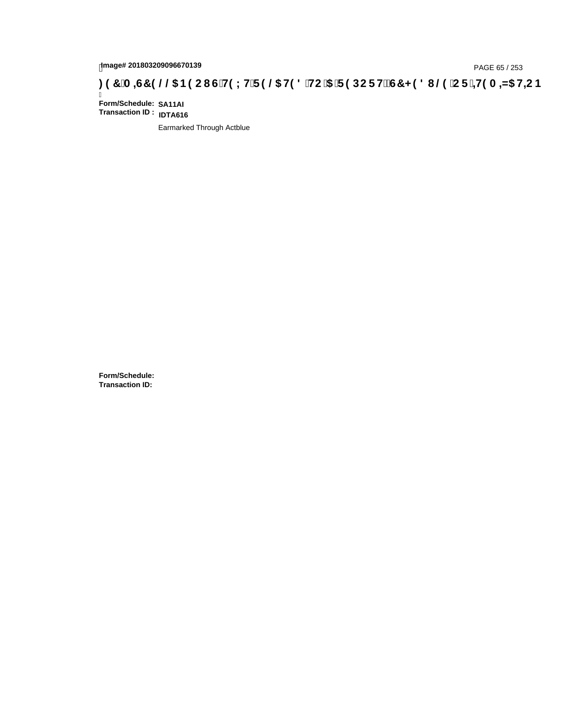# page# 201803209096670139<br>DAGE 65 / 253 PAGE 65 / 253<br>**DAGE 7 JA =G7 9 @@ B9 CI G`H9 LH`F 9 @ H9 8 `HC `5 `F 9 DC F Hž G7 < 9 8 I @ `C F `<del>J I</del>9 A =N5 H=C B**

Ī **Form/Schedule: SA11AI Transaction ID : IDTA616**

Earmarked Through Actblue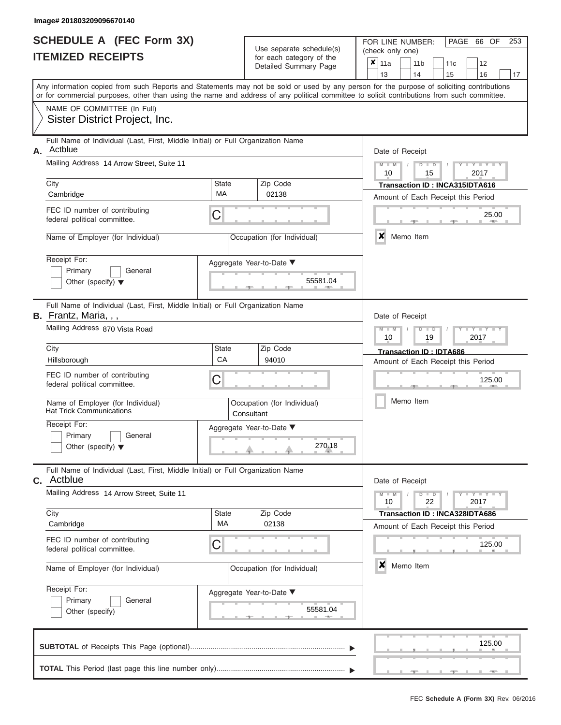|                          | <b>SCHEDULE A (FEC Form 3X)</b> |
|--------------------------|---------------------------------|
| <b>ITEMIZED RECEIPTS</b> |                                 |

FOR LINE NUMBER:<br>(check only one)

PAGE 66 OF 253

|    |                                                                                                                                                                                                                                                                                         |                                           | badii balogory of life<br>Detailed Summary Page |  |                                    | ×<br>11a<br>13                                        |           |  | 11 <sub>b</sub><br>14     | 11 <sub>c</sub><br>15                                                       |      | 12<br>16                       | 17 |
|----|-----------------------------------------------------------------------------------------------------------------------------------------------------------------------------------------------------------------------------------------------------------------------------------------|-------------------------------------------|-------------------------------------------------|--|------------------------------------|-------------------------------------------------------|-----------|--|---------------------------|-----------------------------------------------------------------------------|------|--------------------------------|----|
|    | Any information copied from such Reports and Statements may not be sold or used by any person for the purpose of soliciting contributions<br>or for commercial purposes, other than using the name and address of any political committee to solicit contributions from such committee. |                                           |                                                 |  |                                    |                                                       |           |  |                           |                                                                             |      |                                |    |
|    | NAME OF COMMITTEE (In Full)<br>Sister District Project, Inc.                                                                                                                                                                                                                            |                                           |                                                 |  |                                    |                                                       |           |  |                           |                                                                             |      |                                |    |
| А. | Full Name of Individual (Last, First, Middle Initial) or Full Organization Name<br>Actblue                                                                                                                                                                                              |                                           |                                                 |  | Date of Receipt                    |                                                       |           |  |                           |                                                                             |      |                                |    |
|    | Mailing Address 14 Arrow Street, Suite 11                                                                                                                                                                                                                                               |                                           |                                                 |  |                                    | $M - M$<br>$D$ $D$<br>$Y - Y - I$<br>2017<br>10<br>15 |           |  |                           |                                                                             |      |                                |    |
|    | City<br>Cambridge                                                                                                                                                                                                                                                                       | <b>State</b><br>МA                        | Zip Code<br>02138                               |  |                                    |                                                       |           |  |                           | Transaction ID: INCA315IDTA616<br>Amount of Each Receipt this Period        |      |                                |    |
|    | FEC ID number of contributing<br>federal political committee.                                                                                                                                                                                                                           | C                                         |                                                 |  |                                    |                                                       |           |  |                           |                                                                             |      | 25.00                          |    |
|    | Name of Employer (for Individual)                                                                                                                                                                                                                                                       |                                           | Occupation (for Individual)                     |  |                                    | $\boldsymbol{x}$                                      |           |  | Memo Item                 |                                                                             |      |                                |    |
|    | Receipt For:<br>Primary<br>General<br>Other (specify) $\blacktriangledown$                                                                                                                                                                                                              |                                           | Aggregate Year-to-Date ▼<br>55581.04            |  |                                    |                                                       |           |  |                           |                                                                             |      |                                |    |
|    | Full Name of Individual (Last, First, Middle Initial) or Full Organization Name<br>B. Frantz, Maria, , ,<br>Mailing Address 870 Vista Road                                                                                                                                              |                                           |                                                 |  |                                    | Date of Receipt<br>$M - M$                            |           |  | $D$ $\Box$ $D$            |                                                                             | Y TY |                                |    |
|    | City                                                                                                                                                                                                                                                                                    | <b>State</b>                              | Zip Code                                        |  |                                    | 2017<br>10<br>19<br>Transaction ID: IDTA686           |           |  |                           |                                                                             |      |                                |    |
|    | Hillsborough<br>FEC ID number of contributing<br>federal political committee.                                                                                                                                                                                                           | CA<br>C                                   | 94010                                           |  | Amount of Each Receipt this Period |                                                       |           |  |                           | 125.00                                                                      |      |                                |    |
|    | Name of Employer (for Individual)<br><b>Hat Trick Communications</b>                                                                                                                                                                                                                    | Occupation (for Individual)<br>Consultant |                                                 |  |                                    |                                                       | Memo Item |  |                           |                                                                             |      |                                |    |
|    | Receipt For:<br>Primary<br>General<br>Other (specify) $\blacktriangledown$                                                                                                                                                                                                              |                                           | Aggregate Year-to-Date ▼<br>270.18              |  |                                    |                                                       |           |  |                           |                                                                             |      |                                |    |
|    | Full Name of Individual (Last, First, Middle Initial) or Full Organization Name<br><b>C.</b> Actblue                                                                                                                                                                                    |                                           |                                                 |  |                                    | Date of Receipt                                       |           |  |                           |                                                                             |      |                                |    |
|    | Mailing Address 14 Arrow Street, Suite 11                                                                                                                                                                                                                                               |                                           |                                                 |  |                                    | $M - M$<br>10                                         |           |  | D<br>$\blacksquare$<br>22 |                                                                             | 2017 | $Y - Y - Y$                    |    |
|    | City<br>Cambridge                                                                                                                                                                                                                                                                       | <b>State</b><br>МA                        | Zip Code<br>02138                               |  |                                    |                                                       |           |  |                           | <b>Transaction ID: INCA328IDTA686</b><br>Amount of Each Receipt this Period |      |                                |    |
|    | FEC ID number of contributing<br>C<br>federal political committee.                                                                                                                                                                                                                      |                                           |                                                 |  |                                    |                                                       |           |  |                           | 125.00                                                                      |      |                                |    |
|    | Name of Employer (for Individual)                                                                                                                                                                                                                                                       |                                           | Occupation (for Individual)                     |  |                                    | ×                                                     |           |  | Memo Item                 |                                                                             |      |                                |    |
|    | Receipt For:<br>Primary<br>General<br>Other (specify)                                                                                                                                                                                                                                   |                                           | Aggregate Year-to-Date ▼<br>55581.04            |  |                                    |                                                       |           |  |                           |                                                                             |      |                                |    |
|    |                                                                                                                                                                                                                                                                                         |                                           |                                                 |  |                                    |                                                       |           |  |                           |                                                                             |      | 125.00<br><b>All Contracts</b> |    |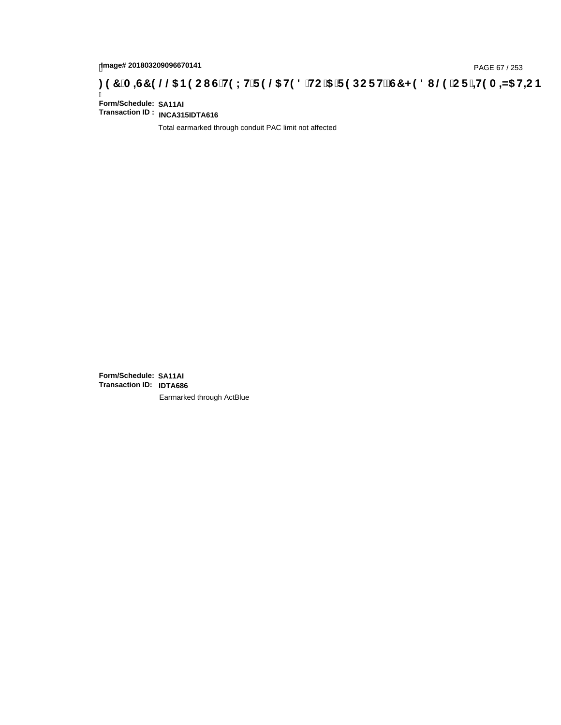# **)(&0,6&(//\$1(2867(;75(/\$7('72\$5(32576&+('8/(25,7(0,=\$7,21**

Ī **Form/Schedule: SA11AI Transaction ID : INCA315IDTA616**

Total earmarked through conduit PAC limit not affected

**Form/Schedule: SA11AI Transaction ID: IDTA686**Earmarked through ActBlue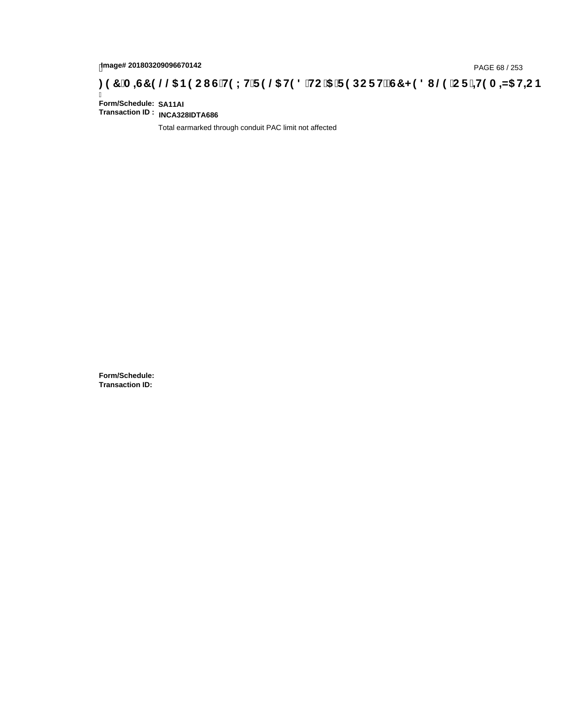# tmage# 201803209096670142<br>DAGE 68 / 253 PAGE 68 / 253<br>**DAGE 7 JA =G7 9 @@ B9 CI G`H9 LH`F 9 @ H9 8 `HC`5 `F 9 DC F Hž G7 < 9 8 I @ `C F `<del>J I</del>9 A =N5 H=C B**

Ī **Form/Schedule: SA11AI Transaction ID : INCA328IDTA686**

Total earmarked through conduit PAC limit not affected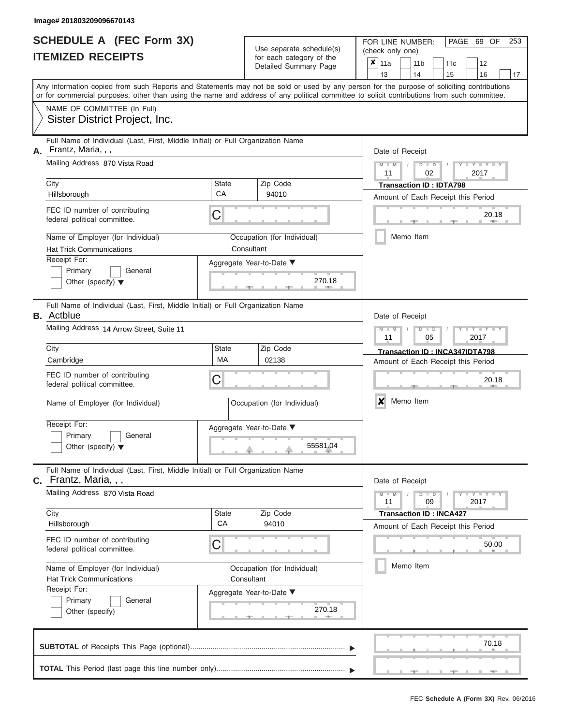|                          | <b>SCHEDULE A (FEC Form 3X)</b> |
|--------------------------|---------------------------------|
| <b>ITEMIZED RECEIPTS</b> |                                 |

Use separate schedule(s) (check only one) for each category of the

FOR LINE NUMBER:<br>(check only one)

PAGE 69 OF 253

|                                                                                                             | Detailed Summary Page                     | ×<br>11a<br>12<br>11 <sub>b</sub><br>11c<br>13<br>14<br>15<br>16<br>17                                                                                                                                                                                                                  |
|-------------------------------------------------------------------------------------------------------------|-------------------------------------------|-----------------------------------------------------------------------------------------------------------------------------------------------------------------------------------------------------------------------------------------------------------------------------------------|
|                                                                                                             |                                           | Any information copied from such Reports and Statements may not be sold or used by any person for the purpose of soliciting contributions<br>or for commercial purposes, other than using the name and address of any political committee to solicit contributions from such committee. |
| NAME OF COMMITTEE (In Full)<br>Sister District Project, Inc.                                                |                                           |                                                                                                                                                                                                                                                                                         |
| Full Name of Individual (Last, First, Middle Initial) or Full Organization Name<br>Frantz, Maria, , ,<br>А. |                                           | Date of Receipt                                                                                                                                                                                                                                                                         |
| Mailing Address 870 Vista Road                                                                              |                                           | $Y = Y$<br>$\overline{\mathsf{M}}$<br>$\overline{D}$<br>$\overline{D}$<br>02<br>2017<br>11                                                                                                                                                                                              |
| City<br>Hillsborough                                                                                        | <b>State</b><br>Zip Code<br>CA<br>94010   | <b>Transaction ID: IDTA798</b>                                                                                                                                                                                                                                                          |
| FEC ID number of contributing<br>federal political committee.                                               | C                                         | Amount of Each Receipt this Period<br>20.18                                                                                                                                                                                                                                             |
| Name of Employer (for Individual)<br><b>Hat Trick Communications</b>                                        | Occupation (for Individual)<br>Consultant | Memo Item                                                                                                                                                                                                                                                                               |
| Receipt For:<br>Primary<br>General<br>Other (specify) $\blacktriangledown$                                  | Aggregate Year-to-Date ▼<br>270.18        |                                                                                                                                                                                                                                                                                         |
| Full Name of Individual (Last, First, Middle Initial) or Full Organization Name<br><b>B.</b> Actblue        |                                           | Date of Receipt                                                                                                                                                                                                                                                                         |
| Mailing Address 14 Arrow Street, Suite 11                                                                   |                                           | Y TY<br>₽<br>D<br>05<br>2017<br>11                                                                                                                                                                                                                                                      |
| City<br>Cambridge                                                                                           | <b>State</b><br>Zip Code<br>MA<br>02138   | Transaction ID: INCA347IDTA798<br>Amount of Each Receipt this Period                                                                                                                                                                                                                    |
| FEC ID number of contributing<br>federal political committee.                                               | С                                         | 20.18                                                                                                                                                                                                                                                                                   |
| Name of Employer (for Individual)                                                                           | Occupation (for Individual)               | Memo Item<br>x                                                                                                                                                                                                                                                                          |
| Receipt For:<br>Primary<br>General<br>Other (specify) $\blacktriangledown$                                  | Aggregate Year-to-Date ▼<br>55581.04      |                                                                                                                                                                                                                                                                                         |
| Full Name of Individual (Last, First, Middle Initial) or Full Organization Name<br>$c.$ Frantz, Maria, , ,  |                                           | Date of Receipt                                                                                                                                                                                                                                                                         |
| Mailing Address 870 Vista Road                                                                              |                                           | $Y - Y - Y$<br>$D$ $\Box$ $D$<br>$M - M$<br>11<br>09<br>2017                                                                                                                                                                                                                            |
| City<br>Hillsborough                                                                                        | <b>State</b><br>Zip Code<br>CA<br>94010   | <b>Transaction ID: INCA427</b><br>Amount of Each Receipt this Period                                                                                                                                                                                                                    |
| FEC ID number of contributing<br>federal political committee.                                               | C                                         | 50.00                                                                                                                                                                                                                                                                                   |
| Name of Employer (for Individual)<br><b>Hat Trick Communications</b><br>Receipt For:                        | Occupation (for Individual)<br>Consultant | Memo Item                                                                                                                                                                                                                                                                               |
| Primary<br>General                                                                                          | Aggregate Year-to-Date ▼<br>270.18        |                                                                                                                                                                                                                                                                                         |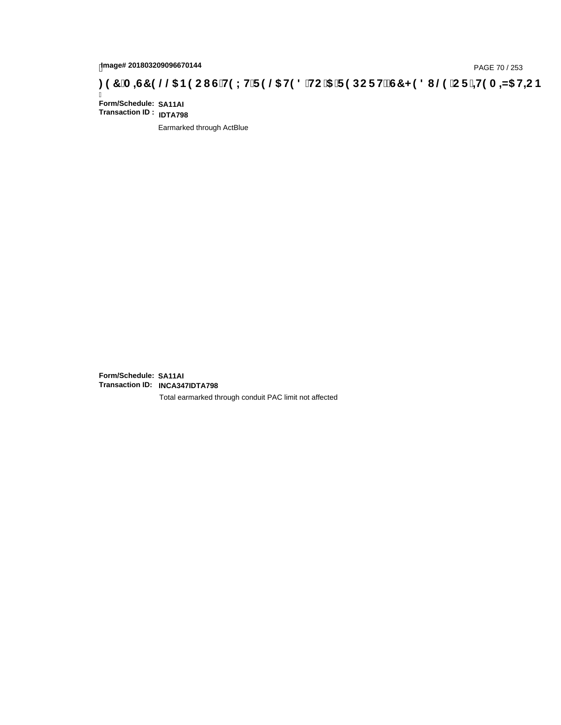# **)(&0,6&(//\$1(2867(;75(/\$7('72\$5(32576&+('8/(25,7(0,=\$7,21**

Ī **Form/Schedule: SA11AI Transaction ID : IDTA798**

Earmarked through ActBlue

**Form/Schedule: SA11AI Transaction ID: INCA347IDTA798**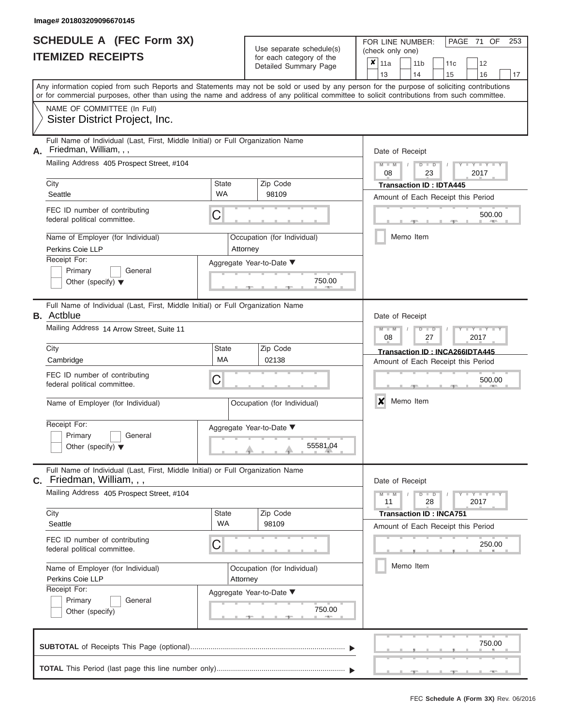|                          | SCHEDULE A (FEC Form 3X) |
|--------------------------|--------------------------|
| <b>ITEMIZED RECEIPTS</b> |                          |

FOR LINE NUMBER: Use separate schedule(s) (check only one)<br>for each category of the  $\begin{array}{|c|c|c|c|c|}\n\hline\n\text{Initial Summary goes} & & \text{with } & \text{with } & \text{with } & \text{with } & \text{with } & \text{with } & \text{with } & \text{with } & \text{with } & \text{with } & \text{with } & \text{with } & \text{with } & \text{with } & \text{with } & \text{with } & \text{with } & \text{with } & \text{with } & \text{with } & \text$ 

| IIEMIZED RECEIPIS                                                                                               | for each category of the<br>Detailed Summary Page | $\pmb{\times}$<br>11a<br>11 <sub>b</sub><br>12<br>11c<br>13<br>14<br>15<br>16<br>17                                                                                                                                                                                                     |
|-----------------------------------------------------------------------------------------------------------------|---------------------------------------------------|-----------------------------------------------------------------------------------------------------------------------------------------------------------------------------------------------------------------------------------------------------------------------------------------|
|                                                                                                                 |                                                   | Any information copied from such Reports and Statements may not be sold or used by any person for the purpose of soliciting contributions<br>or for commercial purposes, other than using the name and address of any political committee to solicit contributions from such committee. |
| NAME OF COMMITTEE (In Full)<br>Sister District Project, Inc.                                                    |                                                   |                                                                                                                                                                                                                                                                                         |
| Full Name of Individual (Last, First, Middle Initial) or Full Organization Name<br>Friedman, William, , ,<br>А. |                                                   | Date of Receipt                                                                                                                                                                                                                                                                         |
| Mailing Address 405 Prospect Street, #104<br>City                                                               | Zip Code<br>State                                 | $Y - Y - I$<br>T<br>D<br>$\blacksquare$<br>2017<br>08<br>23                                                                                                                                                                                                                             |
| Seattle                                                                                                         | <b>WA</b><br>98109                                | <b>Transaction ID: IDTA445</b><br>Amount of Each Receipt this Period                                                                                                                                                                                                                    |
| FEC ID number of contributing<br>federal political committee.                                                   | C                                                 | 500.00                                                                                                                                                                                                                                                                                  |
| Name of Employer (for Individual)<br>Perkins Coie LLP                                                           | Occupation (for Individual)<br>Attorney           | Memo Item                                                                                                                                                                                                                                                                               |
| Receipt For:<br>Primary<br>General<br>Other (specify) $\blacktriangledown$                                      |                                                   |                                                                                                                                                                                                                                                                                         |
| Full Name of Individual (Last, First, Middle Initial) or Full Organization Name<br><b>B.</b> Actblue            |                                                   | Date of Receipt                                                                                                                                                                                                                                                                         |
| Mailing Address 14 Arrow Street, Suite 11                                                                       |                                                   | M<br>Y T Y T<br>$\Box$<br>D<br>2017<br>08<br>27                                                                                                                                                                                                                                         |
| City<br>Cambridge                                                                                               | Zip Code<br>State<br>МA<br>02138                  | Transaction ID: INCA266IDTA445<br>Amount of Each Receipt this Period                                                                                                                                                                                                                    |
| FEC ID number of contributing<br>federal political committee.                                                   | С                                                 | 500.00                                                                                                                                                                                                                                                                                  |
| Name of Employer (for Individual)                                                                               | Occupation (for Individual)                       | X<br>Memo Item                                                                                                                                                                                                                                                                          |
| Receipt For:<br>Primary<br>General<br>Other (specify) $\blacktriangledown$                                      | Aggregate Year-to-Date ▼<br>55581.04              |                                                                                                                                                                                                                                                                                         |
| Full Name of Individual (Last, First, Middle Initial) or Full Organization Name<br>Friedman, William, , ,<br>С. |                                                   | Date of Receipt                                                                                                                                                                                                                                                                         |
| Mailing Address 405 Prospect Street, #104                                                                       |                                                   | Y TYT<br>$M - M$<br>$D$ $D$<br>28<br>2017<br>11                                                                                                                                                                                                                                         |
| City<br>Seattle                                                                                                 | Zip Code<br>State<br>WA<br>98109                  | <b>Transaction ID: INCA751</b>                                                                                                                                                                                                                                                          |
| FEC ID number of contributing<br>federal political committee.                                                   | C                                                 | Amount of Each Receipt this Period<br>250.00                                                                                                                                                                                                                                            |
| Name of Employer (for Individual)<br>Perkins Coie LLP                                                           | Occupation (for Individual)<br>Attorney           | Memo Item                                                                                                                                                                                                                                                                               |
| Receipt For:                                                                                                    | Aggregate Year-to-Date ▼                          |                                                                                                                                                                                                                                                                                         |
| Primary<br>General<br>Other (specify)                                                                           | 750.00                                            |                                                                                                                                                                                                                                                                                         |
|                                                                                                                 |                                                   | 750.00                                                                                                                                                                                                                                                                                  |
|                                                                                                                 |                                                   |                                                                                                                                                                                                                                                                                         |

PAGE 71 OF 253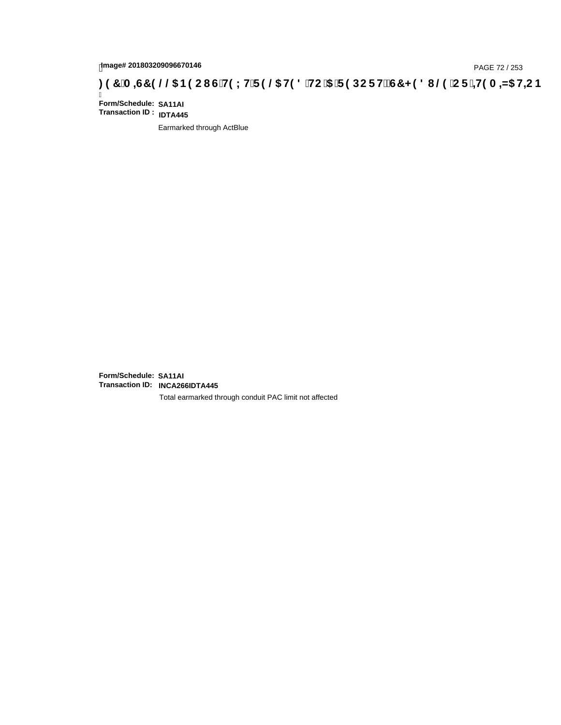# page# 201803209096670146<br>Denge# 201803209096670146<br>**(OD, CF + H9 A = A/5 H=C B + C) + C + G + H9 L H F 9 @ H9 8 FIC '5 F 9 DC F H** $\breve{c}$ **G7 < 9 8 I @ 'C F + H9 A = A/5 H=C B**

Ī **Form/Schedule: SA11AI Transaction ID : IDTA445**

Earmarked through ActBlue

**Form/Schedule: SA11AI Transaction ID: INCA266IDTA445**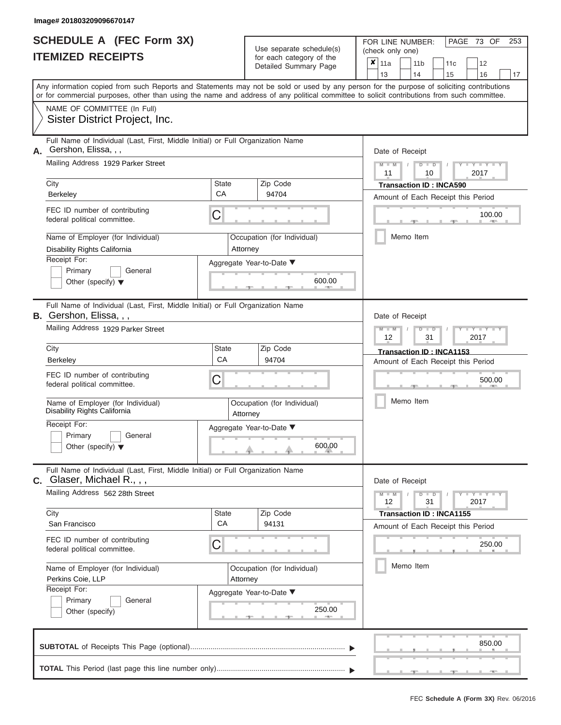|                          | <b>SCHEDULE A (FEC Form 3X)</b> |
|--------------------------|---------------------------------|
| <b>ITEMIZED RECEIPTS</b> |                                 |

Use separate schedule(s) (check only one)<br>for each category of the  $\begin{array}{|c|c|c|c|c|}\hline \textbf{X} & 11a & 1\end{array}$ 

FOR LINE NUMBER:

PAGE 73 OF 253

|                                                                                                                                                                                                                                                                                         |             | badii balogory or lin<br>Detailed Summary Page            | ×                                  | 11a                            |  | 11 <sub>b</sub> | 11c                             | 12                                 |    |  |  |  |  |  |  |
|-----------------------------------------------------------------------------------------------------------------------------------------------------------------------------------------------------------------------------------------------------------------------------------------|-------------|-----------------------------------------------------------|------------------------------------|--------------------------------|--|-----------------|---------------------------------|------------------------------------|----|--|--|--|--|--|--|
|                                                                                                                                                                                                                                                                                         |             |                                                           |                                    | 13                             |  | 14              | 15                              | 16                                 | 17 |  |  |  |  |  |  |
| Any information copied from such Reports and Statements may not be sold or used by any person for the purpose of soliciting contributions<br>or for commercial purposes, other than using the name and address of any political committee to solicit contributions from such committee. |             |                                                           |                                    |                                |  |                 |                                 |                                    |    |  |  |  |  |  |  |
| NAME OF COMMITTEE (In Full)<br>Sister District Project, Inc.                                                                                                                                                                                                                            |             |                                                           |                                    |                                |  |                 |                                 |                                    |    |  |  |  |  |  |  |
| Full Name of Individual (Last, First, Middle Initial) or Full Organization Name<br>Gershon, Elissa, , ,                                                                                                                                                                                 |             | Date of Receipt                                           |                                    |                                |  |                 |                                 |                                    |    |  |  |  |  |  |  |
| Mailing Address 1929 Parker Street                                                                                                                                                                                                                                                      |             | $M$ $M$ $I$<br>$D$ $D$<br>$Y - Y - I$<br>2017<br>11<br>10 |                                    |                                |  |                 |                                 |                                    |    |  |  |  |  |  |  |
| City                                                                                                                                                                                                                                                                                    | State<br>CA | Zip Code                                                  |                                    | <b>Transaction ID: INCA590</b> |  |                 |                                 |                                    |    |  |  |  |  |  |  |
| Berkeley                                                                                                                                                                                                                                                                                |             | 94704                                                     | Amount of Each Receipt this Period |                                |  |                 |                                 |                                    |    |  |  |  |  |  |  |
| FEC ID number of contributing<br>federal political committee.                                                                                                                                                                                                                           | C           |                                                           |                                    |                                |  |                 |                                 | 100.00                             |    |  |  |  |  |  |  |
| Name of Employer (for Individual)<br>Disability Rights California                                                                                                                                                                                                                       |             | Occupation (for Individual)<br>Attorney                   |                                    |                                |  | Memo Item       |                                 |                                    |    |  |  |  |  |  |  |
| Receipt For:                                                                                                                                                                                                                                                                            |             | Aggregate Year-to-Date ▼                                  |                                    |                                |  |                 |                                 |                                    |    |  |  |  |  |  |  |
| Primary<br>General<br>Other (specify) $\blacktriangledown$                                                                                                                                                                                                                              |             | 600.00                                                    |                                    |                                |  |                 |                                 |                                    |    |  |  |  |  |  |  |
| Full Name of Individual (Last, First, Middle Initial) or Full Organization Name<br><b>B.</b> Gershon, Elissa, , ,                                                                                                                                                                       |             |                                                           |                                    | Date of Receipt                |  |                 |                                 |                                    |    |  |  |  |  |  |  |
| Mailing Address 1929 Parker Street                                                                                                                                                                                                                                                      |             |                                                           |                                    | $M - M$<br>12                  |  | $D$ $D$<br>31   |                                 | $Y = Y$<br>2017                    |    |  |  |  |  |  |  |
| City                                                                                                                                                                                                                                                                                    | State       | Zip Code                                                  |                                    |                                |  |                 | Transaction ID: INCA1153        |                                    |    |  |  |  |  |  |  |
| Berkeley                                                                                                                                                                                                                                                                                | CA          | 94704                                                     |                                    |                                |  |                 |                                 | Amount of Each Receipt this Period |    |  |  |  |  |  |  |
| FEC ID number of contributing<br>federal political committee.                                                                                                                                                                                                                           | C           |                                                           |                                    | 500.00                         |  |                 |                                 |                                    |    |  |  |  |  |  |  |
| Name of Employer (for Individual)<br>Disability Rights California                                                                                                                                                                                                                       |             | Occupation (for Individual)<br>Attorney                   |                                    | Memo Item                      |  |                 |                                 |                                    |    |  |  |  |  |  |  |
| Receipt For:                                                                                                                                                                                                                                                                            |             | Aggregate Year-to-Date ▼                                  |                                    |                                |  |                 |                                 |                                    |    |  |  |  |  |  |  |
| Primary<br>General<br>Other (specify) $\blacktriangledown$                                                                                                                                                                                                                              |             | 600.00                                                    |                                    |                                |  |                 |                                 |                                    |    |  |  |  |  |  |  |
| Full Name of Individual (Last, First, Middle Initial) or Full Organization Name<br>$C.$ Glaser, Michael R., , ,                                                                                                                                                                         |             |                                                           |                                    | Date of Receipt                |  |                 |                                 |                                    |    |  |  |  |  |  |  |
| Mailing Address 562 28th Street                                                                                                                                                                                                                                                         |             |                                                           |                                    | $M - M$<br>12                  |  | $D$ $D$<br>31   |                                 | $Y - Y - Y - Y - Y$<br>2017        |    |  |  |  |  |  |  |
| City<br>San Francisco                                                                                                                                                                                                                                                                   | State<br>CA | Zip Code<br>94131                                         |                                    |                                |  |                 | <b>Transaction ID: INCA1155</b> |                                    |    |  |  |  |  |  |  |
|                                                                                                                                                                                                                                                                                         |             |                                                           |                                    |                                |  |                 |                                 | Amount of Each Receipt this Period |    |  |  |  |  |  |  |
| FEC ID number of contributing<br>federal political committee.                                                                                                                                                                                                                           | C           |                                                           |                                    |                                |  |                 |                                 | 250.00                             |    |  |  |  |  |  |  |
| Name of Employer (for Individual)                                                                                                                                                                                                                                                       |             | Occupation (for Individual)                               |                                    |                                |  | Memo Item       |                                 |                                    |    |  |  |  |  |  |  |
| Perkins Coie, LLP                                                                                                                                                                                                                                                                       |             | Attorney                                                  |                                    |                                |  |                 |                                 |                                    |    |  |  |  |  |  |  |
| Receipt For:<br>Primary<br>General                                                                                                                                                                                                                                                      |             | Aggregate Year-to-Date ▼                                  |                                    |                                |  |                 |                                 |                                    |    |  |  |  |  |  |  |
| Other (specify)                                                                                                                                                                                                                                                                         |             | 250.00                                                    |                                    |                                |  |                 |                                 |                                    |    |  |  |  |  |  |  |
|                                                                                                                                                                                                                                                                                         |             |                                                           |                                    |                                |  |                 |                                 | 850.00                             |    |  |  |  |  |  |  |
|                                                                                                                                                                                                                                                                                         |             |                                                           |                                    |                                |  |                 |                                 | $-1$                               |    |  |  |  |  |  |  |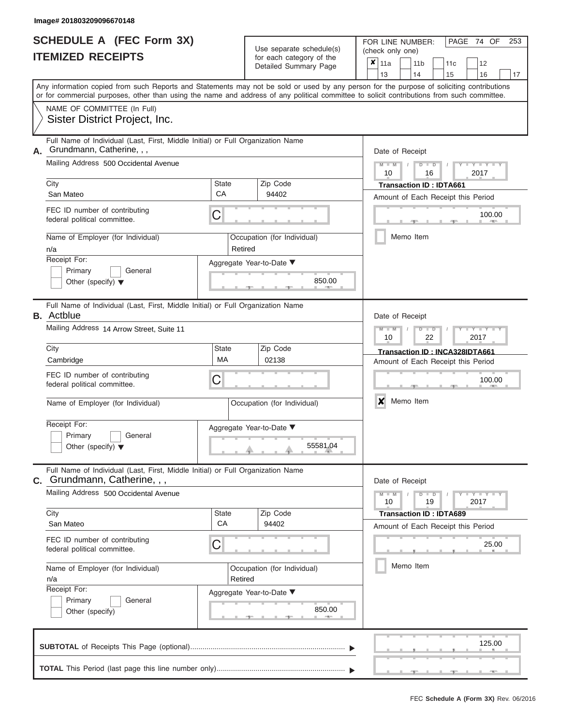|                          | <b>SCHEDULE A (FEC Form 3X)</b> |
|--------------------------|---------------------------------|
| <b>ITEMIZED RECEIPTS</b> |                                 |

FOR LINE NUMBER:<br>(check only one) Use separate schedule(s)<br>for each category of the

| IILMILLU INLVLII IV                                                                                                                                                                                                                                                                     |             | iul eauli caleguly ul lile<br>Detailed Summary Page | ×                              | 11a                                    |  | 11 <sub>b</sub> | 11c                                |  | 12                  |    |  |  |  |  |  |  |  |  |  |
|-----------------------------------------------------------------------------------------------------------------------------------------------------------------------------------------------------------------------------------------------------------------------------------------|-------------|-----------------------------------------------------|--------------------------------|----------------------------------------|--|-----------------|------------------------------------|--|---------------------|----|--|--|--|--|--|--|--|--|--|
|                                                                                                                                                                                                                                                                                         |             |                                                     |                                | 13                                     |  | 14              | 15                                 |  | 16                  | 17 |  |  |  |  |  |  |  |  |  |
| Any information copied from such Reports and Statements may not be sold or used by any person for the purpose of soliciting contributions<br>or for commercial purposes, other than using the name and address of any political committee to solicit contributions from such committee. |             |                                                     |                                |                                        |  |                 |                                    |  |                     |    |  |  |  |  |  |  |  |  |  |
| NAME OF COMMITTEE (In Full)                                                                                                                                                                                                                                                             |             |                                                     |                                |                                        |  |                 |                                    |  |                     |    |  |  |  |  |  |  |  |  |  |
| Sister District Project, Inc.                                                                                                                                                                                                                                                           |             |                                                     |                                |                                        |  |                 |                                    |  |                     |    |  |  |  |  |  |  |  |  |  |
| Full Name of Individual (Last, First, Middle Initial) or Full Organization Name<br>Grundmann, Catherine, , ,<br>А.                                                                                                                                                                      |             |                                                     |                                | Date of Receipt                        |  |                 |                                    |  |                     |    |  |  |  |  |  |  |  |  |  |
| Mailing Address 500 Occidental Avenue                                                                                                                                                                                                                                                   |             |                                                     |                                | $M - M$<br>$D$ $D$<br>2017<br>10<br>16 |  |                 |                                    |  |                     |    |  |  |  |  |  |  |  |  |  |
| City                                                                                                                                                                                                                                                                                    | State       | Zip Code                                            | <b>Transaction ID: IDTA661</b> |                                        |  |                 |                                    |  |                     |    |  |  |  |  |  |  |  |  |  |
| San Mateo                                                                                                                                                                                                                                                                               | CA<br>94402 |                                                     |                                |                                        |  |                 | Amount of Each Receipt this Period |  |                     |    |  |  |  |  |  |  |  |  |  |
| FEC ID number of contributing<br>federal political committee.                                                                                                                                                                                                                           | C           |                                                     | 100.00                         |                                        |  |                 |                                    |  |                     |    |  |  |  |  |  |  |  |  |  |
| Name of Employer (for Individual)<br>n/a                                                                                                                                                                                                                                                | Retired     | Occupation (for Individual)                         |                                |                                        |  | Memo Item       |                                    |  |                     |    |  |  |  |  |  |  |  |  |  |
| Receipt For:                                                                                                                                                                                                                                                                            |             | Aggregate Year-to-Date ▼                            |                                |                                        |  |                 |                                    |  |                     |    |  |  |  |  |  |  |  |  |  |
| Primary<br>General<br>Other (specify) $\blacktriangledown$                                                                                                                                                                                                                              |             | 850.00                                              |                                |                                        |  |                 |                                    |  |                     |    |  |  |  |  |  |  |  |  |  |
| Full Name of Individual (Last, First, Middle Initial) or Full Organization Name<br><b>B.</b> Actblue                                                                                                                                                                                    |             |                                                     |                                | Date of Receipt                        |  |                 |                                    |  |                     |    |  |  |  |  |  |  |  |  |  |
| Mailing Address 14 Arrow Street, Suite 11                                                                                                                                                                                                                                               |             |                                                     |                                | $M - M$<br>10                          |  | $D$ $D$<br>22   |                                    |  | 2017                |    |  |  |  |  |  |  |  |  |  |
| City                                                                                                                                                                                                                                                                                    | State       | Zip Code                                            |                                |                                        |  |                 | Transaction ID: INCA328IDTA661     |  |                     |    |  |  |  |  |  |  |  |  |  |
| Cambridge                                                                                                                                                                                                                                                                               | <b>MA</b>   | 02138                                               |                                |                                        |  |                 | Amount of Each Receipt this Period |  |                     |    |  |  |  |  |  |  |  |  |  |
| FEC ID number of contributing<br>federal political committee.                                                                                                                                                                                                                           | C           |                                                     |                                |                                        |  |                 |                                    |  | 100.00              |    |  |  |  |  |  |  |  |  |  |
| Name of Employer (for Individual)                                                                                                                                                                                                                                                       |             | Occupation (for Individual)                         |                                | X                                      |  | Memo Item       |                                    |  |                     |    |  |  |  |  |  |  |  |  |  |
| Receipt For:                                                                                                                                                                                                                                                                            |             | Aggregate Year-to-Date ▼                            |                                |                                        |  |                 |                                    |  |                     |    |  |  |  |  |  |  |  |  |  |
| Primary<br>General<br>Other (specify) $\blacktriangledown$                                                                                                                                                                                                                              |             | 55581.04                                            |                                |                                        |  |                 |                                    |  |                     |    |  |  |  |  |  |  |  |  |  |
| Full Name of Individual (Last, First, Middle Initial) or Full Organization Name<br>Grundmann, Catherine, , ,<br>С.                                                                                                                                                                      |             |                                                     |                                | Date of Receipt                        |  |                 |                                    |  |                     |    |  |  |  |  |  |  |  |  |  |
| Mailing Address 500 Occidental Avenue                                                                                                                                                                                                                                                   |             |                                                     |                                | $M - M$<br>10                          |  | $D$ $D$<br>19   |                                    |  | $Y = Y = Y$<br>2017 |    |  |  |  |  |  |  |  |  |  |
| City                                                                                                                                                                                                                                                                                    | State       | Zip Code                                            |                                |                                        |  |                 | <b>Transaction ID: IDTA689</b>     |  |                     |    |  |  |  |  |  |  |  |  |  |
| San Mateo                                                                                                                                                                                                                                                                               | CA          | 94402                                               |                                |                                        |  |                 | Amount of Each Receipt this Period |  |                     |    |  |  |  |  |  |  |  |  |  |
| FEC ID number of contributing<br>federal political committee.                                                                                                                                                                                                                           | C           |                                                     |                                |                                        |  |                 |                                    |  | 25.00               |    |  |  |  |  |  |  |  |  |  |
| Name of Employer (for Individual)<br>n/a                                                                                                                                                                                                                                                | Retired     | Occupation (for Individual)                         |                                |                                        |  | Memo Item       |                                    |  |                     |    |  |  |  |  |  |  |  |  |  |
| Receipt For:                                                                                                                                                                                                                                                                            |             | Aggregate Year-to-Date ▼                            |                                |                                        |  |                 |                                    |  |                     |    |  |  |  |  |  |  |  |  |  |
| Primary<br>General<br>Other (specify)                                                                                                                                                                                                                                                   |             | 850.00                                              |                                |                                        |  |                 |                                    |  |                     |    |  |  |  |  |  |  |  |  |  |
|                                                                                                                                                                                                                                                                                         |             |                                                     |                                |                                        |  |                 |                                    |  | 125.00              |    |  |  |  |  |  |  |  |  |  |
|                                                                                                                                                                                                                                                                                         |             |                                                     |                                |                                        |  |                 |                                    |  |                     |    |  |  |  |  |  |  |  |  |  |

PAGE 74 OF 253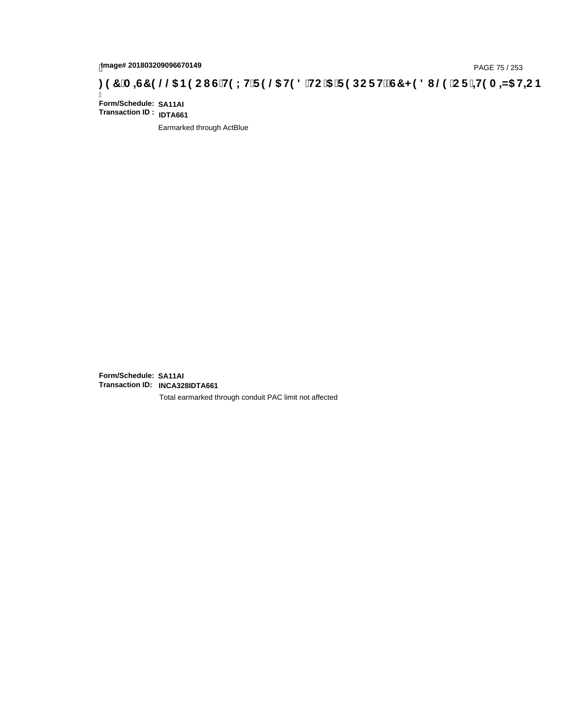## page# 201803209096670149<br>DAGE 75 / 253 PAGE 75 / 253<br>**DAGE 75 / 253 COMPETE 9 @ H9 8 `HC `5 `F 9 DC F Hž G7 < 9 8 I @ `C F `<del>J 1</del>9 A =N5 H=C B .**

Ī **Form/Schedule: SA11AI Transaction ID : IDTA661**

Earmarked through ActBlue

**Form/Schedule: SA11AI Transaction ID: INCA328IDTA661**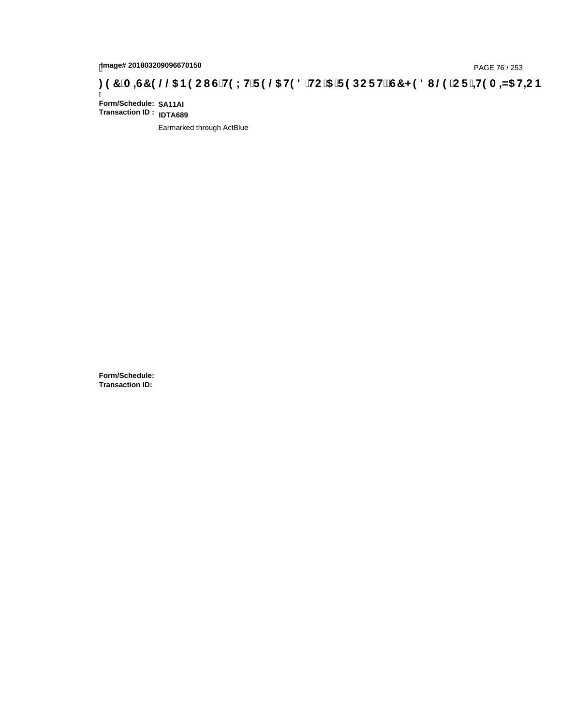# page# 201803209096670150<br>DAGE 76 / 253 PAGE 76 / 253<br>**DAGE 79 OCT G'H9 LH'F 9 @ H9 8 'HC '5 'F 9 DC F Hž G7 < 9 8 I @ 'C F '<del>J 1</del>9 A =N5 H=C B : 97 'A =N5 H=C B**

Ī **Form/Schedule: SA11AI Transaction ID : IDTA689**

Earmarked through ActBlue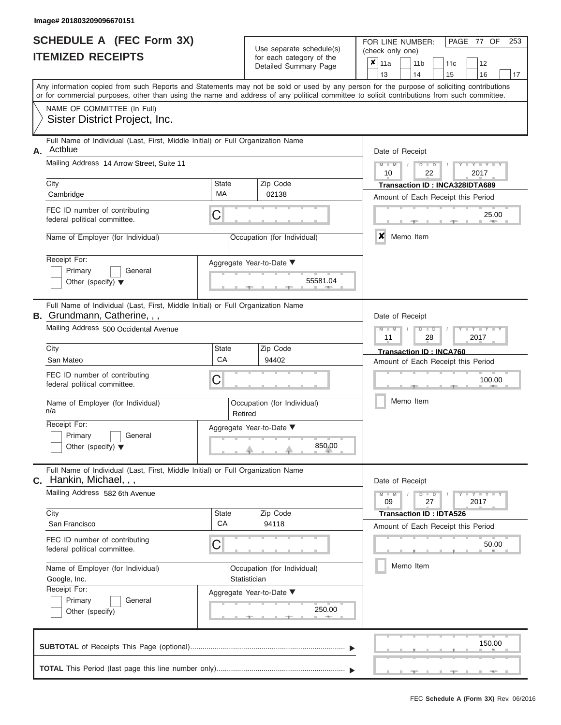|                          | <b>SCHEDULE A (FEC Form 3X)</b> |
|--------------------------|---------------------------------|
| <b>ITEMIZED RECEIPTS</b> |                                 |

| SCHEDULE A (FEC Form 3X)<br><b>ITEMIZED RECEIPTS</b>                                                                                                     |                          | Use separate schedule(s)<br>for each category of the<br>Detailed Summary Page | 253<br>FOR LINE NUMBER:<br>PAGE 77 OF<br>(check only one)<br>$\boldsymbol{x}$<br>11a<br>11 <sub>b</sub><br>12<br>11 <sub>c</sub>          |
|----------------------------------------------------------------------------------------------------------------------------------------------------------|--------------------------|-------------------------------------------------------------------------------|-------------------------------------------------------------------------------------------------------------------------------------------|
|                                                                                                                                                          |                          |                                                                               | 13<br>14<br>15<br>16<br>17                                                                                                                |
| or for commercial purposes, other than using the name and address of any political committee to solicit contributions from such committee.               |                          |                                                                               | Any information copied from such Reports and Statements may not be sold or used by any person for the purpose of soliciting contributions |
| NAME OF COMMITTEE (In Full)<br>Sister District Project, Inc.                                                                                             |                          |                                                                               |                                                                                                                                           |
| Full Name of Individual (Last, First, Middle Initial) or Full Organization Name<br>Actblue<br>Α.                                                         |                          |                                                                               | Date of Receipt                                                                                                                           |
| Mailing Address 14 Arrow Street, Suite 11                                                                                                                |                          |                                                                               | $M = M$ /<br>Y TYT<br>$D$ $D$<br>10<br>22<br>2017                                                                                         |
| City<br>Cambridge                                                                                                                                        | <b>State</b><br>MA       | Zip Code<br>02138                                                             | Transaction ID: INCA328IDTA689<br>Amount of Each Receipt this Period                                                                      |
| FEC ID number of contributing<br>federal political committee.                                                                                            | C                        |                                                                               | 25.00<br><b>AND</b>                                                                                                                       |
| Name of Employer (for Individual)                                                                                                                        |                          | Occupation (for Individual)                                                   | ×<br>Memo Item                                                                                                                            |
| Receipt For:<br>Primary<br>General<br>Other (specify) $\blacktriangledown$                                                                               | Aggregate Year-to-Date ▼ | 55581.04                                                                      |                                                                                                                                           |
| Full Name of Individual (Last, First, Middle Initial) or Full Organization Name<br>B. Grundmann, Catherine, , ,<br>Mailing Address 500 Occidental Avenue |                          |                                                                               | Date of Receipt<br>$M - M$<br>$D$ $\Box$ $D$<br>$T - Y = T - T$                                                                           |
| City                                                                                                                                                     | State                    | Zip Code                                                                      | 11<br>2017<br>28<br>Transaction ID: INCA760                                                                                               |
| San Mateo                                                                                                                                                | CA                       | 94402                                                                         | Amount of Each Receipt this Period                                                                                                        |
| FEC ID number of contributing<br>federal political committee.                                                                                            | C                        |                                                                               | 100.00                                                                                                                                    |
| Name of Employer (for Individual)<br>n/a                                                                                                                 | Retired                  | Occupation (for Individual)                                                   | Memo Item                                                                                                                                 |
| Receipt For:                                                                                                                                             | Aggregate Year-to-Date ▼ |                                                                               |                                                                                                                                           |
| Primary<br>General<br>Other (specify) $\blacktriangledown$                                                                                               |                          | 850.00                                                                        |                                                                                                                                           |
| Full Name of Individual (Last, First, Middle Initial) or Full Organization Name<br>C. Hankin, Michael, , ,                                               |                          |                                                                               | Date of Receipt                                                                                                                           |
| Mailing Address 582 6th Avenue                                                                                                                           |                          |                                                                               | $M - M$<br>$D$ $D$<br>$T - Y = T - Y - T$<br>09<br>27<br>2017                                                                             |
| City<br>San Francisco                                                                                                                                    | <b>State</b><br>CA       | Zip Code<br>94118                                                             | <b>Transaction ID: IDTA526</b><br>Amount of Each Receipt this Period                                                                      |
| FEC ID number of contributing<br>federal political committee.                                                                                            | С                        |                                                                               | 50.00                                                                                                                                     |
| Name of Employer (for Individual)<br>Google, Inc.                                                                                                        | Statistician             | Occupation (for Individual)                                                   | Memo Item                                                                                                                                 |
| Receipt For:<br>Primary<br>General<br>Other (specify)                                                                                                    | Aggregate Year-to-Date ▼ | 250.00                                                                        |                                                                                                                                           |
|                                                                                                                                                          |                          |                                                                               | 150.00                                                                                                                                    |
|                                                                                                                                                          |                          |                                                                               |                                                                                                                                           |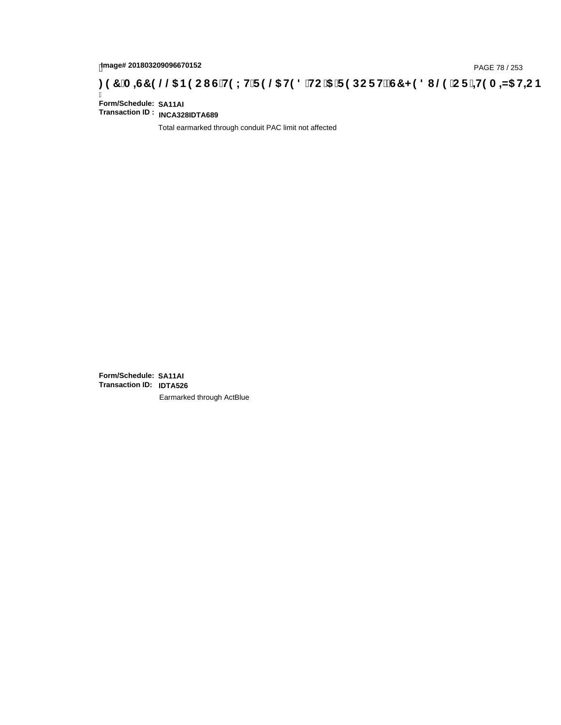# page# 201803209096670152<br>Denge# 201803209096670152<br>**(@CF`+H9 A =N5 H=CB) TA =G7 9 @@B9 CI G`H9 LH`F 9 @ H9 8 `HC `5 `F 9 DC F H** $\breve{E}$ **G7 < 9 8 I**

Ī **Form/Schedule: SA11AI Transaction ID : INCA328IDTA689**

Total earmarked through conduit PAC limit not affected

**Form/Schedule: SA11AI Transaction ID: IDTA526**Earmarked through ActBlue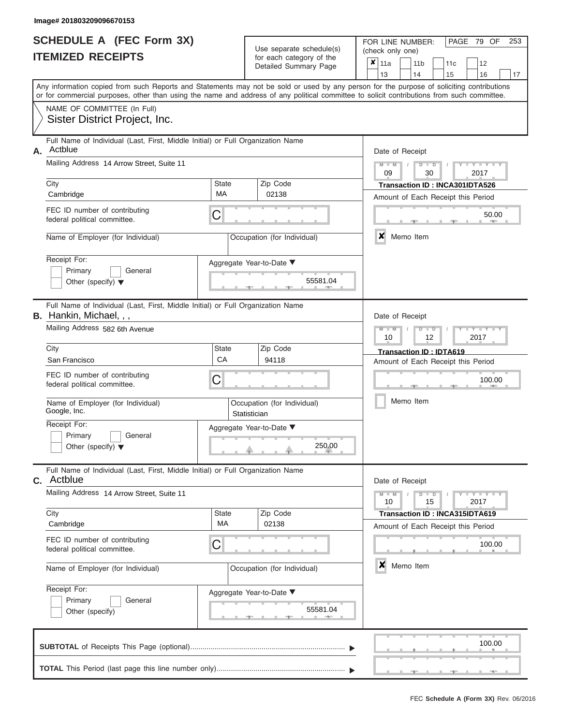|                          | <b>SCHEDULE A (FEC Form 3X)</b> |
|--------------------------|---------------------------------|
| <b>ITEMIZED RECEIPTS</b> |                                 |

FOR LINE NUMBER:<br>(check only one)

PAGE 79 OF 253

|    | IILMILLU INLVLII IV                                                                                                                                                                                                                                                                     |              | iul eaul caleguly ul lile<br>Detailed Summary Page | ×                                                  | 11a                        |           | 11 <sub>b</sub> |               | 11c                                                                         |  | 12                       |    |  |  |  |
|----|-----------------------------------------------------------------------------------------------------------------------------------------------------------------------------------------------------------------------------------------------------------------------------------------|--------------|----------------------------------------------------|----------------------------------------------------|----------------------------|-----------|-----------------|---------------|-----------------------------------------------------------------------------|--|--------------------------|----|--|--|--|
|    | Any information copied from such Reports and Statements may not be sold or used by any person for the purpose of soliciting contributions<br>or for commercial purposes, other than using the name and address of any political committee to solicit contributions from such committee. |              |                                                    |                                                    | 13                         |           | 14              |               | 15                                                                          |  | 16                       | 17 |  |  |  |
|    | NAME OF COMMITTEE (In Full)<br>Sister District Project, Inc.                                                                                                                                                                                                                            |              |                                                    |                                                    |                            |           |                 |               |                                                                             |  |                          |    |  |  |  |
| А. | Full Name of Individual (Last, First, Middle Initial) or Full Organization Name<br>Actblue<br>Mailing Address 14 Arrow Street, Suite 11                                                                                                                                                 |              |                                                    |                                                    | Date of Receipt<br>$M - M$ |           |                 | $D$ $D$       |                                                                             |  |                          |    |  |  |  |
|    | City                                                                                                                                                                                                                                                                                    | State        | Zip Code                                           | 2017<br>09<br>30<br>Transaction ID: INCA301IDTA526 |                            |           |                 |               |                                                                             |  |                          |    |  |  |  |
|    | Cambridge<br>FEC ID number of contributing                                                                                                                                                                                                                                              | МA<br>С      | 02138                                              | Amount of Each Receipt this Period<br>50.00        |                            |           |                 |               |                                                                             |  |                          |    |  |  |  |
|    | federal political committee.<br>Name of Employer (for Individual)                                                                                                                                                                                                                       |              | Occupation (for Individual)                        |                                                    | $\boldsymbol{x}$           | Memo Item |                 |               |                                                                             |  |                          |    |  |  |  |
|    | Receipt For:<br>Primary<br>General<br>Other (specify) $\blacktriangledown$                                                                                                                                                                                                              |              | Aggregate Year-to-Date ▼<br>55581.04               |                                                    |                            |           |                 |               |                                                                             |  |                          |    |  |  |  |
|    | Full Name of Individual (Last, First, Middle Initial) or Full Organization Name<br><b>B.</b> Hankin, Michael, , ,                                                                                                                                                                       |              |                                                    |                                                    | Date of Receipt            |           |                 |               |                                                                             |  |                          |    |  |  |  |
|    | Mailing Address 582 6th Avenue                                                                                                                                                                                                                                                          |              |                                                    |                                                    | $M - M$<br>10              |           |                 | $D$ $D$<br>12 |                                                                             |  | 2017                     |    |  |  |  |
|    | City<br>San Francisco                                                                                                                                                                                                                                                                   | State<br>CA  | Zip Code<br>94118                                  |                                                    |                            |           |                 |               | <b>Transaction ID: IDTA619</b><br>Amount of Each Receipt this Period        |  |                          |    |  |  |  |
|    | FEC ID number of contributing<br>federal political committee.                                                                                                                                                                                                                           | C            |                                                    |                                                    |                            |           |                 |               |                                                                             |  | 100.00                   |    |  |  |  |
|    | Name of Employer (for Individual)<br>Google, Inc.                                                                                                                                                                                                                                       | Statistician | Occupation (for Individual)                        |                                                    | Memo Item                  |           |                 |               |                                                                             |  |                          |    |  |  |  |
|    | Receipt For:<br>Primary<br>General<br>Other (specify) $\blacktriangledown$                                                                                                                                                                                                              |              | Aggregate Year-to-Date ▼<br>250.00                 |                                                    |                            |           |                 |               |                                                                             |  |                          |    |  |  |  |
| С. | Full Name of Individual (Last, First, Middle Initial) or Full Organization Name<br>Actblue                                                                                                                                                                                              |              |                                                    |                                                    | Date of Receipt            |           |                 |               |                                                                             |  |                          |    |  |  |  |
|    | Mailing Address 14 Arrow Street, Suite 11                                                                                                                                                                                                                                               |              |                                                    |                                                    | $M - M$<br>10              |           |                 | $D$ $D$<br>15 |                                                                             |  | $-Y - Y - Y - Y$<br>2017 |    |  |  |  |
|    | City<br>Cambridge                                                                                                                                                                                                                                                                       | State<br>МA  | Zip Code<br>02138                                  |                                                    |                            |           |                 |               | <b>Transaction ID: INCA315IDTA619</b><br>Amount of Each Receipt this Period |  |                          |    |  |  |  |
|    | FEC ID number of contributing<br>federal political committee.                                                                                                                                                                                                                           | C            |                                                    |                                                    |                            |           |                 |               |                                                                             |  | 100.00                   |    |  |  |  |
|    | Name of Employer (for Individual)                                                                                                                                                                                                                                                       |              | Occupation (for Individual)                        |                                                    | ×                          | Memo Item |                 |               |                                                                             |  |                          |    |  |  |  |
|    | Receipt For:<br>Primary<br>General<br>Other (specify)                                                                                                                                                                                                                                   |              | Aggregate Year-to-Date ▼<br>55581.04               |                                                    |                            |           |                 |               |                                                                             |  |                          |    |  |  |  |
|    |                                                                                                                                                                                                                                                                                         |              |                                                    |                                                    |                            |           |                 |               |                                                                             |  | 100.00                   |    |  |  |  |
|    |                                                                                                                                                                                                                                                                                         |              |                                                    |                                                    |                            |           |                 |               |                                                                             |  |                          |    |  |  |  |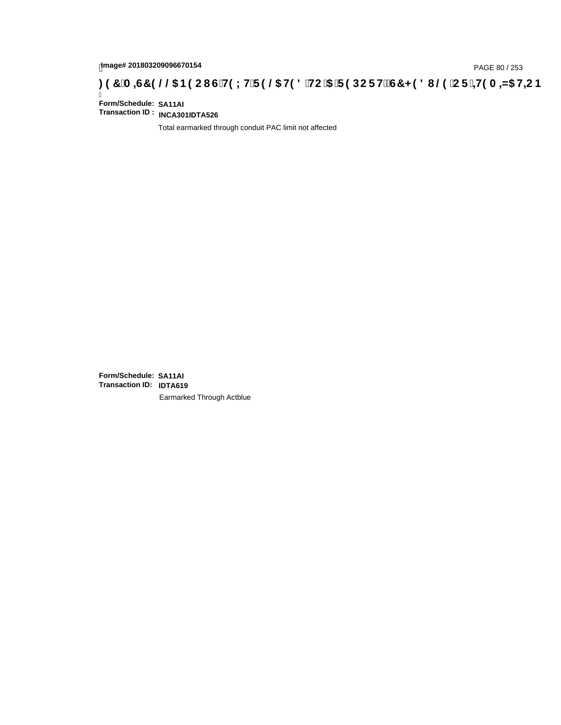# tmage# 201803209096670154<br>DAGE 80 / 253 PAGE 80 / 253<br>**DAGE 7 JA =G7 9 @@ B9 CI G`H9 LH`F 9 @ H9 8 `HC`5 `F 9 DC F Hž G7 < 9 8 I @ `C F `<del>I 1</del>9 A =N5 H=C B**

Ī **Form/Schedule: SA11AI Transaction ID : INCA301IDTA526**

Total earmarked through conduit PAC limit not affected

**Form/Schedule: SA11AI Transaction ID: IDTA619**Earmarked Through Actblue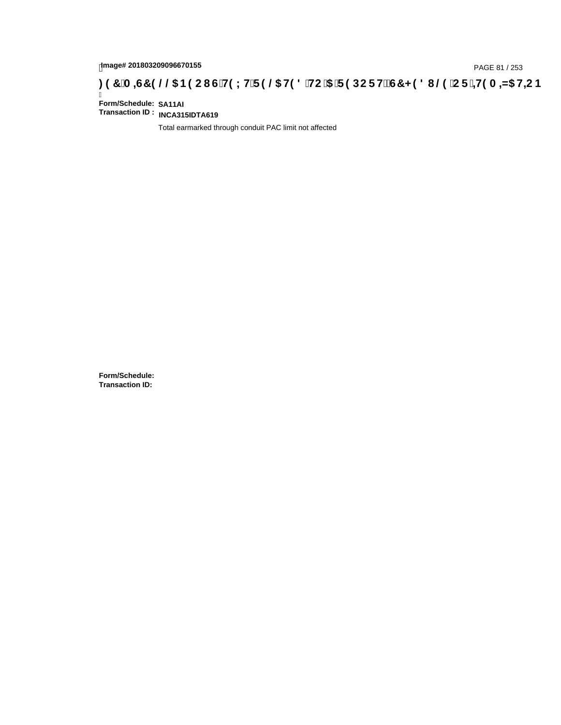# page# 201803209096670155<br>DAGE 81 / 253 PAGE 81 / 253<br>**DAGE 19 OC BOOL G'H9 LH'F 9 @ H9 8 'HC '5 'F 9 DC F Hž G7 < 9 8 I @ 'C F '<del>J 1</del>9 A =N5 H=C B : 97 'A =N5 H=C B**

Ī **Form/Schedule: SA11AI Transaction ID : INCA315IDTA619**

Total earmarked through conduit PAC limit not affected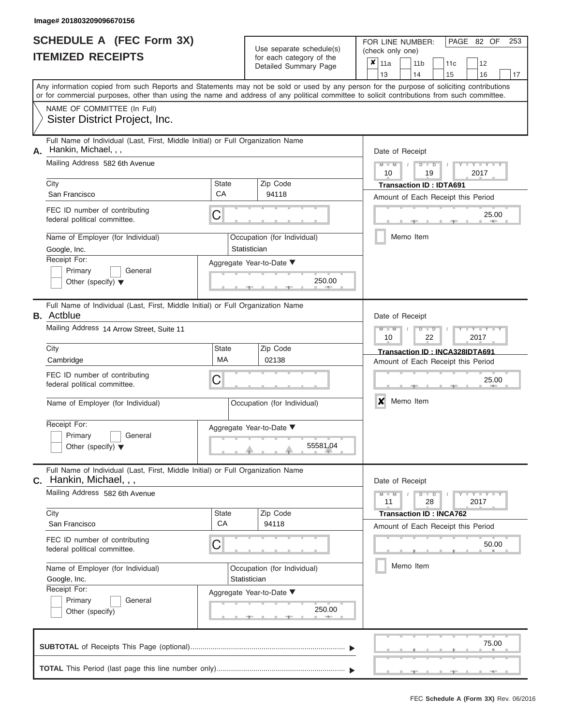|                          | <b>SCHEDULE A (FEC Form 3X)</b> |
|--------------------------|---------------------------------|
| <b>ITEMIZED RECEIPTS</b> |                                 |

FOR LINE NUMBER:<br>(check only one)

PAGE 82 OF 253

| LD IILVLII IV                                                                                                                              |              | ivi cacii calcyory or life<br>Detailed Summary Page | x                         | 11a                                                   |  | 11 <sub>b</sub> | 11c                                |                   | 12    |    |  |  |  |  |  |
|--------------------------------------------------------------------------------------------------------------------------------------------|--------------|-----------------------------------------------------|---------------------------|-------------------------------------------------------|--|-----------------|------------------------------------|-------------------|-------|----|--|--|--|--|--|
| Any information copied from such Reports and Statements may not be sold or used by any person for the purpose of soliciting contributions  |              |                                                     |                           | 13                                                    |  | 14              | 15                                 |                   | 16    | 17 |  |  |  |  |  |
| or for commercial purposes, other than using the name and address of any political committee to solicit contributions from such committee. |              |                                                     |                           |                                                       |  |                 |                                    |                   |       |    |  |  |  |  |  |
| NAME OF COMMITTEE (In Full)                                                                                                                |              |                                                     |                           |                                                       |  |                 |                                    |                   |       |    |  |  |  |  |  |
| Sister District Project, Inc.                                                                                                              |              |                                                     |                           |                                                       |  |                 |                                    |                   |       |    |  |  |  |  |  |
| Full Name of Individual (Last, First, Middle Initial) or Full Organization Name<br>Hankin, Michael, , ,<br>А.                              |              | Date of Receipt                                     |                           |                                                       |  |                 |                                    |                   |       |    |  |  |  |  |  |
| Mailing Address 582 6th Avenue                                                                                                             |              |                                                     |                           |                                                       |  |                 |                                    |                   |       |    |  |  |  |  |  |
|                                                                                                                                            |              |                                                     |                           | $M - M$<br>$D$ $D$<br>$Y - Y - I$<br>10<br>19<br>2017 |  |                 |                                    |                   |       |    |  |  |  |  |  |
| City                                                                                                                                       | State        | Zip Code                                            |                           | <b>Transaction ID: IDTA691</b>                        |  |                 |                                    |                   |       |    |  |  |  |  |  |
| San Francisco                                                                                                                              | CA           | 94118                                               |                           | Amount of Each Receipt this Period                    |  |                 |                                    |                   |       |    |  |  |  |  |  |
| FEC ID number of contributing<br>federal political committee.                                                                              | C            |                                                     | 25.00<br><b>ARCHITECT</b> |                                                       |  |                 |                                    |                   |       |    |  |  |  |  |  |
| Name of Employer (for Individual)                                                                                                          |              | Occupation (for Individual)                         |                           |                                                       |  | Memo Item       |                                    |                   |       |    |  |  |  |  |  |
| Google, Inc.                                                                                                                               |              | Statistician                                        |                           |                                                       |  |                 |                                    |                   |       |    |  |  |  |  |  |
| Receipt For:<br>Primary                                                                                                                    |              | Aggregate Year-to-Date ▼                            |                           |                                                       |  |                 |                                    |                   |       |    |  |  |  |  |  |
| General<br>Other (specify) $\blacktriangledown$                                                                                            |              | 250.00                                              |                           |                                                       |  |                 |                                    |                   |       |    |  |  |  |  |  |
|                                                                                                                                            |              | <b>CONTRACTOR</b>                                   |                           |                                                       |  |                 |                                    |                   |       |    |  |  |  |  |  |
| Full Name of Individual (Last, First, Middle Initial) or Full Organization Name<br><b>B.</b> Actblue                                       |              |                                                     |                           | Date of Receipt                                       |  |                 |                                    |                   |       |    |  |  |  |  |  |
| Mailing Address 14 Arrow Street, Suite 11                                                                                                  |              |                                                     |                           | $M - M$                                               |  | $D$ $\Box$ $D$  |                                    | Y Y               |       |    |  |  |  |  |  |
|                                                                                                                                            |              |                                                     |                           | 10                                                    |  | 22              |                                    | 2017              |       |    |  |  |  |  |  |
| City                                                                                                                                       | <b>State</b> | Zip Code                                            |                           |                                                       |  |                 | Transaction ID: INCA328IDTA691     |                   |       |    |  |  |  |  |  |
| Cambridge                                                                                                                                  | <b>MA</b>    | 02138                                               |                           |                                                       |  |                 | Amount of Each Receipt this Period |                   |       |    |  |  |  |  |  |
| FEC ID number of contributing                                                                                                              | C            |                                                     |                           |                                                       |  |                 |                                    |                   | 25.00 |    |  |  |  |  |  |
| federal political committee.                                                                                                               |              |                                                     |                           |                                                       |  |                 |                                    |                   |       |    |  |  |  |  |  |
| Name of Employer (for Individual)                                                                                                          |              | Occupation (for Individual)                         |                           | X                                                     |  | Memo Item       |                                    |                   |       |    |  |  |  |  |  |
| Receipt For:                                                                                                                               |              | Aggregate Year-to-Date ▼                            |                           |                                                       |  |                 |                                    |                   |       |    |  |  |  |  |  |
| Primary<br>General                                                                                                                         |              |                                                     |                           |                                                       |  |                 |                                    |                   |       |    |  |  |  |  |  |
| Other (specify) $\blacktriangledown$                                                                                                       |              | 55581.04                                            |                           |                                                       |  |                 |                                    |                   |       |    |  |  |  |  |  |
| Full Name of Individual (Last, First, Middle Initial) or Full Organization Name<br>C. Hankin, Michael, , ,                                 |              |                                                     |                           | Date of Receipt                                       |  |                 |                                    |                   |       |    |  |  |  |  |  |
| Mailing Address 582 6th Avenue                                                                                                             |              |                                                     |                           | $M - M$                                               |  | $D$ $D$         |                                    | $T - Y = Y - T Y$ |       |    |  |  |  |  |  |
|                                                                                                                                            |              |                                                     |                           | 11                                                    |  | 28              |                                    | 2017              |       |    |  |  |  |  |  |
| City<br>San Francisco                                                                                                                      | State<br>CA  | Zip Code<br>94118                                   |                           |                                                       |  |                 | <b>Transaction ID: INCA762</b>     |                   |       |    |  |  |  |  |  |
|                                                                                                                                            |              |                                                     |                           |                                                       |  |                 | Amount of Each Receipt this Period |                   |       |    |  |  |  |  |  |
| FEC ID number of contributing<br>federal political committee.                                                                              | C            |                                                     |                           |                                                       |  |                 |                                    |                   | 50.00 |    |  |  |  |  |  |
| Name of Employer (for Individual)                                                                                                          |              | Occupation (for Individual)                         |                           |                                                       |  | Memo Item       |                                    |                   |       |    |  |  |  |  |  |
| Google, Inc.                                                                                                                               |              | Statistician                                        |                           |                                                       |  |                 |                                    |                   |       |    |  |  |  |  |  |
| Receipt For:                                                                                                                               |              | Aggregate Year-to-Date ▼                            |                           |                                                       |  |                 |                                    |                   |       |    |  |  |  |  |  |
| Primary<br>General                                                                                                                         |              | 250.00                                              |                           |                                                       |  |                 |                                    |                   |       |    |  |  |  |  |  |
| Other (specify)                                                                                                                            |              |                                                     |                           |                                                       |  |                 |                                    |                   |       |    |  |  |  |  |  |
|                                                                                                                                            |              |                                                     |                           |                                                       |  |                 |                                    |                   | 75.00 |    |  |  |  |  |  |
|                                                                                                                                            |              |                                                     |                           |                                                       |  |                 |                                    |                   |       |    |  |  |  |  |  |
|                                                                                                                                            |              |                                                     |                           |                                                       |  |                 |                                    |                   |       |    |  |  |  |  |  |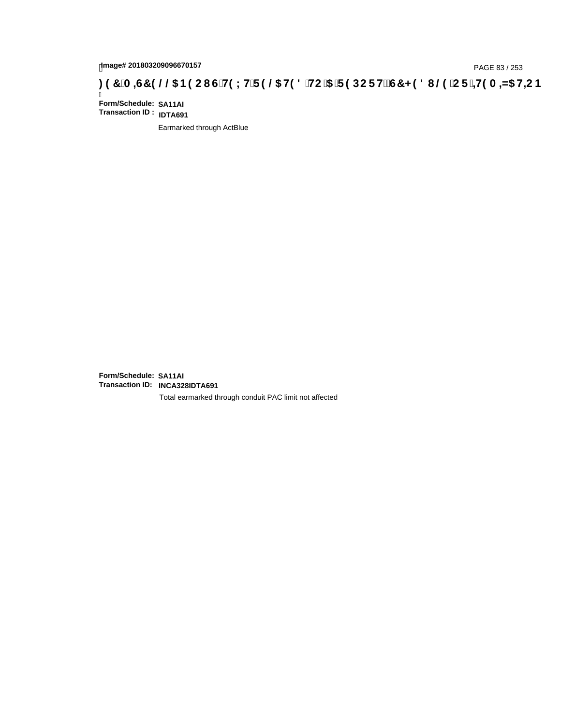# hmage# 201803209096670157<br>DAGE 83 / 253 PAGE 83 / 253<br>**DAGE 7 JA =G7 9 @@ B9 CI G`H9 LH`F 9 @ H9 8 `HC`5 `F 9 DC F Hž G7 < 9 8 I @ `C F `<del>J I</del>9 A =N5 H=C B**

Ī **Form/Schedule: SA11AI Transaction ID : IDTA691**

Earmarked through ActBlue

**Form/Schedule: SA11AI Transaction ID: INCA328IDTA691**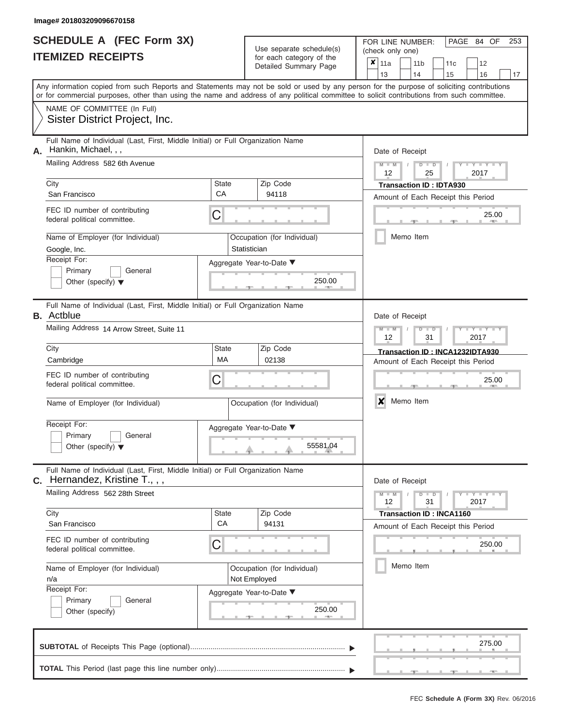|                          | <b>SCHEDULE A (FEC Form 3X)</b> |
|--------------------------|---------------------------------|
| <b>ITEMIZED RECEIPTS</b> |                                 |

FOR LINE NUMBER:<br>(check only one)

PAGE 84 OF 253

|                                                                                                                                                                                                                                                                                         |              | badii balogory or lin<br>Detailed Summary Page | x                                  | 11a             |  | 11 <sub>b</sub>                 | 11c | 12                                 |    |  |  |  |  |  |  |
|-----------------------------------------------------------------------------------------------------------------------------------------------------------------------------------------------------------------------------------------------------------------------------------------|--------------|------------------------------------------------|------------------------------------|-----------------|--|---------------------------------|-----|------------------------------------|----|--|--|--|--|--|--|
|                                                                                                                                                                                                                                                                                         |              |                                                |                                    | 13              |  | 14                              | 15  | 16                                 | 17 |  |  |  |  |  |  |
| Any information copied from such Reports and Statements may not be sold or used by any person for the purpose of soliciting contributions<br>or for commercial purposes, other than using the name and address of any political committee to solicit contributions from such committee. |              |                                                |                                    |                 |  |                                 |     |                                    |    |  |  |  |  |  |  |
| NAME OF COMMITTEE (In Full)                                                                                                                                                                                                                                                             |              |                                                |                                    |                 |  |                                 |     |                                    |    |  |  |  |  |  |  |
| Sister District Project, Inc.                                                                                                                                                                                                                                                           |              |                                                |                                    |                 |  |                                 |     |                                    |    |  |  |  |  |  |  |
| Full Name of Individual (Last, First, Middle Initial) or Full Organization Name<br>Hankin, Michael, , ,<br>А.                                                                                                                                                                           |              |                                                |                                    | Date of Receipt |  |                                 |     |                                    |    |  |  |  |  |  |  |
| Mailing Address 582 6th Avenue                                                                                                                                                                                                                                                          |              |                                                |                                    |                 |  |                                 |     |                                    |    |  |  |  |  |  |  |
|                                                                                                                                                                                                                                                                                         |              |                                                |                                    | $M - M$ /<br>12 |  | $D$ $D$<br>25                   |     | $Y - Y - I$<br>2017                |    |  |  |  |  |  |  |
| City                                                                                                                                                                                                                                                                                    | <b>State</b> | Zip Code                                       |                                    |                 |  | <b>Transaction ID: IDTA930</b>  |     |                                    |    |  |  |  |  |  |  |
| San Francisco                                                                                                                                                                                                                                                                           | CA           | 94118                                          | Amount of Each Receipt this Period |                 |  |                                 |     |                                    |    |  |  |  |  |  |  |
| FEC ID number of contributing<br>federal political committee.                                                                                                                                                                                                                           | C            |                                                |                                    |                 |  |                                 |     | 25.00                              |    |  |  |  |  |  |  |
| Name of Employer (for Individual)                                                                                                                                                                                                                                                       |              | Occupation (for Individual)                    |                                    |                 |  | Memo Item                       |     |                                    |    |  |  |  |  |  |  |
| Google, Inc.<br>Receipt For:                                                                                                                                                                                                                                                            |              | Statistician                                   |                                    |                 |  |                                 |     |                                    |    |  |  |  |  |  |  |
| Primary<br>General                                                                                                                                                                                                                                                                      |              | Aggregate Year-to-Date ▼                       |                                    |                 |  |                                 |     |                                    |    |  |  |  |  |  |  |
| Other (specify) $\blacktriangledown$                                                                                                                                                                                                                                                    |              | 250.00                                         |                                    |                 |  |                                 |     |                                    |    |  |  |  |  |  |  |
| Full Name of Individual (Last, First, Middle Initial) or Full Organization Name                                                                                                                                                                                                         |              |                                                |                                    |                 |  |                                 |     |                                    |    |  |  |  |  |  |  |
| <b>B.</b> Actblue                                                                                                                                                                                                                                                                       |              |                                                |                                    | Date of Receipt |  |                                 |     |                                    |    |  |  |  |  |  |  |
| Mailing Address 14 Arrow Street, Suite 11                                                                                                                                                                                                                                               |              |                                                |                                    | $M - M$<br>12   |  | $D$ $D$<br>31                   |     | Y TYT<br>2017                      |    |  |  |  |  |  |  |
| City                                                                                                                                                                                                                                                                                    | <b>State</b> | Zip Code                                       |                                    |                 |  |                                 |     | Transaction ID: INCA1232IDTA930    |    |  |  |  |  |  |  |
| Cambridge                                                                                                                                                                                                                                                                               | <b>MA</b>    | 02138                                          |                                    |                 |  |                                 |     | Amount of Each Receipt this Period |    |  |  |  |  |  |  |
| FEC ID number of contributing<br>federal political committee.                                                                                                                                                                                                                           | C            |                                                |                                    |                 |  |                                 |     | 25.00                              |    |  |  |  |  |  |  |
| Name of Employer (for Individual)                                                                                                                                                                                                                                                       |              | Occupation (for Individual)                    |                                    | ×               |  | Memo Item                       |     |                                    |    |  |  |  |  |  |  |
| Receipt For:                                                                                                                                                                                                                                                                            |              |                                                |                                    |                 |  |                                 |     |                                    |    |  |  |  |  |  |  |
| Primary<br>General                                                                                                                                                                                                                                                                      |              | Aggregate Year-to-Date ▼                       |                                    |                 |  |                                 |     |                                    |    |  |  |  |  |  |  |
| Other (specify) $\blacktriangledown$                                                                                                                                                                                                                                                    |              | 55581.04                                       |                                    |                 |  |                                 |     |                                    |    |  |  |  |  |  |  |
| Full Name of Individual (Last, First, Middle Initial) or Full Organization Name<br>Hernandez, Kristine T., , ,<br>C.                                                                                                                                                                    |              |                                                |                                    | Date of Receipt |  |                                 |     |                                    |    |  |  |  |  |  |  |
| Mailing Address 562 28th Street                                                                                                                                                                                                                                                         |              |                                                |                                    | $M - M$<br>12   |  | $D$ $D$<br>31                   |     | $Y - Y - Y - Y - Y$<br>2017        |    |  |  |  |  |  |  |
| City                                                                                                                                                                                                                                                                                    | <b>State</b> | Zip Code                                       |                                    |                 |  | <b>Transaction ID: INCA1160</b> |     |                                    |    |  |  |  |  |  |  |
| San Francisco                                                                                                                                                                                                                                                                           | CA           | 94131                                          |                                    |                 |  |                                 |     | Amount of Each Receipt this Period |    |  |  |  |  |  |  |
| FEC ID number of contributing<br>federal political committee.                                                                                                                                                                                                                           | C            |                                                |                                    |                 |  |                                 |     | 250.00                             |    |  |  |  |  |  |  |
| Name of Employer (for Individual)                                                                                                                                                                                                                                                       |              | Occupation (for Individual)                    |                                    |                 |  | Memo Item                       |     |                                    |    |  |  |  |  |  |  |
| n/a                                                                                                                                                                                                                                                                                     |              | Not Employed                                   |                                    |                 |  |                                 |     |                                    |    |  |  |  |  |  |  |
| Receipt For:                                                                                                                                                                                                                                                                            |              | Aggregate Year-to-Date ▼                       |                                    |                 |  |                                 |     |                                    |    |  |  |  |  |  |  |
| Primary<br>General                                                                                                                                                                                                                                                                      |              |                                                |                                    |                 |  |                                 |     |                                    |    |  |  |  |  |  |  |
| Other (specify)                                                                                                                                                                                                                                                                         |              | 250.00                                         |                                    |                 |  |                                 |     |                                    |    |  |  |  |  |  |  |
|                                                                                                                                                                                                                                                                                         |              |                                                |                                    |                 |  |                                 |     | 275.00                             |    |  |  |  |  |  |  |
|                                                                                                                                                                                                                                                                                         |              |                                                |                                    |                 |  |                                 |     |                                    |    |  |  |  |  |  |  |
|                                                                                                                                                                                                                                                                                         |              |                                                |                                    |                 |  |                                 | 一   | $-1$                               |    |  |  |  |  |  |  |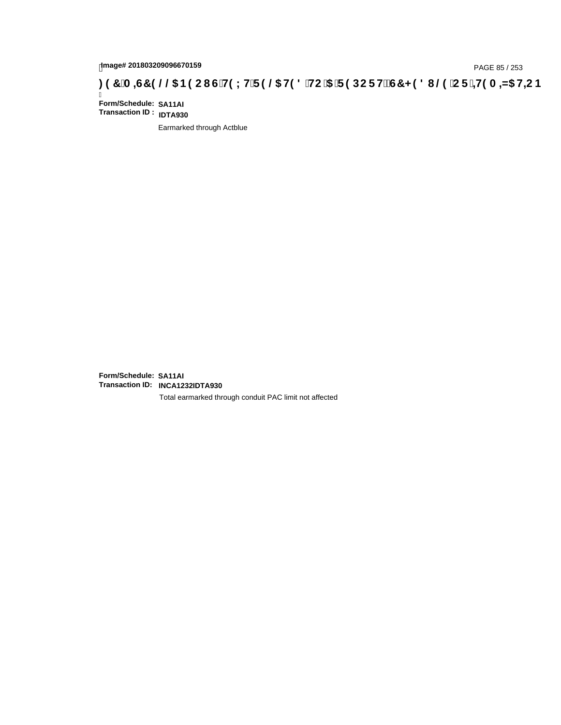# page# 201803209096670159<br>DAGE 85 / 253 PAGE 85 / 253<br>**DAGE 7 JON CONFINED 19 26 H9 8 HC '5 'F 9 DC F H2 G7 < 9 8 I @ 'C F '+H9 A =N5 H=C B : 97 'A =ST 9 @ & B9 C I G 'H9 L H F 9 @ H9 8 'HC '5 'F 9 DC F H2 G7 < 9 8 I**

Ī **Form/Schedule: SA11AI Transaction ID : IDTA930**

Earmarked through Actblue

**Form/Schedule: SA11AI Transaction ID: INCA1232IDTA930**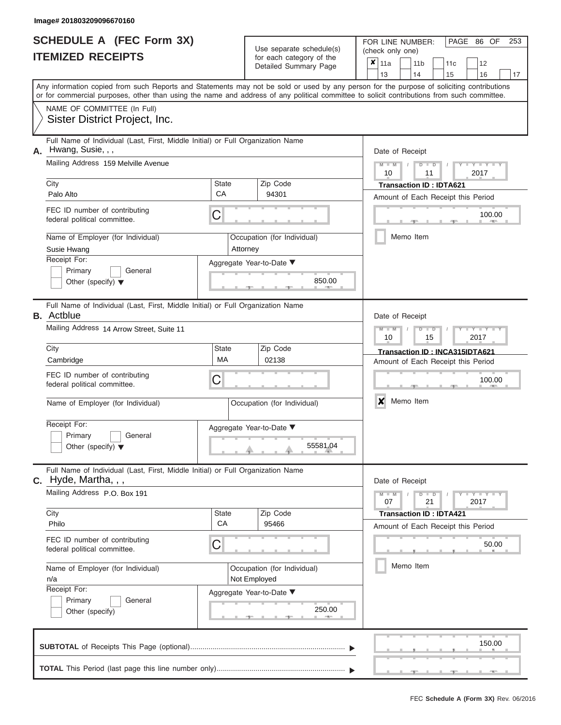|                          | <b>SCHEDULE A (FEC Form 3X)</b> |
|--------------------------|---------------------------------|
| <b>ITEMIZED RECEIPTS</b> |                                 |

Use separate schedule(s) (check only one)<br>for each category of the  $\begin{array}{|c|c|c|c|c|}\hline \textbf{X} & 11a & 1\end{array}$ 

FOR LINE NUMBER:

PAGE 86 OF 253

| IIEMIZED RECEIPIS                                                                                                                                                                                                                                                                                                                                          |                                                                                                                         | for each category of the<br>Detailed Summary Page | ×<br>11a<br>11 <sub>b</sub><br>12<br>11c<br>13<br>14<br>15<br>16<br>17                                                                                                                                                                                                                  |
|------------------------------------------------------------------------------------------------------------------------------------------------------------------------------------------------------------------------------------------------------------------------------------------------------------------------------------------------------------|-------------------------------------------------------------------------------------------------------------------------|---------------------------------------------------|-----------------------------------------------------------------------------------------------------------------------------------------------------------------------------------------------------------------------------------------------------------------------------------------|
|                                                                                                                                                                                                                                                                                                                                                            |                                                                                                                         |                                                   | Any information copied from such Reports and Statements may not be sold or used by any person for the purpose of soliciting contributions<br>or for commercial purposes, other than using the name and address of any political committee to solicit contributions from such committee. |
| NAME OF COMMITTEE (In Full)<br>Sister District Project, Inc.                                                                                                                                                                                                                                                                                               |                                                                                                                         |                                                   |                                                                                                                                                                                                                                                                                         |
| Full Name of Individual (Last, First, Middle Initial) or Full Organization Name<br>Hwang, Susie, , ,<br>А.<br>Mailing Address 159 Melville Avenue<br>City<br>Palo Alto<br>FEC ID number of contributing<br>federal political committee.                                                                                                                    | <b>State</b><br>Zip Code<br>CA<br>94301<br>C                                                                            |                                                   | Date of Receipt<br>$Y - Y - I$<br>D<br>D<br>2017<br>11<br>10<br><b>Transaction ID: IDTA621</b><br>Amount of Each Receipt this Period<br>100.00                                                                                                                                          |
| Name of Employer (for Individual)<br>Susie Hwang<br>Receipt For:<br>Primary<br>General<br>Other (specify) $\blacktriangledown$                                                                                                                                                                                                                             | Occupation (for Individual)<br>Attorney<br>Aggregate Year-to-Date ▼                                                     | 850.00                                            | Memo Item                                                                                                                                                                                                                                                                               |
| Full Name of Individual (Last, First, Middle Initial) or Full Organization Name<br><b>B.</b> Actblue<br>Mailing Address 14 Arrow Street, Suite 11<br>City<br>Cambridge<br>FEC ID number of contributing<br>federal political committee.<br>Name of Employer (for Individual)<br>Receipt For:<br>Primary<br>General<br>Other (specify) $\blacktriangledown$ | Zip Code<br><b>State</b><br>МA<br>02138<br>C<br>Occupation (for Individual)<br>Aggregate Year-to-Date ▼                 | 55581.04                                          | Date of Receipt<br>Y TY<br>M<br>D<br>2017<br>10<br>15<br>Transaction ID: INCA315IDTA621<br>Amount of Each Receipt this Period<br>100.00<br>Memo Item<br>x                                                                                                                               |
| Full Name of Individual (Last, First, Middle Initial) or Full Organization Name<br>$c.$ Hyde, Martha, , ,<br>Mailing Address P.O. Box 191<br>City<br>Philo<br>FEC ID number of contributing<br>federal political committee.<br>Name of Employer (for Individual)<br>n/a<br>Receipt For:<br>Primary<br>General<br>Other (specify)                           | <b>State</b><br>Zip Code<br>CA<br>95466<br>С<br>Occupation (for Individual)<br>Not Employed<br>Aggregate Year-to-Date ▼ | 250.00                                            | Date of Receipt<br>$Y = Y = Y$<br>$\overline{D}$<br>$\blacksquare$<br>$M - M$<br>21<br>07<br>2017<br><b>Transaction ID: IDTA421</b><br>Amount of Each Receipt this Period<br>50.00<br>Memo Item                                                                                         |
|                                                                                                                                                                                                                                                                                                                                                            |                                                                                                                         |                                                   | 150.00                                                                                                                                                                                                                                                                                  |
|                                                                                                                                                                                                                                                                                                                                                            |                                                                                                                         |                                                   |                                                                                                                                                                                                                                                                                         |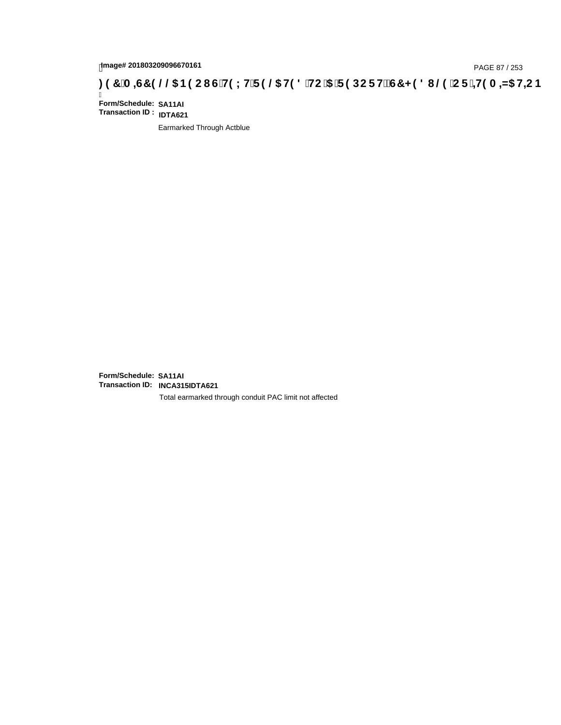## tmage# 201803209096670161<br>DAGE 87 / 253 PAGE 87 / 253<br>**DAGE 97 `A =G7 9 @@ B9 CI G`H9 LH`F 9 @ H9 8 `HC`5 `F 9 DC F Hž G7 < 9 8 I @ `C F `<del>± I</del>9 A =N5 H=C B**

Ī **Form/Schedule: SA11AI Transaction ID : IDTA621**

Earmarked Through Actblue

**Form/Schedule: SA11AI Transaction ID: INCA315IDTA621**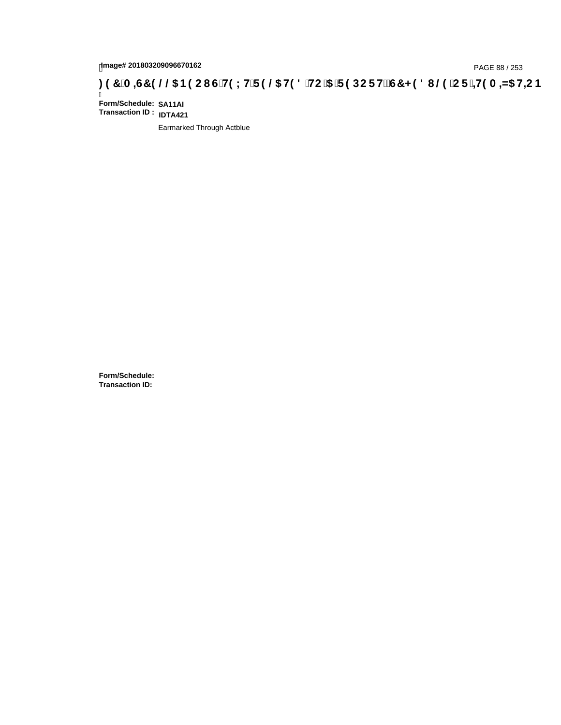## tmage# 201803209096670162<br>DAGE 88 / 253 PAGE 88 / 253<br>**DAGE 740 OF 149 A ⇒NS H+C IS THIS LITE 9 ©S H9 8 `HC `5 `F 9 DC F HŽ G7 < 9 8 I @9 `C F `<del>4 I</del>9 A ⇒N5 H+C B ؛**

Ī **Form/Schedule: SA11AI Transaction ID : IDTA421**

Earmarked Through Actblue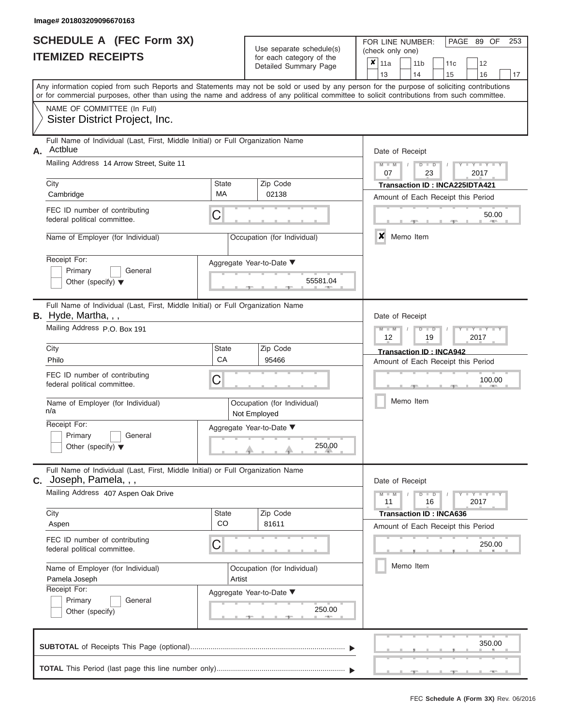|                          | <b>SCHEDULE A (FEC Form 3X)</b> |  |
|--------------------------|---------------------------------|--|
| <b>ITEMIZED RECEIPTS</b> |                                 |  |

Use separate schedule(s)

FOR LINE NUMBER:<br>(check only one)

PAGE 89 OF 253

|    | IIEMIZED REGEIPIJ                                                                                                                                                                                                                                                                       |                    |                                             | for each category of the<br>Detailed Summary Page | ×<br>11a<br>13             |           | 11 <sub>b</sub><br>14 |                      | 11c<br>15                      | 12<br>16                               | 17         |
|----|-----------------------------------------------------------------------------------------------------------------------------------------------------------------------------------------------------------------------------------------------------------------------------------------|--------------------|---------------------------------------------|---------------------------------------------------|----------------------------|-----------|-----------------------|----------------------|--------------------------------|----------------------------------------|------------|
|    | Any information copied from such Reports and Statements may not be sold or used by any person for the purpose of soliciting contributions<br>or for commercial purposes, other than using the name and address of any political committee to solicit contributions from such committee. |                    |                                             |                                                   |                            |           |                       |                      |                                |                                        |            |
|    | NAME OF COMMITTEE (In Full)<br>Sister District Project, Inc.                                                                                                                                                                                                                            |                    |                                             |                                                   |                            |           |                       |                      |                                |                                        |            |
| А. | Full Name of Individual (Last, First, Middle Initial) or Full Organization Name<br>Actblue<br>Mailing Address 14 Arrow Street, Suite 11                                                                                                                                                 |                    |                                             |                                                   | Date of Receipt<br>$M - M$ |           |                       | $D$ $D$              |                                | Y I Y I                                |            |
|    | City                                                                                                                                                                                                                                                                                    | State              | Zip Code                                    |                                                   | 07                         |           |                       | 23                   |                                | 2017<br>Transaction ID: INCA225IDTA421 |            |
|    | Cambridge                                                                                                                                                                                                                                                                               | МA                 | 02138                                       |                                                   |                            |           |                       |                      |                                | Amount of Each Receipt this Period     |            |
|    | FEC ID number of contributing<br>federal political committee.                                                                                                                                                                                                                           | C                  |                                             |                                                   |                            |           |                       |                      |                                |                                        | 50.00      |
|    | Name of Employer (for Individual)                                                                                                                                                                                                                                                       |                    | Occupation (for Individual)                 |                                                   | X                          | Memo Item |                       |                      |                                |                                        |            |
|    | Receipt For:<br>Primary<br>General<br>Other (specify) $\blacktriangledown$                                                                                                                                                                                                              |                    | Aggregate Year-to-Date ▼                    | 55581.04                                          |                            |           |                       |                      |                                |                                        |            |
|    | Full Name of Individual (Last, First, Middle Initial) or Full Organization Name<br><b>B.</b> Hyde, Martha, , ,                                                                                                                                                                          |                    |                                             |                                                   | Date of Receipt            |           |                       |                      |                                |                                        |            |
|    | Mailing Address P.O. Box 191                                                                                                                                                                                                                                                            |                    |                                             |                                                   | $M - M$<br>12              |           |                       | $D$ $\Box$ $D$<br>19 |                                | $T - Y = T - T$<br>2017                |            |
|    | City<br>Philo                                                                                                                                                                                                                                                                           | State<br>CA        | Zip Code<br>95466                           |                                                   |                            |           |                       |                      | <b>Transaction ID: INCA942</b> | Amount of Each Receipt this Period     |            |
|    | FEC ID number of contributing<br>federal political committee.                                                                                                                                                                                                                           | С                  | 100.00                                      |                                                   |                            |           |                       |                      |                                |                                        |            |
|    | Name of Employer (for Individual)<br>n/a                                                                                                                                                                                                                                                |                    | Occupation (for Individual)<br>Not Employed |                                                   |                            | Memo Item |                       |                      |                                |                                        |            |
|    | Receipt For:<br>Primary<br>General<br>Other (specify) $\blacktriangledown$                                                                                                                                                                                                              |                    | Aggregate Year-to-Date ▼                    | 250.00                                            |                            |           |                       |                      |                                |                                        |            |
|    | Full Name of Individual (Last, First, Middle Initial) or Full Organization Name<br>$c.$ Joseph, Pamela, , ,                                                                                                                                                                             |                    |                                             |                                                   | Date of Receipt            |           |                       |                      |                                |                                        |            |
|    | Mailing Address 407 Aspen Oak Drive                                                                                                                                                                                                                                                     |                    |                                             |                                                   | $M - M$<br>11              |           |                       | $D$ $\Box$ $D$<br>16 |                                | Y FYLY FY<br>2017                      |            |
|    | City<br>Aspen                                                                                                                                                                                                                                                                           | <b>State</b><br>CO | Zip Code<br>81611                           |                                                   |                            |           |                       |                      | <b>Transaction ID: INCA636</b> | Amount of Each Receipt this Period     |            |
|    | FEC ID number of contributing<br>federal political committee.                                                                                                                                                                                                                           | С                  |                                             |                                                   |                            |           |                       |                      |                                | 250.00                                 | <b>COL</b> |
|    | Name of Employer (for Individual)<br>Pamela Joseph                                                                                                                                                                                                                                      | Artist             | Occupation (for Individual)                 |                                                   |                            | Memo Item |                       |                      |                                |                                        |            |
|    | Receipt For:<br>Primary<br>General<br>Other (specify)                                                                                                                                                                                                                                   |                    | Aggregate Year-to-Date ▼                    | 250.00<br><b>1. 200</b>                           |                            |           |                       |                      |                                |                                        |            |
|    |                                                                                                                                                                                                                                                                                         |                    |                                             |                                                   |                            |           |                       |                      |                                | 350.00                                 |            |
|    |                                                                                                                                                                                                                                                                                         |                    |                                             |                                                   |                            |           |                       |                      |                                |                                        |            |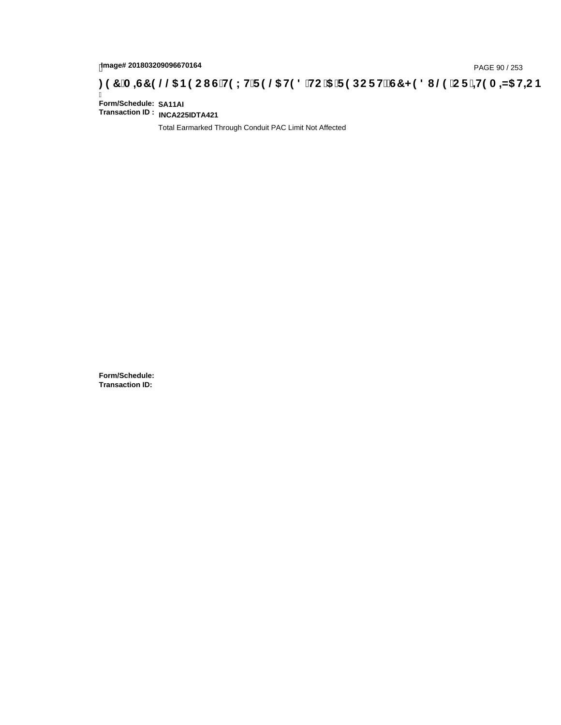# page# 201803209096670164<br>Denge# 201803209096670164<br>**(OD, CF + H9 A = A/5 H=C B + C) + C + G + H9 L H F 9 @ H9 8 FIC '5 F 9 DC F H** $\breve{c}$ **G7 < 9 8 I @ 'C F + H9 A = A/5 H=C B**

Ī **Form/Schedule: SA11AI Transaction ID : INCA225IDTA421**

Total Earmarked Through Conduit PAC Limit Not Affected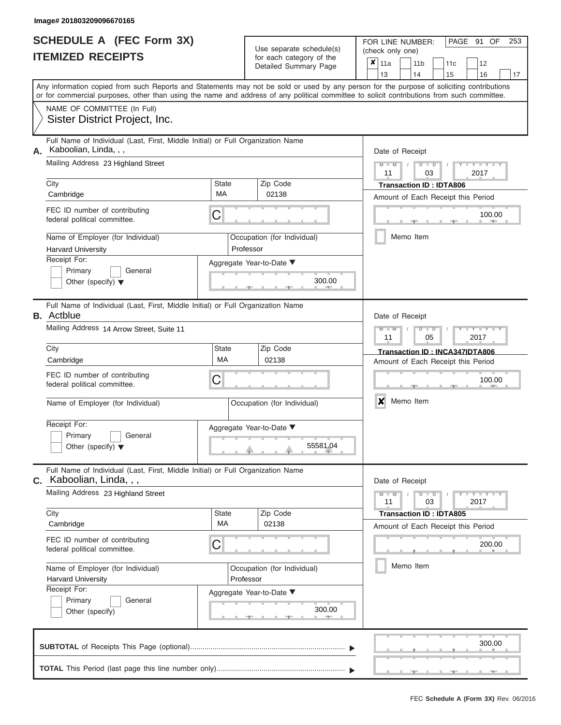|                          | SCHEDULE A (FEC Form 3X) |
|--------------------------|--------------------------|
| <b>ITEMIZED RECEIPTS</b> |                          |

FOR LINE NUMBER:<br>(check only one)

PAGE 91 OF 253

|    |                                                                                                                                            |                          |  | babii batogory<br>Detailed Summary Page | x      | 11a             |  | 11 <sub>b</sub> |               | 11c                            | 12                                 |    |  |  |  |  |
|----|--------------------------------------------------------------------------------------------------------------------------------------------|--------------------------|--|-----------------------------------------|--------|-----------------|--|-----------------|---------------|--------------------------------|------------------------------------|----|--|--|--|--|
|    | Any information copied from such Reports and Statements may not be sold or used by any person for the purpose of soliciting contributions  |                          |  |                                         |        | 13              |  | 14              |               | 15                             | 16                                 | 17 |  |  |  |  |
|    | or for commercial purposes, other than using the name and address of any political committee to solicit contributions from such committee. |                          |  |                                         |        |                 |  |                 |               |                                |                                    |    |  |  |  |  |
|    | NAME OF COMMITTEE (In Full)                                                                                                                |                          |  |                                         |        |                 |  |                 |               |                                |                                    |    |  |  |  |  |
|    | Sister District Project, Inc.                                                                                                              |                          |  |                                         |        |                 |  |                 |               |                                |                                    |    |  |  |  |  |
| А. | Full Name of Individual (Last, First, Middle Initial) or Full Organization Name<br>Kaboolian, Linda, , ,                                   |                          |  |                                         |        | Date of Receipt |  |                 |               |                                |                                    |    |  |  |  |  |
|    | Mailing Address 23 Highland Street                                                                                                         |                          |  |                                         |        | $M - M$<br>11   |  |                 | $D$ $D$<br>03 |                                | $Y - Y - I$<br>2017                |    |  |  |  |  |
|    | City                                                                                                                                       | <b>State</b>             |  | Zip Code                                |        |                 |  |                 |               | <b>Transaction ID: IDTA806</b> |                                    |    |  |  |  |  |
|    | Cambridge                                                                                                                                  | МA                       |  | 02138                                   |        |                 |  |                 |               |                                | Amount of Each Receipt this Period |    |  |  |  |  |
|    | FEC ID number of contributing<br>federal political committee.                                                                              | С                        |  |                                         | 100.00 |                 |  |                 |               |                                |                                    |    |  |  |  |  |
|    | Name of Employer (for Individual)<br><b>Harvard University</b>                                                                             | Professor                |  | Occupation (for Individual)             |        |                 |  | Memo Item       |               |                                |                                    |    |  |  |  |  |
|    | Receipt For:                                                                                                                               | Aggregate Year-to-Date ▼ |  |                                         |        |                 |  |                 |               |                                |                                    |    |  |  |  |  |
|    | Primary<br>General<br>Other (specify) $\blacktriangledown$                                                                                 |                          |  |                                         |        |                 |  |                 |               |                                |                                    |    |  |  |  |  |
|    | Full Name of Individual (Last, First, Middle Initial) or Full Organization Name<br><b>B.</b> Actblue                                       |                          |  |                                         |        | Date of Receipt |  |                 |               |                                |                                    |    |  |  |  |  |
|    | Mailing Address 14 Arrow Street, Suite 11                                                                                                  |                          |  |                                         |        | $M - M$<br>11   |  |                 | $D$ $D$<br>05 |                                | $Y - Y$<br>2017                    |    |  |  |  |  |
|    | City                                                                                                                                       | <b>State</b>             |  | Zip Code                                |        |                 |  |                 |               |                                | Transaction ID: INCA347IDTA806     |    |  |  |  |  |
|    | Cambridge                                                                                                                                  | MA                       |  | 02138                                   |        |                 |  |                 |               |                                | Amount of Each Receipt this Period |    |  |  |  |  |
|    | FEC ID number of contributing<br>federal political committee.                                                                              | С                        |  |                                         |        | 100.00          |  |                 |               |                                |                                    |    |  |  |  |  |
|    | Name of Employer (for Individual)                                                                                                          |                          |  | Occupation (for Individual)             |        | X               |  | Memo Item       |               |                                |                                    |    |  |  |  |  |
|    | Receipt For:<br>Primary<br>General<br>Other (specify) $\blacktriangledown$                                                                 | Aggregate Year-to-Date ▼ |  | 55581.04                                |        |                 |  |                 |               |                                |                                    |    |  |  |  |  |
|    |                                                                                                                                            |                          |  |                                         |        |                 |  |                 |               |                                |                                    |    |  |  |  |  |
|    | Full Name of Individual (Last, First, Middle Initial) or Full Organization Name<br>C. Kaboolian, Linda, , ,                                |                          |  |                                         |        | Date of Receipt |  |                 |               |                                |                                    |    |  |  |  |  |
|    | Mailing Address 23 Highland Street                                                                                                         |                          |  |                                         |        | $M - M$<br>11   |  |                 | $D$ $D$<br>03 |                                | Y = Y = Y = Y<br>2017              |    |  |  |  |  |
|    | City                                                                                                                                       | <b>State</b><br>МA       |  | Zip Code<br>02138                       |        |                 |  |                 |               | <b>Transaction ID: IDTA805</b> |                                    |    |  |  |  |  |
|    | Cambridge                                                                                                                                  |                          |  |                                         |        |                 |  |                 |               |                                | Amount of Each Receipt this Period |    |  |  |  |  |
|    | FEC ID number of contributing<br>federal political committee.                                                                              | С                        |  |                                         |        |                 |  |                 |               |                                | 200.00                             |    |  |  |  |  |
|    | Name of Employer (for Individual)<br><b>Harvard University</b>                                                                             | Professor                |  | Occupation (for Individual)             |        |                 |  | Memo Item       |               |                                |                                    |    |  |  |  |  |
|    | Receipt For:                                                                                                                               | Aggregate Year-to-Date ▼ |  |                                         |        |                 |  |                 |               |                                |                                    |    |  |  |  |  |
|    | Primary<br>General<br>Other (specify)                                                                                                      |                          |  | 300.00                                  |        |                 |  |                 |               |                                |                                    |    |  |  |  |  |
|    |                                                                                                                                            |                          |  |                                         |        |                 |  |                 |               |                                | 300.00                             |    |  |  |  |  |
|    |                                                                                                                                            |                          |  |                                         |        |                 |  |                 |               |                                |                                    |    |  |  |  |  |
|    |                                                                                                                                            |                          |  |                                         |        |                 |  |                 |               |                                |                                    |    |  |  |  |  |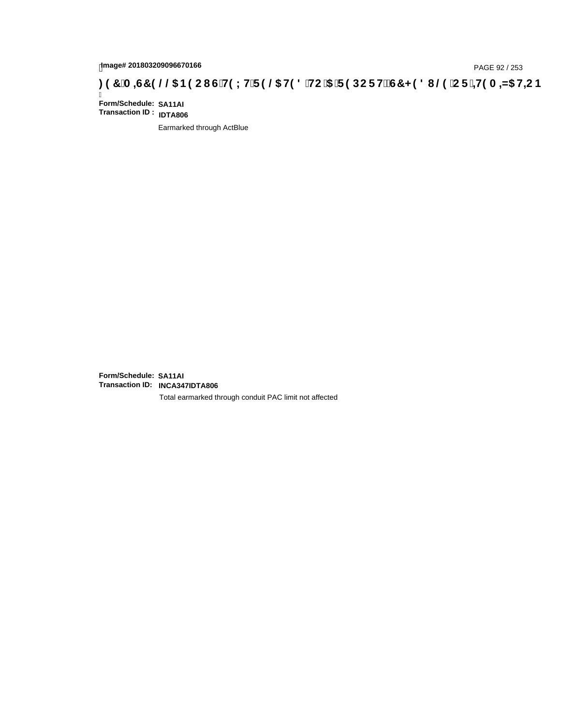# tmage# 201803209096670166<br>DAGE 92 / 253 DOC PHO US HO 15 TP 9 DOC FH2 G7 < 9 8 I @ CF in A A A HO H + 19 A - A SH + C B بـ 37 `A = 45 H + C B

Ī **Form/Schedule: SA11AI Transaction ID : IDTA806**

Earmarked through ActBlue

**Form/Schedule: SA11AI Transaction ID: INCA347IDTA806**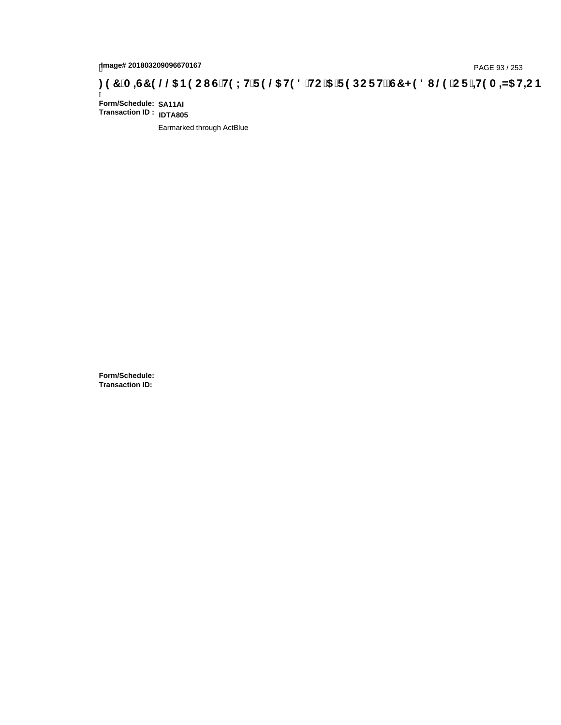# page# 201803209096670167<br>Denge# 201803209096670167 (G`H9LH`F9 @ H98 `HC `5 `F9 DCF HžG7 < 98 I @ `CF `<del>J I</del>9 A <del>A</del>5 H=C B : 97 `A =67 9 @ B9 C I G`H9 LH`F 9 @ H98 `HC `5 `F 9 DCF HžG7 < 98 I @ `CF `<del>J I</del>9 A =N5 H=C B

Ī **Form/Schedule: SA11AI Transaction ID : IDTA805**

Earmarked through ActBlue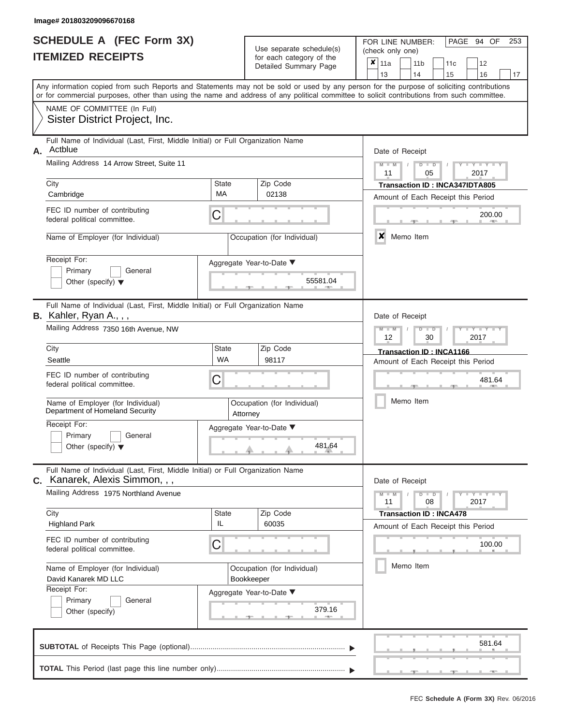|                          | <b>SCHEDULE A (FEC Form 3X)</b> |
|--------------------------|---------------------------------|
| <b>ITEMIZED RECEIPTS</b> |                                 |

| SCHEDULE A (FEC Form 3X)<br><b>ITEMIZED RECEIPTS</b>                                                              | Use separate schedule(s)<br>for each category of the<br>Detailed Summary Page | 253<br>FOR LINE NUMBER:<br>PAGE 94 OF<br>(check only one)<br>$\boldsymbol{x}$<br>11a<br>11 <sub>b</sub><br>12<br>11 <sub>c</sub>                                                                                                                                                        |
|-------------------------------------------------------------------------------------------------------------------|-------------------------------------------------------------------------------|-----------------------------------------------------------------------------------------------------------------------------------------------------------------------------------------------------------------------------------------------------------------------------------------|
|                                                                                                                   |                                                                               | 13<br>14<br>15<br>16<br>17                                                                                                                                                                                                                                                              |
|                                                                                                                   |                                                                               | Any information copied from such Reports and Statements may not be sold or used by any person for the purpose of soliciting contributions<br>or for commercial purposes, other than using the name and address of any political committee to solicit contributions from such committee. |
| NAME OF COMMITTEE (In Full)<br>Sister District Project, Inc.                                                      |                                                                               |                                                                                                                                                                                                                                                                                         |
| Full Name of Individual (Last, First, Middle Initial) or Full Organization Name<br>Actblue<br>Α.                  |                                                                               | Date of Receipt                                                                                                                                                                                                                                                                         |
| Mailing Address 14 Arrow Street, Suite 11                                                                         |                                                                               | $M = M$ /<br>Y TYT<br>$D$ $D$<br>11<br>05<br>2017                                                                                                                                                                                                                                       |
| City                                                                                                              | Zip Code<br><b>State</b>                                                      | Transaction ID: INCA347IDTA805                                                                                                                                                                                                                                                          |
| Cambridge                                                                                                         | MA<br>02138                                                                   | Amount of Each Receipt this Period                                                                                                                                                                                                                                                      |
| FEC ID number of contributing<br>federal political committee.                                                     | C                                                                             | 200.00<br><b>1. 400</b>                                                                                                                                                                                                                                                                 |
| Name of Employer (for Individual)                                                                                 | Occupation (for Individual)                                                   | ×<br>Memo Item                                                                                                                                                                                                                                                                          |
| Receipt For:                                                                                                      | Aggregate Year-to-Date ▼                                                      |                                                                                                                                                                                                                                                                                         |
| Primary<br>General<br>Other (specify) $\blacktriangledown$                                                        | 55581.04                                                                      |                                                                                                                                                                                                                                                                                         |
| Full Name of Individual (Last, First, Middle Initial) or Full Organization Name<br>B. Kahler, Ryan A., , ,        |                                                                               | Date of Receipt                                                                                                                                                                                                                                                                         |
| Mailing Address 7350 16th Avenue, NW                                                                              |                                                                               | $M - M$<br>$D$ $\Box$ $D$<br>$T - Y = T - T$<br>12<br>2017<br>30                                                                                                                                                                                                                        |
| City                                                                                                              | State<br>Zip Code                                                             | Transaction ID: INCA1166                                                                                                                                                                                                                                                                |
| Seattle                                                                                                           | WA<br>98117                                                                   | Amount of Each Receipt this Period                                                                                                                                                                                                                                                      |
| FEC ID number of contributing<br>federal political committee.                                                     | C                                                                             | 481.64                                                                                                                                                                                                                                                                                  |
| Name of Employer (for Individual)<br>Department of Homeland Security                                              | Occupation (for Individual)<br>Attorney                                       | Memo Item                                                                                                                                                                                                                                                                               |
| Receipt For:                                                                                                      | Aggregate Year-to-Date ▼                                                      |                                                                                                                                                                                                                                                                                         |
| Primary<br>General<br>Other (specify) $\blacktriangledown$                                                        | 481.64                                                                        |                                                                                                                                                                                                                                                                                         |
| Full Name of Individual (Last, First, Middle Initial) or Full Organization Name<br>C. Kanarek, Alexis Simmon, , , |                                                                               | Date of Receipt                                                                                                                                                                                                                                                                         |
| Mailing Address 1975 Northland Avenue                                                                             |                                                                               | $M - M$<br>$D$ $D$<br>$-Y - Y - Y$<br>11<br>08<br>2017                                                                                                                                                                                                                                  |
| City<br><b>Highland Park</b>                                                                                      | Zip Code<br><b>State</b><br>IL<br>60035                                       | <b>Transaction ID: INCA478</b><br>Amount of Each Receipt this Period                                                                                                                                                                                                                    |
| FEC ID number of contributing<br>federal political committee.                                                     | C                                                                             | 100.00                                                                                                                                                                                                                                                                                  |
| Name of Employer (for Individual)<br>David Kanarek MD LLC                                                         | Occupation (for Individual)<br>Bookkeeper                                     | Memo Item                                                                                                                                                                                                                                                                               |
| Receipt For:<br>Primary<br>General<br>Other (specify)                                                             | Aggregate Year-to-Date ▼<br>379.16                                            |                                                                                                                                                                                                                                                                                         |
|                                                                                                                   |                                                                               | 581.64                                                                                                                                                                                                                                                                                  |
|                                                                                                                   |                                                                               |                                                                                                                                                                                                                                                                                         |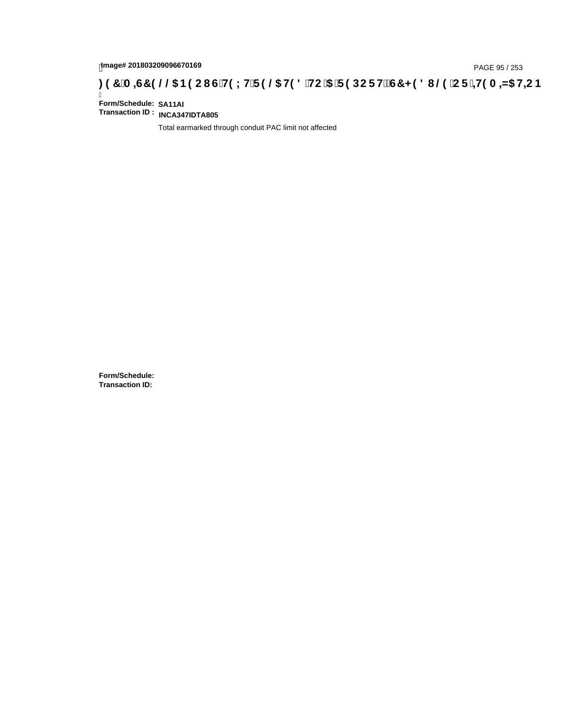# page# 201803209096670169<br>DAGE 95 / 253 DOC THOLH F 9 @ H9 8 HC '5 'F 9 DC F Hz G7 < 9 8 I @ 'C F '<del>1 I</del>9 A <del>A</del>5 H=C B : 97 'A =G7 9 @ & B9 C I G 'H9 LH F 9 @ H9 8 'HC '5 'F 9 DC F Hz G7 < 9 8 I

Ī **Form/Schedule: SA11AI Transaction ID : INCA347IDTA805**

Total earmarked through conduit PAC limit not affected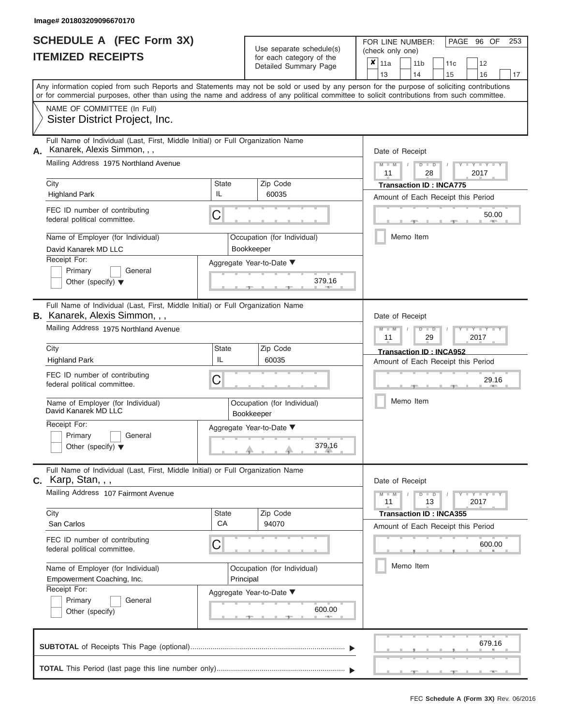|                          | <b>SCHEDULE A (FEC Form 3X)</b> |
|--------------------------|---------------------------------|
| <b>ITEMIZED RECEIPTS</b> |                                 |

FOR LINE NUMBER:<br>(check only one)

PAGE 96 OF 253

|    | II EMILED REVEIF I J                                                                                                     |             | ior each category of the                  |                                                                                                                                                                                                                                                                                                                                                                                                                                                                                                                                                                                                                                                                                                                                                                                                                                                                                                                                                                 | 11a |  |  |  |  |  |  | 12     |  |  |  |
|----|--------------------------------------------------------------------------------------------------------------------------|-------------|-------------------------------------------|-----------------------------------------------------------------------------------------------------------------------------------------------------------------------------------------------------------------------------------------------------------------------------------------------------------------------------------------------------------------------------------------------------------------------------------------------------------------------------------------------------------------------------------------------------------------------------------------------------------------------------------------------------------------------------------------------------------------------------------------------------------------------------------------------------------------------------------------------------------------------------------------------------------------------------------------------------------------|-----|--|--|--|--|--|--|--------|--|--|--|
|    |                                                                                                                          |             |                                           | ×<br>11 <sub>b</sub><br>11c<br>Detailed Summary Page<br>13<br>14<br>15<br>16<br>17<br>Any information copied from such Reports and Statements may not be sold or used by any person for the purpose of soliciting contributions<br>or for commercial purposes, other than using the name and address of any political committee to solicit contributions from such committee.<br>Date of Receipt<br>$M - M$<br>$D$ $D$<br>$Y = Y$<br>11<br>28<br>2017<br><b>Transaction ID: INCA775</b><br>Amount of Each Receipt this Period<br>50.00<br>Memo Item<br>379.16<br>Date of Receipt<br>$M - M$<br>$D$ $\Box$ $D$<br>$\overline{\phantom{a}}$<br>11<br>29<br>2017<br><b>Transaction ID: INCA952</b><br>Amount of Each Receipt this Period<br>29.16<br>Memo Item<br>379.16<br>Date of Receipt<br>$  Y$ $ Y$ $  Y$<br>$M - M$<br>$D$ $D$<br>11<br>13<br>2017<br><b>Transaction ID: INCA355</b><br>Amount of Each Receipt this Period<br>600.00<br>Memo Item<br>600.00 |     |  |  |  |  |  |  |        |  |  |  |
|    |                                                                                                                          |             |                                           |                                                                                                                                                                                                                                                                                                                                                                                                                                                                                                                                                                                                                                                                                                                                                                                                                                                                                                                                                                 |     |  |  |  |  |  |  |        |  |  |  |
|    | NAME OF COMMITTEE (In Full)<br>Sister District Project, Inc.                                                             |             |                                           |                                                                                                                                                                                                                                                                                                                                                                                                                                                                                                                                                                                                                                                                                                                                                                                                                                                                                                                                                                 |     |  |  |  |  |  |  |        |  |  |  |
| А. | Full Name of Individual (Last, First, Middle Initial) or Full Organization Name<br>Kanarek, Alexis Simmon, , ,           |             |                                           |                                                                                                                                                                                                                                                                                                                                                                                                                                                                                                                                                                                                                                                                                                                                                                                                                                                                                                                                                                 |     |  |  |  |  |  |  |        |  |  |  |
|    | Mailing Address 1975 Northland Avenue                                                                                    |             |                                           |                                                                                                                                                                                                                                                                                                                                                                                                                                                                                                                                                                                                                                                                                                                                                                                                                                                                                                                                                                 |     |  |  |  |  |  |  |        |  |  |  |
|    | City<br><b>Highland Park</b>                                                                                             | State<br>IL | Zip Code<br>60035                         |                                                                                                                                                                                                                                                                                                                                                                                                                                                                                                                                                                                                                                                                                                                                                                                                                                                                                                                                                                 |     |  |  |  |  |  |  |        |  |  |  |
|    | FEC ID number of contributing<br>federal political committee.                                                            | С           |                                           |                                                                                                                                                                                                                                                                                                                                                                                                                                                                                                                                                                                                                                                                                                                                                                                                                                                                                                                                                                 |     |  |  |  |  |  |  |        |  |  |  |
|    | Name of Employer (for Individual)<br>David Kanarek MD LLC                                                                |             | Occupation (for Individual)<br>Bookkeeper |                                                                                                                                                                                                                                                                                                                                                                                                                                                                                                                                                                                                                                                                                                                                                                                                                                                                                                                                                                 |     |  |  |  |  |  |  |        |  |  |  |
|    | Receipt For:<br>Primary<br>General<br>Other (specify) $\blacktriangledown$                                               |             | Aggregate Year-to-Date ▼                  |                                                                                                                                                                                                                                                                                                                                                                                                                                                                                                                                                                                                                                                                                                                                                                                                                                                                                                                                                                 |     |  |  |  |  |  |  |        |  |  |  |
|    | Full Name of Individual (Last, First, Middle Initial) or Full Organization Name<br><b>B.</b> Kanarek, Alexis Simmon, , , |             |                                           |                                                                                                                                                                                                                                                                                                                                                                                                                                                                                                                                                                                                                                                                                                                                                                                                                                                                                                                                                                 |     |  |  |  |  |  |  |        |  |  |  |
|    | Mailing Address 1975 Northland Avenue                                                                                    |             |                                           |                                                                                                                                                                                                                                                                                                                                                                                                                                                                                                                                                                                                                                                                                                                                                                                                                                                                                                                                                                 |     |  |  |  |  |  |  |        |  |  |  |
|    | City<br><b>Highland Park</b>                                                                                             | State<br>IL | Zip Code<br>60035                         |                                                                                                                                                                                                                                                                                                                                                                                                                                                                                                                                                                                                                                                                                                                                                                                                                                                                                                                                                                 |     |  |  |  |  |  |  |        |  |  |  |
|    | FEC ID number of contributing<br>federal political committee.                                                            | С           |                                           |                                                                                                                                                                                                                                                                                                                                                                                                                                                                                                                                                                                                                                                                                                                                                                                                                                                                                                                                                                 |     |  |  |  |  |  |  |        |  |  |  |
|    | Name of Employer (for Individual)<br>David Kanarek MD LLC                                                                |             | Occupation (for Individual)<br>Bookkeeper |                                                                                                                                                                                                                                                                                                                                                                                                                                                                                                                                                                                                                                                                                                                                                                                                                                                                                                                                                                 |     |  |  |  |  |  |  |        |  |  |  |
|    | Receipt For:<br>Primary<br>General<br>Other (specify) $\blacktriangledown$                                               |             | Aggregate Year-to-Date ▼                  |                                                                                                                                                                                                                                                                                                                                                                                                                                                                                                                                                                                                                                                                                                                                                                                                                                                                                                                                                                 |     |  |  |  |  |  |  |        |  |  |  |
| С. | Full Name of Individual (Last, First, Middle Initial) or Full Organization Name<br>Karp, Stan, , ,                       |             |                                           |                                                                                                                                                                                                                                                                                                                                                                                                                                                                                                                                                                                                                                                                                                                                                                                                                                                                                                                                                                 |     |  |  |  |  |  |  |        |  |  |  |
|    | Mailing Address 107 Fairmont Avenue                                                                                      |             |                                           |                                                                                                                                                                                                                                                                                                                                                                                                                                                                                                                                                                                                                                                                                                                                                                                                                                                                                                                                                                 |     |  |  |  |  |  |  |        |  |  |  |
|    | City<br>San Carlos                                                                                                       | State<br>CA | Zip Code<br>94070                         |                                                                                                                                                                                                                                                                                                                                                                                                                                                                                                                                                                                                                                                                                                                                                                                                                                                                                                                                                                 |     |  |  |  |  |  |  |        |  |  |  |
|    | FEC ID number of contributing<br>federal political committee.                                                            | C           |                                           |                                                                                                                                                                                                                                                                                                                                                                                                                                                                                                                                                                                                                                                                                                                                                                                                                                                                                                                                                                 |     |  |  |  |  |  |  |        |  |  |  |
|    | Name of Employer (for Individual)<br>Empowerment Coaching, Inc.                                                          | Principal   | Occupation (for Individual)               |                                                                                                                                                                                                                                                                                                                                                                                                                                                                                                                                                                                                                                                                                                                                                                                                                                                                                                                                                                 |     |  |  |  |  |  |  |        |  |  |  |
|    | Receipt For:<br>General<br>Primary<br>Other (specify)                                                                    |             | Aggregate Year-to-Date ▼                  |                                                                                                                                                                                                                                                                                                                                                                                                                                                                                                                                                                                                                                                                                                                                                                                                                                                                                                                                                                 |     |  |  |  |  |  |  |        |  |  |  |
|    |                                                                                                                          |             |                                           |                                                                                                                                                                                                                                                                                                                                                                                                                                                                                                                                                                                                                                                                                                                                                                                                                                                                                                                                                                 |     |  |  |  |  |  |  | 679.16 |  |  |  |
|    |                                                                                                                          |             |                                           |                                                                                                                                                                                                                                                                                                                                                                                                                                                                                                                                                                                                                                                                                                                                                                                                                                                                                                                                                                 |     |  |  |  |  |  |  |        |  |  |  |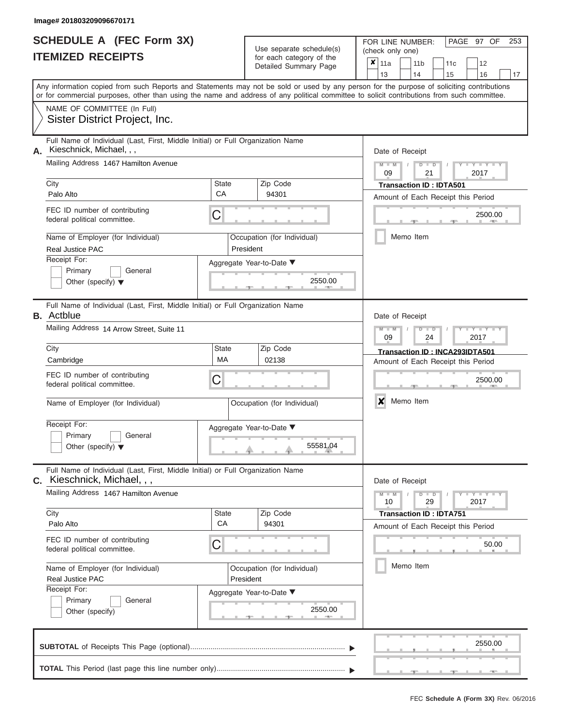|                          | <b>SCHEDULE A (FEC Form 3X)</b> |
|--------------------------|---------------------------------|
| <b>ITEMIZED RECEIPTS</b> |                                 |

FOR LINE NUMBER:<br>(check only one)

PAGE 97 OF 253

|    | IILMILLU NLVLIF IJ                                                                                                                         |                    |           | ior each calegory or the<br>Detailed Summary Page | x                                                                                   | 11a              |           |    | 11 <sub>b</sub> | 11c                                |  | 12                  |    |  |  |  |
|----|--------------------------------------------------------------------------------------------------------------------------------------------|--------------------|-----------|---------------------------------------------------|-------------------------------------------------------------------------------------|------------------|-----------|----|-----------------|------------------------------------|--|---------------------|----|--|--|--|
|    | Any information copied from such Reports and Statements may not be sold or used by any person for the purpose of soliciting contributions  |                    |           |                                                   |                                                                                     | 13               |           | 14 |                 | 15                                 |  | 16                  | 17 |  |  |  |
|    | or for commercial purposes, other than using the name and address of any political committee to solicit contributions from such committee. |                    |           |                                                   |                                                                                     |                  |           |    |                 |                                    |  |                     |    |  |  |  |
|    | NAME OF COMMITTEE (In Full)                                                                                                                |                    |           |                                                   |                                                                                     |                  |           |    |                 |                                    |  |                     |    |  |  |  |
|    | Sister District Project, Inc.                                                                                                              |                    |           |                                                   |                                                                                     |                  |           |    |                 |                                    |  |                     |    |  |  |  |
| А. | Full Name of Individual (Last, First, Middle Initial) or Full Organization Name<br>Kieschnick, Michael, , ,                                |                    |           |                                                   |                                                                                     | Date of Receipt  |           |    |                 |                                    |  |                     |    |  |  |  |
|    | Mailing Address 1467 Hamilton Avenue                                                                                                       |                    |           |                                                   | $M - M$<br>$D$ $D$<br>$Y = Y$<br>09<br>21<br>2017<br><b>Transaction ID: IDTA501</b> |                  |           |    |                 |                                    |  |                     |    |  |  |  |
|    | City<br>Palo Alto                                                                                                                          | <b>State</b><br>CA |           | Zip Code<br>94301                                 |                                                                                     |                  |           |    |                 |                                    |  |                     |    |  |  |  |
|    |                                                                                                                                            |                    |           |                                                   |                                                                                     |                  |           |    |                 | Amount of Each Receipt this Period |  |                     |    |  |  |  |
|    | FEC ID number of contributing<br>federal political committee.                                                                              | C                  |           |                                                   |                                                                                     |                  |           |    |                 |                                    |  | 2500.00             |    |  |  |  |
|    | Name of Employer (for Individual)<br>Real Justice PAC                                                                                      |                    | President | Occupation (for Individual)                       |                                                                                     |                  | Memo Item |    |                 |                                    |  |                     |    |  |  |  |
|    | Receipt For:                                                                                                                               |                    |           | Aggregate Year-to-Date ▼                          |                                                                                     |                  |           |    |                 |                                    |  |                     |    |  |  |  |
|    | Primary<br>General<br>Other (specify) $\blacktriangledown$                                                                                 |                    |           | 2550.00                                           |                                                                                     |                  |           |    |                 |                                    |  |                     |    |  |  |  |
|    | Full Name of Individual (Last, First, Middle Initial) or Full Organization Name<br><b>B.</b> Actblue                                       |                    |           |                                                   |                                                                                     | Date of Receipt  |           |    |                 |                                    |  |                     |    |  |  |  |
|    | Mailing Address 14 Arrow Street, Suite 11                                                                                                  |                    |           |                                                   |                                                                                     | $M - M$<br>09    |           |    | $D$ $D$<br>24   |                                    |  | $Y - Y$<br>2017     |    |  |  |  |
|    | City                                                                                                                                       | State              |           | Zip Code                                          |                                                                                     |                  |           |    |                 | Transaction ID: INCA293IDTA501     |  |                     |    |  |  |  |
|    | Cambridge                                                                                                                                  | <b>MA</b>          |           | 02138                                             | Amount of Each Receipt this Period                                                  |                  |           |    |                 |                                    |  |                     |    |  |  |  |
|    | FEC ID number of contributing<br>federal political committee.                                                                              | С                  |           |                                                   |                                                                                     |                  |           |    |                 |                                    |  | 2500.00             |    |  |  |  |
|    | Name of Employer (for Individual)                                                                                                          |                    |           | Occupation (for Individual)                       |                                                                                     | $\boldsymbol{x}$ | Memo Item |    |                 |                                    |  |                     |    |  |  |  |
|    | Receipt For:                                                                                                                               |                    |           | Aggregate Year-to-Date ▼                          |                                                                                     |                  |           |    |                 |                                    |  |                     |    |  |  |  |
|    | Primary<br>General<br>Other (specify) $\blacktriangledown$                                                                                 |                    |           | 55581.04                                          |                                                                                     |                  |           |    |                 |                                    |  |                     |    |  |  |  |
|    | Full Name of Individual (Last, First, Middle Initial) or Full Organization Name<br>C. Kieschnick, Michael, , ,                             |                    |           |                                                   |                                                                                     | Date of Receipt  |           |    |                 |                                    |  |                     |    |  |  |  |
|    | Mailing Address 1467 Hamilton Avenue                                                                                                       |                    |           |                                                   |                                                                                     | $M - M$<br>10    |           |    | $D$ $D$<br>29   |                                    |  | $Y = Y = Y$<br>2017 |    |  |  |  |
|    | City                                                                                                                                       | <b>State</b><br>CA |           | Zip Code                                          |                                                                                     |                  |           |    |                 | <b>Transaction ID: IDTA751</b>     |  |                     |    |  |  |  |
|    | Palo Alto                                                                                                                                  |                    |           | 94301                                             |                                                                                     |                  |           |    |                 | Amount of Each Receipt this Period |  |                     |    |  |  |  |
|    | FEC ID number of contributing<br>federal political committee.                                                                              | С                  |           |                                                   |                                                                                     |                  |           |    |                 |                                    |  | 50.00               |    |  |  |  |
|    | Name of Employer (for Individual)<br><b>Real Justice PAC</b>                                                                               |                    | President | Occupation (for Individual)                       |                                                                                     |                  | Memo Item |    |                 |                                    |  |                     |    |  |  |  |
|    | Receipt For:<br>General                                                                                                                    |                    |           | Aggregate Year-to-Date ▼                          |                                                                                     |                  |           |    |                 |                                    |  |                     |    |  |  |  |
|    | Primary<br>Other (specify)                                                                                                                 |                    |           | 2550.00                                           |                                                                                     |                  |           |    |                 |                                    |  |                     |    |  |  |  |
|    |                                                                                                                                            |                    |           |                                                   |                                                                                     |                  |           |    |                 |                                    |  | 2550.00             |    |  |  |  |
|    |                                                                                                                                            |                    |           |                                                   |                                                                                     |                  |           |    |                 |                                    |  |                     |    |  |  |  |

 ▲ ▲ ▲ , , .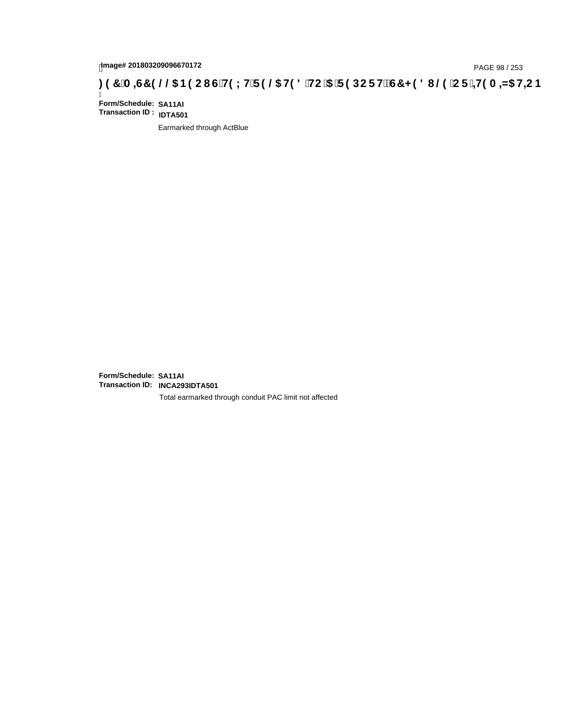# page# 201803209096670172<br>Denge# 201803209096670172<br>**(@CF`+H9 A =N5 H=CB) TA =G7 9 @@B9 CI G`H9 LH`F 9 @ H9 8 `HC `5 `F 9 DC F H** $\breve{E}$ **G7 < 9 8 I**

Ī **Form/Schedule: SA11AI Transaction ID : IDTA501**

Earmarked through ActBlue

**Form/Schedule: SA11AI Transaction ID: INCA293IDTA501**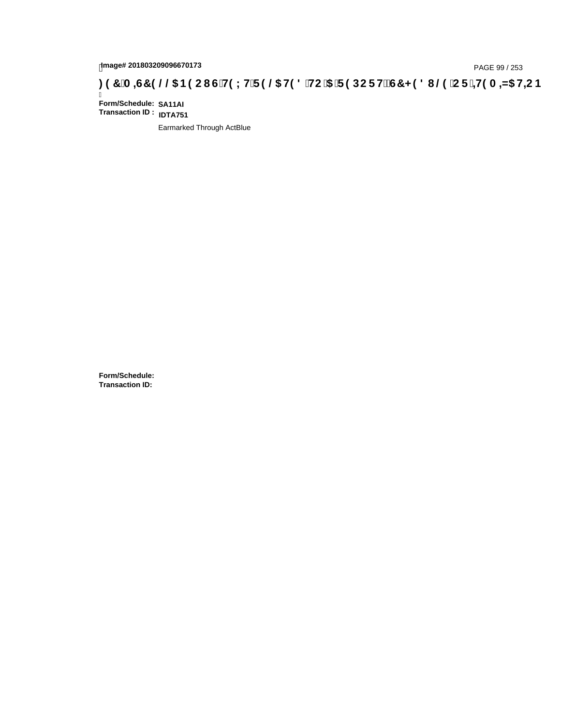# page# 201803209096670173<br>DAGE 99 / 253 PAGE 99 / 253<br>**DAGE 99 OCS B9 CIG H9 LH F 9 @ H9 8 HC 5 F 9 DC F H2 G7 < 9 8 I @ C F <del>i H</del>9 A =N5 H=C B**

Ī **Form/Schedule: SA11AI Transaction ID : IDTA751**

Earmarked Through ActBlue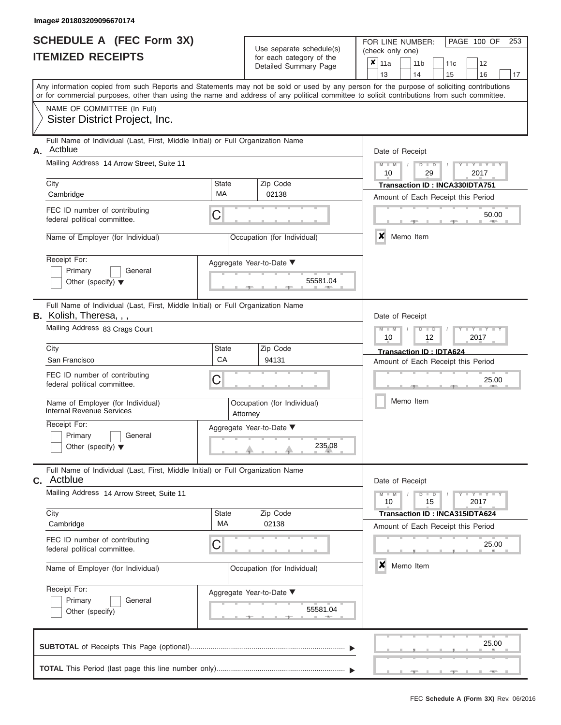|                          | <b>SCHEDULE A (FEC Form 3X)</b> |
|--------------------------|---------------------------------|
| <b>ITEMIZED RECEIPTS</b> |                                 |

FOR LINE NUMBER:<br>(check only one)

PAGE 100 OF 253

|    |                                                                                                                                            |                          |                                                           | $0.0011$ $0.000901$ $y$ $0.010$<br>Detailed Summary Page | ×                       | 11a                                |                 | 11 <sub>b</sub>                                              | 11c                                | 12 |       |  |  |  |  |  |
|----|--------------------------------------------------------------------------------------------------------------------------------------------|--------------------------|-----------------------------------------------------------|----------------------------------------------------------|-------------------------|------------------------------------|-----------------|--------------------------------------------------------------|------------------------------------|----|-------|--|--|--|--|--|
|    | Any information copied from such Reports and Statements may not be sold or used by any person for the purpose of soliciting contributions  |                          |                                                           |                                                          |                         | 13                                 |                 | 14                                                           | 15                                 | 16 | 17    |  |  |  |  |  |
|    | or for commercial purposes, other than using the name and address of any political committee to solicit contributions from such committee. |                          |                                                           |                                                          |                         |                                    |                 |                                                              |                                    |    |       |  |  |  |  |  |
|    | NAME OF COMMITTEE (In Full)                                                                                                                |                          |                                                           |                                                          |                         |                                    |                 |                                                              |                                    |    |       |  |  |  |  |  |
|    | Sister District Project, Inc.                                                                                                              |                          |                                                           |                                                          |                         |                                    |                 |                                                              |                                    |    |       |  |  |  |  |  |
|    | Full Name of Individual (Last, First, Middle Initial) or Full Organization Name                                                            |                          |                                                           |                                                          |                         |                                    |                 |                                                              |                                    |    |       |  |  |  |  |  |
| А. | Actblue                                                                                                                                    |                          |                                                           |                                                          |                         |                                    | Date of Receipt |                                                              |                                    |    |       |  |  |  |  |  |
|    | Mailing Address 14 Arrow Street, Suite 11                                                                                                  |                          | $M$ $M$ $I$<br>$D$ $D$<br>$Y - Y - I$<br>2017<br>10<br>29 |                                                          |                         |                                    |                 |                                                              |                                    |    |       |  |  |  |  |  |
|    | City                                                                                                                                       | State                    |                                                           | Zip Code                                                 |                         |                                    |                 |                                                              | Transaction ID: INCA330IDTA751     |    |       |  |  |  |  |  |
|    | Cambridge                                                                                                                                  | МA                       |                                                           | 02138                                                    |                         | Amount of Each Receipt this Period |                 |                                                              |                                    |    |       |  |  |  |  |  |
|    | FEC ID number of contributing<br>federal political committee.                                                                              | C                        |                                                           |                                                          | 50.00                   |                                    |                 |                                                              |                                    |    |       |  |  |  |  |  |
|    |                                                                                                                                            |                          |                                                           |                                                          |                         |                                    |                 |                                                              |                                    |    |       |  |  |  |  |  |
|    | Name of Employer (for Individual)                                                                                                          |                          |                                                           | Occupation (for Individual)                              |                         | ×<br>Memo Item                     |                 |                                                              |                                    |    |       |  |  |  |  |  |
|    | Receipt For:                                                                                                                               | Aggregate Year-to-Date ▼ |                                                           |                                                          |                         |                                    |                 |                                                              |                                    |    |       |  |  |  |  |  |
|    | Primary<br>General                                                                                                                         |                          |                                                           |                                                          |                         |                                    |                 |                                                              |                                    |    |       |  |  |  |  |  |
|    | Other (specify) $\blacktriangledown$                                                                                                       |                          |                                                           | 55581.04                                                 |                         |                                    |                 |                                                              |                                    |    |       |  |  |  |  |  |
|    | Full Name of Individual (Last, First, Middle Initial) or Full Organization Name                                                            |                          |                                                           |                                                          |                         |                                    |                 |                                                              |                                    |    |       |  |  |  |  |  |
|    | <b>B.</b> Kolish, Theresa, , ,                                                                                                             |                          |                                                           |                                                          |                         |                                    |                 | Date of Receipt                                              |                                    |    |       |  |  |  |  |  |
|    | Mailing Address 83 Crags Court                                                                                                             |                          |                                                           |                                                          |                         |                                    |                 | $M - M$<br>$Y - Y - I$<br>$D$ $\Box$ $D$<br>10<br>12<br>2017 |                                    |    |       |  |  |  |  |  |
|    | City                                                                                                                                       | State                    |                                                           | Zip Code                                                 | Transaction ID: IDTA624 |                                    |                 |                                                              |                                    |    |       |  |  |  |  |  |
|    | San Francisco                                                                                                                              | CA                       |                                                           | 94131                                                    |                         | Amount of Each Receipt this Period |                 |                                                              |                                    |    |       |  |  |  |  |  |
|    | FEC ID number of contributing                                                                                                              | C                        |                                                           | 25.00                                                    |                         |                                    |                 |                                                              |                                    |    |       |  |  |  |  |  |
|    | federal political committee.                                                                                                               |                          |                                                           |                                                          |                         |                                    |                 |                                                              |                                    |    |       |  |  |  |  |  |
|    | Name of Employer (for Individual)<br><b>Internal Revenue Services</b>                                                                      |                          | Attorney                                                  | Occupation (for Individual)                              |                         | Memo Item                          |                 |                                                              |                                    |    |       |  |  |  |  |  |
|    | Receipt For:                                                                                                                               | Aggregate Year-to-Date ▼ |                                                           |                                                          |                         |                                    |                 |                                                              |                                    |    |       |  |  |  |  |  |
|    | Primary<br>General<br>Other (specify) $\blacktriangledown$                                                                                 |                          |                                                           | 235.08                                                   |                         |                                    |                 |                                                              |                                    |    |       |  |  |  |  |  |
|    |                                                                                                                                            |                          |                                                           |                                                          |                         |                                    |                 |                                                              |                                    |    |       |  |  |  |  |  |
|    | Full Name of Individual (Last, First, Middle Initial) or Full Organization Name<br><b>C.</b> Actblue                                       |                          |                                                           |                                                          |                         | Date of Receipt                    |                 |                                                              |                                    |    |       |  |  |  |  |  |
|    | Mailing Address 14 Arrow Street, Suite 11                                                                                                  |                          |                                                           |                                                          |                         |                                    |                 | $M - M$<br>$+Y+Y+Y$<br>$D$ $D$<br>10<br>15<br>2017           |                                    |    |       |  |  |  |  |  |
|    | City<br>Cambridge                                                                                                                          | State<br>МA              |                                                           | Zip Code<br>02138                                        |                         |                                    |                 |                                                              | Transaction ID: INCA315IDTA624     |    |       |  |  |  |  |  |
|    |                                                                                                                                            |                          |                                                           |                                                          |                         |                                    |                 |                                                              | Amount of Each Receipt this Period |    |       |  |  |  |  |  |
|    | FEC ID number of contributing<br>federal political committee.                                                                              | C                        |                                                           |                                                          |                         | 25.00<br>×<br>Memo Item            |                 |                                                              |                                    |    |       |  |  |  |  |  |
|    | Name of Employer (for Individual)                                                                                                          |                          |                                                           | Occupation (for Individual)                              |                         |                                    |                 |                                                              |                                    |    |       |  |  |  |  |  |
|    | Receipt For:                                                                                                                               |                          |                                                           | Aggregate Year-to-Date ▼                                 |                         |                                    |                 |                                                              |                                    |    |       |  |  |  |  |  |
|    | Primary<br>General                                                                                                                         |                          |                                                           | 55581.04                                                 |                         |                                    |                 |                                                              |                                    |    |       |  |  |  |  |  |
|    | Other (specify)                                                                                                                            |                          |                                                           |                                                          |                         |                                    |                 |                                                              |                                    |    |       |  |  |  |  |  |
|    |                                                                                                                                            |                          |                                                           |                                                          |                         |                                    |                 |                                                              |                                    |    | 25.00 |  |  |  |  |  |
|    |                                                                                                                                            |                          |                                                           |                                                          |                         |                                    |                 |                                                              |                                    |    |       |  |  |  |  |  |
|    |                                                                                                                                            |                          |                                                           |                                                          |                         |                                    |                 |                                                              |                                    |    | $-1$  |  |  |  |  |  |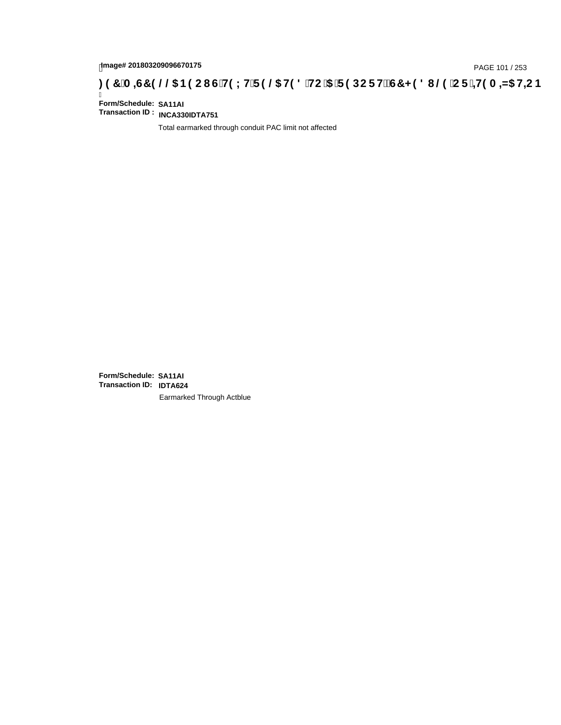# page# 201803209096670175<br>DAGE 101 / 253 PAGE 101 / 253<br>**DAGE 101 / 253 A = 45 HEC B (G'H9 LH'F 9 @ H9 8 'HC '5 'F 9 DC F H** $\breve{c}$ **G7 < 9 8 I**

Ī **Form/Schedule: SA11AI Transaction ID : INCA330IDTA751**

Total earmarked through conduit PAC limit not affected

**Form/Schedule: SA11AI Transaction ID: IDTA624**Earmarked Through Actblue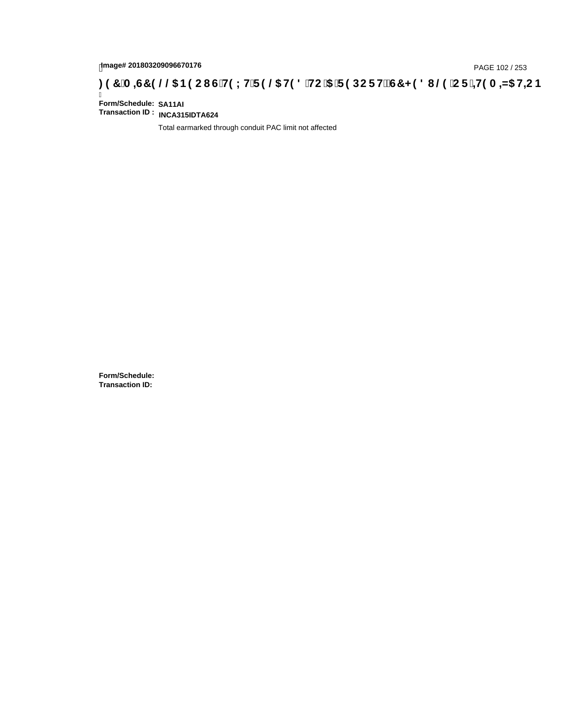# page# 201803209096670176<br>Denge# 201803209096670176<br>**(OD) CF :4+19 A =N5 H=C B (@D) B 9 C I G H9 L H F 9 @G H9 8 `HC `5 `F 9 DC F H** $\breve{c}$ **G7 < 9 8 I @D `C F `4+19 A =N5 H=C B**

Ī **Form/Schedule: SA11AI Transaction ID : INCA315IDTA624**

Total earmarked through conduit PAC limit not affected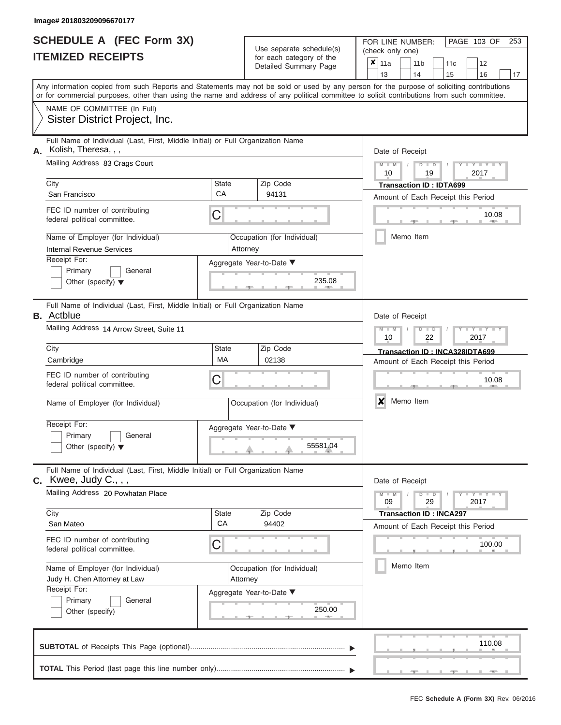|                          | <b>SCHEDULE A (FEC Form 3X)</b> |
|--------------------------|---------------------------------|
| <b>ITEMIZED RECEIPTS</b> |                                 |

Use separate schedule(s) (check only one) for each category of the  $\sqrt{2}$ 

FOR LINE NUMBER:<br>(check only one)

PAGE 103 OF 253

|    | IIEMIZED RECEIPIS                                                                                                                                                                                                                                                                       |                 | for each category of the<br>Detailed Summary Page | ×<br>12<br>11a<br>11 <sub>b</sub><br>11c<br>13<br>14<br>15<br>16<br>17                         |  |  |  |  |  |  |
|----|-----------------------------------------------------------------------------------------------------------------------------------------------------------------------------------------------------------------------------------------------------------------------------------------|-----------------|---------------------------------------------------|------------------------------------------------------------------------------------------------|--|--|--|--|--|--|
|    | Any information copied from such Reports and Statements may not be sold or used by any person for the purpose of soliciting contributions<br>or for commercial purposes, other than using the name and address of any political committee to solicit contributions from such committee. |                 |                                                   |                                                                                                |  |  |  |  |  |  |
|    | NAME OF COMMITTEE (In Full)<br>Sister District Project, Inc.                                                                                                                                                                                                                            |                 |                                                   |                                                                                                |  |  |  |  |  |  |
| А. | Full Name of Individual (Last, First, Middle Initial) or Full Organization Name<br>Kolish, Theresa, , ,<br>Mailing Address 83 Crags Court                                                                                                                                               | Date of Receipt |                                                   |                                                                                                |  |  |  |  |  |  |
|    | City                                                                                                                                                                                                                                                                                    | State           | Zip Code                                          | $Y = Y$<br>M<br>$\Box$<br>D<br>2017<br>10<br>19<br><b>Transaction ID: IDTA699</b>              |  |  |  |  |  |  |
|    | San Francisco                                                                                                                                                                                                                                                                           | CA              | 94131                                             | Amount of Each Receipt this Period                                                             |  |  |  |  |  |  |
|    | FEC ID number of contributing<br>federal political committee.                                                                                                                                                                                                                           | C               |                                                   | 10.08                                                                                          |  |  |  |  |  |  |
|    | Name of Employer (for Individual)<br>Internal Revenue Services                                                                                                                                                                                                                          | Attorney        | Occupation (for Individual)                       | Memo Item                                                                                      |  |  |  |  |  |  |
|    | Receipt For:<br>Primary<br>General<br>Other (specify) $\blacktriangledown$                                                                                                                                                                                                              |                 | Aggregate Year-to-Date ▼<br>235.08                |                                                                                                |  |  |  |  |  |  |
|    | Full Name of Individual (Last, First, Middle Initial) or Full Organization Name<br><b>B.</b> Actblue                                                                                                                                                                                    |                 |                                                   | Date of Receipt                                                                                |  |  |  |  |  |  |
|    | Mailing Address 14 Arrow Street, Suite 11                                                                                                                                                                                                                                               |                 |                                                   | Y TY<br>$M - 1$<br>$\overline{\mathbf{M}}$<br>$\overline{\mathsf{D}}$<br>D<br>22<br>10<br>2017 |  |  |  |  |  |  |
|    | City<br>Cambridge                                                                                                                                                                                                                                                                       | State<br>МA     | Zip Code<br>02138                                 | Transaction ID: INCA328IDTA699<br>Amount of Each Receipt this Period                           |  |  |  |  |  |  |
|    | FEC ID number of contributing<br>federal political committee.                                                                                                                                                                                                                           | C               |                                                   | 10.08                                                                                          |  |  |  |  |  |  |
|    | Name of Employer (for Individual)                                                                                                                                                                                                                                                       |                 | Occupation (for Individual)                       | Memo Item<br>x                                                                                 |  |  |  |  |  |  |
|    | Receipt For:<br>Primary<br>General<br>Other (specify) $\blacktriangledown$                                                                                                                                                                                                              |                 | Aggregate Year-to-Date ▼<br>55581.04              |                                                                                                |  |  |  |  |  |  |
|    | Full Name of Individual (Last, First, Middle Initial) or Full Organization Name<br>$c.$ Kwee, Judy $C.,$ ,                                                                                                                                                                              |                 |                                                   | Date of Receipt                                                                                |  |  |  |  |  |  |
|    | Mailing Address 20 Powhatan Place                                                                                                                                                                                                                                                       |                 |                                                   | Y - Y - Y<br>$D$ $D$<br>$M -$<br>29<br>09<br>2017                                              |  |  |  |  |  |  |
|    | City                                                                                                                                                                                                                                                                                    | State<br>CA     | Zip Code                                          | <b>Transaction ID: INCA297</b>                                                                 |  |  |  |  |  |  |
|    | San Mateo                                                                                                                                                                                                                                                                               |                 | 94402                                             | Amount of Each Receipt this Period                                                             |  |  |  |  |  |  |
|    | FEC ID number of contributing<br>federal political committee.                                                                                                                                                                                                                           | C               |                                                   | 100.00                                                                                         |  |  |  |  |  |  |
|    | Name of Employer (for Individual)<br>Judy H. Chen Attorney at Law                                                                                                                                                                                                                       | Attorney        | Occupation (for Individual)                       | Memo Item                                                                                      |  |  |  |  |  |  |
|    | Receipt For:                                                                                                                                                                                                                                                                            |                 | Aggregate Year-to-Date ▼                          |                                                                                                |  |  |  |  |  |  |
|    | Primary<br>General<br>Other (specify)                                                                                                                                                                                                                                                   |                 | 250.00                                            |                                                                                                |  |  |  |  |  |  |
|    |                                                                                                                                                                                                                                                                                         |                 |                                                   | 110.08                                                                                         |  |  |  |  |  |  |
|    |                                                                                                                                                                                                                                                                                         |                 |                                                   |                                                                                                |  |  |  |  |  |  |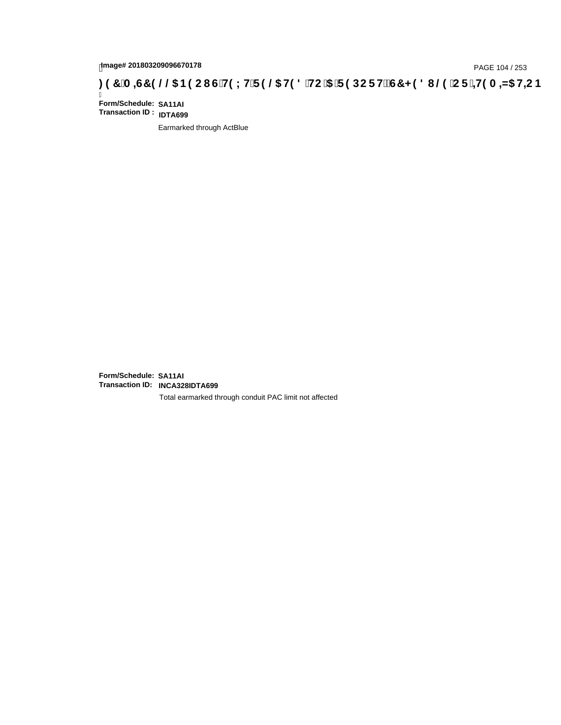# page# 201803209096670178<br>Denge# 201803209096670178<br>**(OD) CF +H9 A =N5 H=C B (@D) B9 CI G`H9 LH`F 9 @D H9 8 `HC `5 `F 9 DC F H** $\breve{c}$ **G7 < 9 8 I @D `C F `<del>+H</del>9 A =N5 H=C B**

Ī **Form/Schedule: SA11AI Transaction ID : IDTA699**

Earmarked through ActBlue

**Form/Schedule: SA11AI Transaction ID: INCA328IDTA699**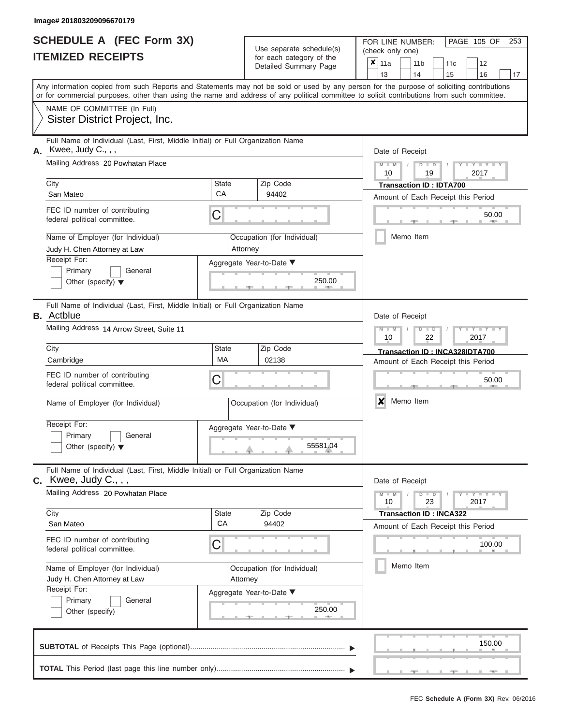|                          | <b>SCHEDULE A (FEC Form 3X)</b> |
|--------------------------|---------------------------------|
| <b>ITEMIZED RECEIPTS</b> |                                 |

FOR LINE NUMBER:<br>(check only one) Use separate schedule $(s)$  for each category of the

| <b>IIEMILED REVEIFIJ</b>                                                                                                                                                                                                                                                                |                                                                                 | for each category of the<br>Detailed Summary Page      |                                | ×<br>11a                                                 |    | 11 <sub>b</sub> |  | 11c                             |  | 12     |    |  |  |  |  |
|-----------------------------------------------------------------------------------------------------------------------------------------------------------------------------------------------------------------------------------------------------------------------------------------|---------------------------------------------------------------------------------|--------------------------------------------------------|--------------------------------|----------------------------------------------------------|----|-----------------|--|---------------------------------|--|--------|----|--|--|--|--|
|                                                                                                                                                                                                                                                                                         |                                                                                 |                                                        |                                | 13                                                       |    | 14              |  | 15                              |  | 16     | 17 |  |  |  |  |
| Any information copied from such Reports and Statements may not be sold or used by any person for the purpose of soliciting contributions<br>or for commercial purposes, other than using the name and address of any political committee to solicit contributions from such committee. |                                                                                 |                                                        |                                |                                                          |    |                 |  |                                 |  |        |    |  |  |  |  |
| NAME OF COMMITTEE (In Full)                                                                                                                                                                                                                                                             |                                                                                 |                                                        |                                |                                                          |    |                 |  |                                 |  |        |    |  |  |  |  |
| Sister District Project, Inc.                                                                                                                                                                                                                                                           |                                                                                 |                                                        |                                |                                                          |    |                 |  |                                 |  |        |    |  |  |  |  |
| Full Name of Individual (Last, First, Middle Initial) or Full Organization Name<br>Kwee, Judy C., , ,<br>А.                                                                                                                                                                             |                                                                                 |                                                        |                                | Date of Receipt                                          |    |                 |  |                                 |  |        |    |  |  |  |  |
| Mailing Address 20 Powhatan Place                                                                                                                                                                                                                                                       |                                                                                 |                                                        |                                | $M - M$<br>$D$ $\Box$ $D$<br>$Y = Y$<br>10<br>19<br>2017 |    |                 |  |                                 |  |        |    |  |  |  |  |
| City                                                                                                                                                                                                                                                                                    | State                                                                           | Zip Code                                               |                                |                                                          |    |                 |  | <b>Transaction ID: IDTA700</b>  |  |        |    |  |  |  |  |
| San Mateo                                                                                                                                                                                                                                                                               | CA                                                                              | 94402                                                  |                                | Amount of Each Receipt this Period                       |    |                 |  |                                 |  |        |    |  |  |  |  |
| FEC ID number of contributing<br>federal political committee.                                                                                                                                                                                                                           | C                                                                               |                                                        |                                |                                                          |    |                 |  |                                 |  | 50.00  |    |  |  |  |  |
| Name of Employer (for Individual)<br>Judy H. Chen Attorney at Law                                                                                                                                                                                                                       |                                                                                 | Occupation (for Individual)<br>Attorney                |                                |                                                          |    | Memo Item       |  |                                 |  |        |    |  |  |  |  |
| Receipt For:                                                                                                                                                                                                                                                                            | Aggregate Year-to-Date ▼                                                        |                                                        |                                |                                                          |    |                 |  |                                 |  |        |    |  |  |  |  |
| Primary<br>General                                                                                                                                                                                                                                                                      |                                                                                 |                                                        |                                |                                                          |    |                 |  |                                 |  |        |    |  |  |  |  |
| Other (specify) $\blacktriangledown$                                                                                                                                                                                                                                                    |                                                                                 | 250.00                                                 |                                |                                                          |    |                 |  |                                 |  |        |    |  |  |  |  |
| Full Name of Individual (Last, First, Middle Initial) or Full Organization Name<br><b>B.</b> Actblue                                                                                                                                                                                    |                                                                                 |                                                        |                                | Date of Receipt                                          |    |                 |  |                                 |  |        |    |  |  |  |  |
| Mailing Address 14 Arrow Street, Suite 11                                                                                                                                                                                                                                               |                                                                                 | $M - M$<br>$D$ $D$<br>$\mathbf{Y}$<br>10<br>22<br>2017 |                                |                                                          |    |                 |  |                                 |  |        |    |  |  |  |  |
| City                                                                                                                                                                                                                                                                                    | <b>State</b>                                                                    | Zip Code                                               | Transaction ID: INCA328IDTA700 |                                                          |    |                 |  |                                 |  |        |    |  |  |  |  |
| Cambridge                                                                                                                                                                                                                                                                               | MA                                                                              | 02138                                                  |                                | Amount of Each Receipt this Period                       |    |                 |  |                                 |  |        |    |  |  |  |  |
| FEC ID number of contributing<br>federal political committee.                                                                                                                                                                                                                           | C                                                                               |                                                        |                                | 50.00                                                    |    |                 |  |                                 |  |        |    |  |  |  |  |
| Name of Employer (for Individual)                                                                                                                                                                                                                                                       |                                                                                 | Occupation (for Individual)                            |                                | X                                                        |    | Memo Item       |  |                                 |  |        |    |  |  |  |  |
| Receipt For:                                                                                                                                                                                                                                                                            |                                                                                 | Aggregate Year-to-Date ▼                               |                                |                                                          |    |                 |  |                                 |  |        |    |  |  |  |  |
| Primary<br>General<br>Other (specify) $\blacktriangledown$                                                                                                                                                                                                                              |                                                                                 | 55581.04                                               |                                |                                                          |    |                 |  |                                 |  |        |    |  |  |  |  |
| $C.$ Kwee, Judy $C.,$ ,                                                                                                                                                                                                                                                                 | Full Name of Individual (Last, First, Middle Initial) or Full Organization Name |                                                        |                                |                                                          |    |                 |  |                                 |  |        |    |  |  |  |  |
| Mailing Address 20 Powhatan Place                                                                                                                                                                                                                                                       |                                                                                 | $M - M$<br>10                                          |                                | $D$ $D$                                                  | 23 |                 |  | $Y - Y - Y - Y - I - Y$<br>2017 |  |        |    |  |  |  |  |
| City                                                                                                                                                                                                                                                                                    | State                                                                           | Zip Code                                               |                                |                                                          |    |                 |  | <b>Transaction ID: INCA322</b>  |  |        |    |  |  |  |  |
| San Mateo                                                                                                                                                                                                                                                                               | СA                                                                              | 94402                                                  |                                | Amount of Each Receipt this Period                       |    |                 |  |                                 |  |        |    |  |  |  |  |
| FEC ID number of contributing<br>federal political committee.                                                                                                                                                                                                                           | C                                                                               |                                                        |                                | 100.00                                                   |    |                 |  |                                 |  |        |    |  |  |  |  |
| Name of Employer (for Individual)                                                                                                                                                                                                                                                       | Occupation (for Individual)                                                     |                                                        |                                |                                                          |    |                 |  | Memo Item                       |  |        |    |  |  |  |  |
| Judy H. Chen Attorney at Law                                                                                                                                                                                                                                                            |                                                                                 | Attorney                                               |                                |                                                          |    |                 |  |                                 |  |        |    |  |  |  |  |
| Receipt For:                                                                                                                                                                                                                                                                            | Aggregate Year-to-Date ▼                                                        |                                                        |                                |                                                          |    |                 |  |                                 |  |        |    |  |  |  |  |
| Primary<br>General<br>Other (specify)                                                                                                                                                                                                                                                   |                                                                                 | 250.00                                                 |                                |                                                          |    |                 |  |                                 |  |        |    |  |  |  |  |
|                                                                                                                                                                                                                                                                                         |                                                                                 |                                                        |                                |                                                          |    |                 |  |                                 |  | 150.00 |    |  |  |  |  |
|                                                                                                                                                                                                                                                                                         |                                                                                 |                                                        |                                |                                                          |    |                 |  |                                 |  |        |    |  |  |  |  |

PAGE 105 OF 253

 ▲ ▲ ▲ , , .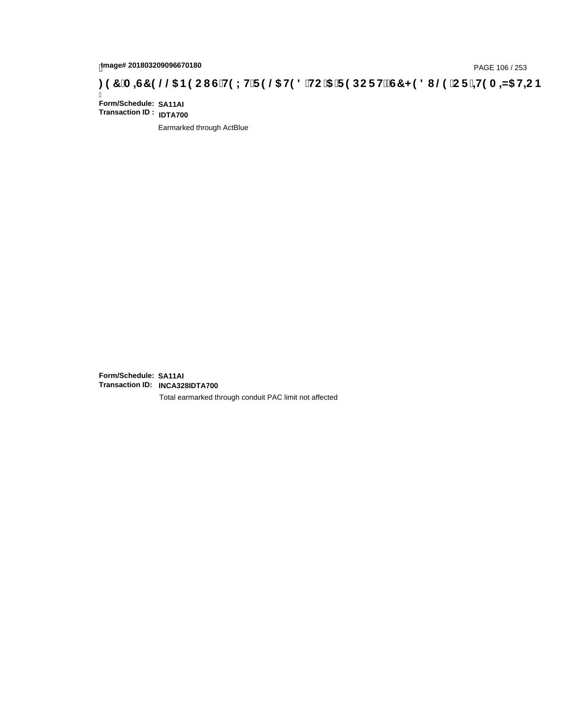# tmage# 201803209096670180<br>DAGE 106 / 253 PAGE 106 / 253<br>**DAGE 106 AMS HE CONTRES (2006 BOOING HE CHISLIF 9 @ HD 8 `HC `5 `F 9 DC F HE G7 < 9 8 I . @ `C F `<del>I 1</del>9 A <del>I</del>NG HE B**

Ī **Form/Schedule: SA11AI Transaction ID : IDTA700**

Earmarked through ActBlue

**Form/Schedule: SA11AI Transaction ID: INCA328IDTA700**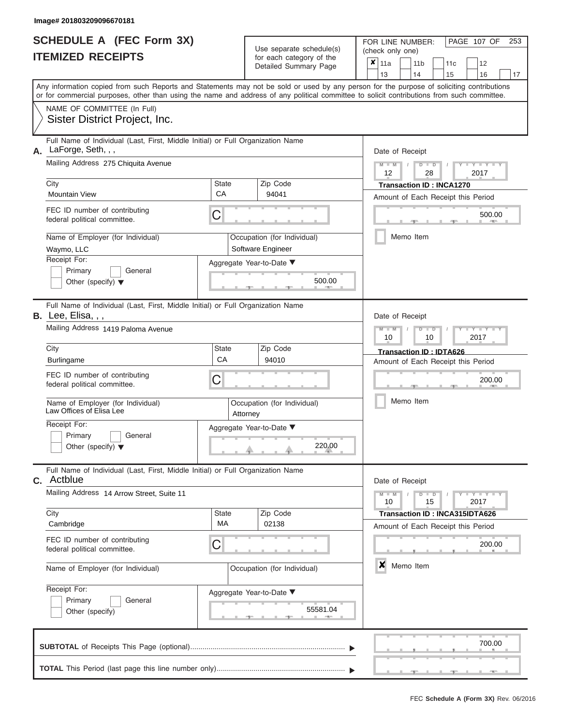| <b>SCHEDULE A (FEC Form 3X)</b> |  |
|---------------------------------|--|
| <b>ITEMIZED RECEIPTS</b>        |  |

FOR LINE NUMBER:<br>(check only one)

PAGE 107 OF 253

| Any information copied from such Reports and Statements may not be sold or used by any person for the purpose of soliciting contributions<br>or for commercial purposes, other than using the name and address of any political committee to solicit contributions from such committee.<br>NAME OF COMMITTEE (In Full)<br>Sister District Project, Inc.<br>Full Name of Individual (Last, First, Middle Initial) or Full Organization Name<br>LaForge, Seth, , ,<br>Date of Receipt<br>Mailing Address 275 Chiquita Avenue<br>$M - M$<br>$D$ $\Box$ $D$<br>Y TY T<br>$\sqrt{ }$<br>12<br>28<br>2017<br>Zip Code<br>City<br><b>State</b><br><b>Transaction ID: INCA1270</b><br>CA<br><b>Mountain View</b><br>94041<br>Amount of Each Receipt this Period<br>FEC ID number of contributing<br>С<br>500.00<br>federal political committee.<br>Memo Item<br>Name of Employer (for Individual)<br>Occupation (for Individual)<br>Waymo, LLC<br>Software Engineer<br>Receipt For:<br>Aggregate Year-to-Date ▼<br>Primary<br>General<br>500.00<br>Other (specify) $\blacktriangledown$<br>Full Name of Individual (Last, First, Middle Initial) or Full Organization Name<br>B. Lee, Elisa, , ,<br>Date of Receipt<br>Mailing Address 1419 Paloma Avenue<br>$M - M$<br>$D$ $D$<br>Y Y<br>2017<br>10<br>10<br>Zip Code<br>City<br><b>State</b><br>Transaction ID: IDTA626<br>CA<br>94010<br><b>Burlingame</b><br>Amount of Each Receipt this Period<br>FEC ID number of contributing<br>С<br>200.00<br>federal political committee.<br>Memo Item<br>Name of Employer (for Individual)<br>Occupation (for Individual)<br>Law Offices of Elisa Lee<br>Attorney<br>Receipt For:<br>Aggregate Year-to-Date ▼<br>Primary<br>General<br>220.00<br>Other (specify) $\blacktriangledown$<br>Full Name of Individual (Last, First, Middle Initial) or Full Organization Name<br>Actblue<br>Date of Receipt<br>Mailing Address 14 Arrow Street, Suite 11<br>$M - M$<br>$D$ $D$<br>$T - Y = T - Y = T - Y$<br>10<br>15<br>2017<br>Zip Code<br>City<br><b>State</b><br>Transaction ID: INCA315IDTA626<br>МA<br>02138<br>Cambridge<br>Amount of Each Receipt this Period<br>FEC ID number of contributing<br>С<br>200.00<br>federal political committee.<br>×<br>Memo Item<br>Name of Employer (for Individual)<br>Occupation (for Individual)<br>Receipt For:<br>Aggregate Year-to-Date ▼<br>Primary<br>General<br>55581.04<br>Other (specify)<br>700.00 |    |  |  | ioi caoii caiogoiy oi inc<br>Detailed Summary Page | × | 11a<br>13 |  | 11 <sub>b</sub><br>14 |  | 11c<br>15 | 12<br>16 | 17 |  |  |  |  |  |
|--------------------------------------------------------------------------------------------------------------------------------------------------------------------------------------------------------------------------------------------------------------------------------------------------------------------------------------------------------------------------------------------------------------------------------------------------------------------------------------------------------------------------------------------------------------------------------------------------------------------------------------------------------------------------------------------------------------------------------------------------------------------------------------------------------------------------------------------------------------------------------------------------------------------------------------------------------------------------------------------------------------------------------------------------------------------------------------------------------------------------------------------------------------------------------------------------------------------------------------------------------------------------------------------------------------------------------------------------------------------------------------------------------------------------------------------------------------------------------------------------------------------------------------------------------------------------------------------------------------------------------------------------------------------------------------------------------------------------------------------------------------------------------------------------------------------------------------------------------------------------------------------------------------------------------------------------------------------------------------------------------------------------------------------------------------------------------------------------------------------------------------------------------------------------------------------------------------------------------------------------------------------------------------------------------------------------------------------------------------------------------------------------------------------------------------|----|--|--|----------------------------------------------------|---|-----------|--|-----------------------|--|-----------|----------|----|--|--|--|--|--|
|                                                                                                                                                                                                                                                                                                                                                                                                                                                                                                                                                                                                                                                                                                                                                                                                                                                                                                                                                                                                                                                                                                                                                                                                                                                                                                                                                                                                                                                                                                                                                                                                                                                                                                                                                                                                                                                                                                                                                                                                                                                                                                                                                                                                                                                                                                                                                                                                                                      |    |  |  |                                                    |   |           |  |                       |  |           |          |    |  |  |  |  |  |
|                                                                                                                                                                                                                                                                                                                                                                                                                                                                                                                                                                                                                                                                                                                                                                                                                                                                                                                                                                                                                                                                                                                                                                                                                                                                                                                                                                                                                                                                                                                                                                                                                                                                                                                                                                                                                                                                                                                                                                                                                                                                                                                                                                                                                                                                                                                                                                                                                                      |    |  |  |                                                    |   |           |  |                       |  |           |          |    |  |  |  |  |  |
|                                                                                                                                                                                                                                                                                                                                                                                                                                                                                                                                                                                                                                                                                                                                                                                                                                                                                                                                                                                                                                                                                                                                                                                                                                                                                                                                                                                                                                                                                                                                                                                                                                                                                                                                                                                                                                                                                                                                                                                                                                                                                                                                                                                                                                                                                                                                                                                                                                      | А. |  |  |                                                    |   |           |  |                       |  |           |          |    |  |  |  |  |  |
|                                                                                                                                                                                                                                                                                                                                                                                                                                                                                                                                                                                                                                                                                                                                                                                                                                                                                                                                                                                                                                                                                                                                                                                                                                                                                                                                                                                                                                                                                                                                                                                                                                                                                                                                                                                                                                                                                                                                                                                                                                                                                                                                                                                                                                                                                                                                                                                                                                      |    |  |  |                                                    |   |           |  |                       |  |           |          |    |  |  |  |  |  |
|                                                                                                                                                                                                                                                                                                                                                                                                                                                                                                                                                                                                                                                                                                                                                                                                                                                                                                                                                                                                                                                                                                                                                                                                                                                                                                                                                                                                                                                                                                                                                                                                                                                                                                                                                                                                                                                                                                                                                                                                                                                                                                                                                                                                                                                                                                                                                                                                                                      |    |  |  |                                                    |   |           |  |                       |  |           |          |    |  |  |  |  |  |
|                                                                                                                                                                                                                                                                                                                                                                                                                                                                                                                                                                                                                                                                                                                                                                                                                                                                                                                                                                                                                                                                                                                                                                                                                                                                                                                                                                                                                                                                                                                                                                                                                                                                                                                                                                                                                                                                                                                                                                                                                                                                                                                                                                                                                                                                                                                                                                                                                                      |    |  |  |                                                    |   |           |  |                       |  |           |          |    |  |  |  |  |  |
|                                                                                                                                                                                                                                                                                                                                                                                                                                                                                                                                                                                                                                                                                                                                                                                                                                                                                                                                                                                                                                                                                                                                                                                                                                                                                                                                                                                                                                                                                                                                                                                                                                                                                                                                                                                                                                                                                                                                                                                                                                                                                                                                                                                                                                                                                                                                                                                                                                      |    |  |  |                                                    |   |           |  |                       |  |           |          |    |  |  |  |  |  |
|                                                                                                                                                                                                                                                                                                                                                                                                                                                                                                                                                                                                                                                                                                                                                                                                                                                                                                                                                                                                                                                                                                                                                                                                                                                                                                                                                                                                                                                                                                                                                                                                                                                                                                                                                                                                                                                                                                                                                                                                                                                                                                                                                                                                                                                                                                                                                                                                                                      |    |  |  |                                                    |   |           |  |                       |  |           |          |    |  |  |  |  |  |
|                                                                                                                                                                                                                                                                                                                                                                                                                                                                                                                                                                                                                                                                                                                                                                                                                                                                                                                                                                                                                                                                                                                                                                                                                                                                                                                                                                                                                                                                                                                                                                                                                                                                                                                                                                                                                                                                                                                                                                                                                                                                                                                                                                                                                                                                                                                                                                                                                                      |    |  |  |                                                    |   |           |  |                       |  |           |          |    |  |  |  |  |  |
|                                                                                                                                                                                                                                                                                                                                                                                                                                                                                                                                                                                                                                                                                                                                                                                                                                                                                                                                                                                                                                                                                                                                                                                                                                                                                                                                                                                                                                                                                                                                                                                                                                                                                                                                                                                                                                                                                                                                                                                                                                                                                                                                                                                                                                                                                                                                                                                                                                      |    |  |  |                                                    |   |           |  |                       |  |           |          |    |  |  |  |  |  |
|                                                                                                                                                                                                                                                                                                                                                                                                                                                                                                                                                                                                                                                                                                                                                                                                                                                                                                                                                                                                                                                                                                                                                                                                                                                                                                                                                                                                                                                                                                                                                                                                                                                                                                                                                                                                                                                                                                                                                                                                                                                                                                                                                                                                                                                                                                                                                                                                                                      |    |  |  |                                                    |   |           |  |                       |  |           |          |    |  |  |  |  |  |
|                                                                                                                                                                                                                                                                                                                                                                                                                                                                                                                                                                                                                                                                                                                                                                                                                                                                                                                                                                                                                                                                                                                                                                                                                                                                                                                                                                                                                                                                                                                                                                                                                                                                                                                                                                                                                                                                                                                                                                                                                                                                                                                                                                                                                                                                                                                                                                                                                                      |    |  |  |                                                    |   |           |  |                       |  |           |          |    |  |  |  |  |  |
|                                                                                                                                                                                                                                                                                                                                                                                                                                                                                                                                                                                                                                                                                                                                                                                                                                                                                                                                                                                                                                                                                                                                                                                                                                                                                                                                                                                                                                                                                                                                                                                                                                                                                                                                                                                                                                                                                                                                                                                                                                                                                                                                                                                                                                                                                                                                                                                                                                      |    |  |  |                                                    |   |           |  |                       |  |           |          |    |  |  |  |  |  |
|                                                                                                                                                                                                                                                                                                                                                                                                                                                                                                                                                                                                                                                                                                                                                                                                                                                                                                                                                                                                                                                                                                                                                                                                                                                                                                                                                                                                                                                                                                                                                                                                                                                                                                                                                                                                                                                                                                                                                                                                                                                                                                                                                                                                                                                                                                                                                                                                                                      |    |  |  |                                                    |   |           |  |                       |  |           |          |    |  |  |  |  |  |
|                                                                                                                                                                                                                                                                                                                                                                                                                                                                                                                                                                                                                                                                                                                                                                                                                                                                                                                                                                                                                                                                                                                                                                                                                                                                                                                                                                                                                                                                                                                                                                                                                                                                                                                                                                                                                                                                                                                                                                                                                                                                                                                                                                                                                                                                                                                                                                                                                                      | С. |  |  |                                                    |   |           |  |                       |  |           |          |    |  |  |  |  |  |
|                                                                                                                                                                                                                                                                                                                                                                                                                                                                                                                                                                                                                                                                                                                                                                                                                                                                                                                                                                                                                                                                                                                                                                                                                                                                                                                                                                                                                                                                                                                                                                                                                                                                                                                                                                                                                                                                                                                                                                                                                                                                                                                                                                                                                                                                                                                                                                                                                                      |    |  |  |                                                    |   |           |  |                       |  |           |          |    |  |  |  |  |  |
|                                                                                                                                                                                                                                                                                                                                                                                                                                                                                                                                                                                                                                                                                                                                                                                                                                                                                                                                                                                                                                                                                                                                                                                                                                                                                                                                                                                                                                                                                                                                                                                                                                                                                                                                                                                                                                                                                                                                                                                                                                                                                                                                                                                                                                                                                                                                                                                                                                      |    |  |  |                                                    |   |           |  |                       |  |           |          |    |  |  |  |  |  |
|                                                                                                                                                                                                                                                                                                                                                                                                                                                                                                                                                                                                                                                                                                                                                                                                                                                                                                                                                                                                                                                                                                                                                                                                                                                                                                                                                                                                                                                                                                                                                                                                                                                                                                                                                                                                                                                                                                                                                                                                                                                                                                                                                                                                                                                                                                                                                                                                                                      |    |  |  |                                                    |   |           |  |                       |  |           |          |    |  |  |  |  |  |
|                                                                                                                                                                                                                                                                                                                                                                                                                                                                                                                                                                                                                                                                                                                                                                                                                                                                                                                                                                                                                                                                                                                                                                                                                                                                                                                                                                                                                                                                                                                                                                                                                                                                                                                                                                                                                                                                                                                                                                                                                                                                                                                                                                                                                                                                                                                                                                                                                                      |    |  |  |                                                    |   |           |  |                       |  |           |          |    |  |  |  |  |  |
|                                                                                                                                                                                                                                                                                                                                                                                                                                                                                                                                                                                                                                                                                                                                                                                                                                                                                                                                                                                                                                                                                                                                                                                                                                                                                                                                                                                                                                                                                                                                                                                                                                                                                                                                                                                                                                                                                                                                                                                                                                                                                                                                                                                                                                                                                                                                                                                                                                      |    |  |  |                                                    |   |           |  |                       |  |           |          |    |  |  |  |  |  |
|                                                                                                                                                                                                                                                                                                                                                                                                                                                                                                                                                                                                                                                                                                                                                                                                                                                                                                                                                                                                                                                                                                                                                                                                                                                                                                                                                                                                                                                                                                                                                                                                                                                                                                                                                                                                                                                                                                                                                                                                                                                                                                                                                                                                                                                                                                                                                                                                                                      |    |  |  |                                                    |   |           |  |                       |  |           |          |    |  |  |  |  |  |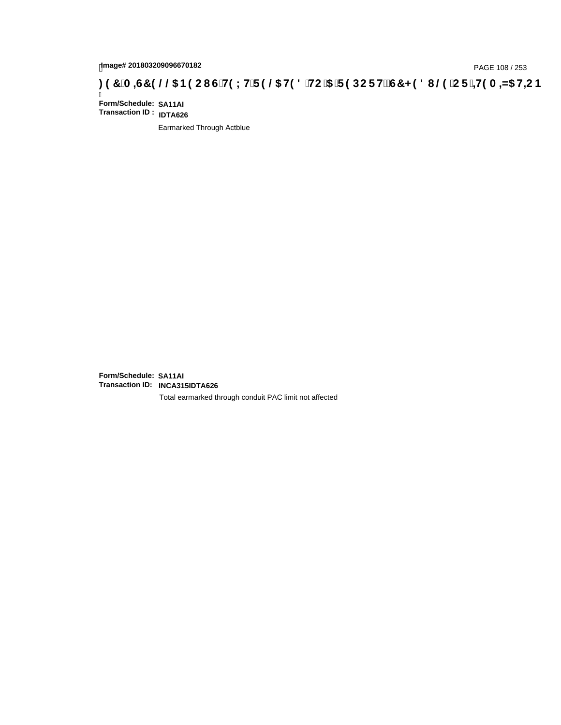# page# 201803209096670182<br>Denge# 201803209096670182<br>**(OD) CF +H9 A =N5 H=C B +R9 LH F 9 @ H9 8 `HC `5 `F 9 DC F Hž G7 < 9 8 I @ `C F `<del>I 1</del>9 A =N5 H=C B +RF + 19 A =N5 H=C B**

Ī **Form/Schedule: SA11AI Transaction ID : IDTA626**

Earmarked Through Actblue

**Form/Schedule: SA11AI Transaction ID: INCA315IDTA626**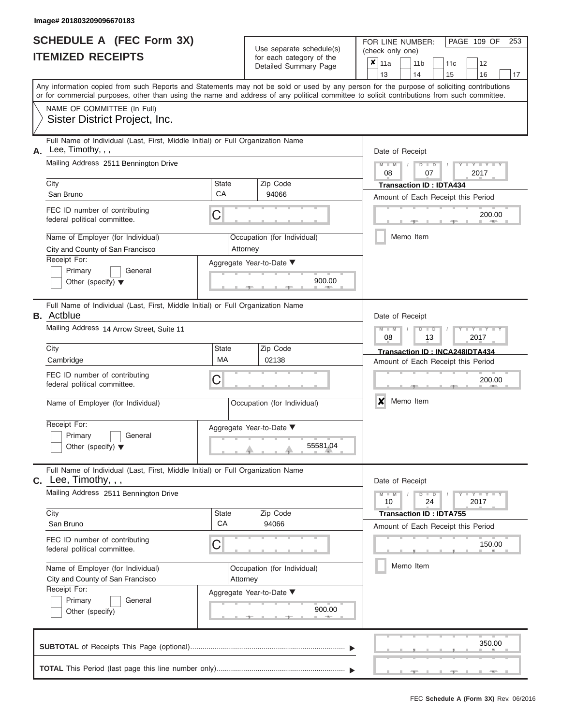|                          | SCHEDULE A (FEC Form 3X) |
|--------------------------|--------------------------|
| <b>ITEMIZED RECEIPTS</b> |                          |

|    | SCHEDULE A (FEC Form 3X)<br><b>ITEMIZED RECEIPTS</b>                                                                                                                                                                                                                                                                                                    |             | Use separate schedule(s)<br>for each category of the<br>Detailed Summary Page | FOR LINE NUMBER:<br>PAGE 109 OF<br>253<br>(check only one)<br>$\boldsymbol{x}$<br>11a<br>11 <sub>b</sub><br>12<br>11c<br>13<br>14<br>15<br>16<br>17 |
|----|---------------------------------------------------------------------------------------------------------------------------------------------------------------------------------------------------------------------------------------------------------------------------------------------------------------------------------------------------------|-------------|-------------------------------------------------------------------------------|-----------------------------------------------------------------------------------------------------------------------------------------------------|
|    | Any information copied from such Reports and Statements may not be sold or used by any person for the purpose of soliciting contributions<br>or for commercial purposes, other than using the name and address of any political committee to solicit contributions from such committee.<br>NAME OF COMMITTEE (In Full)<br>Sister District Project, Inc. |             |                                                                               |                                                                                                                                                     |
|    |                                                                                                                                                                                                                                                                                                                                                         |             |                                                                               |                                                                                                                                                     |
| А. | Full Name of Individual (Last, First, Middle Initial) or Full Organization Name<br>Lee, Timothy, , ,<br>Mailing Address 2511 Bennington Drive<br>City<br>San Bruno                                                                                                                                                                                      | State<br>CA | Zip Code<br>94066                                                             | Date of Receipt<br>$M - M$<br>$D$ $D$<br>$Y - Y - I$<br>08<br>07<br>2017<br><b>Transaction ID: IDTA434</b><br>Amount of Each Receipt this Period    |
|    | FEC ID number of contributing<br>federal political committee.<br>Name of Employer (for Individual)                                                                                                                                                                                                                                                      | С           | Occupation (for Individual)                                                   | 200.00<br><b>AND IN</b><br>Memo Item                                                                                                                |
|    | City and County of San Francisco<br>Receipt For:<br>Primary<br>General<br>Other (specify) $\blacktriangledown$                                                                                                                                                                                                                                          |             | Attorney<br>Aggregate Year-to-Date ▼<br>900.00                                |                                                                                                                                                     |
|    | Full Name of Individual (Last, First, Middle Initial) or Full Organization Name<br><b>B.</b> Actblue<br>Mailing Address 14 Arrow Street, Suite 11                                                                                                                                                                                                       |             |                                                                               | Date of Receipt<br>$M - M$<br>$D$ $\Box$ $D$<br>Y Y                                                                                                 |
|    | City<br>Cambridge                                                                                                                                                                                                                                                                                                                                       | State<br>MA | Zip Code<br>02138                                                             | 08<br>2017<br>13<br>Transaction ID: INCA248IDTA434<br>Amount of Each Receipt this Period                                                            |
|    | FEC ID number of contributing<br>federal political committee.<br>Name of Employer (for Individual)                                                                                                                                                                                                                                                      | С           | Occupation (for Individual)                                                   | 200.00<br>X<br>Memo Item                                                                                                                            |
|    | Receipt For:<br>Primary<br>General<br>Other (specify) $\blacktriangledown$                                                                                                                                                                                                                                                                              |             | Aggregate Year-to-Date ▼<br>55581.04                                          |                                                                                                                                                     |
|    | Full Name of Individual (Last, First, Middle Initial) or Full Organization Name<br>$C.$ Lee, Timothy, , ,                                                                                                                                                                                                                                               |             |                                                                               | Date of Receipt                                                                                                                                     |
|    | Mailing Address 2511 Bennington Drive                                                                                                                                                                                                                                                                                                                   |             |                                                                               | $M - M$<br>$D$ $D$<br>24<br>2017<br>10                                                                                                              |
|    | City<br>San Bruno<br>FEC ID number of contributing                                                                                                                                                                                                                                                                                                      | State<br>CA | Zip Code<br>94066                                                             | <b>Transaction ID: IDTA755</b><br>Amount of Each Receipt this Period                                                                                |
|    | federal political committee.<br>Name of Employer (for Individual)                                                                                                                                                                                                                                                                                       | С           | Occupation (for Individual)                                                   | 150.00<br>Memo Item                                                                                                                                 |
|    | City and County of San Francisco<br>Receipt For:<br>Primary<br>General<br>Other (specify)                                                                                                                                                                                                                                                               |             | Attorney<br>Aggregate Year-to-Date ▼<br>900.00                                |                                                                                                                                                     |
|    |                                                                                                                                                                                                                                                                                                                                                         |             |                                                                               | 350.00                                                                                                                                              |
|    |                                                                                                                                                                                                                                                                                                                                                         |             |                                                                               |                                                                                                                                                     |

 ▲ ▲ ▲ , , .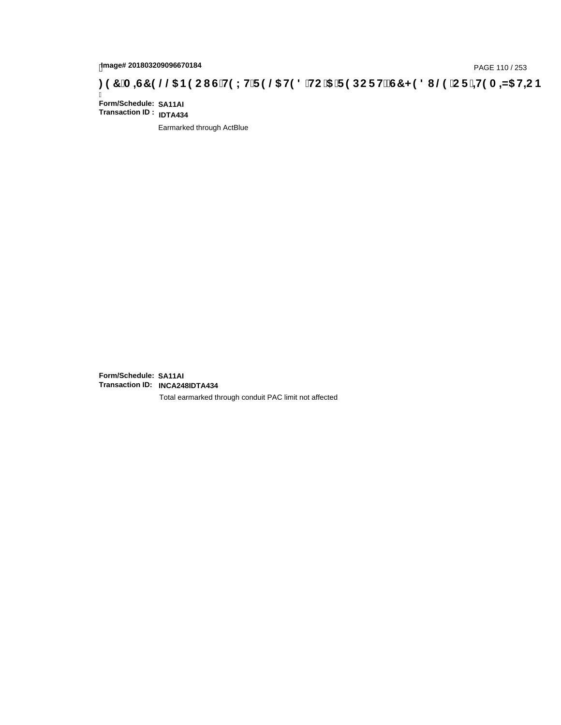# page# 201803209096670184<br>Denge# 201803209096670184<br>**( O, The LHTP @ H9 8 `HC `5 `F 9 DC F Hz G7 < 9 8 I @ `C F `<del>J 1</del>9 A =N5 H=C B . [ 37 `A =ST 9 @ & B9 C I G`H9 L H**

Ī **Form/Schedule: SA11AI Transaction ID : IDTA434**

Earmarked through ActBlue

**Form/Schedule: SA11AI Transaction ID: INCA248IDTA434**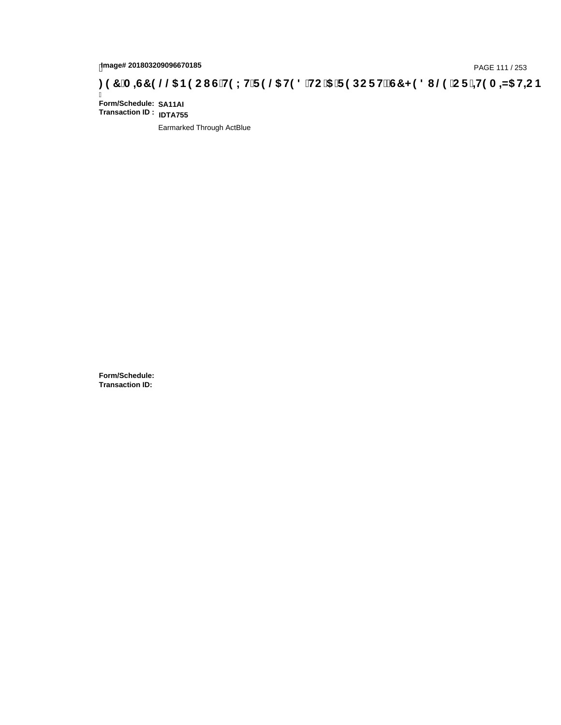## page# 201803209096670185<br>DAGE 111 / 253 PAGE 111 / 253<br>**DAGE 119 LHT P @6 H9 8 `HC `5 `F 9 DC F Hž G7 < 9 8 I @9 `C F `<del>J 1</del>9 A =N5 H=C B : 97 `A =G7 9 @@6 B9 C I G`H9 L H`F 9 @6 H9 8 `HC `5 `F 9 DC F H** $\breve$  **G7 < 9 8 I**

Ī **Form/Schedule: SA11AI Transaction ID : IDTA755**

Earmarked Through ActBlue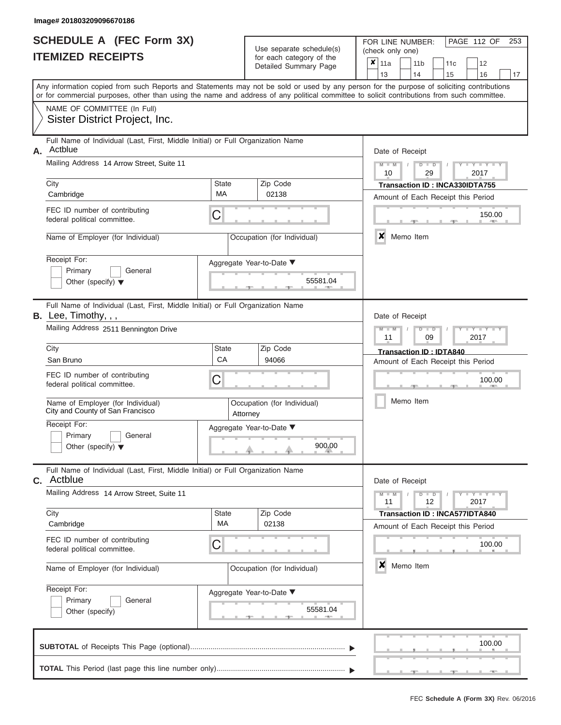|                          | <b>SCHEDULE A (FEC Form 3X)</b> |
|--------------------------|---------------------------------|
| <b>ITEMIZED RECEIPTS</b> |                                 |

Use separate schedule(s)<br>for each category of the

FOR LINE NUMBER:<br>(check only one)

PAGE 112 OF 253

| IILMILLU NLVLIF IJ                                                                                                                                                                                                                                                                      |                    | ior each calegory or the<br>Detailed Summary Page  | $\pmb{\times}$ | 11a<br>13                                                            |  | 11 <sub>b</sub><br>14 | 11c<br>15                                                                   |  | 12<br>16             | 17 |  |  |  |  |
|-----------------------------------------------------------------------------------------------------------------------------------------------------------------------------------------------------------------------------------------------------------------------------------------|--------------------|----------------------------------------------------|----------------|----------------------------------------------------------------------|--|-----------------------|-----------------------------------------------------------------------------|--|----------------------|----|--|--|--|--|
| Any information copied from such Reports and Statements may not be sold or used by any person for the purpose of soliciting contributions<br>or for commercial purposes, other than using the name and address of any political committee to solicit contributions from such committee. |                    |                                                    |                |                                                                      |  |                       |                                                                             |  |                      |    |  |  |  |  |
| NAME OF COMMITTEE (In Full)<br>Sister District Project, Inc.                                                                                                                                                                                                                            |                    |                                                    |                |                                                                      |  |                       |                                                                             |  |                      |    |  |  |  |  |
| Full Name of Individual (Last, First, Middle Initial) or Full Organization Name<br>Actblue<br>А.                                                                                                                                                                                        |                    |                                                    |                | Date of Receipt                                                      |  |                       |                                                                             |  |                      |    |  |  |  |  |
| Mailing Address 14 Arrow Street, Suite 11                                                                                                                                                                                                                                               |                    |                                                    |                | $M - M$<br>10                                                        |  | $D$ $D$<br>29         |                                                                             |  | 2017                 |    |  |  |  |  |
| City<br>Cambridge                                                                                                                                                                                                                                                                       | <b>State</b><br>MA | Zip Code<br>02138                                  |                |                                                                      |  |                       | Transaction ID: INCA330IDTA755<br>Amount of Each Receipt this Period        |  |                      |    |  |  |  |  |
| FEC ID number of contributing<br>federal political committee.                                                                                                                                                                                                                           | С                  |                                                    |                |                                                                      |  |                       |                                                                             |  | 150.00               |    |  |  |  |  |
| Name of Employer (for Individual)                                                                                                                                                                                                                                                       |                    | Occupation (for Individual)                        |                | $\boldsymbol{x}$                                                     |  | Memo Item             |                                                                             |  |                      |    |  |  |  |  |
| Receipt For:<br>Primary<br>General<br>Other (specify) $\blacktriangledown$                                                                                                                                                                                                              |                    | Aggregate Year-to-Date ▼<br>55581.04               |                |                                                                      |  |                       |                                                                             |  |                      |    |  |  |  |  |
| Full Name of Individual (Last, First, Middle Initial) or Full Organization Name<br>B. Lee, Timothy, , ,                                                                                                                                                                                 |                    |                                                    |                | Date of Receipt                                                      |  |                       |                                                                             |  |                      |    |  |  |  |  |
| Mailing Address 2511 Bennington Drive                                                                                                                                                                                                                                                   |                    |                                                    |                | $M - M$<br>$D$ $D$<br>11<br>09<br>2017                               |  |                       |                                                                             |  |                      |    |  |  |  |  |
| City<br>San Bruno                                                                                                                                                                                                                                                                       | State<br>CA        | Zip Code<br>94066                                  |                | <b>Transaction ID: IDTA840</b><br>Amount of Each Receipt this Period |  |                       |                                                                             |  |                      |    |  |  |  |  |
| FEC ID number of contributing<br>federal political committee.                                                                                                                                                                                                                           | С                  |                                                    |                | 100.00                                                               |  |                       |                                                                             |  |                      |    |  |  |  |  |
| Name of Employer (for Individual)<br>City and County of San Francisco                                                                                                                                                                                                                   |                    | Occupation (for Individual)<br>Attorney            |                |                                                                      |  | Memo Item             |                                                                             |  |                      |    |  |  |  |  |
| Receipt For:<br>Primary<br>General<br>Other (specify) $\blacktriangledown$                                                                                                                                                                                                              |                    | Aggregate Year-to-Date ▼<br>900.00                 |                |                                                                      |  |                       |                                                                             |  |                      |    |  |  |  |  |
| Full Name of Individual (Last, First, Middle Initial) or Full Organization Name<br><b>C.</b> Actblue                                                                                                                                                                                    |                    |                                                    |                | Date of Receipt                                                      |  |                       |                                                                             |  |                      |    |  |  |  |  |
| Mailing Address 14 Arrow Street, Suite 11                                                                                                                                                                                                                                               |                    |                                                    |                | $M - M$<br>11                                                        |  | $D$ $D$<br>12         |                                                                             |  | $-Y - Y - Y$<br>2017 |    |  |  |  |  |
| City<br>Cambridge                                                                                                                                                                                                                                                                       | <b>State</b><br>МA | Zip Code<br>02138                                  |                |                                                                      |  |                       | <b>Transaction ID: INCA577IDTA840</b><br>Amount of Each Receipt this Period |  |                      |    |  |  |  |  |
| FEC ID number of contributing<br>federal political committee.                                                                                                                                                                                                                           | C                  |                                                    |                |                                                                      |  |                       |                                                                             |  | 100.00               |    |  |  |  |  |
| Name of Employer (for Individual)                                                                                                                                                                                                                                                       |                    | Occupation (for Individual)                        |                | $\boldsymbol{x}$                                                     |  | Memo Item             |                                                                             |  |                      |    |  |  |  |  |
| Receipt For:<br>Primary<br>General<br>Other (specify)                                                                                                                                                                                                                                   |                    | Aggregate Year-to-Date ▼<br>55581.04<br><b>AND</b> |                |                                                                      |  |                       |                                                                             |  |                      |    |  |  |  |  |
|                                                                                                                                                                                                                                                                                         |                    |                                                    |                |                                                                      |  |                       |                                                                             |  | 100.00               |    |  |  |  |  |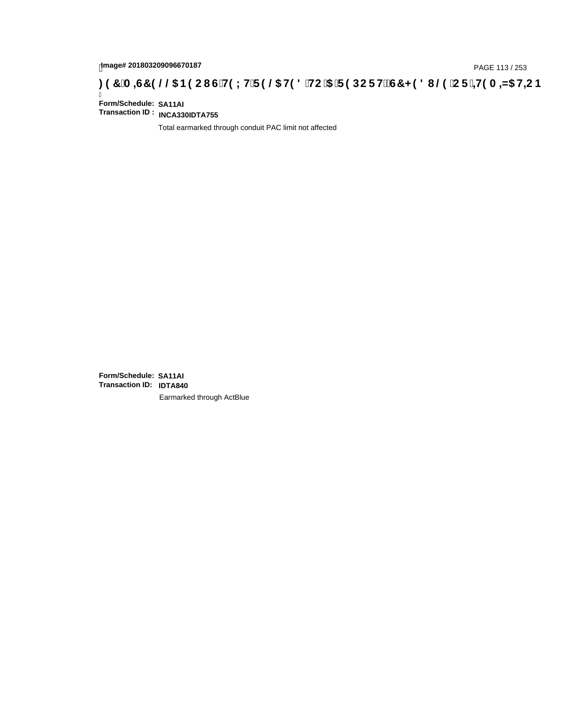# page# 201803209096670187<br>Denge# 201803209096670187<br>**( Of `+H9 A =N5 H=C B (3) T A =G7 9 @@** B9 C I G`H9 L H`F 9 @ H9 8 `HC `5 `F 9 DC F H $\breve{E}$ G7 < 9 8 I @ `C F `<del>+H</del>9 A =N5 H=C B

Ī **Form/Schedule: SA11AI Transaction ID : INCA330IDTA755**

Total earmarked through conduit PAC limit not affected

**Form/Schedule: SA11AI Transaction ID: IDTA840**Earmarked through ActBlue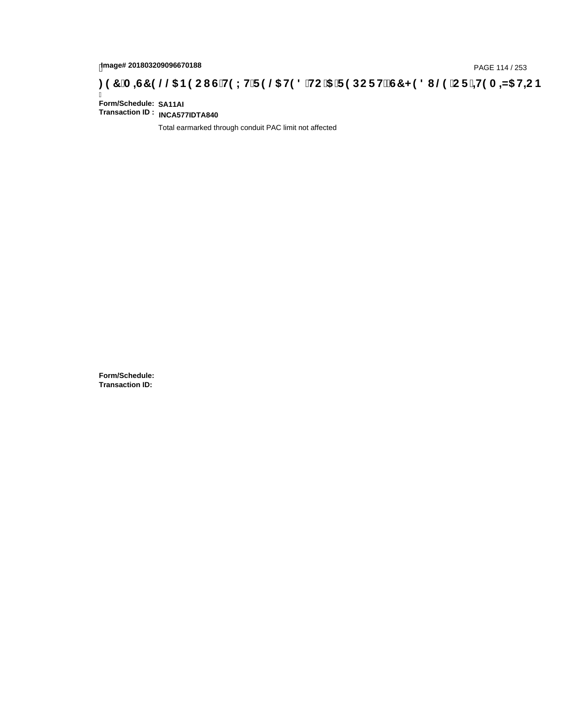# page# 201803209096670188<br>Denge# 201803209096670188<br>**(CF + H9 A = A/5 H=C B (3) T A = G7 9 @ & B9 C I G H9 L H F 9 @ H9 8 HC '5 T F 9 DC F HE G7 < 9 8 I @ 'C F + H9 A = A/5 H=C B**

Ī **Form/Schedule: SA11AI Transaction ID : INCA577IDTA840**

Total earmarked through conduit PAC limit not affected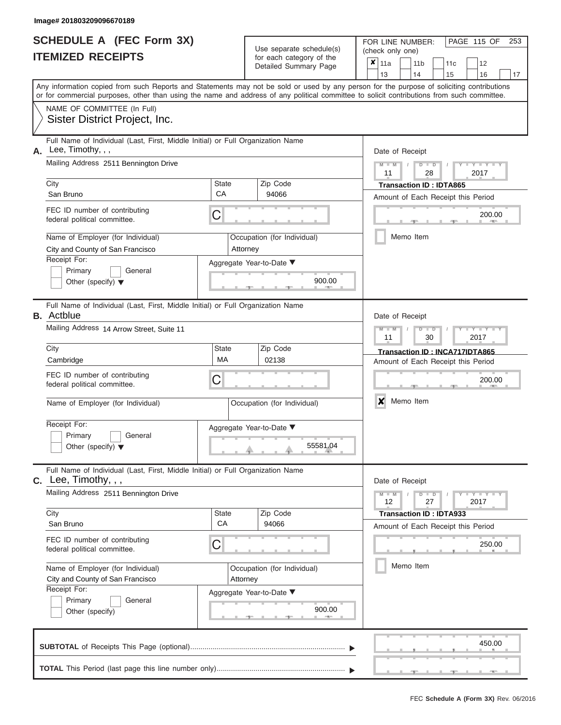|                          | <b>SCHEDULE A (FEC Form 3X)</b> |
|--------------------------|---------------------------------|
| <b>ITEMIZED RECEIPTS</b> |                                 |

FOR LINE NUMBER:<br>(check only one) Use separate schedule(s)<br>for each category of the

|    | IILMILLY INLVLII I                                                                                                                         |                          | iui cauli ualcyuly ul lilc<br>Detailed Summary Page | ×                                  | 11a                           |           | 11 <sub>b</sub> |               | 11c                            | 12                                 |    |  |  |  |
|----|--------------------------------------------------------------------------------------------------------------------------------------------|--------------------------|-----------------------------------------------------|------------------------------------|-------------------------------|-----------|-----------------|---------------|--------------------------------|------------------------------------|----|--|--|--|
|    | Any information copied from such Reports and Statements may not be sold or used by any person for the purpose of soliciting contributions  |                          |                                                     |                                    | 13                            |           | 14              |               | 15                             | 16                                 | 17 |  |  |  |
|    | or for commercial purposes, other than using the name and address of any political committee to solicit contributions from such committee. |                          |                                                     |                                    |                               |           |                 |               |                                |                                    |    |  |  |  |
|    | NAME OF COMMITTEE (In Full)                                                                                                                |                          |                                                     |                                    |                               |           |                 |               |                                |                                    |    |  |  |  |
|    | Sister District Project, Inc.                                                                                                              |                          |                                                     |                                    |                               |           |                 |               |                                |                                    |    |  |  |  |
| А. | Full Name of Individual (Last, First, Middle Initial) or Full Organization Name<br>Lee, Timothy, , ,                                       |                          |                                                     | Date of Receipt                    |                               |           |                 |               |                                |                                    |    |  |  |  |
|    | Mailing Address 2511 Bennington Drive                                                                                                      |                          |                                                     |                                    | $M - M$                       |           |                 | $D$ $D$       |                                |                                    |    |  |  |  |
|    |                                                                                                                                            |                          |                                                     | 11<br>28<br>2017                   |                               |           |                 |               |                                |                                    |    |  |  |  |
|    | City                                                                                                                                       | State                    | Zip Code                                            |                                    |                               |           |                 |               | <b>Transaction ID: IDTA865</b> |                                    |    |  |  |  |
|    | San Bruno                                                                                                                                  | CA                       | 94066                                               |                                    |                               |           |                 |               |                                | Amount of Each Receipt this Period |    |  |  |  |
|    | FEC ID number of contributing<br>federal political committee.                                                                              | C                        |                                                     | 200.00<br><b>AREA</b>              |                               |           |                 |               |                                |                                    |    |  |  |  |
|    | Name of Employer (for Individual)<br>City and County of San Francisco                                                                      | Attorney                 | Occupation (for Individual)                         |                                    |                               | Memo Item |                 |               |                                |                                    |    |  |  |  |
|    | Receipt For:                                                                                                                               |                          |                                                     |                                    |                               |           |                 |               |                                |                                    |    |  |  |  |
|    | Primary<br>General                                                                                                                         |                          | Aggregate Year-to-Date ▼                            |                                    |                               |           |                 |               |                                |                                    |    |  |  |  |
|    | Other (specify) $\blacktriangledown$                                                                                                       |                          | 900.00                                              |                                    |                               |           |                 |               |                                |                                    |    |  |  |  |
|    | Full Name of Individual (Last, First, Middle Initial) or Full Organization Name<br><b>B.</b> Actblue                                       |                          |                                                     |                                    | Date of Receipt               |           |                 |               |                                |                                    |    |  |  |  |
|    | Mailing Address 14 Arrow Street, Suite 11                                                                                                  |                          |                                                     |                                    | $M - M$<br>11                 |           |                 | $D$ $D$<br>30 |                                | $\overline{\phantom{a}}$<br>2017   |    |  |  |  |
|    | City                                                                                                                                       | <b>State</b>             | Zip Code                                            |                                    |                               |           |                 |               |                                | Transaction ID: INCA717IDTA865     |    |  |  |  |
|    | Cambridge                                                                                                                                  | <b>MA</b>                | 02138                                               | Amount of Each Receipt this Period |                               |           |                 |               |                                |                                    |    |  |  |  |
|    | FEC ID number of contributing<br>federal political committee.                                                                              | C                        |                                                     |                                    | 200.00                        |           |                 |               |                                |                                    |    |  |  |  |
|    | Name of Employer (for Individual)                                                                                                          |                          | Occupation (for Individual)                         |                                    | $\boldsymbol{x}$<br>Memo Item |           |                 |               |                                |                                    |    |  |  |  |
|    | Receipt For:                                                                                                                               | Aggregate Year-to-Date ▼ |                                                     |                                    |                               |           |                 |               |                                |                                    |    |  |  |  |
|    | Primary<br>General                                                                                                                         |                          |                                                     |                                    |                               |           |                 |               |                                |                                    |    |  |  |  |
|    | Other (specify) $\blacktriangledown$                                                                                                       |                          | 55581.04                                            |                                    |                               |           |                 |               |                                |                                    |    |  |  |  |
| С. | Full Name of Individual (Last, First, Middle Initial) or Full Organization Name<br>Lee, Timothy, , ,                                       |                          |                                                     |                                    | Date of Receipt               |           |                 |               |                                |                                    |    |  |  |  |
|    | Mailing Address 2511 Bennington Drive                                                                                                      |                          |                                                     |                                    | $M - M$<br>12                 |           |                 | $D$ $D$<br>27 |                                | $Y = Y = Y$<br>2017                |    |  |  |  |
|    | City                                                                                                                                       | State                    | Zip Code                                            |                                    |                               |           |                 |               | <b>Transaction ID: IDTA933</b> |                                    |    |  |  |  |
|    | San Bruno                                                                                                                                  | CA                       | 94066                                               |                                    |                               |           |                 |               |                                | Amount of Each Receipt this Period |    |  |  |  |
|    | FEC ID number of contributing<br>federal political committee.                                                                              | С                        |                                                     |                                    |                               |           |                 |               |                                | 250.00                             |    |  |  |  |
|    | Name of Employer (for Individual)                                                                                                          |                          | Occupation (for Individual)                         |                                    |                               | Memo Item |                 |               |                                |                                    |    |  |  |  |
|    | City and County of San Francisco                                                                                                           | Attorney                 |                                                     |                                    |                               |           |                 |               |                                |                                    |    |  |  |  |
|    | Receipt For:                                                                                                                               |                          | Aggregate Year-to-Date ▼                            |                                    |                               |           |                 |               |                                |                                    |    |  |  |  |
|    | Primary<br>General                                                                                                                         |                          | 900.00                                              |                                    |                               |           |                 |               |                                |                                    |    |  |  |  |
|    | Other (specify)                                                                                                                            |                          |                                                     |                                    |                               |           |                 |               |                                |                                    |    |  |  |  |
|    |                                                                                                                                            |                          |                                                     |                                    |                               |           |                 |               |                                | 450.00                             |    |  |  |  |
|    |                                                                                                                                            |                          |                                                     |                                    |                               |           |                 |               |                                |                                    |    |  |  |  |

PAGE 115 OF 253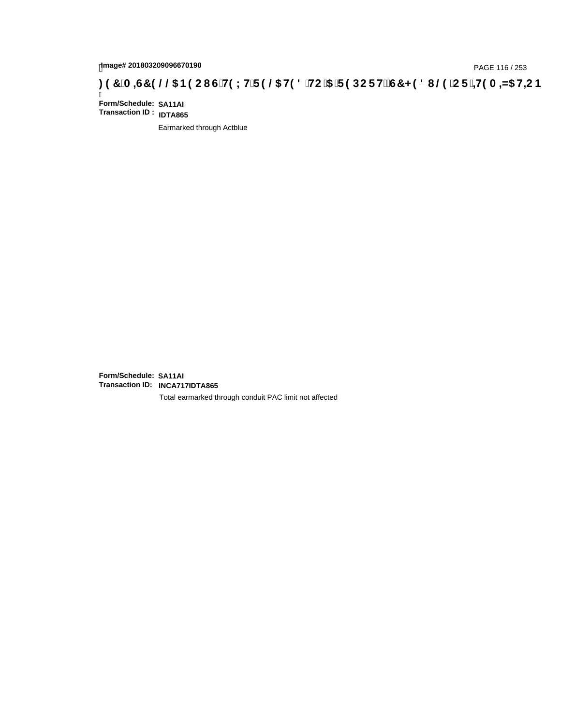## page# 201803209096670190<br>DAGE 116 / 253 PAGE 116 / 253<br>**DAGE 116 AMS HE CONTREST CONTREST CONTREST OF THE CONTRET CONTRET STEP DO F HE GT < 9 8 I**

Ī **Form/Schedule: SA11AI Transaction ID : IDTA865**

Earmarked through Actblue

**Form/Schedule: SA11AI Transaction ID: INCA717IDTA865**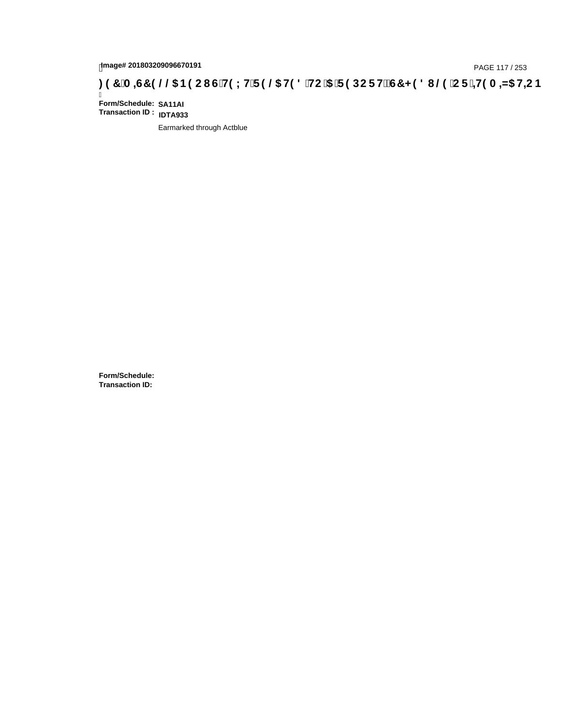# page# 201803209096670191<br>Denge# 201803209096670191<br>**(@CF`+H9 A =N5 H=CB) TA =G7 9 @@B9 CI G`H9 LH`F 9 @ H9 8 `HC `5 `F 9 DC F HE G7 < 9 8 I @ `C F `<del>+ I</del>9 A =N5 H=C B**

Ī **Form/Schedule: SA11AI Transaction ID : IDTA933**

Earmarked through Actblue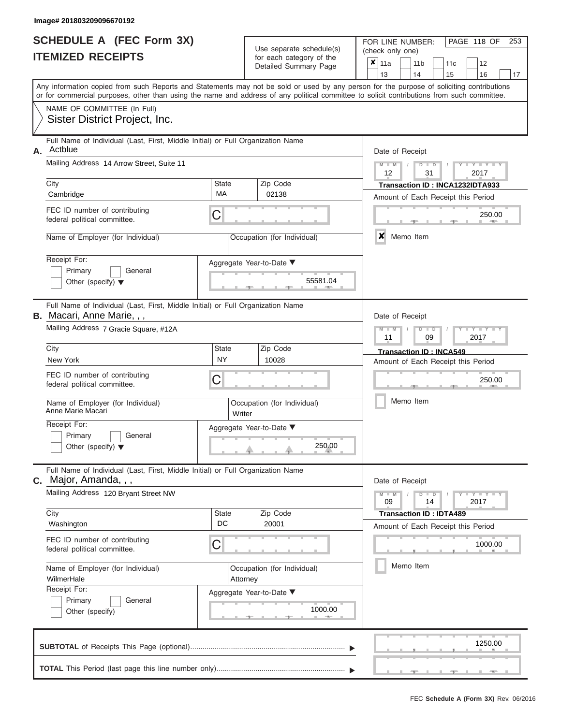| SCHEDULE A (FEC Form 3X)<br><b>ITEMIZED RECEIPTS</b>                                                                 |                           | Use separate schedule(s)<br>for each category of the<br>Detailed Summary Page | PAGE 118 OF<br>253<br>FOR LINE NUMBER:<br>(check only one)<br>×<br>11a<br>11 <sub>b</sub><br>12<br>11c<br>13<br>14<br>15<br>16<br>17                                                                                                                                                    |
|----------------------------------------------------------------------------------------------------------------------|---------------------------|-------------------------------------------------------------------------------|-----------------------------------------------------------------------------------------------------------------------------------------------------------------------------------------------------------------------------------------------------------------------------------------|
|                                                                                                                      |                           |                                                                               | Any information copied from such Reports and Statements may not be sold or used by any person for the purpose of soliciting contributions<br>or for commercial purposes, other than using the name and address of any political committee to solicit contributions from such committee. |
| NAME OF COMMITTEE (In Full)<br>Sister District Project, Inc.                                                         |                           |                                                                               |                                                                                                                                                                                                                                                                                         |
| Full Name of Individual (Last, First, Middle Initial) or Full Organization Name<br>Actblue<br>А.                     |                           |                                                                               | Date of Receipt                                                                                                                                                                                                                                                                         |
| Mailing Address 14 Arrow Street, Suite 11                                                                            |                           |                                                                               | $M - M$<br>Y I Y I<br>$D$ $D$<br>12<br>31<br>2017                                                                                                                                                                                                                                       |
| City<br>Cambridge                                                                                                    | State<br>MA               | Zip Code<br>02138                                                             | Transaction ID: INCA1232IDTA933<br>Amount of Each Receipt this Period                                                                                                                                                                                                                   |
| FEC ID number of contributing<br>federal political committee.                                                        | C                         |                                                                               | 250.00                                                                                                                                                                                                                                                                                  |
| Name of Employer (for Individual)                                                                                    |                           | Occupation (for Individual)                                                   | x<br>Memo Item                                                                                                                                                                                                                                                                          |
| Receipt For:<br>Primary<br>General<br>Other (specify) $\blacktriangledown$                                           |                           | Aggregate Year-to-Date ▼<br>55581.04                                          |                                                                                                                                                                                                                                                                                         |
| Full Name of Individual (Last, First, Middle Initial) or Full Organization Name<br><b>B.</b> Macari, Anne Marie, , , |                           |                                                                               | Date of Receipt                                                                                                                                                                                                                                                                         |
| Mailing Address 7 Gracie Square, #12A                                                                                |                           |                                                                               | $M - M$<br>$T - Y = T - Y$<br>$D$ $D$<br>11<br>09<br>2017                                                                                                                                                                                                                               |
| City                                                                                                                 | <b>State</b><br><b>NY</b> | Zip Code                                                                      | <b>Transaction ID: INCA549</b>                                                                                                                                                                                                                                                          |
| New York<br>FEC ID number of contributing<br>federal political committee.                                            | C                         | 10028                                                                         | Amount of Each Receipt this Period<br>250.00                                                                                                                                                                                                                                            |
| Name of Employer (for Individual)<br>Anne Marie Macari                                                               | Writer                    | Occupation (for Individual)                                                   | Memo Item                                                                                                                                                                                                                                                                               |
| Receipt For:<br>$\overline{\phantom{a}}$ Primary<br>General<br>Other (specify) $\blacktriangledown$                  |                           | Aggregate Year-to-Date ▼<br>250.00                                            |                                                                                                                                                                                                                                                                                         |
| Full Name of Individual (Last, First, Middle Initial) or Full Organization Name<br>C. Major, Amanda, , ,             |                           |                                                                               | Date of Receipt                                                                                                                                                                                                                                                                         |
| Mailing Address 120 Bryant Street NW                                                                                 |                           |                                                                               | $-1$ $-1$ $-1$ $-1$ $-1$<br>$M - M$<br>$D$ $\Box$ $D$<br>09<br>14<br>2017                                                                                                                                                                                                               |
| City<br>Washington                                                                                                   | <b>State</b><br>DC        | Zip Code<br>20001                                                             | <b>Transaction ID: IDTA489</b><br>Amount of Each Receipt this Period                                                                                                                                                                                                                    |
| FEC ID number of contributing<br>federal political committee.                                                        | C                         |                                                                               | 1000.00                                                                                                                                                                                                                                                                                 |
| Name of Employer (for Individual)<br>WilmerHale                                                                      |                           | Occupation (for Individual)<br>Attorney                                       | Memo Item                                                                                                                                                                                                                                                                               |
| Receipt For:<br>Primary<br>General<br>Other (specify)                                                                |                           | Aggregate Year-to-Date ▼<br>1000.00<br>$1 - 400$                              |                                                                                                                                                                                                                                                                                         |

|  |  |  |  |  | 1250.00<br>the company of the company of the company |  |
|--|--|--|--|--|------------------------------------------------------|--|
|  |  |  |  |  |                                                      |  |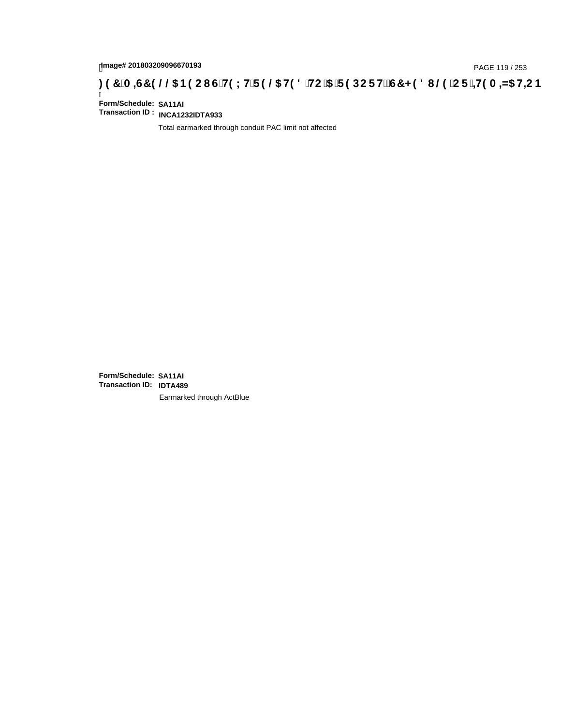# page# 201803209096670193<br>DAGE 119 / 253 PAGE 119 / 253<br>**DAGE 119 ADGE 119 / 253 SPOC I G'H9 LH'F 9 @ H9 8 'HC '5 'F 9 DC F H** $\breve{c}$ **G7 < 9 8 I @ 'C F '<del>J 1</del>9 A**

Ī **Form/Schedule: SA11AI Transaction ID : INCA1232IDTA933**

Total earmarked through conduit PAC limit not affected

**Form/Schedule: SA11AI Transaction ID: IDTA489**Earmarked through ActBlue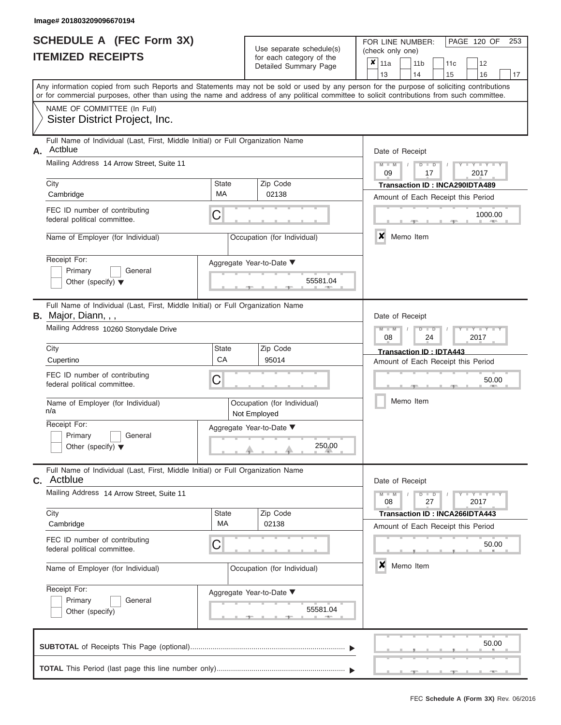|                          | <b>SCHEDULE A (FEC Form 3X)</b> |
|--------------------------|---------------------------------|
| <b>ITEMIZED RECEIPTS</b> |                                 |

Use separate schedule(s)<br>for each category of the

FOR LINE NUMBER:<br>(check only one)

PAGE 120 OF 253

|    | LD IILVLII IV                                                                                                                                                                                                                                                                           |              | ivi cacii calcyory or life<br>Detailed Summary Page | x | 11a                                              |  | 11 <sub>b</sub> | 11 <sub>c</sub>                    | 12                                                                                                |    |  |  |  |  |
|----|-----------------------------------------------------------------------------------------------------------------------------------------------------------------------------------------------------------------------------------------------------------------------------------------|--------------|-----------------------------------------------------|---|--------------------------------------------------|--|-----------------|------------------------------------|---------------------------------------------------------------------------------------------------|----|--|--|--|--|
|    |                                                                                                                                                                                                                                                                                         |              |                                                     |   | 13                                               |  | 14              | 15                                 | 16                                                                                                | 17 |  |  |  |  |
|    | Any information copied from such Reports and Statements may not be sold or used by any person for the purpose of soliciting contributions<br>or for commercial purposes, other than using the name and address of any political committee to solicit contributions from such committee. |              |                                                     |   |                                                  |  |                 |                                    |                                                                                                   |    |  |  |  |  |
|    | NAME OF COMMITTEE (In Full)                                                                                                                                                                                                                                                             |              |                                                     |   |                                                  |  |                 |                                    |                                                                                                   |    |  |  |  |  |
|    | Sister District Project, Inc.                                                                                                                                                                                                                                                           |              |                                                     |   |                                                  |  |                 |                                    |                                                                                                   |    |  |  |  |  |
| А. | Full Name of Individual (Last, First, Middle Initial) or Full Organization Name<br>Actblue                                                                                                                                                                                              |              |                                                     |   | Date of Receipt                                  |  |                 |                                    |                                                                                                   |    |  |  |  |  |
|    | Mailing Address 14 Arrow Street, Suite 11                                                                                                                                                                                                                                               |              |                                                     |   | $M - M$<br>$D$ $D$<br>Y TY T<br>09<br>17<br>2017 |  |                 |                                    |                                                                                                   |    |  |  |  |  |
|    | City                                                                                                                                                                                                                                                                                    | <b>State</b> | Zip Code                                            |   |                                                  |  |                 | Transaction ID: INCA290IDTA489     |                                                                                                   |    |  |  |  |  |
|    | Cambridge                                                                                                                                                                                                                                                                               | MA           | 02138                                               |   |                                                  |  |                 | Amount of Each Receipt this Period |                                                                                                   |    |  |  |  |  |
|    | FEC ID number of contributing<br>federal political committee.                                                                                                                                                                                                                           | C            |                                                     |   |                                                  |  |                 |                                    | 1000.00                                                                                           |    |  |  |  |  |
|    | Name of Employer (for Individual)                                                                                                                                                                                                                                                       |              | Occupation (for Individual)                         |   | ×                                                |  | Memo Item       |                                    |                                                                                                   |    |  |  |  |  |
|    | Receipt For:                                                                                                                                                                                                                                                                            |              | Aggregate Year-to-Date ▼                            |   |                                                  |  |                 |                                    |                                                                                                   |    |  |  |  |  |
|    | Primary<br>General                                                                                                                                                                                                                                                                      |              |                                                     |   |                                                  |  |                 |                                    |                                                                                                   |    |  |  |  |  |
|    | Other (specify) $\blacktriangledown$                                                                                                                                                                                                                                                    |              | 55581.04                                            |   |                                                  |  |                 |                                    |                                                                                                   |    |  |  |  |  |
|    | Full Name of Individual (Last, First, Middle Initial) or Full Organization Name<br>B. Major, Diann, , ,                                                                                                                                                                                 |              |                                                     |   | Date of Receipt                                  |  |                 |                                    |                                                                                                   |    |  |  |  |  |
|    | Mailing Address 10260 Stonydale Drive                                                                                                                                                                                                                                                   |              |                                                     |   | $M - M$<br>08                                    |  | $D$ $D$<br>24   |                                    | $Y = Y$<br>2017                                                                                   |    |  |  |  |  |
|    | City                                                                                                                                                                                                                                                                                    | State        | Zip Code                                            |   |                                                  |  |                 | Transaction ID: IDTA443            |                                                                                                   |    |  |  |  |  |
|    | Cupertino                                                                                                                                                                                                                                                                               | CA           | 95014                                               |   | Amount of Each Receipt this Period               |  |                 |                                    |                                                                                                   |    |  |  |  |  |
|    | FEC ID number of contributing<br>federal political committee.                                                                                                                                                                                                                           | C            |                                                     |   |                                                  |  |                 |                                    | 50.00                                                                                             |    |  |  |  |  |
|    | Name of Employer (for Individual)<br>n/a                                                                                                                                                                                                                                                |              | Occupation (for Individual)<br>Not Employed         |   |                                                  |  | Memo Item       |                                    |                                                                                                   |    |  |  |  |  |
|    | Receipt For:                                                                                                                                                                                                                                                                            |              | Aggregate Year-to-Date ▼                            |   |                                                  |  |                 |                                    |                                                                                                   |    |  |  |  |  |
|    | Primary<br>General<br>Other (specify) $\blacktriangledown$                                                                                                                                                                                                                              |              | 250.00                                              |   |                                                  |  |                 |                                    |                                                                                                   |    |  |  |  |  |
|    | Full Name of Individual (Last, First, Middle Initial) or Full Organization Name<br>c. Actblue                                                                                                                                                                                           |              |                                                     |   | Date of Receipt                                  |  |                 |                                    |                                                                                                   |    |  |  |  |  |
|    | Mailing Address 14 Arrow Street, Suite 11                                                                                                                                                                                                                                               |              |                                                     |   | $M - M$<br>08                                    |  | $D$ $D$<br>27   |                                    | $\blacksquare$ $\blacksquare$ $\blacksquare$ $\blacksquare$ $\blacksquare$ $\blacksquare$<br>2017 |    |  |  |  |  |
|    | City                                                                                                                                                                                                                                                                                    | State        | Zip Code                                            |   |                                                  |  |                 | Transaction ID: INCA266IDTA443     |                                                                                                   |    |  |  |  |  |
|    | Cambridge                                                                                                                                                                                                                                                                               | MA           | 02138                                               |   |                                                  |  |                 | Amount of Each Receipt this Period |                                                                                                   |    |  |  |  |  |
|    | FEC ID number of contributing<br>federal political committee.                                                                                                                                                                                                                           | C            |                                                     |   |                                                  |  |                 |                                    | 50.00                                                                                             |    |  |  |  |  |
|    | Name of Employer (for Individual)                                                                                                                                                                                                                                                       |              | Occupation (for Individual)                         |   | $\boldsymbol{x}$                                 |  | Memo Item       |                                    |                                                                                                   |    |  |  |  |  |
|    | Receipt For:                                                                                                                                                                                                                                                                            |              | Aggregate Year-to-Date ▼                            |   |                                                  |  |                 |                                    |                                                                                                   |    |  |  |  |  |
|    | Primary<br>General                                                                                                                                                                                                                                                                      |              | 55581.04                                            |   |                                                  |  |                 |                                    |                                                                                                   |    |  |  |  |  |
|    | Other (specify)                                                                                                                                                                                                                                                                         |              |                                                     |   |                                                  |  |                 |                                    |                                                                                                   |    |  |  |  |  |
|    |                                                                                                                                                                                                                                                                                         |              |                                                     |   |                                                  |  |                 |                                    | 50.00                                                                                             |    |  |  |  |  |
|    |                                                                                                                                                                                                                                                                                         |              |                                                     |   |                                                  |  |                 |                                    |                                                                                                   |    |  |  |  |  |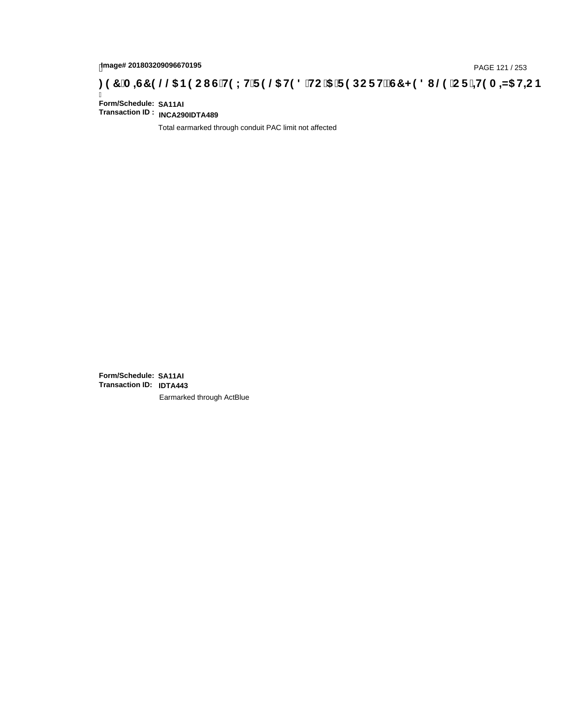# page# 201803209096670195<br>DAGE 121 / 253 PAGE 121 / 253<br>**DAGE 129 CI G'H9 LH'F 9 @ H9 8 'HC '5 'F 9 DC F Hž G7 < 9 8 I @ 'C F '<del>J 1</del>9 A =N5 H=C B : 97 'A =N5 H=C B**

Ī **Form/Schedule: SA11AI Transaction ID : INCA290IDTA489**

Total earmarked through conduit PAC limit not affected

**Form/Schedule: SA11AI Transaction ID: IDTA443**Earmarked through ActBlue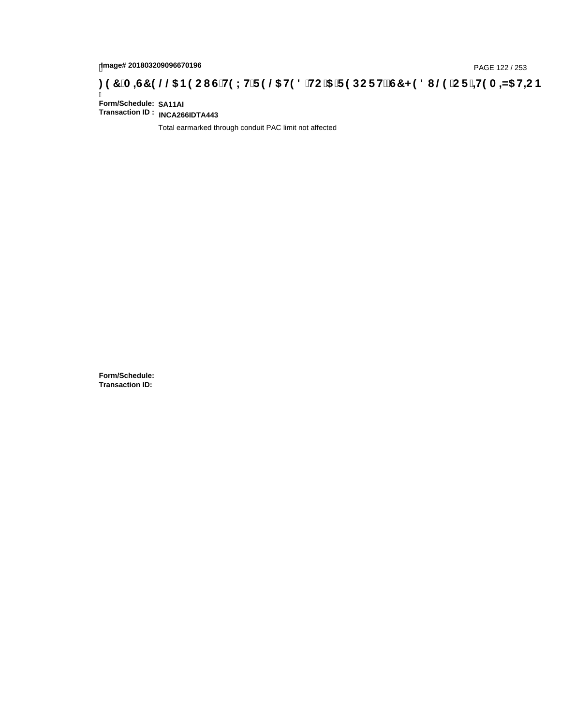# page# 201803209096670196<br>Denge# 201803209096670196<br>**(OR) CDES 366 HD 2006 BOOL GTH9 LHTF 9 @ HD 8 THC 15 TF 9 DC F HZ G7 < 9 8 I @ 1C F 1<del>1</del>19 A =N5 H=C B**

Ī **Form/Schedule: SA11AI Transaction ID : INCA266IDTA443**

Total earmarked through conduit PAC limit not affected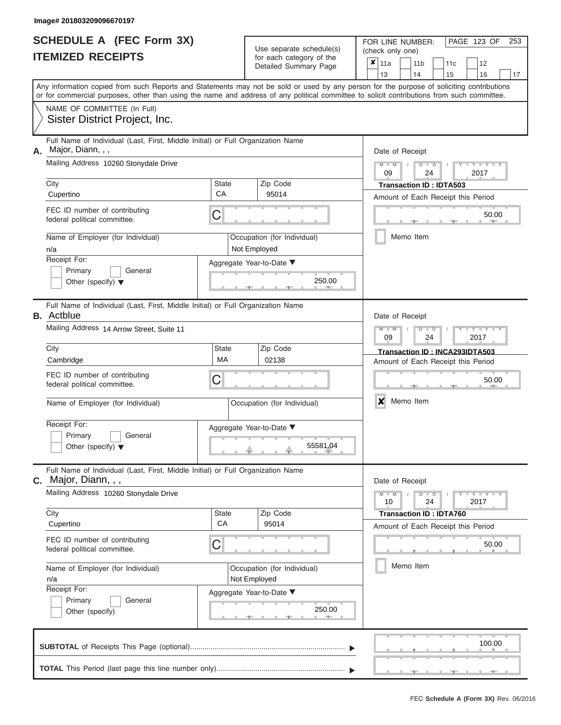|                          | <b>SCHEDULE A (FEC Form 3X)</b> |
|--------------------------|---------------------------------|
| <b>ITEMIZED RECEIPTS</b> |                                 |

Use separate schedule(s) (check only one)<br>for each category of the  $\begin{array}{|c|c|c|c|c|}\n\hline\n\text{Initial Summary goes} & & \text{with } & \text{with } & \text{with } & \text{with } & \text{with } & \text{with } & \text{with } & \text{with } & \text{with } & \text{with } & \text{with } & \text{with } & \text{with } & \text{with } & \text{with } & \text{with } & \text{with } & \text{with } & \text{with } & \text{with } & \text$ 

FOR LINE NUMBER:

PAGE 123 OF 253

|    | IIEMIZED RECEIPIS                                                                                                                                                                                                                                                                       |              | for each category of the<br>Detailed Summary Page | ×                                                                                                                                        | 11a<br>13                     |  | 11 <sub>b</sub><br>14          | 11c<br>15                      | 12<br>16                           | 17     |  |
|----|-----------------------------------------------------------------------------------------------------------------------------------------------------------------------------------------------------------------------------------------------------------------------------------------|--------------|---------------------------------------------------|------------------------------------------------------------------------------------------------------------------------------------------|-------------------------------|--|--------------------------------|--------------------------------|------------------------------------|--------|--|
|    | Any information copied from such Reports and Statements may not be sold or used by any person for the purpose of soliciting contributions<br>or for commercial purposes, other than using the name and address of any political committee to solicit contributions from such committee. |              |                                                   |                                                                                                                                          |                               |  |                                |                                |                                    |        |  |
|    | NAME OF COMMITTEE (In Full)<br>Sister District Project, Inc.                                                                                                                                                                                                                            |              |                                                   |                                                                                                                                          |                               |  |                                |                                |                                    |        |  |
| А. | Full Name of Individual (Last, First, Middle Initial) or Full Organization Name<br>Major, Diann, , ,                                                                                                                                                                                    |              |                                                   |                                                                                                                                          | Date of Receipt               |  |                                |                                |                                    |        |  |
|    | Mailing Address 10260 Stonydale Drive<br>City                                                                                                                                                                                                                                           | <b>State</b> | Zip Code                                          |                                                                                                                                          | $\overline{\mathsf{M}}$<br>09 |  | D<br>$\overline{D}$<br>24      |                                | $Y = Y$<br>2017                    |        |  |
|    | Cupertino                                                                                                                                                                                                                                                                               | СA           | 95014                                             |                                                                                                                                          |                               |  |                                | <b>Transaction ID: IDTA503</b> | Amount of Each Receipt this Period |        |  |
|    | FEC ID number of contributing<br>federal political committee.                                                                                                                                                                                                                           | С            |                                                   |                                                                                                                                          |                               |  |                                |                                |                                    | 50.00  |  |
|    | Name of Employer (for Individual)<br>n/a                                                                                                                                                                                                                                                |              | Occupation (for Individual)<br>Not Employed       |                                                                                                                                          |                               |  | Memo Item                      |                                |                                    |        |  |
|    | Receipt For:                                                                                                                                                                                                                                                                            |              | Aggregate Year-to-Date ▼                          |                                                                                                                                          |                               |  |                                |                                |                                    |        |  |
|    | Primary<br>General<br>Other (specify) $\blacktriangledown$                                                                                                                                                                                                                              |              | 250.00                                            |                                                                                                                                          |                               |  |                                |                                |                                    |        |  |
|    | Full Name of Individual (Last, First, Middle Initial) or Full Organization Name<br><b>B.</b> Actblue                                                                                                                                                                                    |              |                                                   |                                                                                                                                          | Date of Receipt               |  |                                |                                |                                    |        |  |
|    | Mailing Address 14 Arrow Street, Suite 11                                                                                                                                                                                                                                               |              |                                                   | $Y - Y$<br>$\overline{\mathsf{M}}$<br>D<br>D<br>2017<br>09<br>24<br>Transaction ID: INCA293IDTA503<br>Amount of Each Receipt this Period |                               |  |                                |                                |                                    |        |  |
|    | City<br>Cambridge                                                                                                                                                                                                                                                                       | State<br>МA  |                                                   |                                                                                                                                          |                               |  |                                |                                |                                    |        |  |
|    | FEC ID number of contributing<br>federal political committee.                                                                                                                                                                                                                           | С            |                                                   |                                                                                                                                          | 50.00                         |  |                                |                                |                                    |        |  |
|    | Name of Employer (for Individual)                                                                                                                                                                                                                                                       |              | Occupation (for Individual)                       |                                                                                                                                          | X                             |  | Memo Item                      |                                |                                    |        |  |
|    | Receipt For:<br>Primary<br>General<br>Other (specify) $\blacktriangledown$                                                                                                                                                                                                              |              | Aggregate Year-to-Date ▼<br>55581.04              |                                                                                                                                          |                               |  |                                |                                |                                    |        |  |
|    | Full Name of Individual (Last, First, Middle Initial) or Full Organization Name<br>C. Major, Diann, , ,                                                                                                                                                                                 |              |                                                   |                                                                                                                                          | Date of Receipt               |  |                                |                                |                                    |        |  |
|    | Mailing Address 10260 Stonydale Drive                                                                                                                                                                                                                                                   |              |                                                   |                                                                                                                                          | $M - M$<br>10                 |  | $\overline{D}$<br>$\Box$<br>24 |                                | $Y - Y - Y$<br>2017                |        |  |
|    | City<br>Cupertino                                                                                                                                                                                                                                                                       | State<br>CA  | Zip Code<br>95014                                 |                                                                                                                                          |                               |  |                                | <b>Transaction ID: IDTA760</b> |                                    |        |  |
|    | FEC ID number of contributing<br>federal political committee.                                                                                                                                                                                                                           | С            |                                                   |                                                                                                                                          |                               |  |                                |                                | Amount of Each Receipt this Period | 50.00  |  |
|    | Name of Employer (for Individual)<br>n/a                                                                                                                                                                                                                                                |              | Occupation (for Individual)<br>Not Employed       |                                                                                                                                          |                               |  | Memo Item                      |                                |                                    |        |  |
|    | Receipt For:<br>Primary<br>General<br>Other (specify)                                                                                                                                                                                                                                   |              | Aggregate Year-to-Date ▼<br>250.00                |                                                                                                                                          |                               |  |                                |                                |                                    |        |  |
|    |                                                                                                                                                                                                                                                                                         |              |                                                   |                                                                                                                                          |                               |  |                                |                                |                                    | 100.00 |  |
|    |                                                                                                                                                                                                                                                                                         |              |                                                   |                                                                                                                                          |                               |  |                                |                                |                                    |        |  |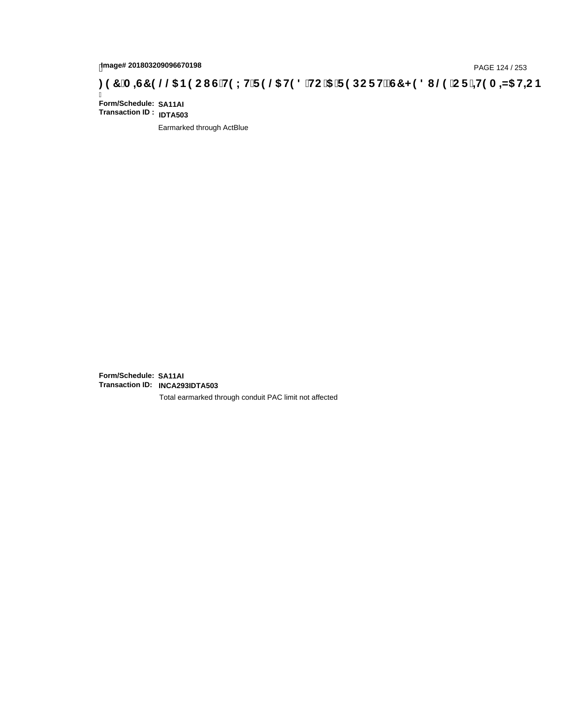## page# 201803209096670198<br>Denge# 201803209096670198<br>**(CF + H9 A = A/5 H=C B (@6) B9 CI G + H9 L H F 9 @6 H9 8 FHC '5 F 9 DC F + EGT < 9 8 I . @9 'C F + H9 A = A/5 H=C B**

Ī **Form/Schedule: SA11AI Transaction ID : IDTA503**

Earmarked through ActBlue

**Form/Schedule: SA11AI Transaction ID: INCA293IDTA503**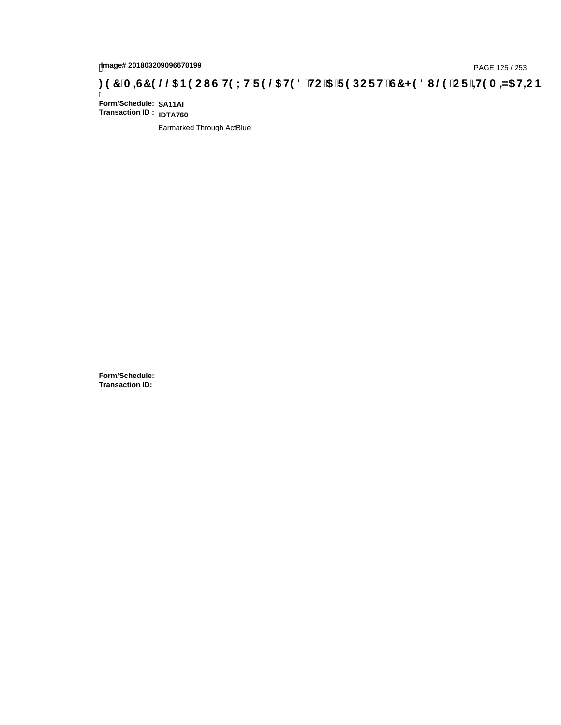# page# 201803209096670199<br>DAGE 125 / 253 PAGE 125 / 253<br>**DAGE 125 / Compact of H9 LH F 9 @ H9 8 `HC `5 `F 9 DC F H2 G7 < 9 8 I @ `C F `<del>J 1</del>9 A =N5 H=C B**

Ī **Form/Schedule: SA11AI Transaction ID : IDTA760**

Earmarked Through ActBlue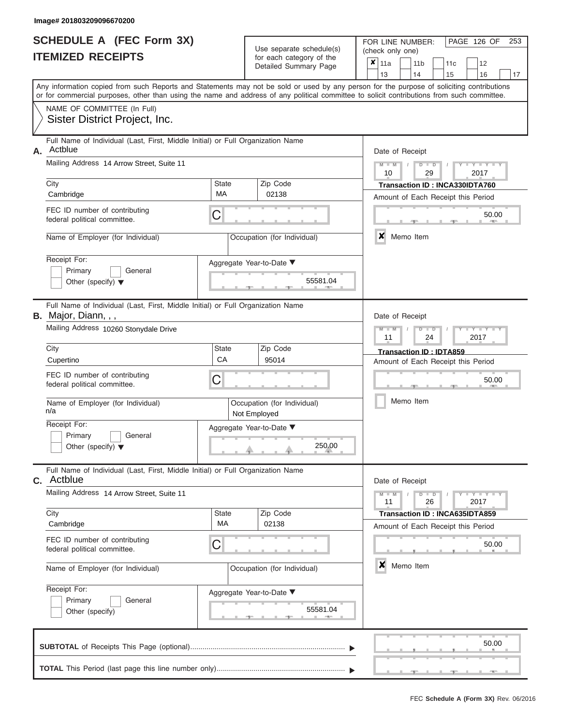|                          | <b>SCHEDULE A (FEC Form 3X)</b> |
|--------------------------|---------------------------------|
| <b>ITEMIZED RECEIPTS</b> |                                 |

| SCHEDULE A (FEC Form 3X)<br><b>ITEMIZED RECEIPTS</b>                                                                                                                                                                                                                                                                                                             | Use separate schedule(s)<br>for each category of the<br>Detailed Summary Page                                                     |                                                                                                                                                                                                                                                                                                                       |  |  |  |
|------------------------------------------------------------------------------------------------------------------------------------------------------------------------------------------------------------------------------------------------------------------------------------------------------------------------------------------------------------------|-----------------------------------------------------------------------------------------------------------------------------------|-----------------------------------------------------------------------------------------------------------------------------------------------------------------------------------------------------------------------------------------------------------------------------------------------------------------------|--|--|--|
| NAME OF COMMITTEE (In Full)<br>Sister District Project, Inc.                                                                                                                                                                                                                                                                                                     |                                                                                                                                   | 13<br>14<br>15<br>16<br>17<br>Any information copied from such Reports and Statements may not be sold or used by any person for the purpose of soliciting contributions<br>or for commercial purposes, other than using the name and address of any political committee to solicit contributions from such committee. |  |  |  |
| Full Name of Individual (Last, First, Middle Initial) or Full Organization Name<br>Actblue<br>Α.<br>Mailing Address 14 Arrow Street, Suite 11<br>City<br>Cambridge<br>FEC ID number of contributing<br>federal political committee.<br>Name of Employer (for Individual)<br>Receipt For:<br>Primary<br>General<br>Other (specify) $\blacktriangledown$           | Zip Code<br><b>State</b><br>MA<br>02138<br>C<br>Occupation (for Individual)<br>Aggregate Year-to-Date ▼<br>55581.04               | Date of Receipt<br>$M - M$ /<br>$D$ $D$<br>Y I Y I<br>10<br>29<br>2017<br>Transaction ID: INCA330IDTA760<br>Amount of Each Receipt this Period<br>50.00<br><b>AND</b><br>×<br>Memo Item                                                                                                                               |  |  |  |
| Full Name of Individual (Last, First, Middle Initial) or Full Organization Name<br>B. Major, Diann, , ,<br>Mailing Address 10260 Stonydale Drive<br>City<br>Cupertino<br>FEC ID number of contributing<br>federal political committee.<br>Name of Employer (for Individual)<br>n/a<br>Receipt For:<br>Primary<br>General<br>Other (specify) $\blacktriangledown$ | <b>State</b><br>Zip Code<br>CA<br>95014<br>C<br>Occupation (for Individual)<br>Not Employed<br>Aggregate Year-to-Date ▼<br>250.00 | Date of Receipt<br>$M - M$<br>$D$ $\Box$ $D$<br>$\Box$ $\Upsilon$ $\Box$ $\Upsilon$ $\Upsilon$<br>11<br>24<br>2017<br>Transaction ID: IDTA859<br>Amount of Each Receipt this Period<br>50.00<br>Memo Item                                                                                                             |  |  |  |
| Full Name of Individual (Last, First, Middle Initial) or Full Organization Name<br><b>C.</b> Actblue<br>Mailing Address 14 Arrow Street, Suite 11<br>City<br>Cambridge<br>FEC ID number of contributing<br>federal political committee.<br>Name of Employer (for Individual)<br>Receipt For:<br>Primary<br>General<br>Other (specify)                            | Zip Code<br>State<br>MA<br>02138<br>C<br>Occupation (for Individual)<br>Aggregate Year-to-Date ▼<br>55581.04                      | Date of Receipt<br>$M - M$<br>$D$ $D$<br>$\blacksquare \blacksquare \mathsf{Y} \blacksquare \blacksquare \mathsf{Y} \blacksquare \blacksquare \mathsf{Y}$<br>11<br>26<br>2017<br>Transaction ID: INCA635IDTA859<br>Amount of Each Receipt this Period<br>50.00<br>×<br>Memo Item                                      |  |  |  |
|                                                                                                                                                                                                                                                                                                                                                                  |                                                                                                                                   | 50.00                                                                                                                                                                                                                                                                                                                 |  |  |  |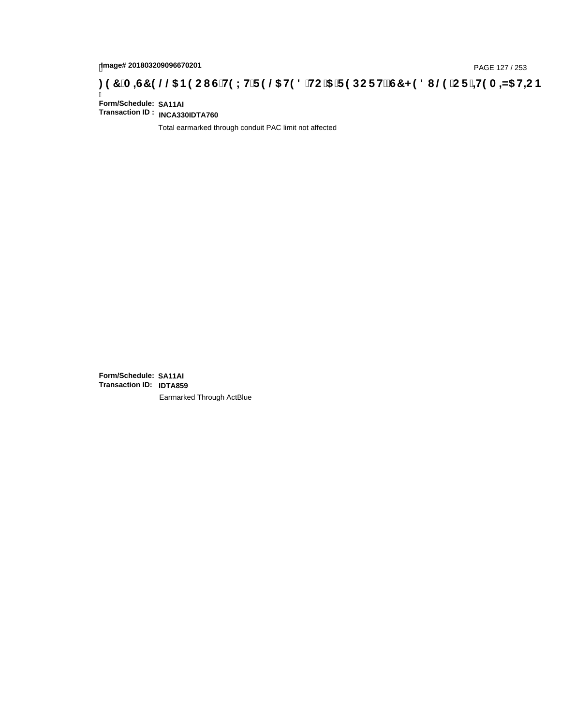# page# 201803209096670201<br>Denge# 201803209096670201<br>**(@CF`+H9 A =N5 H=CB) TA =G7 9 @@B9 CI G`H9 LH`F 9 @ H9 8 `HC `5 `F 9 DC F H** $\breve{E}$ **G7 < 9 8 I**

Ī **Form/Schedule: SA11AI Transaction ID : INCA330IDTA760**

Total earmarked through conduit PAC limit not affected

**Form/Schedule: SA11AI Transaction ID: IDTA859**Earmarked Through ActBlue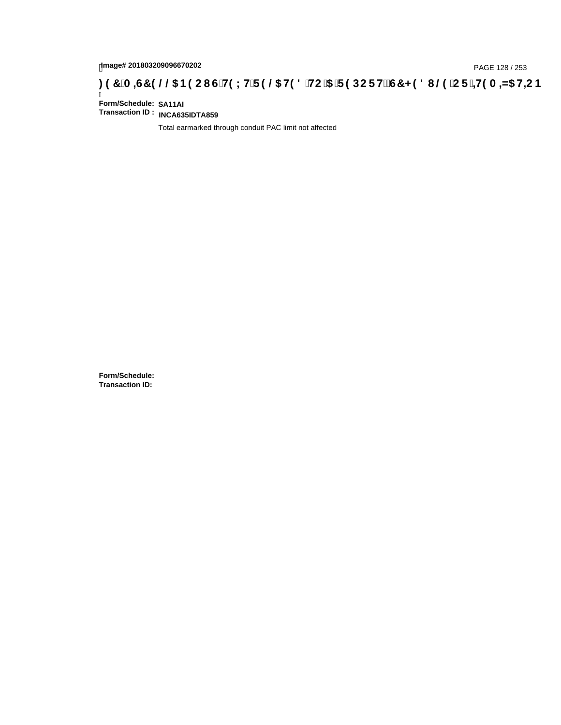# page# 201803209096670202<br>Denge# 201803209096670202<br>**CDCREAGES (CDCREAGES TRING THE CHOLY IF 9 @ H9 8 `HC `5 `F 9 DCF Hž G7 < 9 8 I @ `CF `<del>4 I</del>9 A <del>4</del> A5 H<del>C</del> B .**

Ī **Form/Schedule: SA11AI Transaction ID : INCA635IDTA859**

Total earmarked through conduit PAC limit not affected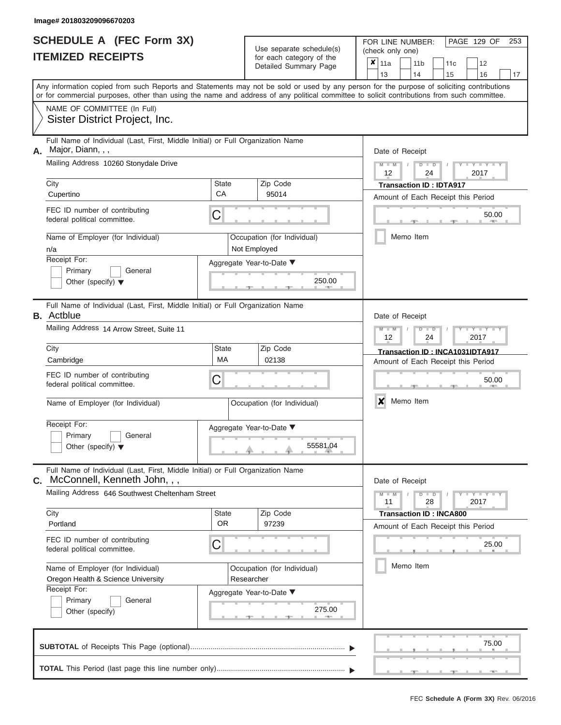|                          | <b>SCHEDULE A (FEC Form 3X)</b> |
|--------------------------|---------------------------------|
| <b>ITEMIZED RECEIPTS</b> |                                 |

FOR LINE NUMBER:<br>(check only one) Use separate schedule(s)<br>for each category of the

|                                                                                              | IILMILLU INLVLII IV                                                                                                                                                                                                                                                                     |                                                         |                                 | iul cauli calcyuly ul lile<br>Detailed Summary Page | ×     | 11a                       |               | 11 <sub>b</sub>                    |               | 11c                                |  | 12                  |    |  |  |  |  |
|----------------------------------------------------------------------------------------------|-----------------------------------------------------------------------------------------------------------------------------------------------------------------------------------------------------------------------------------------------------------------------------------------|---------------------------------------------------------|---------------------------------|-----------------------------------------------------|-------|---------------------------|---------------|------------------------------------|---------------|------------------------------------|--|---------------------|----|--|--|--|--|
|                                                                                              |                                                                                                                                                                                                                                                                                         |                                                         |                                 |                                                     |       | 13                        |               | 14                                 |               | 15                                 |  | 16                  | 17 |  |  |  |  |
|                                                                                              | Any information copied from such Reports and Statements may not be sold or used by any person for the purpose of soliciting contributions<br>or for commercial purposes, other than using the name and address of any political committee to solicit contributions from such committee. |                                                         |                                 |                                                     |       |                           |               |                                    |               |                                    |  |                     |    |  |  |  |  |
|                                                                                              | NAME OF COMMITTEE (In Full)                                                                                                                                                                                                                                                             |                                                         |                                 |                                                     |       |                           |               |                                    |               |                                    |  |                     |    |  |  |  |  |
|                                                                                              | Sister District Project, Inc.                                                                                                                                                                                                                                                           |                                                         |                                 |                                                     |       |                           |               |                                    |               |                                    |  |                     |    |  |  |  |  |
| А.                                                                                           | Full Name of Individual (Last, First, Middle Initial) or Full Organization Name<br>Major, Diann, , ,                                                                                                                                                                                    |                                                         | Date of Receipt                 |                                                     |       |                           |               |                                    |               |                                    |  |                     |    |  |  |  |  |
|                                                                                              | Mailing Address 10260 Stonydale Drive                                                                                                                                                                                                                                                   |                                                         |                                 |                                                     |       | $M - M$<br>12             |               |                                    | $D$ $D$<br>24 |                                    |  | 2017                |    |  |  |  |  |
|                                                                                              | City                                                                                                                                                                                                                                                                                    | State                                                   |                                 | Zip Code                                            |       |                           |               |                                    |               | <b>Transaction ID: IDTA917</b>     |  |                     |    |  |  |  |  |
|                                                                                              | Cupertino                                                                                                                                                                                                                                                                               | CA                                                      |                                 | 95014                                               |       |                           |               |                                    |               | Amount of Each Receipt this Period |  |                     |    |  |  |  |  |
|                                                                                              | FEC ID number of contributing<br>federal political committee.                                                                                                                                                                                                                           | C                                                       |                                 |                                                     | 50.00 |                           |               |                                    |               |                                    |  |                     |    |  |  |  |  |
|                                                                                              | Name of Employer (for Individual)<br>n/a                                                                                                                                                                                                                                                |                                                         | Not Employed                    | Occupation (for Individual)                         |       |                           |               | Memo Item                          |               |                                    |  |                     |    |  |  |  |  |
|                                                                                              | Receipt For:                                                                                                                                                                                                                                                                            | Aggregate Year-to-Date ▼                                |                                 |                                                     |       |                           |               |                                    |               |                                    |  |                     |    |  |  |  |  |
|                                                                                              | Primary<br>General<br>Other (specify) $\blacktriangledown$                                                                                                                                                                                                                              |                                                         |                                 | 250.00                                              |       |                           |               |                                    |               |                                    |  |                     |    |  |  |  |  |
|                                                                                              | Full Name of Individual (Last, First, Middle Initial) or Full Organization Name<br><b>B.</b> Actblue                                                                                                                                                                                    |                                                         |                                 |                                                     |       | Date of Receipt           |               |                                    |               |                                    |  |                     |    |  |  |  |  |
|                                                                                              | Mailing Address 14 Arrow Street, Suite 11                                                                                                                                                                                                                                               |                                                         |                                 | $M - M$<br>12                                       |       |                           | $D$ $D$<br>24 |                                    | 2017          |                                    |  |                     |    |  |  |  |  |
|                                                                                              | City                                                                                                                                                                                                                                                                                    | Zip Code                                                | Transaction ID: INCA1031IDTA917 |                                                     |       |                           |               |                                    |               |                                    |  |                     |    |  |  |  |  |
|                                                                                              | Cambridge                                                                                                                                                                                                                                                                               | 02138                                                   |                                 |                                                     |       |                           |               | Amount of Each Receipt this Period |               |                                    |  |                     |    |  |  |  |  |
|                                                                                              | FEC ID number of contributing<br>C<br>federal political committee.                                                                                                                                                                                                                      |                                                         |                                 |                                                     |       |                           |               |                                    |               |                                    |  | 50.00               |    |  |  |  |  |
|                                                                                              | Name of Employer (for Individual)                                                                                                                                                                                                                                                       | Occupation (for Individual)<br>Aggregate Year-to-Date ▼ |                                 |                                                     |       | $\boldsymbol{\mathsf{x}}$ |               | Memo Item                          |               |                                    |  |                     |    |  |  |  |  |
|                                                                                              | Receipt For:                                                                                                                                                                                                                                                                            |                                                         |                                 |                                                     |       |                           |               |                                    |               |                                    |  |                     |    |  |  |  |  |
|                                                                                              | Primary<br>General<br>Other (specify) $\blacktriangledown$                                                                                                                                                                                                                              |                                                         |                                 | 55581.04                                            |       |                           |               |                                    |               |                                    |  |                     |    |  |  |  |  |
| С.                                                                                           | Full Name of Individual (Last, First, Middle Initial) or Full Organization Name<br>McConnell, Kenneth John, , ,                                                                                                                                                                         |                                                         |                                 |                                                     |       | Date of Receipt           |               |                                    |               |                                    |  |                     |    |  |  |  |  |
|                                                                                              | Mailing Address 646 Southwest Cheltenham Street                                                                                                                                                                                                                                         |                                                         |                                 |                                                     |       | $M - M$<br>11             |               |                                    | $D$ $D$<br>28 |                                    |  | $Y = Y = Y$<br>2017 |    |  |  |  |  |
|                                                                                              | City                                                                                                                                                                                                                                                                                    | <b>State</b>                                            |                                 | Zip Code                                            |       |                           |               |                                    |               | <b>Transaction ID: INCA800</b>     |  |                     |    |  |  |  |  |
|                                                                                              | Portland                                                                                                                                                                                                                                                                                | <b>OR</b>                                               |                                 | 97239                                               |       |                           |               |                                    |               | Amount of Each Receipt this Period |  |                     |    |  |  |  |  |
| FEC ID number of contributing<br>C<br>federal political committee.                           |                                                                                                                                                                                                                                                                                         |                                                         |                                 |                                                     |       |                           |               |                                    |               |                                    |  | 25.00               |    |  |  |  |  |
|                                                                                              | Name of Employer (for Individual)                                                                                                                                                                                                                                                       |                                                         |                                 | Occupation (for Individual)                         |       |                           |               | Memo Item                          |               |                                    |  |                     |    |  |  |  |  |
| Oregon Health & Science University<br>Researcher<br>Receipt For:<br>Aggregate Year-to-Date ▼ |                                                                                                                                                                                                                                                                                         |                                                         |                                 |                                                     |       |                           |               |                                    |               |                                    |  |                     |    |  |  |  |  |
|                                                                                              |                                                                                                                                                                                                                                                                                         |                                                         |                                 |                                                     |       |                           |               |                                    |               |                                    |  |                     |    |  |  |  |  |
|                                                                                              | Primary<br>General<br>Other (specify)                                                                                                                                                                                                                                                   |                                                         |                                 | 275.00                                              |       |                           |               |                                    |               |                                    |  |                     |    |  |  |  |  |
|                                                                                              |                                                                                                                                                                                                                                                                                         |                                                         |                                 |                                                     |       |                           |               |                                    |               |                                    |  | 75.00               |    |  |  |  |  |
|                                                                                              |                                                                                                                                                                                                                                                                                         |                                                         |                                 |                                                     |       |                           |               |                                    |               |                                    |  |                     |    |  |  |  |  |

PAGE 129 OF 253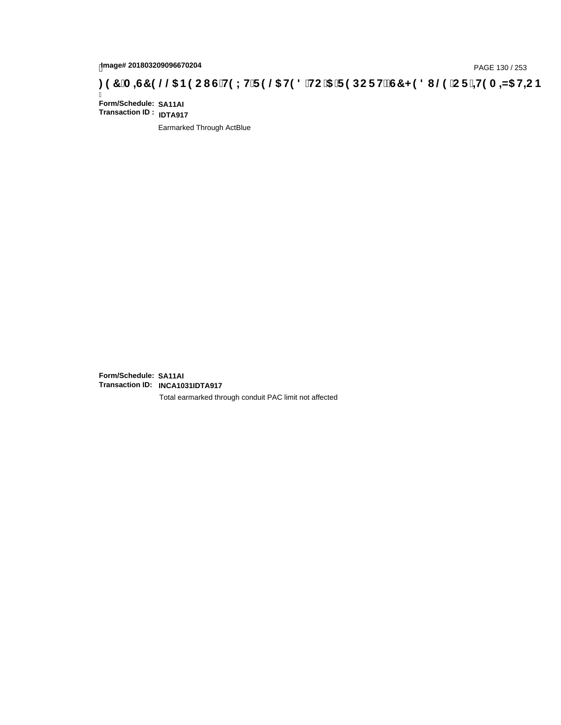# page# 201803209096670204<br>Denge# 201803209096670204<br>**(OD) CF + H9 A = A/5 H=C IS TH9 L H F 9 @ H9 8 `HC `5 `F 9 DC F Hž G7 < 9 8 I @ `C F `<del>+ I</del>9 A = A/5 H=C B .**

Ī **Form/Schedule: SA11AI Transaction ID : IDTA917**

Earmarked Through ActBlue

**Form/Schedule: SA11AI Transaction ID: INCA1031IDTA917**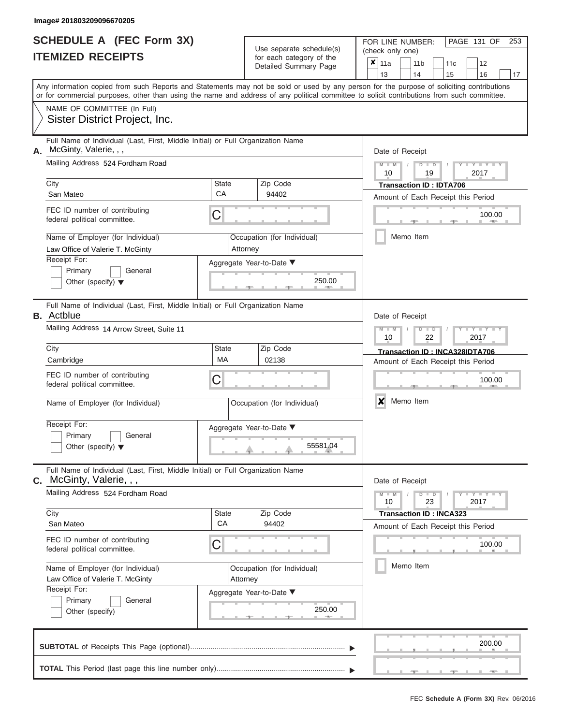|                          | <b>SCHEDULE A (FEC Form 3X)</b> |
|--------------------------|---------------------------------|
| <b>ITEMIZED RECEIPTS</b> |                                 |

FOR LINE NUMBER:<br>(check only one) Use separate schedule(s)<br>for each category of the

|                                                                       | IILMILLV IILVLII I                                                                                                                                                                                                                                                                      |              | iui cauli ualcyuly ul lilc<br>Detailed Summary Page | ×                                  | 11a                           |  | 11 <sub>b</sub> |               | 11 <sub>c</sub>                  | 12                                 |    |  |  |  |  |
|-----------------------------------------------------------------------|-----------------------------------------------------------------------------------------------------------------------------------------------------------------------------------------------------------------------------------------------------------------------------------------|--------------|-----------------------------------------------------|------------------------------------|-------------------------------|--|-----------------|---------------|----------------------------------|------------------------------------|----|--|--|--|--|
|                                                                       |                                                                                                                                                                                                                                                                                         |              |                                                     |                                    | 13                            |  | 14              |               | 15                               | 16                                 | 17 |  |  |  |  |
|                                                                       | Any information copied from such Reports and Statements may not be sold or used by any person for the purpose of soliciting contributions<br>or for commercial purposes, other than using the name and address of any political committee to solicit contributions from such committee. |              |                                                     |                                    |                               |  |                 |               |                                  |                                    |    |  |  |  |  |
|                                                                       | NAME OF COMMITTEE (In Full)                                                                                                                                                                                                                                                             |              |                                                     |                                    |                               |  |                 |               |                                  |                                    |    |  |  |  |  |
|                                                                       | Sister District Project, Inc.                                                                                                                                                                                                                                                           |              |                                                     |                                    |                               |  |                 |               |                                  |                                    |    |  |  |  |  |
| А.                                                                    | Full Name of Individual (Last, First, Middle Initial) or Full Organization Name<br>McGinty, Valerie, , ,                                                                                                                                                                                |              |                                                     | Date of Receipt                    |                               |  |                 |               |                                  |                                    |    |  |  |  |  |
|                                                                       | Mailing Address 524 Fordham Road                                                                                                                                                                                                                                                        |              |                                                     |                                    | $M - M$<br>10                 |  |                 | $D$ $D$<br>19 |                                  | 2017                               |    |  |  |  |  |
|                                                                       | City                                                                                                                                                                                                                                                                                    | State        | Zip Code                                            |                                    |                               |  |                 |               | <b>Transaction ID: IDTA706</b>   |                                    |    |  |  |  |  |
|                                                                       | San Mateo                                                                                                                                                                                                                                                                               | CA           | 94402                                               |                                    |                               |  |                 |               |                                  | Amount of Each Receipt this Period |    |  |  |  |  |
|                                                                       | FEC ID number of contributing<br>federal political committee.                                                                                                                                                                                                                           | C            |                                                     |                                    |                               |  |                 |               |                                  | 100.00<br><b>AREA</b>              |    |  |  |  |  |
|                                                                       | Name of Employer (for Individual)<br>Law Office of Valerie T. McGinty                                                                                                                                                                                                                   | Attorney     | Occupation (for Individual)                         |                                    |                               |  | Memo Item       |               |                                  |                                    |    |  |  |  |  |
|                                                                       | Receipt For:                                                                                                                                                                                                                                                                            |              | Aggregate Year-to-Date ▼                            |                                    |                               |  |                 |               |                                  |                                    |    |  |  |  |  |
|                                                                       | Primary<br>General<br>Other (specify) $\blacktriangledown$                                                                                                                                                                                                                              |              | 250.00                                              |                                    |                               |  |                 |               |                                  |                                    |    |  |  |  |  |
|                                                                       | Full Name of Individual (Last, First, Middle Initial) or Full Organization Name<br><b>B.</b> Actblue                                                                                                                                                                                    |              |                                                     |                                    | Date of Receipt               |  |                 |               |                                  |                                    |    |  |  |  |  |
|                                                                       | Mailing Address 14 Arrow Street, Suite 11                                                                                                                                                                                                                                               |              |                                                     | $M - M$<br>10                      |                               |  | $D$ $D$<br>22   |               | $\overline{\phantom{a}}$<br>2017 |                                    |    |  |  |  |  |
|                                                                       | City                                                                                                                                                                                                                                                                                    | <b>State</b> |                                                     | Transaction ID: INCA328IDTA706     |                               |  |                 |               |                                  |                                    |    |  |  |  |  |
|                                                                       | Cambridge                                                                                                                                                                                                                                                                               | <b>MA</b>    | 02138                                               | Amount of Each Receipt this Period |                               |  |                 |               |                                  |                                    |    |  |  |  |  |
| FEC ID number of contributing<br>C<br>federal political committee.    |                                                                                                                                                                                                                                                                                         |              |                                                     |                                    |                               |  |                 |               |                                  | 100.00                             |    |  |  |  |  |
|                                                                       | Name of Employer (for Individual)                                                                                                                                                                                                                                                       |              | Occupation (for Individual)                         |                                    | $\boldsymbol{x}$<br>Memo Item |  |                 |               |                                  |                                    |    |  |  |  |  |
|                                                                       | Receipt For:                                                                                                                                                                                                                                                                            |              | Aggregate Year-to-Date ▼                            |                                    |                               |  |                 |               |                                  |                                    |    |  |  |  |  |
|                                                                       | Primary<br>General<br>Other (specify) $\blacktriangledown$                                                                                                                                                                                                                              |              | 55581.04                                            |                                    |                               |  |                 |               |                                  |                                    |    |  |  |  |  |
| С.                                                                    | Full Name of Individual (Last, First, Middle Initial) or Full Organization Name<br>McGinty, Valerie, , ,                                                                                                                                                                                |              |                                                     |                                    | Date of Receipt               |  |                 |               |                                  |                                    |    |  |  |  |  |
|                                                                       | Mailing Address 524 Fordham Road                                                                                                                                                                                                                                                        |              |                                                     |                                    | $M - M$<br>10                 |  |                 | $D$ $D$<br>23 |                                  | $Y = Y = Y$<br>2017                |    |  |  |  |  |
|                                                                       | City                                                                                                                                                                                                                                                                                    | State        | Zip Code                                            |                                    |                               |  |                 |               | <b>Transaction ID: INCA323</b>   |                                    |    |  |  |  |  |
|                                                                       | San Mateo                                                                                                                                                                                                                                                                               | CA           | 94402                                               |                                    |                               |  |                 |               |                                  | Amount of Each Receipt this Period |    |  |  |  |  |
|                                                                       | FEC ID number of contributing<br>С<br>federal political committee.                                                                                                                                                                                                                      |              |                                                     |                                    |                               |  |                 |               | 100.00                           |                                    |    |  |  |  |  |
| Name of Employer (for Individual)<br>Law Office of Valerie T. McGinty |                                                                                                                                                                                                                                                                                         | Attorney     | Occupation (for Individual)                         |                                    | Memo Item                     |  |                 |               |                                  |                                    |    |  |  |  |  |
| Receipt For:                                                          |                                                                                                                                                                                                                                                                                         |              | Aggregate Year-to-Date ▼                            |                                    |                               |  |                 |               |                                  |                                    |    |  |  |  |  |
|                                                                       | Primary<br>General                                                                                                                                                                                                                                                                      |              |                                                     |                                    |                               |  |                 |               |                                  |                                    |    |  |  |  |  |
|                                                                       | Other (specify)                                                                                                                                                                                                                                                                         |              | 250.00                                              |                                    |                               |  |                 |               |                                  |                                    |    |  |  |  |  |
|                                                                       |                                                                                                                                                                                                                                                                                         |              |                                                     |                                    |                               |  |                 |               |                                  | 200.00                             |    |  |  |  |  |
|                                                                       |                                                                                                                                                                                                                                                                                         |              |                                                     |                                    |                               |  |                 |               |                                  |                                    |    |  |  |  |  |

PAGE 131 OF 253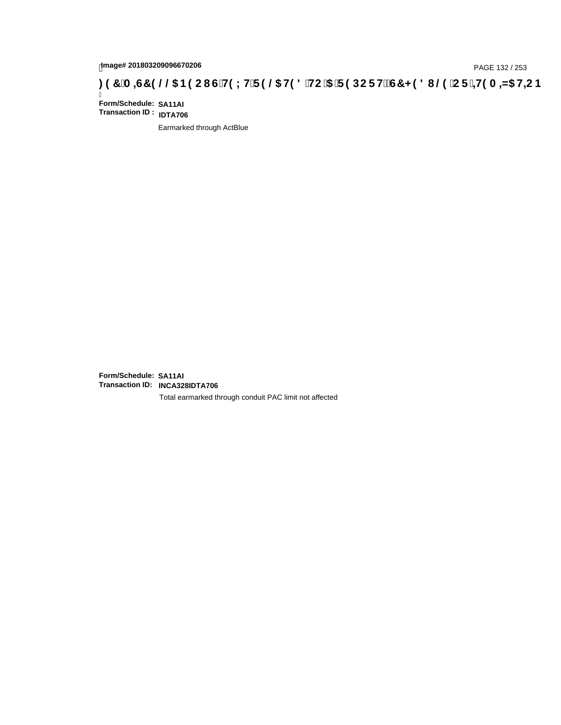## page# 201803209096670206<br>Denge# 201803209096670206<br>**CDCREAGES (COMPENDENTED @DENTED & HOUSE HEARES) 197<sup>'</sup>A=G7 9 @@DENECB : 97<sup>'</sup>A=G7 9 @@DENECB**

Ī **Form/Schedule: SA11AI Transaction ID : IDTA706**

Earmarked through ActBlue

**Form/Schedule: SA11AI Transaction ID: INCA328IDTA706**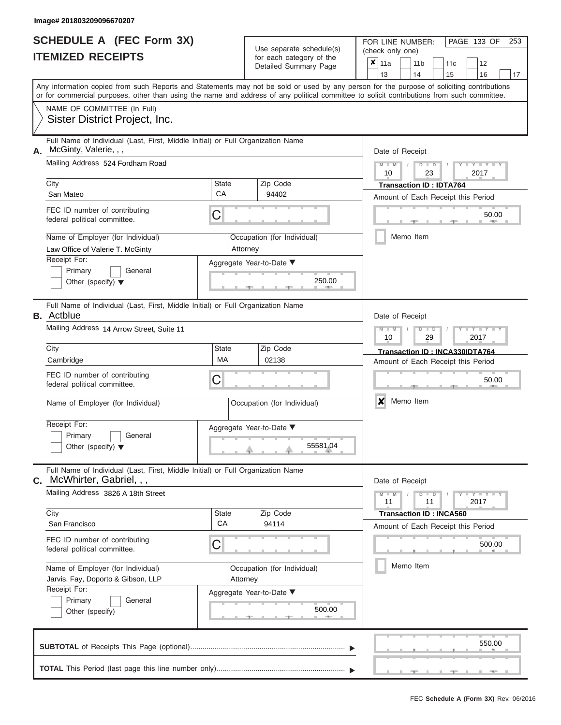|                          | <b>SCHEDULE A (FEC Form 3X)</b> |
|--------------------------|---------------------------------|
| <b>ITEMIZED RECEIPTS</b> |                                 |

Use separate schedule(s)<br>for each category of the

FOR LINE NUMBER:<br>(check only one)

PAGE 133 OF 253

|                                                                                                                                            |                          | badii batogory<br>Detailed Summary Page | ×     | 11a                            |  | 11 <sub>b</sub>                | 11c | 12                                 |    |  |  |  |  |  |
|--------------------------------------------------------------------------------------------------------------------------------------------|--------------------------|-----------------------------------------|-------|--------------------------------|--|--------------------------------|-----|------------------------------------|----|--|--|--|--|--|
| Any information copied from such Reports and Statements may not be sold or used by any person for the purpose of soliciting contributions  |                          |                                         |       | 13                             |  | 14                             | 15  | 16                                 | 17 |  |  |  |  |  |
| or for commercial purposes, other than using the name and address of any political committee to solicit contributions from such committee. |                          |                                         |       |                                |  |                                |     |                                    |    |  |  |  |  |  |
| NAME OF COMMITTEE (In Full)<br>Sister District Project, Inc.                                                                               |                          |                                         |       |                                |  |                                |     |                                    |    |  |  |  |  |  |
| Full Name of Individual (Last, First, Middle Initial) or Full Organization Name<br>McGinty, Valerie, , ,<br>А.                             |                          |                                         |       | Date of Receipt                |  |                                |     |                                    |    |  |  |  |  |  |
| Mailing Address 524 Fordham Road                                                                                                           |                          |                                         |       | $M - M$<br>10                  |  | $D$ $D$<br>23                  |     | $Y - Y - I$<br>2017                |    |  |  |  |  |  |
| City                                                                                                                                       | State                    | Zip Code                                |       |                                |  | <b>Transaction ID: IDTA764</b> |     |                                    |    |  |  |  |  |  |
| San Mateo                                                                                                                                  | CA                       | 94402                                   |       |                                |  |                                |     | Amount of Each Receipt this Period |    |  |  |  |  |  |
| FEC ID number of contributing<br>federal political committee.                                                                              | C                        |                                         | 50.00 |                                |  |                                |     |                                    |    |  |  |  |  |  |
| Name of Employer (for Individual)<br>Law Office of Valerie T. McGinty                                                                      |                          | Occupation (for Individual)<br>Attorney |       |                                |  | Memo Item                      |     |                                    |    |  |  |  |  |  |
| Receipt For:                                                                                                                               |                          | Aggregate Year-to-Date ▼                |       |                                |  |                                |     |                                    |    |  |  |  |  |  |
| Primary<br>General<br>Other (specify) $\blacktriangledown$                                                                                 |                          | 250.00                                  |       |                                |  |                                |     |                                    |    |  |  |  |  |  |
| Full Name of Individual (Last, First, Middle Initial) or Full Organization Name<br><b>B.</b> Actblue                                       |                          |                                         |       | Date of Receipt                |  |                                |     |                                    |    |  |  |  |  |  |
| Mailing Address 14 Arrow Street, Suite 11                                                                                                  |                          |                                         |       | $M - M$<br>10                  |  | $D$ $D$<br>29                  |     | $Y - Y$<br>2017                    |    |  |  |  |  |  |
| City                                                                                                                                       | State                    | Zip Code                                |       | Transaction ID: INCA330IDTA764 |  |                                |     |                                    |    |  |  |  |  |  |
| Cambridge                                                                                                                                  | MA                       | 02138                                   |       |                                |  |                                |     | Amount of Each Receipt this Period |    |  |  |  |  |  |
| FEC ID number of contributing<br>federal political committee.                                                                              | С                        |                                         |       |                                |  |                                |     | 50.00                              |    |  |  |  |  |  |
| Name of Employer (for Individual)                                                                                                          |                          | Occupation (for Individual)             |       | X                              |  | Memo Item                      |     |                                    |    |  |  |  |  |  |
| Receipt For:                                                                                                                               | Aggregate Year-to-Date ▼ |                                         |       |                                |  |                                |     |                                    |    |  |  |  |  |  |
| Primary<br>General<br>Other (specify) $\blacktriangledown$                                                                                 |                          | 55581.04                                |       |                                |  |                                |     |                                    |    |  |  |  |  |  |
| Full Name of Individual (Last, First, Middle Initial) or Full Organization Name<br>$c.$ McWhirter, Gabriel, , ,                            |                          |                                         |       | Date of Receipt                |  |                                |     |                                    |    |  |  |  |  |  |
| Mailing Address 3826 A 18th Street                                                                                                         |                          |                                         |       | $M - M$<br>11                  |  | $D$ $D$<br>11                  |     | Y = Y = Y = Y<br>2017              |    |  |  |  |  |  |
| City<br>San Francisco                                                                                                                      | State<br>CA              | Zip Code<br>94114                       |       |                                |  | <b>Transaction ID: INCA560</b> |     |                                    |    |  |  |  |  |  |
|                                                                                                                                            |                          |                                         |       |                                |  |                                |     | Amount of Each Receipt this Period |    |  |  |  |  |  |
| FEC ID number of contributing<br>federal political committee.                                                                              |                          | 500.00                                  |       |                                |  |                                |     |                                    |    |  |  |  |  |  |
| Name of Employer (for Individual)<br>Jarvis, Fay, Doporto & Gibson, LLP                                                                    | Attorney                 | Occupation (for Individual)             |       | Memo Item                      |  |                                |     |                                    |    |  |  |  |  |  |
| Receipt For:                                                                                                                               |                          | Aggregate Year-to-Date ▼                |       |                                |  |                                |     |                                    |    |  |  |  |  |  |
| Primary<br>General<br>Other (specify)                                                                                                      | 500.00                   |                                         |       |                                |  |                                |     |                                    |    |  |  |  |  |  |
|                                                                                                                                            |                          |                                         |       |                                |  |                                |     | 550.00                             |    |  |  |  |  |  |
|                                                                                                                                            |                          |                                         |       |                                |  |                                |     |                                    |    |  |  |  |  |  |

 ▲ ▲ ▲ , , .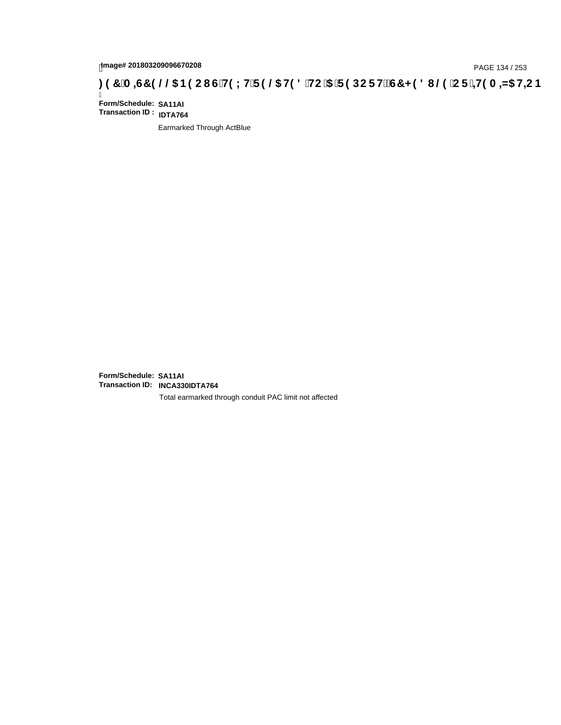# page# 201803209096670208<br>Denge# 201803209096670208<br>**(CF + H9 A = A/5 H=C B (@6) B9 CI G + H9 L H F 9 @6 H9 8 FHC '5 F 9 DC F + EGT < 9 8 I . @9 'C F + H9 A = A/5 H=C B**

Ī **Form/Schedule: SA11AI Transaction ID : IDTA764**

Earmarked Through ActBlue

**Form/Schedule: SA11AI Transaction ID: INCA330IDTA764**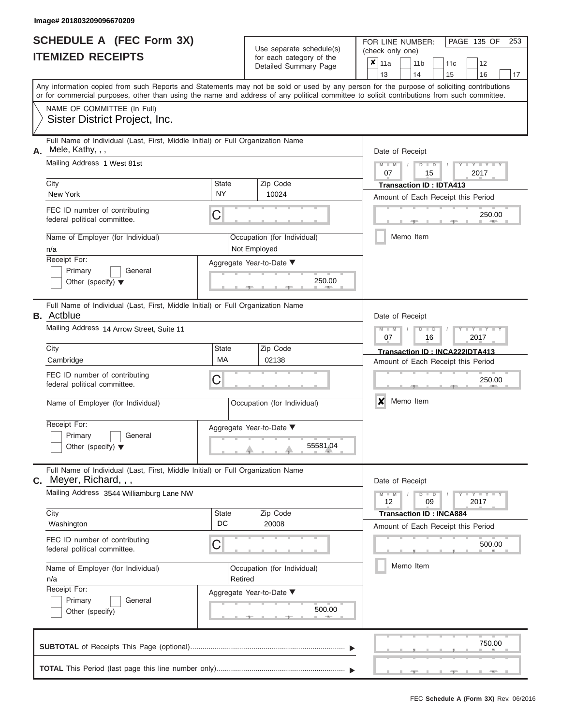|                          | SCHEDULE A (FEC Form 3X) |
|--------------------------|--------------------------|
| <b>ITEMIZED RECEIPTS</b> |                          |

Use separate schedule(s)<br>for each category of the

FOR LINE NUMBER:<br>(check only one)

PAGE 135 OF 253

|    |                                                                                                                                            |                     | $0.0011$ $0.000$<br>Detailed Summary Page | X.     | 11a                                              |  | 11 <sub>b</sub>                      | 11c |  | 12                                 |    |  |  |  |  |
|----|--------------------------------------------------------------------------------------------------------------------------------------------|---------------------|-------------------------------------------|--------|--------------------------------------------------|--|--------------------------------------|-----|--|------------------------------------|----|--|--|--|--|
|    | Any information copied from such Reports and Statements may not be sold or used by any person for the purpose of soliciting contributions  |                     |                                           |        | 13                                               |  | 14                                   | 15  |  | 16                                 | 17 |  |  |  |  |
|    | or for commercial purposes, other than using the name and address of any political committee to solicit contributions from such committee. |                     |                                           |        |                                                  |  |                                      |     |  |                                    |    |  |  |  |  |
|    | NAME OF COMMITTEE (In Full)                                                                                                                |                     |                                           |        |                                                  |  |                                      |     |  |                                    |    |  |  |  |  |
|    | Sister District Project, Inc.                                                                                                              |                     |                                           |        |                                                  |  |                                      |     |  |                                    |    |  |  |  |  |
| А. | Full Name of Individual (Last, First, Middle Initial) or Full Organization Name<br>Mele, Kathy, , ,                                        |                     |                                           |        | Date of Receipt                                  |  |                                      |     |  |                                    |    |  |  |  |  |
|    | Mailing Address 1 West 81st                                                                                                                |                     |                                           |        | $M - M$                                          |  | $D$ $D$                              |     |  | $Y - Y - I$                        |    |  |  |  |  |
|    |                                                                                                                                            |                     |                                           |        | 07                                               |  | 15                                   |     |  | 2017                               |    |  |  |  |  |
|    | City<br>New York                                                                                                                           | <b>State</b><br>NY. | Zip Code<br>10024                         |        |                                                  |  | <b>Transaction ID: IDTA413</b>       |     |  |                                    |    |  |  |  |  |
|    |                                                                                                                                            |                     |                                           |        |                                                  |  |                                      |     |  | Amount of Each Receipt this Period |    |  |  |  |  |
|    | FEC ID number of contributing<br>С<br>federal political committee.                                                                         |                     |                                           | 250.00 |                                                  |  |                                      |     |  |                                    |    |  |  |  |  |
|    | Name of Employer (for Individual)                                                                                                          |                     | Occupation (for Individual)               |        |                                                  |  | Memo Item                            |     |  |                                    |    |  |  |  |  |
|    | n/a                                                                                                                                        |                     | Not Employed                              |        |                                                  |  |                                      |     |  |                                    |    |  |  |  |  |
|    | Receipt For:<br>Primary<br>General                                                                                                         |                     | Aggregate Year-to-Date ▼                  |        |                                                  |  |                                      |     |  |                                    |    |  |  |  |  |
|    | Other (specify) $\blacktriangledown$                                                                                                       |                     | 250.00                                    |        |                                                  |  |                                      |     |  |                                    |    |  |  |  |  |
|    | Full Name of Individual (Last, First, Middle Initial) or Full Organization Name                                                            |                     |                                           |        |                                                  |  |                                      |     |  |                                    |    |  |  |  |  |
|    | <b>B.</b> Actblue<br>Mailing Address 14 Arrow Street, Suite 11                                                                             |                     |                                           |        | Date of Receipt<br>$M - M$<br>$Y - Y$<br>$D$ $D$ |  |                                      |     |  |                                    |    |  |  |  |  |
|    |                                                                                                                                            |                     |                                           |        | 07                                               |  | 16                                   |     |  | 2017                               |    |  |  |  |  |
|    | City                                                                                                                                       | <b>State</b>        | Zip Code                                  |        |                                                  |  |                                      |     |  | Transaction ID: INCA222IDTA413     |    |  |  |  |  |
|    | Cambridge                                                                                                                                  | MA                  | 02138                                     |        |                                                  |  |                                      |     |  | Amount of Each Receipt this Period |    |  |  |  |  |
|    | FEC ID number of contributing<br>С<br>federal political committee.                                                                         |                     |                                           |        |                                                  |  |                                      |     |  | 250.00                             |    |  |  |  |  |
|    | Name of Employer (for Individual)                                                                                                          |                     | Occupation (for Individual)               |        | X<br>Memo Item                                   |  |                                      |     |  |                                    |    |  |  |  |  |
|    | Receipt For:                                                                                                                               |                     | Aggregate Year-to-Date ▼                  |        |                                                  |  |                                      |     |  |                                    |    |  |  |  |  |
|    | Primary<br>General                                                                                                                         |                     |                                           |        |                                                  |  |                                      |     |  |                                    |    |  |  |  |  |
|    | Other (specify) $\blacktriangledown$                                                                                                       |                     | 55581.04                                  |        |                                                  |  |                                      |     |  |                                    |    |  |  |  |  |
|    | Full Name of Individual (Last, First, Middle Initial) or Full Organization Name<br>$c.$ Meyer, Richard, , ,                                |                     |                                           |        | Date of Receipt                                  |  |                                      |     |  |                                    |    |  |  |  |  |
|    | Mailing Address 3544 Williamburg Lane NW                                                                                                   |                     |                                           |        | $M - M$                                          |  | $D$ $D$                              |     |  | $Y - Y - Y - Y - Y$                |    |  |  |  |  |
|    | City                                                                                                                                       | <b>State</b>        | Zip Code                                  |        | 12                                               |  | 09<br><b>Transaction ID: INCA884</b> |     |  | 2017                               |    |  |  |  |  |
|    | Washington                                                                                                                                 | DC                  | 20008                                     |        |                                                  |  |                                      |     |  | Amount of Each Receipt this Period |    |  |  |  |  |
|    | FEC ID number of contributing                                                                                                              |                     |                                           |        |                                                  |  |                                      |     |  |                                    |    |  |  |  |  |
|    | С<br>federal political committee.                                                                                                          |                     |                                           |        |                                                  |  |                                      |     |  | 500.00                             |    |  |  |  |  |
|    | Name of Employer (for Individual)                                                                                                          |                     | Occupation (for Individual)               |        |                                                  |  | Memo Item                            |     |  |                                    |    |  |  |  |  |
|    | n/a<br>Receipt For:                                                                                                                        | Retired             |                                           |        |                                                  |  |                                      |     |  |                                    |    |  |  |  |  |
|    | Primary<br>General                                                                                                                         |                     | Aggregate Year-to-Date ▼                  |        |                                                  |  |                                      |     |  |                                    |    |  |  |  |  |
|    | Other (specify)                                                                                                                            |                     | 500.00                                    |        |                                                  |  |                                      |     |  |                                    |    |  |  |  |  |
|    |                                                                                                                                            |                     |                                           |        |                                                  |  |                                      |     |  | 750.00                             |    |  |  |  |  |
|    |                                                                                                                                            |                     |                                           |        |                                                  |  |                                      |     |  |                                    |    |  |  |  |  |
|    |                                                                                                                                            |                     |                                           |        |                                                  |  |                                      |     |  | $-$                                |    |  |  |  |  |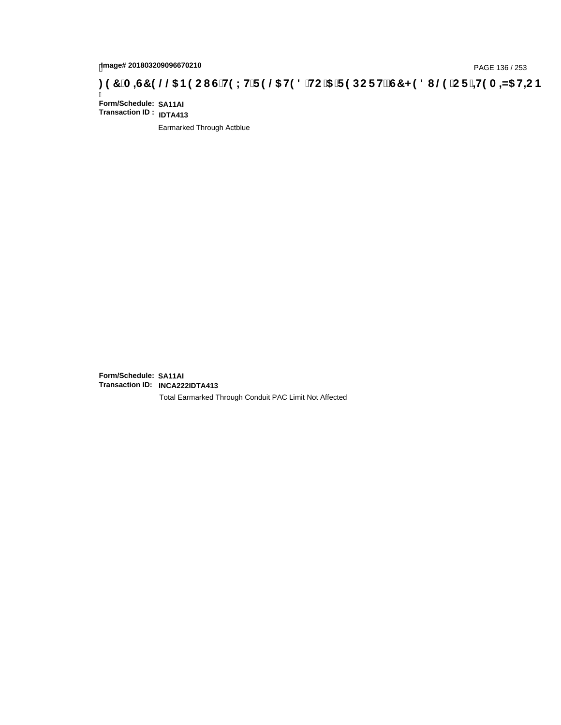# tmage# 201803209096670210<br>DAGE 136 / 253 PAGE 136 / 253<br>**DAGE 136 AMS HE CONTRES (2000 FHS 0,5) F 9 DC F HŽ G7 < 9 8 I . @9 C F <del>` ± I</del>9 A = N5 H= C B**

Ī **Form/Schedule: SA11AI Transaction ID : IDTA413**

Earmarked Through Actblue

**Form/Schedule: SA11AI Transaction ID: INCA222IDTA413**

Total Earmarked Through Conduit PAC Limit Not Affected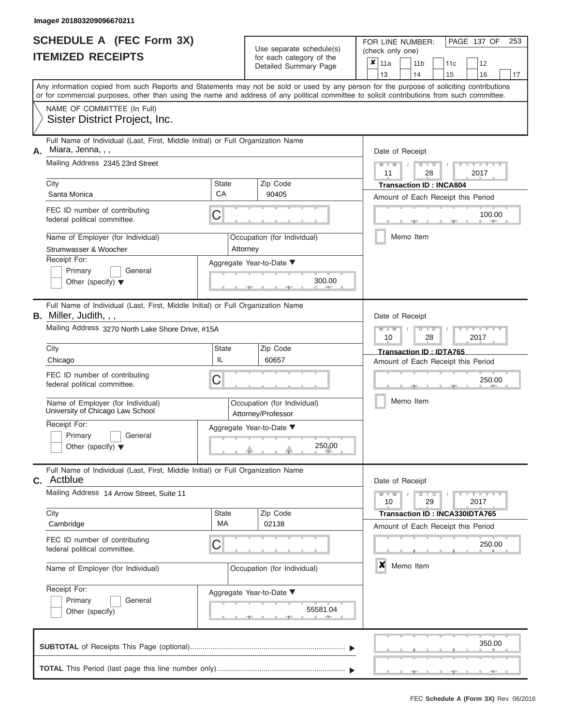|                          | <b>SCHEDULE A (FEC Form 3X)</b> |
|--------------------------|---------------------------------|
| <b>ITEMIZED RECEIPTS</b> |                                 |

| SCHEDULE A (FEC Form 3X)<br><b>ITEMIZED RECEIPTS</b>                                                                                                                  | Use separate schedule(s)<br>for each category of the |                                                   | 253<br>FOR LINE NUMBER:<br>PAGE 137 OF<br>(check only one)<br>$\overline{\mathbf{x}}$   11a                                               |
|-----------------------------------------------------------------------------------------------------------------------------------------------------------------------|------------------------------------------------------|---------------------------------------------------|-------------------------------------------------------------------------------------------------------------------------------------------|
|                                                                                                                                                                       |                                                      | Detailed Summary Page                             | 11 <sub>b</sub><br>11c<br>12<br>13<br>14<br>15<br>16<br>17                                                                                |
| or for commercial purposes, other than using the name and address of any political committee to solicit contributions from such committee.                            |                                                      |                                                   | Any information copied from such Reports and Statements may not be sold or used by any person for the purpose of soliciting contributions |
| NAME OF COMMITTEE (In Full)<br>Sister District Project, Inc.                                                                                                          |                                                      |                                                   |                                                                                                                                           |
| Full Name of Individual (Last, First, Middle Initial) or Full Organization Name<br>Miara, Jenna, , ,<br>А.<br>Mailing Address 2345 23rd Street                        |                                                      |                                                   | Date of Receipt<br>$M = M$ /<br>Y I Y I<br>$D$ $D$<br>11<br>2017<br>28                                                                    |
| City<br>Santa Monica                                                                                                                                                  | <b>State</b><br>CA                                   | Zip Code<br>90405                                 | <b>Transaction ID: INCA804</b><br>Amount of Each Receipt this Period                                                                      |
| FEC ID number of contributing<br>federal political committee.                                                                                                         | C                                                    |                                                   | 100.00<br><b>CONTRACTOR</b>                                                                                                               |
| Name of Employer (for Individual)<br>Strumwasser & Woocher                                                                                                            |                                                      | Occupation (for Individual)<br>Attorney           | Memo Item                                                                                                                                 |
| Receipt For:<br>Primary<br>General<br>Other (specify) $\blacktriangledown$                                                                                            |                                                      | Aggregate Year-to-Date ▼<br>300.00                |                                                                                                                                           |
| Full Name of Individual (Last, First, Middle Initial) or Full Organization Name<br><b>B.</b> Miller, Judith, , ,<br>Mailing Address 3270 North Lake Shore Drive, #15A |                                                      |                                                   | Date of Receipt<br>$M - M$<br>$D$ $\Box$ $D$<br>Y TYT                                                                                     |
| City<br>Chicago                                                                                                                                                       | State<br>IL                                          | Zip Code<br>60657                                 | 10<br>2017<br>28<br>Transaction ID: IDTA765<br>Amount of Each Receipt this Period                                                         |
| FEC ID number of contributing<br>federal political committee.                                                                                                         | С                                                    |                                                   | 250.00                                                                                                                                    |
| Name of Employer (for Individual)<br>University of Chicago Law School                                                                                                 |                                                      | Occupation (for Individual)<br>Attorney/Professor | Memo Item                                                                                                                                 |
| Receipt For:<br>Primary<br>General<br>Other (specify) $\blacktriangledown$                                                                                            |                                                      | Aggregate Year-to-Date ▼<br>250.00                |                                                                                                                                           |
| Full Name of Individual (Last, First, Middle Initial) or Full Organization Name<br>Actblue<br>С.                                                                      |                                                      |                                                   | Date of Receipt                                                                                                                           |
| Mailing Address 14 Arrow Street, Suite 11                                                                                                                             |                                                      |                                                   | $M - M$<br>$D$ $D$<br>$+Y+Y+Y$<br>29<br>10<br>2017                                                                                        |
| City<br>Cambridge                                                                                                                                                     | <b>State</b><br>MA                                   | Zip Code<br>02138                                 | Transaction ID: INCA330IDTA765<br>Amount of Each Receipt this Period                                                                      |
| FEC ID number of contributing<br>federal political committee.                                                                                                         | С                                                    |                                                   | 250.00                                                                                                                                    |
| Name of Employer (for Individual)                                                                                                                                     |                                                      | Occupation (for Individual)                       | ×<br>Memo Item                                                                                                                            |
| Receipt For:<br>General<br>Primary<br>Other (specify)                                                                                                                 |                                                      | Aggregate Year-to-Date ▼<br>55581.04              |                                                                                                                                           |
|                                                                                                                                                                       |                                                      |                                                   | 350.00                                                                                                                                    |
|                                                                                                                                                                       |                                                      |                                                   |                                                                                                                                           |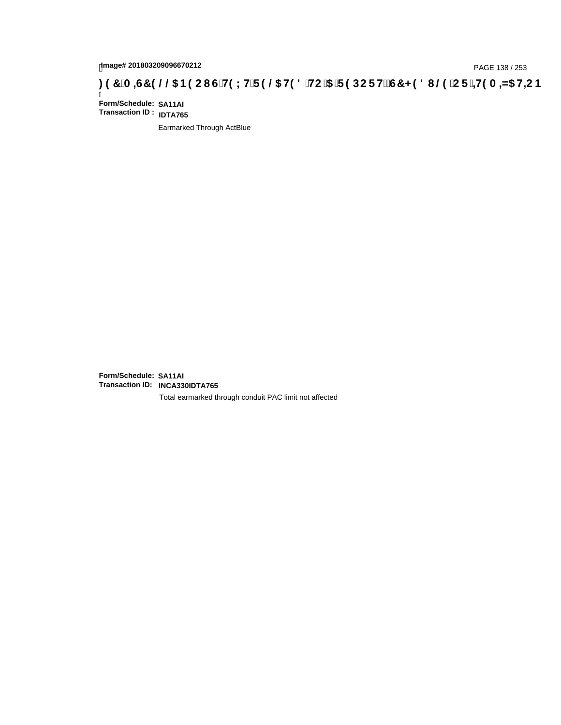# page# 201803209096670212<br>Denge# 201803209096670212<br>**(OD) CF +H9 A =N5 H=C B +R9 LH F 9 @ H9 8 `HC `5 `F 9 DC F Hž G7 < 9 8 I @ `C F `<del>I 1</del>9 A =N5 H=C B +RF + 19 A =N5 H=C B**

Ī **Form/Schedule: SA11AI Transaction ID : IDTA765**

Earmarked Through ActBlue

**Form/Schedule: SA11AI Transaction ID: INCA330IDTA765**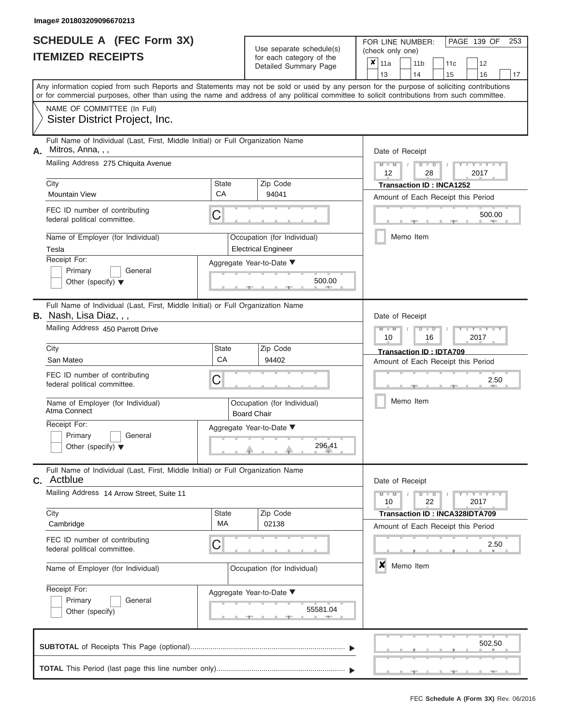|                          | <b>SCHEDULE A (FEC Form 3X)</b> |
|--------------------------|---------------------------------|
| <b>ITEMIZED RECEIPTS</b> |                                 |

FOR LINE NUMBER: Use separate schedule(s) (check only one)<br>for each category of the  $\begin{array}{|c|c|c|c|c|}\n\hline\n\text{Initial Summary goes} & & \text{with } & \text{with } & \text{with } & \text{with } & \text{with } & \text{with } & \text{with } & \text{with } & \text{with } & \text{with } & \text{with } & \text{with } & \text{with } & \text{with } & \text{with } & \text{with } & \text{with } & \text{with } & \text{with } & \text{with } & \text$ 

|                                                   | <u>IIEMIZED RECEIPIS</u>                                                                                                                                                                                                                                                                |                             |                                                   | for each category of the<br>Detailed Summary Page         | × | 11a<br>13       |                                            | 11 b<br>14      |                      | 11c<br>15                                                                   | 12<br>16        | 17   |
|---------------------------------------------------|-----------------------------------------------------------------------------------------------------------------------------------------------------------------------------------------------------------------------------------------------------------------------------------------|-----------------------------|---------------------------------------------------|-----------------------------------------------------------|---|-----------------|--------------------------------------------|-----------------|----------------------|-----------------------------------------------------------------------------|-----------------|------|
|                                                   | Any information copied from such Reports and Statements may not be sold or used by any person for the purpose of soliciting contributions<br>or for commercial purposes, other than using the name and address of any political committee to solicit contributions from such committee. |                             |                                                   |                                                           |   |                 |                                            |                 |                      |                                                                             |                 |      |
|                                                   | NAME OF COMMITTEE (In Full)<br>Sister District Project, Inc.                                                                                                                                                                                                                            |                             |                                                   |                                                           |   |                 |                                            |                 |                      |                                                                             |                 |      |
| А.                                                | Full Name of Individual (Last, First, Middle Initial) or Full Organization Name<br>Mitros, Anna, , ,                                                                                                                                                                                    |                             |                                                   |                                                           |   | Date of Receipt |                                            |                 |                      |                                                                             |                 |      |
|                                                   | Mailing Address 275 Chiquita Avenue                                                                                                                                                                                                                                                     |                             |                                                   |                                                           |   |                 | $Y = Y$<br>D<br>D<br>2017<br>12<br>28      |                 |                      |                                                                             |                 |      |
|                                                   | City<br><b>Mountain View</b>                                                                                                                                                                                                                                                            | <b>State</b><br>CA          |                                                   | Zip Code<br>94041                                         |   |                 |                                            |                 |                      | <b>Transaction ID: INCA1252</b><br>Amount of Each Receipt this Period       |                 |      |
|                                                   | FEC ID number of contributing<br>federal political committee.                                                                                                                                                                                                                           | С                           |                                                   |                                                           |   |                 |                                            |                 |                      |                                                                             | 500.00          |      |
|                                                   | Name of Employer (for Individual)<br>Tesla                                                                                                                                                                                                                                              |                             |                                                   | Occupation (for Individual)<br><b>Electrical Engineer</b> |   |                 |                                            | Memo Item       |                      |                                                                             |                 |      |
|                                                   | Receipt For:<br>Primary<br>General<br>Other (specify) $\blacktriangledown$                                                                                                                                                                                                              |                             |                                                   | Aggregate Year-to-Date ▼<br>500.00                        |   |                 |                                            |                 |                      |                                                                             |                 |      |
|                                                   | Full Name of Individual (Last, First, Middle Initial) or Full Organization Name<br><b>B.</b> Nash, Lisa Diaz, , ,                                                                                                                                                                       |                             |                                                   |                                                           |   |                 |                                            |                 |                      |                                                                             |                 |      |
|                                                   | Mailing Address 450 Parrott Drive                                                                                                                                                                                                                                                       |                             |                                                   |                                                           |   |                 | Date of Receipt<br>Y Y<br>2017<br>10<br>16 |                 |                      |                                                                             |                 |      |
|                                                   | City<br>San Mateo                                                                                                                                                                                                                                                                       | <b>State</b><br>CA          |                                                   | Zip Code<br>94402                                         |   |                 |                                            |                 |                      | Transaction ID: IDTA709<br>Amount of Each Receipt this Period               |                 |      |
|                                                   | FEC ID number of contributing<br>federal political committee.                                                                                                                                                                                                                           | С                           |                                                   |                                                           |   |                 | 2.50                                       |                 |                      |                                                                             |                 |      |
| Name of Employer (for Individual)<br>Atma Connect |                                                                                                                                                                                                                                                                                         |                             | Occupation (for Individual)<br><b>Board Chair</b> |                                                           |   |                 | Memo Item                                  |                 |                      |                                                                             |                 |      |
|                                                   | Receipt For:<br>Primary<br>General<br>Other (specify) $\blacktriangledown$                                                                                                                                                                                                              |                             |                                                   | Aggregate Year-to-Date ▼<br>296.41                        |   |                 |                                            |                 |                      |                                                                             |                 |      |
|                                                   | Full Name of Individual (Last, First, Middle Initial) or Full Organization Name<br><b>C.</b> Actblue                                                                                                                                                                                    |                             |                                                   |                                                           |   |                 |                                            | Date of Receipt |                      |                                                                             |                 |      |
|                                                   | Mailing Address 14 Arrow Street, Suite 11                                                                                                                                                                                                                                               |                             |                                                   |                                                           |   |                 |                                            | D               | $\blacksquare$<br>22 |                                                                             | Y L Y L<br>2017 |      |
|                                                   | City<br>Cambridge                                                                                                                                                                                                                                                                       | <b>State</b><br>МA          |                                                   | Zip Code<br>02138                                         |   |                 |                                            |                 |                      | <b>Transaction ID: INCA328IDTA709</b><br>Amount of Each Receipt this Period |                 |      |
|                                                   | FEC ID number of contributing<br>federal political committee.                                                                                                                                                                                                                           | С                           |                                                   |                                                           |   |                 |                                            |                 |                      |                                                                             |                 | 2.50 |
|                                                   | Name of Employer (for Individual)                                                                                                                                                                                                                                                       | Occupation (for Individual) |                                                   |                                                           |   |                 |                                            | Memo Item       |                      |                                                                             |                 |      |
|                                                   | Receipt For:<br>Primary<br>General<br>Other (specify)                                                                                                                                                                                                                                   |                             |                                                   | Aggregate Year-to-Date ▼<br>55581.04<br><b>COLL</b>       |   |                 |                                            |                 |                      |                                                                             |                 |      |
|                                                   |                                                                                                                                                                                                                                                                                         |                             |                                                   |                                                           |   |                 |                                            |                 |                      |                                                                             | 502.50          |      |
|                                                   |                                                                                                                                                                                                                                                                                         |                             |                                                   |                                                           |   |                 |                                            |                 |                      |                                                                             |                 |      |

PAGE 139 OF 253

 ▲ ▲ ▲ , , .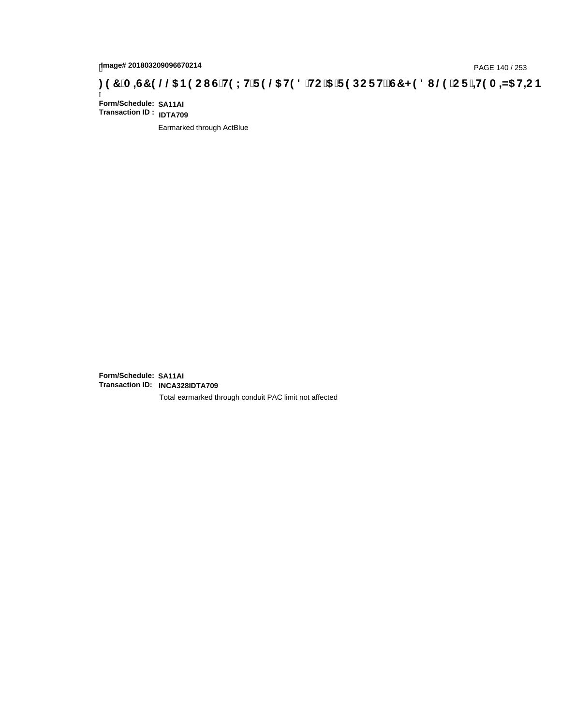# page# 201803209096670214<br>Denge# 201803209096670214<br>**( O, The LHTP @ H9 8 `HC `5 `F 9 DC F Hz G7 < 9 8 I @ `C F `<del>J 1</del>9 A =N5 H=C B . [ 37 `A =ST 9 @ & B9 C I G`H9 L H**

Ī **Form/Schedule: SA11AI Transaction ID : IDTA709**

Earmarked through ActBlue

**Form/Schedule: SA11AI Transaction ID: INCA328IDTA709**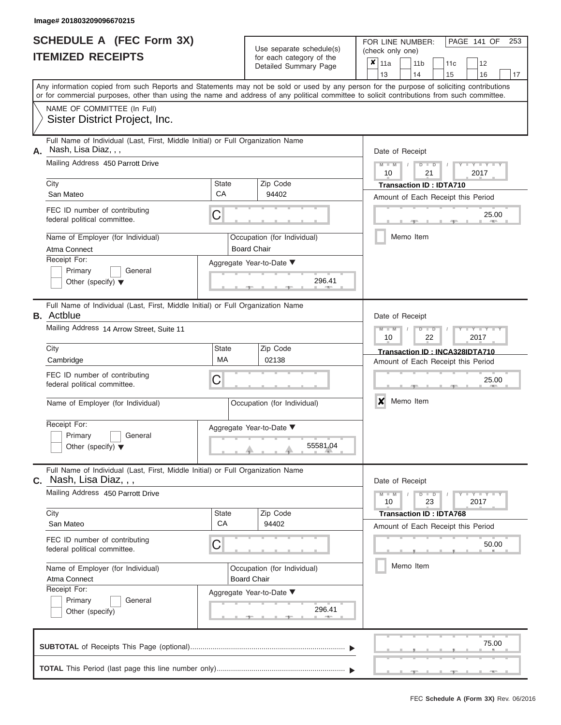|                          | <b>SCHEDULE A (FEC Form 3X)</b> |
|--------------------------|---------------------------------|
| <b>ITEMIZED RECEIPTS</b> |                                 |

Use separate schedule(s) (check only one) for each category of the  $\Box$ 

FOR LINE NUMBER:<br>(check only one)

PAGE 141 OF 253

|    | ITEMIZED RECEIPTS                                                                                                                                                                                                                                                                       |                                                               | for each category of the<br>Detailed Summary Page | $\pmb{\times}$<br>11a<br>11 <sub>b</sub><br>12<br>11c<br>14<br>13<br>15<br>16<br>17 |  |  |  |  |
|----|-----------------------------------------------------------------------------------------------------------------------------------------------------------------------------------------------------------------------------------------------------------------------------------------|---------------------------------------------------------------|---------------------------------------------------|-------------------------------------------------------------------------------------|--|--|--|--|
|    | Any information copied from such Reports and Statements may not be sold or used by any person for the purpose of soliciting contributions<br>or for commercial purposes, other than using the name and address of any political committee to solicit contributions from such committee. |                                                               |                                                   |                                                                                     |  |  |  |  |
|    | NAME OF COMMITTEE (In Full)<br>Sister District Project, Inc.                                                                                                                                                                                                                            |                                                               |                                                   |                                                                                     |  |  |  |  |
| А. | Full Name of Individual (Last, First, Middle Initial) or Full Organization Name<br>Nash, Lisa Diaz, , ,                                                                                                                                                                                 |                                                               |                                                   | Date of Receipt                                                                     |  |  |  |  |
|    | Mailing Address 450 Parrott Drive                                                                                                                                                                                                                                                       |                                                               |                                                   | $M - M$<br>$Y = Y = Y + Y$<br>$D$ $D$<br>10<br>21<br>2017                           |  |  |  |  |
|    | City<br>San Mateo                                                                                                                                                                                                                                                                       | State<br>CA                                                   | Zip Code<br>94402                                 | <b>Transaction ID: IDTA710</b><br>Amount of Each Receipt this Period                |  |  |  |  |
|    | FEC ID number of contributing<br>federal political committee.                                                                                                                                                                                                                           | C                                                             |                                                   | 25.00                                                                               |  |  |  |  |
|    | Name of Employer (for Individual)<br>Atma Connect                                                                                                                                                                                                                                       |                                                               | Occupation (for Individual)<br><b>Board Chair</b> | Memo Item                                                                           |  |  |  |  |
|    | Receipt For:<br>Primary<br>General<br>Other (specify) $\blacktriangledown$                                                                                                                                                                                                              |                                                               | Aggregate Year-to-Date ▼<br>296.41                |                                                                                     |  |  |  |  |
|    | Full Name of Individual (Last, First, Middle Initial) or Full Organization Name<br><b>B.</b> Actblue                                                                                                                                                                                    |                                                               |                                                   | Date of Receipt                                                                     |  |  |  |  |
|    | Mailing Address 14 Arrow Street, Suite 11                                                                                                                                                                                                                                               | $Y = Y$<br>$M - 1$<br>₽<br>$\blacksquare$<br>22<br>2017<br>10 |                                                   |                                                                                     |  |  |  |  |
|    | City<br>Cambridge                                                                                                                                                                                                                                                                       | State<br><b>MA</b>                                            | Zip Code<br>02138                                 | Transaction ID: INCA328IDTA710<br>Amount of Each Receipt this Period                |  |  |  |  |
|    | FEC ID number of contributing<br>federal political committee.                                                                                                                                                                                                                           | C                                                             |                                                   | 25.00                                                                               |  |  |  |  |
|    | Name of Employer (for Individual)                                                                                                                                                                                                                                                       |                                                               | Occupation (for Individual)                       | X<br>Memo Item                                                                      |  |  |  |  |
|    | Receipt For:<br>Primary<br>General<br>Other (specify) $\blacktriangledown$                                                                                                                                                                                                              |                                                               | Aggregate Year-to-Date ▼<br>55581.04              |                                                                                     |  |  |  |  |
|    | Full Name of Individual (Last, First, Middle Initial) or Full Organization Name<br><b>c.   N</b> ash, Lisa Diaz, , ,                                                                                                                                                                    |                                                               |                                                   | Date of Receipt                                                                     |  |  |  |  |
|    | Mailing Address 450 Parrott Drive                                                                                                                                                                                                                                                       | $M - M$<br>$D$ $D$<br>Y TY T<br>23<br>2017<br>10              |                                                   |                                                                                     |  |  |  |  |
|    | City<br>San Mateo                                                                                                                                                                                                                                                                       | State<br>CA                                                   | Zip Code<br>94402                                 | <b>Transaction ID: IDTA768</b><br>Amount of Each Receipt this Period                |  |  |  |  |
|    | FEC ID number of contributing<br>federal political committee.                                                                                                                                                                                                                           | C                                                             |                                                   | 50.00                                                                               |  |  |  |  |
|    | Name of Employer (for Individual)<br>Atma Connect                                                                                                                                                                                                                                       |                                                               | Occupation (for Individual)<br><b>Board Chair</b> | Memo Item                                                                           |  |  |  |  |
|    | Receipt For:<br>Primary<br>General<br>Other (specify)                                                                                                                                                                                                                                   |                                                               | Aggregate Year-to-Date ▼<br>296.41<br>$-1$        |                                                                                     |  |  |  |  |
|    |                                                                                                                                                                                                                                                                                         |                                                               |                                                   | 75.00                                                                               |  |  |  |  |
|    |                                                                                                                                                                                                                                                                                         |                                                               |                                                   | $-1$                                                                                |  |  |  |  |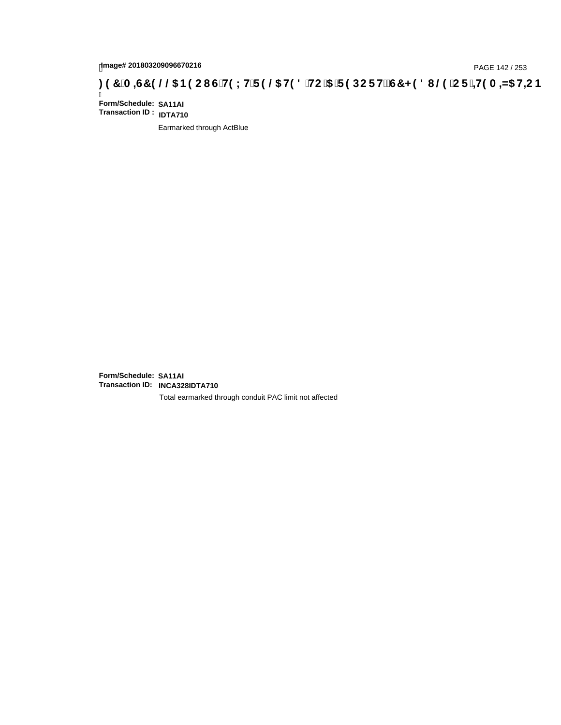# page# 201803209096670216<br>Denge# 201803209096670216<br>**(OD) CF +H9 A =N5 H=C B +R9 LH F 9 @ H9 8 `HC `5 `F 9 DC F Hž G7 < 9 8 I @ `C F `<del>I 1</del>9 A =N5 H=C B +RF + 19 A =N5 H=C B**

Ī **Form/Schedule: SA11AI Transaction ID : IDTA710**

Earmarked through ActBlue

**Form/Schedule: SA11AI Transaction ID: INCA328IDTA710**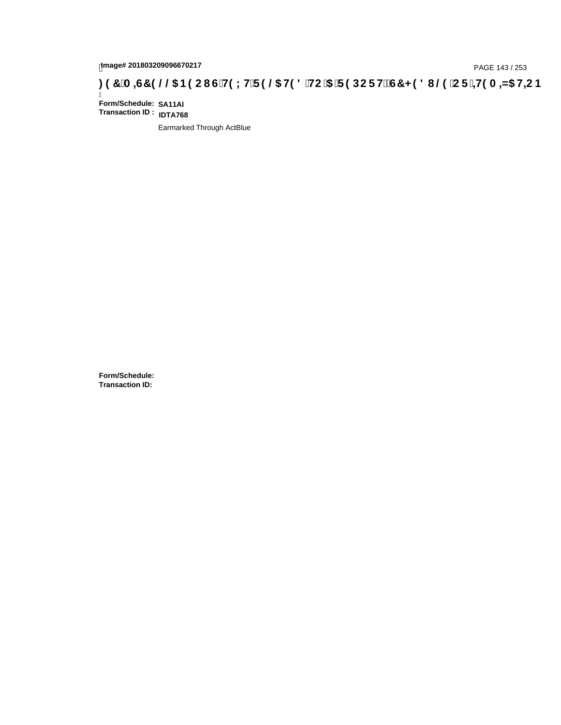# page# 201803209096670217<br>Denge# 201803209096670217 (GTH9LHTF9 @5 H9 8 THC '5 TF 9 DC F HŽG7 < 9 8 I @9 'C F <sup>1</sup> + 19 A = N5 H + C B : 9 7 'A = G7 9 @ \$ B9 C I GTH9 LHTF 9 @ H9 8 THC '5 TF 9 DC F HŽG7 < 9 8 I

Ī **Form/Schedule: SA11AI Transaction ID : IDTA768**

Earmarked Through ActBlue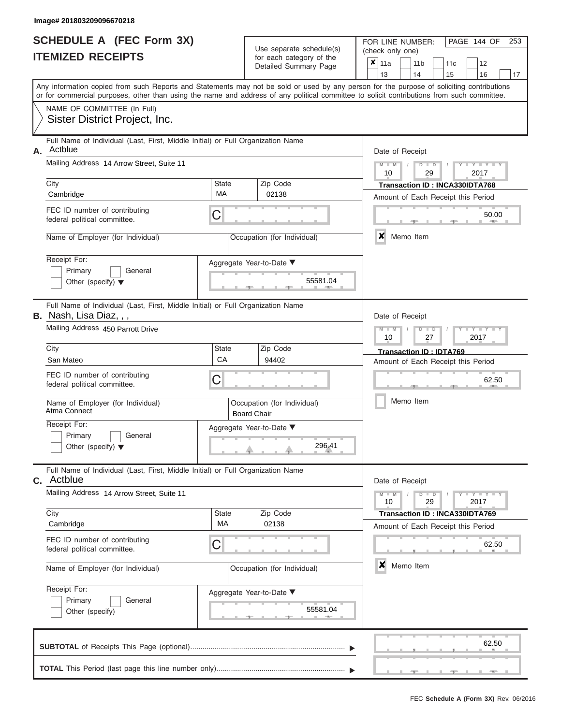|                          | <b>SCHEDULE A (FEC Form 3X)</b> |
|--------------------------|---------------------------------|
| <b>ITEMIZED RECEIPTS</b> |                                 |

| SCHEDULE A (FEC Form 3X)<br><b>ITEMIZED RECEIPTS</b>                                                                                                                                                                                                                                                               |                         | Use separate schedule(s)<br>for each category of the<br>Detailed Summary Page            | 253<br>FOR LINE NUMBER:<br>PAGE 144 OF<br>(check only one)<br>$\boldsymbol{x}$<br>11a<br>11 <sub>b</sub><br>12<br>11 <sub>c</sub>                                                                          |
|--------------------------------------------------------------------------------------------------------------------------------------------------------------------------------------------------------------------------------------------------------------------------------------------------------------------|-------------------------|------------------------------------------------------------------------------------------|------------------------------------------------------------------------------------------------------------------------------------------------------------------------------------------------------------|
| Any information copied from such Reports and Statements may not be sold or used by any person for the purpose of soliciting contributions                                                                                                                                                                          |                         |                                                                                          | 13<br>14<br>15<br>16<br>17                                                                                                                                                                                 |
| or for commercial purposes, other than using the name and address of any political committee to solicit contributions from such committee.<br>NAME OF COMMITTEE (In Full)<br>Sister District Project, Inc.                                                                                                         |                         |                                                                                          |                                                                                                                                                                                                            |
| Full Name of Individual (Last, First, Middle Initial) or Full Organization Name<br>Actblue<br>Α.<br>Mailing Address 14 Arrow Street, Suite 11<br>City<br>Cambridge<br>FEC ID number of contributing<br>federal political committee.<br>Name of Employer (for Individual)<br>Receipt For:<br>Primary<br>General     | <b>State</b><br>MA<br>C | Zip Code<br>02138<br>Occupation (for Individual)<br>Aggregate Year-to-Date ▼<br>55581.04 | Date of Receipt<br>$M = M$ /<br>$Y = Y =$<br>$D$ $D$<br>10<br>29<br>2017<br>Transaction ID: INCA330IDTA768<br>Amount of Each Receipt this Period<br>50.00<br><b>AND</b><br>x<br>Memo Item                  |
| Other (specify) $\blacktriangledown$<br>Full Name of Individual (Last, First, Middle Initial) or Full Organization Name<br>B. Nash, Lisa Diaz, , ,<br>Mailing Address 450 Parrott Drive<br>City<br>San Mateo<br>FEC ID number of contributing<br>federal political committee.<br>Name of Employer (for Individual) | State<br>CA<br>C        | Zip Code<br>94402<br>Occupation (for Individual)                                         | Date of Receipt<br>$M - M$<br>$D$ $D$<br>$T - Y = T - T$<br>10<br>27<br>2017<br>Transaction ID: IDTA769<br>Amount of Each Receipt this Period<br>62.50<br>Memo Item                                        |
| Atma Connect<br>Receipt For:<br>Primary<br>General<br>Other (specify) $\blacktriangledown$<br>Full Name of Individual (Last, First, Middle Initial) or Full Organization Name                                                                                                                                      |                         | <b>Board Chair</b><br>Aggregate Year-to-Date ▼<br>296.41                                 |                                                                                                                                                                                                            |
| <b>C.</b> Actblue<br>Mailing Address 14 Arrow Street, Suite 11<br>City<br>Cambridge<br>FEC ID number of contributing<br>federal political committee.<br>Name of Employer (for Individual)<br>Receipt For:<br>Primary<br>General<br>Other (specify)                                                                 | State<br>MA<br>С        | Zip Code<br>02138<br>Occupation (for Individual)<br>Aggregate Year-to-Date ▼<br>55581.04 | Date of Receipt<br>$M - M$<br>$+$ $+$ $+$ $+$ $+$ $+$ $+$<br>$D$ $D$<br>10<br>29<br>2017<br>Transaction ID: INCA330IDTA769<br>Amount of Each Receipt this Period<br>62.50<br>$\boldsymbol{x}$<br>Memo Item |
|                                                                                                                                                                                                                                                                                                                    |                         |                                                                                          | 62.50                                                                                                                                                                                                      |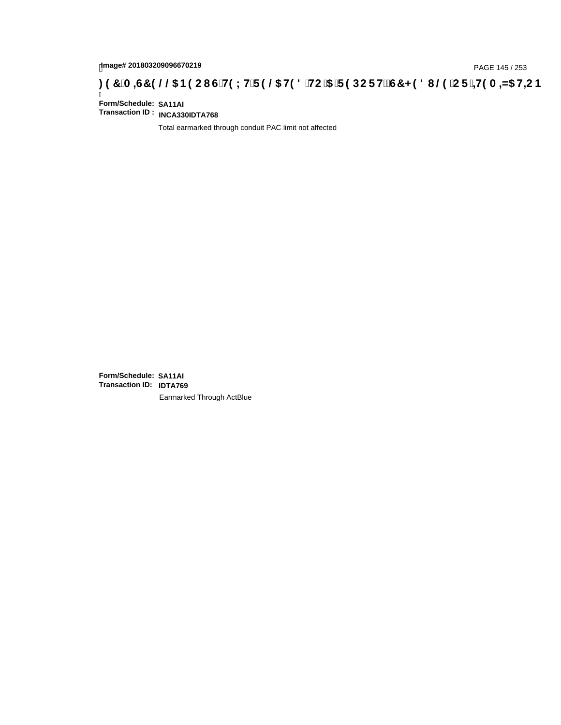# page# 201803209096670219<br>DAGE 145 / 253 PAGE 145 / 253<br>**DAGE 149 CHI STING THE 19 @ H9 8 `HC `5 `F 9 DC F H2 G7 < 9 8 I @ `C F `<del>J 1</del>9 A =N5 H=C B .**

Ī **Form/Schedule: SA11AI Transaction ID : INCA330IDTA768**

Total earmarked through conduit PAC limit not affected

**Form/Schedule: SA11AI Transaction ID: IDTA769**Earmarked Through ActBlue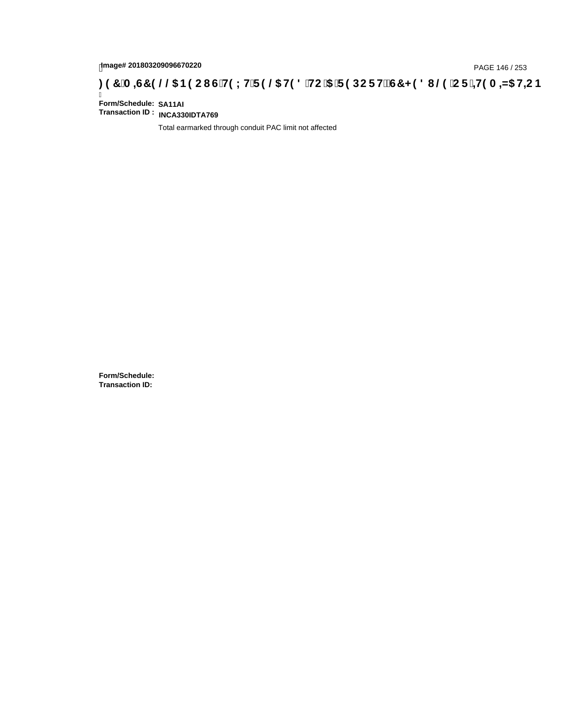# page# 201803209096670220<br>Denge# 201803209096670220 **(CiH9LHiF9 @5 H98 iHC i5 iF9 DCF HžG7 < 98 I @9 iCF i<del>=H</del>9 A =N5 H=CB : 97 iA =ST 9 @@5 B9 CI GiH9LHiF9 @5 H98 iHC i5 iF9 DCF HžG7 < 98 I @9 iCF i=H9 A =N5 H=C**

Ī **Form/Schedule: SA11AI Transaction ID : INCA330IDTA769**

Total earmarked through conduit PAC limit not affected

**Form/Schedule: Transaction ID:**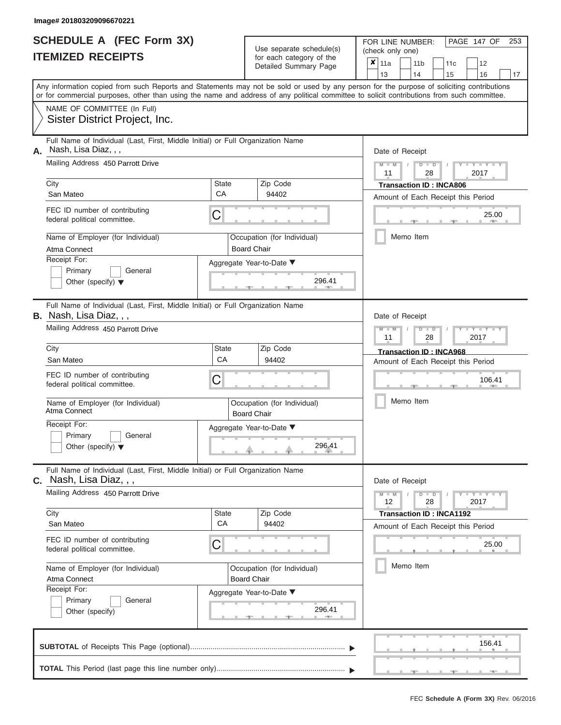ı

|                          | <b>SCHEDULE A (FEC Form 3X)</b> |
|--------------------------|---------------------------------|
| <b>ITEMIZED RECEIPTS</b> |                                 |

Use separate schedule(s)<br>for each category of the

FOR LINE NUMBER:<br>(check only one)

PAGE 147 OF 253

|                                                                                                                                                                                                                                                                                         |                           | ivi cacii calcyory or life<br>Detailed Summary Page | x      | 11a<br>13                  |  | 11 <sub>b</sub><br>14 |    | 11c<br>15                       | 12<br>16                           | 17                    |
|-----------------------------------------------------------------------------------------------------------------------------------------------------------------------------------------------------------------------------------------------------------------------------------------|---------------------------|-----------------------------------------------------|--------|----------------------------|--|-----------------------|----|---------------------------------|------------------------------------|-----------------------|
| Any information copied from such Reports and Statements may not be sold or used by any person for the purpose of soliciting contributions<br>or for commercial purposes, other than using the name and address of any political committee to solicit contributions from such committee. |                           |                                                     |        |                            |  |                       |    |                                 |                                    |                       |
| NAME OF COMMITTEE (In Full)<br>Sister District Project, Inc.                                                                                                                                                                                                                            |                           |                                                     |        |                            |  |                       |    |                                 |                                    |                       |
| Full Name of Individual (Last, First, Middle Initial) or Full Organization Name<br>Nash, Lisa Diaz, , ,<br>А.<br>Mailing Address 450 Parrott Drive                                                                                                                                      |                           |                                                     |        | Date of Receipt<br>$M - M$ |  | $D$ $D$               |    |                                 | $Y - Y - I$                        |                       |
|                                                                                                                                                                                                                                                                                         |                           |                                                     |        | 11                         |  |                       | 28 |                                 | 2017                               |                       |
| City<br>San Mateo                                                                                                                                                                                                                                                                       | <b>State</b><br><b>CA</b> | Zip Code<br>94402                                   |        |                            |  |                       |    | <b>Transaction ID: INCA806</b>  | Amount of Each Receipt this Period |                       |
| FEC ID number of contributing<br>federal political committee.                                                                                                                                                                                                                           | С                         |                                                     |        |                            |  |                       |    |                                 |                                    | 25.00<br><b>ARTIS</b> |
| Name of Employer (for Individual)<br>Atma Connect                                                                                                                                                                                                                                       |                           | Occupation (for Individual)<br><b>Board Chair</b>   |        |                            |  | Memo Item             |    |                                 |                                    |                       |
| Receipt For:<br>Primary<br>General<br>Other (specify) $\blacktriangledown$                                                                                                                                                                                                              |                           | Aggregate Year-to-Date ▼<br>296.41                  |        |                            |  |                       |    |                                 |                                    |                       |
| Full Name of Individual (Last, First, Middle Initial) or Full Organization Name<br><b>B.</b> Nash, Lisa Diaz,,,                                                                                                                                                                         |                           |                                                     |        | Date of Receipt            |  |                       |    |                                 |                                    |                       |
| Mailing Address 450 Parrott Drive                                                                                                                                                                                                                                                       |                           |                                                     |        | $M - M$<br>11              |  | $D$ $\Box$ $D$        | 28 |                                 | Y TY<br>2017                       |                       |
| City<br>San Mateo                                                                                                                                                                                                                                                                       | State<br>CA               | Zip Code<br>94402                                   |        |                            |  |                       |    | <b>Transaction ID: INCA968</b>  | Amount of Each Receipt this Period |                       |
| FEC ID number of contributing<br>federal political committee.                                                                                                                                                                                                                           | С                         |                                                     | 106.41 |                            |  |                       |    |                                 |                                    |                       |
| Name of Employer (for Individual)<br>Atma Connect                                                                                                                                                                                                                                       |                           | Occupation (for Individual)<br><b>Board Chair</b>   |        |                            |  | Memo Item             |    |                                 |                                    |                       |
| Receipt For:<br>Primary<br>General<br>Other (specify) $\blacktriangledown$                                                                                                                                                                                                              |                           | Aggregate Year-to-Date ▼<br>296.41                  |        |                            |  |                       |    |                                 |                                    |                       |
| Full Name of Individual (Last, First, Middle Initial) or Full Organization Name<br>Nash, Lisa Diaz, , ,<br>С.                                                                                                                                                                           |                           |                                                     |        | Date of Receipt            |  |                       |    |                                 |                                    |                       |
| Mailing Address 450 Parrott Drive                                                                                                                                                                                                                                                       |                           |                                                     |        | $M - M$<br>12              |  | $D$ $D$               | 28 |                                 | 2017                               |                       |
| City<br>San Mateo                                                                                                                                                                                                                                                                       | State<br>CA               | Zip Code<br>94402                                   |        |                            |  |                       |    | <b>Transaction ID: INCA1192</b> | Amount of Each Receipt this Period |                       |
| FEC ID number of contributing<br>federal political committee.                                                                                                                                                                                                                           | С                         |                                                     |        |                            |  |                       |    |                                 |                                    | 25.00                 |
| Name of Employer (for Individual)<br>Atma Connect                                                                                                                                                                                                                                       |                           | Occupation (for Individual)<br><b>Board Chair</b>   |        |                            |  | Memo Item             |    |                                 |                                    |                       |
| Receipt For:<br>General<br>Primary<br>Other (specify)                                                                                                                                                                                                                                   |                           | Aggregate Year-to-Date ▼<br>296.41                  |        |                            |  |                       |    |                                 |                                    |                       |
|                                                                                                                                                                                                                                                                                         |                           |                                                     |        |                            |  |                       |    |                                 | 156.41                             |                       |
|                                                                                                                                                                                                                                                                                         |                           |                                                     |        |                            |  |                       |    |                                 |                                    |                       |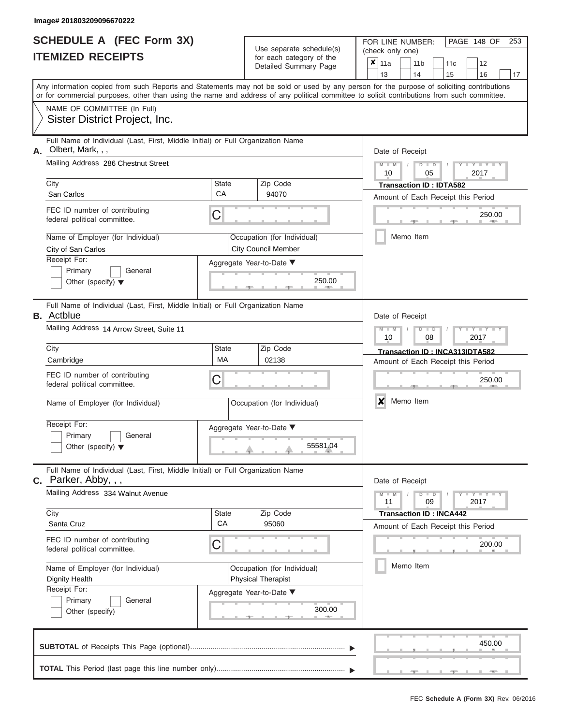|                          | <b>SCHEDULE A (FEC Form 3X)</b> |
|--------------------------|---------------------------------|
| <b>ITEMIZED RECEIPTS</b> |                                 |

Use separate schedule(s) (check only one)<br>for each category of the  $\begin{array}{|c|c|c|c|c|}\hline \textbf{X} & 11a & 1\end{array}$ 

FOR LINE NUMBER:

PAGE 148 OF 253

|      | IIEMIZED RECEIPIS                                                                                                                                                                                                                                                                       |                          | for each category of the<br>Detailed Summary Page         | ×<br>13                 | 11a             |           | 11 <sub>b</sub><br>14   |                               | 11c<br>15                                                            | 12<br>16            |        | 17 |
|------|-----------------------------------------------------------------------------------------------------------------------------------------------------------------------------------------------------------------------------------------------------------------------------------------|--------------------------|-----------------------------------------------------------|-------------------------|-----------------|-----------|-------------------------|-------------------------------|----------------------------------------------------------------------|---------------------|--------|----|
|      | Any information copied from such Reports and Statements may not be sold or used by any person for the purpose of soliciting contributions<br>or for commercial purposes, other than using the name and address of any political committee to solicit contributions from such committee. |                          |                                                           |                         |                 |           |                         |                               |                                                                      |                     |        |    |
|      | NAME OF COMMITTEE (In Full)<br>Sister District Project, Inc.                                                                                                                                                                                                                            |                          |                                                           |                         |                 |           |                         |                               |                                                                      |                     |        |    |
| А.   | Full Name of Individual (Last, First, Middle Initial) or Full Organization Name<br>Olbert, Mark, , ,<br>Mailing Address 286 Chestnut Street                                                                                                                                             |                          |                                                           |                         | Date of Receipt |           |                         |                               |                                                                      |                     |        |    |
| City |                                                                                                                                                                                                                                                                                         | <b>State</b>             | Zip Code                                                  |                         | 10              |           | $\overline{\mathsf{D}}$ | D<br>05                       | <b>Transaction ID: IDTA582</b>                                       | Y TYT<br>2017       |        |    |
|      | San Carlos                                                                                                                                                                                                                                                                              | СA                       | 94070                                                     |                         |                 |           |                         |                               | Amount of Each Receipt this Period                                   |                     |        |    |
|      | FEC ID number of contributing<br>federal political committee.                                                                                                                                                                                                                           | C                        |                                                           |                         |                 |           |                         |                               |                                                                      |                     | 250.00 |    |
|      | Name of Employer (for Individual)<br>City of San Carlos                                                                                                                                                                                                                                 |                          | Occupation (for Individual)<br><b>City Council Member</b> |                         |                 | Memo Item |                         |                               |                                                                      |                     |        |    |
|      | Receipt For:<br>Primary<br>General<br>Other (specify) $\blacktriangledown$                                                                                                                                                                                                              |                          | Aggregate Year-to-Date ▼<br>250.00                        |                         |                 |           |                         |                               |                                                                      |                     |        |    |
|      | Full Name of Individual (Last, First, Middle Initial) or Full Organization Name<br><b>B.</b> Actblue                                                                                                                                                                                    |                          |                                                           |                         | Date of Receipt |           |                         |                               |                                                                      |                     |        |    |
|      | Mailing Address 14 Arrow Street, Suite 11                                                                                                                                                                                                                                               |                          |                                                           | $\overline{\mathsf{M}}$ | 10              |           |                         | $\overline{\mathbb{D}}$<br>08 |                                                                      | Y I Y<br>2017       |        |    |
| City | Cambridge                                                                                                                                                                                                                                                                               | <b>State</b><br>МA       | Zip Code<br>02138                                         |                         |                 |           |                         |                               | Transaction ID: INCA313IDTA582<br>Amount of Each Receipt this Period |                     |        |    |
|      | FEC ID number of contributing<br>federal political committee.                                                                                                                                                                                                                           | С                        |                                                           |                         |                 |           |                         |                               |                                                                      |                     | 250.00 |    |
|      | Name of Employer (for Individual)                                                                                                                                                                                                                                                       |                          | Occupation (for Individual)                               | x                       |                 | Memo Item |                         |                               |                                                                      |                     |        |    |
|      | Receipt For:<br>Primary<br>General<br>Other (specify) $\blacktriangledown$                                                                                                                                                                                                              | Aggregate Year-to-Date ▼ | 55581.04                                                  |                         |                 |           |                         |                               |                                                                      |                     |        |    |
|      | Full Name of Individual (Last, First, Middle Initial) or Full Organization Name<br>$C.$ Parker, Abby, , ,                                                                                                                                                                               |                          |                                                           |                         | Date of Receipt |           |                         |                               |                                                                      |                     |        |    |
|      | Mailing Address 334 Walnut Avenue                                                                                                                                                                                                                                                       |                          |                                                           |                         | 11              |           | D                       | $\overline{D}$<br>09          |                                                                      | $Y = Y = Y$<br>2017 |        |    |
| City | Santa Cruz                                                                                                                                                                                                                                                                              | State<br>CA              | Zip Code                                                  |                         |                 |           |                         |                               | <b>Transaction ID: INCA442</b>                                       |                     |        |    |
|      | FEC ID number of contributing<br>federal political committee.                                                                                                                                                                                                                           | С                        | 95060                                                     |                         |                 |           |                         |                               | Amount of Each Receipt this Period                                   |                     | 200.00 |    |
|      | Name of Employer (for Individual)<br><b>Dignity Health</b>                                                                                                                                                                                                                              |                          | Occupation (for Individual)<br><b>Physical Therapist</b>  |                         |                 | Memo Item |                         |                               |                                                                      |                     |        |    |
|      | Receipt For:<br>Primary<br>General<br>Other (specify)                                                                                                                                                                                                                                   |                          | Aggregate Year-to-Date ▼<br>300.00                        |                         |                 |           |                         |                               |                                                                      |                     |        |    |
|      |                                                                                                                                                                                                                                                                                         |                          |                                                           |                         |                 |           |                         |                               |                                                                      |                     | 450.00 |    |
|      |                                                                                                                                                                                                                                                                                         |                          |                                                           |                         |                 |           |                         |                               |                                                                      |                     |        |    |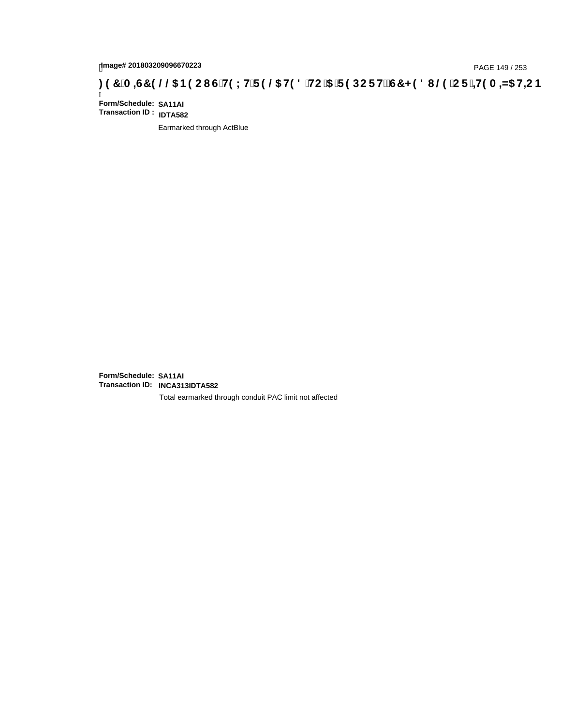# page# 201803209096670223<br>DAGE 149 / 253 PAGE 149 / 253<br>**DAGE 149 AD HEC B (@DIG'H9 LH'F 9 @DIG'H9 C '5 'F 9 DC F H2 G7 < 9 8 I @D' C F '<del>J H</del>9 A**

Ī **Form/Schedule: SA11AI Transaction ID : IDTA582**

Earmarked through ActBlue

**Form/Schedule: SA11AI Transaction ID: INCA313IDTA582**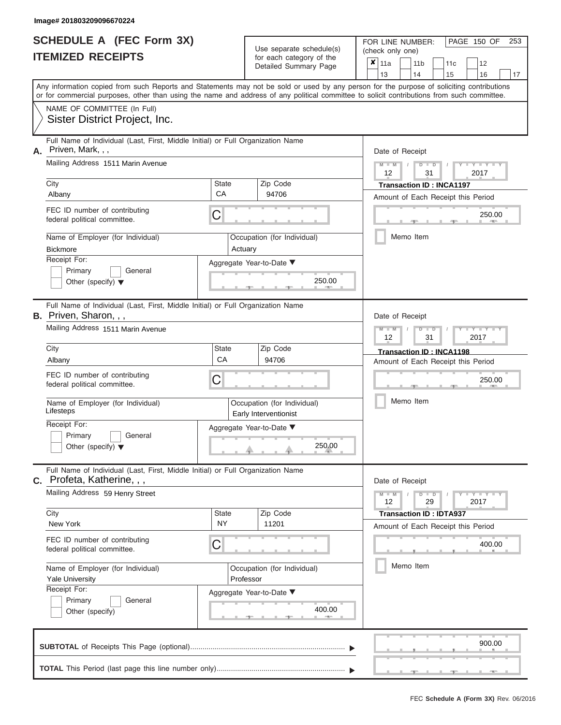|                          | <b>SCHEDULE A (FEC Form 3X)</b> |
|--------------------------|---------------------------------|
| <b>ITEMIZED RECEIPTS</b> |                                 |

| SCHEDULE A (FEC Form 3X)<br><b>ITEMIZED RECEIPTS</b>                                                                                           | Use separate schedule(s)<br>for each category of the                                                                                                                                                                                                                                    | 253<br>FOR LINE NUMBER:<br>PAGE 150 OF<br>(check only one)                                                  |
|------------------------------------------------------------------------------------------------------------------------------------------------|-----------------------------------------------------------------------------------------------------------------------------------------------------------------------------------------------------------------------------------------------------------------------------------------|-------------------------------------------------------------------------------------------------------------|
|                                                                                                                                                | Detailed Summary Page                                                                                                                                                                                                                                                                   | $\boldsymbol{x}$<br>11a<br>11 <sub>b</sub><br>12<br>11 <sub>c</sub><br>13<br>14<br>15<br>16<br>17           |
|                                                                                                                                                | Any information copied from such Reports and Statements may not be sold or used by any person for the purpose of soliciting contributions<br>or for commercial purposes, other than using the name and address of any political committee to solicit contributions from such committee. |                                                                                                             |
| NAME OF COMMITTEE (In Full)<br>Sister District Project, Inc.                                                                                   |                                                                                                                                                                                                                                                                                         |                                                                                                             |
| Full Name of Individual (Last, First, Middle Initial) or Full Organization Name<br>Priven, Mark, , ,<br>А.                                     |                                                                                                                                                                                                                                                                                         | Date of Receipt                                                                                             |
| Mailing Address 1511 Marin Avenue                                                                                                              |                                                                                                                                                                                                                                                                                         | $M = M$ /<br>$D$ $D$<br>Y TY<br>12<br>31<br>2017                                                            |
| City<br>Albany                                                                                                                                 | <b>State</b><br>Zip Code<br>CA<br>94706                                                                                                                                                                                                                                                 | <b>Transaction ID: INCA1197</b><br>Amount of Each Receipt this Period                                       |
| FEC ID number of contributing<br>federal political committee.                                                                                  | C                                                                                                                                                                                                                                                                                       | 250.00<br><b>AND I</b>                                                                                      |
| Name of Employer (for Individual)<br>Bickmore                                                                                                  | Occupation (for Individual)<br>Actuary                                                                                                                                                                                                                                                  | Memo Item                                                                                                   |
| Receipt For:<br>Primary<br>General<br>Other (specify) $\blacktriangledown$                                                                     | Aggregate Year-to-Date ▼<br>250.00                                                                                                                                                                                                                                                      |                                                                                                             |
| Full Name of Individual (Last, First, Middle Initial) or Full Organization Name<br>B. Priven, Sharon, , ,<br>Mailing Address 1511 Marin Avenue |                                                                                                                                                                                                                                                                                         | Date of Receipt<br>$M - M$<br>$D$ $D$<br>$\Box$ $\Upsilon$ $\Box$ $\Upsilon$ $\Upsilon$<br>12<br>31<br>2017 |
| City                                                                                                                                           | State<br>Zip Code<br>CA<br>94706                                                                                                                                                                                                                                                        | Transaction ID: INCA1198                                                                                    |
| Albany<br>FEC ID number of contributing<br>federal political committee.                                                                        | C                                                                                                                                                                                                                                                                                       | Amount of Each Receipt this Period<br>250.00                                                                |
| Name of Employer (for Individual)<br>Lifesteps                                                                                                 | Occupation (for Individual)<br>Early Interventionist                                                                                                                                                                                                                                    | Memo Item                                                                                                   |
| Receipt For:<br>Primary<br>General<br>Other (specify) $\blacktriangledown$                                                                     | Aggregate Year-to-Date ▼<br>250.00                                                                                                                                                                                                                                                      |                                                                                                             |
| Full Name of Individual (Last, First, Middle Initial) or Full Organization Name<br>C. Profeta, Katherine, , ,                                  |                                                                                                                                                                                                                                                                                         | Date of Receipt                                                                                             |
| Mailing Address 59 Henry Street                                                                                                                |                                                                                                                                                                                                                                                                                         | $M - M$<br>$T - Y = T - Y - T Y$<br>$D$ $D$<br>12<br>29<br>2017                                             |
| City<br>New York                                                                                                                               | Zip Code<br><b>State</b><br><b>NY</b><br>11201                                                                                                                                                                                                                                          | <b>Transaction ID: IDTA937</b><br>Amount of Each Receipt this Period                                        |
| FEC ID number of contributing<br>federal political committee.                                                                                  | C                                                                                                                                                                                                                                                                                       | 400.00                                                                                                      |
| Name of Employer (for Individual)<br><b>Yale University</b>                                                                                    | Occupation (for Individual)<br>Professor                                                                                                                                                                                                                                                | Memo Item                                                                                                   |
| Receipt For:<br>Primary<br>General<br>Other (specify)                                                                                          | Aggregate Year-to-Date ▼<br>400.00                                                                                                                                                                                                                                                      |                                                                                                             |
|                                                                                                                                                |                                                                                                                                                                                                                                                                                         | 900.00                                                                                                      |
|                                                                                                                                                |                                                                                                                                                                                                                                                                                         | $-1$                                                                                                        |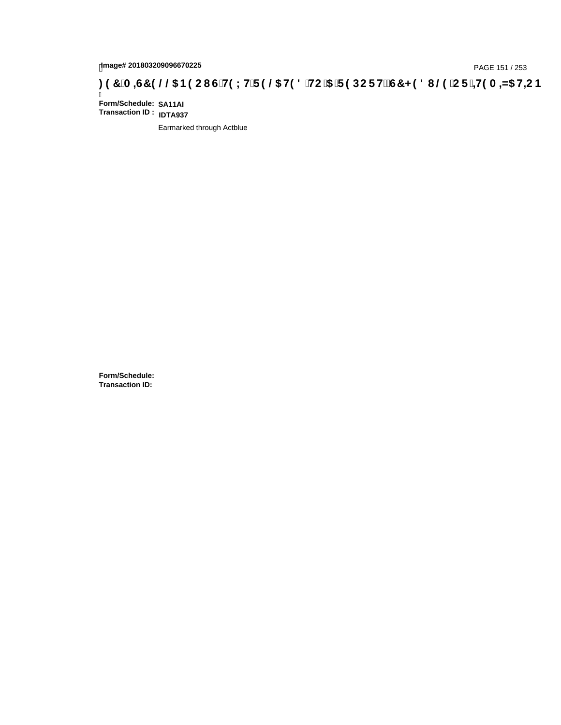# hmage# 201803209096670225<br>DAGE 151 / 253 PAGE 151 / 253<br>**DAGE 151 / 253 SPORT COMPTED @ H98 'HC '5 'F9 DC F H2 G7 < 98 I @ 'C F '<del>11</del>9 A**

Ī **Form/Schedule: SA11AI Transaction ID : IDTA937**

Earmarked through Actblue

**Form/Schedule: Transaction ID:**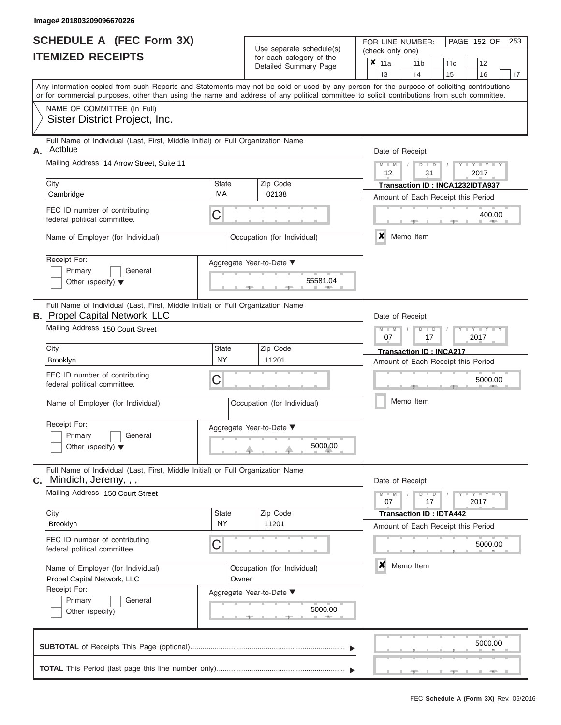|                          | <b>SCHEDULE A (FEC Form 3X)</b> |
|--------------------------|---------------------------------|
| <b>ITEMIZED RECEIPTS</b> |                                 |

FOR LINE NUMBER:<br>(check only one)

PAGE 152 OF 253

|                 | IILMILLU NLVLII IV                                                                                                                                                        |              | iui eauli caleguiy ul lile<br>Detailed Summary Page | × | 11a<br>13        | 11 <sub>b</sub><br>14 | 11c                                | 12                  |    |
|-----------------|---------------------------------------------------------------------------------------------------------------------------------------------------------------------------|--------------|-----------------------------------------------------|---|------------------|-----------------------|------------------------------------|---------------------|----|
|                 | Any information copied from such Reports and Statements may not be sold or used by any person for the purpose of soliciting contributions                                 |              |                                                     |   |                  |                       | 15                                 | 16                  | 17 |
|                 | or for commercial purposes, other than using the name and address of any political committee to solicit contributions from such committee.<br>NAME OF COMMITTEE (In Full) |              |                                                     |   |                  |                       |                                    |                     |    |
|                 | Sister District Project, Inc.                                                                                                                                             |              |                                                     |   |                  |                       |                                    |                     |    |
| А.              | Full Name of Individual (Last, First, Middle Initial) or Full Organization Name<br>Actblue                                                                                |              |                                                     |   | Date of Receipt  |                       |                                    |                     |    |
|                 | Mailing Address 14 Arrow Street, Suite 11                                                                                                                                 |              |                                                     |   | $M - M$<br>12    | $D$ $\Box$ $D$<br>31  |                                    | $- Y -$<br>2017     |    |
| City            |                                                                                                                                                                           | <b>State</b> | Zip Code                                            |   |                  |                       | Transaction ID: INCA1232IDTA937    |                     |    |
|                 | Cambridge                                                                                                                                                                 | MA           | 02138                                               |   |                  |                       | Amount of Each Receipt this Period |                     |    |
|                 | FEC ID number of contributing<br>federal political committee.                                                                                                             | C            |                                                     |   |                  |                       |                                    | 400.00              |    |
|                 | Name of Employer (for Individual)                                                                                                                                         |              | Occupation (for Individual)                         |   | $\boldsymbol{x}$ | Memo Item             |                                    |                     |    |
|                 | Receipt For:                                                                                                                                                              |              | Aggregate Year-to-Date ▼                            |   |                  |                       |                                    |                     |    |
|                 | Primary<br>General<br>Other (specify) $\blacktriangledown$                                                                                                                |              | 55581.04                                            |   |                  |                       |                                    |                     |    |
|                 | Full Name of Individual (Last, First, Middle Initial) or Full Organization Name<br><b>B.</b> Propel Capital Network, LLC                                                  |              |                                                     |   | Date of Receipt  |                       |                                    |                     |    |
|                 | Mailing Address 150 Court Street                                                                                                                                          |              |                                                     |   | $M - M$<br>07    | $D$ $D$<br>17         |                                    | 2017                |    |
| City            |                                                                                                                                                                           | <b>State</b> | Zip Code                                            |   |                  |                       | <b>Transaction ID: INCA217</b>     |                     |    |
| <b>Brooklyn</b> |                                                                                                                                                                           | <b>NY</b>    | 11201                                               |   |                  |                       | Amount of Each Receipt this Period |                     |    |
|                 | FEC ID number of contributing<br>federal political committee.                                                                                                             | C            |                                                     |   |                  |                       |                                    | 5000.00             |    |
|                 | Name of Employer (for Individual)                                                                                                                                         |              | Occupation (for Individual)                         |   |                  | Memo Item             |                                    |                     |    |
|                 | Receipt For:                                                                                                                                                              |              | Aggregate Year-to-Date ▼                            |   |                  |                       |                                    |                     |    |
|                 | Primary<br>General<br>Other (specify) $\blacktriangledown$                                                                                                                |              | 5000.00                                             |   |                  |                       |                                    |                     |    |
| $\mathbf{C}$ .  | Full Name of Individual (Last, First, Middle Initial) or Full Organization Name<br>Mindich, Jeremy, , ,                                                                   |              |                                                     |   | Date of Receipt  |                       |                                    |                     |    |
|                 | Mailing Address 150 Court Street                                                                                                                                          |              |                                                     |   | $M - M$<br>07    | $D$ $D$<br>17         |                                    | $Y - Y - Y$<br>2017 |    |
| City            |                                                                                                                                                                           | <b>State</b> | Zip Code                                            |   |                  |                       | <b>Transaction ID: IDTA442</b>     |                     |    |
| Brooklyn        |                                                                                                                                                                           | <b>NY</b>    | 11201                                               |   |                  |                       | Amount of Each Receipt this Period |                     |    |
|                 | FEC ID number of contributing<br>federal political committee.                                                                                                             | C            |                                                     |   |                  |                       |                                    | 5000.00             |    |
|                 | Name of Employer (for Individual)                                                                                                                                         |              | Occupation (for Individual)                         |   | $\boldsymbol{x}$ | Memo Item             |                                    |                     |    |
|                 | Propel Capital Network, LLC                                                                                                                                               | Owner        |                                                     |   |                  |                       |                                    |                     |    |
|                 | Receipt For:<br>Primary<br>General                                                                                                                                        |              | Aggregate Year-to-Date ▼                            |   |                  |                       |                                    |                     |    |
|                 | Other (specify)                                                                                                                                                           |              | 5000.00                                             |   |                  |                       |                                    |                     |    |
|                 |                                                                                                                                                                           |              |                                                     |   |                  |                       |                                    | 5000.00             |    |
|                 |                                                                                                                                                                           |              |                                                     |   |                  |                       |                                    |                     |    |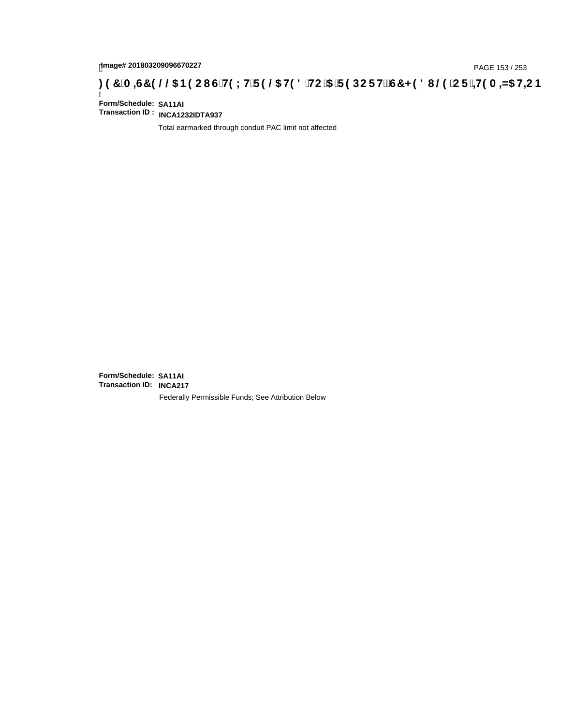# page# 201803209096670227<br>DAGE 153 / 253 PAGE 153 / 253<br>**DAGE 159 OC BOOL G'HOLH'F 9 @ HO 8 'HC '5 'F 9 DC F HŽ G7 < 9 8 I @ 'C F '<del>J 1</del>9 A = N5 H= C B**

Ī **Form/Schedule: SA11AI Transaction ID : INCA1232IDTA937**

Total earmarked through conduit PAC limit not affected

**Form/Schedule: SA11AI Transaction ID: INCA217**Federally Permissible Funds; See Attribution Below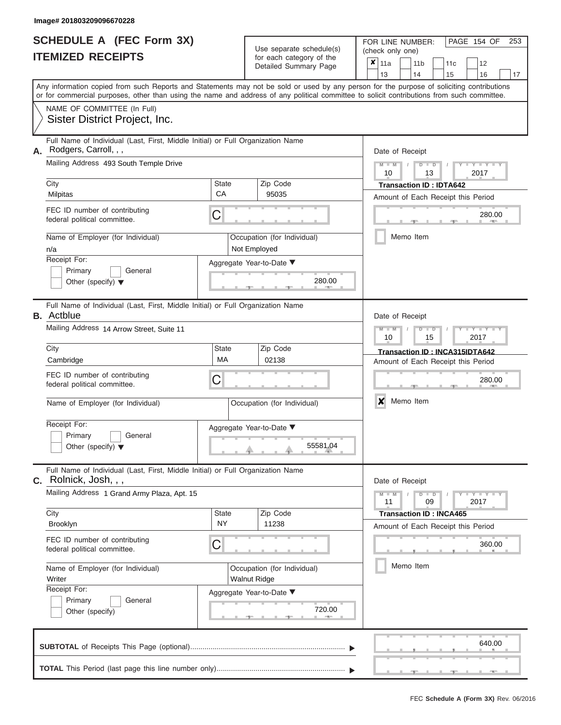|                          | <b>SCHEDULE A (FEC Form 3X)</b> |
|--------------------------|---------------------------------|
| <b>ITEMIZED RECEIPTS</b> |                                 |

FOR LINE NUMBER:<br>(check only one) Use separate schedule(s)<br>for each category of the

|                                                                                                                                                                                                                                                                                         |                    | ivi vavii valvyviy vi liiv<br>Detailed Summary Page | × | 11a             |           | 11 <sub>b</sub>                | 11c | 12                                 |    |
|-----------------------------------------------------------------------------------------------------------------------------------------------------------------------------------------------------------------------------------------------------------------------------------------|--------------------|-----------------------------------------------------|---|-----------------|-----------|--------------------------------|-----|------------------------------------|----|
|                                                                                                                                                                                                                                                                                         |                    |                                                     |   | 13              |           | 14                             | 15  | 16                                 | 17 |
| Any information copied from such Reports and Statements may not be sold or used by any person for the purpose of soliciting contributions<br>or for commercial purposes, other than using the name and address of any political committee to solicit contributions from such committee. |                    |                                                     |   |                 |           |                                |     |                                    |    |
| NAME OF COMMITTEE (In Full)                                                                                                                                                                                                                                                             |                    |                                                     |   |                 |           |                                |     |                                    |    |
| Sister District Project, Inc.                                                                                                                                                                                                                                                           |                    |                                                     |   |                 |           |                                |     |                                    |    |
| Full Name of Individual (Last, First, Middle Initial) or Full Organization Name                                                                                                                                                                                                         |                    |                                                     |   |                 |           |                                |     |                                    |    |
| Rodgers, Carroll, , ,<br>А.                                                                                                                                                                                                                                                             |                    |                                                     |   | Date of Receipt |           |                                |     |                                    |    |
| Mailing Address 493 South Temple Drive                                                                                                                                                                                                                                                  |                    |                                                     |   | $M - M$<br>10   |           | $D$ $D$<br>13                  |     | $Y - Y - I$<br>2017                |    |
| City                                                                                                                                                                                                                                                                                    | State              | Zip Code                                            |   |                 |           | <b>Transaction ID: IDTA642</b> |     |                                    |    |
| Milpitas                                                                                                                                                                                                                                                                                | CA                 | 95035                                               |   |                 |           |                                |     | Amount of Each Receipt this Period |    |
| FEC ID number of contributing<br>federal political committee.                                                                                                                                                                                                                           | С                  |                                                     |   |                 |           |                                |     | 280.00<br><b>AND A</b>             |    |
| Name of Employer (for Individual)<br>n/a                                                                                                                                                                                                                                                |                    | Occupation (for Individual)<br>Not Employed         |   |                 | Memo Item |                                |     |                                    |    |
| Receipt For:                                                                                                                                                                                                                                                                            |                    | Aggregate Year-to-Date ▼                            |   |                 |           |                                |     |                                    |    |
| Primary<br>General<br>Other (specify) $\blacktriangledown$                                                                                                                                                                                                                              |                    | 280.00                                              |   |                 |           |                                |     |                                    |    |
| Full Name of Individual (Last, First, Middle Initial) or Full Organization Name<br><b>B.</b> Actblue                                                                                                                                                                                    |                    |                                                     |   | Date of Receipt |           |                                |     |                                    |    |
| Mailing Address 14 Arrow Street, Suite 11                                                                                                                                                                                                                                               |                    |                                                     |   | $M - M$<br>10   |           | $D$ $D$<br>15                  |     | Y I Y<br>2017                      |    |
| City                                                                                                                                                                                                                                                                                    | State              | Zip Code                                            |   |                 |           |                                |     | Transaction ID: INCA315IDTA642     |    |
| Cambridge                                                                                                                                                                                                                                                                               | MA                 | 02138                                               |   |                 |           |                                |     | Amount of Each Receipt this Period |    |
| FEC ID number of contributing<br>federal political committee.                                                                                                                                                                                                                           | С                  |                                                     |   |                 |           |                                |     | 280.00                             |    |
| Name of Employer (for Individual)                                                                                                                                                                                                                                                       |                    | Occupation (for Individual)                         |   | X               | Memo Item |                                |     |                                    |    |
| Receipt For:                                                                                                                                                                                                                                                                            |                    | Aggregate Year-to-Date ▼                            |   |                 |           |                                |     |                                    |    |
| Primary<br>General                                                                                                                                                                                                                                                                      |                    |                                                     |   |                 |           |                                |     |                                    |    |
| Other (specify) $\blacktriangledown$                                                                                                                                                                                                                                                    |                    | 55581.04                                            |   |                 |           |                                |     |                                    |    |
| Full Name of Individual (Last, First, Middle Initial) or Full Organization Name<br>Rolnick, Josh, , ,<br>С.                                                                                                                                                                             |                    |                                                     |   | Date of Receipt |           |                                |     |                                    |    |
| Mailing Address 1 Grand Army Plaza, Apt. 15                                                                                                                                                                                                                                             |                    |                                                     |   | $M - M$<br>11   |           | $D$ $D$<br>09                  |     | 2017                               |    |
| City                                                                                                                                                                                                                                                                                    | State<br><b>NY</b> | Zip Code<br>11238                                   |   |                 |           | <b>Transaction ID: INCA465</b> |     |                                    |    |
| Brooklyn                                                                                                                                                                                                                                                                                |                    |                                                     |   |                 |           |                                |     | Amount of Each Receipt this Period |    |
| FEC ID number of contributing<br>federal political committee.                                                                                                                                                                                                                           | С                  |                                                     |   |                 |           |                                |     | 360.00                             |    |
| Name of Employer (for Individual)<br>Writer                                                                                                                                                                                                                                             |                    | Occupation (for Individual)<br>Walnut Ridge         |   |                 | Memo Item |                                |     |                                    |    |
| Receipt For:                                                                                                                                                                                                                                                                            |                    | Aggregate Year-to-Date ▼                            |   |                 |           |                                |     |                                    |    |
| Primary<br>General<br>Other (specify)                                                                                                                                                                                                                                                   |                    | 720.00                                              |   |                 |           |                                |     |                                    |    |
|                                                                                                                                                                                                                                                                                         |                    |                                                     |   |                 |           |                                |     | 640.00                             |    |
|                                                                                                                                                                                                                                                                                         |                    |                                                     |   |                 |           |                                |     |                                    |    |

PAGE 154 OF 253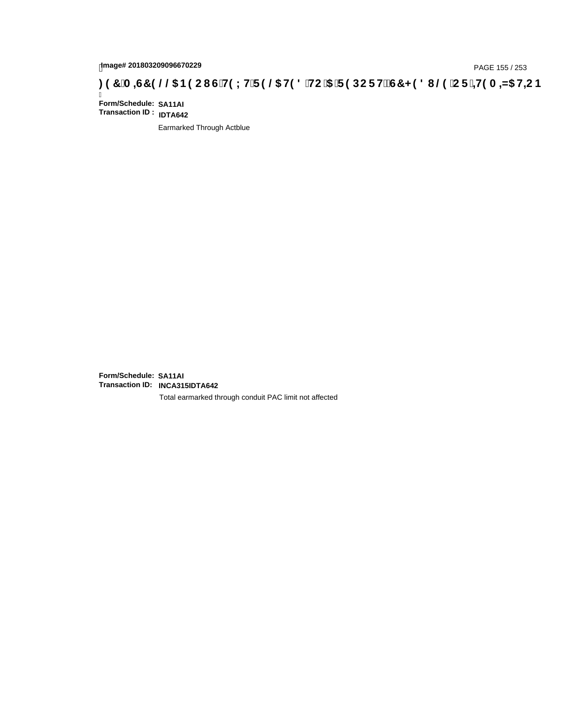# page# 201803209096670229<br>DAGE 155 / 253 PAGE 155 / 253<br>**DAGE 159 OC BO CIGH9 LH F 9 @ H9 8 HC '5 'F 9 DC F H2 G7 < 9 8 I @ 'C F '<del>J 1</del>9 A = N5 H= C B**

Ī **Form/Schedule: SA11AI Transaction ID : IDTA642**

Earmarked Through Actblue

**Form/Schedule: SA11AI Transaction ID: INCA315IDTA642**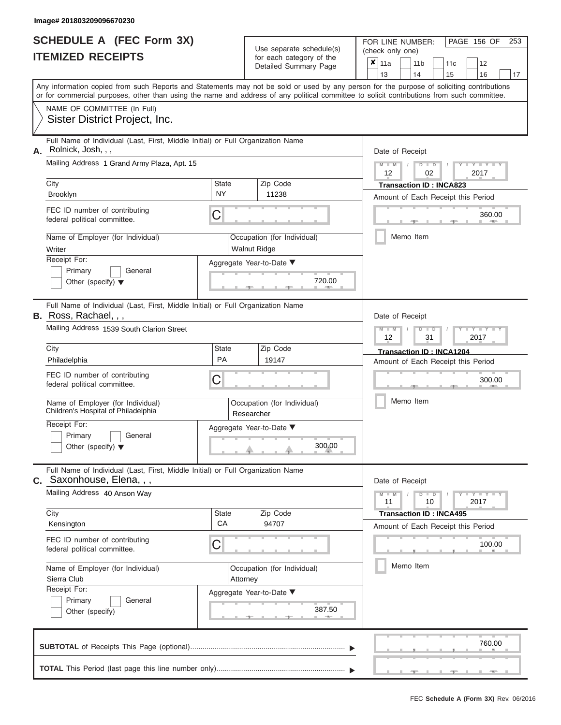|                          | <b>SCHEDULE A (FEC Form 3X)</b> |
|--------------------------|---------------------------------|
| <b>ITEMIZED RECEIPTS</b> |                                 |

FOR LINE NUMBER:<br>(check only one) Use separate schedule(s)<br>for each category of the

|                                                                            | Detailed Summary Page                                                           | ×<br>11a<br>11 <sub>b</sub><br>12<br>11c                                                                                                                                                                                                                                                |
|----------------------------------------------------------------------------|---------------------------------------------------------------------------------|-----------------------------------------------------------------------------------------------------------------------------------------------------------------------------------------------------------------------------------------------------------------------------------------|
|                                                                            |                                                                                 | 13<br>14<br>15<br>16<br>17                                                                                                                                                                                                                                                              |
|                                                                            |                                                                                 | Any information copied from such Reports and Statements may not be sold or used by any person for the purpose of soliciting contributions<br>or for commercial purposes, other than using the name and address of any political committee to solicit contributions from such committee. |
| NAME OF COMMITTEE (In Full)<br>Sister District Project, Inc.               |                                                                                 |                                                                                                                                                                                                                                                                                         |
| Rolnick, Josh, , ,<br>А.                                                   | Full Name of Individual (Last, First, Middle Initial) or Full Organization Name | Date of Receipt                                                                                                                                                                                                                                                                         |
| Mailing Address 1 Grand Army Plaza, Apt. 15                                |                                                                                 | $M - M$<br>$D$ $\Box$ $D$<br>$Y = Y$<br>12<br>02<br>2017                                                                                                                                                                                                                                |
| City<br>Brooklyn                                                           | Zip Code<br><b>State</b><br><b>NY</b><br>11238                                  | <b>Transaction ID: INCA823</b><br>Amount of Each Receipt this Period                                                                                                                                                                                                                    |
| FEC ID number of contributing<br>federal political committee.              | C                                                                               | 360.00                                                                                                                                                                                                                                                                                  |
| Name of Employer (for Individual)<br>Writer                                | Occupation (for Individual)<br><b>Walnut Ridge</b>                              | Memo Item                                                                                                                                                                                                                                                                               |
| Receipt For:<br>Primary<br>General<br>Other (specify) $\blacktriangledown$ | Aggregate Year-to-Date ▼                                                        | 720.00                                                                                                                                                                                                                                                                                  |
| B. Ross, Rachael, , ,                                                      | Full Name of Individual (Last, First, Middle Initial) or Full Organization Name | Date of Receipt                                                                                                                                                                                                                                                                         |
| Mailing Address 1539 South Clarion Street                                  |                                                                                 | $M - M$<br>$D$ $D$<br>$\overline{\phantom{a}}$<br>12<br>31<br>2017                                                                                                                                                                                                                      |
| City<br>Philadelphia                                                       | Zip Code<br><b>State</b><br>PA<br>19147                                         | Transaction ID: INCA1204<br>Amount of Each Receipt this Period                                                                                                                                                                                                                          |
| FEC ID number of contributing<br>federal political committee.              | C                                                                               | 300.00                                                                                                                                                                                                                                                                                  |
| Name of Employer (for Individual)<br>Children's Hospital of Philadelphia   | Occupation (for Individual)<br>Researcher                                       | Memo Item                                                                                                                                                                                                                                                                               |
| Receipt For:<br>Primary<br>General<br>Other (specify) $\blacktriangledown$ | Aggregate Year-to-Date ▼                                                        | 300.00                                                                                                                                                                                                                                                                                  |
| C. Saxonhouse, Elena, , ,                                                  | Full Name of Individual (Last, First, Middle Initial) or Full Organization Name | Date of Receipt                                                                                                                                                                                                                                                                         |
| Mailing Address 40 Anson Way                                               |                                                                                 | $Y - Y - Y - Y - I - Y$<br>$M - M$<br>$D$ $D$<br>11<br>10<br>2017                                                                                                                                                                                                                       |
| City<br>Kensington                                                         | Zip Code<br>State<br>СA<br>94707                                                | <b>Transaction ID: INCA495</b><br>Amount of Each Receipt this Period                                                                                                                                                                                                                    |
| FEC ID number of contributing<br>federal political committee.              | C                                                                               | 100.00                                                                                                                                                                                                                                                                                  |
| Name of Employer (for Individual)<br>Sierra Club<br>Receipt For:           | Occupation (for Individual)<br>Attorney                                         | Memo Item                                                                                                                                                                                                                                                                               |
| General<br>Primary<br>Other (specify)                                      | Aggregate Year-to-Date ▼                                                        | 387.50                                                                                                                                                                                                                                                                                  |
|                                                                            |                                                                                 |                                                                                                                                                                                                                                                                                         |

PAGE 156 OF 253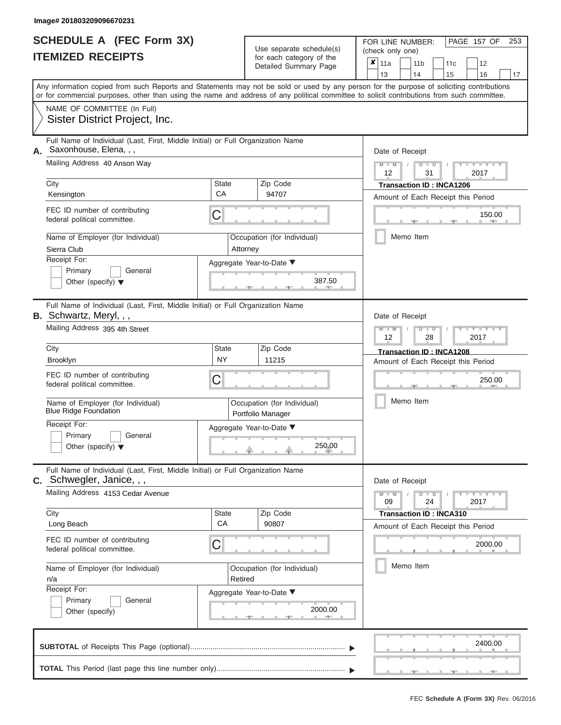|                          | <b>SCHEDULE A (FEC Form 3X)</b> |
|--------------------------|---------------------------------|
| <b>ITEMIZED RECEIPTS</b> |                                 |

FOR LINE NUMBER:<br>(check only one)

PAGE 157 OF 253

|    | IIEMILEU REVEIFIJ                                                                                               |                                                        | for each category of the<br>Detailed Summary Page | $\pmb{\times}$<br>11a<br>11 <sub>b</sub><br>11c<br>12                                                                                                                                                                                                                                   |  |  |  |  |
|----|-----------------------------------------------------------------------------------------------------------------|--------------------------------------------------------|---------------------------------------------------|-----------------------------------------------------------------------------------------------------------------------------------------------------------------------------------------------------------------------------------------------------------------------------------------|--|--|--|--|
|    |                                                                                                                 |                                                        |                                                   | 13<br>14<br>15<br>16<br>17                                                                                                                                                                                                                                                              |  |  |  |  |
|    |                                                                                                                 |                                                        |                                                   | Any information copied from such Reports and Statements may not be sold or used by any person for the purpose of soliciting contributions<br>or for commercial purposes, other than using the name and address of any political committee to solicit contributions from such committee. |  |  |  |  |
|    | NAME OF COMMITTEE (In Full)<br>Sister District Project, Inc.                                                    |                                                        |                                                   |                                                                                                                                                                                                                                                                                         |  |  |  |  |
| А. | Full Name of Individual (Last, First, Middle Initial) or Full Organization Name<br>Saxonhouse, Elena, , ,       |                                                        |                                                   | Date of Receipt                                                                                                                                                                                                                                                                         |  |  |  |  |
|    | Mailing Address 40 Anson Way                                                                                    |                                                        |                                                   | Y TYT<br>$M - M$<br>$D$ $D$<br>2017<br>12<br>31                                                                                                                                                                                                                                         |  |  |  |  |
|    | City<br>Kensington                                                                                              | State<br>CA                                            | Zip Code<br>94707                                 | <b>Transaction ID: INCA1206</b><br>Amount of Each Receipt this Period                                                                                                                                                                                                                   |  |  |  |  |
|    | FEC ID number of contributing<br>federal political committee.                                                   | С                                                      |                                                   | 150.00                                                                                                                                                                                                                                                                                  |  |  |  |  |
|    | Name of Employer (for Individual)<br>Sierra Club                                                                |                                                        | Occupation (for Individual)<br>Attorney           | Memo Item                                                                                                                                                                                                                                                                               |  |  |  |  |
|    | Receipt For:<br>Primary<br>General<br>Other (specify) $\blacktriangledown$                                      |                                                        | Aggregate Year-to-Date ▼<br>387.50                |                                                                                                                                                                                                                                                                                         |  |  |  |  |
|    | Full Name of Individual (Last, First, Middle Initial) or Full Organization Name<br><b>B.</b> Schwartz, Meryl,,, |                                                        |                                                   | Date of Receipt                                                                                                                                                                                                                                                                         |  |  |  |  |
|    | Mailing Address 395 4th Street                                                                                  | $M - M$<br>Y TYT<br>$D$ $\Box$ $D$<br>2017<br>12<br>28 |                                                   |                                                                                                                                                                                                                                                                                         |  |  |  |  |
|    | City<br>Brooklyn                                                                                                | State<br><b>NY</b>                                     | Zip Code<br>11215                                 | Transaction ID: INCA1208<br>Amount of Each Receipt this Period                                                                                                                                                                                                                          |  |  |  |  |
|    | FEC ID number of contributing<br>federal political committee.                                                   | 250.00                                                 |                                                   |                                                                                                                                                                                                                                                                                         |  |  |  |  |
|    | Name of Employer (for Individual)<br><b>Blue Ridge Foundation</b>                                               |                                                        | Occupation (for Individual)<br>Portfolio Manager  | Memo Item                                                                                                                                                                                                                                                                               |  |  |  |  |
|    | Receipt For:<br>Primary<br>General<br>Other (specify) $\blacktriangledown$                                      |                                                        | Aggregate Year-to-Date ▼<br>250.00                |                                                                                                                                                                                                                                                                                         |  |  |  |  |
|    | Full Name of Individual (Last, First, Middle Initial) or Full Organization Name<br>$c.$ Schwegler, Janice, , ,  |                                                        |                                                   | Date of Receipt                                                                                                                                                                                                                                                                         |  |  |  |  |
|    | Mailing Address 4153 Cedar Avenue                                                                               |                                                        |                                                   | $Y - Y - Y - Y - I - Y$<br>$M - M$<br>$D$ $D$<br>09<br>24<br>2017                                                                                                                                                                                                                       |  |  |  |  |
|    | City<br>Long Beach                                                                                              | <b>State</b><br>CA                                     | Zip Code<br>90807                                 | <b>Transaction ID: INCA310</b>                                                                                                                                                                                                                                                          |  |  |  |  |
|    | FEC ID number of contributing<br>federal political committee.                                                   | C                                                      |                                                   | Amount of Each Receipt this Period<br>2000.00                                                                                                                                                                                                                                           |  |  |  |  |
|    | Name of Employer (for Individual)<br>n/a                                                                        | Retired                                                | Occupation (for Individual)                       | Memo Item                                                                                                                                                                                                                                                                               |  |  |  |  |
|    | Receipt For:<br>Primary<br>General<br>Other (specify)                                                           |                                                        | Aggregate Year-to-Date ▼<br>2000.00<br>A          |                                                                                                                                                                                                                                                                                         |  |  |  |  |
|    |                                                                                                                 |                                                        |                                                   | 2400.00                                                                                                                                                                                                                                                                                 |  |  |  |  |
|    |                                                                                                                 |                                                        |                                                   |                                                                                                                                                                                                                                                                                         |  |  |  |  |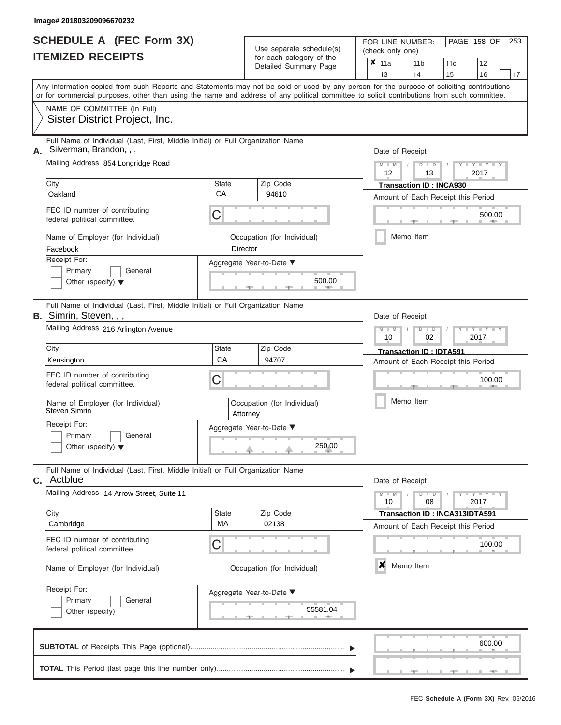|                          | <b>SCHEDULE A (FEC Form 3X)</b> |
|--------------------------|---------------------------------|
| <b>ITEMIZED RECEIPTS</b> |                                 |

FOR LINE NUMBER:<br>(check only one)

PAGE 158 OF 253

|                                                                                                                                                                                                                                                                                         |                          |                             | badii balogory of lin<br>Detailed Summary Page | x | 11a             |           | 11 <sub>b</sub>              | 11c                            | 12                                 |    |  |  |
|-----------------------------------------------------------------------------------------------------------------------------------------------------------------------------------------------------------------------------------------------------------------------------------------|--------------------------|-----------------------------|------------------------------------------------|---|-----------------|-----------|------------------------------|--------------------------------|------------------------------------|----|--|--|
|                                                                                                                                                                                                                                                                                         |                          |                             |                                                |   | 13              |           | 14                           | 15                             | 16                                 | 17 |  |  |
| Any information copied from such Reports and Statements may not be sold or used by any person for the purpose of soliciting contributions<br>or for commercial purposes, other than using the name and address of any political committee to solicit contributions from such committee. |                          |                             |                                                |   |                 |           |                              |                                |                                    |    |  |  |
| NAME OF COMMITTEE (In Full)                                                                                                                                                                                                                                                             |                          |                             |                                                |   |                 |           |                              |                                |                                    |    |  |  |
| Sister District Project, Inc.                                                                                                                                                                                                                                                           |                          |                             |                                                |   |                 |           |                              |                                |                                    |    |  |  |
| Full Name of Individual (Last, First, Middle Initial) or Full Organization Name<br>Silverman, Brandon, , ,                                                                                                                                                                              |                          |                             |                                                |   | Date of Receipt |           |                              |                                |                                    |    |  |  |
| Mailing Address 854 Longridge Road                                                                                                                                                                                                                                                      |                          |                             |                                                |   |                 |           | $M$ $M$ $I$<br>$D$ $D$<br>13 |                                | $Y - Y - I$<br>2017                |    |  |  |
| City                                                                                                                                                                                                                                                                                    | State                    |                             | Zip Code                                       |   |                 |           |                              | <b>Transaction ID: INCA930</b> |                                    |    |  |  |
| Oakland                                                                                                                                                                                                                                                                                 | CA                       |                             | 94610                                          |   |                 |           |                              |                                | Amount of Each Receipt this Period |    |  |  |
| FEC ID number of contributing<br>federal political committee.                                                                                                                                                                                                                           | C                        |                             |                                                |   |                 |           |                              |                                | 500.00                             |    |  |  |
| Name of Employer (for Individual)<br>Facebook                                                                                                                                                                                                                                           |                          | Director                    | Occupation (for Individual)                    |   |                 |           | Memo Item                    |                                |                                    |    |  |  |
| Receipt For:                                                                                                                                                                                                                                                                            |                          |                             | Aggregate Year-to-Date ▼                       |   |                 |           |                              |                                |                                    |    |  |  |
| Primary<br>General<br>Other (specify) $\blacktriangledown$                                                                                                                                                                                                                              |                          |                             | 500.00                                         |   |                 |           |                              |                                |                                    |    |  |  |
| Full Name of Individual (Last, First, Middle Initial) or Full Organization Name<br>B. Simrin, Steven, , ,                                                                                                                                                                               |                          |                             |                                                |   | Date of Receipt |           |                              |                                |                                    |    |  |  |
| Mailing Address 216 Arlington Avenue                                                                                                                                                                                                                                                    |                          |                             |                                                |   |                 |           | $D$ $\Box$ $D$<br>02         |                                | $Y = Y$<br>2017                    |    |  |  |
| City                                                                                                                                                                                                                                                                                    | State                    |                             | Zip Code                                       |   |                 |           |                              | Transaction ID: IDTA591        |                                    |    |  |  |
| Kensington                                                                                                                                                                                                                                                                              | CA                       |                             | 94707                                          |   |                 |           |                              |                                | Amount of Each Receipt this Period |    |  |  |
| FEC ID number of contributing<br>federal political committee.                                                                                                                                                                                                                           | C                        |                             |                                                |   |                 |           | 100.00                       |                                |                                    |    |  |  |
| Name of Employer (for Individual)<br>Steven Simrin                                                                                                                                                                                                                                      | Attorney                 | Occupation (for Individual) |                                                |   |                 | Memo Item |                              |                                |                                    |    |  |  |
| Receipt For:                                                                                                                                                                                                                                                                            |                          |                             | Aggregate Year-to-Date ▼                       |   |                 |           |                              |                                |                                    |    |  |  |
| Primary<br>General<br>Other (specify) $\blacktriangledown$                                                                                                                                                                                                                              |                          |                             | 250.00                                         |   |                 |           |                              |                                |                                    |    |  |  |
|                                                                                                                                                                                                                                                                                         |                          |                             |                                                |   |                 |           |                              |                                |                                    |    |  |  |
| Full Name of Individual (Last, First, Middle Initial) or Full Organization Name<br><b>C.</b> Actblue                                                                                                                                                                                    |                          |                             |                                                |   | Date of Receipt |           |                              |                                |                                    |    |  |  |
| Mailing Address 14 Arrow Street, Suite 11                                                                                                                                                                                                                                               |                          |                             |                                                |   | $M - M$<br>10   |           | $D$ $D$<br>08                |                                | $+Y+Y+Y$<br>2017                   |    |  |  |
| City                                                                                                                                                                                                                                                                                    | <b>State</b><br>МA       |                             | Zip Code<br>02138                              |   |                 |           |                              |                                | Transaction ID: INCA313IDTA591     |    |  |  |
| Cambridge                                                                                                                                                                                                                                                                               |                          |                             |                                                |   |                 |           |                              |                                | Amount of Each Receipt this Period |    |  |  |
| FEC ID number of contributing<br>federal political committee.                                                                                                                                                                                                                           | C                        |                             |                                                |   |                 |           |                              |                                | 100.00                             |    |  |  |
| Name of Employer (for Individual)                                                                                                                                                                                                                                                       |                          | Occupation (for Individual) |                                                | × |                 | Memo Item |                              |                                |                                    |    |  |  |
| Receipt For:                                                                                                                                                                                                                                                                            | Aggregate Year-to-Date ▼ |                             |                                                |   |                 |           |                              |                                |                                    |    |  |  |
| Primary<br>General<br>Other (specify)                                                                                                                                                                                                                                                   | 55581.04                 |                             |                                                |   |                 |           |                              |                                |                                    |    |  |  |
|                                                                                                                                                                                                                                                                                         |                          |                             |                                                |   |                 |           |                              |                                | 600.00                             |    |  |  |
|                                                                                                                                                                                                                                                                                         |                          |                             |                                                |   |                 |           |                              |                                |                                    |    |  |  |
|                                                                                                                                                                                                                                                                                         |                          |                             |                                                |   |                 |           |                              |                                |                                    |    |  |  |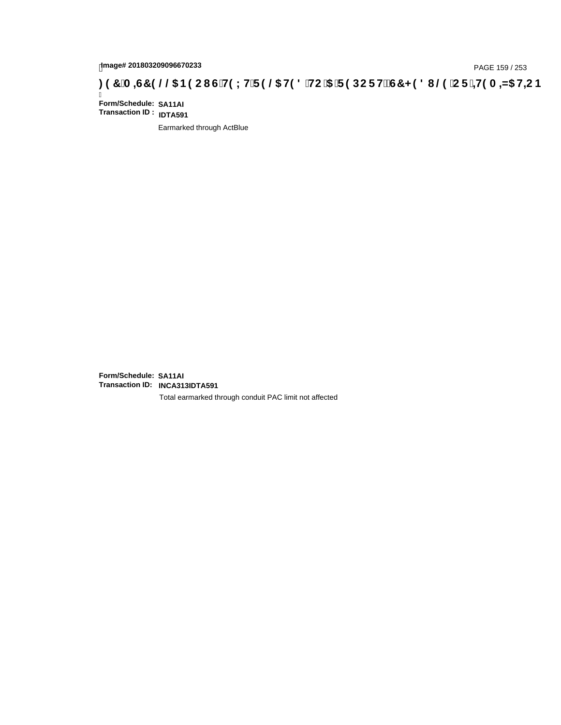# page# 201803209096670233<br>DAGE 159 / 253 PAGE 159 / 253<br>**DAGE 159 /C F + H9 A = A5 H=C B** ( 3 T C F HD B + HD 3 THC '5 T F 9 DC F H $\breve{c}$ G7 < 9 8 I

Ī **Form/Schedule: SA11AI Transaction ID : IDTA591**

Earmarked through ActBlue

**Form/Schedule: SA11AI Transaction ID: INCA313IDTA591**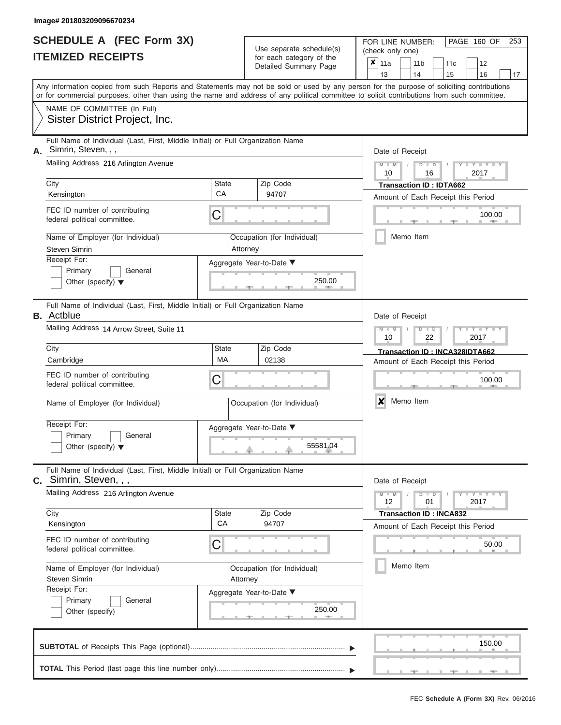|                          | <b>SCHEDULE A (FEC Form 3X)</b> |
|--------------------------|---------------------------------|
| <b>ITEMIZED RECEIPTS</b> |                                 |

FOR LINE NUMBER:<br>(check only one)

PAGE 160 OF 253

|                      |                                                                                                                                            |                             | ivi cacii calcyory or life<br>Detailed Summary Page | x | 11a                                |           | 11 <sub>b</sub> |                      | 11c                            | 12                             |    |
|----------------------|--------------------------------------------------------------------------------------------------------------------------------------------|-----------------------------|-----------------------------------------------------|---|------------------------------------|-----------|-----------------|----------------------|--------------------------------|--------------------------------|----|
|                      | Any information copied from such Reports and Statements may not be sold or used by any person for the purpose of soliciting contributions  |                             |                                                     |   | 13                                 |           | 14              |                      | 15                             | 16                             | 17 |
|                      | or for commercial purposes, other than using the name and address of any political committee to solicit contributions from such committee. |                             |                                                     |   |                                    |           |                 |                      |                                |                                |    |
|                      | NAME OF COMMITTEE (In Full)                                                                                                                |                             |                                                     |   |                                    |           |                 |                      |                                |                                |    |
|                      | Sister District Project, Inc.                                                                                                              |                             |                                                     |   |                                    |           |                 |                      |                                |                                |    |
| А.                   | Full Name of Individual (Last, First, Middle Initial) or Full Organization Name<br>Simrin, Steven, , ,                                     |                             |                                                     |   | Date of Receipt                    |           |                 |                      |                                |                                |    |
|                      | Mailing Address 216 Arlington Avenue                                                                                                       |                             |                                                     |   |                                    |           |                 | $D$ $D$<br>16        |                                | $Y - Y - I$<br>2017            |    |
| City                 |                                                                                                                                            | State                       | Zip Code                                            |   | <b>Transaction ID: IDTA662</b>     |           |                 |                      |                                |                                |    |
| Kensington           |                                                                                                                                            | CA                          | 94707                                               |   | Amount of Each Receipt this Period |           |                 |                      |                                |                                |    |
|                      | FEC ID number of contributing<br>federal political committee.                                                                              | С                           |                                                     |   |                                    |           |                 |                      |                                | 100.00<br><b>ATTEN</b>         |    |
| <b>Steven Simrin</b> | Name of Employer (for Individual)                                                                                                          | Attorney                    | Occupation (for Individual)                         |   |                                    | Memo Item |                 |                      |                                |                                |    |
| Receipt For:         |                                                                                                                                            |                             | Aggregate Year-to-Date ▼                            |   |                                    |           |                 |                      |                                |                                |    |
|                      | Primary<br>General<br>Other (specify) $\blacktriangledown$                                                                                 |                             | 250.00                                              |   |                                    |           |                 |                      |                                |                                |    |
| <b>B.</b> Actblue    | Full Name of Individual (Last, First, Middle Initial) or Full Organization Name                                                            |                             |                                                     |   | Date of Receipt                    |           |                 |                      |                                |                                |    |
|                      | Mailing Address 14 Arrow Street, Suite 11                                                                                                  |                             |                                                     |   |                                    |           |                 | $D$ $\Box$ $D$<br>22 |                                | Y I Y<br>2017                  |    |
| City                 |                                                                                                                                            | State                       | Zip Code                                            |   |                                    |           |                 |                      |                                | Transaction ID: INCA328IDTA662 |    |
| Cambridge            |                                                                                                                                            | MA                          | 02138                                               |   | Amount of Each Receipt this Period |           |                 |                      |                                |                                |    |
|                      | FEC ID number of contributing<br>federal political committee.                                                                              | С                           |                                                     |   |                                    |           |                 |                      |                                | 100.00                         |    |
|                      | Name of Employer (for Individual)                                                                                                          | Occupation (for Individual) |                                                     | X | Memo Item                          |           |                 |                      |                                |                                |    |
| Receipt For:         | Primary<br>General<br>Other (specify) $\blacktriangledown$                                                                                 |                             | Aggregate Year-to-Date ▼<br>55581.04                |   |                                    |           |                 |                      |                                |                                |    |
| С.                   | Full Name of Individual (Last, First, Middle Initial) or Full Organization Name<br>Simrin, Steven, , ,                                     |                             |                                                     |   | Date of Receipt                    |           |                 |                      |                                |                                |    |
|                      | Mailing Address 216 Arlington Avenue                                                                                                       |                             |                                                     |   | $M - M$<br>12                      |           |                 | $D$ $D$<br>01        |                                | $+Y + Y + Y$<br>2017           |    |
| City                 |                                                                                                                                            | State                       | Zip Code                                            |   |                                    |           |                 |                      | <b>Transaction ID: INCA832</b> |                                |    |
| Kensington           |                                                                                                                                            | CA                          | 94707                                               |   | Amount of Each Receipt this Period |           |                 |                      |                                |                                |    |
|                      | FEC ID number of contributing<br>federal political committee.                                                                              | С                           |                                                     |   |                                    |           |                 |                      |                                | 50.00                          |    |
| <b>Steven Simrin</b> | Name of Employer (for Individual)                                                                                                          | Attorney                    | Occupation (for Individual)                         |   |                                    | Memo Item |                 |                      |                                |                                |    |
| Receipt For:         |                                                                                                                                            |                             | Aggregate Year-to-Date ▼                            |   |                                    |           |                 |                      |                                |                                |    |
|                      | General<br>Primary                                                                                                                         |                             |                                                     |   |                                    |           |                 |                      |                                |                                |    |
|                      | Other (specify)                                                                                                                            |                             | 250.00                                              |   |                                    |           |                 |                      |                                |                                |    |
|                      |                                                                                                                                            |                             |                                                     |   |                                    |           |                 |                      |                                | 150.00                         |    |
|                      |                                                                                                                                            |                             |                                                     |   |                                    |           |                 |                      |                                |                                |    |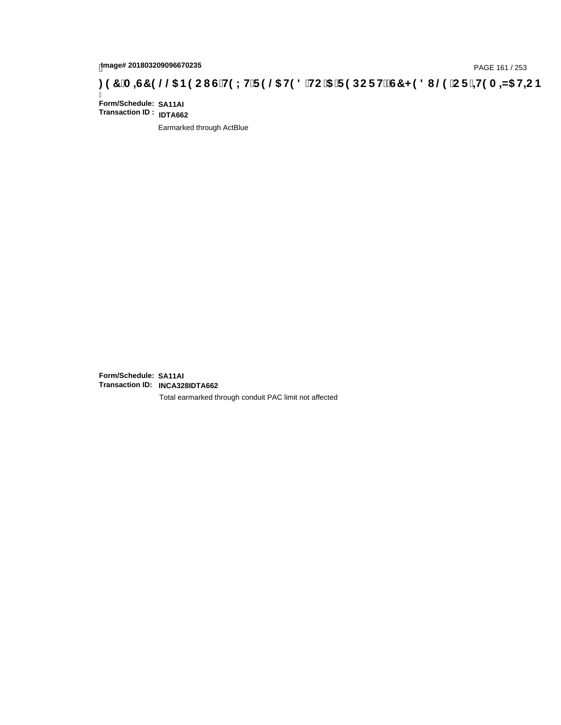# page# 201803209096670235<br>DAGE 161 / 253 PAGE 161 / 253<br>**DAGE 161 / 253 A = 45 HC is report of H9 LH F 9 @ H9 8 `HC `5 `F 9 DC F H** $\breve{c}$ **G7 < 9 8 I**

Ī **Form/Schedule: SA11AI Transaction ID : IDTA662**

Earmarked through ActBlue

**Form/Schedule: SA11AI Transaction ID: INCA328IDTA662**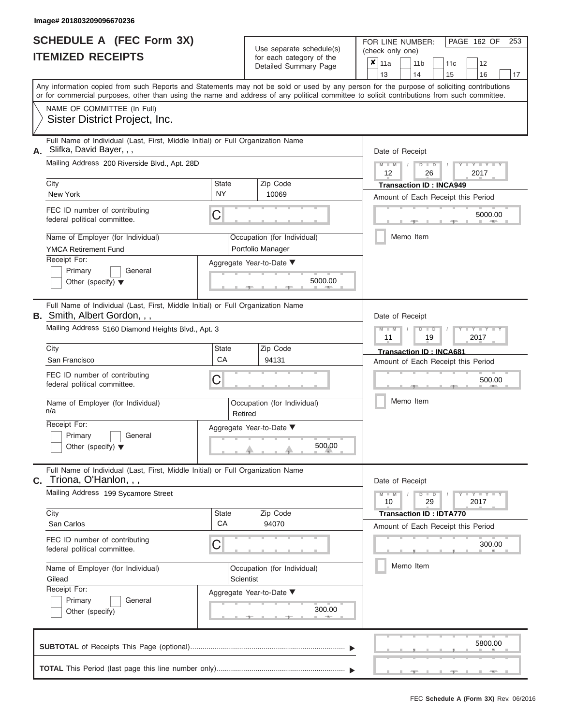|                          | <b>SCHEDULE A (FEC Form 3X)</b> |
|--------------------------|---------------------------------|
| <b>ITEMIZED RECEIPTS</b> |                                 |

FOR LINE NUMBER:<br>(check only one) Use separate schedule(s)<br>for each category of the

|    | IILMILLU NLVLIF IJ                                                                                                                         |                                          |  | ior each calegory or the<br>Detailed Summary Page | $\boldsymbol{x}$ | 11a             |           |                                                   | 11 <sub>b</sub>                |  | 11c                            | 12                                 |    |  |  |
|----|--------------------------------------------------------------------------------------------------------------------------------------------|------------------------------------------|--|---------------------------------------------------|------------------|-----------------|-----------|---------------------------------------------------|--------------------------------|--|--------------------------------|------------------------------------|----|--|--|
|    | Any information copied from such Reports and Statements may not be sold or used by any person for the purpose of soliciting contributions  |                                          |  |                                                   |                  | 13              |           |                                                   | 14                             |  | 15                             | 16                                 | 17 |  |  |
|    | or for commercial purposes, other than using the name and address of any political committee to solicit contributions from such committee. |                                          |  |                                                   |                  |                 |           |                                                   |                                |  |                                |                                    |    |  |  |
|    | NAME OF COMMITTEE (In Full)                                                                                                                |                                          |  |                                                   |                  |                 |           |                                                   |                                |  |                                |                                    |    |  |  |
|    | Sister District Project, Inc.                                                                                                              |                                          |  |                                                   |                  |                 |           |                                                   |                                |  |                                |                                    |    |  |  |
| А. | Full Name of Individual (Last, First, Middle Initial) or Full Organization Name<br>Slifka, David Bayer, , ,                                |                                          |  |                                                   |                  | Date of Receipt |           |                                                   |                                |  |                                |                                    |    |  |  |
|    | Mailing Address 200 Riverside Blvd., Apt. 28D                                                                                              |                                          |  |                                                   |                  |                 |           | $M - M$<br>$D$ $D$<br>$- Y -$<br>12<br>2017<br>26 |                                |  |                                |                                    |    |  |  |
|    | City                                                                                                                                       | State                                    |  | Zip Code                                          |                  |                 |           |                                                   |                                |  | <b>Transaction ID: INCA949</b> |                                    |    |  |  |
|    | New York                                                                                                                                   | <b>NY</b>                                |  | 10069                                             |                  |                 |           |                                                   |                                |  |                                | Amount of Each Receipt this Period |    |  |  |
|    | FEC ID number of contributing<br>federal political committee.                                                                              | С                                        |  |                                                   |                  |                 |           |                                                   |                                |  |                                | 5000.00                            |    |  |  |
|    | Name of Employer (for Individual)<br><b>YMCA Retirement Fund</b>                                                                           |                                          |  | Occupation (for Individual)<br>Portfolio Manager  |                  |                 | Memo Item |                                                   |                                |  |                                |                                    |    |  |  |
|    | Receipt For:                                                                                                                               |                                          |  | Aggregate Year-to-Date ▼                          |                  |                 |           |                                                   |                                |  |                                |                                    |    |  |  |
|    | Primary<br>General<br>Other (specify) $\blacktriangledown$                                                                                 |                                          |  | 5000.00                                           |                  |                 |           |                                                   |                                |  |                                |                                    |    |  |  |
|    | Full Name of Individual (Last, First, Middle Initial) or Full Organization Name<br><b>B.</b> Smith, Albert Gordon, , ,                     |                                          |  |                                                   |                  | Date of Receipt |           |                                                   |                                |  |                                |                                    |    |  |  |
|    | Mailing Address 5160 Diamond Heights Blvd., Apt. 3                                                                                         |                                          |  |                                                   |                  |                 |           | $M - M$<br>D<br>$\Box$<br>11<br>19<br>2017        |                                |  |                                |                                    |    |  |  |
|    | City                                                                                                                                       | State                                    |  |                                                   |                  |                 |           |                                                   | <b>Transaction ID: INCA681</b> |  |                                |                                    |    |  |  |
|    | San Francisco                                                                                                                              | CA                                       |  | 94131                                             |                  |                 |           |                                                   |                                |  |                                | Amount of Each Receipt this Period |    |  |  |
|    | FEC ID number of contributing<br>С<br>federal political committee.                                                                         |                                          |  |                                                   |                  |                 |           |                                                   |                                |  |                                | 500.00                             |    |  |  |
|    | Name of Employer (for Individual)<br>n/a                                                                                                   | Occupation (for Individual)<br>Retired   |  |                                                   | Memo Item        |                 |           |                                                   |                                |  |                                |                                    |    |  |  |
|    | Receipt For:                                                                                                                               | Aggregate Year-to-Date ▼                 |  |                                                   |                  |                 |           |                                                   |                                |  |                                |                                    |    |  |  |
|    | Primary<br>General<br>Other (specify) $\blacktriangledown$                                                                                 |                                          |  | 500.00                                            |                  |                 |           |                                                   |                                |  |                                |                                    |    |  |  |
| С. | Full Name of Individual (Last, First, Middle Initial) or Full Organization Name<br>Triona, O'Hanlon, , ,                                   |                                          |  |                                                   |                  | Date of Receipt |           |                                                   |                                |  |                                |                                    |    |  |  |
|    | Mailing Address 199 Sycamore Street                                                                                                        |                                          |  |                                                   |                  | $M - M$<br>10   |           |                                                   | $D$ $D$<br>29                  |  |                                | $Y - Y - Y$<br>2017                |    |  |  |
|    | City                                                                                                                                       | State                                    |  | Zip Code                                          |                  |                 |           |                                                   |                                |  | <b>Transaction ID: IDTA770</b> |                                    |    |  |  |
|    | San Carlos                                                                                                                                 | CA                                       |  | 94070                                             |                  |                 |           |                                                   |                                |  |                                | Amount of Each Receipt this Period |    |  |  |
|    | FEC ID number of contributing<br>federal political committee.                                                                              | С                                        |  |                                                   |                  |                 |           |                                                   |                                |  |                                | 300.00                             |    |  |  |
|    | Name of Employer (for Individual)<br>Gilead                                                                                                | Occupation (for Individual)<br>Scientist |  |                                                   |                  |                 |           | Memo Item                                         |                                |  |                                |                                    |    |  |  |
|    | Receipt For:                                                                                                                               | Aggregate Year-to-Date ▼                 |  |                                                   |                  |                 |           |                                                   |                                |  |                                |                                    |    |  |  |
|    | General<br>Primary                                                                                                                         |                                          |  |                                                   |                  |                 |           |                                                   |                                |  |                                |                                    |    |  |  |
|    | Other (specify)                                                                                                                            | 300.00                                   |  |                                                   |                  |                 |           |                                                   |                                |  |                                |                                    |    |  |  |
|    |                                                                                                                                            |                                          |  |                                                   |                  |                 |           |                                                   |                                |  |                                | 5800.00                            |    |  |  |
|    |                                                                                                                                            |                                          |  |                                                   |                  |                 |           |                                                   |                                |  |                                |                                    |    |  |  |

PAGE 162 OF 253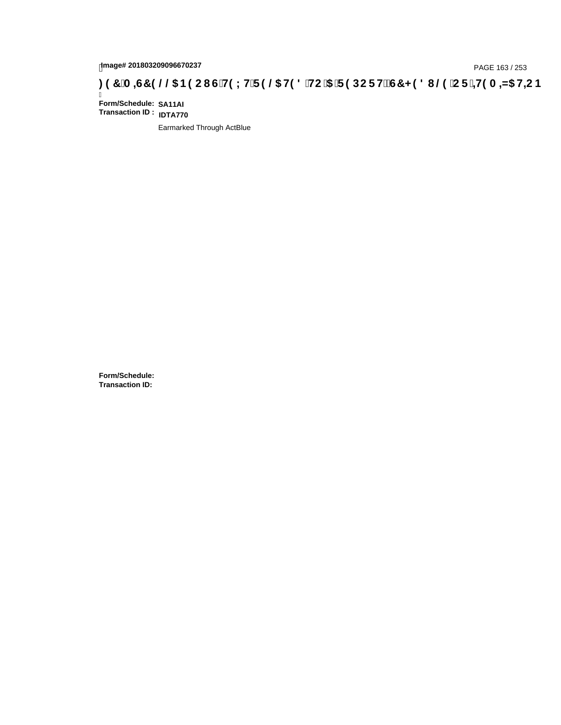# page# 201803209096670237<br>**(60,5 GT 3 / 253, 10,6** GT 3 / 253, 10,7 A = 45 HC in age# 201803209096670237<br>(6) GT 3 HO LHIF 9 GD HO 8 HC in the DCF HZ GT < 981 (2010) CF in the ANS H= CB 3 / 253

Ī **Form/Schedule: SA11AI Transaction ID : IDTA770**

Earmarked Through ActBlue

**Form/Schedule: Transaction ID:**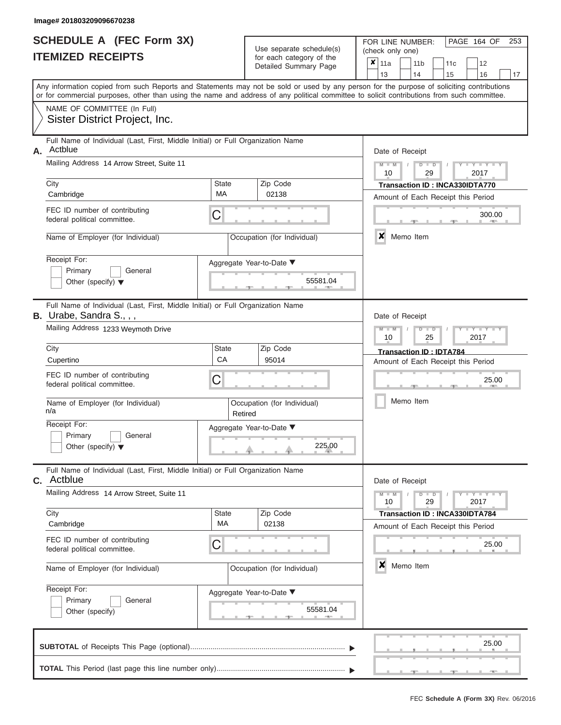|                          | <b>SCHEDULE A (FEC Form 3X)</b> |
|--------------------------|---------------------------------|
| <b>ITEMIZED RECEIPTS</b> |                                 |

FOR LINE NUMBER:

PAGE 164 OF 253

|                                                                                   |                                                                                                                                                                                                                                                                                         |                    | Use separate schedule(s)                          | (check only one)                                                               |                             |  |  |  |  |  |
|-----------------------------------------------------------------------------------|-----------------------------------------------------------------------------------------------------------------------------------------------------------------------------------------------------------------------------------------------------------------------------------------|--------------------|---------------------------------------------------|--------------------------------------------------------------------------------|-----------------------------|--|--|--|--|--|
|                                                                                   | <b>ITEMIZED RECEIPTS</b>                                                                                                                                                                                                                                                                |                    | for each category of the<br>Detailed Summary Page | $\boldsymbol{\mathsf{x}}$  <br>11a<br>11 <sub>b</sub><br>11c<br>14<br>13<br>15 | 12<br>16<br>17              |  |  |  |  |  |
|                                                                                   | Any information copied from such Reports and Statements may not be sold or used by any person for the purpose of soliciting contributions<br>or for commercial purposes, other than using the name and address of any political committee to solicit contributions from such committee. |                    |                                                   |                                                                                |                             |  |  |  |  |  |
|                                                                                   | NAME OF COMMITTEE (In Full)<br>Sister District Project, Inc.                                                                                                                                                                                                                            |                    |                                                   |                                                                                |                             |  |  |  |  |  |
| А.                                                                                | Full Name of Individual (Last, First, Middle Initial) or Full Organization Name<br>Actblue                                                                                                                                                                                              |                    |                                                   | Date of Receipt                                                                |                             |  |  |  |  |  |
|                                                                                   | Mailing Address 14 Arrow Street, Suite 11                                                                                                                                                                                                                                               |                    |                                                   | $M - M$<br>$D$ $\Box$ $D$<br>10<br>29                                          | Y I Y I<br>2017             |  |  |  |  |  |
|                                                                                   | City<br>Cambridge                                                                                                                                                                                                                                                                       | <b>State</b><br>MA | Zip Code<br>02138                                 | Transaction ID: INCA330IDTA770<br>Amount of Each Receipt this Period           |                             |  |  |  |  |  |
|                                                                                   | FEC ID number of contributing<br>federal political committee.                                                                                                                                                                                                                           | C                  |                                                   |                                                                                | 300.00                      |  |  |  |  |  |
|                                                                                   | Name of Employer (for Individual)                                                                                                                                                                                                                                                       |                    | Occupation (for Individual)                       | X<br>Memo Item                                                                 |                             |  |  |  |  |  |
|                                                                                   | Receipt For:<br>Primary<br>General<br>Other (specify) $\blacktriangledown$                                                                                                                                                                                                              |                    | Aggregate Year-to-Date ▼<br>55581.04              |                                                                                |                             |  |  |  |  |  |
|                                                                                   | Full Name of Individual (Last, First, Middle Initial) or Full Organization Name<br><b>B.</b> Urabe, Sandra S., , ,                                                                                                                                                                      |                    |                                                   | Date of Receipt                                                                |                             |  |  |  |  |  |
|                                                                                   | Mailing Address 1233 Weymoth Drive                                                                                                                                                                                                                                                      |                    |                                                   | $M - M$<br>$D$ $D$<br>10<br>25                                                 | Y TYT<br>2017               |  |  |  |  |  |
|                                                                                   | City<br>Cupertino                                                                                                                                                                                                                                                                       | <b>State</b><br>CA | Zip Code<br>95014                                 | <b>Transaction ID: IDTA784</b><br>Amount of Each Receipt this Period           |                             |  |  |  |  |  |
|                                                                                   | FEC ID number of contributing<br>federal political committee.                                                                                                                                                                                                                           | С                  |                                                   |                                                                                | 25.00                       |  |  |  |  |  |
|                                                                                   | Name of Employer (for Individual)<br>n/a                                                                                                                                                                                                                                                | Retired            | Occupation (for Individual)                       | Memo Item                                                                      |                             |  |  |  |  |  |
|                                                                                   | Receipt For:<br>Primary<br>General<br>Other (specify) $\blacktriangledown$                                                                                                                                                                                                              |                    | Aggregate Year-to-Date ▼<br>225.00                |                                                                                |                             |  |  |  |  |  |
|                                                                                   | Full Name of Individual (Last, First, Middle Initial) or Full Organization Name<br>C. Actblue                                                                                                                                                                                           |                    |                                                   | Date of Receipt                                                                |                             |  |  |  |  |  |
|                                                                                   | Mailing Address 14 Arrow Street, Suite 11                                                                                                                                                                                                                                               |                    |                                                   | $M - M$<br>$D$ $\Box$ $D$<br>10<br>29                                          | $Y - Y - Y - Y - Y$<br>2017 |  |  |  |  |  |
|                                                                                   | City<br>Cambridge                                                                                                                                                                                                                                                                       | <b>State</b><br>МA | Zip Code<br>02138                                 | <b>Transaction ID: INCA330IDTA784</b><br>Amount of Each Receipt this Period    |                             |  |  |  |  |  |
|                                                                                   | FEC ID number of contributing<br>federal political committee.                                                                                                                                                                                                                           | С                  |                                                   |                                                                                | 25.00                       |  |  |  |  |  |
| Name of Employer (for Individual)                                                 |                                                                                                                                                                                                                                                                                         |                    | Occupation (for Individual)                       | ×<br>Memo Item                                                                 |                             |  |  |  |  |  |
| Receipt For:<br>Aggregate Year-to-Date ▼<br>Primary<br>General<br>Other (specify) |                                                                                                                                                                                                                                                                                         |                    | 55581.04<br><b>ARTIS</b>                          |                                                                                |                             |  |  |  |  |  |
|                                                                                   |                                                                                                                                                                                                                                                                                         |                    |                                                   |                                                                                | 25.00                       |  |  |  |  |  |
|                                                                                   |                                                                                                                                                                                                                                                                                         |                    |                                                   |                                                                                |                             |  |  |  |  |  |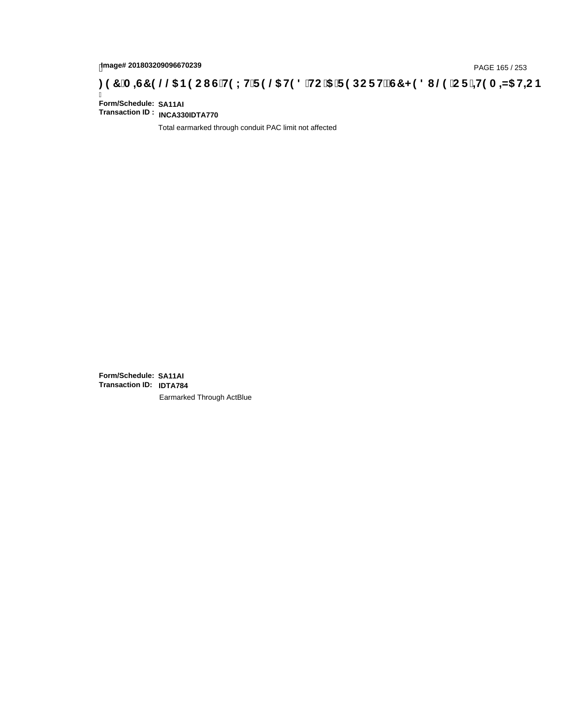# page# 201803209096670239<br>DAGE 165 / 253 PAGE 165 / 253<br>**DAGE 169 CT - +19 A =N5 H=C B** ( 3 T C F) S THRE HEC IS THEN CONFIEC IS THE THE THE THE THE THE THE THE THE TH

Ī **Form/Schedule: SA11AI Transaction ID : INCA330IDTA770**

Total earmarked through conduit PAC limit not affected

**Form/Schedule: SA11AI Transaction ID: IDTA784**Earmarked Through ActBlue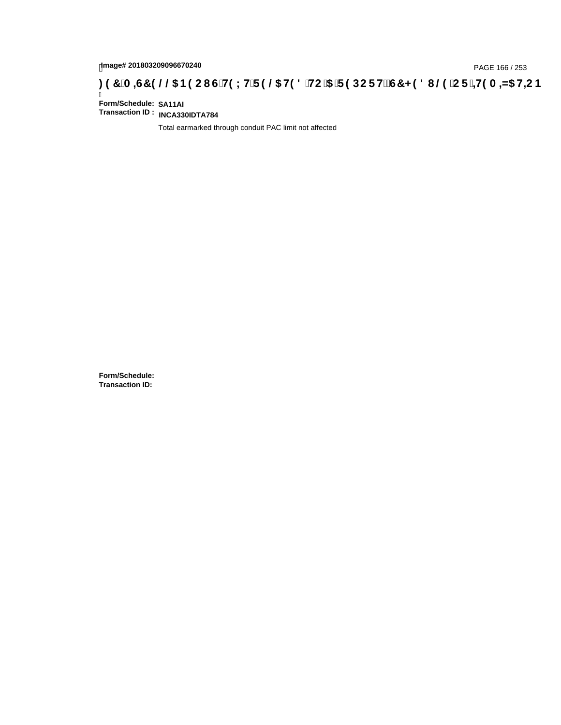# tmage# 201803209096670240<br>DAGE 166 / 253 PAGE 166 / 253<br>**DAGE 169 CT - ±19 A ±N5 H=C B** (253 T= 3 DCF H2 G7 < 981 @ CF - ±19 A ±N5 H=C B ؛ 3 T A =G7 9 .

Ī **Form/Schedule: SA11AI Transaction ID : INCA330IDTA784**

Total earmarked through conduit PAC limit not affected

**Form/Schedule: Transaction ID:**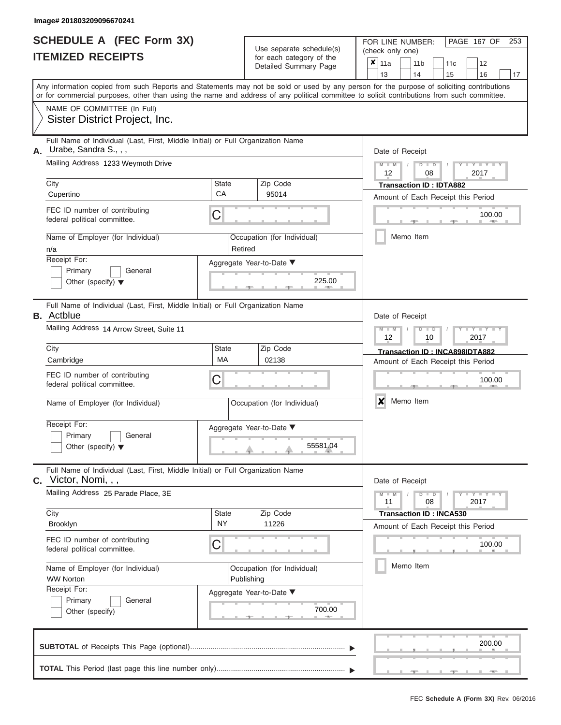|                          | <b>SCHEDULE A (FEC Form 3X)</b> |
|--------------------------|---------------------------------|
| <b>ITEMIZED RECEIPTS</b> |                                 |

Use separate schedule(s) (check only one)<br>for each category of the  $\begin{array}{|c|c|c|c|c|}\hline \textbf{X} & 11a & 1\end{array}$ 

FOR LINE NUMBER:

PAGE 167 OF 253

|                                                               | IIEMIZED RECEIPIS                                                                                                                                                                                                                                                                       |                           | for each category of the<br>Detailed Summary Page | ×<br>11a<br>12<br>11 <sub>b</sub><br>11c<br>13<br>14<br>15<br>16<br>17                |  |  |  |  |  |  |
|---------------------------------------------------------------|-----------------------------------------------------------------------------------------------------------------------------------------------------------------------------------------------------------------------------------------------------------------------------------------|---------------------------|---------------------------------------------------|---------------------------------------------------------------------------------------|--|--|--|--|--|--|
|                                                               | Any information copied from such Reports and Statements may not be sold or used by any person for the purpose of soliciting contributions<br>or for commercial purposes, other than using the name and address of any political committee to solicit contributions from such committee. |                           |                                                   |                                                                                       |  |  |  |  |  |  |
|                                                               | NAME OF COMMITTEE (In Full)<br>Sister District Project, Inc.                                                                                                                                                                                                                            |                           |                                                   |                                                                                       |  |  |  |  |  |  |
| А.                                                            | Full Name of Individual (Last, First, Middle Initial) or Full Organization Name<br>Urabe, Sandra S.,,,<br>Mailing Address 1233 Weymoth Drive                                                                                                                                            |                           |                                                   | Date of Receipt<br>$Y = Y$<br>$M -$<br>$\overline{\mathbf{M}}$<br>D<br>$\overline{D}$ |  |  |  |  |  |  |
|                                                               | City<br>Cupertino                                                                                                                                                                                                                                                                       | <b>State</b><br>CA        | Zip Code<br>95014                                 | 2017<br>12<br>08<br><b>Transaction ID: IDTA882</b>                                    |  |  |  |  |  |  |
|                                                               | FEC ID number of contributing<br>federal political committee.                                                                                                                                                                                                                           | C                         |                                                   | Amount of Each Receipt this Period<br>100.00<br><b>AND</b>                            |  |  |  |  |  |  |
|                                                               | Name of Employer (for Individual)<br>n/a                                                                                                                                                                                                                                                | Retired                   | Occupation (for Individual)                       | Memo Item                                                                             |  |  |  |  |  |  |
|                                                               | Receipt For:<br>Primary<br>General<br>Other (specify) $\blacktriangledown$                                                                                                                                                                                                              |                           | Aggregate Year-to-Date ▼<br>225.00                |                                                                                       |  |  |  |  |  |  |
|                                                               | Full Name of Individual (Last, First, Middle Initial) or Full Organization Name<br><b>B.</b> Actblue                                                                                                                                                                                    |                           |                                                   | Date of Receipt                                                                       |  |  |  |  |  |  |
|                                                               | Mailing Address 14 Arrow Street, Suite 11                                                                                                                                                                                                                                               |                           |                                                   | $M -$<br>Y TY<br><b>M</b><br>D<br>D<br>12<br>10<br>2017                               |  |  |  |  |  |  |
|                                                               | City<br>Cambridge                                                                                                                                                                                                                                                                       | <b>State</b><br>МA        | Zip Code<br>02138                                 | Transaction ID: INCA898IDTA882<br>Amount of Each Receipt this Period                  |  |  |  |  |  |  |
| FEC ID number of contributing<br>federal political committee. |                                                                                                                                                                                                                                                                                         | C                         |                                                   | 100.00                                                                                |  |  |  |  |  |  |
|                                                               | Name of Employer (for Individual)                                                                                                                                                                                                                                                       |                           | Occupation (for Individual)                       | Memo Item<br>x                                                                        |  |  |  |  |  |  |
|                                                               | Receipt For:<br>Primary<br>General<br>Other (specify) $\blacktriangledown$                                                                                                                                                                                                              |                           | Aggregate Year-to-Date ▼<br>55581.04              |                                                                                       |  |  |  |  |  |  |
|                                                               | Full Name of Individual (Last, First, Middle Initial) or Full Organization Name<br>$C.$ Victor, Nomi, , ,                                                                                                                                                                               |                           |                                                   | Date of Receipt                                                                       |  |  |  |  |  |  |
|                                                               | Mailing Address 25 Parade Place, 3E                                                                                                                                                                                                                                                     |                           |                                                   | Y - Y - Y<br>$D$ $D$<br>$M -$<br>$\overline{\mathbf{M}}$<br>08<br>2017<br>11          |  |  |  |  |  |  |
|                                                               | City<br>Brooklyn                                                                                                                                                                                                                                                                        | <b>State</b><br><b>NY</b> | Zip Code<br>11226                                 | <b>Transaction ID: INCA530</b><br>Amount of Each Receipt this Period                  |  |  |  |  |  |  |
|                                                               | FEC ID number of contributing<br>federal political committee.                                                                                                                                                                                                                           | C                         |                                                   | 100.00                                                                                |  |  |  |  |  |  |
| Name of Employer (for Individual)<br><b>WW Norton</b>         |                                                                                                                                                                                                                                                                                         |                           | Occupation (for Individual)<br>Publishing         | Memo Item                                                                             |  |  |  |  |  |  |
|                                                               | Receipt For:<br>Primary<br>General<br>Other (specify)                                                                                                                                                                                                                                   |                           | Aggregate Year-to-Date ▼<br>700.00                |                                                                                       |  |  |  |  |  |  |
|                                                               |                                                                                                                                                                                                                                                                                         |                           |                                                   | 200.00                                                                                |  |  |  |  |  |  |
|                                                               |                                                                                                                                                                                                                                                                                         |                           |                                                   |                                                                                       |  |  |  |  |  |  |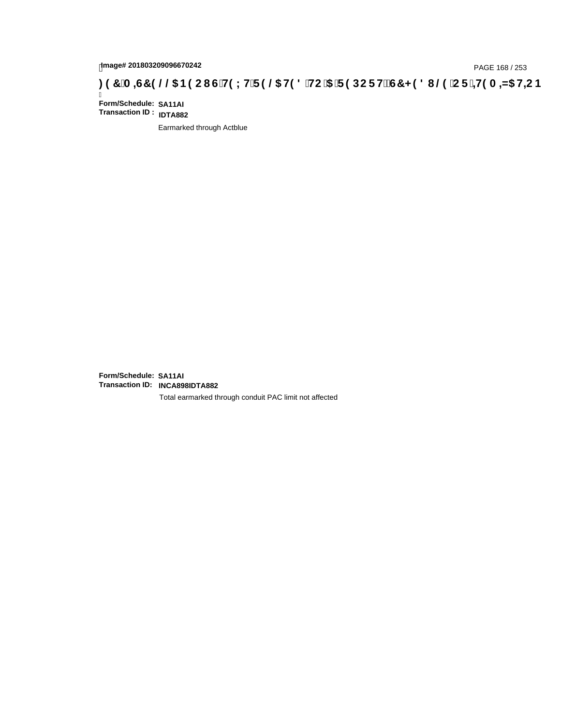# page# 201803209096670242<br>Denge# 201803209096670242<br>**( Op `C F `+H9 A =N5 H=C B (@6) B 9 C I G`H9 L H`F 9 @6 H9 8 `HC `5 `F 9 DC F H** $\breve{E}$ **G7 < 9 8 I @9 `C F `+H9 A =N5 H=C B**

Ī **Form/Schedule: SA11AI Transaction ID : IDTA882**

Earmarked through Actblue

**Form/Schedule: SA11AI Transaction ID: INCA898IDTA882**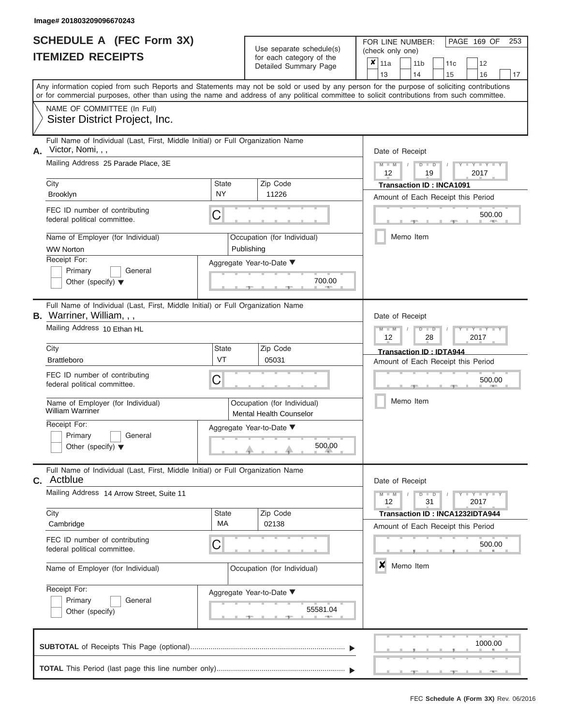|                          | <b>SCHEDULE A (FEC Form 3X)</b> |
|--------------------------|---------------------------------|
| <b>ITEMIZED RECEIPTS</b> |                                 |

FOR LINE NUMBER:<br>(check only one)

PAGE 169 OF 253

|                                                                                                                                           |                                                                                                                                            |                    |            | badii balogory of lin<br>Detailed Summary Page         | x                               | 11a                                |               |  | 11 <sub>b</sub>            |                                                              | 11c                                | 12                        |         |    |  |  |  |  |  |  |  |
|-------------------------------------------------------------------------------------------------------------------------------------------|--------------------------------------------------------------------------------------------------------------------------------------------|--------------------|------------|--------------------------------------------------------|---------------------------------|------------------------------------|---------------|--|----------------------------|--------------------------------------------------------------|------------------------------------|---------------------------|---------|----|--|--|--|--|--|--|--|
| Any information copied from such Reports and Statements may not be sold or used by any person for the purpose of soliciting contributions |                                                                                                                                            |                    |            |                                                        |                                 | 13                                 |               |  | 14                         |                                                              | 15                                 |                           | 16      | 17 |  |  |  |  |  |  |  |
|                                                                                                                                           | or for commercial purposes, other than using the name and address of any political committee to solicit contributions from such committee. |                    |            |                                                        |                                 |                                    |               |  |                            |                                                              |                                    |                           |         |    |  |  |  |  |  |  |  |
|                                                                                                                                           | NAME OF COMMITTEE (In Full)                                                                                                                |                    |            |                                                        |                                 |                                    |               |  |                            |                                                              |                                    |                           |         |    |  |  |  |  |  |  |  |
|                                                                                                                                           | Sister District Project, Inc.                                                                                                              |                    |            |                                                        |                                 |                                    |               |  |                            |                                                              |                                    |                           |         |    |  |  |  |  |  |  |  |
|                                                                                                                                           | Full Name of Individual (Last, First, Middle Initial) or Full Organization Name<br>Victor, Nomi, , ,                                       |                    |            |                                                        |                                 |                                    |               |  |                            |                                                              |                                    |                           |         |    |  |  |  |  |  |  |  |
| Α.                                                                                                                                        | Mailing Address 25 Parade Place, 3E                                                                                                        |                    |            |                                                        |                                 |                                    | $M - M$ /     |  | Date of Receipt<br>$D$ $D$ |                                                              |                                    |                           | $Y = Y$ |    |  |  |  |  |  |  |  |
|                                                                                                                                           |                                                                                                                                            |                    |            |                                                        |                                 |                                    | 12            |  |                            | 19                                                           |                                    | 2017                      |         |    |  |  |  |  |  |  |  |
|                                                                                                                                           | City                                                                                                                                       | State              |            | Zip Code                                               | <b>Transaction ID: INCA1091</b> |                                    |               |  |                            |                                                              |                                    |                           |         |    |  |  |  |  |  |  |  |
|                                                                                                                                           | Brooklyn                                                                                                                                   | <b>NY</b>          |            | 11226                                                  |                                 | Amount of Each Receipt this Period |               |  |                            |                                                              |                                    |                           |         |    |  |  |  |  |  |  |  |
|                                                                                                                                           | FEC ID number of contributing<br>federal political committee.                                                                              | C                  |            |                                                        | 500.00                          |                                    |               |  |                            |                                                              |                                    |                           |         |    |  |  |  |  |  |  |  |
|                                                                                                                                           | Name of Employer (for Individual)                                                                                                          |                    |            | Occupation (for Individual)                            |                                 |                                    |               |  | Memo Item                  |                                                              |                                    |                           |         |    |  |  |  |  |  |  |  |
|                                                                                                                                           | <b>WW Norton</b><br>Receipt For:                                                                                                           |                    | Publishing |                                                        |                                 |                                    |               |  |                            |                                                              |                                    |                           |         |    |  |  |  |  |  |  |  |
|                                                                                                                                           | Primary<br>General                                                                                                                         |                    |            | Aggregate Year-to-Date ▼                               |                                 |                                    |               |  |                            |                                                              |                                    |                           |         |    |  |  |  |  |  |  |  |
|                                                                                                                                           | Other (specify) $\blacktriangledown$                                                                                                       |                    |            | 700.00                                                 |                                 |                                    |               |  |                            |                                                              |                                    |                           |         |    |  |  |  |  |  |  |  |
|                                                                                                                                           | Full Name of Individual (Last, First, Middle Initial) or Full Organization Name<br><b>B.</b> Warriner, William, , ,                        |                    |            |                                                        |                                 |                                    |               |  | Date of Receipt            |                                                              |                                    |                           |         |    |  |  |  |  |  |  |  |
|                                                                                                                                           | Mailing Address 10 Ethan HL                                                                                                                |                    |            |                                                        |                                 |                                    |               |  |                            | $M - M$<br>$D$ $\Box$ $D$<br>$Y - Y - I$<br>12<br>28<br>2017 |                                    |                           |         |    |  |  |  |  |  |  |  |
|                                                                                                                                           | City                                                                                                                                       | State              |            | Zip Code                                               | Transaction ID: IDTA944         |                                    |               |  |                            |                                                              |                                    |                           |         |    |  |  |  |  |  |  |  |
|                                                                                                                                           | <b>Brattleboro</b>                                                                                                                         | VT                 |            | 05031                                                  |                                 |                                    |               |  |                            |                                                              | Amount of Each Receipt this Period |                           |         |    |  |  |  |  |  |  |  |
|                                                                                                                                           | FEC ID number of contributing<br>federal political committee.                                                                              | C                  |            |                                                        | 500.00                          |                                    |               |  |                            |                                                              |                                    |                           |         |    |  |  |  |  |  |  |  |
|                                                                                                                                           | Name of Employer (for Individual)<br><b>William Warriner</b>                                                                               |                    |            | Occupation (for Individual)<br>Mental Health Counselor |                                 | Memo Item                          |               |  |                            |                                                              |                                    |                           |         |    |  |  |  |  |  |  |  |
|                                                                                                                                           | Receipt For:<br>Primary<br>General<br>Other (specify) $\blacktriangledown$                                                                 |                    |            | Aggregate Year-to-Date ▼<br>500.00                     |                                 |                                    |               |  |                            |                                                              |                                    |                           |         |    |  |  |  |  |  |  |  |
|                                                                                                                                           | Full Name of Individual (Last, First, Middle Initial) or Full Organization Name<br><b>C.</b> Actblue                                       |                    |            |                                                        |                                 |                                    |               |  | Date of Receipt            |                                                              |                                    |                           |         |    |  |  |  |  |  |  |  |
|                                                                                                                                           | Mailing Address 14 Arrow Street, Suite 11                                                                                                  |                    |            |                                                        |                                 |                                    | $M - M$<br>12 |  | $D$ $D$                    | 31                                                           |                                    | $  Y$ $  Y$ $  Y$<br>2017 |         |    |  |  |  |  |  |  |  |
|                                                                                                                                           | City                                                                                                                                       | <b>State</b><br>МA |            | Zip Code                                               |                                 |                                    |               |  |                            |                                                              | Transaction ID: INCA1232IDTA944    |                           |         |    |  |  |  |  |  |  |  |
|                                                                                                                                           | Cambridge                                                                                                                                  |                    |            | 02138                                                  |                                 |                                    |               |  |                            |                                                              | Amount of Each Receipt this Period |                           |         |    |  |  |  |  |  |  |  |
|                                                                                                                                           | FEC ID number of contributing<br>federal political committee.                                                                              | C                  |            |                                                        |                                 |                                    |               |  |                            |                                                              |                                    |                           | 500.00  |    |  |  |  |  |  |  |  |
|                                                                                                                                           | Name of Employer (for Individual)                                                                                                          |                    |            | Occupation (for Individual)                            |                                 | ×<br>Memo Item                     |               |  |                            |                                                              |                                    |                           |         |    |  |  |  |  |  |  |  |
|                                                                                                                                           | Receipt For:<br>Primary<br>General                                                                                                         |                    |            | Aggregate Year-to-Date ▼                               |                                 |                                    |               |  |                            |                                                              |                                    |                           |         |    |  |  |  |  |  |  |  |
|                                                                                                                                           | Other (specify)                                                                                                                            |                    |            | 55581.04                                               |                                 |                                    |               |  |                            |                                                              |                                    |                           |         |    |  |  |  |  |  |  |  |
|                                                                                                                                           |                                                                                                                                            |                    |            |                                                        |                                 |                                    |               |  |                            |                                                              |                                    |                           | 1000.00 |    |  |  |  |  |  |  |  |
|                                                                                                                                           |                                                                                                                                            |                    |            |                                                        |                                 |                                    |               |  |                            |                                                              |                                    |                           |         |    |  |  |  |  |  |  |  |

 ▲ ▲ ▲ , , .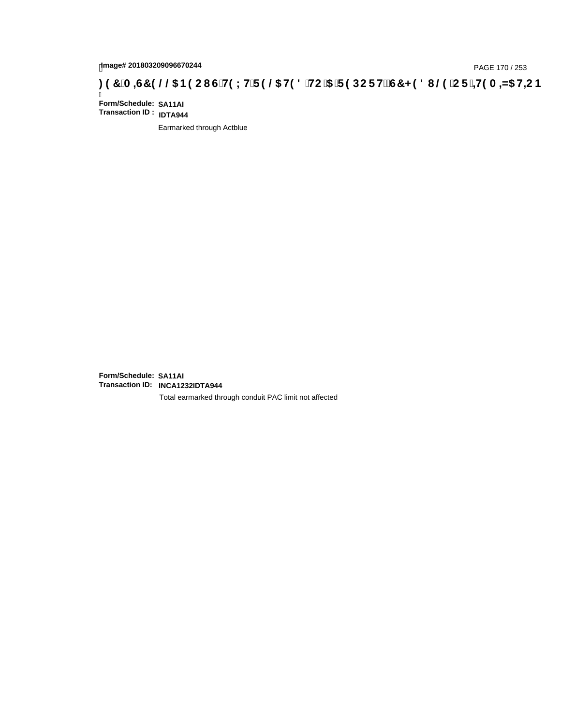# page# 201803209096670244<br>Denge# 201803209096670244<br>**( On CF + H9 A = A/5 H=C B** ( O CH9 L H F 9 @ H9 8 HC '5 F 9 DC F H $\breve{c}$ G7 < 9 8 I . @ 'C F + H9 A = A/5 H=C B

Ī **Form/Schedule: SA11AI Transaction ID : IDTA944**

Earmarked through Actblue

**Form/Schedule: SA11AI Transaction ID: INCA1232IDTA944**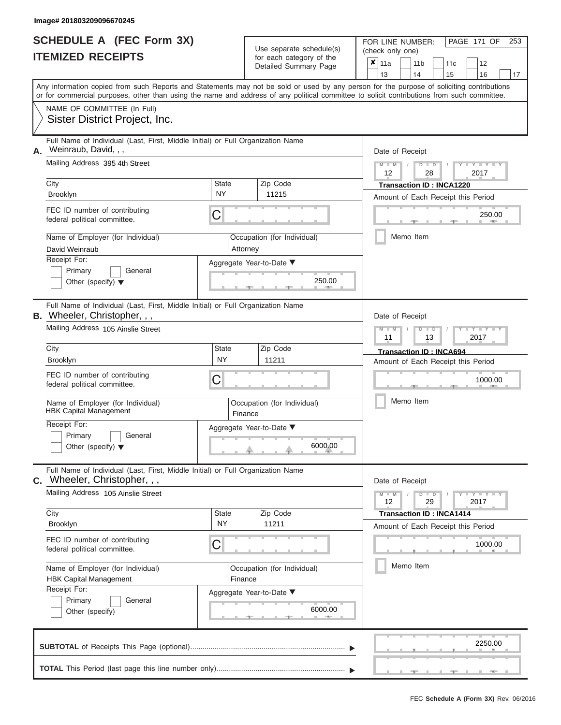|                          | <b>SCHEDULE A (FEC Form 3X)</b> |
|--------------------------|---------------------------------|
| <b>ITEMIZED RECEIPTS</b> |                                 |

FOR LINE NUMBER:

PAGE 171 OF 253

| <b>ITEMIZED RECEIPTS</b><br>for each category of the                                                                                                                                                                                                                                    | $\boldsymbol{x}$<br>11a<br>11 <sub>b</sub><br>12<br>11 <sub>c</sub>            |
|-----------------------------------------------------------------------------------------------------------------------------------------------------------------------------------------------------------------------------------------------------------------------------------------|--------------------------------------------------------------------------------|
|                                                                                                                                                                                                                                                                                         | Detailed Summary Page                                                          |
|                                                                                                                                                                                                                                                                                         | 13<br>14<br>15<br>16<br>17                                                     |
| Any information copied from such Reports and Statements may not be sold or used by any person for the purpose of soliciting contributions<br>or for commercial purposes, other than using the name and address of any political committee to solicit contributions from such committee. |                                                                                |
| NAME OF COMMITTEE (In Full)                                                                                                                                                                                                                                                             |                                                                                |
| Sister District Project, Inc.                                                                                                                                                                                                                                                           |                                                                                |
| Full Name of Individual (Last, First, Middle Initial) or Full Organization Name<br>Weinraub, David, , ,                                                                                                                                                                                 |                                                                                |
| А.<br>Mailing Address 395 4th Street                                                                                                                                                                                                                                                    | Date of Receipt<br>$Y = Y$<br>$M - M$<br>$\overline{D}$<br>$\overline{D}$      |
|                                                                                                                                                                                                                                                                                         | 2017<br>12<br>28                                                               |
| City<br><b>State</b><br>Zip Code<br><b>NY</b>                                                                                                                                                                                                                                           | <b>Transaction ID: INCA1220</b>                                                |
| 11215<br>Brooklyn                                                                                                                                                                                                                                                                       | Amount of Each Receipt this Period                                             |
| FEC ID number of contributing<br>C<br>federal political committee.                                                                                                                                                                                                                      | 250.00                                                                         |
| Name of Employer (for Individual)<br>Occupation (for Individual)                                                                                                                                                                                                                        | Memo Item                                                                      |
| David Weinraub<br>Attorney                                                                                                                                                                                                                                                              |                                                                                |
| Receipt For:<br>Aggregate Year-to-Date ▼<br>Primary<br>General                                                                                                                                                                                                                          |                                                                                |
| Other (specify) $\blacktriangledown$                                                                                                                                                                                                                                                    | 250.00                                                                         |
|                                                                                                                                                                                                                                                                                         |                                                                                |
| Full Name of Individual (Last, First, Middle Initial) or Full Organization Name<br>B. Wheeler, Christopher, , ,                                                                                                                                                                         | Date of Receipt                                                                |
| Mailing Address 105 Ainslie Street                                                                                                                                                                                                                                                      | Y I Y I                                                                        |
|                                                                                                                                                                                                                                                                                         | 2017<br>11<br>13                                                               |
| Zip Code<br>City<br><b>State</b><br><b>NY</b>                                                                                                                                                                                                                                           | Transaction ID: INCA694                                                        |
| 11211<br>Brooklyn                                                                                                                                                                                                                                                                       | Amount of Each Receipt this Period                                             |
| FEC ID number of contributing<br>С<br>federal political committee.                                                                                                                                                                                                                      | 1000.00                                                                        |
| Name of Employer (for Individual)<br>Occupation (for Individual)<br><b>HBK Capital Management</b><br>Finance                                                                                                                                                                            | Memo Item                                                                      |
| Receipt For:<br>Aggregate Year-to-Date ▼                                                                                                                                                                                                                                                |                                                                                |
| Primary<br>General<br>Other (specify) $\blacktriangledown$                                                                                                                                                                                                                              | 6000.00                                                                        |
| Full Name of Individual (Last, First, Middle Initial) or Full Organization Name<br><b>C.</b> Wheeler, Christopher, , ,                                                                                                                                                                  | Date of Receipt                                                                |
| Mailing Address 105 Ainslie Street                                                                                                                                                                                                                                                      | $Y = Y + Y$<br>$M - M$<br>$\overline{D}$<br>$\blacksquare$<br>12<br>29<br>2017 |
| <b>State</b><br>Zip Code<br>City                                                                                                                                                                                                                                                        | <b>Transaction ID: INCA1414</b>                                                |
| <b>NY</b><br>Brooklyn<br>11211                                                                                                                                                                                                                                                          | Amount of Each Receipt this Period                                             |
| FEC ID number of contributing<br>C<br>federal political committee.                                                                                                                                                                                                                      | 1000.00                                                                        |
| Name of Employer (for Individual)<br>Occupation (for Individual)<br><b>HBK Capital Management</b><br>Finance                                                                                                                                                                            | Memo Item                                                                      |
| Receipt For:<br>Aggregate Year-to-Date ▼                                                                                                                                                                                                                                                |                                                                                |
| Primary<br>General<br>Other (specify)                                                                                                                                                                                                                                                   | 6000.00                                                                        |
|                                                                                                                                                                                                                                                                                         |                                                                                |
|                                                                                                                                                                                                                                                                                         | 2250.00                                                                        |
|                                                                                                                                                                                                                                                                                         |                                                                                |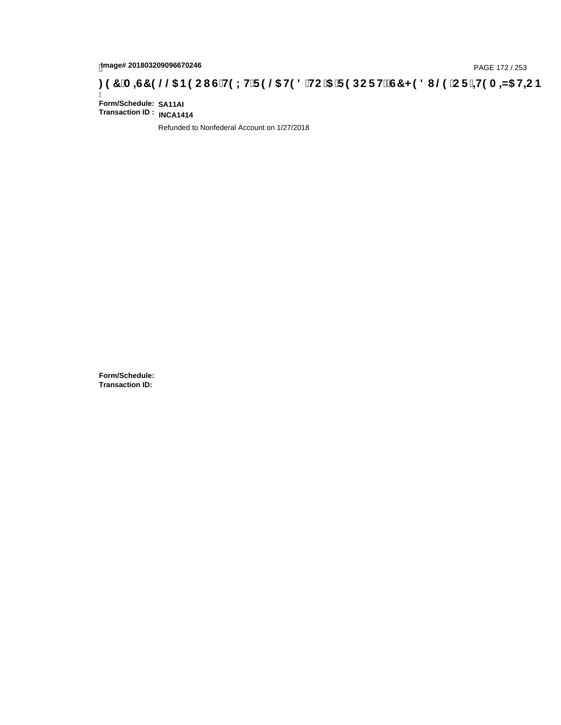# **)(&0,6&(//\$1(2867(;75(/\$7('72\$5(32576&+('8/(25,7(0,=\$7,21**

Ī **Form/Schedule: SA11AI Transaction ID : INCA1414**

Refunded to Nonfederal Account on 1/27/2018

**Form/Schedule: Transaction ID:**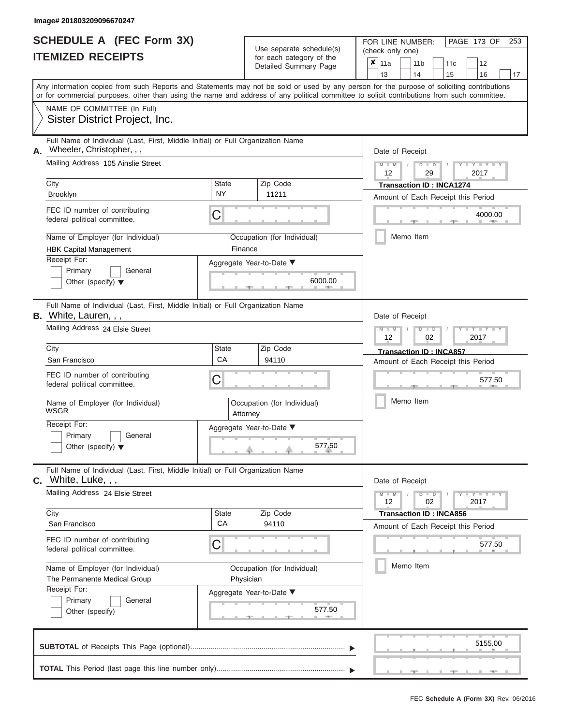#### **SCHEDULE A (FEC Form 3X) ITEMIZED RECEIPTS**

| SCHEDULE A (FEC Form 3X)<br><b>ITEMIZED RECEIPTS</b>                                                                                                                                                                                                                                                                                                             |                               | Use separate schedule(s)<br>for each category of the<br>Detailed Summary Page          | 253<br>FOR LINE NUMBER:<br>PAGE 173 OF<br>(check only one)<br>$\boldsymbol{x}$<br>11a<br>11 <sub>b</sub><br>12<br>11c                                                                                    |
|------------------------------------------------------------------------------------------------------------------------------------------------------------------------------------------------------------------------------------------------------------------------------------------------------------------------------------------------------------------|-------------------------------|----------------------------------------------------------------------------------------|----------------------------------------------------------------------------------------------------------------------------------------------------------------------------------------------------------|
| Any information copied from such Reports and Statements may not be sold or used by any person for the purpose of soliciting contributions<br>or for commercial purposes, other than using the name and address of any political committee to solicit contributions from such committee.                                                                          |                               |                                                                                        | 13<br>14<br>15<br>16<br>17                                                                                                                                                                               |
| NAME OF COMMITTEE (In Full)<br>Sister District Project, Inc.                                                                                                                                                                                                                                                                                                     |                               |                                                                                        |                                                                                                                                                                                                          |
| Full Name of Individual (Last, First, Middle Initial) or Full Organization Name<br>Wheeler, Christopher, , ,<br>А.<br>Mailing Address 105 Ainslie Street<br>City<br><b>Brooklyn</b><br>FEC ID number of contributing<br>federal political committee.<br>Name of Employer (for Individual)<br><b>HBK Capital Management</b><br>Receipt For:<br>Primary<br>General | State<br>NY.<br>С<br>Finance  | Zip Code<br>11211<br>Occupation (for Individual)<br>Aggregate Year-to-Date ▼           | Date of Receipt<br>$M - M$<br>$D$ $D$<br>$Y - Y - I$<br>$\sqrt{ }$<br>12<br>29<br>2017<br><b>Transaction ID: INCA1274</b><br>Amount of Each Receipt this Period<br>4000.00<br><b>AND IN</b><br>Memo Item |
| Other (specify) $\blacktriangledown$<br>Full Name of Individual (Last, First, Middle Initial) or Full Organization Name                                                                                                                                                                                                                                          |                               | 6000.00                                                                                |                                                                                                                                                                                                          |
| B. White, Lauren, , ,<br>Mailing Address 24 Elsie Street<br>City<br>San Francisco                                                                                                                                                                                                                                                                                | State<br>CA                   | Zip Code<br>94110                                                                      | Date of Receipt<br>$M - M$<br>$D$ $\Box$ $D$<br>Y I Y I<br>12<br>2017<br>02<br><b>Transaction ID: INCA857</b><br>Amount of Each Receipt this Period                                                      |
| FEC ID number of contributing<br>federal political committee.<br>Name of Employer (for Individual)<br><b>WSGR</b><br>Receipt For:<br>Primary<br>General<br>Other (specify) $\blacktriangledown$                                                                                                                                                                  | С<br>Attorney                 | Occupation (for Individual)<br>Aggregate Year-to-Date ▼<br>577.50<br>J.                | 577.50<br>Memo Item                                                                                                                                                                                      |
| Full Name of Individual (Last, First, Middle Initial) or Full Organization Name<br>$c.$ White, Luke, , ,<br>Mailing Address 24 Elsie Street                                                                                                                                                                                                                      |                               |                                                                                        | Date of Receipt<br>$M - M$<br>$D$ $D$<br>12<br>02<br>2017                                                                                                                                                |
| City<br>San Francisco<br>FEC ID number of contributing<br>federal political committee.<br>Name of Employer (for Individual)<br>The Permanente Medical Group<br>Receipt For:<br>Primary<br>General<br>Other (specify)                                                                                                                                             | State<br>CA<br>С<br>Physician | Zip Code<br>94110<br>Occupation (for Individual)<br>Aggregate Year-to-Date ▼<br>577.50 | <b>Transaction ID: INCA856</b><br>Amount of Each Receipt this Period<br>577.50<br>Memo Item                                                                                                              |
|                                                                                                                                                                                                                                                                                                                                                                  |                               |                                                                                        | 5155.00                                                                                                                                                                                                  |

 ▲ ▲ ▲ , , .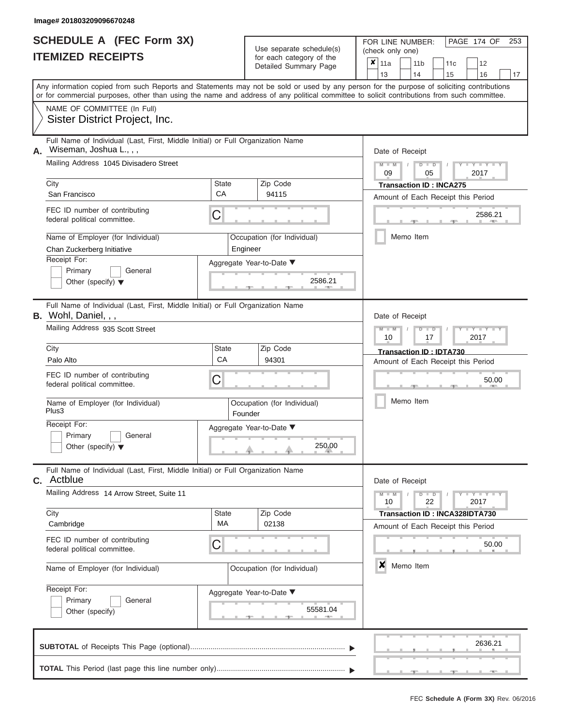|                          | <b>SCHEDULE A (FEC Form 3X)</b> |
|--------------------------|---------------------------------|
| <b>ITEMIZED RECEIPTS</b> |                                 |

FOR LINE NUMBER:<br>(check only one) Use separate schedule(s)<br>for each category of the

|                                                                                                                                                                                                                                                                                         |             | babii batogory<br>Detailed Summary Page | x                                  | 11a                                             |  | 11 <sub>b</sub> | 11c                            | 12                                 |       |    |  |  |  |  |
|-----------------------------------------------------------------------------------------------------------------------------------------------------------------------------------------------------------------------------------------------------------------------------------------|-------------|-----------------------------------------|------------------------------------|-------------------------------------------------|--|-----------------|--------------------------------|------------------------------------|-------|----|--|--|--|--|
|                                                                                                                                                                                                                                                                                         |             |                                         |                                    | 13                                              |  | 14              | 15                             | 16                                 |       | 17 |  |  |  |  |
| Any information copied from such Reports and Statements may not be sold or used by any person for the purpose of soliciting contributions<br>or for commercial purposes, other than using the name and address of any political committee to solicit contributions from such committee. |             |                                         |                                    |                                                 |  |                 |                                |                                    |       |    |  |  |  |  |
| NAME OF COMMITTEE (In Full)                                                                                                                                                                                                                                                             |             |                                         |                                    |                                                 |  |                 |                                |                                    |       |    |  |  |  |  |
| Sister District Project, Inc.                                                                                                                                                                                                                                                           |             |                                         |                                    |                                                 |  |                 |                                |                                    |       |    |  |  |  |  |
| Full Name of Individual (Last, First, Middle Initial) or Full Organization Name<br>Wiseman, Joshua L., , ,<br>А.                                                                                                                                                                        |             |                                         |                                    | Date of Receipt                                 |  |                 |                                |                                    |       |    |  |  |  |  |
| Mailing Address 1045 Divisadero Street                                                                                                                                                                                                                                                  |             |                                         |                                    | $M - M$<br>Y TYT<br>$D$ $D$<br>09<br>2017<br>05 |  |                 |                                |                                    |       |    |  |  |  |  |
| City                                                                                                                                                                                                                                                                                    | State       | Zip Code                                |                                    |                                                 |  |                 | <b>Transaction ID: INCA275</b> |                                    |       |    |  |  |  |  |
| San Francisco                                                                                                                                                                                                                                                                           | CA          | 94115                                   | Amount of Each Receipt this Period |                                                 |  |                 |                                |                                    |       |    |  |  |  |  |
| FEC ID number of contributing<br>federal political committee.                                                                                                                                                                                                                           | С           |                                         | 2586.21                            |                                                 |  |                 |                                |                                    |       |    |  |  |  |  |
| Name of Employer (for Individual)<br>Chan Zuckerberg Initiative                                                                                                                                                                                                                         |             | Occupation (for Individual)<br>Engineer |                                    |                                                 |  | Memo Item       |                                |                                    |       |    |  |  |  |  |
| Receipt For:                                                                                                                                                                                                                                                                            |             | Aggregate Year-to-Date ▼                |                                    |                                                 |  |                 |                                |                                    |       |    |  |  |  |  |
| Primary<br>General<br>Other (specify) $\blacktriangledown$                                                                                                                                                                                                                              |             | 2586.21                                 |                                    |                                                 |  |                 |                                |                                    |       |    |  |  |  |  |
| Full Name of Individual (Last, First, Middle Initial) or Full Organization Name<br><b>B.</b> Wohl, Daniel, , ,                                                                                                                                                                          |             |                                         | Date of Receipt                    |                                                 |  |                 |                                |                                    |       |    |  |  |  |  |
| Mailing Address 935 Scott Street                                                                                                                                                                                                                                                        |             |                                         |                                    | $M - M$<br>10                                   |  | $D$ $D$<br>17   |                                | Y TYT<br>2017                      |       |    |  |  |  |  |
| City                                                                                                                                                                                                                                                                                    | State<br>CA | Zip Code                                |                                    |                                                 |  |                 | Transaction ID: IDTA730        |                                    |       |    |  |  |  |  |
| Palo Alto                                                                                                                                                                                                                                                                               |             | 94301                                   |                                    |                                                 |  |                 |                                | Amount of Each Receipt this Period |       |    |  |  |  |  |
| FEC ID number of contributing<br>federal political committee.                                                                                                                                                                                                                           | С           |                                         |                                    |                                                 |  |                 |                                |                                    | 50.00 |    |  |  |  |  |
| Name of Employer (for Individual)<br>Plus3                                                                                                                                                                                                                                              |             | Occupation (for Individual)<br>Founder  |                                    |                                                 |  | Memo Item       |                                |                                    |       |    |  |  |  |  |
| Receipt For:                                                                                                                                                                                                                                                                            |             | Aggregate Year-to-Date ▼                |                                    |                                                 |  |                 |                                |                                    |       |    |  |  |  |  |
| Primary<br>General<br>Other (specify) $\blacktriangledown$                                                                                                                                                                                                                              |             | 250.00                                  |                                    |                                                 |  |                 |                                |                                    |       |    |  |  |  |  |
| Full Name of Individual (Last, First, Middle Initial) or Full Organization Name<br>Actblue<br>С.                                                                                                                                                                                        |             |                                         |                                    | Date of Receipt                                 |  |                 |                                |                                    |       |    |  |  |  |  |
| Mailing Address 14 Arrow Street, Suite 11                                                                                                                                                                                                                                               |             |                                         |                                    | $M - M$<br>10                                   |  | $D$ $D$<br>22   |                                | Y = Y = Y = Y<br>2017              |       |    |  |  |  |  |
| City<br>Cambridge                                                                                                                                                                                                                                                                       | State<br>МA | Zip Code<br>02138                       |                                    |                                                 |  |                 |                                | Transaction ID: INCA328IDTA730     |       |    |  |  |  |  |
|                                                                                                                                                                                                                                                                                         |             |                                         |                                    |                                                 |  |                 |                                | Amount of Each Receipt this Period |       |    |  |  |  |  |
| FEC ID number of contributing<br>federal political committee.                                                                                                                                                                                                                           | С           |                                         |                                    |                                                 |  |                 |                                |                                    | 50.00 |    |  |  |  |  |
| Name of Employer (for Individual)                                                                                                                                                                                                                                                       |             | Occupation (for Individual)             | ×<br>Memo Item                     |                                                 |  |                 |                                |                                    |       |    |  |  |  |  |
| Receipt For:                                                                                                                                                                                                                                                                            |             | Aggregate Year-to-Date ▼                |                                    |                                                 |  |                 |                                |                                    |       |    |  |  |  |  |
| Primary<br>General<br>Other (specify)                                                                                                                                                                                                                                                   |             | 55581.04                                |                                    |                                                 |  |                 |                                |                                    |       |    |  |  |  |  |
|                                                                                                                                                                                                                                                                                         |             |                                         |                                    |                                                 |  |                 |                                | 2636.21                            |       |    |  |  |  |  |
|                                                                                                                                                                                                                                                                                         |             |                                         |                                    |                                                 |  |                 |                                |                                    |       |    |  |  |  |  |

PAGE 174 OF 253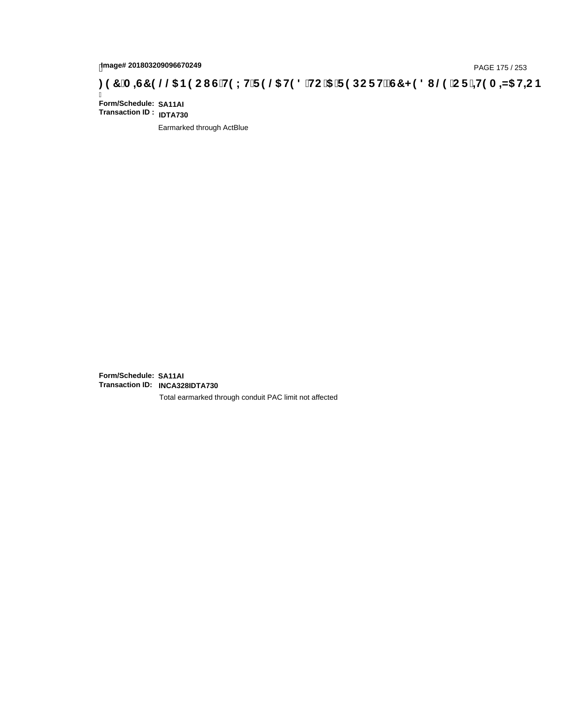# page# 201803209096670249<br>DAGE 175 / 253 PAGE 175 / 253<br>**DAGE 175 / 253 SOCI G`H9 LH`F 9 @ H9 8 `HC `5 `F 9 DC F Hž G7 < 9 8 I @ `C F `<del>J H</del>9 A =N5 H=C B**

Ī **Form/Schedule: SA11AI Transaction ID : IDTA730**

Earmarked through ActBlue

**Form/Schedule: SA11AI Transaction ID: INCA328IDTA730**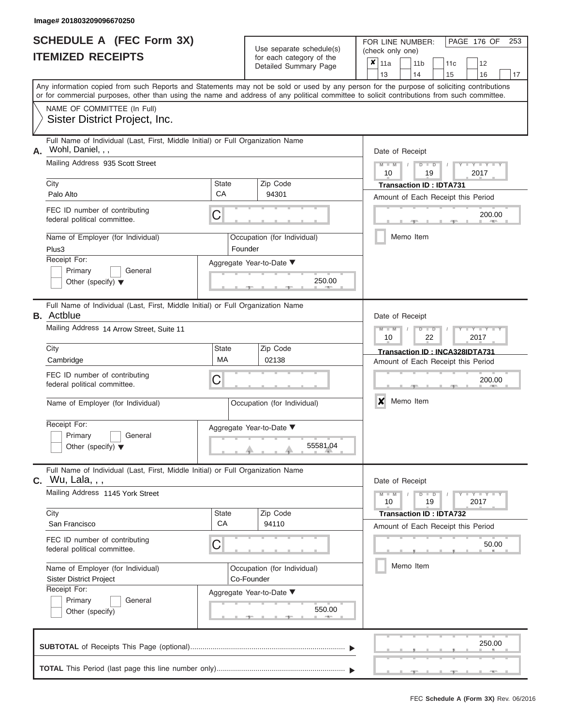|                          | <b>SCHEDULE A (FEC Form 3X)</b> |
|--------------------------|---------------------------------|
| <b>ITEMIZED RECEIPTS</b> |                                 |

FOR LINE NUMBER:<br>(check only one)

PAGE 176 OF 253

|                                                                                                                                                                                                                                                                                         |                    | badii balogory of lin<br>Detailed Summary Page | x                                                                                    | 11a             |  | 11 <sub>b</sub> |  | 11c                                | 12                                 |    |  |  |  |  |  |
|-----------------------------------------------------------------------------------------------------------------------------------------------------------------------------------------------------------------------------------------------------------------------------------------|--------------------|------------------------------------------------|--------------------------------------------------------------------------------------|-----------------|--|-----------------|--|------------------------------------|------------------------------------|----|--|--|--|--|--|
|                                                                                                                                                                                                                                                                                         |                    |                                                |                                                                                      | 13              |  | 14              |  | 15                                 | 16                                 | 17 |  |  |  |  |  |
| Any information copied from such Reports and Statements may not be sold or used by any person for the purpose of soliciting contributions<br>or for commercial purposes, other than using the name and address of any political committee to solicit contributions from such committee. |                    |                                                |                                                                                      |                 |  |                 |  |                                    |                                    |    |  |  |  |  |  |
| NAME OF COMMITTEE (In Full)<br>Sister District Project, Inc.                                                                                                                                                                                                                            |                    |                                                |                                                                                      |                 |  |                 |  |                                    |                                    |    |  |  |  |  |  |
| Full Name of Individual (Last, First, Middle Initial) or Full Organization Name<br>Wohl, Daniel, , ,<br>Α.                                                                                                                                                                              |                    |                                                |                                                                                      | Date of Receipt |  |                 |  |                                    |                                    |    |  |  |  |  |  |
| Mailing Address 935 Scott Street                                                                                                                                                                                                                                                        |                    |                                                | $M - M$ /<br>$D$ $D$<br>$Y - Y - I$<br>19<br>2017<br>10                              |                 |  |                 |  |                                    |                                    |    |  |  |  |  |  |
| City<br>Palo Alto                                                                                                                                                                                                                                                                       | <b>State</b><br>CA | Zip Code<br>94301                              | <b>Transaction ID: IDTA731</b>                                                       |                 |  |                 |  |                                    |                                    |    |  |  |  |  |  |
|                                                                                                                                                                                                                                                                                         |                    |                                                | Amount of Each Receipt this Period                                                   |                 |  |                 |  |                                    |                                    |    |  |  |  |  |  |
| FEC ID number of contributing<br>federal political committee.                                                                                                                                                                                                                           | C                  |                                                | 200.00                                                                               |                 |  |                 |  |                                    |                                    |    |  |  |  |  |  |
| Name of Employer (for Individual)<br>Plus3                                                                                                                                                                                                                                              |                    | Occupation (for Individual)<br>Founder         |                                                                                      |                 |  | Memo Item       |  |                                    |                                    |    |  |  |  |  |  |
| Receipt For:<br>Primary<br>General<br>Other (specify) $\blacktriangledown$                                                                                                                                                                                                              |                    | Aggregate Year-to-Date ▼<br>250.00             |                                                                                      |                 |  |                 |  |                                    |                                    |    |  |  |  |  |  |
| Full Name of Individual (Last, First, Middle Initial) or Full Organization Name<br><b>B.</b> Actblue                                                                                                                                                                                    |                    |                                                |                                                                                      |                 |  |                 |  |                                    |                                    |    |  |  |  |  |  |
| Mailing Address 14 Arrow Street, Suite 11                                                                                                                                                                                                                                               |                    |                                                | Date of Receipt<br>$M - M$<br>Y TY<br>$D$ $\Box$ $D$<br>10<br>22<br>2017             |                 |  |                 |  |                                    |                                    |    |  |  |  |  |  |
| City                                                                                                                                                                                                                                                                                    | <b>State</b>       | Zip Code<br>02138                              |                                                                                      |                 |  |                 |  |                                    | Transaction ID: INCA328IDTA731     |    |  |  |  |  |  |
| Cambridge                                                                                                                                                                                                                                                                               | <b>MA</b>          |                                                |                                                                                      |                 |  |                 |  | Amount of Each Receipt this Period |                                    |    |  |  |  |  |  |
| FEC ID number of contributing<br>federal political committee.                                                                                                                                                                                                                           | C                  |                                                | 200.00                                                                               |                 |  |                 |  |                                    |                                    |    |  |  |  |  |  |
| Name of Employer (for Individual)                                                                                                                                                                                                                                                       |                    | Occupation (for Individual)                    |                                                                                      | ×               |  | Memo Item       |  |                                    |                                    |    |  |  |  |  |  |
| Receipt For:<br>Primary<br>General<br>Other (specify) $\blacktriangledown$                                                                                                                                                                                                              |                    | Aggregate Year-to-Date ▼<br>55581.04           |                                                                                      |                 |  |                 |  |                                    |                                    |    |  |  |  |  |  |
| Full Name of Individual (Last, First, Middle Initial) or Full Organization Name<br><b>c.</b> Wu, Lala, , ,                                                                                                                                                                              |                    |                                                |                                                                                      |                 |  |                 |  |                                    |                                    |    |  |  |  |  |  |
| Mailing Address 1145 York Street                                                                                                                                                                                                                                                        |                    |                                                | Date of Receipt<br>$Y - Y - Y - Y - I - Y$<br>$M - M$<br>$D$ $D$<br>10<br>19<br>2017 |                 |  |                 |  |                                    |                                    |    |  |  |  |  |  |
| City<br>San Francisco                                                                                                                                                                                                                                                                   | <b>State</b><br>CA | Zip Code<br>94110                              |                                                                                      |                 |  |                 |  | <b>Transaction ID: IDTA732</b>     | Amount of Each Receipt this Period |    |  |  |  |  |  |
| FEC ID number of contributing<br>federal political committee.                                                                                                                                                                                                                           | C                  |                                                |                                                                                      |                 |  |                 |  |                                    | 50.00                              |    |  |  |  |  |  |
| Name of Employer (for Individual)<br><b>Sister District Project</b>                                                                                                                                                                                                                     |                    | Occupation (for Individual)<br>Co-Founder      |                                                                                      |                 |  | Memo Item       |  |                                    |                                    |    |  |  |  |  |  |
| Receipt For:<br>Primary<br>General<br>Other (specify)                                                                                                                                                                                                                                   |                    | Aggregate Year-to-Date ▼<br>550.00             |                                                                                      |                 |  |                 |  |                                    |                                    |    |  |  |  |  |  |
|                                                                                                                                                                                                                                                                                         |                    |                                                |                                                                                      |                 |  |                 |  |                                    | 250.00                             |    |  |  |  |  |  |

 ▲ ▲ ▲ , , .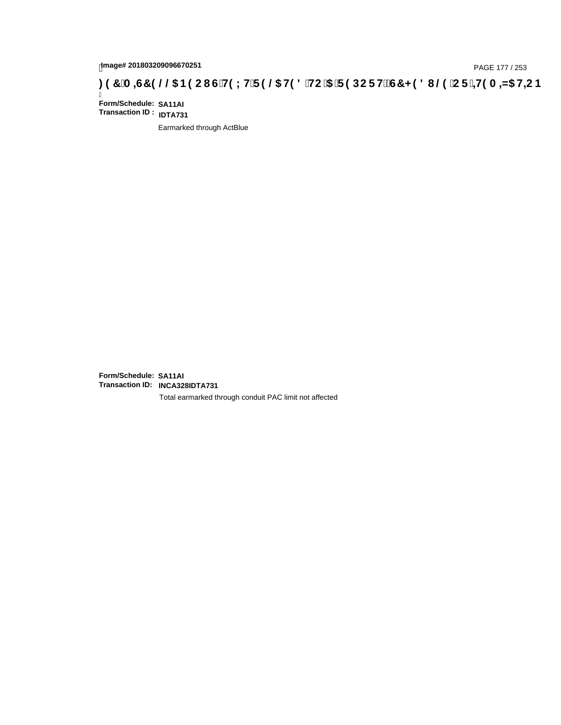# page# 201803209096670251<br>Denge# 201803209096670251<br>**(@CF`+H9 A =N5 H=CB) TA =G7 9 @@B9 CI G`H9 LH`F 9 @ H9 8 `HC `5 `F 9 DC F H** $\breve{E}$ **G7 < 9 8 I**

Ī **Form/Schedule: SA11AI Transaction ID : IDTA731**

Earmarked through ActBlue

**Form/Schedule: SA11AI Transaction ID: INCA328IDTA731**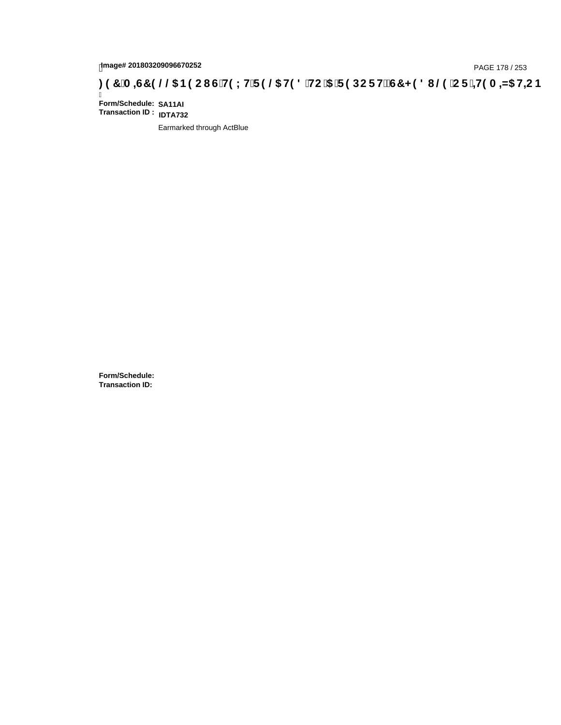# page# 201803209096670252<br>Denge# 201803209096670252 **(C) H9 LH F 9 @ H9 8 HC '5 'F 9 DC F H2 G7 < 9 8 I @ 'C F '<del>1 I</del>9 A =N5 H=C B : 97 'A =N5 H=C B**

Ī **Form/Schedule: SA11AI Transaction ID : IDTA732**

Earmarked through ActBlue

**Form/Schedule: Transaction ID:**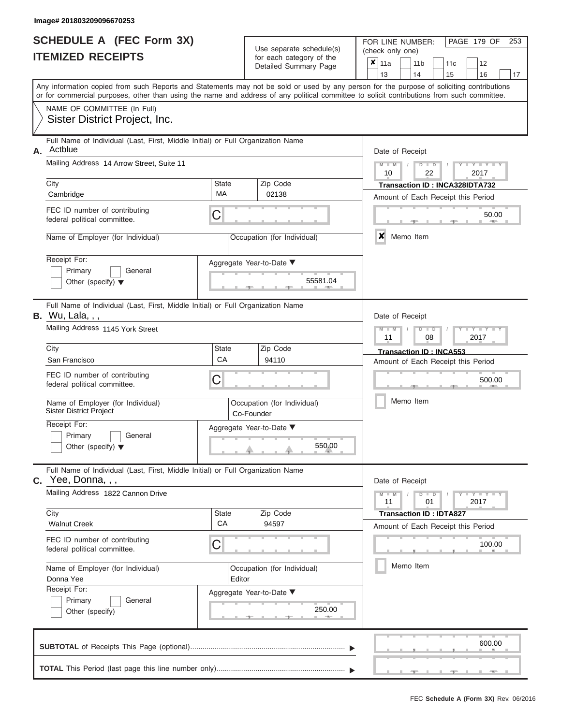|                          | <b>SCHEDULE A (FEC Form 3X)</b> |
|--------------------------|---------------------------------|
| <b>ITEMIZED RECEIPTS</b> |                                 |

FOR LINE NUMBER:<br>(check only one)

PAGE 179 OF 253

|    |                                                                                                                                                                                                                                                                                         |                          |  | badii balogory of life<br>Detailed Summary Page | x                                                                    | 11a<br>13                                    |  |                                         | 11 <sub>b</sub><br>14 |               | 11c<br>15                                                     |  | 12<br>16                | 17 |  |  |  |  |
|----|-----------------------------------------------------------------------------------------------------------------------------------------------------------------------------------------------------------------------------------------------------------------------------------------|--------------------------|--|-------------------------------------------------|----------------------------------------------------------------------|----------------------------------------------|--|-----------------------------------------|-----------------------|---------------|---------------------------------------------------------------|--|-------------------------|----|--|--|--|--|
|    | Any information copied from such Reports and Statements may not be sold or used by any person for the purpose of soliciting contributions<br>or for commercial purposes, other than using the name and address of any political committee to solicit contributions from such committee. |                          |  |                                                 |                                                                      |                                              |  |                                         |                       |               |                                                               |  |                         |    |  |  |  |  |
|    | NAME OF COMMITTEE (In Full)<br>Sister District Project, Inc.                                                                                                                                                                                                                            |                          |  |                                                 |                                                                      |                                              |  |                                         |                       |               |                                                               |  |                         |    |  |  |  |  |
| А. | Full Name of Individual (Last, First, Middle Initial) or Full Organization Name<br>Actblue                                                                                                                                                                                              |                          |  |                                                 |                                                                      |                                              |  | Date of Receipt<br>$M - M$ /<br>$D$ $D$ |                       |               |                                                               |  |                         |    |  |  |  |  |
|    | Mailing Address 14 Arrow Street, Suite 11                                                                                                                                                                                                                                               |                          |  |                                                 | 2017<br>10<br>22                                                     |                                              |  |                                         |                       |               |                                                               |  |                         |    |  |  |  |  |
|    | City<br>Cambridge                                                                                                                                                                                                                                                                       | <b>State</b><br>MA       |  | Zip Code<br>02138                               | Transaction ID: INCA328IDTA732<br>Amount of Each Receipt this Period |                                              |  |                                         |                       |               |                                                               |  |                         |    |  |  |  |  |
|    | FEC ID number of contributing<br>federal political committee.                                                                                                                                                                                                                           | С                        |  |                                                 | 50.00                                                                |                                              |  |                                         |                       |               |                                                               |  |                         |    |  |  |  |  |
|    | Name of Employer (for Individual)                                                                                                                                                                                                                                                       |                          |  | Occupation (for Individual)                     |                                                                      | ×                                            |  |                                         | Memo Item             |               |                                                               |  |                         |    |  |  |  |  |
|    | Receipt For:<br>Primary<br>General<br>Other (specify) $\blacktriangledown$                                                                                                                                                                                                              | Aggregate Year-to-Date ▼ |  |                                                 |                                                                      |                                              |  |                                         |                       |               |                                                               |  |                         |    |  |  |  |  |
|    | Full Name of Individual (Last, First, Middle Initial) or Full Organization Name<br><b>B.</b> Wu, Lala, , ,                                                                                                                                                                              | Date of Receipt          |  |                                                 |                                                                      |                                              |  |                                         |                       |               |                                                               |  |                         |    |  |  |  |  |
|    | Mailing Address 1145 York Street                                                                                                                                                                                                                                                        |                          |  |                                                 | $M - M$<br>$D$ $D$<br>2017<br>08<br>11                               |                                              |  |                                         |                       |               |                                                               |  |                         |    |  |  |  |  |
|    | City<br>San Francisco                                                                                                                                                                                                                                                                   | State<br>CA              |  | Zip Code<br>94110                               |                                                                      |                                              |  |                                         |                       |               | Transaction ID: INCA553<br>Amount of Each Receipt this Period |  |                         |    |  |  |  |  |
|    | FEC ID number of contributing<br>federal political committee.                                                                                                                                                                                                                           | С                        |  |                                                 |                                                                      |                                              |  |                                         |                       |               |                                                               |  | 500.00                  |    |  |  |  |  |
|    | Name of Employer (for Individual)<br><b>Sister District Project</b>                                                                                                                                                                                                                     | Co-Founder               |  | Occupation (for Individual)                     |                                                                      | Memo Item                                    |  |                                         |                       |               |                                                               |  |                         |    |  |  |  |  |
|    | Receipt For:<br>Primary<br>General<br>Other (specify) $\blacktriangledown$                                                                                                                                                                                                              | Aggregate Year-to-Date ▼ |  |                                                 |                                                                      |                                              |  |                                         |                       |               |                                                               |  |                         |    |  |  |  |  |
| С. | Full Name of Individual (Last, First, Middle Initial) or Full Organization Name<br>Yee, Donna, , ,                                                                                                                                                                                      |                          |  |                                                 |                                                                      | Date of Receipt                              |  |                                         |                       |               |                                                               |  |                         |    |  |  |  |  |
|    | Mailing Address 1822 Cannon Drive                                                                                                                                                                                                                                                       |                          |  |                                                 |                                                                      | $M - M$<br>11                                |  |                                         |                       | $D$ $D$<br>01 |                                                               |  | $Y - Y - Y - Y$<br>2017 |    |  |  |  |  |
|    | City<br><b>Walnut Creek</b>                                                                                                                                                                                                                                                             | State<br>CA              |  | Zip Code<br>94597                               |                                                                      |                                              |  |                                         |                       |               | <b>Transaction ID: IDTA827</b>                                |  |                         |    |  |  |  |  |
|    | FEC ID number of contributing<br>federal political committee.                                                                                                                                                                                                                           | С                        |  |                                                 |                                                                      | Amount of Each Receipt this Period<br>100.00 |  |                                         |                       |               |                                                               |  |                         |    |  |  |  |  |
|    | Name of Employer (for Individual)<br>Donna Yee                                                                                                                                                                                                                                          | Editor                   |  | Occupation (for Individual)                     |                                                                      | Memo Item                                    |  |                                         |                       |               |                                                               |  |                         |    |  |  |  |  |
|    | Receipt For:<br>Aggregate Year-to-Date ▼<br>Primary<br>General<br>Other (specify)                                                                                                                                                                                                       |                          |  | 250.00                                          |                                                                      |                                              |  |                                         |                       |               |                                                               |  |                         |    |  |  |  |  |
|    |                                                                                                                                                                                                                                                                                         |                          |  |                                                 |                                                                      |                                              |  |                                         |                       |               |                                                               |  | 600.00                  |    |  |  |  |  |
|    |                                                                                                                                                                                                                                                                                         |                          |  |                                                 |                                                                      |                                              |  |                                         |                       |               |                                                               |  |                         |    |  |  |  |  |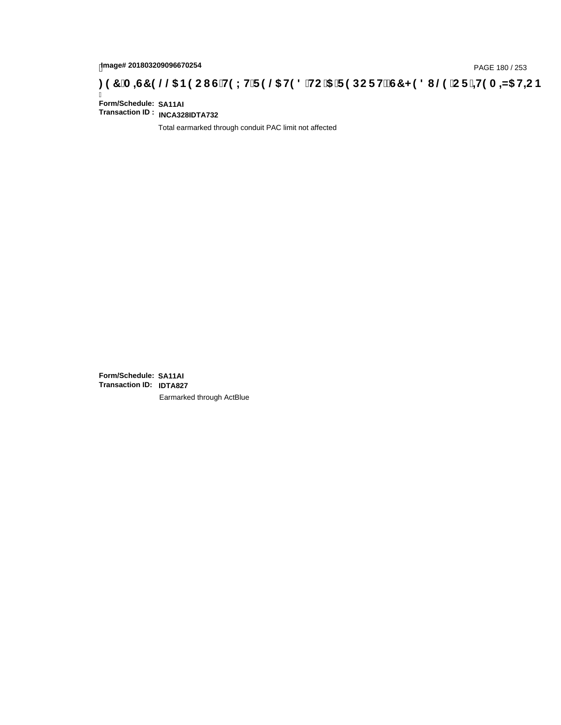# page# 201803209096670254<br>Denge# 201803209096670254<br>**(OD) CF :4H9 A =N5 H=C B (@G) B9 CI G`H9 LH`F 9 @6 H9 8 `HC `5 `F 9 DC F H** $\breve{c}$ **G7 < 9 8 I @9 `C F `4H9 A =N5 H=C B**

Ī **Form/Schedule: SA11AI Transaction ID : INCA328IDTA732**

Total earmarked through conduit PAC limit not affected

**Form/Schedule: SA11AI Transaction ID: IDTA827**Earmarked through ActBlue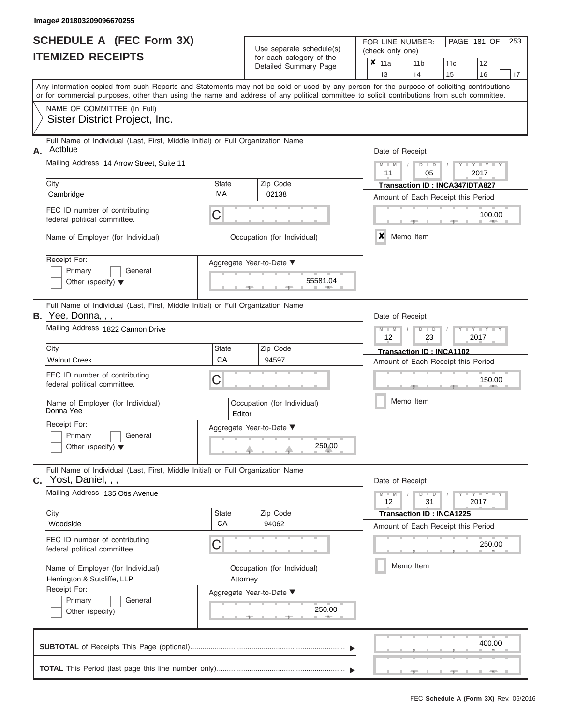| <b>SCHEDULE A (FEC Form 3X)</b> |  |  |
|---------------------------------|--|--|
| <b>ITEMIZED RECEIPTS</b>        |  |  |

| SCHEDULE A (FEC Form 3X)<br><b>ITEMIZED RECEIPTS</b>                                                                                       | Use separate schedule(s)<br>for each category of the<br>Detailed Summary Page | FOR LINE NUMBER:<br>PAGE 181 OF<br>253<br>(check only one)<br>$\boldsymbol{x}$<br>11a<br>11 <sub>b</sub><br>12<br>11 <sub>c</sub>                                                                                                                                                       |
|--------------------------------------------------------------------------------------------------------------------------------------------|-------------------------------------------------------------------------------|-----------------------------------------------------------------------------------------------------------------------------------------------------------------------------------------------------------------------------------------------------------------------------------------|
|                                                                                                                                            |                                                                               | 13<br>14<br>15<br>16<br>17                                                                                                                                                                                                                                                              |
|                                                                                                                                            |                                                                               | Any information copied from such Reports and Statements may not be sold or used by any person for the purpose of soliciting contributions<br>or for commercial purposes, other than using the name and address of any political committee to solicit contributions from such committee. |
| NAME OF COMMITTEE (In Full)<br>Sister District Project, Inc.                                                                               |                                                                               |                                                                                                                                                                                                                                                                                         |
| Full Name of Individual (Last, First, Middle Initial) or Full Organization Name<br>Actblue<br>Α.                                           |                                                                               | Date of Receipt                                                                                                                                                                                                                                                                         |
| Mailing Address 14 Arrow Street, Suite 11                                                                                                  |                                                                               | $M = M$ /<br>$D$ $D$<br>$Y - Y - Y$<br>11<br>05<br>2017                                                                                                                                                                                                                                 |
| City                                                                                                                                       | <b>State</b><br>Zip Code<br>MA<br>02138                                       | <b>Transaction ID: INCA347IDTA827</b>                                                                                                                                                                                                                                                   |
| Cambridge<br>FEC ID number of contributing                                                                                                 |                                                                               | Amount of Each Receipt this Period                                                                                                                                                                                                                                                      |
| federal political committee.                                                                                                               | C                                                                             | 100.00<br><b>AND A</b>                                                                                                                                                                                                                                                                  |
| Name of Employer (for Individual)                                                                                                          | Occupation (for Individual)                                                   | x<br>Memo Item                                                                                                                                                                                                                                                                          |
| Receipt For:<br>Primary<br>General<br>Other (specify) $\blacktriangledown$                                                                 | Aggregate Year-to-Date ▼<br>55581.04                                          |                                                                                                                                                                                                                                                                                         |
| Full Name of Individual (Last, First, Middle Initial) or Full Organization Name<br>B. Yee, Donna, , ,<br>Mailing Address 1822 Cannon Drive |                                                                               | Date of Receipt<br>$M - M$<br>$D$ $D$<br>$T - Y = T - T$                                                                                                                                                                                                                                |
|                                                                                                                                            |                                                                               | 12<br>2017<br>23                                                                                                                                                                                                                                                                        |
| City<br><b>Walnut Creek</b>                                                                                                                | State<br>Zip Code<br>CA<br>94597                                              | Transaction ID: INCA1102<br>Amount of Each Receipt this Period                                                                                                                                                                                                                          |
| FEC ID number of contributing<br>federal political committee.                                                                              | C                                                                             | 150.00                                                                                                                                                                                                                                                                                  |
| Name of Employer (for Individual)<br>Donna Yee                                                                                             | Occupation (for Individual)<br>Editor                                         | Memo Item                                                                                                                                                                                                                                                                               |
| Receipt For:                                                                                                                               | Aggregate Year-to-Date ▼                                                      |                                                                                                                                                                                                                                                                                         |
| Primary<br>General<br>Other (specify) $\blacktriangledown$                                                                                 | 250.00                                                                        |                                                                                                                                                                                                                                                                                         |
| Full Name of Individual (Last, First, Middle Initial) or Full Organization Name<br>C. Yost, Daniel, , ,                                    |                                                                               | Date of Receipt                                                                                                                                                                                                                                                                         |
| Mailing Address 135 Otis Avenue                                                                                                            |                                                                               | $M - M$<br>$D$ $D$<br>$T - Y = T - Y - T$<br>12<br>31<br>2017                                                                                                                                                                                                                           |
| City<br>Woodside                                                                                                                           | Zip Code<br><b>State</b><br>CA<br>94062                                       | <b>Transaction ID: INCA1225</b><br>Amount of Each Receipt this Period                                                                                                                                                                                                                   |
| FEC ID number of contributing<br>federal political committee.                                                                              | C                                                                             | 250.00                                                                                                                                                                                                                                                                                  |
| Name of Employer (for Individual)<br>Herrington & Sutcliffe, LLP                                                                           | Occupation (for Individual)<br>Attorney                                       | Memo Item                                                                                                                                                                                                                                                                               |
| Receipt For:<br>Primary<br>General<br>Other (specify)                                                                                      | Aggregate Year-to-Date ▼<br>250.00                                            |                                                                                                                                                                                                                                                                                         |
|                                                                                                                                            |                                                                               | 400.00                                                                                                                                                                                                                                                                                  |
|                                                                                                                                            |                                                                               |                                                                                                                                                                                                                                                                                         |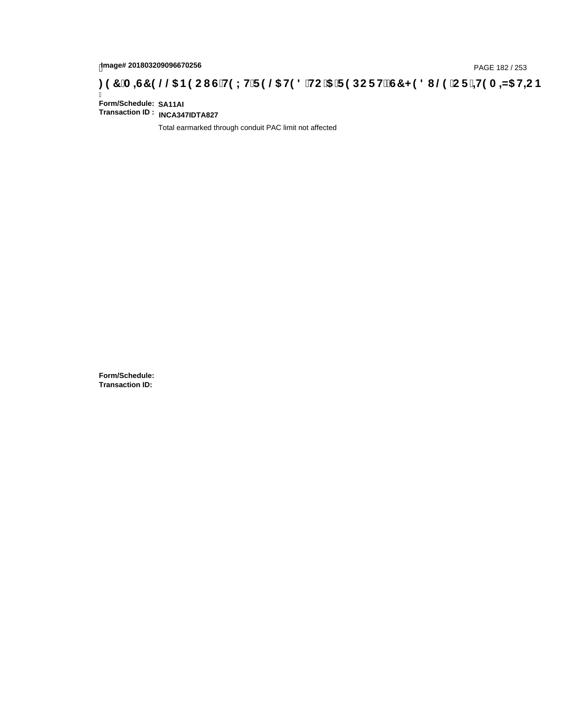# **)(&0,6&(//\$1(2867(;75(/\$7('72\$5(32576&+('8/(25,7(0,=\$7,21**

Ī **Form/Schedule: SA11AI Transaction ID : INCA347IDTA827**

Total earmarked through conduit PAC limit not affected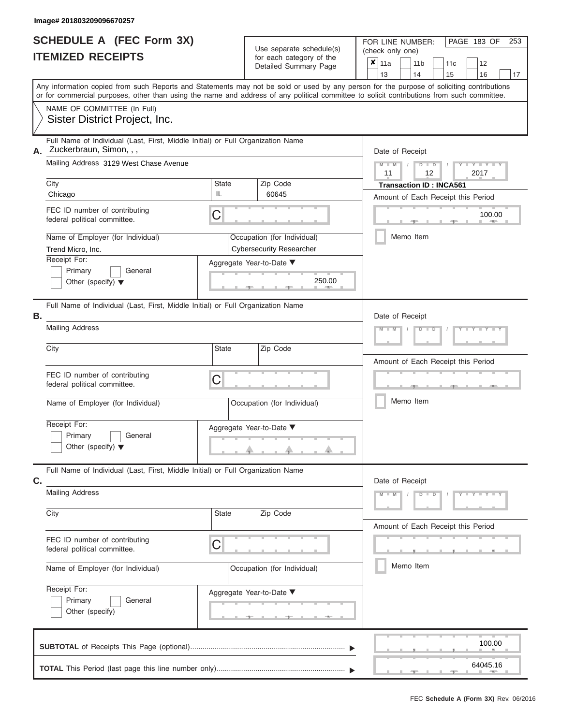|                          | <b>SCHEDULE A (FEC Form 3X)</b> |
|--------------------------|---------------------------------|
| <b>ITEMIZED RECEIPTS</b> |                                 |

Use separate schedule(s) (check only one) for each category of the  $\sqrt{\frac{1}{12}}$ 

FOR LINE NUMBER:<br>(check only one)

PAGE 183 OF 253

|    | IIEMIZED RECEIPIS                                                                                                                                                                                                                                                                                                                                                                           | for each category of the<br>Detailed Summary Page                                                                                  | × | 11a<br>13             |           | 11 <sub>b</sub><br>14 |                           | 11c<br>15                      | 12<br>16                                                        |            | 17 |
|----|---------------------------------------------------------------------------------------------------------------------------------------------------------------------------------------------------------------------------------------------------------------------------------------------------------------------------------------------------------------------------------------------|------------------------------------------------------------------------------------------------------------------------------------|---|-----------------------|-----------|-----------------------|---------------------------|--------------------------------|-----------------------------------------------------------------|------------|----|
|    | Any information copied from such Reports and Statements may not be sold or used by any person for the purpose of soliciting contributions<br>or for commercial purposes, other than using the name and address of any political committee to solicit contributions from such committee.                                                                                                     |                                                                                                                                    |   |                       |           |                       |                           |                                |                                                                 |            |    |
|    | NAME OF COMMITTEE (In Full)<br>Sister District Project, Inc.                                                                                                                                                                                                                                                                                                                                |                                                                                                                                    |   |                       |           |                       |                           |                                |                                                                 |            |    |
| А. | Full Name of Individual (Last, First, Middle Initial) or Full Organization Name<br>Zuckerbraun, Simon, , ,<br>Mailing Address 3129 West Chase Avenue<br>City<br>IL<br>Chicago<br>FEC ID number of contributing<br>C<br>federal political committee.<br>Name of Employer (for Individual)<br>Trend Micro, Inc.<br>Receipt For:<br>Primary<br>General<br>Other (specify) $\blacktriangledown$ | Zip Code<br>State<br>60645<br>Occupation (for Individual)<br><b>Cybersecurity Researcher</b><br>Aggregate Year-to-Date ▼<br>250.00 |   | Date of Receipt<br>11 | Memo Item |                       | D<br>$\overline{D}$<br>12 | <b>Transaction ID: INCA561</b> | $Y - Y$<br>2017<br>Amount of Each Receipt this Period<br>100.00 | <b>AND</b> |    |
| В. | Full Name of Individual (Last, First, Middle Initial) or Full Organization Name<br><b>Mailing Address</b>                                                                                                                                                                                                                                                                                   |                                                                                                                                    |   | Date of Receipt       |           |                       |                           |                                | $\mathbf{I} = \mathbf{Y}$ and $\mathbf{Y} = \mathbf{I}$         |            |    |
|    | City<br>FEC ID number of contributing<br>C<br>federal political committee.<br>Name of Employer (for Individual)<br>Receipt For:<br>Primary<br>General<br>Other (specify) $\blacktriangledown$                                                                                                                                                                                               | <b>State</b><br>Zip Code<br>Occupation (for Individual)<br>Aggregate Year-to-Date ▼                                                |   |                       | Memo Item |                       |                           |                                | Amount of Each Receipt this Period                              |            |    |
| C. | Full Name of Individual (Last, First, Middle Initial) or Full Organization Name<br><b>Mailing Address</b><br>City<br>FEC ID number of contributing<br>C<br>federal political committee.                                                                                                                                                                                                     | State<br>Zip Code                                                                                                                  |   | Date of Receipt<br>M  |           |                       | D<br>D                    |                                | <b>TELEVISION</b><br>Y<br>Amount of Each Receipt this Period    |            |    |
|    | Name of Employer (for Individual)<br>Receipt For:<br>Primary<br>General<br>Other (specify)                                                                                                                                                                                                                                                                                                  | Occupation (for Individual)<br>Aggregate Year-to-Date ▼                                                                            |   |                       | Memo Item |                       |                           |                                |                                                                 |            |    |
|    |                                                                                                                                                                                                                                                                                                                                                                                             |                                                                                                                                    |   |                       |           |                       |                           |                                | 100.00<br>64045.16                                              |            |    |
|    |                                                                                                                                                                                                                                                                                                                                                                                             |                                                                                                                                    |   |                       |           |                       |                           |                                |                                                                 |            |    |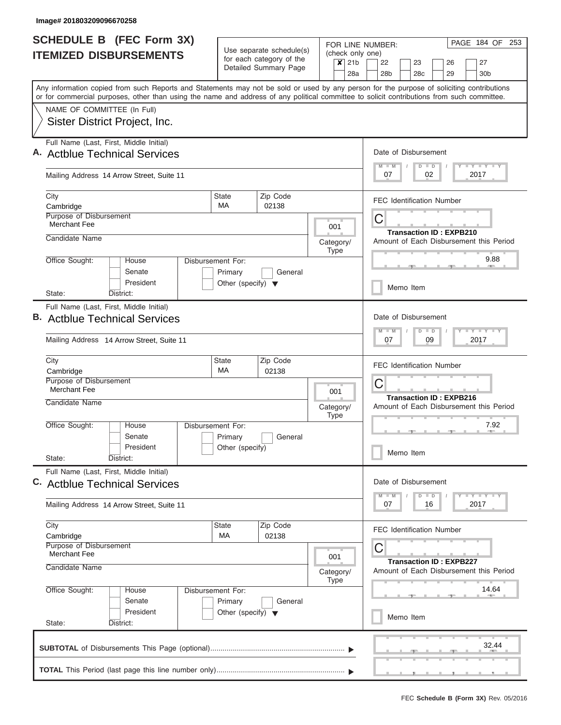| <b>SCHEDULE B</b> (FEC Form 3X)                                                                                                                                                                                                                                                         |                                                                      |                                                                               |                          |                                                                         | PAGE 184 OF 253<br>FOR LINE NUMBER:                                                                                                                                                                                                             |
|-----------------------------------------------------------------------------------------------------------------------------------------------------------------------------------------------------------------------------------------------------------------------------------------|----------------------------------------------------------------------|-------------------------------------------------------------------------------|--------------------------|-------------------------------------------------------------------------|-------------------------------------------------------------------------------------------------------------------------------------------------------------------------------------------------------------------------------------------------|
| <b>ITEMIZED DISBURSEMENTS</b>                                                                                                                                                                                                                                                           |                                                                      | Use separate schedule(s)<br>for each category of the<br>Detailed Summary Page |                          | (check only one)<br>21 <sub>b</sub><br>$\boldsymbol{\mathsf{x}}$<br>28a | 22<br>27<br>23<br>26<br>28 <sub>b</sub><br>28c<br>29<br>30 <sub>b</sub>                                                                                                                                                                         |
| Any information copied from such Reports and Statements may not be sold or used by any person for the purpose of soliciting contributions<br>or for commercial purposes, other than using the name and address of any political committee to solicit contributions from such committee. |                                                                      |                                                                               |                          |                                                                         |                                                                                                                                                                                                                                                 |
| NAME OF COMMITTEE (In Full)<br>Sister District Project, Inc.                                                                                                                                                                                                                            |                                                                      |                                                                               |                          |                                                                         |                                                                                                                                                                                                                                                 |
| Full Name (Last, First, Middle Initial)<br>A. Actblue Technical Services                                                                                                                                                                                                                |                                                                      |                                                                               |                          |                                                                         | Date of Disbursement<br>Y LY LY LY<br>$D$ $D$<br>$M - M$                                                                                                                                                                                        |
| Mailing Address 14 Arrow Street, Suite 11                                                                                                                                                                                                                                               |                                                                      |                                                                               |                          |                                                                         | 07<br>02<br>2017                                                                                                                                                                                                                                |
| City<br>Cambridge                                                                                                                                                                                                                                                                       | <b>State</b><br><b>MA</b>                                            | Zip Code<br>02138                                                             |                          |                                                                         | <b>FEC Identification Number</b>                                                                                                                                                                                                                |
| Purpose of Disbursement<br>Merchant Fee                                                                                                                                                                                                                                                 |                                                                      |                                                                               | 001                      |                                                                         | С<br><b>Transaction ID: EXPB210</b>                                                                                                                                                                                                             |
| Candidate Name                                                                                                                                                                                                                                                                          |                                                                      |                                                                               | Category/<br><b>Type</b> |                                                                         | Amount of Each Disbursement this Period<br>9.88                                                                                                                                                                                                 |
| Office Sought:<br>House<br>Senate<br>President                                                                                                                                                                                                                                          | Disbursement For:<br>Primary<br>Other (specify) $\blacktriangledown$ | General                                                                       |                          |                                                                         | Memo Item                                                                                                                                                                                                                                       |
| State:<br>District:<br>Full Name (Last, First, Middle Initial)<br><b>B.</b> Actblue Technical Services<br>Mailing Address 14 Arrow Street, Suite 11                                                                                                                                     |                                                                      |                                                                               |                          |                                                                         | Date of Disbursement<br>$-Y$ $+Y$ $+Y$<br>$M - M$<br>$D$ $D$<br>09<br>2017<br>07                                                                                                                                                                |
| City<br>Cambridge<br>Purpose of Disbursement<br>Merchant Fee                                                                                                                                                                                                                            | State<br><b>MA</b>                                                   | Zip Code<br>02138                                                             | 001                      |                                                                         | <b>FEC Identification Number</b><br>С<br><b>Transaction ID: EXPB216</b>                                                                                                                                                                         |
| Candidate Name<br>Office Sought:<br>House<br>Senate<br>President<br>State:<br>District:                                                                                                                                                                                                 | Disbursement For:<br>Primary<br>Other (specify)                      | General                                                                       | Category/<br><b>Type</b> |                                                                         | Amount of Each Disbursement this Period<br>7.92<br>Memo Item                                                                                                                                                                                    |
| Full Name (Last, First, Middle Initial)<br>C. Actblue Technical Services                                                                                                                                                                                                                |                                                                      |                                                                               |                          |                                                                         | Date of Disbursement<br>$\frac{1}{2}$ $\frac{1}{2}$ $\frac{1}{2}$ $\frac{1}{2}$ $\frac{1}{2}$ $\frac{1}{2}$ $\frac{1}{2}$ $\frac{1}{2}$ $\frac{1}{2}$ $\frac{1}{2}$ $\frac{1}{2}$ $\frac{1}{2}$ $\frac{1}{2}$<br>$M - M$<br>D<br>$\blacksquare$ |
| Mailing Address 14 Arrow Street, Suite 11                                                                                                                                                                                                                                               |                                                                      |                                                                               |                          |                                                                         | 2017<br>07<br>16                                                                                                                                                                                                                                |
| City<br>Cambridge<br>Purpose of Disbursement<br>Merchant Fee                                                                                                                                                                                                                            | <b>State</b><br>МA                                                   | Zip Code<br>02138                                                             | 001                      | <b>FEC Identification Number</b><br>С<br><b>Transaction ID: EXPB227</b> |                                                                                                                                                                                                                                                 |
| Candidate Name                                                                                                                                                                                                                                                                          | Amount of Each Disbursement this Period                              |                                                                               |                          |                                                                         |                                                                                                                                                                                                                                                 |
| Office Sought:<br>House<br>Senate<br>President                                                                                                                                                                                                                                          | Disbursement For:<br>Primary<br>Other (specify) $\blacktriangledown$ | General                                                                       |                          |                                                                         | 14.64<br>Memo Item                                                                                                                                                                                                                              |
| State:<br>District:                                                                                                                                                                                                                                                                     |                                                                      |                                                                               |                          |                                                                         | 32.44                                                                                                                                                                                                                                           |
|                                                                                                                                                                                                                                                                                         |                                                                      |                                                                               |                          |                                                                         |                                                                                                                                                                                                                                                 |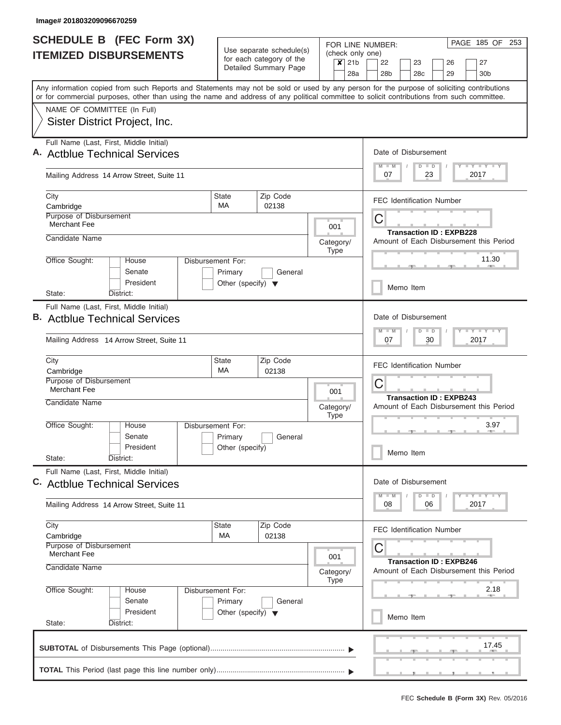| <b>SCHEDULE B (FEC Form 3X)</b>                                                                                                                                                                                                                                                         |                                                 |                                                                               | FOR LINE NUMBER:                                                          | PAGE 185 OF 253                                                                     |  |  |  |  |  |
|-----------------------------------------------------------------------------------------------------------------------------------------------------------------------------------------------------------------------------------------------------------------------------------------|-------------------------------------------------|-------------------------------------------------------------------------------|---------------------------------------------------------------------------|-------------------------------------------------------------------------------------|--|--|--|--|--|
| <b>ITEMIZED DISBURSEMENTS</b>                                                                                                                                                                                                                                                           |                                                 | Use separate schedule(s)<br>for each category of the<br>Detailed Summary Page | (check only one)<br>$x$ 21b<br>28a                                        | 22<br>23<br>26<br>27<br>28 <sub>b</sub><br>28 <sub>c</sub><br>29<br>30 <sub>b</sub> |  |  |  |  |  |
| Any information copied from such Reports and Statements may not be sold or used by any person for the purpose of soliciting contributions<br>or for commercial purposes, other than using the name and address of any political committee to solicit contributions from such committee. |                                                 |                                                                               |                                                                           |                                                                                     |  |  |  |  |  |
| NAME OF COMMITTEE (In Full)                                                                                                                                                                                                                                                             |                                                 |                                                                               |                                                                           |                                                                                     |  |  |  |  |  |
| Sister District Project, Inc.                                                                                                                                                                                                                                                           |                                                 |                                                                               |                                                                           |                                                                                     |  |  |  |  |  |
| Full Name (Last, First, Middle Initial)<br>A. Actblue Technical Services                                                                                                                                                                                                                |                                                 |                                                                               |                                                                           | Date of Disbursement                                                                |  |  |  |  |  |
| Mailing Address 14 Arrow Street, Suite 11                                                                                                                                                                                                                                               |                                                 |                                                                               |                                                                           | Y I Y I Y I Y<br>$M - M$<br>$D$ $D$<br>07<br>23<br>2017                             |  |  |  |  |  |
| City                                                                                                                                                                                                                                                                                    | <b>State</b><br><b>MA</b>                       | Zip Code                                                                      |                                                                           | <b>FEC Identification Number</b>                                                    |  |  |  |  |  |
| Cambridge<br>Purpose of Disbursement                                                                                                                                                                                                                                                    |                                                 | 02138                                                                         |                                                                           |                                                                                     |  |  |  |  |  |
| <b>Merchant Fee</b>                                                                                                                                                                                                                                                                     |                                                 |                                                                               | 001                                                                       | C<br><b>Transaction ID: EXPB228</b>                                                 |  |  |  |  |  |
| Candidate Name                                                                                                                                                                                                                                                                          |                                                 |                                                                               | Category/                                                                 | Amount of Each Disbursement this Period                                             |  |  |  |  |  |
| Office Sought:<br>House<br>Senate                                                                                                                                                                                                                                                       | Disbursement For:                               | General                                                                       | <b>Type</b>                                                               | 11.30                                                                               |  |  |  |  |  |
| President<br>State:<br>District:                                                                                                                                                                                                                                                        | Primary<br>Other (specify) $\blacktriangledown$ |                                                                               |                                                                           | Memo Item                                                                           |  |  |  |  |  |
| Full Name (Last, First, Middle Initial)                                                                                                                                                                                                                                                 |                                                 |                                                                               |                                                                           |                                                                                     |  |  |  |  |  |
| <b>B.</b> Actblue Technical Services                                                                                                                                                                                                                                                    |                                                 | Date of Disbursement<br>Y FY FY FY<br>$M - M$<br>$D$ $D$                      |                                                                           |                                                                                     |  |  |  |  |  |
| Mailing Address 14 Arrow Street, Suite 11                                                                                                                                                                                                                                               |                                                 |                                                                               |                                                                           | 07<br>30<br>2017                                                                    |  |  |  |  |  |
| City                                                                                                                                                                                                                                                                                    | <b>State</b><br>MA                              | Zip Code                                                                      |                                                                           | <b>FEC Identification Number</b>                                                    |  |  |  |  |  |
| Cambridge<br>Purpose of Disbursement<br><b>Merchant Fee</b>                                                                                                                                                                                                                             |                                                 | 02138                                                                         | 001                                                                       | C                                                                                   |  |  |  |  |  |
| Candidate Name                                                                                                                                                                                                                                                                          |                                                 |                                                                               | Category/<br><b>Type</b>                                                  | <b>Transaction ID: EXPB243</b><br>Amount of Each Disbursement this Period           |  |  |  |  |  |
| Office Sought:<br>House<br>Senate                                                                                                                                                                                                                                                       | Disbursement For:<br>Primary                    | General                                                                       |                                                                           | 3.97                                                                                |  |  |  |  |  |
| President<br>State:<br>District:                                                                                                                                                                                                                                                        | Other (specify)                                 |                                                                               |                                                                           | Memo Item                                                                           |  |  |  |  |  |
| Full Name (Last, First, Middle Initial)<br>C. Actblue Technical Services                                                                                                                                                                                                                |                                                 |                                                                               |                                                                           | Date of Disbursement                                                                |  |  |  |  |  |
| Mailing Address 14 Arrow Street, Suite 11                                                                                                                                                                                                                                               |                                                 |                                                                               |                                                                           | Y FY FY FY<br>$M - M$<br>$D$ $D$<br>08<br>2017<br>06                                |  |  |  |  |  |
| City<br>Cambridge                                                                                                                                                                                                                                                                       | <b>State</b><br>МA                              | Zip Code<br>02138                                                             |                                                                           | <b>FEC Identification Number</b>                                                    |  |  |  |  |  |
| Purpose of Disbursement<br>Merchant Fee                                                                                                                                                                                                                                                 | 001                                             |                                                                               |                                                                           |                                                                                     |  |  |  |  |  |
| Candidate Name                                                                                                                                                                                                                                                                          |                                                 | Category/<br><b>Type</b>                                                      | <b>Transaction ID: EXPB246</b><br>Amount of Each Disbursement this Period |                                                                                     |  |  |  |  |  |
| Office Sought:<br>House<br>Senate                                                                                                                                                                                                                                                       | Disbursement For:                               |                                                                               |                                                                           | 2.18                                                                                |  |  |  |  |  |
| President<br>State:<br>District:                                                                                                                                                                                                                                                        | Primary<br>Other (specify) $\blacktriangledown$ | General                                                                       |                                                                           | Memo Item                                                                           |  |  |  |  |  |
|                                                                                                                                                                                                                                                                                         |                                                 |                                                                               |                                                                           | 17.45                                                                               |  |  |  |  |  |
|                                                                                                                                                                                                                                                                                         |                                                 |                                                                               |                                                                           |                                                                                     |  |  |  |  |  |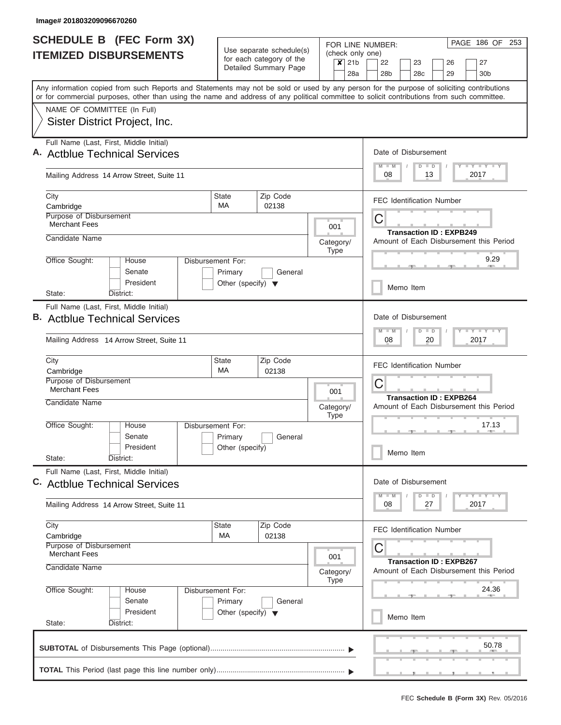| <b>SCHEDULE B</b> (FEC Form 3X)                                                                                                                                                                                                                                                         |                                                                      | Use separate schedule(s)                          |                                                        | PAGE 186 OF 253<br>FOR LINE NUMBER:                                     |  |  |  |  |  |  |
|-----------------------------------------------------------------------------------------------------------------------------------------------------------------------------------------------------------------------------------------------------------------------------------------|----------------------------------------------------------------------|---------------------------------------------------|--------------------------------------------------------|-------------------------------------------------------------------------|--|--|--|--|--|--|
| <b>ITEMIZED DISBURSEMENTS</b>                                                                                                                                                                                                                                                           |                                                                      | for each category of the<br>Detailed Summary Page | (check only one)<br>21 <sub>b</sub><br>$\times$<br>28a | 22<br>23<br>26<br>27<br>28 <sub>b</sub><br>29<br>30 <sub>b</sub><br>28c |  |  |  |  |  |  |
| Any information copied from such Reports and Statements may not be sold or used by any person for the purpose of soliciting contributions<br>or for commercial purposes, other than using the name and address of any political committee to solicit contributions from such committee. |                                                                      |                                                   |                                                        |                                                                         |  |  |  |  |  |  |
| NAME OF COMMITTEE (In Full)<br>Sister District Project, Inc.                                                                                                                                                                                                                            |                                                                      |                                                   |                                                        |                                                                         |  |  |  |  |  |  |
| Full Name (Last, First, Middle Initial)<br>A. Actblue Technical Services                                                                                                                                                                                                                |                                                                      |                                                   |                                                        | Date of Disbursement                                                    |  |  |  |  |  |  |
| Mailing Address 14 Arrow Street, Suite 11                                                                                                                                                                                                                                               |                                                                      |                                                   |                                                        | Y I Y I Y I Y<br>$M$ $M$<br>$D$ $D$<br>08<br>13<br>2017                 |  |  |  |  |  |  |
| City<br>Cambridge                                                                                                                                                                                                                                                                       | State<br><b>MA</b>                                                   | Zip Code<br>02138                                 |                                                        | <b>FEC Identification Number</b>                                        |  |  |  |  |  |  |
| Purpose of Disbursement<br><b>Merchant Fees</b>                                                                                                                                                                                                                                         |                                                                      |                                                   | 001                                                    | C<br><b>Transaction ID: EXPB249</b>                                     |  |  |  |  |  |  |
| Candidate Name                                                                                                                                                                                                                                                                          |                                                                      |                                                   | Category/<br><b>Type</b>                               | Amount of Each Disbursement this Period<br>9.29                         |  |  |  |  |  |  |
| Office Sought:<br>House<br>Senate<br>President                                                                                                                                                                                                                                          | Disbursement For:<br>Primary<br>Other (specify) $\blacktriangledown$ | General                                           |                                                        | Memo Item                                                               |  |  |  |  |  |  |
| State:<br>District:<br>Full Name (Last, First, Middle Initial)                                                                                                                                                                                                                          |                                                                      |                                                   |                                                        |                                                                         |  |  |  |  |  |  |
| <b>B.</b> Actblue Technical Services                                                                                                                                                                                                                                                    |                                                                      |                                                   |                                                        | Date of Disbursement<br>Y FY FY FY<br>$M - M$<br>$D$ $D$                |  |  |  |  |  |  |
| Mailing Address 14 Arrow Street, Suite 11                                                                                                                                                                                                                                               |                                                                      |                                                   |                                                        | 08<br>20<br>2017                                                        |  |  |  |  |  |  |
| City<br>Cambridge                                                                                                                                                                                                                                                                       | <b>State</b><br>MA                                                   | Zip Code<br>02138                                 |                                                        | <b>FEC Identification Number</b>                                        |  |  |  |  |  |  |
| Purpose of Disbursement<br><b>Merchant Fees</b>                                                                                                                                                                                                                                         |                                                                      |                                                   | 001                                                    | C<br><b>Transaction ID: EXPB264</b>                                     |  |  |  |  |  |  |
| Candidate Name                                                                                                                                                                                                                                                                          |                                                                      |                                                   | Category/<br><b>Type</b>                               | Amount of Each Disbursement this Period                                 |  |  |  |  |  |  |
| Office Sought:<br>House<br>Senate<br>President                                                                                                                                                                                                                                          | Disbursement For:<br>Primary<br>Other (specify)                      | General                                           |                                                        | 17.13                                                                   |  |  |  |  |  |  |
| State:<br>District:                                                                                                                                                                                                                                                                     |                                                                      |                                                   |                                                        | Memo Item                                                               |  |  |  |  |  |  |
| Full Name (Last, First, Middle Initial)<br>C. Actblue Technical Services                                                                                                                                                                                                                |                                                                      |                                                   |                                                        | Date of Disbursement<br>Y FY FY FY<br>$M - M$<br>$D$ $D$                |  |  |  |  |  |  |
| Mailing Address 14 Arrow Street, Suite 11                                                                                                                                                                                                                                               |                                                                      |                                                   |                                                        | 08<br>2017<br>27                                                        |  |  |  |  |  |  |
| City<br>Cambridge                                                                                                                                                                                                                                                                       | State<br>МA                                                          | Zip Code<br>02138                                 |                                                        | <b>FEC Identification Number</b>                                        |  |  |  |  |  |  |
| Purpose of Disbursement<br><b>Merchant Fees</b><br>Candidate Name                                                                                                                                                                                                                       |                                                                      |                                                   | 001                                                    | С<br><b>Transaction ID: EXPB267</b>                                     |  |  |  |  |  |  |
| Office Sought:<br>House                                                                                                                                                                                                                                                                 | Disbursement For:                                                    |                                                   | Category/<br><b>Type</b>                               | Amount of Each Disbursement this Period<br>24.36                        |  |  |  |  |  |  |
| Senate<br>President                                                                                                                                                                                                                                                                     | Primary<br>Other (specify) $\blacktriangledown$                      | General                                           |                                                        | Memo Item                                                               |  |  |  |  |  |  |
| State:<br>District:                                                                                                                                                                                                                                                                     |                                                                      |                                                   |                                                        |                                                                         |  |  |  |  |  |  |
|                                                                                                                                                                                                                                                                                         |                                                                      |                                                   |                                                        | 50.78                                                                   |  |  |  |  |  |  |
|                                                                                                                                                                                                                                                                                         |                                                                      |                                                   |                                                        |                                                                         |  |  |  |  |  |  |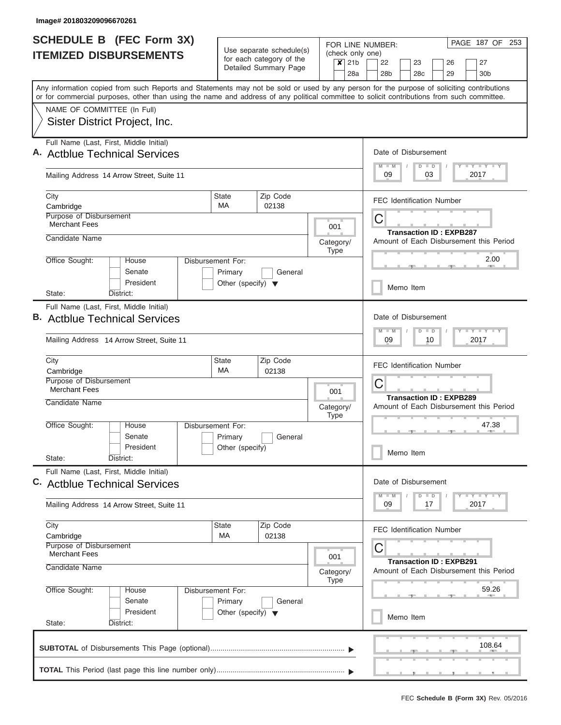| <b>SCHEDULE B (FEC Form 3X)</b>                                                                                                                                                                                                                                                         |                                      |                                                                               |  |             | PAGE 187 OF<br>253<br>FOR LINE NUMBER: |                      |                 |  |                      |                                                                |                                  |  |                |                                         |  |  |  |  |
|-----------------------------------------------------------------------------------------------------------------------------------------------------------------------------------------------------------------------------------------------------------------------------------------|--------------------------------------|-------------------------------------------------------------------------------|--|-------------|----------------------------------------|----------------------|-----------------|--|----------------------|----------------------------------------------------------------|----------------------------------|--|----------------|-----------------------------------------|--|--|--|--|
| <b>ITEMIZED DISBURSEMENTS</b>                                                                                                                                                                                                                                                           |                                      | Use separate schedule(s)<br>for each category of the<br>Detailed Summary Page |  | $\times$    | (check only one)<br>21 <sub>b</sub>    | 22<br>23<br>26<br>27 |                 |  |                      |                                                                |                                  |  |                |                                         |  |  |  |  |
|                                                                                                                                                                                                                                                                                         |                                      |                                                                               |  |             | 28a                                    |                      | 28 <sub>b</sub> |  | 28 <sub>c</sub>      |                                                                | 29                               |  |                | 30 <sub>b</sub>                         |  |  |  |  |
| Any information copied from such Reports and Statements may not be sold or used by any person for the purpose of soliciting contributions<br>or for commercial purposes, other than using the name and address of any political committee to solicit contributions from such committee. |                                      |                                                                               |  |             |                                        |                      |                 |  |                      |                                                                |                                  |  |                |                                         |  |  |  |  |
| NAME OF COMMITTEE (In Full)                                                                                                                                                                                                                                                             |                                      |                                                                               |  |             |                                        |                      |                 |  |                      |                                                                |                                  |  |                |                                         |  |  |  |  |
| Sister District Project, Inc.                                                                                                                                                                                                                                                           |                                      |                                                                               |  |             |                                        |                      |                 |  |                      |                                                                |                                  |  |                |                                         |  |  |  |  |
| Full Name (Last, First, Middle Initial)                                                                                                                                                                                                                                                 |                                      |                                                                               |  |             |                                        |                      |                 |  |                      |                                                                |                                  |  |                |                                         |  |  |  |  |
| A. Actblue Technical Services                                                                                                                                                                                                                                                           |                                      |                                                                               |  |             |                                        |                      |                 |  |                      | Date of Disbursement<br><b>TEY LY LY</b><br>$M$ $M$<br>$D$ $D$ |                                  |  |                |                                         |  |  |  |  |
| Mailing Address 14 Arrow Street, Suite 11                                                                                                                                                                                                                                               |                                      |                                                                               |  |             |                                        |                      | 09              |  |                      | 03                                                             |                                  |  | 2017           |                                         |  |  |  |  |
| City                                                                                                                                                                                                                                                                                    | <b>State</b>                         | Zip Code                                                                      |  |             |                                        |                      |                 |  |                      |                                                                | <b>FEC Identification Number</b> |  |                |                                         |  |  |  |  |
| Cambridge<br><b>Purpose of Disbursement</b>                                                                                                                                                                                                                                             | MA                                   | 02138                                                                         |  |             |                                        |                      |                 |  |                      |                                                                |                                  |  |                |                                         |  |  |  |  |
| <b>Merchant Fees</b>                                                                                                                                                                                                                                                                    |                                      |                                                                               |  | 001         |                                        | С                    |                 |  |                      |                                                                | <b>Transaction ID: EXPB287</b>   |  |                |                                         |  |  |  |  |
| Candidate Name                                                                                                                                                                                                                                                                          |                                      |                                                                               |  | Category/   |                                        |                      |                 |  |                      |                                                                |                                  |  |                | Amount of Each Disbursement this Period |  |  |  |  |
| Office Sought:<br>House                                                                                                                                                                                                                                                                 | Disbursement For:                    |                                                                               |  | Type        |                                        |                      |                 |  |                      |                                                                |                                  |  |                | 2.00                                    |  |  |  |  |
| Senate                                                                                                                                                                                                                                                                                  | Primary                              | General                                                                       |  |             |                                        |                      |                 |  |                      |                                                                |                                  |  |                |                                         |  |  |  |  |
| President                                                                                                                                                                                                                                                                               | Other (specify) $\blacktriangledown$ |                                                                               |  |             |                                        |                      |                 |  | Memo Item            |                                                                |                                  |  |                |                                         |  |  |  |  |
| State:<br>District:                                                                                                                                                                                                                                                                     |                                      |                                                                               |  |             |                                        |                      |                 |  |                      |                                                                |                                  |  |                |                                         |  |  |  |  |
| Full Name (Last, First, Middle Initial)<br><b>B.</b> Actblue Technical Services                                                                                                                                                                                                         |                                      |                                                                               |  |             |                                        |                      |                 |  | Date of Disbursement |                                                                |                                  |  |                |                                         |  |  |  |  |
|                                                                                                                                                                                                                                                                                         |                                      |                                                                               |  |             |                                        |                      | $M - M$         |  | $D$ $D$              |                                                                |                                  |  | <b>LY LY L</b> |                                         |  |  |  |  |
| Mailing Address 14 Arrow Street, Suite 11                                                                                                                                                                                                                                               |                                      |                                                                               |  |             |                                        |                      |                 |  |                      | 10                                                             |                                  |  | 2017           |                                         |  |  |  |  |
| City                                                                                                                                                                                                                                                                                    | <b>State</b><br><b>MA</b>            | Zip Code                                                                      |  |             |                                        |                      |                 |  |                      |                                                                | FEC Identification Number        |  |                |                                         |  |  |  |  |
| Cambridge<br>Purpose of Disbursement                                                                                                                                                                                                                                                    |                                      | 02138                                                                         |  |             |                                        | С                    |                 |  |                      |                                                                |                                  |  |                |                                         |  |  |  |  |
| <b>Merchant Fees</b>                                                                                                                                                                                                                                                                    |                                      |                                                                               |  | 001         |                                        |                      |                 |  |                      |                                                                | <b>Transaction ID: EXPB289</b>   |  |                |                                         |  |  |  |  |
| Candidate Name                                                                                                                                                                                                                                                                          |                                      |                                                                               |  | Category/   |                                        |                      |                 |  |                      |                                                                |                                  |  |                | Amount of Each Disbursement this Period |  |  |  |  |
| Office Sought:<br>House                                                                                                                                                                                                                                                                 | Disbursement For:                    |                                                                               |  | <b>Type</b> |                                        |                      |                 |  |                      |                                                                |                                  |  |                | 47.38                                   |  |  |  |  |
| Senate                                                                                                                                                                                                                                                                                  | Primary                              | General                                                                       |  |             |                                        |                      |                 |  |                      |                                                                |                                  |  |                |                                         |  |  |  |  |
| President                                                                                                                                                                                                                                                                               | Other (specify)                      |                                                                               |  |             |                                        |                      |                 |  | Memo Item            |                                                                |                                  |  |                |                                         |  |  |  |  |
| State:<br>District:                                                                                                                                                                                                                                                                     |                                      |                                                                               |  |             |                                        |                      |                 |  |                      |                                                                |                                  |  |                |                                         |  |  |  |  |
| Full Name (Last, First, Middle Initial)<br>C. Actblue Technical Services                                                                                                                                                                                                                |                                      |                                                                               |  |             |                                        |                      |                 |  | Date of Disbursement |                                                                |                                  |  |                |                                         |  |  |  |  |
|                                                                                                                                                                                                                                                                                         |                                      |                                                                               |  |             |                                        |                      | $M - M$         |  | $D$ $D$              |                                                                |                                  |  |                | $Y - Y - Y - Y - Y$                     |  |  |  |  |
| Mailing Address 14 Arrow Street, Suite 11                                                                                                                                                                                                                                               |                                      |                                                                               |  |             |                                        |                      | 09              |  |                      | 17                                                             |                                  |  | 2017           |                                         |  |  |  |  |
| City                                                                                                                                                                                                                                                                                    | State                                | Zip Code                                                                      |  |             |                                        |                      |                 |  |                      |                                                                | <b>FEC Identification Number</b> |  |                |                                         |  |  |  |  |
| Cambridge<br>Purpose of Disbursement                                                                                                                                                                                                                                                    | МA                                   | 02138                                                                         |  |             |                                        |                      |                 |  |                      |                                                                |                                  |  |                |                                         |  |  |  |  |
| Merchant Fees                                                                                                                                                                                                                                                                           |                                      |                                                                               |  | 001         |                                        | C                    |                 |  |                      |                                                                | <b>Transaction ID: EXPB291</b>   |  |                |                                         |  |  |  |  |
| Candidate Name                                                                                                                                                                                                                                                                          |                                      |                                                                               |  | Category/   |                                        |                      |                 |  |                      |                                                                |                                  |  |                | Amount of Each Disbursement this Period |  |  |  |  |
| Office Sought:<br>House                                                                                                                                                                                                                                                                 | Disbursement For:                    |                                                                               |  | <b>Type</b> |                                        |                      |                 |  |                      |                                                                |                                  |  |                | 59.26                                   |  |  |  |  |
| Senate                                                                                                                                                                                                                                                                                  | Primary                              | General                                                                       |  |             |                                        |                      |                 |  |                      |                                                                |                                  |  |                |                                         |  |  |  |  |
| President                                                                                                                                                                                                                                                                               | Other (specify) $\blacktriangledown$ |                                                                               |  |             |                                        |                      |                 |  | Memo Item            |                                                                |                                  |  |                |                                         |  |  |  |  |
| State:<br>District:                                                                                                                                                                                                                                                                     |                                      |                                                                               |  |             |                                        |                      |                 |  |                      |                                                                |                                  |  |                |                                         |  |  |  |  |
|                                                                                                                                                                                                                                                                                         |                                      |                                                                               |  |             |                                        |                      |                 |  |                      |                                                                |                                  |  |                | 108.64                                  |  |  |  |  |
|                                                                                                                                                                                                                                                                                         |                                      |                                                                               |  |             |                                        |                      |                 |  |                      |                                                                |                                  |  |                |                                         |  |  |  |  |
|                                                                                                                                                                                                                                                                                         |                                      |                                                                               |  |             |                                        |                      |                 |  |                      |                                                                |                                  |  |                |                                         |  |  |  |  |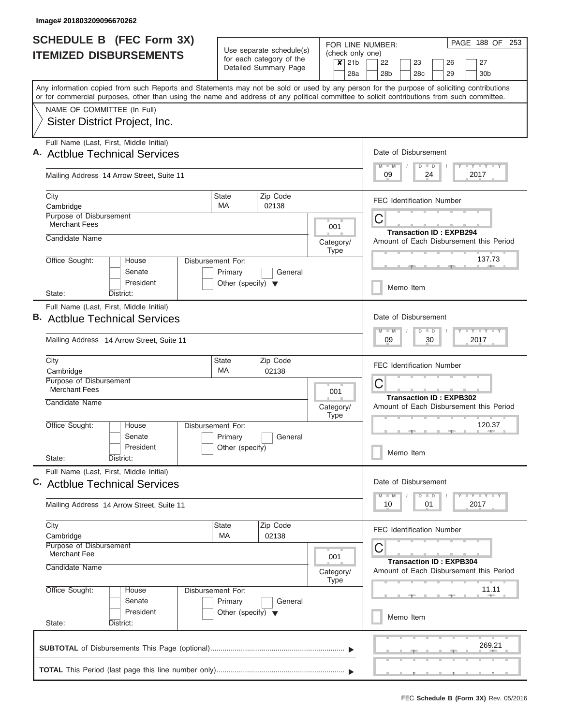| <b>SCHEDULE B (FEC Form 3X)</b>                                                                                                                                                                                                                                                         |                                                                      |                                                                               |                                                                     |                                    | PAGE 188 OF 253<br>FOR LINE NUMBER:                                                                                                                                                                                                                  |  |  |
|-----------------------------------------------------------------------------------------------------------------------------------------------------------------------------------------------------------------------------------------------------------------------------------------|----------------------------------------------------------------------|-------------------------------------------------------------------------------|---------------------------------------------------------------------|------------------------------------|------------------------------------------------------------------------------------------------------------------------------------------------------------------------------------------------------------------------------------------------------|--|--|
| <b>ITEMIZED DISBURSEMENTS</b>                                                                                                                                                                                                                                                           |                                                                      | Use separate schedule(s)<br>for each category of the<br>Detailed Summary Page |                                                                     | (check only one)<br>$x$ 21b<br>28a | 22<br>27<br>23<br>26<br>28 <sub>b</sub><br>28c<br>29<br>30 <sub>b</sub>                                                                                                                                                                              |  |  |
| Any information copied from such Reports and Statements may not be sold or used by any person for the purpose of soliciting contributions<br>or for commercial purposes, other than using the name and address of any political committee to solicit contributions from such committee. |                                                                      |                                                                               |                                                                     |                                    |                                                                                                                                                                                                                                                      |  |  |
| NAME OF COMMITTEE (In Full)<br>Sister District Project, Inc.                                                                                                                                                                                                                            |                                                                      |                                                                               |                                                                     |                                    |                                                                                                                                                                                                                                                      |  |  |
| Full Name (Last, First, Middle Initial)<br>A. Actblue Technical Services                                                                                                                                                                                                                |                                                                      |                                                                               |                                                                     |                                    | Date of Disbursement<br><b>LY LY LY</b><br>$D$ $D$<br>$M - M$                                                                                                                                                                                        |  |  |
| Mailing Address 14 Arrow Street, Suite 11                                                                                                                                                                                                                                               |                                                                      |                                                                               |                                                                     |                                    | 09<br>24<br>2017                                                                                                                                                                                                                                     |  |  |
| City<br>Cambridge                                                                                                                                                                                                                                                                       | <b>State</b><br>MA                                                   | Zip Code<br>02138                                                             |                                                                     |                                    | <b>FEC Identification Number</b>                                                                                                                                                                                                                     |  |  |
| <b>Purpose of Disbursement</b><br><b>Merchant Fees</b>                                                                                                                                                                                                                                  |                                                                      |                                                                               |                                                                     | 001                                | С<br><b>Transaction ID: EXPB294</b>                                                                                                                                                                                                                  |  |  |
| Candidate Name                                                                                                                                                                                                                                                                          |                                                                      |                                                                               |                                                                     | Category/<br><b>Type</b>           | Amount of Each Disbursement this Period                                                                                                                                                                                                              |  |  |
| Office Sought:<br>House<br>Senate<br>President                                                                                                                                                                                                                                          | Disbursement For:<br>Primary<br>Other (specify) $\blacktriangledown$ | General                                                                       |                                                                     |                                    | 137.73<br>Memo Item                                                                                                                                                                                                                                  |  |  |
| State:<br>District:<br>Full Name (Last, First, Middle Initial)<br><b>B.</b> Actblue Technical Services                                                                                                                                                                                  |                                                                      |                                                                               |                                                                     |                                    | Date of Disbursement                                                                                                                                                                                                                                 |  |  |
| Mailing Address 14 Arrow Street, Suite 11                                                                                                                                                                                                                                               |                                                                      |                                                                               | $- Y - Y - T$<br>$M - M$<br>$\blacksquare$<br>D<br>09<br>30<br>2017 |                                    |                                                                                                                                                                                                                                                      |  |  |
| City<br>Cambridge<br><b>Purpose of Disbursement</b><br><b>Merchant Fees</b>                                                                                                                                                                                                             | <b>State</b><br><b>MA</b>                                            | Zip Code<br>02138                                                             |                                                                     | 001                                | <b>FEC Identification Number</b><br>С                                                                                                                                                                                                                |  |  |
| Candidate Name                                                                                                                                                                                                                                                                          |                                                                      |                                                                               |                                                                     | Category/<br><b>Type</b>           | <b>Transaction ID: EXPB302</b><br>Amount of Each Disbursement this Period                                                                                                                                                                            |  |  |
| Office Sought:<br>House<br>Senate<br>President                                                                                                                                                                                                                                          | Disbursement For:<br>Primary<br>Other (specify)                      | General                                                                       |                                                                     |                                    | 120.37<br>Memo Item                                                                                                                                                                                                                                  |  |  |
| State:<br>District:<br>Full Name (Last, First, Middle Initial)                                                                                                                                                                                                                          |                                                                      |                                                                               |                                                                     |                                    |                                                                                                                                                                                                                                                      |  |  |
| C. Actblue Technical Services                                                                                                                                                                                                                                                           |                                                                      |                                                                               |                                                                     |                                    | Date of Disbursement<br>$\frac{1}{2}$ $\frac{1}{2}$ $\frac{1}{2}$ $\frac{1}{2}$ $\frac{1}{2}$ $\frac{1}{2}$ $\frac{1}{2}$ $\frac{1}{2}$ $\frac{1}{2}$ $\frac{1}{2}$ $\frac{1}{2}$ $\frac{1}{2}$ $\frac{1}{2}$<br>$M - M$<br>$\overline{D}$<br>$\Box$ |  |  |
| Mailing Address 14 Arrow Street, Suite 11                                                                                                                                                                                                                                               |                                                                      |                                                                               |                                                                     |                                    | 2017<br>10<br>01                                                                                                                                                                                                                                     |  |  |
| City<br>Cambridge<br><b>Purpose of Disbursement</b><br>Merchant Fee                                                                                                                                                                                                                     | <b>State</b><br>МA                                                   | Zip Code<br>02138                                                             |                                                                     |                                    | <b>FEC Identification Number</b><br>С                                                                                                                                                                                                                |  |  |
| Candidate Name                                                                                                                                                                                                                                                                          | 001<br>Category/<br><b>Type</b>                                      |                                                                               |                                                                     |                                    |                                                                                                                                                                                                                                                      |  |  |
| Office Sought:<br>House<br>Senate                                                                                                                                                                                                                                                       | Disbursement For:<br>Primary                                         | General                                                                       |                                                                     |                                    | 11.11                                                                                                                                                                                                                                                |  |  |
| President<br>State:<br>District:                                                                                                                                                                                                                                                        | Other (specify) $\blacktriangledown$                                 |                                                                               |                                                                     |                                    | Memo Item                                                                                                                                                                                                                                            |  |  |
|                                                                                                                                                                                                                                                                                         |                                                                      |                                                                               |                                                                     |                                    | 269.21                                                                                                                                                                                                                                               |  |  |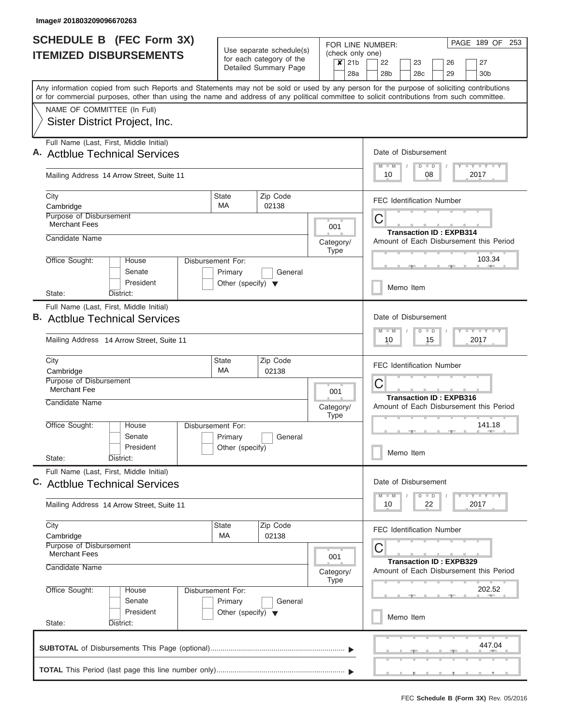| <b>SCHEDULE B (FEC Form 3X)</b>                                                                                                                                                                                                                                                         |                                                                      |                                                                               |                                                            |                                       | PAGE 189 OF 253<br>FOR LINE NUMBER:                                                                                                                                                                                                            |  |  |  |
|-----------------------------------------------------------------------------------------------------------------------------------------------------------------------------------------------------------------------------------------------------------------------------------------|----------------------------------------------------------------------|-------------------------------------------------------------------------------|------------------------------------------------------------|---------------------------------------|------------------------------------------------------------------------------------------------------------------------------------------------------------------------------------------------------------------------------------------------|--|--|--|
| <b>ITEMIZED DISBURSEMENTS</b>                                                                                                                                                                                                                                                           |                                                                      | Use separate schedule(s)<br>for each category of the<br>Detailed Summary Page |                                                            | (check only one)<br>$x$ 21b<br>28a    | 22<br>27<br>23<br>26<br>28 <sub>b</sub><br>28c<br>29<br>30 <sub>b</sub>                                                                                                                                                                        |  |  |  |
| Any information copied from such Reports and Statements may not be sold or used by any person for the purpose of soliciting contributions<br>or for commercial purposes, other than using the name and address of any political committee to solicit contributions from such committee. |                                                                      |                                                                               |                                                            |                                       |                                                                                                                                                                                                                                                |  |  |  |
| NAME OF COMMITTEE (In Full)<br>Sister District Project, Inc.                                                                                                                                                                                                                            |                                                                      |                                                                               |                                                            |                                       |                                                                                                                                                                                                                                                |  |  |  |
| Full Name (Last, First, Middle Initial)<br>A. Actblue Technical Services                                                                                                                                                                                                                |                                                                      |                                                                               |                                                            |                                       | Date of Disbursement<br><b>LY LY LY</b><br>$D$ $D$<br>$M - M$                                                                                                                                                                                  |  |  |  |
| Mailing Address 14 Arrow Street, Suite 11                                                                                                                                                                                                                                               |                                                                      |                                                                               |                                                            |                                       | 10<br>08<br>2017                                                                                                                                                                                                                               |  |  |  |
| City<br>Cambridge                                                                                                                                                                                                                                                                       | <b>State</b><br>MA                                                   | Zip Code<br>02138                                                             |                                                            |                                       | <b>FEC Identification Number</b>                                                                                                                                                                                                               |  |  |  |
| <b>Purpose of Disbursement</b><br><b>Merchant Fees</b>                                                                                                                                                                                                                                  |                                                                      |                                                                               | 001                                                        |                                       | С<br><b>Transaction ID: EXPB314</b>                                                                                                                                                                                                            |  |  |  |
| Candidate Name                                                                                                                                                                                                                                                                          |                                                                      |                                                                               | Category/<br><b>Type</b>                                   |                                       | Amount of Each Disbursement this Period                                                                                                                                                                                                        |  |  |  |
| Office Sought:<br>House<br>Senate<br>President                                                                                                                                                                                                                                          | Disbursement For:<br>Primary<br>Other (specify) $\blacktriangledown$ | General                                                                       |                                                            |                                       | 103.34<br>Memo Item                                                                                                                                                                                                                            |  |  |  |
| State:<br>District:<br>Full Name (Last, First, Middle Initial)<br><b>B.</b> Actblue Technical Services                                                                                                                                                                                  |                                                                      |                                                                               |                                                            |                                       | Date of Disbursement                                                                                                                                                                                                                           |  |  |  |
| Mailing Address 14 Arrow Street, Suite 11                                                                                                                                                                                                                                               |                                                                      |                                                                               | $-Y - Y - Y$<br>$M - M$<br>$\Box$<br>D<br>15<br>2017<br>10 |                                       |                                                                                                                                                                                                                                                |  |  |  |
| City<br>Cambridge<br><b>Purpose of Disbursement</b><br><b>Merchant Fee</b>                                                                                                                                                                                                              | <b>State</b><br><b>MA</b>                                            | Zip Code<br>02138                                                             | 001                                                        | <b>FEC Identification Number</b><br>С |                                                                                                                                                                                                                                                |  |  |  |
| Candidate Name                                                                                                                                                                                                                                                                          |                                                                      |                                                                               | Category/<br><b>Type</b>                                   |                                       | <b>Transaction ID: EXPB316</b><br>Amount of Each Disbursement this Period                                                                                                                                                                      |  |  |  |
| Office Sought:<br>House<br>Senate<br>President                                                                                                                                                                                                                                          | Disbursement For:<br>Primary<br>Other (specify)                      | General                                                                       |                                                            |                                       | 141.18                                                                                                                                                                                                                                         |  |  |  |
| State:<br>District:<br>Full Name (Last, First, Middle Initial)                                                                                                                                                                                                                          |                                                                      |                                                                               |                                                            |                                       | Memo Item                                                                                                                                                                                                                                      |  |  |  |
| C. Actblue Technical Services                                                                                                                                                                                                                                                           |                                                                      |                                                                               |                                                            |                                       | Date of Disbursement<br>$\frac{1}{2}$ $\frac{1}{2}$ $\frac{1}{2}$ $\frac{1}{2}$ $\frac{1}{2}$ $\frac{1}{2}$ $\frac{1}{2}$ $\frac{1}{2}$ $\frac{1}{2}$ $\frac{1}{2}$ $\frac{1}{2}$ $\frac{1}{2}$<br>$M - M$<br>$\overline{D}$<br>$\blacksquare$ |  |  |  |
| Mailing Address 14 Arrow Street, Suite 11                                                                                                                                                                                                                                               |                                                                      |                                                                               |                                                            |                                       | 2017<br>10<br>22                                                                                                                                                                                                                               |  |  |  |
| City<br>Cambridge<br><b>Purpose of Disbursement</b>                                                                                                                                                                                                                                     | <b>State</b><br>МA                                                   | Zip Code<br>02138                                                             |                                                            |                                       | <b>FEC Identification Number</b><br>С                                                                                                                                                                                                          |  |  |  |
| <b>Merchant Fees</b><br>Candidate Name                                                                                                                                                                                                                                                  | 001<br>Category/<br><b>Type</b>                                      |                                                                               |                                                            |                                       |                                                                                                                                                                                                                                                |  |  |  |
| Office Sought:<br>House<br>Senate<br>President                                                                                                                                                                                                                                          | Disbursement For:<br>Primary                                         | General                                                                       |                                                            |                                       | 202.52                                                                                                                                                                                                                                         |  |  |  |
| State:<br>District:                                                                                                                                                                                                                                                                     | Other (specify) $\blacktriangledown$                                 |                                                                               |                                                            |                                       | Memo Item                                                                                                                                                                                                                                      |  |  |  |
|                                                                                                                                                                                                                                                                                         |                                                                      |                                                                               |                                                            |                                       | 447.04                                                                                                                                                                                                                                         |  |  |  |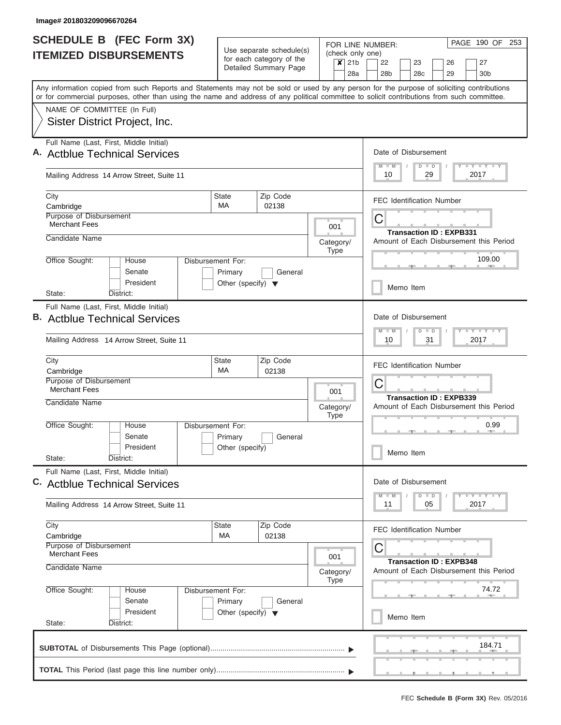| <b>SCHEDULE B (FEC Form 3X)</b>                                                                                                                                                                                                                                                         |                                                 |                                                      | FOR LINE NUMBER:            | PAGE 190 OF 253                                                           |  |  |  |  |  |
|-----------------------------------------------------------------------------------------------------------------------------------------------------------------------------------------------------------------------------------------------------------------------------------------|-------------------------------------------------|------------------------------------------------------|-----------------------------|---------------------------------------------------------------------------|--|--|--|--|--|
| <b>ITEMIZED DISBURSEMENTS</b>                                                                                                                                                                                                                                                           |                                                 | Use separate schedule(s)<br>for each category of the | (check only one)<br>$x$ 21b | 22<br>23<br>26<br>27                                                      |  |  |  |  |  |
|                                                                                                                                                                                                                                                                                         |                                                 | Detailed Summary Page                                | 28a                         | 28 <sub>b</sub><br>28 <sub>c</sub><br>29<br>30 <sub>b</sub>               |  |  |  |  |  |
| Any information copied from such Reports and Statements may not be sold or used by any person for the purpose of soliciting contributions<br>or for commercial purposes, other than using the name and address of any political committee to solicit contributions from such committee. |                                                 |                                                      |                             |                                                                           |  |  |  |  |  |
| NAME OF COMMITTEE (In Full)                                                                                                                                                                                                                                                             |                                                 |                                                      |                             |                                                                           |  |  |  |  |  |
| Sister District Project, Inc.                                                                                                                                                                                                                                                           |                                                 |                                                      |                             |                                                                           |  |  |  |  |  |
| Full Name (Last, First, Middle Initial)<br>A. Actblue Technical Services                                                                                                                                                                                                                |                                                 |                                                      |                             | Date of Disbursement                                                      |  |  |  |  |  |
| Mailing Address 14 Arrow Street, Suite 11                                                                                                                                                                                                                                               |                                                 |                                                      |                             | Y I Y I Y I Y<br>$M - M$<br>$D$ $D$<br>10<br>29<br>2017                   |  |  |  |  |  |
| City<br>Cambridge                                                                                                                                                                                                                                                                       | State<br><b>MA</b>                              | Zip Code<br>02138                                    |                             | <b>FEC Identification Number</b>                                          |  |  |  |  |  |
| <b>Purpose of Disbursement</b>                                                                                                                                                                                                                                                          |                                                 |                                                      |                             | C                                                                         |  |  |  |  |  |
| <b>Merchant Fees</b>                                                                                                                                                                                                                                                                    |                                                 |                                                      | 001                         | <b>Transaction ID: EXPB331</b>                                            |  |  |  |  |  |
| Candidate Name                                                                                                                                                                                                                                                                          |                                                 |                                                      | Category/<br><b>Type</b>    | Amount of Each Disbursement this Period                                   |  |  |  |  |  |
| Office Sought:<br>House                                                                                                                                                                                                                                                                 | Disbursement For:                               |                                                      |                             | 109.00                                                                    |  |  |  |  |  |
| Senate<br>President                                                                                                                                                                                                                                                                     | Primary<br>Other (specify) $\blacktriangledown$ | General                                              |                             | Memo Item                                                                 |  |  |  |  |  |
| State:<br>District:                                                                                                                                                                                                                                                                     |                                                 |                                                      |                             |                                                                           |  |  |  |  |  |
| Full Name (Last, First, Middle Initial)<br><b>B.</b> Actblue Technical Services                                                                                                                                                                                                         |                                                 |                                                      |                             | Date of Disbursement<br>Y FY FY FY<br>$M - M$<br>$D$ $D$                  |  |  |  |  |  |
| Mailing Address 14 Arrow Street, Suite 11                                                                                                                                                                                                                                               |                                                 |                                                      |                             |                                                                           |  |  |  |  |  |
| City<br>Cambridge                                                                                                                                                                                                                                                                       | <b>State</b><br>MA                              | Zip Code<br>02138                                    |                             | <b>FEC Identification Number</b>                                          |  |  |  |  |  |
| Purpose of Disbursement<br><b>Merchant Fees</b>                                                                                                                                                                                                                                         |                                                 |                                                      | 001                         | C                                                                         |  |  |  |  |  |
| Candidate Name                                                                                                                                                                                                                                                                          |                                                 |                                                      | Category/<br><b>Type</b>    | <b>Transaction ID: EXPB339</b><br>Amount of Each Disbursement this Period |  |  |  |  |  |
| Office Sought:<br>House<br>Senate                                                                                                                                                                                                                                                       | Disbursement For:<br>Primary                    | General                                              |                             | 0.99                                                                      |  |  |  |  |  |
| President<br>State:<br>District:                                                                                                                                                                                                                                                        | Other (specify)                                 |                                                      |                             | Memo Item                                                                 |  |  |  |  |  |
| Full Name (Last, First, Middle Initial)<br>C. Actblue Technical Services                                                                                                                                                                                                                |                                                 |                                                      |                             | Date of Disbursement                                                      |  |  |  |  |  |
| Mailing Address 14 Arrow Street, Suite 11                                                                                                                                                                                                                                               |                                                 |                                                      |                             | Y FY FY FY<br>$M$ $M$<br>$D$ $D$<br>11<br>05<br>2017                      |  |  |  |  |  |
| City<br>Cambridge                                                                                                                                                                                                                                                                       | <b>State</b><br>МA                              | Zip Code<br>02138                                    |                             | <b>FEC Identification Number</b>                                          |  |  |  |  |  |
| <b>Purpose of Disbursement</b><br>Merchant Fees                                                                                                                                                                                                                                         |                                                 |                                                      | 001                         | C                                                                         |  |  |  |  |  |
| Candidate Name                                                                                                                                                                                                                                                                          |                                                 |                                                      | Category/<br><b>Type</b>    | <b>Transaction ID: EXPB348</b><br>Amount of Each Disbursement this Period |  |  |  |  |  |
| Office Sought:<br>House<br>Senate                                                                                                                                                                                                                                                       | Disbursement For:                               | General                                              |                             | 74.72                                                                     |  |  |  |  |  |
| President<br>State:<br>District:                                                                                                                                                                                                                                                        | Primary<br>Other (specify) $\blacktriangledown$ |                                                      |                             | Memo Item                                                                 |  |  |  |  |  |
|                                                                                                                                                                                                                                                                                         |                                                 |                                                      |                             |                                                                           |  |  |  |  |  |
|                                                                                                                                                                                                                                                                                         |                                                 |                                                      |                             | 184.71                                                                    |  |  |  |  |  |
|                                                                                                                                                                                                                                                                                         |                                                 |                                                      |                             |                                                                           |  |  |  |  |  |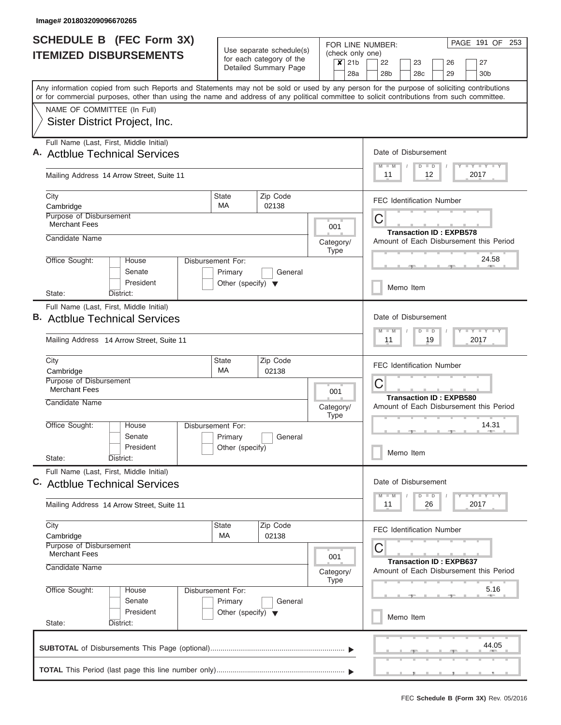| SCHEDULE B (FEC Form 3X)                                                                                                                                                                                                                                                                |                                                                      |                                                      |     |                                                                                                                                                     |     | PAGE 191 OF<br>253<br>FOR LINE NUMBER:                       |  |  |  |  |  |  |
|-----------------------------------------------------------------------------------------------------------------------------------------------------------------------------------------------------------------------------------------------------------------------------------------|----------------------------------------------------------------------|------------------------------------------------------|-----|-----------------------------------------------------------------------------------------------------------------------------------------------------|-----|--------------------------------------------------------------|--|--|--|--|--|--|
| <b>ITEMIZED DISBURSEMENTS</b>                                                                                                                                                                                                                                                           |                                                                      | Use separate schedule(s)<br>for each category of the |     |                                                                                                                                                     |     | (check only one)<br>22<br>23<br>26<br>27                     |  |  |  |  |  |  |
|                                                                                                                                                                                                                                                                                         |                                                                      | Detailed Summary Page                                |     | $x$ 21b                                                                                                                                             | 28a | 28 <sub>b</sub><br>28 <sub>c</sub><br>29<br>30 <sub>b</sub>  |  |  |  |  |  |  |
| Any information copied from such Reports and Statements may not be sold or used by any person for the purpose of soliciting contributions<br>or for commercial purposes, other than using the name and address of any political committee to solicit contributions from such committee. |                                                                      |                                                      |     |                                                                                                                                                     |     |                                                              |  |  |  |  |  |  |
| NAME OF COMMITTEE (In Full)                                                                                                                                                                                                                                                             |                                                                      |                                                      |     |                                                                                                                                                     |     |                                                              |  |  |  |  |  |  |
| Sister District Project, Inc.                                                                                                                                                                                                                                                           |                                                                      |                                                      |     |                                                                                                                                                     |     |                                                              |  |  |  |  |  |  |
| Full Name (Last, First, Middle Initial)<br>A. Actblue Technical Services                                                                                                                                                                                                                |                                                                      |                                                      |     |                                                                                                                                                     |     | Date of Disbursement                                         |  |  |  |  |  |  |
| Mailing Address 14 Arrow Street, Suite 11                                                                                                                                                                                                                                               |                                                                      |                                                      |     |                                                                                                                                                     |     | <b>TEY TEY TEY</b><br>$D$ $D$<br>$M - M$<br>12<br>2017<br>11 |  |  |  |  |  |  |
| City<br>Cambridge                                                                                                                                                                                                                                                                       | <b>State</b><br>MA                                                   | Zip Code<br>02138                                    |     |                                                                                                                                                     |     | <b>FEC Identification Number</b>                             |  |  |  |  |  |  |
| <b>Purpose of Disbursement</b><br><b>Merchant Fees</b>                                                                                                                                                                                                                                  |                                                                      |                                                      |     | 001                                                                                                                                                 |     | C<br><b>Transaction ID: EXPB578</b>                          |  |  |  |  |  |  |
| Candidate Name                                                                                                                                                                                                                                                                          |                                                                      |                                                      |     | Category/<br>Type                                                                                                                                   |     | Amount of Each Disbursement this Period                      |  |  |  |  |  |  |
| Office Sought:<br>House<br>Senate<br>President                                                                                                                                                                                                                                          | Disbursement For:<br>Primary<br>Other (specify) $\blacktriangledown$ | General                                              |     |                                                                                                                                                     |     | 24.58                                                        |  |  |  |  |  |  |
| State:<br>District:                                                                                                                                                                                                                                                                     |                                                                      |                                                      |     |                                                                                                                                                     |     | Memo Item                                                    |  |  |  |  |  |  |
| Full Name (Last, First, Middle Initial)<br><b>B.</b> Actblue Technical Services<br>Mailing Address 14 Arrow Street, Suite 11                                                                                                                                                            |                                                                      |                                                      |     | Date of Disbursement<br>$\mathbf{I} = \mathbf{Y} - \mathbf{I} - \mathbf{Y} - \mathbf{I} - \mathbf{Y}$<br>$M - M$<br>$\Box$<br>D<br>19<br>2017<br>11 |     |                                                              |  |  |  |  |  |  |
| City                                                                                                                                                                                                                                                                                    | <b>State</b><br>Zip Code                                             |                                                      |     |                                                                                                                                                     |     |                                                              |  |  |  |  |  |  |
| Cambridge                                                                                                                                                                                                                                                                               | <b>MA</b>                                                            | 02138                                                |     |                                                                                                                                                     |     | <b>FEC Identification Number</b>                             |  |  |  |  |  |  |
| Purpose of Disbursement<br>Merchant Fees<br>Candidate Name                                                                                                                                                                                                                              |                                                                      |                                                      | 001 |                                                                                                                                                     |     | C<br><b>Transaction ID: EXPB580</b>                          |  |  |  |  |  |  |
|                                                                                                                                                                                                                                                                                         |                                                                      |                                                      |     | Category/<br><b>Type</b>                                                                                                                            |     | Amount of Each Disbursement this Period                      |  |  |  |  |  |  |
| Office Sought:<br>House<br>Senate                                                                                                                                                                                                                                                       | Disbursement For:<br>Primary                                         | General                                              |     |                                                                                                                                                     |     | 14.31                                                        |  |  |  |  |  |  |
| President<br>State:<br>District:                                                                                                                                                                                                                                                        | Other (specify)                                                      |                                                      |     |                                                                                                                                                     |     | Memo Item                                                    |  |  |  |  |  |  |
| Full Name (Last, First, Middle Initial)<br>C. Actblue Technical Services                                                                                                                                                                                                                |                                                                      |                                                      |     |                                                                                                                                                     |     | Date of Disbursement                                         |  |  |  |  |  |  |
| Mailing Address 14 Arrow Street, Suite 11                                                                                                                                                                                                                                               |                                                                      |                                                      |     |                                                                                                                                                     |     | $T - Y$ $T - Y$<br>M<br>$\Box$<br>D<br>2017<br>11<br>26      |  |  |  |  |  |  |
| City<br>Cambridge                                                                                                                                                                                                                                                                       | <b>State</b><br>МA                                                   | Zip Code<br>02138                                    |     |                                                                                                                                                     |     | <b>FEC Identification Number</b>                             |  |  |  |  |  |  |
| Purpose of Disbursement<br><b>Merchant Fees</b>                                                                                                                                                                                                                                         |                                                                      | C<br><b>Transaction ID: EXPB637</b>                  |     |                                                                                                                                                     |     |                                                              |  |  |  |  |  |  |
| Candidate Name                                                                                                                                                                                                                                                                          |                                                                      | Category/<br>Type                                    |     | Amount of Each Disbursement this Period                                                                                                             |     |                                                              |  |  |  |  |  |  |
| Office Sought:<br>House<br>Senate<br>President                                                                                                                                                                                                                                          | Disbursement For:<br>Primary                                         | General                                              |     |                                                                                                                                                     |     | 5.16                                                         |  |  |  |  |  |  |
| State:<br>District:                                                                                                                                                                                                                                                                     | Other (specify) $\blacktriangledown$                                 |                                                      |     |                                                                                                                                                     |     | Memo Item                                                    |  |  |  |  |  |  |
|                                                                                                                                                                                                                                                                                         |                                                                      |                                                      |     |                                                                                                                                                     |     | <b>Contract Contract</b><br>44.05                            |  |  |  |  |  |  |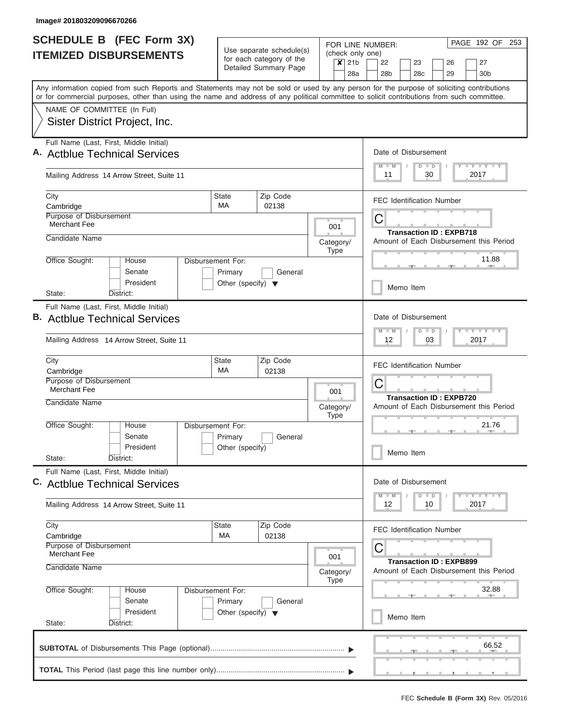| <b>SCHEDULE B (FEC Form 3X)</b>                                                                                                                                                                                                                                                         |                                      |                                                      |                                       |                                     | PAGE 192 OF 253<br>FOR LINE NUMBER: |                                                      |  |                      |                    |                                  |  |                                         |  |
|-----------------------------------------------------------------------------------------------------------------------------------------------------------------------------------------------------------------------------------------------------------------------------------------|--------------------------------------|------------------------------------------------------|---------------------------------------|-------------------------------------|-------------------------------------|------------------------------------------------------|--|----------------------|--------------------|----------------------------------|--|-----------------------------------------|--|
| <b>ITEMIZED DISBURSEMENTS</b>                                                                                                                                                                                                                                                           |                                      | Use separate schedule(s)<br>for each category of the |                                       |                                     | (check only one)<br>$x$ 21b         | 22<br>23<br>27<br>26                                 |  |                      |                    |                                  |  |                                         |  |
|                                                                                                                                                                                                                                                                                         |                                      | Detailed Summary Page                                |                                       |                                     | 28a                                 | 28 <sub>b</sub>                                      |  | 28 <sub>c</sub>      |                    | 29                               |  | 30 <sub>b</sub>                         |  |
| Any information copied from such Reports and Statements may not be sold or used by any person for the purpose of soliciting contributions<br>or for commercial purposes, other than using the name and address of any political committee to solicit contributions from such committee. |                                      |                                                      |                                       |                                     |                                     |                                                      |  |                      |                    |                                  |  |                                         |  |
| NAME OF COMMITTEE (In Full)                                                                                                                                                                                                                                                             |                                      |                                                      |                                       |                                     |                                     |                                                      |  |                      |                    |                                  |  |                                         |  |
| Sister District Project, Inc.                                                                                                                                                                                                                                                           |                                      |                                                      |                                       |                                     |                                     |                                                      |  |                      |                    |                                  |  |                                         |  |
| Full Name (Last, First, Middle Initial)<br>A. Actblue Technical Services                                                                                                                                                                                                                |                                      |                                                      |                                       |                                     |                                     |                                                      |  | Date of Disbursement |                    |                                  |  |                                         |  |
| Mailing Address 14 Arrow Street, Suite 11                                                                                                                                                                                                                                               |                                      |                                                      |                                       |                                     |                                     | Y LY LY LY<br>$M$ $M$<br>$D$ $D$<br>11<br>30<br>2017 |  |                      |                    |                                  |  |                                         |  |
| City<br>Cambridge                                                                                                                                                                                                                                                                       | <b>State</b><br>MA.                  | Zip Code<br>02138                                    |                                       |                                     |                                     |                                                      |  |                      |                    | <b>FEC Identification Number</b> |  |                                         |  |
| <b>Purpose of Disbursement</b><br><b>Merchant Fee</b>                                                                                                                                                                                                                                   |                                      |                                                      |                                       | 001                                 |                                     | C                                                    |  |                      |                    |                                  |  |                                         |  |
| Candidate Name                                                                                                                                                                                                                                                                          |                                      |                                                      |                                       | Category/<br><b>Type</b>            |                                     |                                                      |  |                      |                    | <b>Transaction ID: EXPB718</b>   |  | Amount of Each Disbursement this Period |  |
| Office Sought:<br>House<br>Senate<br>President                                                                                                                                                                                                                                          | Disbursement For:<br>Primary         | General                                              |                                       |                                     |                                     |                                                      |  |                      |                    |                                  |  | 11.88                                   |  |
| District:<br>State:                                                                                                                                                                                                                                                                     | Other (specify) $\blacktriangledown$ |                                                      |                                       |                                     |                                     |                                                      |  | Memo Item            |                    |                                  |  |                                         |  |
| Full Name (Last, First, Middle Initial)<br><b>B.</b> Actblue Technical Services<br>Mailing Address 14 Arrow Street, Suite 11                                                                                                                                                            |                                      |                                                      | Date of Disbursement<br>$M - M$<br>12 |                                     | $D$ $D$                             | 03                                                   |  |                      | Y FY FY FY<br>2017 |                                  |  |                                         |  |
| City<br>Cambridge                                                                                                                                                                                                                                                                       | <b>State</b><br>МA                   | Zip Code<br>02138                                    |                                       |                                     |                                     |                                                      |  |                      |                    | <b>FEC Identification Number</b> |  |                                         |  |
| Purpose of Disbursement<br><b>Merchant Fee</b>                                                                                                                                                                                                                                          |                                      |                                                      |                                       |                                     |                                     | C<br><b>Transaction ID: EXPB720</b>                  |  |                      |                    |                                  |  |                                         |  |
| Candidate Name                                                                                                                                                                                                                                                                          |                                      |                                                      | Category/<br><b>Type</b>              |                                     |                                     |                                                      |  |                      |                    |                                  |  | Amount of Each Disbursement this Period |  |
| Office Sought:<br>House<br>Senate                                                                                                                                                                                                                                                       | Disbursement For:<br>Primary         | General                                              |                                       |                                     |                                     |                                                      |  |                      |                    |                                  |  | 21.76                                   |  |
| President<br>State:<br>District:                                                                                                                                                                                                                                                        | Other (specify)                      |                                                      |                                       |                                     |                                     |                                                      |  | Memo Item            |                    |                                  |  |                                         |  |
| Full Name (Last, First, Middle Initial)<br>C. Actblue Technical Services                                                                                                                                                                                                                |                                      |                                                      |                                       |                                     |                                     | Date of Disbursement                                 |  |                      |                    |                                  |  |                                         |  |
| Mailing Address 14 Arrow Street, Suite 11                                                                                                                                                                                                                                               |                                      |                                                      |                                       |                                     |                                     | $M$ $M$<br>12                                        |  | $D$ $D$              | 10                 |                                  |  | Y TY TY TY<br>2017                      |  |
| City<br>Cambridge                                                                                                                                                                                                                                                                       | State<br>МA                          | Zip Code<br>02138                                    |                                       |                                     |                                     |                                                      |  |                      |                    | <b>FEC Identification Number</b> |  |                                         |  |
| Purpose of Disbursement<br><b>Merchant Fee</b><br>Candidate Name                                                                                                                                                                                                                        |                                      | 001                                                  |                                       | C<br><b>Transaction ID: EXPB899</b> |                                     |                                                      |  |                      |                    |                                  |  |                                         |  |
|                                                                                                                                                                                                                                                                                         |                                      |                                                      |                                       | Category/<br><b>Type</b>            |                                     |                                                      |  |                      |                    |                                  |  | Amount of Each Disbursement this Period |  |
| Office Sought:<br>House<br>Senate                                                                                                                                                                                                                                                       | Disbursement For:<br>Primary         | General                                              |                                       |                                     |                                     |                                                      |  |                      |                    |                                  |  | 32.88                                   |  |
| President<br>State:<br>District:                                                                                                                                                                                                                                                        | Other (specify) $\blacktriangledown$ |                                                      |                                       |                                     |                                     |                                                      |  | Memo Item            |                    |                                  |  |                                         |  |
|                                                                                                                                                                                                                                                                                         |                                      |                                                      |                                       |                                     |                                     |                                                      |  |                      |                    |                                  |  | 66.52                                   |  |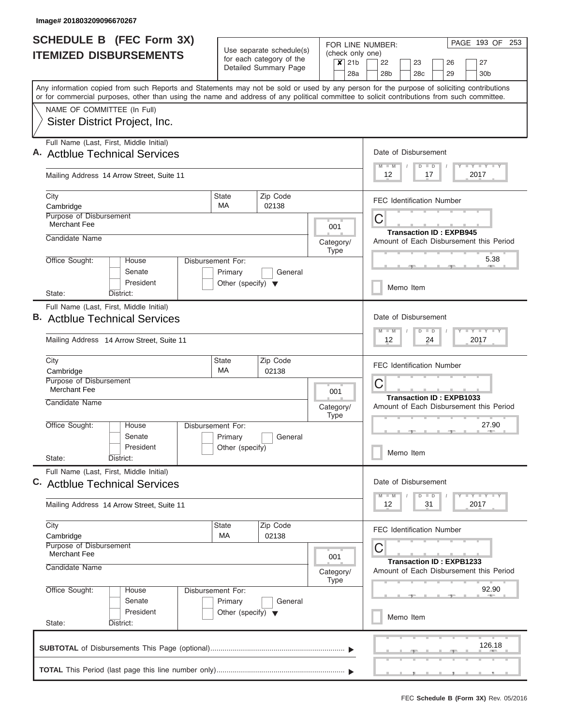| SCHEDULE B (FEC Form 3X)                                                                                                                                                                                                                                                                | FOR LINE NUMBER:                                     |                           |                          |                           | PAGE 193 OF     | 253                                                                             |  |                                |         |                                         |  |                                         |  |
|-----------------------------------------------------------------------------------------------------------------------------------------------------------------------------------------------------------------------------------------------------------------------------------------|------------------------------------------------------|---------------------------|--------------------------|---------------------------|-----------------|---------------------------------------------------------------------------------|--|--------------------------------|---------|-----------------------------------------|--|-----------------------------------------|--|
| <b>ITEMIZED DISBURSEMENTS</b>                                                                                                                                                                                                                                                           | Use separate schedule(s)<br>for each category of the |                           |                          | $\boldsymbol{\mathsf{x}}$ | 21 <sub>b</sub> | (check only one)<br>22<br>23<br>26<br>27                                        |  |                                |         |                                         |  |                                         |  |
|                                                                                                                                                                                                                                                                                         |                                                      | Detailed Summary Page     |                          |                           | 28a             | 28 <sub>b</sub>                                                                 |  | 28 <sub>c</sub>                |         | 29                                      |  | 30 <sub>b</sub>                         |  |
| Any information copied from such Reports and Statements may not be sold or used by any person for the purpose of soliciting contributions<br>or for commercial purposes, other than using the name and address of any political committee to solicit contributions from such committee. |                                                      |                           |                          |                           |                 |                                                                                 |  |                                |         |                                         |  |                                         |  |
| NAME OF COMMITTEE (In Full)<br>Sister District Project, Inc.                                                                                                                                                                                                                            |                                                      |                           |                          |                           |                 |                                                                                 |  |                                |         |                                         |  |                                         |  |
|                                                                                                                                                                                                                                                                                         |                                                      |                           |                          |                           |                 |                                                                                 |  |                                |         |                                         |  |                                         |  |
| Full Name (Last, First, Middle Initial)<br>A. Actblue Technical Services                                                                                                                                                                                                                |                                                      |                           |                          |                           |                 | Date of Disbursement                                                            |  |                                |         |                                         |  |                                         |  |
| Mailing Address 14 Arrow Street, Suite 11                                                                                                                                                                                                                                               |                                                      |                           |                          |                           |                 | <b>TEY TEY TEY</b><br>$M$ $M$<br>$D$ $D$<br>12<br>2017<br>17                    |  |                                |         |                                         |  |                                         |  |
| City<br>Cambridge                                                                                                                                                                                                                                                                       | <b>State</b><br><b>MA</b>                            | Zip Code<br>02138         |                          |                           |                 | <b>FEC Identification Number</b>                                                |  |                                |         |                                         |  |                                         |  |
| Purpose of Disbursement<br><b>Merchant Fee</b>                                                                                                                                                                                                                                          |                                                      |                           |                          |                           |                 | С                                                                               |  |                                |         |                                         |  |                                         |  |
| Candidate Name                                                                                                                                                                                                                                                                          |                                                      | Category/<br>Type         |                          |                           |                 |                                                                                 |  | <b>Transaction ID: EXPB945</b> |         | Amount of Each Disbursement this Period |  |                                         |  |
| Office Sought:<br>House<br>Senate                                                                                                                                                                                                                                                       | Disbursement For:<br>Primary                         | General                   |                          |                           |                 |                                                                                 |  |                                |         |                                         |  | 5.38                                    |  |
| President<br>State:<br>District:                                                                                                                                                                                                                                                        | Other (specify) $\blacktriangledown$                 |                           |                          |                           |                 |                                                                                 |  | Memo Item                      |         |                                         |  |                                         |  |
| Full Name (Last, First, Middle Initial)<br><b>B.</b> Actblue Technical Services                                                                                                                                                                                                         |                                                      |                           |                          |                           |                 |                                                                                 |  |                                | $D$ $D$ | Date of Disbursement                    |  | $-1 - Y - 1 - Y - 1 - Y$                |  |
| Mailing Address 14 Arrow Street, Suite 11                                                                                                                                                                                                                                               |                                                      |                           |                          |                           |                 | 12                                                                              |  |                                | 24      |                                         |  | 2017                                    |  |
| City<br>Cambridge                                                                                                                                                                                                                                                                       |                                                      | FEC Identification Number |                          |                           |                 |                                                                                 |  |                                |         |                                         |  |                                         |  |
| Purpose of Disbursement<br>Merchant Fee<br>Candidate Name                                                                                                                                                                                                                               |                                                      |                           |                          | 001                       |                 | С<br><b>Transaction ID: EXPB1033</b><br>Amount of Each Disbursement this Period |  |                                |         |                                         |  |                                         |  |
| Office Sought:<br>House                                                                                                                                                                                                                                                                 | Disbursement For:                                    |                           | Category/<br><b>Type</b> |                           |                 | 27.90                                                                           |  |                                |         |                                         |  |                                         |  |
| Senate<br>President                                                                                                                                                                                                                                                                     | Primary<br>Other (specify)                           | General                   |                          |                           |                 | Memo Item                                                                       |  |                                |         |                                         |  |                                         |  |
| State:<br>District:                                                                                                                                                                                                                                                                     |                                                      |                           |                          |                           |                 |                                                                                 |  |                                |         |                                         |  |                                         |  |
| Full Name (Last, First, Middle Initial)<br>C. Actblue Technical Services                                                                                                                                                                                                                |                                                      |                           |                          |                           |                 | Date of Disbursement                                                            |  |                                |         |                                         |  | $T$ $Y$ $T$ $Y$ $T$                     |  |
| Mailing Address 14 Arrow Street, Suite 11                                                                                                                                                                                                                                               |                                                      |                           |                          |                           |                 | $M - M$<br>12                                                                   |  | $D$ $D$                        | 31      |                                         |  | 2017                                    |  |
| City<br>Cambridge                                                                                                                                                                                                                                                                       | State<br>МA                                          | Zip Code<br>02138         |                          |                           |                 | <b>FEC Identification Number</b>                                                |  |                                |         |                                         |  |                                         |  |
| Purpose of Disbursement<br><b>Merchant Fee</b>                                                                                                                                                                                                                                          |                                                      |                           |                          | 001                       |                 | C                                                                               |  |                                |         | <b>Transaction ID: EXPB1233</b>         |  |                                         |  |
| Candidate Name                                                                                                                                                                                                                                                                          |                                                      |                           | Category/                | <b>Type</b>               |                 |                                                                                 |  |                                |         |                                         |  | Amount of Each Disbursement this Period |  |
| Office Sought:<br>House<br>Senate                                                                                                                                                                                                                                                       | Disbursement For:<br>Primary                         | General                   |                          |                           |                 |                                                                                 |  |                                |         |                                         |  | 92.90                                   |  |
| President<br>State:<br>District:                                                                                                                                                                                                                                                        | Other (specify) $\blacktriangledown$                 |                           |                          |                           |                 |                                                                                 |  | Memo Item                      |         |                                         |  |                                         |  |
|                                                                                                                                                                                                                                                                                         |                                                      |                           |                          |                           |                 |                                                                                 |  |                                |         |                                         |  | 126.18                                  |  |
|                                                                                                                                                                                                                                                                                         |                                                      |                           |                          |                           |                 |                                                                                 |  |                                |         |                                         |  |                                         |  |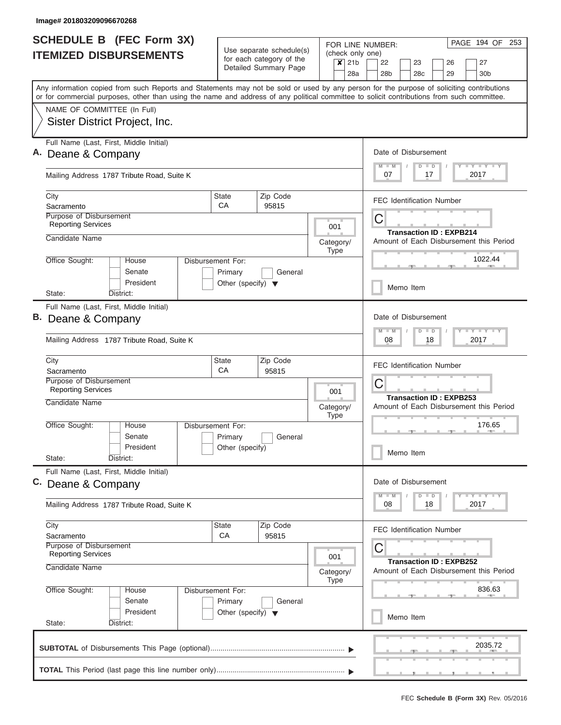| <b>SCHEDULE B</b> (FEC Form 3X) |                                                                                                                                                                                                                                                                                         |                                                                      |                                                      | FOR LINE NUMBER:                                        | PAGE 194 OF 253                                                                |  |  |  |  |  |
|---------------------------------|-----------------------------------------------------------------------------------------------------------------------------------------------------------------------------------------------------------------------------------------------------------------------------------------|----------------------------------------------------------------------|------------------------------------------------------|---------------------------------------------------------|--------------------------------------------------------------------------------|--|--|--|--|--|
|                                 | <b>ITEMIZED DISBURSEMENTS</b>                                                                                                                                                                                                                                                           |                                                                      | Use separate schedule(s)<br>for each category of the | (check only one)<br>21 <sub>b</sub><br>$\boldsymbol{x}$ | 27<br>22<br>23<br>26                                                           |  |  |  |  |  |
|                                 |                                                                                                                                                                                                                                                                                         |                                                                      | Detailed Summary Page                                | 28a                                                     | 28 <sub>b</sub><br>28c<br>30 <sub>b</sub><br>29                                |  |  |  |  |  |
|                                 | Any information copied from such Reports and Statements may not be sold or used by any person for the purpose of soliciting contributions<br>or for commercial purposes, other than using the name and address of any political committee to solicit contributions from such committee. |                                                                      |                                                      |                                                         |                                                                                |  |  |  |  |  |
|                                 | NAME OF COMMITTEE (In Full)                                                                                                                                                                                                                                                             |                                                                      |                                                      |                                                         |                                                                                |  |  |  |  |  |
|                                 | Sister District Project, Inc.                                                                                                                                                                                                                                                           |                                                                      |                                                      |                                                         |                                                                                |  |  |  |  |  |
|                                 | Full Name (Last, First, Middle Initial)<br>Deane & Company                                                                                                                                                                                                                              |                                                                      |                                                      |                                                         | Date of Disbursement                                                           |  |  |  |  |  |
|                                 | Mailing Address 1787 Tribute Road, Suite K                                                                                                                                                                                                                                              | Y LY LY LY<br>$M$ $M$<br>$D$ $D$<br>2017<br>07<br>17                 |                                                      |                                                         |                                                                                |  |  |  |  |  |
|                                 | City<br>Sacramento                                                                                                                                                                                                                                                                      | State<br>CA                                                          | Zip Code<br>95815                                    |                                                         | <b>FEC Identification Number</b>                                               |  |  |  |  |  |
|                                 | Purpose of Disbursement<br><b>Reporting Services</b>                                                                                                                                                                                                                                    |                                                                      |                                                      | 001                                                     | С<br><b>Transaction ID: EXPB214</b>                                            |  |  |  |  |  |
|                                 | Candidate Name                                                                                                                                                                                                                                                                          |                                                                      |                                                      | Category/<br><b>Type</b>                                | Amount of Each Disbursement this Period                                        |  |  |  |  |  |
|                                 | Office Sought:<br>House<br>Senate<br>President                                                                                                                                                                                                                                          | Disbursement For:<br>Primary<br>Other (specify) $\blacktriangledown$ | General                                              |                                                         | 1022.44                                                                        |  |  |  |  |  |
|                                 | State:<br>District:                                                                                                                                                                                                                                                                     |                                                                      |                                                      |                                                         | Memo Item                                                                      |  |  |  |  |  |
|                                 | Full Name (Last, First, Middle Initial)<br>B. Deane & Company<br>Mailing Address 1787 Tribute Road, Suite K                                                                                                                                                                             |                                                                      |                                                      |                                                         | Date of Disbursement<br>Y FY FY FY<br>$M - M$<br>$D$ $D$<br>08<br>18<br>2017   |  |  |  |  |  |
|                                 | City<br>Sacramento                                                                                                                                                                                                                                                                      | State<br>CA                                                          | Zip Code<br>95815                                    |                                                         | <b>FEC Identification Number</b>                                               |  |  |  |  |  |
|                                 | Purpose of Disbursement<br><b>Reporting Services</b>                                                                                                                                                                                                                                    |                                                                      |                                                      | 001                                                     | C<br><b>Transaction ID: EXPB253</b><br>Amount of Each Disbursement this Period |  |  |  |  |  |
|                                 | Candidate Name                                                                                                                                                                                                                                                                          |                                                                      |                                                      | Category/<br><b>Type</b>                                |                                                                                |  |  |  |  |  |
|                                 | Office Sought:<br>House<br>Senate<br>President<br>State:<br>District:                                                                                                                                                                                                                   | Disbursement For:<br>Primary<br>Other (specify)                      | General                                              |                                                         | 176.65<br>Memo Item                                                            |  |  |  |  |  |
|                                 | Full Name (Last, First, Middle Initial)<br>C. Deane & Company                                                                                                                                                                                                                           |                                                                      |                                                      |                                                         | Date of Disbursement                                                           |  |  |  |  |  |
|                                 | Mailing Address 1787 Tribute Road, Suite K                                                                                                                                                                                                                                              |                                                                      |                                                      |                                                         | $D$ $D$<br>$Y$ $Y$ $Y$ $Y$ $Y$<br>$M$ $M$<br>08<br>18<br>2017                  |  |  |  |  |  |
|                                 | City<br>Sacramento<br>Purpose of Disbursement<br><b>Reporting Services</b>                                                                                                                                                                                                              | State<br>CA                                                          | Zip Code<br>95815                                    |                                                         | <b>FEC Identification Number</b><br>С                                          |  |  |  |  |  |
|                                 | Candidate Name                                                                                                                                                                                                                                                                          |                                                                      |                                                      | 001<br>Category/<br><b>Type</b>                         | <b>Transaction ID: EXPB252</b><br>Amount of Each Disbursement this Period      |  |  |  |  |  |
|                                 | Office Sought:<br>House<br>Senate                                                                                                                                                                                                                                                       | Disbursement For:<br>Primary                                         | General                                              |                                                         | 836.63                                                                         |  |  |  |  |  |
|                                 | President<br>State:<br>District:                                                                                                                                                                                                                                                        | Other (specify) $\blacktriangledown$                                 |                                                      |                                                         | Memo Item                                                                      |  |  |  |  |  |
|                                 |                                                                                                                                                                                                                                                                                         |                                                                      |                                                      |                                                         | 2035.72                                                                        |  |  |  |  |  |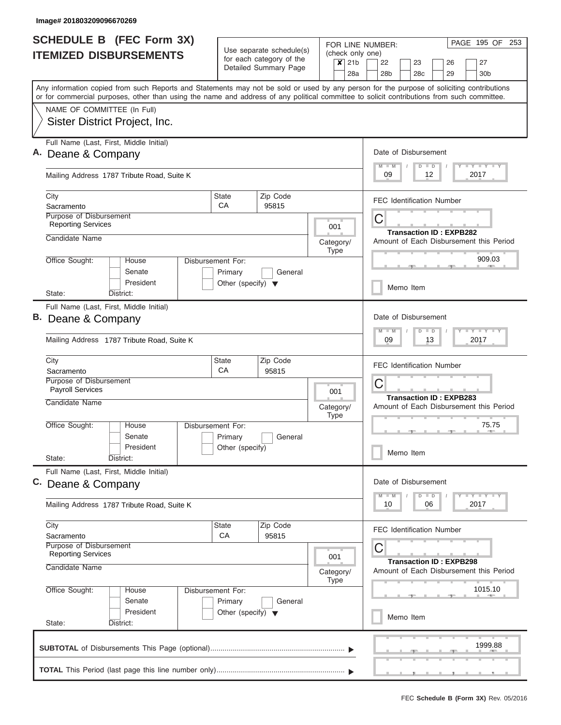| <b>SCHEDULE B</b> (FEC Form 3X)                                                                                                                                                                                                                                                         |                                                                      |                                                      | FOR LINE NUMBER:                                        | PAGE 195 OF 253                                                                |  |  |  |  |  |
|-----------------------------------------------------------------------------------------------------------------------------------------------------------------------------------------------------------------------------------------------------------------------------------------|----------------------------------------------------------------------|------------------------------------------------------|---------------------------------------------------------|--------------------------------------------------------------------------------|--|--|--|--|--|
| <b>ITEMIZED DISBURSEMENTS</b>                                                                                                                                                                                                                                                           |                                                                      | Use separate schedule(s)<br>for each category of the | (check only one)<br>21 <sub>b</sub><br>$\boldsymbol{x}$ | 27<br>22<br>23<br>26                                                           |  |  |  |  |  |
|                                                                                                                                                                                                                                                                                         |                                                                      | Detailed Summary Page                                | 28a                                                     | 28 <sub>b</sub><br>28c<br>30 <sub>b</sub><br>29                                |  |  |  |  |  |
| Any information copied from such Reports and Statements may not be sold or used by any person for the purpose of soliciting contributions<br>or for commercial purposes, other than using the name and address of any political committee to solicit contributions from such committee. |                                                                      |                                                      |                                                         |                                                                                |  |  |  |  |  |
| NAME OF COMMITTEE (In Full)                                                                                                                                                                                                                                                             |                                                                      |                                                      |                                                         |                                                                                |  |  |  |  |  |
| Sister District Project, Inc.                                                                                                                                                                                                                                                           |                                                                      |                                                      |                                                         |                                                                                |  |  |  |  |  |
| Full Name (Last, First, Middle Initial)<br>Deane & Company                                                                                                                                                                                                                              |                                                                      |                                                      |                                                         |                                                                                |  |  |  |  |  |
| Mailing Address 1787 Tribute Road, Suite K                                                                                                                                                                                                                                              | Y LY LY LY<br>$M$ $M$<br>$D$ $D$<br>2017<br>09<br>12                 |                                                      |                                                         |                                                                                |  |  |  |  |  |
| City<br>Sacramento                                                                                                                                                                                                                                                                      | State<br>CA                                                          | Zip Code<br>95815                                    |                                                         | <b>FEC Identification Number</b>                                               |  |  |  |  |  |
| Purpose of Disbursement<br><b>Reporting Services</b>                                                                                                                                                                                                                                    |                                                                      |                                                      | 001                                                     | С<br><b>Transaction ID: EXPB282</b>                                            |  |  |  |  |  |
| Candidate Name                                                                                                                                                                                                                                                                          |                                                                      |                                                      | Category/<br><b>Type</b>                                | Amount of Each Disbursement this Period                                        |  |  |  |  |  |
| Office Sought:<br>House<br>Senate<br>President                                                                                                                                                                                                                                          | Disbursement For:<br>Primary<br>Other (specify) $\blacktriangledown$ | General                                              |                                                         | 909.03                                                                         |  |  |  |  |  |
| State:<br>District:                                                                                                                                                                                                                                                                     |                                                                      |                                                      |                                                         | Memo Item                                                                      |  |  |  |  |  |
| Full Name (Last, First, Middle Initial)<br>B. Deane & Company<br>Mailing Address 1787 Tribute Road, Suite K                                                                                                                                                                             |                                                                      |                                                      |                                                         | Date of Disbursement<br>Y FY FY FY<br>$M - M$<br>$D$ $D$<br>09<br>13<br>2017   |  |  |  |  |  |
| City<br>Sacramento                                                                                                                                                                                                                                                                      | State<br>CA                                                          | Zip Code<br>95815                                    |                                                         | <b>FEC Identification Number</b>                                               |  |  |  |  |  |
| Purpose of Disbursement<br><b>Payroll Services</b>                                                                                                                                                                                                                                      |                                                                      |                                                      | 001                                                     | C<br><b>Transaction ID: EXPB283</b><br>Amount of Each Disbursement this Period |  |  |  |  |  |
| Candidate Name                                                                                                                                                                                                                                                                          |                                                                      |                                                      | Category/<br><b>Type</b>                                |                                                                                |  |  |  |  |  |
| Office Sought:<br>House<br>Senate<br>President<br>State:<br>District:                                                                                                                                                                                                                   | Disbursement For:<br>Primary<br>Other (specify)                      | General                                              |                                                         | 75.75<br><b>COLLECTION</b><br>Memo Item                                        |  |  |  |  |  |
| Full Name (Last, First, Middle Initial)<br>C. Deane & Company                                                                                                                                                                                                                           |                                                                      |                                                      |                                                         | Date of Disbursement                                                           |  |  |  |  |  |
| Mailing Address 1787 Tribute Road, Suite K                                                                                                                                                                                                                                              |                                                                      |                                                      |                                                         | $D$ $D$<br>Y FY FY FY<br>$M - M$<br>06<br>2017<br>10                           |  |  |  |  |  |
| City<br>Sacramento<br>Purpose of Disbursement<br><b>Reporting Services</b>                                                                                                                                                                                                              | State<br>CA                                                          | Zip Code<br>95815                                    |                                                         | <b>FEC Identification Number</b><br>С                                          |  |  |  |  |  |
| Candidate Name                                                                                                                                                                                                                                                                          |                                                                      |                                                      | 001<br>Category/                                        | <b>Transaction ID: EXPB298</b><br>Amount of Each Disbursement this Period      |  |  |  |  |  |
| Office Sought:<br>House<br>Senate<br>President                                                                                                                                                                                                                                          | Disbursement For:<br>Primary<br>Other (specify) $\blacktriangledown$ | General                                              | <b>Type</b>                                             | 1015.10                                                                        |  |  |  |  |  |
| State:<br>District:                                                                                                                                                                                                                                                                     |                                                                      |                                                      |                                                         | Memo Item                                                                      |  |  |  |  |  |
|                                                                                                                                                                                                                                                                                         |                                                                      |                                                      |                                                         | 1999.88                                                                        |  |  |  |  |  |
|                                                                                                                                                                                                                                                                                         |                                                                      |                                                      |                                                         |                                                                                |  |  |  |  |  |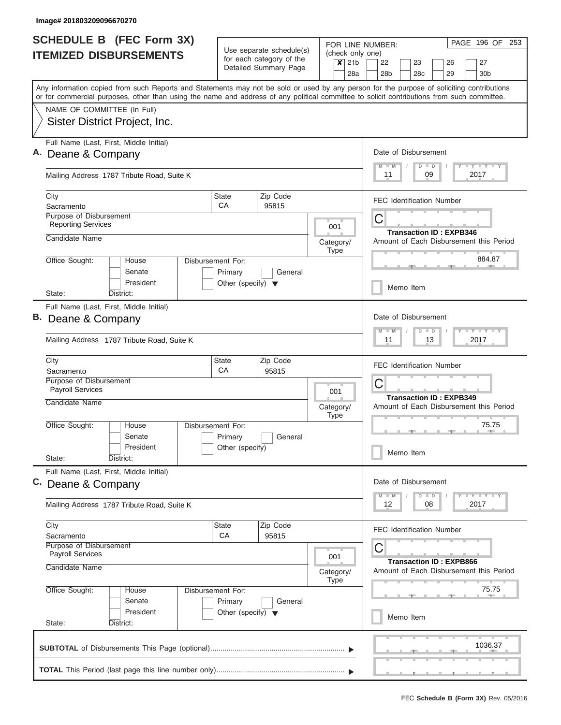| SCHEDULE B (FEC Form 3X)                                                                                                                                                                                                                                                                |                                                 |                                                                               |                                            |                          | PAGE 196 OF 253<br>FOR LINE NUMBER:                                                                                                                                                                                                                  |  |  |  |  |  |
|-----------------------------------------------------------------------------------------------------------------------------------------------------------------------------------------------------------------------------------------------------------------------------------------|-------------------------------------------------|-------------------------------------------------------------------------------|--------------------------------------------|--------------------------|------------------------------------------------------------------------------------------------------------------------------------------------------------------------------------------------------------------------------------------------------|--|--|--|--|--|
| <b>ITEMIZED DISBURSEMENTS</b>                                                                                                                                                                                                                                                           |                                                 | Use separate schedule(s)<br>for each category of the<br>Detailed Summary Page |                                            | $x$ 21b<br>28a           | (check only one)<br>22<br>27<br>23<br>26<br>28 <sub>b</sub><br>28c<br>29<br>30 <sub>b</sub>                                                                                                                                                          |  |  |  |  |  |
| Any information copied from such Reports and Statements may not be sold or used by any person for the purpose of soliciting contributions<br>or for commercial purposes, other than using the name and address of any political committee to solicit contributions from such committee. |                                                 |                                                                               |                                            |                          |                                                                                                                                                                                                                                                      |  |  |  |  |  |
| NAME OF COMMITTEE (In Full)<br>Sister District Project, Inc.                                                                                                                                                                                                                            |                                                 |                                                                               |                                            |                          |                                                                                                                                                                                                                                                      |  |  |  |  |  |
| Full Name (Last, First, Middle Initial)<br>A. Deane & Company                                                                                                                                                                                                                           |                                                 |                                                                               |                                            |                          | Date of Disbursement<br><b>LY LY LY</b><br>$D$ $D$<br>$M - M$                                                                                                                                                                                        |  |  |  |  |  |
| Mailing Address 1787 Tribute Road, Suite K                                                                                                                                                                                                                                              |                                                 |                                                                               |                                            |                          | 09<br>2017<br>11                                                                                                                                                                                                                                     |  |  |  |  |  |
| City<br>Sacramento                                                                                                                                                                                                                                                                      | <b>State</b><br>CA                              | Zip Code<br>95815                                                             |                                            |                          | <b>FEC Identification Number</b>                                                                                                                                                                                                                     |  |  |  |  |  |
| Purpose of Disbursement<br><b>Reporting Services</b><br>Candidate Name                                                                                                                                                                                                                  |                                                 |                                                                               | С<br>001<br><b>Transaction ID: EXPB346</b> |                          |                                                                                                                                                                                                                                                      |  |  |  |  |  |
| Office Sought:<br>House                                                                                                                                                                                                                                                                 | Disbursement For:                               |                                                                               |                                            | Category/<br><b>Type</b> | Amount of Each Disbursement this Period<br>884.87                                                                                                                                                                                                    |  |  |  |  |  |
| Senate<br>President                                                                                                                                                                                                                                                                     | Primary<br>Other (specify) $\blacktriangledown$ | General                                                                       |                                            |                          | Memo Item                                                                                                                                                                                                                                            |  |  |  |  |  |
| State:<br>District:<br>Full Name (Last, First, Middle Initial)<br>B. Deane & Company                                                                                                                                                                                                    |                                                 |                                                                               |                                            |                          | Date of Disbursement                                                                                                                                                                                                                                 |  |  |  |  |  |
| Mailing Address 1787 Tribute Road, Suite K                                                                                                                                                                                                                                              |                                                 |                                                                               |                                            |                          | $-Y - Y - Y$<br>M<br>$-W$<br>$\blacksquare$<br>D<br>13<br>2017<br>11                                                                                                                                                                                 |  |  |  |  |  |
| City<br>Sacramento<br>Purpose of Disbursement<br><b>Payroll Services</b>                                                                                                                                                                                                                | 001                                             | <b>FEC Identification Number</b><br>С                                         |                                            |                          |                                                                                                                                                                                                                                                      |  |  |  |  |  |
| Candidate Name                                                                                                                                                                                                                                                                          |                                                 | Category/<br><b>Type</b>                                                      |                                            |                          | <b>Transaction ID: EXPB349</b><br>Amount of Each Disbursement this Period                                                                                                                                                                            |  |  |  |  |  |
| Office Sought:<br>House<br>Senate<br>President                                                                                                                                                                                                                                          | Disbursement For:<br>Primary<br>Other (specify) | General                                                                       |                                            |                          | 75.75<br>Memo Item                                                                                                                                                                                                                                   |  |  |  |  |  |
| State:<br>District:<br>Full Name (Last, First, Middle Initial)                                                                                                                                                                                                                          |                                                 |                                                                               |                                            |                          |                                                                                                                                                                                                                                                      |  |  |  |  |  |
| C. Deane & Company                                                                                                                                                                                                                                                                      |                                                 |                                                                               |                                            |                          | Date of Disbursement<br>$\frac{1}{2}$ $\frac{1}{2}$ $\frac{1}{2}$ $\frac{1}{2}$ $\frac{1}{2}$ $\frac{1}{2}$ $\frac{1}{2}$ $\frac{1}{2}$ $\frac{1}{2}$ $\frac{1}{2}$ $\frac{1}{2}$ $\frac{1}{2}$ $\frac{1}{2}$<br>$M - M$<br>$\overline{D}$<br>$\Box$ |  |  |  |  |  |
| Mailing Address 1787 Tribute Road, Suite K                                                                                                                                                                                                                                              |                                                 |                                                                               |                                            |                          | 08<br>2017<br>12                                                                                                                                                                                                                                     |  |  |  |  |  |
| City<br>Sacramento<br>Purpose of Disbursement<br><b>Payroll Services</b>                                                                                                                                                                                                                | <b>State</b><br>СA                              | Zip Code<br>95815                                                             |                                            | 001                      | <b>FEC Identification Number</b><br>С                                                                                                                                                                                                                |  |  |  |  |  |
| Candidate Name                                                                                                                                                                                                                                                                          |                                                 |                                                                               |                                            | Category/<br><b>Type</b> | <b>Transaction ID: EXPB866</b><br>Amount of Each Disbursement this Period                                                                                                                                                                            |  |  |  |  |  |
| Office Sought:<br>House<br>Senate                                                                                                                                                                                                                                                       | Disbursement For:<br>Primary                    | General                                                                       |                                            |                          | 75.75                                                                                                                                                                                                                                                |  |  |  |  |  |
| President<br>State:<br>District:                                                                                                                                                                                                                                                        | Other (specify) $\blacktriangledown$            |                                                                               |                                            |                          | Memo Item                                                                                                                                                                                                                                            |  |  |  |  |  |
|                                                                                                                                                                                                                                                                                         |                                                 |                                                                               |                                            |                          | 1036.37                                                                                                                                                                                                                                              |  |  |  |  |  |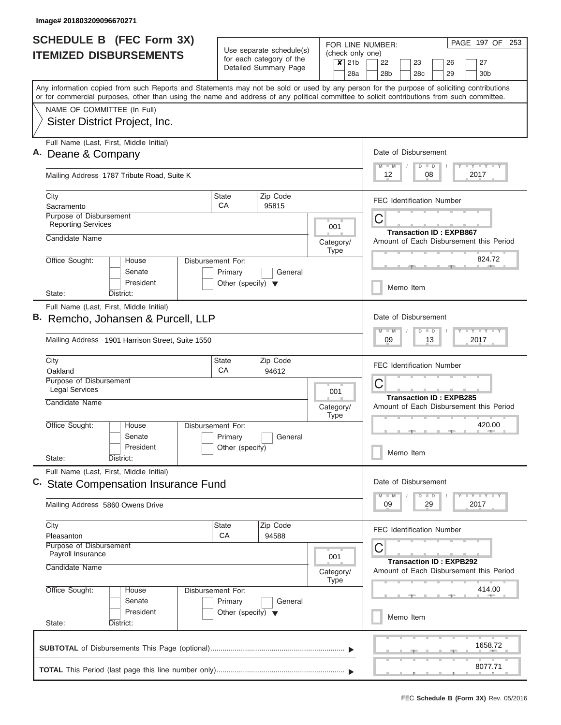| <b>SCHEDULE B</b> (FEC Form 3X)                                                                                                                                                                                                                                                         |                                                                      |                       |  |                                 |           | PAGE 197 OF 253<br>FOR LINE NUMBER:                                                                               |  |  |  |  |  |  |  |
|-----------------------------------------------------------------------------------------------------------------------------------------------------------------------------------------------------------------------------------------------------------------------------------------|----------------------------------------------------------------------|-----------------------|--|---------------------------------|-----------|-------------------------------------------------------------------------------------------------------------------|--|--|--|--|--|--|--|
| <b>ITEMIZED DISBURSEMENTS</b>                                                                                                                                                                                                                                                           | Use separate schedule(s)<br>for each category of the                 |                       |  | $x$ 21b                         |           | (check only one)<br>22<br>23<br>26<br>27                                                                          |  |  |  |  |  |  |  |
|                                                                                                                                                                                                                                                                                         |                                                                      | Detailed Summary Page |  |                                 | 28a       | 28 <sub>b</sub><br>28c<br>29<br>30 <sub>b</sub>                                                                   |  |  |  |  |  |  |  |
| Any information copied from such Reports and Statements may not be sold or used by any person for the purpose of soliciting contributions<br>or for commercial purposes, other than using the name and address of any political committee to solicit contributions from such committee. |                                                                      |                       |  |                                 |           |                                                                                                                   |  |  |  |  |  |  |  |
| NAME OF COMMITTEE (In Full)                                                                                                                                                                                                                                                             |                                                                      |                       |  |                                 |           |                                                                                                                   |  |  |  |  |  |  |  |
| Sister District Project, Inc.                                                                                                                                                                                                                                                           |                                                                      |                       |  |                                 |           |                                                                                                                   |  |  |  |  |  |  |  |
| Full Name (Last, First, Middle Initial)<br>A. Deane & Company                                                                                                                                                                                                                           |                                                                      |                       |  |                                 |           | Date of Disbursement                                                                                              |  |  |  |  |  |  |  |
| Mailing Address 1787 Tribute Road, Suite K                                                                                                                                                                                                                                              |                                                                      |                       |  |                                 |           | Y LY LY LY<br>$M$ $M$<br>$D$ $D$<br>2017<br>12<br>08                                                              |  |  |  |  |  |  |  |
| City<br>Sacramento                                                                                                                                                                                                                                                                      | State<br>CA                                                          | Zip Code<br>95815     |  |                                 |           | <b>FEC Identification Number</b>                                                                                  |  |  |  |  |  |  |  |
| Purpose of Disbursement                                                                                                                                                                                                                                                                 |                                                                      |                       |  |                                 |           | C                                                                                                                 |  |  |  |  |  |  |  |
| <b>Reporting Services</b>                                                                                                                                                                                                                                                               |                                                                      |                       |  | 001                             |           | <b>Transaction ID: EXPB867</b>                                                                                    |  |  |  |  |  |  |  |
| Candidate Name                                                                                                                                                                                                                                                                          |                                                                      |                       |  | Category/<br><b>Type</b>        |           | Amount of Each Disbursement this Period                                                                           |  |  |  |  |  |  |  |
| Office Sought:<br>House<br>Senate<br>President                                                                                                                                                                                                                                          | Disbursement For:<br>Primary<br>Other (specify) $\blacktriangledown$ | General               |  |                                 |           | 824.72                                                                                                            |  |  |  |  |  |  |  |
| State:<br>District:                                                                                                                                                                                                                                                                     |                                                                      |                       |  |                                 |           | Memo Item                                                                                                         |  |  |  |  |  |  |  |
| Full Name (Last, First, Middle Initial)                                                                                                                                                                                                                                                 |                                                                      |                       |  |                                 |           |                                                                                                                   |  |  |  |  |  |  |  |
| B. Remcho, Johansen & Purcell, LLP                                                                                                                                                                                                                                                      |                                                                      |                       |  |                                 |           | Date of Disbursement<br>$-1 - 1 - 1$<br>$M - M$<br>$\overline{D}$<br>D                                            |  |  |  |  |  |  |  |
| Mailing Address 1901 Harrison Street, Suite 1550                                                                                                                                                                                                                                        |                                                                      |                       |  |                                 |           | 09<br>13<br>2017                                                                                                  |  |  |  |  |  |  |  |
| City                                                                                                                                                                                                                                                                                    | State<br>CA                                                          | Zip Code              |  |                                 |           | <b>FEC Identification Number</b>                                                                                  |  |  |  |  |  |  |  |
| Oakland<br>Purpose of Disbursement                                                                                                                                                                                                                                                      |                                                                      | 94612                 |  |                                 |           | C                                                                                                                 |  |  |  |  |  |  |  |
| <b>Legal Services</b>                                                                                                                                                                                                                                                                   |                                                                      |                       |  | 001                             |           | <b>Transaction ID: EXPB285</b>                                                                                    |  |  |  |  |  |  |  |
| Candidate Name                                                                                                                                                                                                                                                                          |                                                                      |                       |  |                                 | Category/ | Amount of Each Disbursement this Period                                                                           |  |  |  |  |  |  |  |
| Office Sought:<br>House                                                                                                                                                                                                                                                                 | Disbursement For:                                                    |                       |  |                                 |           | 420.00                                                                                                            |  |  |  |  |  |  |  |
| Senate<br>President                                                                                                                                                                                                                                                                     | Primary                                                              | General               |  |                                 |           |                                                                                                                   |  |  |  |  |  |  |  |
| State:<br>District:                                                                                                                                                                                                                                                                     | Other (specify)                                                      |                       |  |                                 |           | Memo Item                                                                                                         |  |  |  |  |  |  |  |
| Full Name (Last, First, Middle Initial)<br>C. State Compensation Insurance Fund                                                                                                                                                                                                         |                                                                      |                       |  |                                 |           | Date of Disbursement                                                                                              |  |  |  |  |  |  |  |
| Mailing Address 5860 Owens Drive                                                                                                                                                                                                                                                        |                                                                      |                       |  |                                 |           | $\mathbb{L} \mathbf{Y} \mathbb{L} \mathbf{Y} \mathbb{L} \mathbf{Y}$<br>$M - M$<br>$\Box$<br>D<br>09<br>29<br>2017 |  |  |  |  |  |  |  |
| City                                                                                                                                                                                                                                                                                    | <b>State</b>                                                         | Zip Code              |  |                                 |           | <b>FEC Identification Number</b>                                                                                  |  |  |  |  |  |  |  |
| Pleasanton<br>Purpose of Disbursement<br>Payroll Insurance                                                                                                                                                                                                                              | CA                                                                   | 94588                 |  |                                 |           | С                                                                                                                 |  |  |  |  |  |  |  |
| Candidate Name                                                                                                                                                                                                                                                                          |                                                                      |                       |  | 001<br>Category/<br><b>Type</b> |           | <b>Transaction ID: EXPB292</b><br>Amount of Each Disbursement this Period                                         |  |  |  |  |  |  |  |
| Office Sought:<br>House<br>Senate                                                                                                                                                                                                                                                       | Disbursement For:<br>Primary                                         | General               |  |                                 |           | 414.00                                                                                                            |  |  |  |  |  |  |  |
| President<br>State:<br>District:                                                                                                                                                                                                                                                        | Other (specify) $\blacktriangledown$                                 |                       |  |                                 |           | Memo Item                                                                                                         |  |  |  |  |  |  |  |
|                                                                                                                                                                                                                                                                                         |                                                                      |                       |  |                                 |           | 1658.72                                                                                                           |  |  |  |  |  |  |  |
|                                                                                                                                                                                                                                                                                         |                                                                      |                       |  |                                 |           |                                                                                                                   |  |  |  |  |  |  |  |
|                                                                                                                                                                                                                                                                                         |                                                                      |                       |  |                                 |           | 8077.71                                                                                                           |  |  |  |  |  |  |  |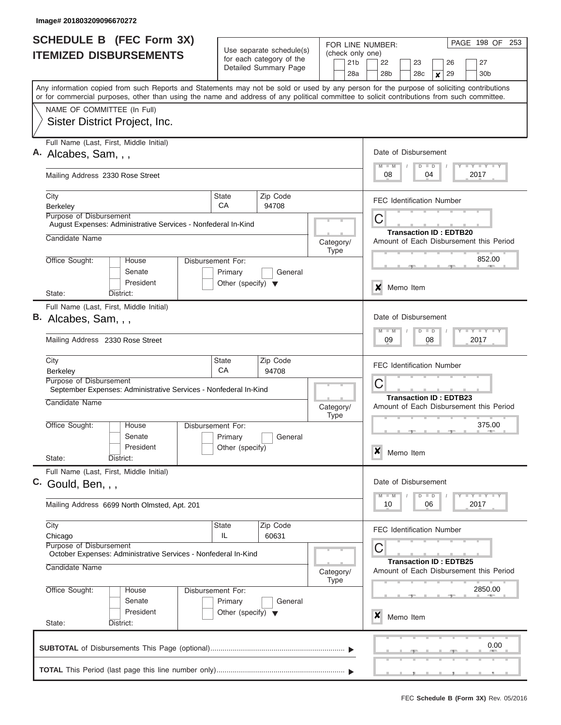| <b>SCHEDULE B</b> (FEC Form 3X)                                                                                                                                                                                                                                                         |                                                      |                          |  |                          |                 | FOR LINE NUMBER:                         |                                                                          |                                |                                  |  | PAGE 198 OF                                                                                                                                                                     | 253 |  |
|-----------------------------------------------------------------------------------------------------------------------------------------------------------------------------------------------------------------------------------------------------------------------------------------|------------------------------------------------------|--------------------------|--|--------------------------|-----------------|------------------------------------------|--------------------------------------------------------------------------|--------------------------------|----------------------------------|--|---------------------------------------------------------------------------------------------------------------------------------------------------------------------------------|-----|--|
| <b>ITEMIZED DISBURSEMENTS</b>                                                                                                                                                                                                                                                           | Use separate schedule(s)<br>for each category of the |                          |  |                          | 21 <sub>b</sub> | (check only one)<br>22<br>23<br>26<br>27 |                                                                          |                                |                                  |  |                                                                                                                                                                                 |     |  |
|                                                                                                                                                                                                                                                                                         |                                                      | Detailed Summary Page    |  |                          | 28a             | 28 <sub>b</sub>                          |                                                                          | 28c                            | 29<br>$\pmb{\times}$             |  | 30 <sub>b</sub>                                                                                                                                                                 |     |  |
| Any information copied from such Reports and Statements may not be sold or used by any person for the purpose of soliciting contributions<br>or for commercial purposes, other than using the name and address of any political committee to solicit contributions from such committee. |                                                      |                          |  |                          |                 |                                          |                                                                          |                                |                                  |  |                                                                                                                                                                                 |     |  |
| NAME OF COMMITTEE (In Full)                                                                                                                                                                                                                                                             |                                                      |                          |  |                          |                 |                                          |                                                                          |                                |                                  |  |                                                                                                                                                                                 |     |  |
| Sister District Project, Inc.                                                                                                                                                                                                                                                           |                                                      |                          |  |                          |                 |                                          |                                                                          |                                |                                  |  |                                                                                                                                                                                 |     |  |
| Full Name (Last, First, Middle Initial)<br>A. Alcabes, Sam, , ,                                                                                                                                                                                                                         |                                                      |                          |  |                          |                 |                                          |                                                                          | Date of Disbursement           |                                  |  |                                                                                                                                                                                 |     |  |
| Mailing Address 2330 Rose Street                                                                                                                                                                                                                                                        |                                                      |                          |  |                          |                 | $M$ $M$<br>08                            |                                                                          | $D$ $D$<br>04                  |                                  |  | <b>LY LY LY</b><br>2017                                                                                                                                                         |     |  |
| City<br>Berkeley                                                                                                                                                                                                                                                                        | State<br>CA                                          | Zip Code<br>94708        |  |                          |                 | <b>FEC Identification Number</b>         |                                                                          |                                |                                  |  |                                                                                                                                                                                 |     |  |
| <b>Purpose of Disbursement</b><br>August Expenses: Administrative Services - Nonfederal In-Kind                                                                                                                                                                                         |                                                      |                          |  |                          | C               |                                          |                                                                          |                                |                                  |  |                                                                                                                                                                                 |     |  |
| Candidate Name                                                                                                                                                                                                                                                                          |                                                      |                          |  | Category/<br><b>Type</b> |                 |                                          |                                                                          |                                | <b>Transaction ID: EDTB20</b>    |  | Amount of Each Disbursement this Period                                                                                                                                         |     |  |
| Office Sought:<br>House<br>Senate                                                                                                                                                                                                                                                       | Disbursement For:<br>Primary                         | General                  |  |                          |                 |                                          |                                                                          |                                |                                  |  | 852.00                                                                                                                                                                          |     |  |
| President<br>State:<br>District:                                                                                                                                                                                                                                                        | Other (specify) $\blacktriangledown$                 |                          |  |                          |                 | x                                        | Memo Item                                                                |                                |                                  |  |                                                                                                                                                                                 |     |  |
| Full Name (Last, First, Middle Initial)                                                                                                                                                                                                                                                 |                                                      |                          |  |                          |                 |                                          |                                                                          |                                |                                  |  |                                                                                                                                                                                 |     |  |
| B. Alcabes, Sam, , ,                                                                                                                                                                                                                                                                    |                                                      |                          |  |                          |                 | Date of Disbursement<br>$M - M$          |                                                                          | $D$ $D$                        |                                  |  | $-Y$ $+Y$ $+Y$                                                                                                                                                                  |     |  |
| Mailing Address 2330 Rose Street                                                                                                                                                                                                                                                        |                                                      | 09                       |  | 08                       |                 |                                          | 2017                                                                     |                                |                                  |  |                                                                                                                                                                                 |     |  |
| City<br>Berkeley                                                                                                                                                                                                                                                                        | State<br>Zip Code<br>CA<br>94708                     |                          |  |                          |                 |                                          |                                                                          |                                | <b>FEC Identification Number</b> |  |                                                                                                                                                                                 |     |  |
| Purpose of Disbursement<br>September Expenses: Administrative Services - Nonfederal In-Kind                                                                                                                                                                                             |                                                      |                          |  |                          |                 |                                          |                                                                          |                                |                                  |  |                                                                                                                                                                                 |     |  |
| Candidate Name                                                                                                                                                                                                                                                                          |                                                      | Category/<br><b>Type</b> |  |                          |                 |                                          | <b>Transaction ID: EDTB23</b><br>Amount of Each Disbursement this Period |                                |                                  |  |                                                                                                                                                                                 |     |  |
| Office Sought:<br>House<br>Senate                                                                                                                                                                                                                                                       | Disbursement For:<br>Primary                         | General                  |  |                          |                 |                                          |                                                                          |                                |                                  |  | 375.00                                                                                                                                                                          |     |  |
| President<br>State:<br>District:                                                                                                                                                                                                                                                        | Other (specify)                                      |                          |  |                          |                 | X                                        | Memo Item                                                                |                                |                                  |  |                                                                                                                                                                                 |     |  |
| Full Name (Last, First, Middle Initial)<br>C. Gould, Ben, , ,                                                                                                                                                                                                                           |                                                      |                          |  |                          |                 | Date of Disbursement                     |                                                                          |                                |                                  |  |                                                                                                                                                                                 |     |  |
| Mailing Address 6699 North Olmsted, Apt. 201                                                                                                                                                                                                                                            |                                                      |                          |  |                          |                 | $M - M$<br>10                            |                                                                          | $\Box$<br>$\overline{D}$<br>06 |                                  |  | $\frac{1}{2}$ $\frac{1}{2}$ $\frac{1}{2}$ $\frac{1}{2}$ $\frac{1}{2}$ $\frac{1}{2}$ $\frac{1}{2}$ $\frac{1}{2}$ $\frac{1}{2}$ $\frac{1}{2}$ $\frac{1}{2}$ $\frac{1}{2}$<br>2017 |     |  |
| City<br>Chicago                                                                                                                                                                                                                                                                         | State<br>IL.                                         | Zip Code<br>60631        |  |                          |                 | <b>FEC Identification Number</b>         |                                                                          |                                |                                  |  |                                                                                                                                                                                 |     |  |
| Purpose of Disbursement<br>October Expenses: Administrative Services - Nonfederal In-Kind                                                                                                                                                                                               |                                                      |                          |  |                          |                 | C                                        |                                                                          |                                | <b>Transaction ID: EDTB25</b>    |  |                                                                                                                                                                                 |     |  |
| Candidate Name                                                                                                                                                                                                                                                                          |                                                      |                          |  | Category/<br><b>Type</b> |                 |                                          |                                                                          |                                |                                  |  | Amount of Each Disbursement this Period                                                                                                                                         |     |  |
| Office Sought:<br>House<br>Senate                                                                                                                                                                                                                                                       | Disbursement For:<br>Primary                         | General                  |  |                          |                 |                                          |                                                                          |                                |                                  |  | 2850.00                                                                                                                                                                         |     |  |
| President<br>State:<br>District:                                                                                                                                                                                                                                                        | Other (specify) $\blacktriangledown$                 |                          |  |                          |                 | x                                        | Memo Item                                                                |                                |                                  |  |                                                                                                                                                                                 |     |  |
|                                                                                                                                                                                                                                                                                         |                                                      |                          |  |                          |                 |                                          |                                                                          |                                |                                  |  | <b>Contract Contract Contract</b><br>0.00                                                                                                                                       |     |  |
|                                                                                                                                                                                                                                                                                         |                                                      |                          |  |                          |                 |                                          |                                                                          |                                |                                  |  |                                                                                                                                                                                 |     |  |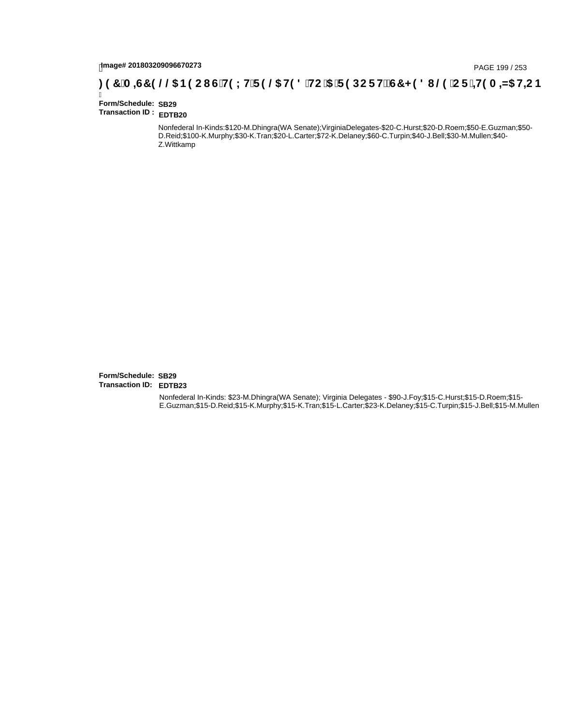# hmage# 201803209096670273<br>DAGE 199 / 253 PAGE 199 / 253<br>**DAGE 199 / CF : +19 A =N5 H=C B** ( 3 T C F H5 LH F 9 @ H9 8 `HC `5 `F 9 DC F H $\breve{c}$ G7 < 9 8 I . @ `C F

| Form/Schedule: SB29    |  |
|------------------------|--|
| Transaction ID: EDTB20 |  |

Nonfederal In-Kinds:\$120-M.Dhingra(WA Senate);VirginiaDelegates-\$20-C.Hurst;\$20-D.Roem;\$50-E.Guzman;\$50- D.Reid;\$100-K.Murphy;\$30-K.Tran;\$20-L.Carter;\$72-K.Delaney;\$60-C.Turpin;\$40-J.Bell;\$30-M.Mullen;\$40- Z.Wittkamp

**Form/Schedule: SB29 Transaction ID: EDTB23**

> Nonfederal In-Kinds: \$23-M.Dhingra(WA Senate); Virginia Delegates - \$90-J.Foy;\$15-C.Hurst;\$15-D.Roem;\$15- E.Guzman;\$15-D.Reid;\$15-K.Murphy;\$15-K.Tran;\$15-L.Carter;\$23-K.Delaney;\$15-C.Turpin;\$15-J.Bell;\$15-M.Mullen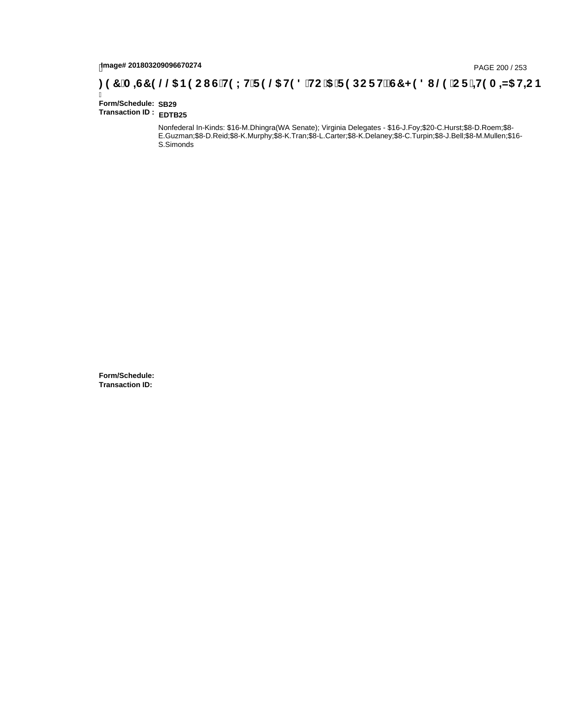# hmage# 201803209096670274<br>DAGE 2007253 (286 B9CI G`H9LH`F9 @ H98 `HC `5 `F9 DCF HžG7 < 981 (@ `CF `<del>+I</del>9A =N5 H=C B : 97 `A =G7 9 @ `B9 CI G`H9LH`F9 @ H98 `HC `5 `F9 DCF HžG7 < 981 (@ `CF `<del>+I</del>9A =N5 H=C B

Ī **Form/Schedule: SB29 Transaction ID : EDTB25**

> Nonfederal In-Kinds: \$16-M.Dhingra(WA Senate); Virginia Delegates - \$16-J.Foy;\$20-C.Hurst;\$8-D.Roem;\$8- E.Guzman;\$8-D.Reid;\$8-K.Murphy;\$8-K.Tran;\$8-L.Carter;\$8-K.Delaney;\$8-C.Turpin;\$8-J.Bell;\$8-M.Mullen;\$16- S.Simonds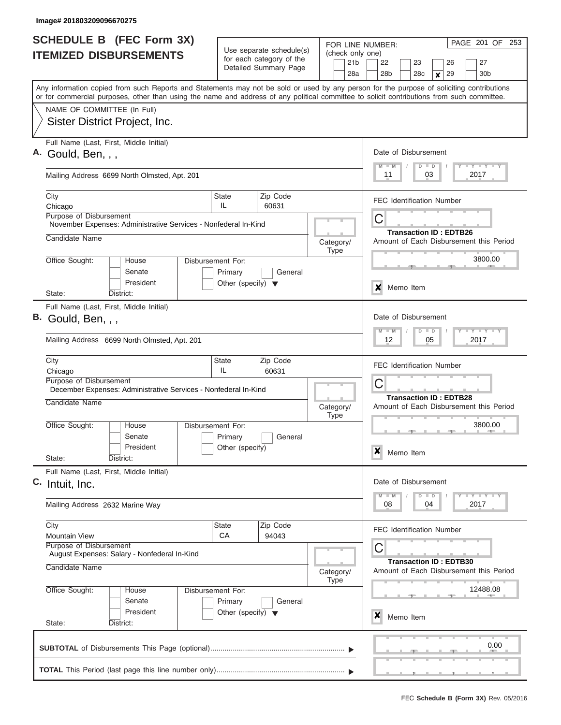| <b>SCHEDULE B</b> (FEC Form 3X)                                                                                                                                                                                                                                                         |                                      |                                                      | FOR LINE NUMBER:         | PAGE 201 OF<br>253                                                                                                          |  |  |  |  |  |  |
|-----------------------------------------------------------------------------------------------------------------------------------------------------------------------------------------------------------------------------------------------------------------------------------------|--------------------------------------|------------------------------------------------------|--------------------------|-----------------------------------------------------------------------------------------------------------------------------|--|--|--|--|--|--|
| <b>ITEMIZED DISBURSEMENTS</b>                                                                                                                                                                                                                                                           |                                      | Use separate schedule(s)<br>for each category of the | (check only one)         |                                                                                                                             |  |  |  |  |  |  |
|                                                                                                                                                                                                                                                                                         |                                      | Detailed Summary Page                                | 21 <sub>b</sub><br>28a   | 22<br>23<br>26<br>27<br>28 <sub>b</sub><br>28c<br>29<br>30 <sub>b</sub><br>$\pmb{\times}$                                   |  |  |  |  |  |  |
| Any information copied from such Reports and Statements may not be sold or used by any person for the purpose of soliciting contributions<br>or for commercial purposes, other than using the name and address of any political committee to solicit contributions from such committee. |                                      |                                                      |                          |                                                                                                                             |  |  |  |  |  |  |
| NAME OF COMMITTEE (In Full)                                                                                                                                                                                                                                                             |                                      |                                                      |                          |                                                                                                                             |  |  |  |  |  |  |
| Sister District Project, Inc.                                                                                                                                                                                                                                                           |                                      |                                                      |                          |                                                                                                                             |  |  |  |  |  |  |
| Full Name (Last, First, Middle Initial)<br>A. Gould, Ben, , ,                                                                                                                                                                                                                           |                                      |                                                      |                          | Date of Disbursement                                                                                                        |  |  |  |  |  |  |
| Mailing Address 6699 North Olmsted, Apt. 201                                                                                                                                                                                                                                            |                                      |                                                      |                          | <b>LY LY LY</b><br>$D$ $D$<br>$M$ $M$<br>03<br>2017<br>11                                                                   |  |  |  |  |  |  |
| City<br>Chicago                                                                                                                                                                                                                                                                         | State<br>IL                          | Zip Code<br>60631                                    |                          | <b>FEC Identification Number</b>                                                                                            |  |  |  |  |  |  |
| <b>Purpose of Disbursement</b><br>November Expenses: Administrative Services - Nonfederal In-Kind                                                                                                                                                                                       |                                      |                                                      |                          | C                                                                                                                           |  |  |  |  |  |  |
| Candidate Name                                                                                                                                                                                                                                                                          |                                      |                                                      | Category/<br><b>Type</b> | <b>Transaction ID: EDTB26</b><br>Amount of Each Disbursement this Period                                                    |  |  |  |  |  |  |
| Office Sought:<br>House<br>Senate                                                                                                                                                                                                                                                       | Disbursement For:<br>Primary         | General                                              |                          | 3800.00                                                                                                                     |  |  |  |  |  |  |
| President<br>State:<br>District:                                                                                                                                                                                                                                                        | Other (specify) $\blacktriangledown$ |                                                      |                          | x<br>Memo Item                                                                                                              |  |  |  |  |  |  |
| Full Name (Last, First, Middle Initial)                                                                                                                                                                                                                                                 |                                      |                                                      |                          |                                                                                                                             |  |  |  |  |  |  |
| B. Gould, Ben, , ,                                                                                                                                                                                                                                                                      |                                      |                                                      |                          | Date of Disbursement<br>$\mathbf{I} = \mathbf{Y} - \mathbf{I} - \mathbf{Y} - \mathbf{I} - \mathbf{Y}$<br>$M - M$<br>$D$ $D$ |  |  |  |  |  |  |
| Mailing Address 6699 North Olmsted, Apt. 201                                                                                                                                                                                                                                            |                                      |                                                      |                          | 2017<br>12<br>05                                                                                                            |  |  |  |  |  |  |
| City                                                                                                                                                                                                                                                                                    | State                                | Zip Code                                             |                          | <b>FEC Identification Number</b>                                                                                            |  |  |  |  |  |  |
| Chicago<br>Purpose of Disbursement                                                                                                                                                                                                                                                      | IL                                   | 60631                                                |                          |                                                                                                                             |  |  |  |  |  |  |
| December Expenses: Administrative Services - Nonfederal In-Kind                                                                                                                                                                                                                         |                                      |                                                      |                          | C                                                                                                                           |  |  |  |  |  |  |
| Candidate Name                                                                                                                                                                                                                                                                          |                                      |                                                      | Category/<br><b>Type</b> | <b>Transaction ID: EDTB28</b><br>Amount of Each Disbursement this Period                                                    |  |  |  |  |  |  |
| Office Sought:<br>House<br>Senate                                                                                                                                                                                                                                                       | Disbursement For:                    |                                                      |                          | 3800.00                                                                                                                     |  |  |  |  |  |  |
| President                                                                                                                                                                                                                                                                               | Primary<br>Other (specify)           | General                                              |                          |                                                                                                                             |  |  |  |  |  |  |
| State:<br>District:                                                                                                                                                                                                                                                                     |                                      |                                                      |                          | X<br>Memo Item                                                                                                              |  |  |  |  |  |  |
| Full Name (Last, First, Middle Initial)<br>C. Intuit, Inc.                                                                                                                                                                                                                              |                                      |                                                      |                          | Date of Disbursement                                                                                                        |  |  |  |  |  |  |
|                                                                                                                                                                                                                                                                                         |                                      |                                                      |                          | $\mathbb{L} \mathbf{Y} \mathbb{L} \mathbf{Y} \mathbb{L} \mathbf{Y}$<br>$M - M$<br>$\Box$<br>D                               |  |  |  |  |  |  |
| Mailing Address 2632 Marine Way                                                                                                                                                                                                                                                         |                                      |                                                      |                          | 2017<br>08<br>04                                                                                                            |  |  |  |  |  |  |
| City<br><b>Mountain View</b>                                                                                                                                                                                                                                                            | State<br>CA                          | Zip Code<br>94043                                    |                          | <b>FEC Identification Number</b>                                                                                            |  |  |  |  |  |  |
| Purpose of Disbursement<br>August Expenses: Salary - Nonfederal In-Kind                                                                                                                                                                                                                 |                                      |                                                      |                          | С                                                                                                                           |  |  |  |  |  |  |
| Candidate Name                                                                                                                                                                                                                                                                          |                                      |                                                      | Category/<br><b>Type</b> | <b>Transaction ID: EDTB30</b><br>Amount of Each Disbursement this Period                                                    |  |  |  |  |  |  |
| Office Sought:<br>House<br>Senate                                                                                                                                                                                                                                                       | Disbursement For:<br>Primary         | General                                              |                          | 12488.08                                                                                                                    |  |  |  |  |  |  |
| President<br>State:<br>District:                                                                                                                                                                                                                                                        | Other (specify) $\blacktriangledown$ |                                                      |                          | x<br>Memo Item                                                                                                              |  |  |  |  |  |  |
|                                                                                                                                                                                                                                                                                         |                                      |                                                      |                          | $\sim$<br>0.00                                                                                                              |  |  |  |  |  |  |
|                                                                                                                                                                                                                                                                                         |                                      |                                                      |                          |                                                                                                                             |  |  |  |  |  |  |
|                                                                                                                                                                                                                                                                                         |                                      |                                                      |                          |                                                                                                                             |  |  |  |  |  |  |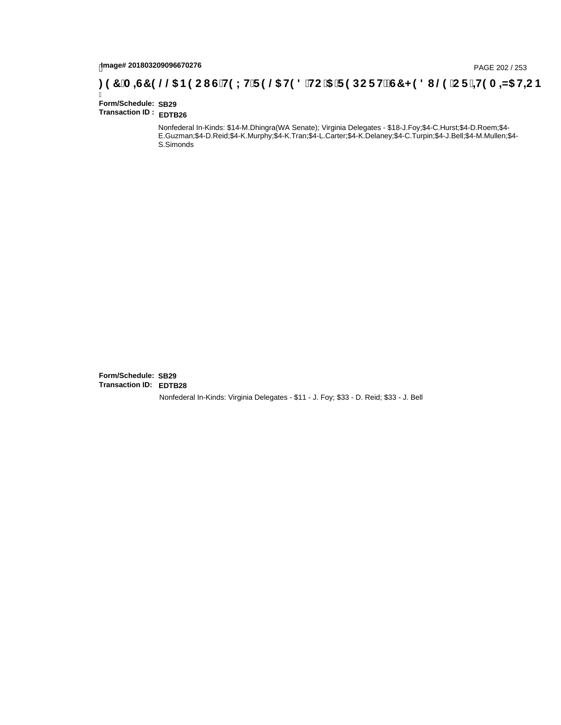# hmage# 201803209096670276<br>DAGE 202 / 253 PAGE 202 / 253<br>**DAGE 200, THE CITE 1 (26) THE CITE 1 (20) THE CITE 1 (20) THE CITE 1 19 A CITE 1 419 A -N5 H=C B** 3 .

Ī **Form/Schedule: SB29 Transaction ID : EDTB26**

> Nonfederal In-Kinds: \$14-M.Dhingra(WA Senate); Virginia Delegates - \$18-J.Foy;\$4-C.Hurst;\$4-D.Roem;\$4- E.Guzman;\$4-D.Reid;\$4-K.Murphy;\$4-K.Tran;\$4-L.Carter;\$4-K.Delaney;\$4-C.Turpin;\$4-J.Bell;\$4-M.Mullen;\$4- S.Simonds

**Form/Schedule: SB29 Transaction ID: EDTB28**Nonfederal In-Kinds: Virginia Delegates - \$11 - J. Foy; \$33 - D. Reid; \$33 - J. Bell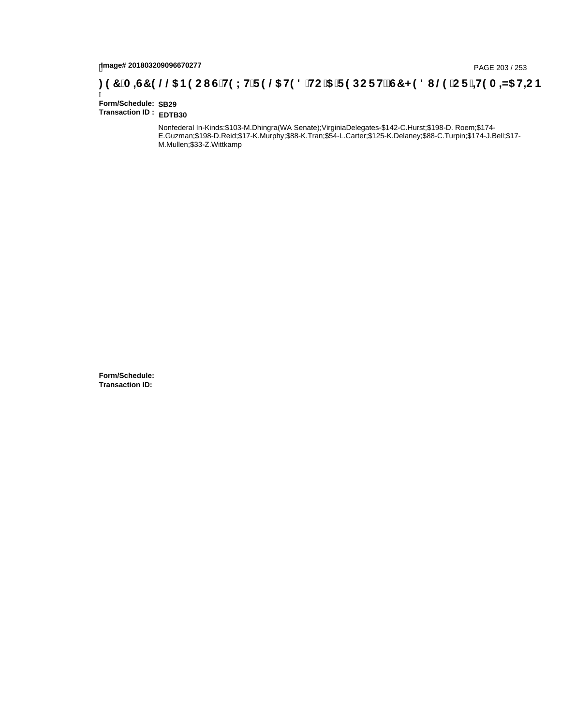# page# 201803209096670277<br>Denge# 201803209096670277<br>**( Op `C F `+H9 A =N5 H=C B {\diggs** B9 C I } G`H9 L H`F 9 @ H9 8 `HC `5 `F 9 DC F H $\breve{c}$ G7 < 9 8 I @ `C F `<del>+H</del>9 A =N5 H=C B

Ī **Form/Schedule: SB29 Transaction ID : EDTB30**

> Nonfederal In-Kinds:\$103-M.Dhingra(WA Senate);VirginiaDelegates-\$142-C.Hurst;\$198-D. Roem;\$174- E.Guzman;\$198-D.Reid;\$17-K.Murphy;\$88-K.Tran;\$54-L.Carter;\$125-K.Delaney;\$88-C.Turpin;\$174-J.Bell;\$17- M.Mullen;\$33-Z.Wittkamp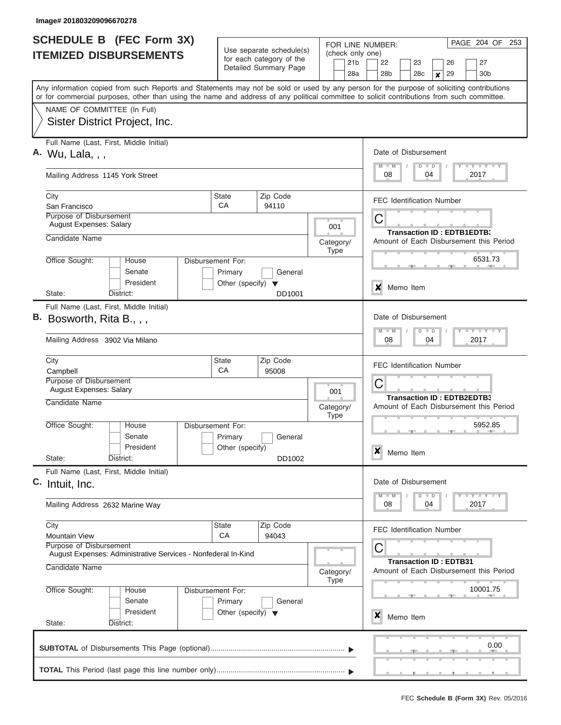| SCHEDULE B (FEC Form 3X)                                                                                                                                                                                                                                                                |                                                 |                                                                                                                                                 | FOR LINE NUMBER:                           | PAGE 204 OF<br>253                                                                        |  |  |  |  |  |  |
|-----------------------------------------------------------------------------------------------------------------------------------------------------------------------------------------------------------------------------------------------------------------------------------------|-------------------------------------------------|-------------------------------------------------------------------------------------------------------------------------------------------------|--------------------------------------------|-------------------------------------------------------------------------------------------|--|--|--|--|--|--|
| <b>ITEMIZED DISBURSEMENTS</b>                                                                                                                                                                                                                                                           |                                                 | Use separate schedule(s)<br>for each category of the<br>Detailed Summary Page                                                                   | (check only one)<br>21 <sub>b</sub><br>28a | 22<br>23<br>26<br>27<br>28 <sub>b</sub><br>28c<br>29<br>30 <sub>b</sub><br>$\pmb{\times}$ |  |  |  |  |  |  |
| Any information copied from such Reports and Statements may not be sold or used by any person for the purpose of soliciting contributions<br>or for commercial purposes, other than using the name and address of any political committee to solicit contributions from such committee. |                                                 |                                                                                                                                                 |                                            |                                                                                           |  |  |  |  |  |  |
| NAME OF COMMITTEE (In Full)<br>Sister District Project, Inc.                                                                                                                                                                                                                            |                                                 |                                                                                                                                                 |                                            |                                                                                           |  |  |  |  |  |  |
| Full Name (Last, First, Middle Initial)<br>A. Wu, Lala, , ,                                                                                                                                                                                                                             |                                                 |                                                                                                                                                 |                                            | Date of Disbursement<br><b>TEY TEY TEY</b><br>$M$ $M$<br>$D$ $D$                          |  |  |  |  |  |  |
| Mailing Address 1145 York Street                                                                                                                                                                                                                                                        |                                                 |                                                                                                                                                 |                                            | 08<br>04<br>2017                                                                          |  |  |  |  |  |  |
| City<br>San Francisco<br>Purpose of Disbursement                                                                                                                                                                                                                                        | State<br>CA                                     | Zip Code<br>94110                                                                                                                               |                                            | <b>FEC Identification Number</b>                                                          |  |  |  |  |  |  |
| <b>August Expenses: Salary</b><br>Candidate Name                                                                                                                                                                                                                                        |                                                 |                                                                                                                                                 | 001<br>Category/                           | C<br><b>Transaction ID: EDTB1EDTB3</b><br>Amount of Each Disbursement this Period         |  |  |  |  |  |  |
| Office Sought:<br>House                                                                                                                                                                                                                                                                 | Disbursement For:                               |                                                                                                                                                 | <b>Type</b>                                | 6531.73                                                                                   |  |  |  |  |  |  |
| Senate<br>President<br>State:<br>District:                                                                                                                                                                                                                                              | Primary<br>Other (specify) $\blacktriangledown$ | General<br>DD1001                                                                                                                               |                                            | X<br>Memo Item                                                                            |  |  |  |  |  |  |
| Full Name (Last, First, Middle Initial)<br>$B.$ Bosworth, Rita B., , ,<br>Mailing Address 3902 Via Milano                                                                                                                                                                               |                                                 | Date of Disbursement<br>$\mathbf{I} = \mathbf{Y} - \mathbf{I} - \mathbf{Y} - \mathbf{I} - \mathbf{Y}$<br>$M - M$<br>$D$ $D$<br>04<br>2017<br>08 |                                            |                                                                                           |  |  |  |  |  |  |
| City<br>Campbell                                                                                                                                                                                                                                                                        | State<br>CA                                     |                                                                                                                                                 | <b>FEC Identification Number</b>           |                                                                                           |  |  |  |  |  |  |
| Purpose of Disbursement<br><b>August Expenses: Salary</b><br>Candidate Name                                                                                                                                                                                                             |                                                 | 001                                                                                                                                             | C<br>Transaction ID: EDTB2EDTB3            |                                                                                           |  |  |  |  |  |  |
| Office Sought:<br>House                                                                                                                                                                                                                                                                 | Disbursement For:                               |                                                                                                                                                 | Category/<br><b>Type</b>                   | Amount of Each Disbursement this Period<br>5952.85                                        |  |  |  |  |  |  |
| Senate<br>President<br>State:<br>District:                                                                                                                                                                                                                                              | Primary<br>Other (specify)                      | General<br>DD1002                                                                                                                               |                                            | X<br>Memo Item                                                                            |  |  |  |  |  |  |
| Full Name (Last, First, Middle Initial)<br>C. Intuit, Inc.                                                                                                                                                                                                                              |                                                 |                                                                                                                                                 |                                            | Date of Disbursement                                                                      |  |  |  |  |  |  |
| Mailing Address 2632 Marine Way                                                                                                                                                                                                                                                         |                                                 |                                                                                                                                                 |                                            | $T - Y = T - Y$<br>$M - M$<br>$\Box$<br>D<br>2017<br>08<br>04                             |  |  |  |  |  |  |
| City<br><b>Mountain View</b><br>Purpose of Disbursement                                                                                                                                                                                                                                 | State<br>CA                                     | Zip Code<br>94043                                                                                                                               |                                            | <b>FEC Identification Number</b>                                                          |  |  |  |  |  |  |
| August Expenses: Administrative Services - Nonfederal In-Kind<br>Candidate Name                                                                                                                                                                                                         |                                                 |                                                                                                                                                 | Category/<br><b>Type</b>                   | С<br><b>Transaction ID: EDTB31</b><br>Amount of Each Disbursement this Period             |  |  |  |  |  |  |
| Office Sought:<br>House<br>Senate                                                                                                                                                                                                                                                       | Disbursement For:<br>Primary                    | General                                                                                                                                         |                                            | 10001.75                                                                                  |  |  |  |  |  |  |
| President<br>State:<br>District:                                                                                                                                                                                                                                                        | Other (specify) $\blacktriangledown$            |                                                                                                                                                 |                                            | x<br>Memo Item                                                                            |  |  |  |  |  |  |
|                                                                                                                                                                                                                                                                                         |                                                 |                                                                                                                                                 |                                            | $\sim$<br>0.00                                                                            |  |  |  |  |  |  |
|                                                                                                                                                                                                                                                                                         |                                                 |                                                                                                                                                 |                                            |                                                                                           |  |  |  |  |  |  |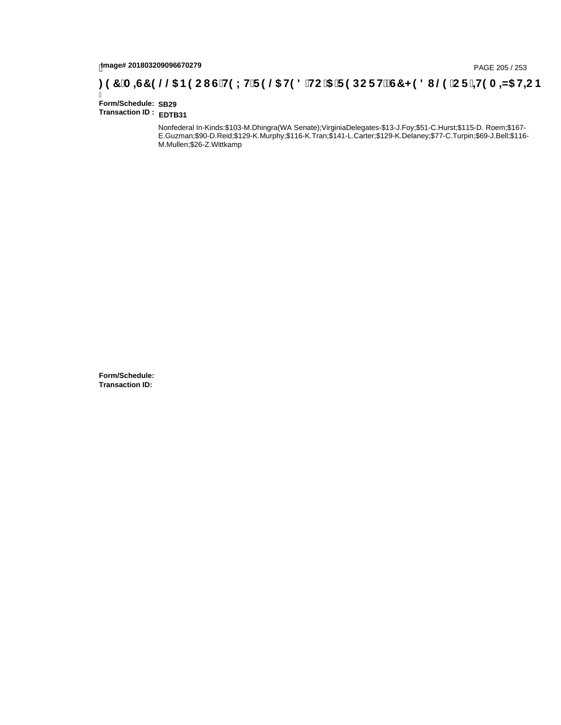# page# 201803209096670279<br>DAGE 205 / 253 PAGE 205 / 253<br>**DAGE 200, IS HOLH F 9 @ H9 8 `HC `5 `F 9 DC F Hž G7 < 9 8 I @ `C F `<del>J 1</del>9 A =N5 H=C B : 97 `A =S7 9 @ & B9 C I G`H9 L H F 9 @ H9 8 `HC `5 `F 9 DC F H** $\breve{E}$ **G7 < 9**

Ī **Form/Schedule: SB29 Transaction ID : EDTB31**

> Nonfederal In-Kinds:\$103-M.Dhingra(WA Senate);VirginiaDelegates-\$13-J.Foy;\$51-C.Hurst;\$115-D. Roem;\$167- E.Guzman;\$90-D.Reid;\$129-K.Murphy;\$116-K.Tran;\$141-L.Carter;\$129-K.Delaney;\$77-C.Turpin;\$69-J.Bell;\$116- M.Mullen;\$26-Z.Wittkamp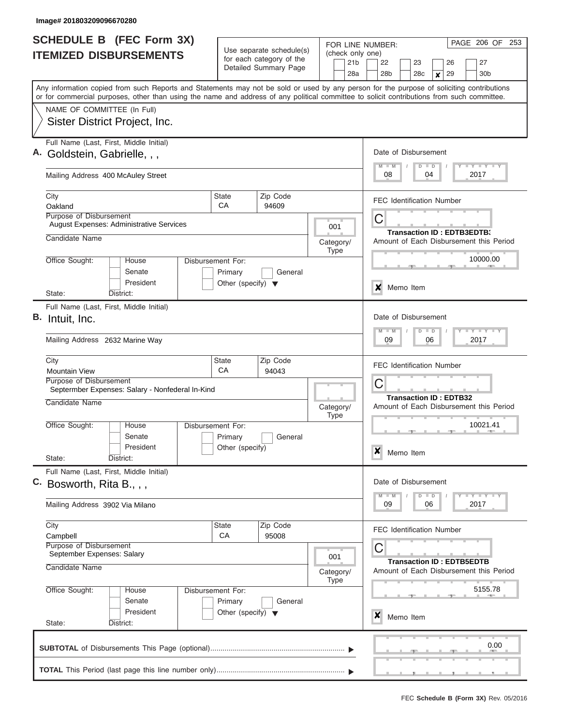|    | <b>SCHEDULE B (FEC Form 3X)</b><br><b>ITEMIZED DISBURSEMENTS</b>                                                                                                                                                                                                                        |                                                                      | Use separate schedule(s)                          | FOR LINE NUMBER:<br>(check only one) | PAGE 206 OF 253                                                                  |  |  |  |  |  |
|----|-----------------------------------------------------------------------------------------------------------------------------------------------------------------------------------------------------------------------------------------------------------------------------------------|----------------------------------------------------------------------|---------------------------------------------------|--------------------------------------|----------------------------------------------------------------------------------|--|--|--|--|--|
|    |                                                                                                                                                                                                                                                                                         |                                                                      | for each category of the<br>Detailed Summary Page | 21 <sub>b</sub><br>28a               | 22<br>23<br>26<br>27<br>28 <sub>b</sub><br>29<br>28c<br>30 <sub>b</sub><br>X     |  |  |  |  |  |
|    | Any information copied from such Reports and Statements may not be sold or used by any person for the purpose of soliciting contributions<br>or for commercial purposes, other than using the name and address of any political committee to solicit contributions from such committee. |                                                                      |                                                   |                                      |                                                                                  |  |  |  |  |  |
|    | NAME OF COMMITTEE (In Full)<br>Sister District Project, Inc.                                                                                                                                                                                                                            |                                                                      |                                                   |                                      |                                                                                  |  |  |  |  |  |
|    | Full Name (Last, First, Middle Initial)<br>Goldstein, Gabrielle, , ,                                                                                                                                                                                                                    |                                                                      |                                                   |                                      |                                                                                  |  |  |  |  |  |
|    | Mailing Address 400 McAuley Street                                                                                                                                                                                                                                                      |                                                                      | 08<br>04<br>2017                                  |                                      |                                                                                  |  |  |  |  |  |
|    | City<br>Oakland                                                                                                                                                                                                                                                                         | <b>State</b><br>CA                                                   | Zip Code<br>94609                                 |                                      | <b>FEC Identification Number</b>                                                 |  |  |  |  |  |
|    | Purpose of Disbursement<br><b>August Expenses: Administrative Services</b>                                                                                                                                                                                                              |                                                                      |                                                   | 001                                  | С<br><b>Transaction ID: EDTB3EDTB3</b>                                           |  |  |  |  |  |
|    | Candidate Name<br>Office Sought:                                                                                                                                                                                                                                                        |                                                                      |                                                   | Category/<br><b>Type</b>             | Amount of Each Disbursement this Period<br>10000.00                              |  |  |  |  |  |
|    | House<br>Senate<br>President                                                                                                                                                                                                                                                            | Disbursement For:<br>Primary<br>Other (specify) $\blacktriangledown$ | General                                           |                                      | ×<br>Memo Item                                                                   |  |  |  |  |  |
|    | State:<br>District:<br>Full Name (Last, First, Middle Initial)                                                                                                                                                                                                                          |                                                                      |                                                   |                                      |                                                                                  |  |  |  |  |  |
| В. | Intuit, Inc.                                                                                                                                                                                                                                                                            |                                                                      |                                                   |                                      | Date of Disbursement<br>Y FY FY FY<br>$M - M$<br>$D$ $D$                         |  |  |  |  |  |
|    | Mailing Address 2632 Marine Way                                                                                                                                                                                                                                                         |                                                                      |                                                   |                                      | 09<br>06<br>2017                                                                 |  |  |  |  |  |
|    | City<br><b>Mountain View</b>                                                                                                                                                                                                                                                            | <b>State</b><br>CA                                                   | Zip Code<br>94043                                 |                                      | <b>FEC Identification Number</b>                                                 |  |  |  |  |  |
|    | Purpose of Disbursement<br>Septermber Expenses: Salary - Nonfederal In-Kind                                                                                                                                                                                                             |                                                                      |                                                   |                                      | С<br><b>Transaction ID: EDTB32</b>                                               |  |  |  |  |  |
|    | Candidate Name                                                                                                                                                                                                                                                                          |                                                                      |                                                   | Category/<br><b>Type</b>             | Amount of Each Disbursement this Period                                          |  |  |  |  |  |
|    | Office Sought:<br>House<br>Senate<br>President                                                                                                                                                                                                                                          | Disbursement For:<br>Primary<br>Other (specify)                      | General                                           |                                      | 10021.41                                                                         |  |  |  |  |  |
|    | State:<br>District:                                                                                                                                                                                                                                                                     |                                                                      |                                                   |                                      | ×<br>Memo Item                                                                   |  |  |  |  |  |
|    | Full Name (Last, First, Middle Initial)<br>C. Bosworth, Rita B., , ,                                                                                                                                                                                                                    |                                                                      |                                                   |                                      | Date of Disbursement<br>$Y$ $Y$ $Y$ $Y$ $Y$<br>$M$ $M$<br>$D$ $D$                |  |  |  |  |  |
|    | Mailing Address 3902 Via Milano                                                                                                                                                                                                                                                         |                                                                      |                                                   |                                      | 2017<br>09<br>06                                                                 |  |  |  |  |  |
|    | City<br>Campbell                                                                                                                                                                                                                                                                        | State<br><b>CA</b>                                                   | Zip Code<br>95008                                 |                                      | <b>FEC Identification Number</b>                                                 |  |  |  |  |  |
|    | Purpose of Disbursement<br>September Expenses: Salary<br>Candidate Name                                                                                                                                                                                                                 |                                                                      |                                                   | 001                                  | С<br><b>Transaction ID: EDTB5EDTB</b><br>Amount of Each Disbursement this Period |  |  |  |  |  |
|    | Office Sought:<br>House                                                                                                                                                                                                                                                                 | Disbursement For:                                                    |                                                   | Category/<br><b>Type</b>             | 5155.78                                                                          |  |  |  |  |  |
|    | Senate<br>President                                                                                                                                                                                                                                                                     | Primary<br>Other (specify) $\blacktriangledown$                      | General                                           |                                      | X<br>Memo Item                                                                   |  |  |  |  |  |
|    | State:<br>District:                                                                                                                                                                                                                                                                     |                                                                      |                                                   |                                      | 0.00                                                                             |  |  |  |  |  |
|    |                                                                                                                                                                                                                                                                                         |                                                                      |                                                   |                                      |                                                                                  |  |  |  |  |  |
|    |                                                                                                                                                                                                                                                                                         |                                                                      |                                                   |                                      |                                                                                  |  |  |  |  |  |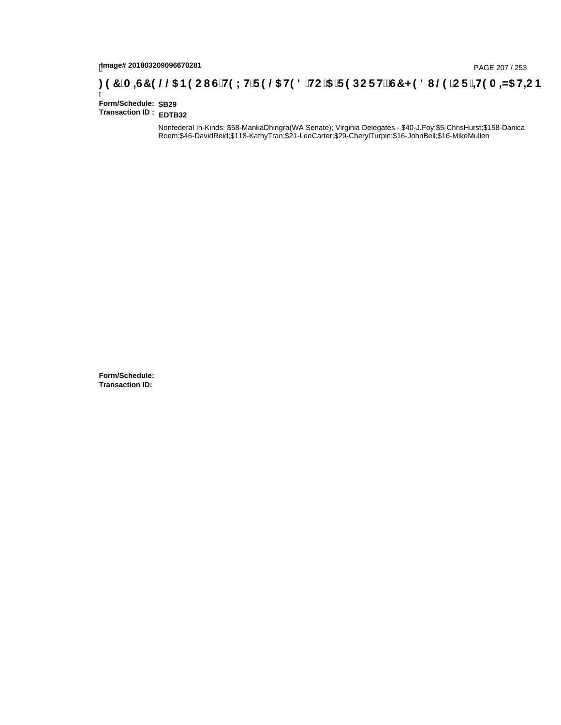# page# 201803209096670281<br>Denge# 201803209096670281 G`H9 LH`F 9 @ H9 8 `HC `5 `F 9 DC F Hž G7 < 9 8 I @ `C F `<del>J I</del>9 A <del>A</del>5 H<del>C</del> B : 97 `A =67 9 @ B9 C I G`H9 LH`F 9 @ H9 8 `HC `5 `F 9 DC F Hž G7 < 9 8 I @ `C F `<del>J I</del>9 A =

Ī **Form/Schedule: SB29 Transaction ID : EDTB32**

> Nonfederal In-Kinds: \$58-MankaDhingra(WA Senate); Virginia Delegates - \$40-J.Foy;\$5-ChrisHurst;\$158-Danica Roem;\$46-DavidReid;\$118-KathyTran;\$21-LeeCarter;\$29-CherylTurpin;\$16-JohnBell;\$16-MikeMullen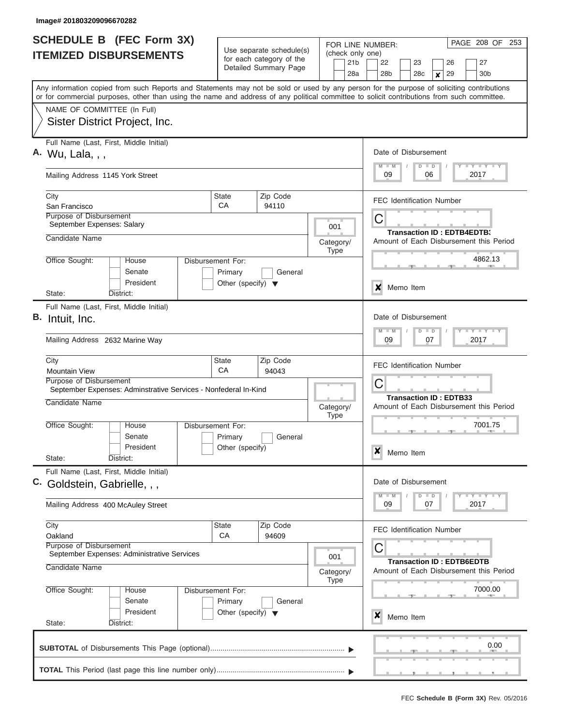| <b>SCHEDULE B</b> (FEC Form 3X)                                                                                                                                                                                                                                                         |                                                                      | Use separate schedule(s)                                                                                                                            |                                  |                                                                               | PAGE 208 OF<br>253<br>FOR LINE NUMBER:                                                    |  |  |  |  |  |  |
|-----------------------------------------------------------------------------------------------------------------------------------------------------------------------------------------------------------------------------------------------------------------------------------------|----------------------------------------------------------------------|-----------------------------------------------------------------------------------------------------------------------------------------------------|----------------------------------|-------------------------------------------------------------------------------|-------------------------------------------------------------------------------------------|--|--|--|--|--|--|
| <b>ITEMIZED DISBURSEMENTS</b>                                                                                                                                                                                                                                                           |                                                                      | for each category of the<br>Detailed Summary Page                                                                                                   |                                  | (check only one)<br>21 <sub>b</sub><br>28a                                    | 22<br>23<br>26<br>27<br>28 <sub>b</sub><br>28c<br>29<br>30 <sub>b</sub><br>$\pmb{\times}$ |  |  |  |  |  |  |
| Any information copied from such Reports and Statements may not be sold or used by any person for the purpose of soliciting contributions<br>or for commercial purposes, other than using the name and address of any political committee to solicit contributions from such committee. |                                                                      |                                                                                                                                                     |                                  |                                                                               |                                                                                           |  |  |  |  |  |  |
| NAME OF COMMITTEE (In Full)<br>Sister District Project, Inc.                                                                                                                                                                                                                            |                                                                      |                                                                                                                                                     |                                  |                                                                               |                                                                                           |  |  |  |  |  |  |
| Full Name (Last, First, Middle Initial)<br>A. Wu, Lala, , ,                                                                                                                                                                                                                             |                                                                      |                                                                                                                                                     |                                  |                                                                               | Date of Disbursement<br><b>LYLYLYLY</b><br>$M$ $M$                                        |  |  |  |  |  |  |
| Mailing Address 1145 York Street                                                                                                                                                                                                                                                        |                                                                      |                                                                                                                                                     |                                  |                                                                               | $D$ $D$<br>09<br>06<br>2017                                                               |  |  |  |  |  |  |
| City<br>San Francisco<br>Purpose of Disbursement                                                                                                                                                                                                                                        | State<br>CA                                                          | Zip Code<br>94110                                                                                                                                   |                                  |                                                                               | <b>FEC Identification Number</b>                                                          |  |  |  |  |  |  |
| September Expenses: Salary<br>Candidate Name                                                                                                                                                                                                                                            |                                                                      |                                                                                                                                                     |                                  | 001<br>Category/                                                              | C<br><b>Transaction ID: EDTB4EDTB3</b><br>Amount of Each Disbursement this Period         |  |  |  |  |  |  |
| Office Sought:<br>House<br>Senate                                                                                                                                                                                                                                                       | Disbursement For:<br>Primary                                         | General                                                                                                                                             |                                  | <b>Type</b>                                                                   | 4862.13                                                                                   |  |  |  |  |  |  |
| President<br>State:<br>District:                                                                                                                                                                                                                                                        | Other (specify) $\blacktriangledown$                                 |                                                                                                                                                     |                                  |                                                                               | X<br>Memo Item                                                                            |  |  |  |  |  |  |
| Full Name (Last, First, Middle Initial)<br>B. Intuit, Inc.<br>Mailing Address 2632 Marine Way                                                                                                                                                                                           |                                                                      | Date of Disbursement<br>$\mathbf{I} = \mathbf{Y} - \mathbf{I} - \mathbf{Y} - \mathbf{I} - \mathbf{Y}$<br>$M - M$<br>$\Box$<br>D<br>2017<br>09<br>07 |                                  |                                                                               |                                                                                           |  |  |  |  |  |  |
| City<br>State<br><b>Mountain View</b>                                                                                                                                                                                                                                                   |                                                                      |                                                                                                                                                     | <b>FEC Identification Number</b> |                                                                               |                                                                                           |  |  |  |  |  |  |
| Purpose of Disbursement<br>September Expenses: Adminstrative Services - Nonfederal In-Kind<br>Candidate Name                                                                                                                                                                            |                                                                      |                                                                                                                                                     | Category/<br><b>Type</b>         | C<br><b>Transaction ID: EDTB33</b><br>Amount of Each Disbursement this Period |                                                                                           |  |  |  |  |  |  |
| Office Sought:<br>House<br>Senate<br>President                                                                                                                                                                                                                                          | Disbursement For:<br>Primary<br>Other (specify)                      | General                                                                                                                                             |                                  |                                                                               | 7001.75<br>X<br>Memo Item                                                                 |  |  |  |  |  |  |
| State:<br>District:<br>Full Name (Last, First, Middle Initial)<br>C. Goldstein, Gabrielle, , ,                                                                                                                                                                                          |                                                                      |                                                                                                                                                     |                                  |                                                                               | Date of Disbursement<br>$T$ $Y$ $T$ $Y$ $T$ $Y$<br>$M - M$<br>$\Box$                      |  |  |  |  |  |  |
| Mailing Address 400 McAuley Street                                                                                                                                                                                                                                                      |                                                                      |                                                                                                                                                     |                                  |                                                                               | D<br>2017<br>09<br>07                                                                     |  |  |  |  |  |  |
| City<br>Oakland<br>Purpose of Disbursement<br>September Expenses: Administrative Services                                                                                                                                                                                               | State<br>CA                                                          | Zip Code<br>94609                                                                                                                                   |                                  | 001                                                                           | <b>FEC Identification Number</b><br>C                                                     |  |  |  |  |  |  |
| Candidate Name                                                                                                                                                                                                                                                                          |                                                                      |                                                                                                                                                     |                                  | Category/<br><b>Type</b>                                                      | <b>Transaction ID: EDTB6EDTB</b><br>Amount of Each Disbursement this Period               |  |  |  |  |  |  |
| Office Sought:<br>House<br>Senate<br>President                                                                                                                                                                                                                                          | Disbursement For:<br>Primary<br>Other (specify) $\blacktriangledown$ | General                                                                                                                                             |                                  |                                                                               | 7000.00                                                                                   |  |  |  |  |  |  |
| State:<br>District:                                                                                                                                                                                                                                                                     |                                                                      |                                                                                                                                                     |                                  |                                                                               | x<br>Memo Item<br>$\sim$                                                                  |  |  |  |  |  |  |
|                                                                                                                                                                                                                                                                                         |                                                                      |                                                                                                                                                     |                                  |                                                                               | 0.00                                                                                      |  |  |  |  |  |  |
|                                                                                                                                                                                                                                                                                         |                                                                      |                                                                                                                                                     |                                  |                                                                               |                                                                                           |  |  |  |  |  |  |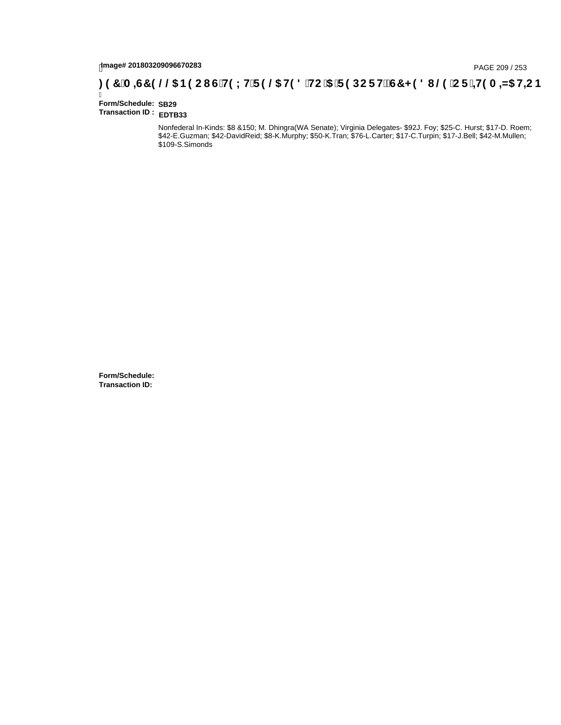# page# 201803209096670283<br>DAGE 209 / 253 PAGE 209 / 253<br>**DAGE 200, Compage 201803209096670283** SOCI G`H9 LH`F 9 @5 H9 8 `HC `5 `F 9 DC F H $\breve{E}$ G7 < 9 8 I

Ī **Form/Schedule: SB29 Transaction ID : EDTB33**

> Nonfederal In-Kinds: \$8 &150; M. Dhingra(WA Senate); Virginia Delegates- \$92J. Foy; \$25-C. Hurst; \$17-D. Roem; \$42-E.Guzman; \$42-DavidReid; \$8-K.Murphy; \$50-K.Tran; \$76-L.Carter; \$17-C.Turpin; \$17-J.Bell; \$42-M.Mullen; \$109-S.Simonds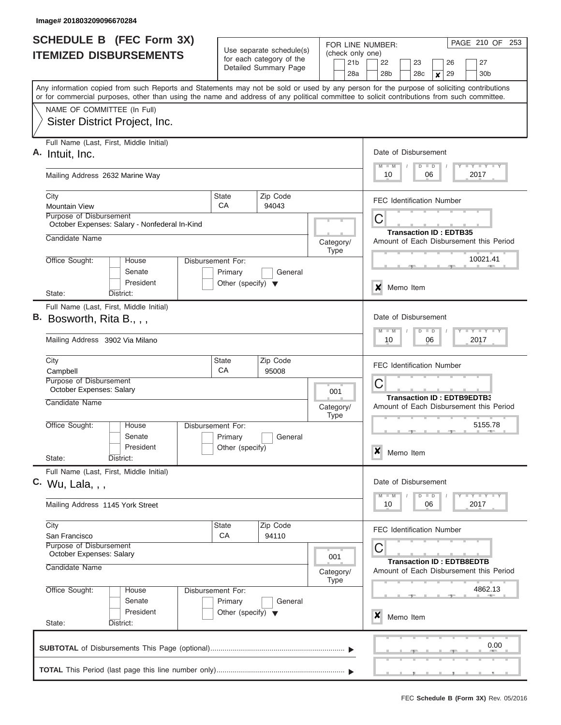| <b>SCHEDULE B</b> (FEC Form 3X)                                                                                                                                                                                                                                                         |                                                                                                           |                       |  | PAGE 210 OF 253<br>FOR LINE NUMBER:                                                               |  |  |
|-----------------------------------------------------------------------------------------------------------------------------------------------------------------------------------------------------------------------------------------------------------------------------------------|-----------------------------------------------------------------------------------------------------------|-----------------------|--|---------------------------------------------------------------------------------------------------|--|--|
| <b>ITEMIZED DISBURSEMENTS</b>                                                                                                                                                                                                                                                           | Use separate schedule(s)<br>for each category of the                                                      |                       |  | (check only one)                                                                                  |  |  |
|                                                                                                                                                                                                                                                                                         |                                                                                                           | Detailed Summary Page |  | 21 <sub>b</sub><br>22<br>23<br>26<br>27<br>28a<br>28 <sub>b</sub><br>30 <sub>b</sub><br>28c<br>29 |  |  |
| Any information copied from such Reports and Statements may not be sold or used by any person for the purpose of soliciting contributions<br>or for commercial purposes, other than using the name and address of any political committee to solicit contributions from such committee. |                                                                                                           |                       |  | $\pmb{\times}$                                                                                    |  |  |
| NAME OF COMMITTEE (In Full)                                                                                                                                                                                                                                                             |                                                                                                           |                       |  |                                                                                                   |  |  |
| Sister District Project, Inc.                                                                                                                                                                                                                                                           |                                                                                                           |                       |  |                                                                                                   |  |  |
| Full Name (Last, First, Middle Initial)<br>A. Intuit, Inc.                                                                                                                                                                                                                              | Date of Disbursement<br>Y LY LY LY<br>$M$ $M$<br>$D$ $D$                                                  |                       |  |                                                                                                   |  |  |
| Mailing Address 2632 Marine Way                                                                                                                                                                                                                                                         | 2017<br>10<br>06                                                                                          |                       |  |                                                                                                   |  |  |
| City<br><b>Mountain View</b>                                                                                                                                                                                                                                                            | State<br>CA                                                                                               | Zip Code<br>94043     |  | <b>FEC Identification Number</b>                                                                  |  |  |
| Purpose of Disbursement<br>October Expenses: Salary - Nonfederal In-Kind                                                                                                                                                                                                                | Category/<br><b>Type</b><br>Disbursement For:<br>House                                                    |                       |  | C                                                                                                 |  |  |
| Candidate Name                                                                                                                                                                                                                                                                          |                                                                                                           |                       |  | <b>Transaction ID: EDTB35</b><br>Amount of Each Disbursement this Period                          |  |  |
| Office Sought:                                                                                                                                                                                                                                                                          |                                                                                                           |                       |  | 10021.41                                                                                          |  |  |
| Senate<br>President                                                                                                                                                                                                                                                                     | Primary<br>Other (specify) $\blacktriangledown$                                                           | General               |  | Memo Item<br>x                                                                                    |  |  |
| State:<br>District:                                                                                                                                                                                                                                                                     |                                                                                                           |                       |  |                                                                                                   |  |  |
| Full Name (Last, First, Middle Initial)<br>$B.$ Bosworth, Rita B., , ,                                                                                                                                                                                                                  |                                                                                                           |                       |  | Date of Disbursement<br>$-1 - 1 - 1$<br>$M - M$<br>$D$ $D$                                        |  |  |
| Mailing Address 3902 Via Milano                                                                                                                                                                                                                                                         |                                                                                                           |                       |  | 10<br>06<br>2017                                                                                  |  |  |
| City<br>Campbell                                                                                                                                                                                                                                                                        | State<br>CA                                                                                               | Zip Code              |  | <b>FEC Identification Number</b>                                                                  |  |  |
| Purpose of Disbursement<br>October Expenses: Salary                                                                                                                                                                                                                                     | 95008<br>001<br>Category/<br><b>Type</b>                                                                  |                       |  | C                                                                                                 |  |  |
| Candidate Name                                                                                                                                                                                                                                                                          |                                                                                                           |                       |  | <b>Transaction ID: EDTB9EDTB3</b><br>Amount of Each Disbursement this Period                      |  |  |
| Office Sought:<br>House<br>Senate                                                                                                                                                                                                                                                       | Disbursement For:<br>Primary                                                                              | General               |  | 5155.78                                                                                           |  |  |
| President<br>State:<br>District:                                                                                                                                                                                                                                                        | Other (specify)                                                                                           |                       |  | x<br>Memo Item                                                                                    |  |  |
| Full Name (Last, First, Middle Initial)<br>C. Wu, Lala, , ,                                                                                                                                                                                                                             |                                                                                                           |                       |  |                                                                                                   |  |  |
|                                                                                                                                                                                                                                                                                         |                                                                                                           |                       |  |                                                                                                   |  |  |
|                                                                                                                                                                                                                                                                                         | Mailing Address 1145 York Street                                                                          |                       |  |                                                                                                   |  |  |
| City<br>San Francisco                                                                                                                                                                                                                                                                   | <b>State</b><br>CA                                                                                        | Zip Code<br>94110     |  | <b>FEC Identification Number</b>                                                                  |  |  |
| Purpose of Disbursement<br>October Expenses: Salary<br>001                                                                                                                                                                                                                              |                                                                                                           |                       |  | С                                                                                                 |  |  |
| Candidate Name<br>Category/<br><b>Type</b>                                                                                                                                                                                                                                              |                                                                                                           |                       |  | <b>Transaction ID: EDTB8EDTB</b><br>Amount of Each Disbursement this Period                       |  |  |
| Office Sought:<br>House<br>Senate                                                                                                                                                                                                                                                       | Disbursement For:<br>Primary<br>General<br>President<br>Other (specify) $\blacktriangledown$<br>District: |                       |  | 4862.13                                                                                           |  |  |
| State:                                                                                                                                                                                                                                                                                  |                                                                                                           |                       |  | x<br>Memo Item                                                                                    |  |  |
|                                                                                                                                                                                                                                                                                         |                                                                                                           |                       |  | 0.00                                                                                              |  |  |
|                                                                                                                                                                                                                                                                                         |                                                                                                           |                       |  | <u>.</u>                                                                                          |  |  |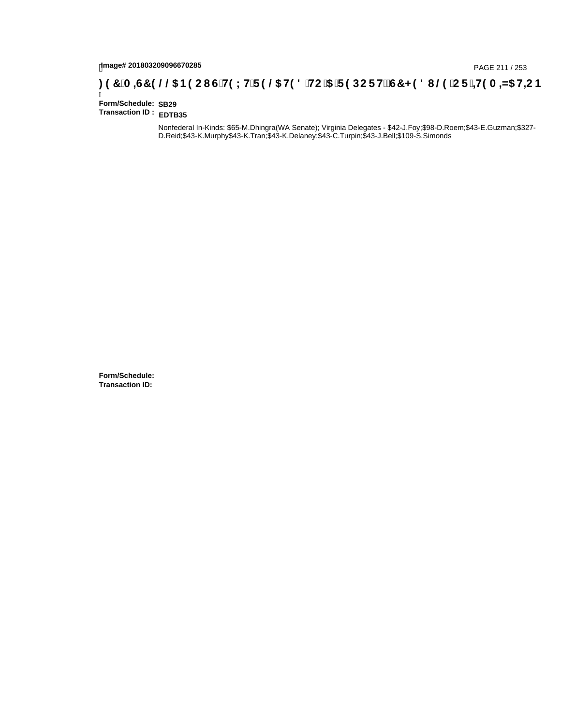# page# 201803209096670285<br>DAGE 211 / 253 PAGE 211 / 253<br>**DAGE 217 (A =G7 9 @@ B9 CI G`H9 LH`F 9 @ H9 8 `HC `5 `F 9 DC F H** $\breve{c}$ **G7 < 9 8 I @ `C F `<del>+I</del>9 A =N5 H=C B**

Ī **Form/Schedule: SB29 Transaction ID : EDTB35**

> Nonfederal In-Kinds: \$65-M.Dhingra(WA Senate); Virginia Delegates - \$42-J.Foy;\$98-D.Roem;\$43-E.Guzman;\$327- D.Reid;\$43-K.Murphy\$43-K.Tran;\$43-K.Delaney;\$43-C.Turpin;\$43-J.Bell;\$109-S.Simonds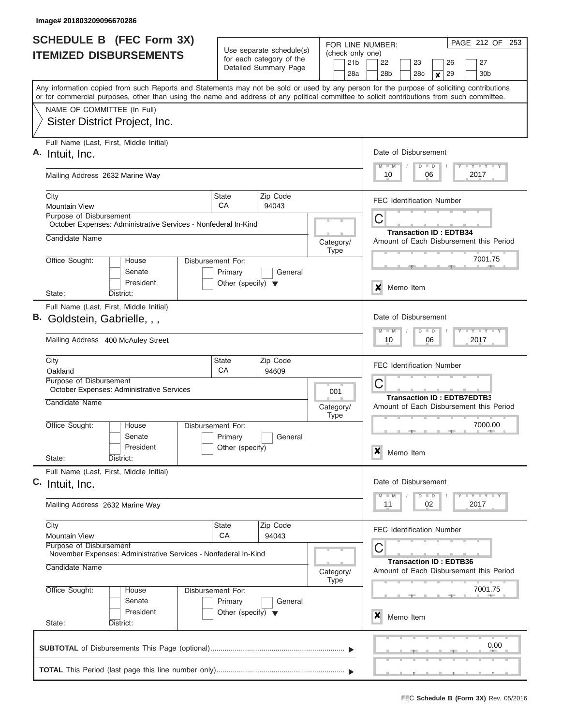| <b>SCHEDULE B</b> (FEC Form 3X)                                                                                                                                                                                                                                                         |                                                                                                | Use separate schedule(s)                                                     | FOR LINE NUMBER:                                                              | PAGE 212 OF 253                                                                                                 |
|-----------------------------------------------------------------------------------------------------------------------------------------------------------------------------------------------------------------------------------------------------------------------------------------|------------------------------------------------------------------------------------------------|------------------------------------------------------------------------------|-------------------------------------------------------------------------------|-----------------------------------------------------------------------------------------------------------------|
| <b>ITEMIZED DISBURSEMENTS</b>                                                                                                                                                                                                                                                           |                                                                                                | for each category of the<br>Detailed Summary Page                            |                                                                               | (check only one)<br>22<br>27<br>23<br>26<br>28 <sub>b</sub><br>28c<br>29<br>30 <sub>b</sub><br>$\boldsymbol{x}$ |
| Any information copied from such Reports and Statements may not be sold or used by any person for the purpose of soliciting contributions<br>or for commercial purposes, other than using the name and address of any political committee to solicit contributions from such committee. |                                                                                                |                                                                              |                                                                               |                                                                                                                 |
| NAME OF COMMITTEE (In Full)<br>Sister District Project, Inc.                                                                                                                                                                                                                            |                                                                                                |                                                                              |                                                                               |                                                                                                                 |
| Full Name (Last, First, Middle Initial)<br>Intuit, Inc.                                                                                                                                                                                                                                 |                                                                                                |                                                                              |                                                                               | Date of Disbursement<br>Y FY FY FY<br>$M$ $M$<br>$D$ $D$                                                        |
| Mailing Address 2632 Marine Way                                                                                                                                                                                                                                                         | 2017<br>10<br>06                                                                               |                                                                              |                                                                               |                                                                                                                 |
| City<br><b>Mountain View</b>                                                                                                                                                                                                                                                            | Zip Code<br><b>State</b><br>СA<br>94043                                                        |                                                                              |                                                                               | <b>FEC Identification Number</b>                                                                                |
| <b>Purpose of Disbursement</b><br>October Expenses: Administrative Services - Nonfederal In-Kind<br>Candidate Name                                                                                                                                                                      |                                                                                                | Category/                                                                    | С<br><b>Transaction ID: EDTB34</b><br>Amount of Each Disbursement this Period |                                                                                                                 |
| Office Sought:<br>House<br>Senate<br>President                                                                                                                                                                                                                                          | <b>Type</b><br>Disbursement For:<br>Primary<br>General<br>Other (specify) $\blacktriangledown$ |                                                                              |                                                                               | 7001.75                                                                                                         |
| State:<br>District:<br>Full Name (Last, First, Middle Initial)                                                                                                                                                                                                                          |                                                                                                |                                                                              |                                                                               | ×<br>Memo Item                                                                                                  |
| В.<br>Goldstein, Gabrielle, , ,                                                                                                                                                                                                                                                         |                                                                                                | Date of Disbursement<br>Y FY FY FY<br>$M - M$<br>$D$ $D$<br>06<br>2017<br>10 |                                                                               |                                                                                                                 |
|                                                                                                                                                                                                                                                                                         | Mailing Address 400 McAuley Street                                                             |                                                                              |                                                                               |                                                                                                                 |
| City<br>Oakland<br>Purpose of Disbursement<br>October Expenses: Administrative Services                                                                                                                                                                                                 | Zip Code<br><b>State</b><br>CA<br>94609                                                        |                                                                              |                                                                               | <b>FEC Identification Number</b><br>C                                                                           |
| Candidate Name                                                                                                                                                                                                                                                                          |                                                                                                |                                                                              | 001<br>Category/<br><b>Type</b>                                               | <b>Transaction ID: EDTB7EDTB3</b><br>Amount of Each Disbursement this Period                                    |
| Office Sought:<br>House<br>Senate<br>President<br>State:<br>District:                                                                                                                                                                                                                   | Disbursement For:<br>Primary<br>Other (specify)                                                | General                                                                      |                                                                               | 7000.00<br>X<br>Memo Item                                                                                       |
| Full Name (Last, First, Middle Initial)<br>C. Intuit, Inc.                                                                                                                                                                                                                              | Date of Disbursement<br>$Y$ $Y$ $Y$ $Y$ $Y$ $Y$<br>$M$ $M$<br>$D$ $D$                          |                                                                              |                                                                               |                                                                                                                 |
| Mailing Address 2632 Marine Way                                                                                                                                                                                                                                                         | 2017<br>11<br>02                                                                               |                                                                              |                                                                               |                                                                                                                 |
| City<br><b>Mountain View</b><br>Purpose of Disbursement<br>November Expenses: Administrative Services - Nonfederal In-Kind                                                                                                                                                              | State<br><b>CA</b>                                                                             | Zip Code<br>94043                                                            |                                                                               | <b>FEC Identification Number</b><br>С                                                                           |
| Candidate Name                                                                                                                                                                                                                                                                          |                                                                                                | Category/<br><b>Type</b>                                                     | <b>Transaction ID: EDTB36</b><br>Amount of Each Disbursement this Period      |                                                                                                                 |
| Office Sought:<br>House<br>Senate<br>President                                                                                                                                                                                                                                          | Disbursement For:<br>Primary<br>Other (specify) $\blacktriangledown$                           | General                                                                      |                                                                               | 7001.75<br>x<br>Memo Item                                                                                       |
| State:<br>District:                                                                                                                                                                                                                                                                     |                                                                                                |                                                                              |                                                                               |                                                                                                                 |
|                                                                                                                                                                                                                                                                                         |                                                                                                |                                                                              |                                                                               | 0.00                                                                                                            |
|                                                                                                                                                                                                                                                                                         |                                                                                                |                                                                              |                                                                               |                                                                                                                 |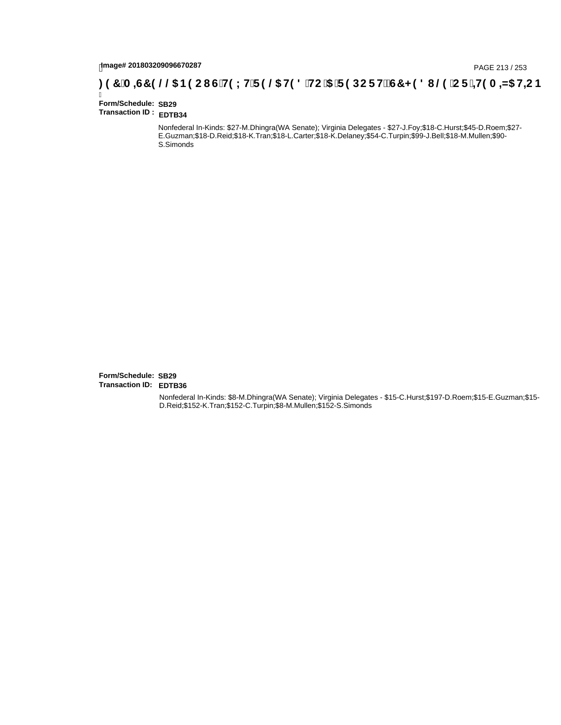# page# 201803209096670287<br>**( PAGE 213 / 253 SPACE GTH9 LHTF 9 @6 H9 8 `HC `5 `F 9 DC F Hž G7 < 9 8 I @9 `C F `<del>J I</del>9 A =N5 H=C B .**

Ī **Form/Schedule: SB29 Transaction ID : EDTB34**

> Nonfederal In-Kinds: \$27-M.Dhingra(WA Senate); Virginia Delegates - \$27-J.Foy;\$18-C.Hurst;\$45-D.Roem;\$27- E.Guzman;\$18-D.Reid;\$18-K.Tran;\$18-L.Carter;\$18-K.Delaney;\$54-C.Turpin;\$99-J.Bell;\$18-M.Mullen;\$90- S.Simonds

**Form/Schedule: SB29 Transaction ID: EDTB36**

> Nonfederal In-Kinds: \$8-M.Dhingra(WA Senate); Virginia Delegates - \$15-C.Hurst;\$197-D.Roem;\$15-E.Guzman;\$15- D.Reid;\$152-K.Tran;\$152-C.Turpin;\$8-M.Mullen;\$152-S.Simonds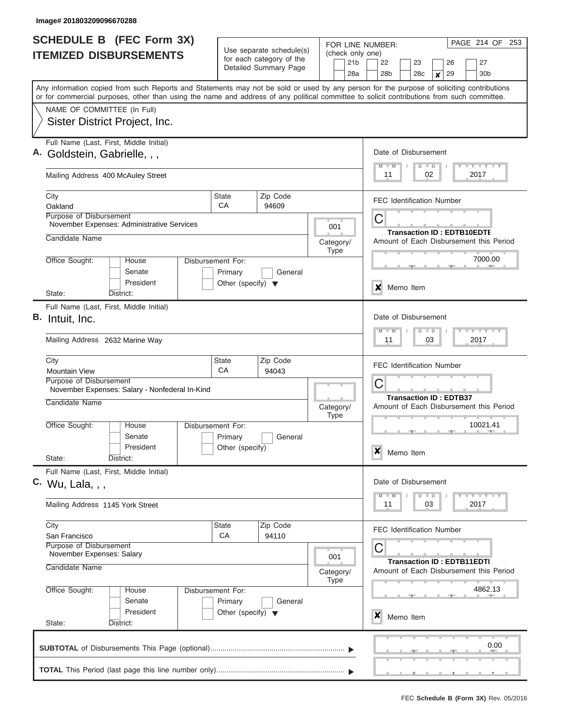|                               | <b>SCHEDULE B (FEC Form 3X)</b>                                                                                                                                                                                                                                                         |                                                                                 | Use separate schedule(s)                             | FOR LINE NUMBER:                           | PAGE 214 OF 253                                                                             |
|-------------------------------|-----------------------------------------------------------------------------------------------------------------------------------------------------------------------------------------------------------------------------------------------------------------------------------------|---------------------------------------------------------------------------------|------------------------------------------------------|--------------------------------------------|---------------------------------------------------------------------------------------------|
| <b>ITEMIZED DISBURSEMENTS</b> |                                                                                                                                                                                                                                                                                         | for each category of the<br>Detailed Summary Page                               |                                                      | (check only one)<br>21 <sub>b</sub><br>28a | 27<br>22<br>23<br>26<br>30 <sub>b</sub><br>28 <sub>b</sub><br>28c<br>29<br>$\boldsymbol{x}$ |
|                               | Any information copied from such Reports and Statements may not be sold or used by any person for the purpose of soliciting contributions<br>or for commercial purposes, other than using the name and address of any political committee to solicit contributions from such committee. |                                                                                 |                                                      |                                            |                                                                                             |
|                               | NAME OF COMMITTEE (In Full)                                                                                                                                                                                                                                                             |                                                                                 |                                                      |                                            |                                                                                             |
|                               | Sister District Project, Inc.                                                                                                                                                                                                                                                           |                                                                                 |                                                      |                                            |                                                                                             |
|                               | Full Name (Last, First, Middle Initial)<br>Goldstein, Gabrielle, , ,                                                                                                                                                                                                                    |                                                                                 |                                                      |                                            | Date of Disbursement<br>Y LY LY LY<br>$M$ $M$<br>$D$ $D$                                    |
|                               | Mailing Address 400 McAuley Street                                                                                                                                                                                                                                                      |                                                                                 | 02<br>2017<br>11                                     |                                            |                                                                                             |
|                               | City<br>Oakland                                                                                                                                                                                                                                                                         | <b>State</b><br>CA                                                              | Zip Code<br>94609                                    |                                            | <b>FEC Identification Number</b>                                                            |
|                               | Purpose of Disbursement<br>November Expenses: Administrative Services<br>Candidate Name                                                                                                                                                                                                 |                                                                                 |                                                      | 001                                        | C<br><b>Transaction ID: EDTB10EDTE</b>                                                      |
|                               |                                                                                                                                                                                                                                                                                         |                                                                                 |                                                      | Category/<br><b>Type</b>                   | Amount of Each Disbursement this Period                                                     |
|                               | Office Sought:<br>House<br>Senate<br>President                                                                                                                                                                                                                                          | Disbursement For:<br>Primary<br>General<br>Other (specify) $\blacktriangledown$ |                                                      |                                            | 7000.00                                                                                     |
|                               | State:<br>District:                                                                                                                                                                                                                                                                     |                                                                                 |                                                      |                                            | ×<br>Memo Item                                                                              |
| В.                            | Full Name (Last, First, Middle Initial)<br>Intuit, Inc.                                                                                                                                                                                                                                 |                                                                                 |                                                      |                                            | Date of Disbursement                                                                        |
|                               | Mailing Address 2632 Marine Way                                                                                                                                                                                                                                                         |                                                                                 | Y FY FY FY<br>$M - M$<br>$D$ $D$<br>03<br>2017<br>11 |                                            |                                                                                             |
|                               | City<br><b>Mountain View</b>                                                                                                                                                                                                                                                            | State<br>CA                                                                     | Zip Code<br>94043                                    |                                            | <b>FEC Identification Number</b>                                                            |
|                               | Purpose of Disbursement<br>November Expenses: Salary - Nonfederal In-Kind                                                                                                                                                                                                               |                                                                                 |                                                      |                                            | C<br><b>Transaction ID: EDTB37</b>                                                          |
|                               | Candidate Name                                                                                                                                                                                                                                                                          |                                                                                 |                                                      | Category/<br><b>Type</b>                   | Amount of Each Disbursement this Period                                                     |
|                               | Office Sought:<br>House<br>Senate<br>President                                                                                                                                                                                                                                          | Disbursement For:<br>Primary<br>General<br>Other (specify)                      |                                                      |                                            | 10021.41<br>$\boldsymbol{x}$<br>Memo Item                                                   |
|                               | State:<br>District:                                                                                                                                                                                                                                                                     |                                                                                 |                                                      |                                            |                                                                                             |
|                               | Full Name (Last, First, Middle Initial)<br>$C.$ Wu, Lala, , ,                                                                                                                                                                                                                           | Date of Disbursement<br>Y FY FY FY<br>$M - M$<br>$D$ $D$                        |                                                      |                                            |                                                                                             |
|                               | Mailing Address 1145 York Street                                                                                                                                                                                                                                                        | 2017<br>11<br>03                                                                |                                                      |                                            |                                                                                             |
|                               | City<br>San Francisco                                                                                                                                                                                                                                                                   | State<br>CA                                                                     | Zip Code<br>94110                                    |                                            | <b>FEC Identification Number</b>                                                            |
|                               | Purpose of Disbursement<br>November Expenses: Salary                                                                                                                                                                                                                                    |                                                                                 |                                                      | 001                                        | C<br><b>Transaction ID: EDTB11EDTI</b>                                                      |
|                               | Candidate Name                                                                                                                                                                                                                                                                          |                                                                                 | Category/<br><b>Type</b>                             | Amount of Each Disbursement this Period    |                                                                                             |
|                               | Office Sought:<br>House<br>Senate                                                                                                                                                                                                                                                       | Disbursement For:<br>Primary<br>General                                         |                                                      |                                            | 4862.13                                                                                     |
|                               | President<br>State:<br>District:                                                                                                                                                                                                                                                        | Other (specify) $\blacktriangledown$                                            |                                                      |                                            | X<br>Memo Item                                                                              |
| 0.00                          |                                                                                                                                                                                                                                                                                         |                                                                                 |                                                      |                                            |                                                                                             |
|                               |                                                                                                                                                                                                                                                                                         |                                                                                 |                                                      |                                            |                                                                                             |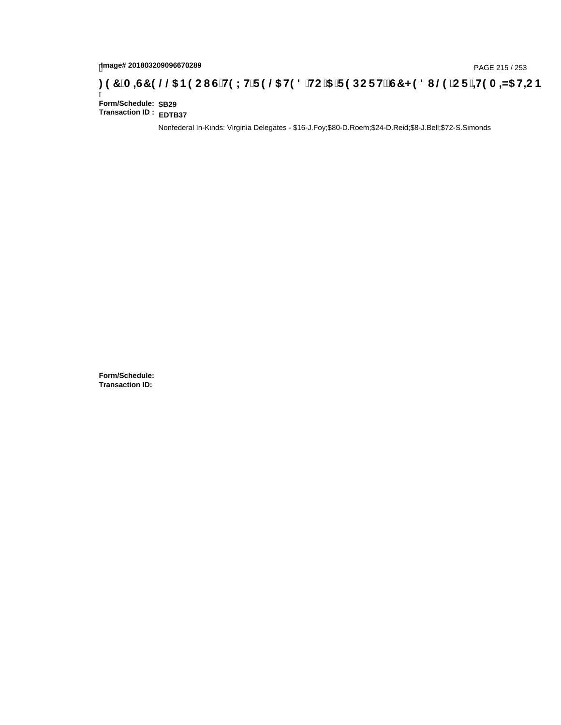# page# 201803209096670289<br>DAGE 215 / 253 PAGE 215 / 253<br>**DAGE 215 / 253 SOCI G`H9 LH`F 9 @ H9 8 `HC `5 `F 9 DC F Hž G7 < 9 8 I @ `C F `<del>J H</del>9 A =N5 H=C B**

Ī **Form/Schedule: SB29 Transaction ID : EDTB37**

Nonfederal In-Kinds: Virginia Delegates - \$16-J.Foy;\$80-D.Roem;\$24-D.Reid;\$8-J.Bell;\$72-S.Simonds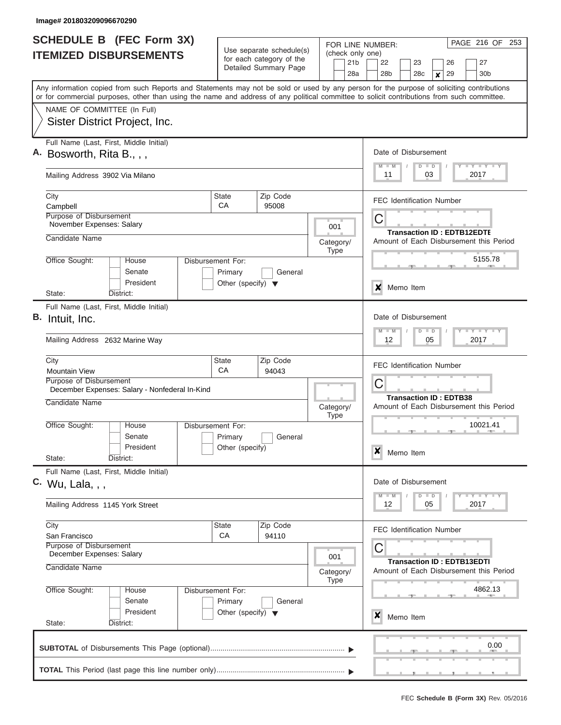| <b>SCHEDULE B (FEC Form 3X)</b><br><b>ITEMIZED DISBURSEMENTS</b> |                                                                                                                                                                                                                                                                                         | Use separate schedule(s)<br>for each category of the<br>Detailed Summary Page |                                                      | PAGE 216 OF 253<br>FOR LINE NUMBER:<br>(check only one)<br>21 <sub>b</sub><br>27<br>22<br>23<br>26 |                                                                          |  |  |
|------------------------------------------------------------------|-----------------------------------------------------------------------------------------------------------------------------------------------------------------------------------------------------------------------------------------------------------------------------------------|-------------------------------------------------------------------------------|------------------------------------------------------|----------------------------------------------------------------------------------------------------|--------------------------------------------------------------------------|--|--|
|                                                                  |                                                                                                                                                                                                                                                                                         |                                                                               |                                                      | 28a                                                                                                | 29<br>28b<br>28c<br>30 <sub>b</sub><br>X                                 |  |  |
|                                                                  | Any information copied from such Reports and Statements may not be sold or used by any person for the purpose of soliciting contributions<br>or for commercial purposes, other than using the name and address of any political committee to solicit contributions from such committee. |                                                                               |                                                      |                                                                                                    |                                                                          |  |  |
|                                                                  | NAME OF COMMITTEE (In Full)                                                                                                                                                                                                                                                             |                                                                               |                                                      |                                                                                                    |                                                                          |  |  |
|                                                                  | Sister District Project, Inc.                                                                                                                                                                                                                                                           |                                                                               |                                                      |                                                                                                    |                                                                          |  |  |
|                                                                  | Full Name (Last, First, Middle Initial)<br>A. Bosworth, Rita B., , ,                                                                                                                                                                                                                    |                                                                               |                                                      |                                                                                                    | Date of Disbursement                                                     |  |  |
|                                                                  | Mailing Address 3902 Via Milano                                                                                                                                                                                                                                                         |                                                                               | Y LY LY LY<br>$M$ $M$<br>$D$ $D$<br>11<br>03<br>2017 |                                                                                                    |                                                                          |  |  |
|                                                                  | City<br>Campbell                                                                                                                                                                                                                                                                        | Zip Code<br><b>State</b><br>CA<br>95008                                       |                                                      |                                                                                                    | <b>FEC Identification Number</b>                                         |  |  |
|                                                                  | Purpose of Disbursement<br>November Expenses: Salary                                                                                                                                                                                                                                    |                                                                               |                                                      | 001                                                                                                | С<br><b>Transaction ID: EDTB12EDTE</b>                                   |  |  |
|                                                                  | Candidate Name                                                                                                                                                                                                                                                                          |                                                                               |                                                      | Category/<br><b>Type</b>                                                                           | Amount of Each Disbursement this Period                                  |  |  |
|                                                                  | Office Sought:<br>House<br>Senate                                                                                                                                                                                                                                                       | Disbursement For:<br>Primary                                                  | General                                              |                                                                                                    | 5155.78                                                                  |  |  |
|                                                                  | President<br>State:<br>District:                                                                                                                                                                                                                                                        | Other (specify) $\blacktriangledown$                                          |                                                      |                                                                                                    | X<br>Memo Item                                                           |  |  |
|                                                                  | Full Name (Last, First, Middle Initial)                                                                                                                                                                                                                                                 |                                                                               |                                                      |                                                                                                    |                                                                          |  |  |
| В.                                                               | Intuit, Inc.                                                                                                                                                                                                                                                                            |                                                                               |                                                      |                                                                                                    | Date of Disbursement<br>$M - M$<br>$D$ $D$                               |  |  |
|                                                                  | Mailing Address 2632 Marine Way                                                                                                                                                                                                                                                         |                                                                               |                                                      |                                                                                                    | 12<br>05<br>2017                                                         |  |  |
|                                                                  | City<br><b>Mountain View</b>                                                                                                                                                                                                                                                            | State<br>CA                                                                   | Zip Code<br>94043                                    |                                                                                                    | <b>FEC Identification Number</b>                                         |  |  |
|                                                                  | Purpose of Disbursement<br>December Expenses: Salary - Nonfederal In-Kind                                                                                                                                                                                                               |                                                                               |                                                      |                                                                                                    | C                                                                        |  |  |
|                                                                  | Candidate Name                                                                                                                                                                                                                                                                          |                                                                               |                                                      | Category/<br>Type                                                                                  | <b>Transaction ID: EDTB38</b><br>Amount of Each Disbursement this Period |  |  |
|                                                                  | Office Sought:<br>House<br>Senate                                                                                                                                                                                                                                                       | Disbursement For:<br>Primary                                                  | General                                              |                                                                                                    | 10021.41                                                                 |  |  |
|                                                                  | President<br>State:<br>District:                                                                                                                                                                                                                                                        | Other (specify)                                                               |                                                      |                                                                                                    | $\boldsymbol{x}$<br>Memo Item                                            |  |  |
|                                                                  | Full Name (Last, First, Middle Initial)<br>$C.$ Wu, Lala, , ,                                                                                                                                                                                                                           |                                                                               |                                                      |                                                                                                    | Date of Disbursement                                                     |  |  |
|                                                                  | Mailing Address 1145 York Street                                                                                                                                                                                                                                                        |                                                                               |                                                      |                                                                                                    | Y TY TY TY<br>$M - M$<br>$D$ $D$<br>2017<br>12<br>05                     |  |  |
|                                                                  | City                                                                                                                                                                                                                                                                                    | State                                                                         | Zip Code                                             |                                                                                                    |                                                                          |  |  |
|                                                                  | San Francisco                                                                                                                                                                                                                                                                           | <b>CA</b>                                                                     | 94110                                                |                                                                                                    | <b>FEC Identification Number</b>                                         |  |  |
|                                                                  | Purpose of Disbursement<br>December Expenses: Salary                                                                                                                                                                                                                                    |                                                                               |                                                      | 001                                                                                                | С<br><b>Transaction ID: EDTB13EDTI</b>                                   |  |  |
|                                                                  | Candidate Name                                                                                                                                                                                                                                                                          |                                                                               |                                                      | Category/<br><b>Type</b>                                                                           | Amount of Each Disbursement this Period                                  |  |  |
|                                                                  | Office Sought:<br>Disbursement For:<br>House<br>Senate<br>Primary<br>General                                                                                                                                                                                                            |                                                                               |                                                      |                                                                                                    | 4862.13                                                                  |  |  |
|                                                                  | President<br>State:<br>District:                                                                                                                                                                                                                                                        | Other (specify) $\blacktriangledown$                                          |                                                      |                                                                                                    | X<br>Memo Item                                                           |  |  |
| 0.00                                                             |                                                                                                                                                                                                                                                                                         |                                                                               |                                                      |                                                                                                    |                                                                          |  |  |
|                                                                  |                                                                                                                                                                                                                                                                                         |                                                                               |                                                      |                                                                                                    |                                                                          |  |  |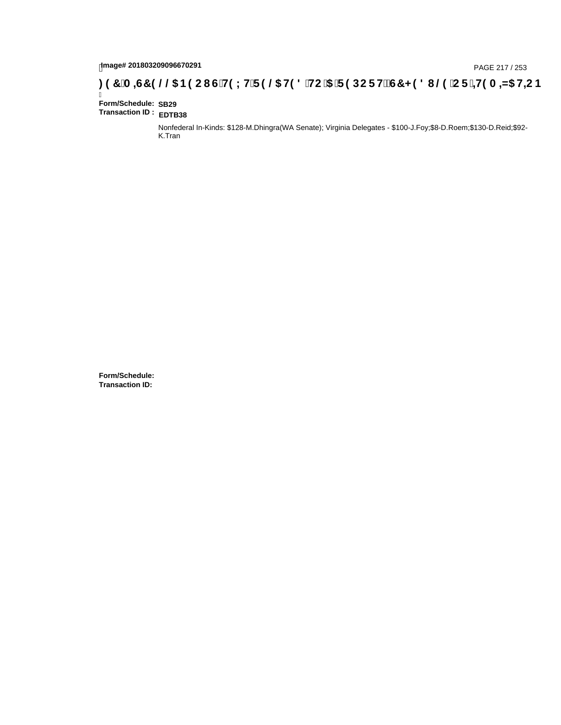# hmage# 201803209096670291<br>DAGE 217 / 253 PAGE 217 / 253<br>**DAGE 197 `A =G7 9 @@ B9 CI G`H9 LH`F 9 @ H9 8 `HC `5 `F 9 DC F H** $\breve{c}$ **G7 < 9 8 I @ `C F `<del>I 1</del>9 A =N5 H=C B**

Ī **Form/Schedule: SB29 Transaction ID : EDTB38**

> Nonfederal In-Kinds: \$128-M.Dhingra(WA Senate); Virginia Delegates - \$100-J.Foy;\$8-D.Roem;\$130-D.Reid;\$92- K.Tran

**Form/Schedule: Transaction ID:**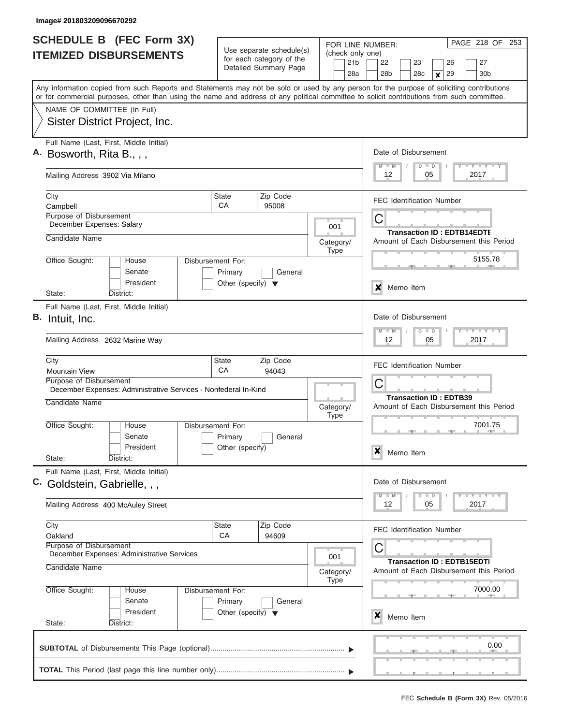| <b>SCHEDULE B</b> (FEC Form 3X) |                                                                                                                                                                                                                                                                                         |                                                      |                       |                                 | PAGE 218 OF 253<br>FOR LINE NUMBER:                                          |                                                                                                                             |
|---------------------------------|-----------------------------------------------------------------------------------------------------------------------------------------------------------------------------------------------------------------------------------------------------------------------------------------|------------------------------------------------------|-----------------------|---------------------------------|------------------------------------------------------------------------------|-----------------------------------------------------------------------------------------------------------------------------|
| <b>ITEMIZED DISBURSEMENTS</b>   |                                                                                                                                                                                                                                                                                         | Use separate schedule(s)<br>for each category of the |                       |                                 |                                                                              | (check only one)                                                                                                            |
|                                 |                                                                                                                                                                                                                                                                                         |                                                      | Detailed Summary Page |                                 | 21 <sub>b</sub><br>28a                                                       | 22<br>23<br>26<br>27<br>28 <sub>b</sub><br>28c<br>29<br>30 <sub>b</sub><br>$\pmb{\times}$                                   |
|                                 | Any information copied from such Reports and Statements may not be sold or used by any person for the purpose of soliciting contributions<br>or for commercial purposes, other than using the name and address of any political committee to solicit contributions from such committee. |                                                      |                       |                                 |                                                                              |                                                                                                                             |
|                                 | NAME OF COMMITTEE (In Full)                                                                                                                                                                                                                                                             |                                                      |                       |                                 |                                                                              |                                                                                                                             |
|                                 | Sister District Project, Inc.                                                                                                                                                                                                                                                           |                                                      |                       |                                 |                                                                              |                                                                                                                             |
|                                 | Full Name (Last, First, Middle Initial)<br>Bosworth, Rita B., , ,                                                                                                                                                                                                                       |                                                      |                       |                                 |                                                                              | Date of Disbursement                                                                                                        |
|                                 | Mailing Address 3902 Via Milano                                                                                                                                                                                                                                                         |                                                      |                       |                                 |                                                                              | Y LY LY LY<br>$M$ $M$<br>$D$ $D$<br>2017<br>12<br>05                                                                        |
|                                 | City<br>Campbell                                                                                                                                                                                                                                                                        | State<br>CA                                          | Zip Code<br>95008     |                                 |                                                                              | <b>FEC Identification Number</b>                                                                                            |
|                                 | Purpose of Disbursement                                                                                                                                                                                                                                                                 |                                                      |                       |                                 |                                                                              | C                                                                                                                           |
|                                 | December Expenses: Salary                                                                                                                                                                                                                                                               |                                                      |                       |                                 | 001                                                                          | <b>Transaction ID: EDTB14EDTE</b>                                                                                           |
|                                 | Candidate Name                                                                                                                                                                                                                                                                          |                                                      |                       |                                 | Category/<br><b>Type</b>                                                     | Amount of Each Disbursement this Period                                                                                     |
|                                 | Office Sought:<br>House<br>Senate                                                                                                                                                                                                                                                       | Disbursement For:<br>Primary                         | General               |                                 |                                                                              | 5155.78                                                                                                                     |
|                                 | President<br>State:<br>District:                                                                                                                                                                                                                                                        | Other (specify) $\blacktriangledown$                 |                       |                                 |                                                                              | Memo Item<br>x                                                                                                              |
|                                 | Full Name (Last, First, Middle Initial)                                                                                                                                                                                                                                                 |                                                      |                       |                                 |                                                                              |                                                                                                                             |
|                                 | B. Intuit, Inc.                                                                                                                                                                                                                                                                         |                                                      |                       |                                 |                                                                              | Date of Disbursement<br>$-1 - 1 - 1$<br>$M - M$<br>$D$ $D$                                                                  |
|                                 | Mailing Address 2632 Marine Way                                                                                                                                                                                                                                                         |                                                      |                       |                                 |                                                                              | 12<br>05<br>2017                                                                                                            |
|                                 | City                                                                                                                                                                                                                                                                                    | State                                                | Zip Code              |                                 |                                                                              | <b>FEC Identification Number</b>                                                                                            |
|                                 | <b>Mountain View</b><br>Purpose of Disbursement                                                                                                                                                                                                                                         | CA                                                   | 94043                 |                                 |                                                                              |                                                                                                                             |
|                                 | December Expenses: Administrative Services - Nonfederal In-Kind                                                                                                                                                                                                                         |                                                      |                       |                                 | C                                                                            |                                                                                                                             |
|                                 | Candidate Name                                                                                                                                                                                                                                                                          |                                                      |                       |                                 | Category/<br><b>Type</b>                                                     | <b>Transaction ID: EDTB39</b><br>Amount of Each Disbursement this Period                                                    |
|                                 | Office Sought:<br>House                                                                                                                                                                                                                                                                 | Disbursement For:                                    |                       |                                 |                                                                              | 7001.75                                                                                                                     |
|                                 | Senate<br>President                                                                                                                                                                                                                                                                     | Primary                                              | General               |                                 |                                                                              |                                                                                                                             |
|                                 | State:<br>District:                                                                                                                                                                                                                                                                     | Other (specify)                                      |                       |                                 |                                                                              | x<br>Memo Item                                                                                                              |
|                                 | Full Name (Last, First, Middle Initial)<br>C. Goldstein, Gabrielle, , ,                                                                                                                                                                                                                 |                                                      |                       |                                 |                                                                              | Date of Disbursement                                                                                                        |
|                                 | Mailing Address 400 McAuley Street                                                                                                                                                                                                                                                      |                                                      |                       |                                 |                                                                              | $\mathbf{I}$ $\mathbf{Y}$ $\mathbf{I}$ $\mathbf{Y}$ $\mathbf{I}$ $\mathbf{Y}$<br>$M - M$<br>$\Box$<br>D<br>12<br>05<br>2017 |
|                                 | City                                                                                                                                                                                                                                                                                    | State<br>CA                                          | Zip Code<br>94609     |                                 |                                                                              | <b>FEC Identification Number</b>                                                                                            |
|                                 | Oakland<br>Purpose of Disbursement<br>December Expenses: Administrative Services                                                                                                                                                                                                        |                                                      |                       |                                 |                                                                              | С                                                                                                                           |
|                                 | Candidate Name                                                                                                                                                                                                                                                                          |                                                      |                       | 001<br>Category/<br><b>Type</b> | <b>Transaction ID: EDTB15EDTI</b><br>Amount of Each Disbursement this Period |                                                                                                                             |
|                                 | Office Sought:<br>Disbursement For:<br>House<br>Senate<br>Primary<br>General                                                                                                                                                                                                            |                                                      |                       |                                 |                                                                              | 7000.00                                                                                                                     |
|                                 | President<br>State:<br>District:                                                                                                                                                                                                                                                        | Other (specify) $\blacktriangledown$                 |                       |                                 |                                                                              | x<br>Memo Item                                                                                                              |
|                                 |                                                                                                                                                                                                                                                                                         |                                                      |                       |                                 |                                                                              | 0.00                                                                                                                        |
|                                 |                                                                                                                                                                                                                                                                                         |                                                      |                       |                                 |                                                                              |                                                                                                                             |
|                                 |                                                                                                                                                                                                                                                                                         |                                                      |                       |                                 |                                                                              | _______                                                                                                                     |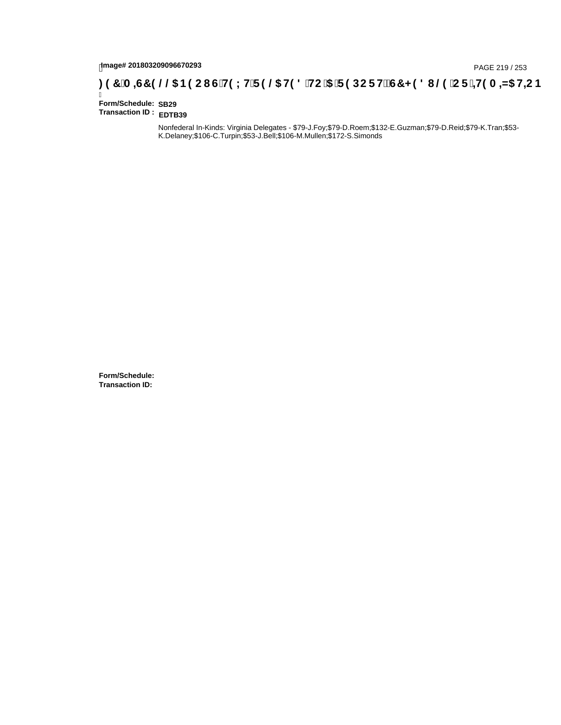# hmage# 201803209096670293<br>DAGE 219 / 253 PAGE 219 / 253<br>**DAGE 219 OO BO CI G'HOLH'F 9 @ HO 8 'HC '5 'F 9 DC F HŽ G7 < 9 8 I @ 'C F '<del>+ 1</del>9 A = N5 H= C B**

Ī **Form/Schedule: SB29 Transaction ID : EDTB39**

> Nonfederal In-Kinds: Virginia Delegates - \$79-J.Foy;\$79-D.Roem;\$132-E.Guzman;\$79-D.Reid;\$79-K.Tran;\$53- K.Delaney;\$106-C.Turpin;\$53-J.Bell;\$106-M.Mullen;\$172-S.Simonds

**Form/Schedule: Transaction ID:**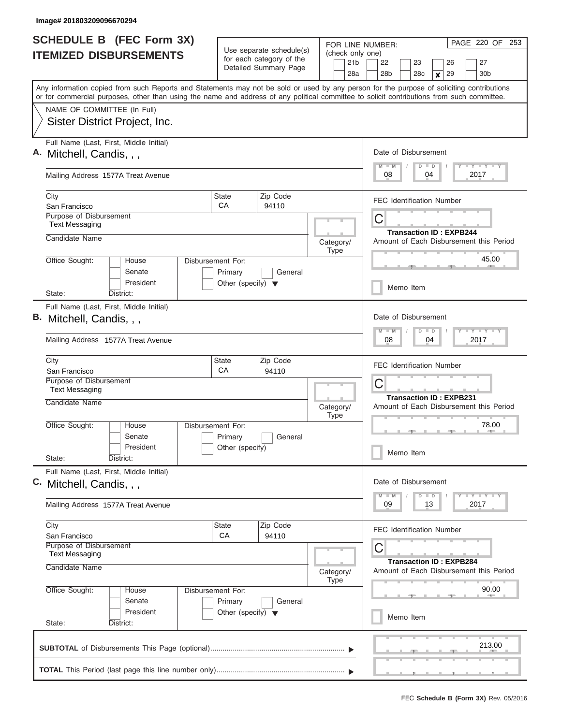| <b>SCHEDULE B (FEC Form 3X)</b> |                                                                                                                                                                                                                                                                                         |                                                                      |                                                                               |                          | PAGE 220 OF 253<br>FOR LINE NUMBER:                                                                             |  |
|---------------------------------|-----------------------------------------------------------------------------------------------------------------------------------------------------------------------------------------------------------------------------------------------------------------------------------------|----------------------------------------------------------------------|-------------------------------------------------------------------------------|--------------------------|-----------------------------------------------------------------------------------------------------------------|--|
| <b>ITEMIZED DISBURSEMENTS</b>   |                                                                                                                                                                                                                                                                                         |                                                                      | Use separate schedule(s)<br>for each category of the<br>Detailed Summary Page |                          | (check only one)<br>22<br>27<br>23<br>26<br>28 <sub>b</sub><br>28c<br>29<br>30 <sub>b</sub><br>$\boldsymbol{x}$ |  |
|                                 | Any information copied from such Reports and Statements may not be sold or used by any person for the purpose of soliciting contributions<br>or for commercial purposes, other than using the name and address of any political committee to solicit contributions from such committee. |                                                                      |                                                                               |                          |                                                                                                                 |  |
|                                 | NAME OF COMMITTEE (In Full)<br>Sister District Project, Inc.                                                                                                                                                                                                                            |                                                                      |                                                                               |                          |                                                                                                                 |  |
|                                 | Full Name (Last, First, Middle Initial)<br>A. Mitchell, Candis, , ,                                                                                                                                                                                                                     |                                                                      |                                                                               |                          | Date of Disbursement<br>Y FY FY FY<br>$M$ $M$<br>$D$ $D$                                                        |  |
|                                 | Mailing Address 1577A Treat Avenue                                                                                                                                                                                                                                                      |                                                                      |                                                                               |                          | 2017<br>08<br>04                                                                                                |  |
|                                 | City<br>San Francisco                                                                                                                                                                                                                                                                   | <b>State</b><br>СA                                                   | Zip Code<br>94110                                                             |                          | <b>FEC Identification Number</b>                                                                                |  |
|                                 | Purpose of Disbursement<br><b>Text Messaging</b>                                                                                                                                                                                                                                        |                                                                      |                                                                               |                          | C<br><b>Transaction ID: EXPB244</b>                                                                             |  |
|                                 | Candidate Name                                                                                                                                                                                                                                                                          |                                                                      |                                                                               | Category/<br><b>Type</b> | Amount of Each Disbursement this Period                                                                         |  |
|                                 | Office Sought:<br>House<br>Senate<br>President                                                                                                                                                                                                                                          | Disbursement For:<br>Primary<br>Other (specify) $\blacktriangledown$ | General                                                                       |                          | 45.00                                                                                                           |  |
|                                 | State:<br>District:                                                                                                                                                                                                                                                                     |                                                                      |                                                                               |                          | Memo Item                                                                                                       |  |
| В.                              | Full Name (Last, First, Middle Initial)<br>Mitchell, Candis, , ,<br>Mailing Address 1577A Treat Avenue                                                                                                                                                                                  |                                                                      |                                                                               |                          | Date of Disbursement<br>Y FY FY FY<br>$M - M$<br>$D$ $D$<br>04<br>2017<br>08                                    |  |
|                                 | City<br>San Francisco                                                                                                                                                                                                                                                                   | <b>State</b><br>CA                                                   | Zip Code<br>94110                                                             |                          | <b>FEC Identification Number</b>                                                                                |  |
|                                 | Purpose of Disbursement<br><b>Text Messaging</b>                                                                                                                                                                                                                                        |                                                                      |                                                                               |                          | C<br><b>Transaction ID: EXPB231</b>                                                                             |  |
|                                 | Candidate Name                                                                                                                                                                                                                                                                          |                                                                      |                                                                               | Category/<br><b>Type</b> | Amount of Each Disbursement this Period                                                                         |  |
|                                 | Office Sought:<br>House<br>Senate<br>President<br>State:<br>District:                                                                                                                                                                                                                   | Disbursement For:<br>Primary<br>Other (specify)                      | General                                                                       |                          | 78.00<br>Memo Item                                                                                              |  |
|                                 | Full Name (Last, First, Middle Initial)<br>C. Mitchell, Candis, , ,                                                                                                                                                                                                                     |                                                                      |                                                                               |                          | Date of Disbursement<br>Y TY TY TY<br>$M - M$<br>$D$ $D$                                                        |  |
|                                 | Mailing Address 1577A Treat Avenue                                                                                                                                                                                                                                                      |                                                                      |                                                                               |                          | 2017<br>09<br>13                                                                                                |  |
|                                 | City<br>San Francisco                                                                                                                                                                                                                                                                   | State<br>CA                                                          | Zip Code<br>94110                                                             |                          | <b>FEC Identification Number</b>                                                                                |  |
|                                 | Purpose of Disbursement<br><b>Text Messaging</b><br>Candidate Name                                                                                                                                                                                                                      |                                                                      |                                                                               | Category/<br><b>Type</b> | С<br><b>Transaction ID: EXPB284</b><br>Amount of Each Disbursement this Period                                  |  |
|                                 | Office Sought:<br>House<br>Senate<br>President                                                                                                                                                                                                                                          | Disbursement For:<br>Primary                                         | General                                                                       |                          | 90.00                                                                                                           |  |
|                                 | State:<br>District:                                                                                                                                                                                                                                                                     | Other (specify) $\blacktriangledown$                                 |                                                                               |                          | Memo Item                                                                                                       |  |
|                                 |                                                                                                                                                                                                                                                                                         |                                                                      |                                                                               |                          | 213.00                                                                                                          |  |
|                                 |                                                                                                                                                                                                                                                                                         |                                                                      |                                                                               |                          |                                                                                                                 |  |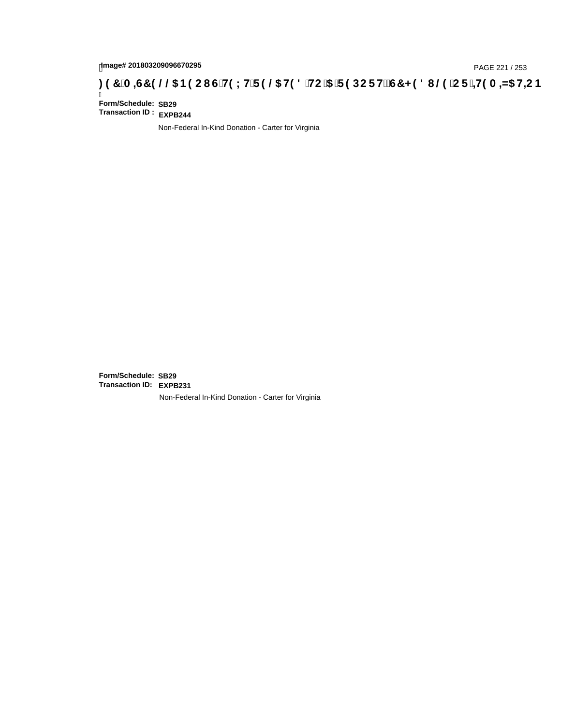# page# 201803209096670295<br>DAGE 221 / 253 PAGE 221 / 253<br>**DAGE 29 OC B9 CIG H9 LH F 9 @ H9 8 HC '5 'F 9 DC F H2 G7 < 9 8 I @ 'C F '<del>J 1</del>9 A = N5 H= C B**

Ī **Form/Schedule: SB29 Transaction ID : EXPB244**

Non-Federal In-Kind Donation - Carter for Virginia

**Form/Schedule: SB29 Transaction ID: EXPB231**Non-Federal In-Kind Donation - Carter for Virginia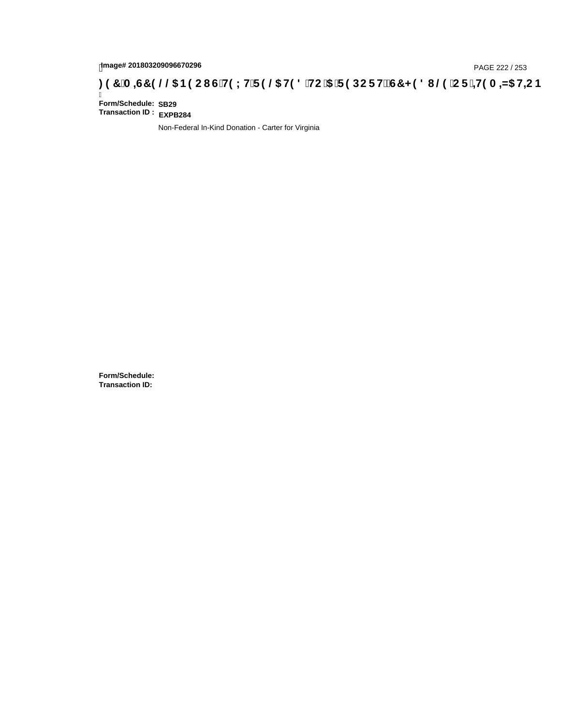# page# 201803209096670296<br>Denge# 201803209096670296 **(CiH9LHiF9 @5 H98 iHC i5 iF9 DCF HžG7 < 98 I @9 iCF i=H9 A =N5 H=CB : 97 iA =S7 9 @@5 B9 CI GiH9LHiF9 @5 H98 iHC i5 iF9 DCF HžG7 < 98 I @9 iCF i=H9 A =N5 H=CB**

Ī **Form/Schedule: SB29 Transaction ID : EXPB284**

Non-Federal In-Kind Donation - Carter for Virginia

**Form/Schedule: Transaction ID:**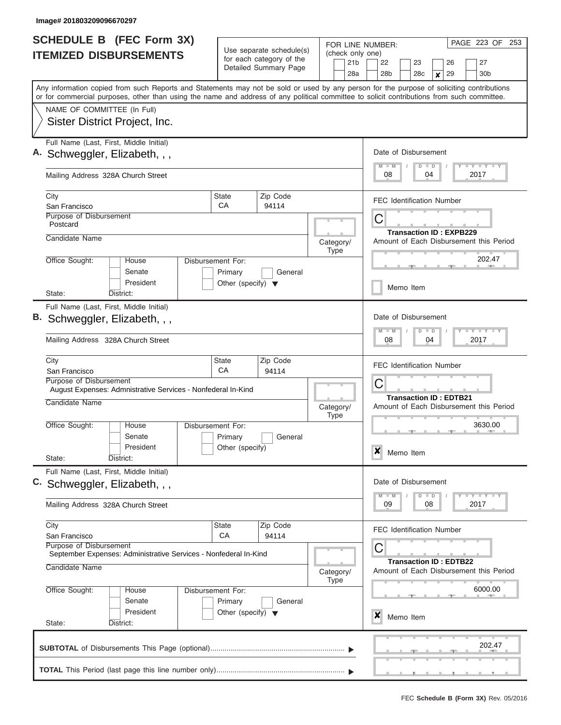| <b>SCHEDULE B (FEC Form 3X)</b><br><b>ITEMIZED DISBURSEMENTS</b> |                                                                                                                                                                                                                                                                                         | Use separate schedule(s)<br>for each category of the<br>Detailed Summary Page |                   | FOR LINE NUMBER:                                     | PAGE 223 OF 253                                                              |
|------------------------------------------------------------------|-----------------------------------------------------------------------------------------------------------------------------------------------------------------------------------------------------------------------------------------------------------------------------------------|-------------------------------------------------------------------------------|-------------------|------------------------------------------------------|------------------------------------------------------------------------------|
|                                                                  |                                                                                                                                                                                                                                                                                         |                                                                               |                   | (check only one)<br>21 <sub>b</sub><br>28a           | 27<br>22<br>23<br>26<br>28 <sub>b</sub><br>28c<br>29<br>30 <sub>b</sub><br>x |
|                                                                  | Any information copied from such Reports and Statements may not be sold or used by any person for the purpose of soliciting contributions<br>or for commercial purposes, other than using the name and address of any political committee to solicit contributions from such committee. |                                                                               |                   |                                                      |                                                                              |
|                                                                  | NAME OF COMMITTEE (In Full)                                                                                                                                                                                                                                                             |                                                                               |                   |                                                      |                                                                              |
|                                                                  | Sister District Project, Inc.                                                                                                                                                                                                                                                           |                                                                               |                   |                                                      |                                                                              |
|                                                                  | Full Name (Last, First, Middle Initial)<br>A. Schweggler, Elizabeth, , ,                                                                                                                                                                                                                |                                                                               |                   |                                                      | Date of Disbursement                                                         |
|                                                                  | Mailing Address 328A Church Street                                                                                                                                                                                                                                                      |                                                                               |                   |                                                      | Y LY LY LY<br>$M$ $M$<br>$D$ $D$<br>08<br>2017<br>04                         |
|                                                                  | City<br>San Francisco                                                                                                                                                                                                                                                                   | <b>State</b><br>СA                                                            | Zip Code<br>94114 |                                                      | <b>FEC Identification Number</b>                                             |
|                                                                  | Purpose of Disbursement<br>Postcard                                                                                                                                                                                                                                                     |                                                                               |                   |                                                      | C                                                                            |
|                                                                  | Candidate Name                                                                                                                                                                                                                                                                          |                                                                               |                   | Category/<br><b>Type</b>                             | <b>Transaction ID: EXPB229</b><br>Amount of Each Disbursement this Period    |
|                                                                  | Office Sought:<br>House<br>Senate                                                                                                                                                                                                                                                       | Disbursement For:<br>Primary                                                  | General           |                                                      | 202.47                                                                       |
|                                                                  | President<br>District:<br>State:                                                                                                                                                                                                                                                        | Other (specify) $\blacktriangledown$                                          |                   |                                                      | Memo Item                                                                    |
|                                                                  | Full Name (Last, First, Middle Initial)<br>B. Schweggler, Elizabeth, , ,                                                                                                                                                                                                                |                                                                               |                   |                                                      | Date of Disbursement                                                         |
|                                                                  | Mailing Address 328A Church Street                                                                                                                                                                                                                                                      | Y FY FY FY<br>$M - M$<br>$\blacksquare$<br>D<br>08<br>04<br>2017              |                   |                                                      |                                                                              |
|                                                                  | City<br>San Francisco                                                                                                                                                                                                                                                                   | State<br>CA                                                                   | Zip Code<br>94114 |                                                      | <b>FEC Identification Number</b>                                             |
|                                                                  | Purpose of Disbursement<br>August Expenses: Admnistrative Services - Nonfederal In-Kind                                                                                                                                                                                                 |                                                                               |                   |                                                      | C                                                                            |
|                                                                  | Candidate Name                                                                                                                                                                                                                                                                          |                                                                               |                   |                                                      | <b>Transaction ID: EDTB21</b><br>Amount of Each Disbursement this Period     |
|                                                                  | Office Sought:<br>House<br>Senate                                                                                                                                                                                                                                                       | Disbursement For:<br>Primary                                                  | General           |                                                      | 3630.00                                                                      |
|                                                                  | President<br>State:<br>District:                                                                                                                                                                                                                                                        | Other (specify)                                                               |                   |                                                      | X<br>Memo Item                                                               |
|                                                                  | Full Name (Last, First, Middle Initial)<br>C. Schweggler, Elizabeth, , ,                                                                                                                                                                                                                |                                                                               |                   |                                                      | Date of Disbursement                                                         |
|                                                                  | Mailing Address 328A Church Street                                                                                                                                                                                                                                                      |                                                                               |                   | Y FY FY FY<br>$M - M$<br>$D$ $D$<br>2017<br>09<br>08 |                                                                              |
|                                                                  | City<br><b>State</b><br>San Francisco                                                                                                                                                                                                                                                   | Zip Code<br>94114                                                             |                   | <b>FEC Identification Number</b>                     |                                                                              |
|                                                                  | Purpose of Disbursement<br>September Expenses: Administrative Services - Nonfederal In-Kind<br>Candidate Name                                                                                                                                                                           | С<br><b>Transaction ID: EDTB22</b><br>Amount of Each Disbursement this Period |                   |                                                      |                                                                              |
|                                                                  | <b>Type</b><br>Office Sought:<br>Disbursement For:<br>House<br>Senate<br>Primary<br>General                                                                                                                                                                                             |                                                                               |                   |                                                      | 6000.00                                                                      |
|                                                                  | President<br>State:<br>District:                                                                                                                                                                                                                                                        | Other (specify) $\blacktriangledown$                                          |                   |                                                      | X<br>Memo Item                                                               |
|                                                                  |                                                                                                                                                                                                                                                                                         |                                                                               |                   |                                                      | 202.47                                                                       |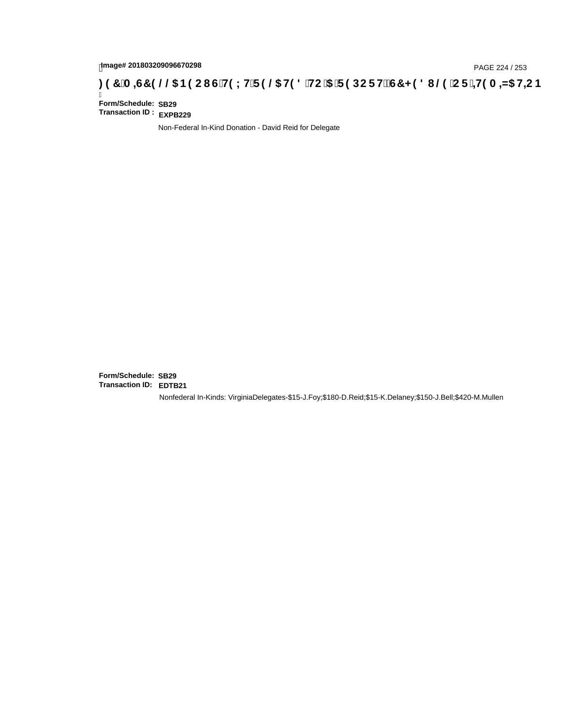# page# 201803209096670298<br>DAGE 224 / 253 PAGE 224 / 253<br>**DAGE 24 OF THIS AD HEC B (GTH9 LHT F 9 @ H9 8 THC 15 T F 9 DC F H** $\breve{c}$ **G7 < 9 8 I @ 10 F THIS A =N5 HEC B : 97 TA =N5 HEC B**

Ī **Form/Schedule: SB29 Transaction ID : EXPB229**

Non-Federal In-Kind Donation - David Reid for Delegate

**Form/Schedule: SB29 Transaction ID: EDTB21**Nonfederal In-Kinds: VirginiaDelegates-\$15-J.Foy;\$180-D.Reid;\$15-K.Delaney;\$150-J.Bell;\$420-M.Mullen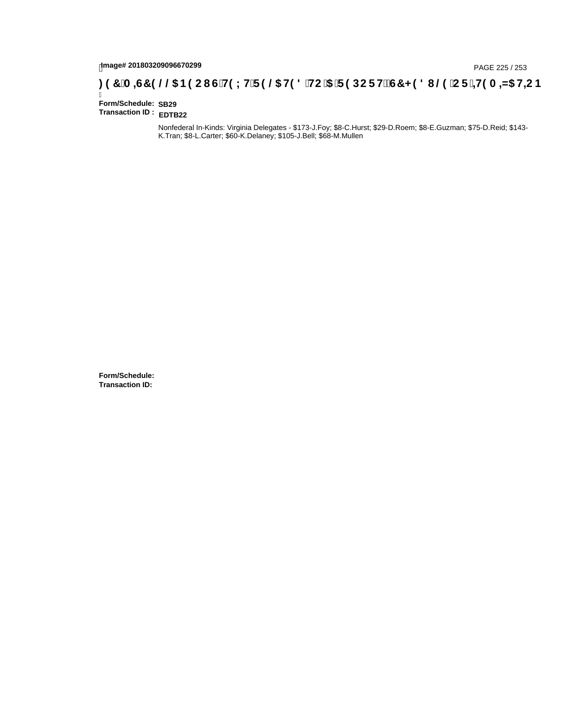# hmage# 201803209096670299<br>DAGE 225 / 253 PAGE 225 / 253<br>**DAGE 245 HD C HD LH F 9 @ H9 8 HC '5 'F 9 DC F Hz G7 < 9 8 I @ 'C F '<del>+ 19</del> A =N5 H=C B**

Ī **Form/Schedule: SB29 Transaction ID : EDTB22**

> Nonfederal In-Kinds: Virginia Delegates - \$173-J.Foy; \$8-C.Hurst; \$29-D.Roem; \$8-E.Guzman; \$75-D.Reid; \$143- K.Tran; \$8-L.Carter; \$60-K.Delaney; \$105-J.Bell; \$68-M.Mullen

**Form/Schedule: Transaction ID:**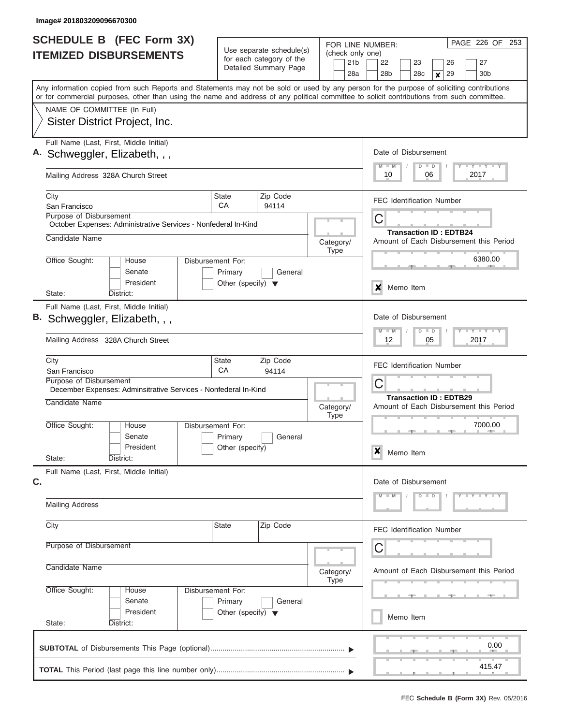| <b>SCHEDULE B</b> (FEC Form 3X)<br><b>ITEMIZED DISBURSEMENTS</b>                                                                                                                                                                                                                                                       |                                                 | Use separate schedule(s)<br>for each category of the |                          | PAGE 226 OF 253<br>FOR LINE NUMBER:<br>(check only one)<br>22<br>23<br>26<br>27 |  |
|------------------------------------------------------------------------------------------------------------------------------------------------------------------------------------------------------------------------------------------------------------------------------------------------------------------------|-------------------------------------------------|------------------------------------------------------|--------------------------|---------------------------------------------------------------------------------|--|
|                                                                                                                                                                                                                                                                                                                        |                                                 | Detailed Summary Page                                | 21 <sub>b</sub><br>28a   | 28 <sub>b</sub><br>29<br>30 <sub>b</sub><br>28 <sub>c</sub><br>×                |  |
| Any information copied from such Reports and Statements may not be sold or used by any person for the purpose of soliciting contributions<br>or for commercial purposes, other than using the name and address of any political committee to solicit contributions from such committee.<br>NAME OF COMMITTEE (In Full) |                                                 |                                                      |                          |                                                                                 |  |
| Sister District Project, Inc.                                                                                                                                                                                                                                                                                          |                                                 |                                                      |                          |                                                                                 |  |
| Full Name (Last, First, Middle Initial)<br>A. Schweggler, Elizabeth, , ,                                                                                                                                                                                                                                               |                                                 |                                                      |                          | Date of Disbursement<br>Y LY LY LY<br>$M$ $M$<br>$D$ $D$                        |  |
| Mailing Address 328A Church Street                                                                                                                                                                                                                                                                                     |                                                 |                                                      |                          | 10<br>06<br>2017                                                                |  |
| City<br>San Francisco                                                                                                                                                                                                                                                                                                  | State<br>CA                                     | Zip Code<br>94114                                    |                          | <b>FEC Identification Number</b>                                                |  |
| Purpose of Disbursement<br>October Expenses: Administrative Services - Nonfederal In-Kind<br>Candidate Name                                                                                                                                                                                                            |                                                 |                                                      | Category/                | С<br><b>Transaction ID: EDTB24</b><br>Amount of Each Disbursement this Period   |  |
| Office Sought:<br>House<br>Senate                                                                                                                                                                                                                                                                                      | Disbursement For:<br>Primary                    | General                                              | <b>Type</b>              | 6380.00                                                                         |  |
| President<br>District:<br>State:                                                                                                                                                                                                                                                                                       | Other (specify) $\blacktriangledown$            |                                                      |                          | Memo Item<br>x                                                                  |  |
| Full Name (Last, First, Middle Initial)                                                                                                                                                                                                                                                                                |                                                 |                                                      |                          |                                                                                 |  |
| Schweggler, Elizabeth, , ,                                                                                                                                                                                                                                                                                             |                                                 |                                                      |                          | Date of Disbursement<br>$-1 - Y - 1 - Y - 1 - Y$<br>$M - M$<br>$D$ $D$          |  |
| Mailing Address 328A Church Street                                                                                                                                                                                                                                                                                     |                                                 |                                                      |                          | 12<br>05<br>2017                                                                |  |
| City<br>San Francisco                                                                                                                                                                                                                                                                                                  | State<br>CA                                     | Zip Code<br>94114                                    |                          | <b>FEC Identification Number</b>                                                |  |
| Purpose of Disbursement<br>December Expenses: Adminsitrative Services - Nonfederal In-Kind                                                                                                                                                                                                                             |                                                 |                                                      |                          | C                                                                               |  |
| Candidate Name                                                                                                                                                                                                                                                                                                         |                                                 |                                                      | Category/<br><b>Type</b> | <b>Transaction ID: EDTB29</b><br>Amount of Each Disbursement this Period        |  |
| Office Sought:<br>House<br>Senate<br>President                                                                                                                                                                                                                                                                         | Disbursement For:<br>Primary<br>Other (specify) | General                                              |                          | 7000.00<br>$\boldsymbol{x}$                                                     |  |
| State:<br>District:                                                                                                                                                                                                                                                                                                    |                                                 |                                                      |                          | Memo Item                                                                       |  |
| Full Name (Last, First, Middle Initial)<br>C.                                                                                                                                                                                                                                                                          |                                                 |                                                      |                          | Date of Disbursement                                                            |  |
| <b>Mailing Address</b>                                                                                                                                                                                                                                                                                                 |                                                 |                                                      |                          | $Y - Y - Y - Y$<br>$D$ $D$                                                      |  |
| City                                                                                                                                                                                                                                                                                                                   | State                                           | Zip Code                                             |                          | <b>FEC Identification Number</b>                                                |  |
| Purpose of Disbursement                                                                                                                                                                                                                                                                                                |                                                 |                                                      |                          | С                                                                               |  |
| Candidate Name                                                                                                                                                                                                                                                                                                         |                                                 |                                                      | Category/<br><b>Type</b> | Amount of Each Disbursement this Period                                         |  |
| Office Sought:<br>House<br>Senate                                                                                                                                                                                                                                                                                      | Disbursement For:<br>Primary                    | General                                              |                          |                                                                                 |  |
| President<br>State:<br>District:                                                                                                                                                                                                                                                                                       | Other (specify) $\blacktriangledown$            |                                                      |                          | Memo Item                                                                       |  |
|                                                                                                                                                                                                                                                                                                                        |                                                 |                                                      |                          | 0.00                                                                            |  |
|                                                                                                                                                                                                                                                                                                                        |                                                 |                                                      |                          | 415.47                                                                          |  |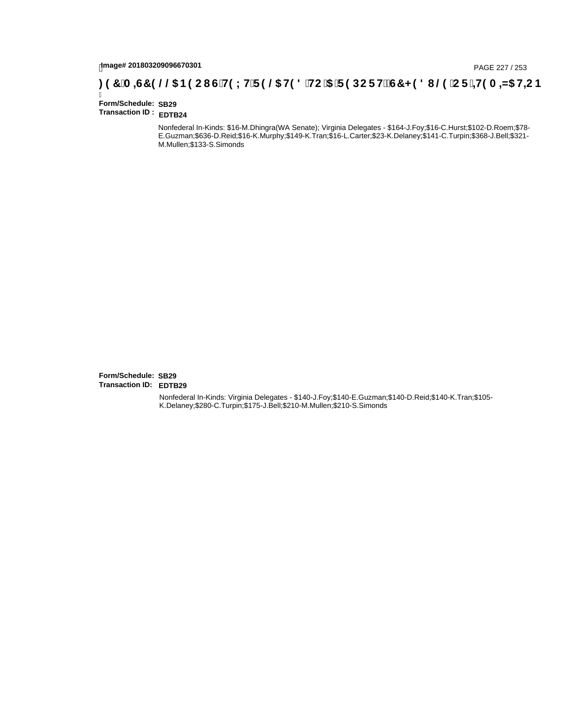# page# 201803209096670301<br>Denge# 201803209096670301<br>**( O, T ) (A =G7 9 @@ B9 C I G H9 L H F 9 @ H9 8 `HC `5 `F 9 DC F Hž G7 < 9 8 I @ `C F `<del>I I</del>9 A =N5 H=C B**

Ī **Form/Schedule: SB29 Transaction ID : EDTB24**

> Nonfederal In-Kinds: \$16-M.Dhingra(WA Senate); Virginia Delegates - \$164-J.Foy;\$16-C.Hurst;\$102-D.Roem;\$78- E.Guzman;\$636-D.Reid;\$16-K.Murphy;\$149-K.Tran;\$16-L.Carter;\$23-K.Delaney;\$141-C.Turpin;\$368-J.Bell;\$321- M.Mullen;\$133-S.Simonds

**Form/Schedule: SB29 Transaction ID: EDTB29**Nonfederal In-Kinds: Virginia Delegates - \$140-J.Foy;\$140-E.Guzman;\$140-D.Reid;\$140-K.Tran;\$105- K.Delaney;\$280-C.Turpin;\$175-J.Bell;\$210-M.Mullen;\$210-S.Simonds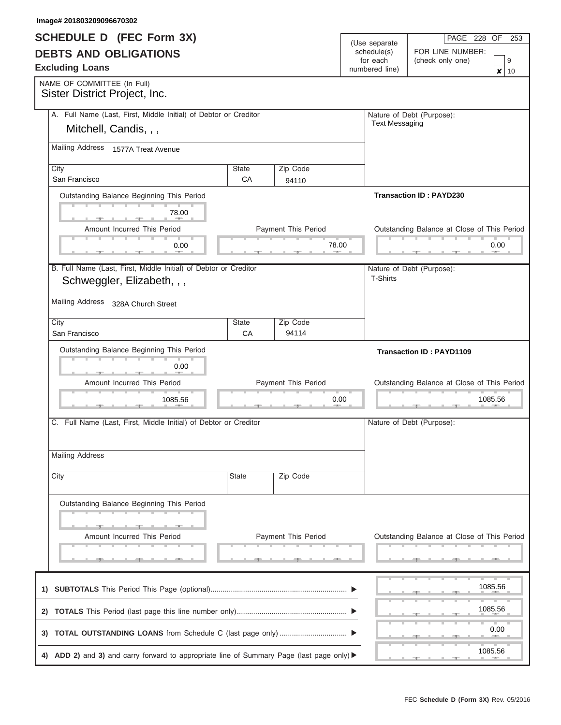| <b>SCHEDULE D</b> (FEC Form 3X)                                                         |                                           |                            |                              | PAGE 228 OF<br>253                          |  |
|-----------------------------------------------------------------------------------------|-------------------------------------------|----------------------------|------------------------------|---------------------------------------------|--|
| <b>DEBTS AND OBLIGATIONS</b>                                                            |                                           |                            | (Use separate<br>schedule(s) | FOR LINE NUMBER:                            |  |
|                                                                                         |                                           |                            | for each                     | (check only one)<br>9                       |  |
| <b>Excluding Loans</b>                                                                  |                                           |                            | numbered line)               | ×<br>10                                     |  |
| NAME OF COMMITTEE (In Full)                                                             |                                           |                            |                              |                                             |  |
| Sister District Project, Inc.                                                           |                                           |                            |                              |                                             |  |
| A. Full Name (Last, First, Middle Initial) of Debtor or Creditor                        |                                           |                            |                              | Nature of Debt (Purpose):                   |  |
| Mitchell, Candis, , ,                                                                   |                                           |                            | <b>Text Messaging</b>        |                                             |  |
|                                                                                         |                                           |                            |                              |                                             |  |
| Mailing Address 1577A Treat Avenue                                                      |                                           |                            |                              |                                             |  |
| City                                                                                    | <b>State</b>                              | Zip Code                   |                              |                                             |  |
| San Francisco                                                                           | CA                                        | 94110                      |                              |                                             |  |
| Outstanding Balance Beginning This Period                                               |                                           |                            |                              | <b>Transaction ID: PAYD230</b>              |  |
|                                                                                         |                                           |                            |                              |                                             |  |
| 78.00                                                                                   |                                           |                            |                              |                                             |  |
| Amount Incurred This Period                                                             |                                           | <b>Payment This Period</b> |                              | Outstanding Balance at Close of This Period |  |
| 0.00                                                                                    |                                           | 78.00                      |                              | 0.00                                        |  |
|                                                                                         |                                           |                            |                              |                                             |  |
| B. Full Name (Last, First, Middle Initial) of Debtor or Creditor                        |                                           |                            |                              | Nature of Debt (Purpose):                   |  |
| Schweggler, Elizabeth, , ,                                                              |                                           |                            | T-Shirts                     |                                             |  |
|                                                                                         |                                           |                            |                              |                                             |  |
| <b>Mailing Address</b><br>328A Church Street                                            |                                           |                            |                              |                                             |  |
| City                                                                                    | <b>State</b>                              | Zip Code                   |                              |                                             |  |
| San Francisco                                                                           | CA                                        | 94114                      |                              |                                             |  |
|                                                                                         | Outstanding Balance Beginning This Period |                            |                              |                                             |  |
|                                                                                         |                                           |                            |                              |                                             |  |
| 0.00                                                                                    |                                           |                            |                              |                                             |  |
| Amount Incurred This Period<br>Payment This Period                                      |                                           |                            |                              | Outstanding Balance at Close of This Period |  |
| 1085.56                                                                                 |                                           | 0.00                       |                              | 1085.56                                     |  |
| C. Full Name (Last, First, Middle Initial) of Debtor or Creditor                        |                                           |                            |                              |                                             |  |
|                                                                                         |                                           |                            |                              | Nature of Debt (Purpose):                   |  |
|                                                                                         |                                           |                            |                              |                                             |  |
| <b>Mailing Address</b>                                                                  |                                           |                            |                              |                                             |  |
|                                                                                         |                                           |                            |                              |                                             |  |
| City                                                                                    | State                                     | Zip Code                   |                              |                                             |  |
|                                                                                         |                                           |                            |                              |                                             |  |
| Outstanding Balance Beginning This Period                                               |                                           |                            |                              |                                             |  |
|                                                                                         |                                           |                            |                              |                                             |  |
|                                                                                         |                                           |                            |                              |                                             |  |
| Amount Incurred This Period                                                             |                                           | Payment This Period        |                              | Outstanding Balance at Close of This Period |  |
|                                                                                         |                                           |                            |                              |                                             |  |
|                                                                                         |                                           |                            |                              |                                             |  |
|                                                                                         |                                           |                            |                              | 1085.56                                     |  |
|                                                                                         |                                           |                            |                              |                                             |  |
|                                                                                         |                                           |                            |                              | 1085.56                                     |  |
|                                                                                         |                                           |                            |                              |                                             |  |
|                                                                                         |                                           |                            |                              | 0.00                                        |  |
|                                                                                         |                                           |                            |                              | 1085.56                                     |  |
| 4) ADD 2) and 3) and carry forward to appropriate line of Summary Page (last page only) |                                           |                            |                              | $-$<br>- 7 -                                |  |

**Image# 201803209096670302**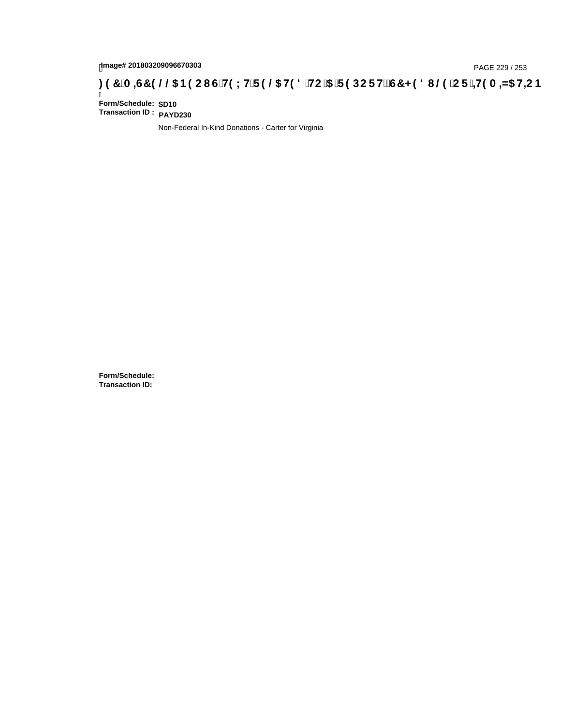# page# 201803209096670303<br>DAGE 229 / 253 DOC **CONFINIC IS THE UP 3CHORGE HE CONFINIC TO 4N5 HE CONFINIC IS THE CONFINIC TO 4N5 HE CONFINI**

Ī **Form/Schedule: SD10 Transaction ID : PAYD230**

Non-Federal In-Kind Donations - Carter for Virginia

**Form/Schedule: Transaction ID:**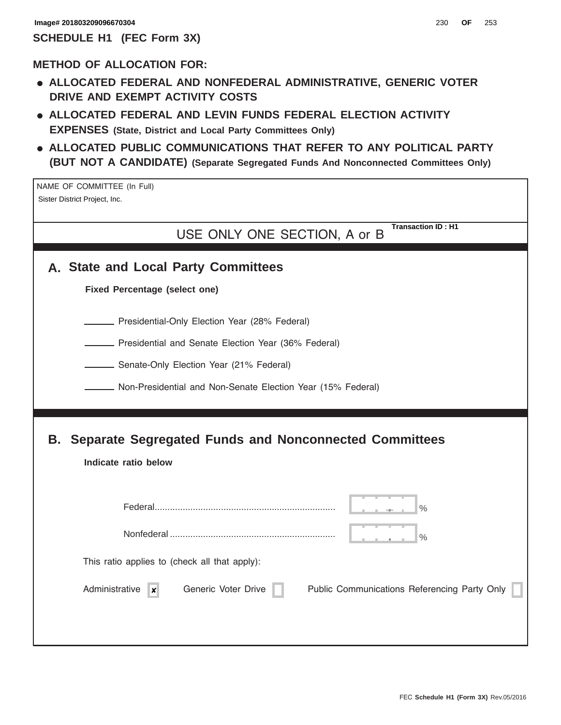### **METHOD OF ALLOCATION FOR:**

- **ALLOCATED FEDERAL AND NONFEDERAL ADMINISTRATIVE, GENERIC VOTER DRIVE AND EXEMPT ACTIVITY COSTS**
- **ALLOCATED FEDERAL AND LEVIN FUNDS FEDERAL ELECTION ACTIVITY EXPENSES (State, District and Local Party Committees Only)**
- **ALLOCATED PUBLIC COMMUNICATIONS THAT REFER TO ANY POLITICAL PARTY (BUT NOT A CANDIDATE) (Separate Segregated Funds And Nonconnected Committees Only)**

NAME OF COMMITTEE (In Full) Sister District Project, Inc.

> USE ONLY ONE SECTION, A or B **Transaction ID : H1**

|  |  |  |  |  |  | A. State and Local Party Committees |
|--|--|--|--|--|--|-------------------------------------|
|--|--|--|--|--|--|-------------------------------------|

**Fixed Percentage (select one)**

**Presidential-Only Election Year (28% Federal)** 

**EXECTE:** Presidential and Senate Election Year (36% Federal)

**Senate-Only Election Year (21% Federal)** 

Non-Presidential and Non-Senate Election Year (15% Federal)

# **B. Separate Segregated Funds and Nonconnected Committees**

|                                               |                     | $\frac{0}{0}$                                |
|-----------------------------------------------|---------------------|----------------------------------------------|
|                                               |                     | $\frac{1}{2}$                                |
| This ratio applies to (check all that apply): |                     |                                              |
| Administrative<br>$\boldsymbol{x}$            | Generic Voter Drive | Public Communications Referencing Party Only |
|                                               |                     |                                              |
|                                               |                     |                                              |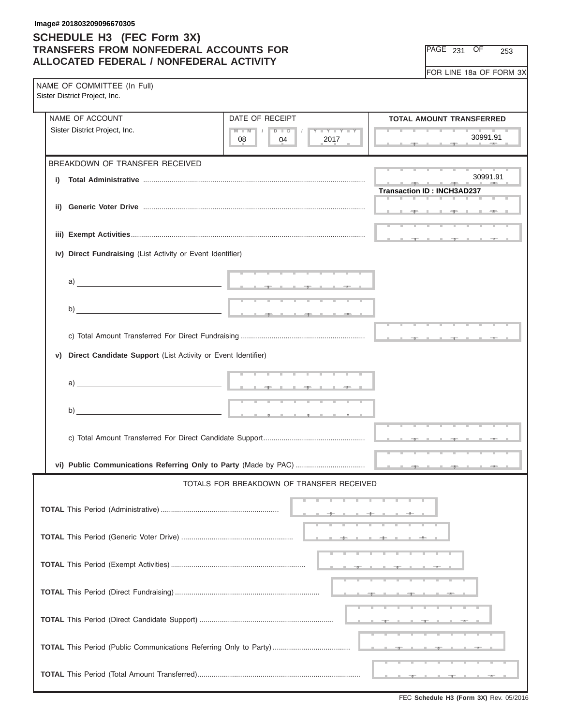| PAGE | 231 | OF | 253 |
|------|-----|----|-----|
|------|-----|----|-----|

| NAME OF COMMITTEE (In Full)<br>Sister District Project, Inc.       |                                                                                                                                                                                                                                      |                                                                                                                                                                                                                                                  |  |  |  |
|--------------------------------------------------------------------|--------------------------------------------------------------------------------------------------------------------------------------------------------------------------------------------------------------------------------------|--------------------------------------------------------------------------------------------------------------------------------------------------------------------------------------------------------------------------------------------------|--|--|--|
| NAME OF ACCOUNT                                                    | DATE OF RECEIPT                                                                                                                                                                                                                      | <b>TOTAL AMOUNT TRANSFERRED</b>                                                                                                                                                                                                                  |  |  |  |
| Sister District Project, Inc.                                      | $D$ $\Box$ $D$ $\Box$ $I$<br>$M$ $M$ $N$<br>Y FY FY FY<br>2017<br>08<br>04                                                                                                                                                           | 30991.91<br><b>The Contract of The Contract of The Contract of The Contract of The Contract of The Contract of The Contract of The Contract of The Contract of The Contract of The Contract of The Contract of The Contract of The Contract </b> |  |  |  |
| BREAKDOWN OF TRANSFER RECEIVED                                     |                                                                                                                                                                                                                                      |                                                                                                                                                                                                                                                  |  |  |  |
| i)                                                                 |                                                                                                                                                                                                                                      | 30991.91                                                                                                                                                                                                                                         |  |  |  |
|                                                                    |                                                                                                                                                                                                                                      | <b>Transaction ID: INCH3AD237</b>                                                                                                                                                                                                                |  |  |  |
| ii)                                                                |                                                                                                                                                                                                                                      |                                                                                                                                                                                                                                                  |  |  |  |
|                                                                    |                                                                                                                                                                                                                                      |                                                                                                                                                                                                                                                  |  |  |  |
| iv) Direct Fundraising (List Activity or Event Identifier)         |                                                                                                                                                                                                                                      |                                                                                                                                                                                                                                                  |  |  |  |
|                                                                    |                                                                                                                                                                                                                                      |                                                                                                                                                                                                                                                  |  |  |  |
|                                                                    | <u>and the property of the property of the property of the property of the property of the property of the property of the property of the property of the property of the property of the property of the property of the prope</u> |                                                                                                                                                                                                                                                  |  |  |  |
|                                                                    |                                                                                                                                                                                                                                      |                                                                                                                                                                                                                                                  |  |  |  |
| Direct Candidate Support (List Activity or Event Identifier)<br>v) |                                                                                                                                                                                                                                      |                                                                                                                                                                                                                                                  |  |  |  |
|                                                                    |                                                                                                                                                                                                                                      |                                                                                                                                                                                                                                                  |  |  |  |
|                                                                    |                                                                                                                                                                                                                                      |                                                                                                                                                                                                                                                  |  |  |  |
| $\mathsf{b}$ )                                                     | the contract of the contract of the                                                                                                                                                                                                  |                                                                                                                                                                                                                                                  |  |  |  |
|                                                                    |                                                                                                                                                                                                                                      |                                                                                                                                                                                                                                                  |  |  |  |
|                                                                    |                                                                                                                                                                                                                                      |                                                                                                                                                                                                                                                  |  |  |  |
|                                                                    | TOTALS FOR BREAKDOWN OF TRANSFER RECEIVED                                                                                                                                                                                            |                                                                                                                                                                                                                                                  |  |  |  |
|                                                                    |                                                                                                                                                                                                                                      |                                                                                                                                                                                                                                                  |  |  |  |
|                                                                    |                                                                                                                                                                                                                                      |                                                                                                                                                                                                                                                  |  |  |  |
|                                                                    |                                                                                                                                                                                                                                      |                                                                                                                                                                                                                                                  |  |  |  |
|                                                                    |                                                                                                                                                                                                                                      |                                                                                                                                                                                                                                                  |  |  |  |
|                                                                    |                                                                                                                                                                                                                                      |                                                                                                                                                                                                                                                  |  |  |  |
|                                                                    |                                                                                                                                                                                                                                      |                                                                                                                                                                                                                                                  |  |  |  |
|                                                                    |                                                                                                                                                                                                                                      |                                                                                                                                                                                                                                                  |  |  |  |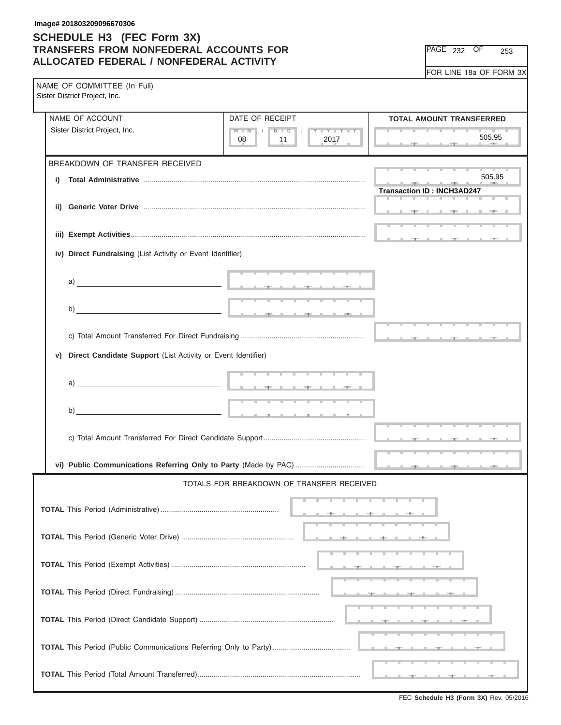| PAGE<br>232 | ЭF | 253 |
|-------------|----|-----|
|-------------|----|-----|

| NAME OF COMMITTEE (In Full)<br>Sister District Project, Inc.       |                                                                                                                                                                                                                                      |                                                         |  |  |  |  |  |
|--------------------------------------------------------------------|--------------------------------------------------------------------------------------------------------------------------------------------------------------------------------------------------------------------------------------|---------------------------------------------------------|--|--|--|--|--|
| NAME OF ACCOUNT                                                    | DATE OF RECEIPT                                                                                                                                                                                                                      | <b>TOTAL AMOUNT TRANSFERRED</b>                         |  |  |  |  |  |
| Sister District Project, Inc.                                      | $M - M$<br>$D$ $D$<br>$Y - Y - Y - Y$<br>08<br>11<br>2017                                                                                                                                                                            | 505.95                                                  |  |  |  |  |  |
| BREAKDOWN OF TRANSFER RECEIVED                                     |                                                                                                                                                                                                                                      |                                                         |  |  |  |  |  |
| i)                                                                 |                                                                                                                                                                                                                                      | 505.95<br><b>Transaction ID: INCH3AD247</b>             |  |  |  |  |  |
|                                                                    |                                                                                                                                                                                                                                      |                                                         |  |  |  |  |  |
|                                                                    |                                                                                                                                                                                                                                      | the state of the state of the state of the state of the |  |  |  |  |  |
| iv) Direct Fundraising (List Activity or Event Identifier)         |                                                                                                                                                                                                                                      |                                                         |  |  |  |  |  |
|                                                                    |                                                                                                                                                                                                                                      |                                                         |  |  |  |  |  |
| b)                                                                 |                                                                                                                                                                                                                                      |                                                         |  |  |  |  |  |
|                                                                    |                                                                                                                                                                                                                                      |                                                         |  |  |  |  |  |
| Direct Candidate Support (List Activity or Event Identifier)<br>V) |                                                                                                                                                                                                                                      |                                                         |  |  |  |  |  |
|                                                                    |                                                                                                                                                                                                                                      |                                                         |  |  |  |  |  |
| $\mathsf{b}$ )                                                     | <u>the company of the company of the company of the company of the company of the company of the company of the company of the company of the company of the company of the company of the company of the company of the company</u> |                                                         |  |  |  |  |  |
|                                                                    |                                                                                                                                                                                                                                      |                                                         |  |  |  |  |  |
|                                                                    |                                                                                                                                                                                                                                      |                                                         |  |  |  |  |  |
| TOTALS FOR BREAKDOWN OF TRANSFER RECEIVED                          |                                                                                                                                                                                                                                      |                                                         |  |  |  |  |  |
|                                                                    |                                                                                                                                                                                                                                      |                                                         |  |  |  |  |  |
|                                                                    |                                                                                                                                                                                                                                      |                                                         |  |  |  |  |  |
|                                                                    |                                                                                                                                                                                                                                      |                                                         |  |  |  |  |  |
|                                                                    |                                                                                                                                                                                                                                      |                                                         |  |  |  |  |  |
|                                                                    |                                                                                                                                                                                                                                      |                                                         |  |  |  |  |  |
|                                                                    |                                                                                                                                                                                                                                      |                                                         |  |  |  |  |  |
|                                                                    |                                                                                                                                                                                                                                      |                                                         |  |  |  |  |  |
|                                                                    |                                                                                                                                                                                                                                      |                                                         |  |  |  |  |  |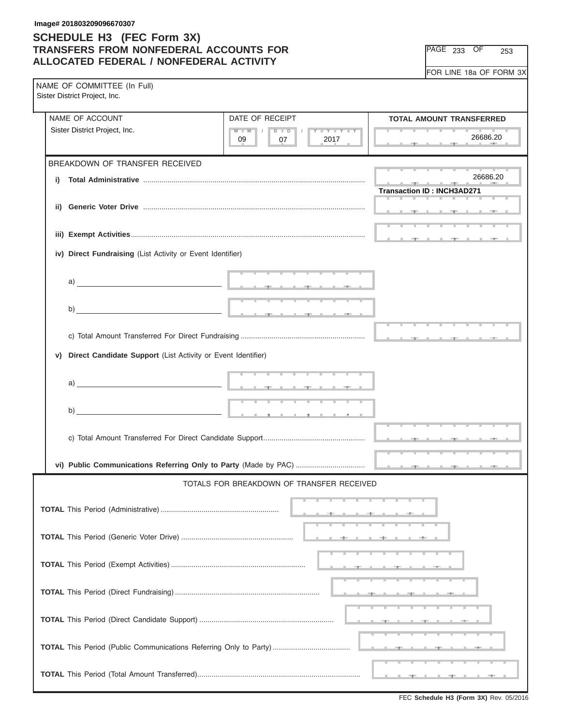| PAGE<br>233 | . )F | 253 |
|-------------|------|-----|
|-------------|------|-----|

| NAME OF COMMITTEE (In Full)<br>Sister District Project, Inc.                                                                                                                                                                  |                                                                                              | $\frac{1}{2}$                                          |
|-------------------------------------------------------------------------------------------------------------------------------------------------------------------------------------------------------------------------------|----------------------------------------------------------------------------------------------|--------------------------------------------------------|
| NAME OF ACCOUNT                                                                                                                                                                                                               | DATE OF RECEIPT                                                                              | <b>TOTAL AMOUNT TRANSFERRED</b>                        |
| Sister District Project, Inc.                                                                                                                                                                                                 | $D$ $\Box$ $D$<br>$M - M$<br>$\Box$<br>$Y = Y = Y + Y$<br>$\blacksquare$<br>09<br>07<br>2017 | <b>Contract Contract Contract Contract</b><br>26686.20 |
| BREAKDOWN OF TRANSFER RECEIVED                                                                                                                                                                                                |                                                                                              | <b>Contract Contract Contract</b>                      |
| i)                                                                                                                                                                                                                            |                                                                                              | 26686.20                                               |
| ii)                                                                                                                                                                                                                           |                                                                                              | <b>Transaction ID: INCH3AD271</b>                      |
|                                                                                                                                                                                                                               |                                                                                              |                                                        |
|                                                                                                                                                                                                                               |                                                                                              | the control of the control of the con-                 |
| iv) Direct Fundraising (List Activity or Event Identifier)                                                                                                                                                                    |                                                                                              |                                                        |
| a)                                                                                                                                                                                                                            |                                                                                              |                                                        |
|                                                                                                                                                                                                                               |                                                                                              |                                                        |
|                                                                                                                                                                                                                               |                                                                                              | .                                                      |
|                                                                                                                                                                                                                               |                                                                                              |                                                        |
| Direct Candidate Support (List Activity or Event Identifier)<br>v)                                                                                                                                                            |                                                                                              |                                                        |
|                                                                                                                                                                                                                               |                                                                                              |                                                        |
| a) and the contract of the contract of the contract of the contract of the contract of the contract of the contract of the contract of the contract of the contract of the contract of the contract of the contract of the co |                                                                                              |                                                        |
| $\mathsf{b}$ )                                                                                                                                                                                                                | <u> 1989 - Jan Jan Jan Jan Jan</u>                                                           |                                                        |
|                                                                                                                                                                                                                               |                                                                                              |                                                        |
|                                                                                                                                                                                                                               |                                                                                              |                                                        |
|                                                                                                                                                                                                                               | TOTALS FOR BREAKDOWN OF TRANSFER RECEIVED                                                    |                                                        |
|                                                                                                                                                                                                                               |                                                                                              |                                                        |
|                                                                                                                                                                                                                               |                                                                                              |                                                        |
|                                                                                                                                                                                                                               |                                                                                              |                                                        |
|                                                                                                                                                                                                                               |                                                                                              |                                                        |
|                                                                                                                                                                                                                               |                                                                                              |                                                        |
|                                                                                                                                                                                                                               |                                                                                              |                                                        |
|                                                                                                                                                                                                                               |                                                                                              |                                                        |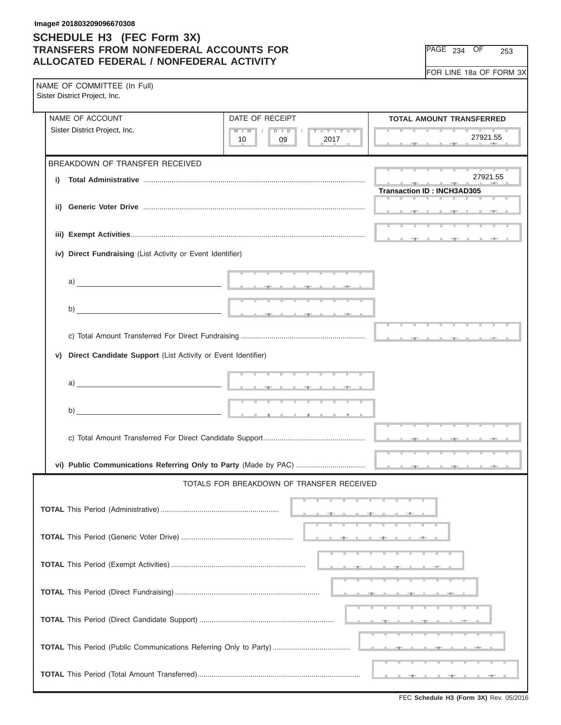PAGE 234 OF 253

| NAME OF COMMITTEE (In Full)<br>Sister District Project, Inc.                                                                                                                                                                  |                                                                 |                                      |
|-------------------------------------------------------------------------------------------------------------------------------------------------------------------------------------------------------------------------------|-----------------------------------------------------------------|--------------------------------------|
| NAME OF ACCOUNT                                                                                                                                                                                                               | DATE OF RECEIPT                                                 | <b>TOTAL AMOUNT TRANSFERRED</b>      |
| Sister District Project, Inc.                                                                                                                                                                                                 | $M$ $M$ $I$<br>$D$ $\Box$ $D$<br>Y FY FY FY<br>2017<br>09<br>10 | 27921.55                             |
| BREAKDOWN OF TRANSFER RECEIVED                                                                                                                                                                                                |                                                                 |                                      |
| i)                                                                                                                                                                                                                            |                                                                 | 27921.55                             |
|                                                                                                                                                                                                                               |                                                                 | <b>Transaction ID: INCH3AD305</b>    |
|                                                                                                                                                                                                                               |                                                                 |                                      |
|                                                                                                                                                                                                                               |                                                                 |                                      |
|                                                                                                                                                                                                                               |                                                                 | operation in the control of the con- |
| iv) Direct Fundraising (List Activity or Event Identifier)                                                                                                                                                                    |                                                                 |                                      |
|                                                                                                                                                                                                                               |                                                                 |                                      |
| a) and the contract of the contract of the contract of the contract of the contract of the contract of the contract of the contract of the contract of the contract of the contract of the contract of the contract of the co |                                                                 |                                      |
| b)                                                                                                                                                                                                                            |                                                                 |                                      |
|                                                                                                                                                                                                                               |                                                                 |                                      |
|                                                                                                                                                                                                                               |                                                                 |                                      |
|                                                                                                                                                                                                                               |                                                                 |                                      |
| Direct Candidate Support (List Activity or Event Identifier)<br>V)                                                                                                                                                            |                                                                 |                                      |
|                                                                                                                                                                                                                               |                                                                 |                                      |
| a) and the contract of $\blacksquare$                                                                                                                                                                                         |                                                                 |                                      |
|                                                                                                                                                                                                                               |                                                                 |                                      |
|                                                                                                                                                                                                                               |                                                                 |                                      |
|                                                                                                                                                                                                                               |                                                                 |                                      |
|                                                                                                                                                                                                                               |                                                                 |                                      |
|                                                                                                                                                                                                                               |                                                                 |                                      |
|                                                                                                                                                                                                                               | TOTALS FOR BREAKDOWN OF TRANSFER RECEIVED                       |                                      |
|                                                                                                                                                                                                                               |                                                                 |                                      |
|                                                                                                                                                                                                                               |                                                                 |                                      |
|                                                                                                                                                                                                                               |                                                                 |                                      |
|                                                                                                                                                                                                                               |                                                                 |                                      |
|                                                                                                                                                                                                                               |                                                                 |                                      |
|                                                                                                                                                                                                                               |                                                                 |                                      |
|                                                                                                                                                                                                                               |                                                                 |                                      |
|                                                                                                                                                                                                                               |                                                                 |                                      |
|                                                                                                                                                                                                                               |                                                                 |                                      |
|                                                                                                                                                                                                                               |                                                                 |                                      |
|                                                                                                                                                                                                                               |                                                                 |                                      |

FEC **Schedule H3 (Form 3X)** Rev. 05/2016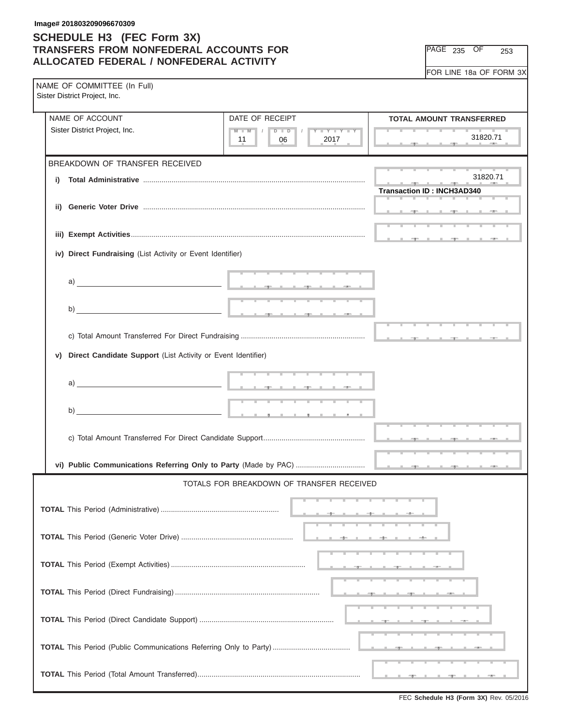PAGE 235 OF 253

| NAME OF COMMITTEE (In Full)<br>Sister District Project, Inc.                                                                                                                                                                                                                                                                                                                                                       |                                                               |                                                   |
|--------------------------------------------------------------------------------------------------------------------------------------------------------------------------------------------------------------------------------------------------------------------------------------------------------------------------------------------------------------------------------------------------------------------|---------------------------------------------------------------|---------------------------------------------------|
| NAME OF ACCOUNT                                                                                                                                                                                                                                                                                                                                                                                                    | DATE OF RECEIPT                                               | <b>TOTAL AMOUNT TRANSFERRED</b>                   |
| Sister District Project, Inc.                                                                                                                                                                                                                                                                                                                                                                                      | $M$ $M$ $I$<br>$D$ $D$<br>$Y - Y - Y - Y$<br>2017<br>06<br>11 | 31820.71                                          |
| BREAKDOWN OF TRANSFER RECEIVED                                                                                                                                                                                                                                                                                                                                                                                     |                                                               |                                                   |
| i)                                                                                                                                                                                                                                                                                                                                                                                                                 |                                                               | 31820.71                                          |
|                                                                                                                                                                                                                                                                                                                                                                                                                    |                                                               | <b>Transaction ID: INCH3AD340</b>                 |
|                                                                                                                                                                                                                                                                                                                                                                                                                    |                                                               |                                                   |
|                                                                                                                                                                                                                                                                                                                                                                                                                    |                                                               |                                                   |
|                                                                                                                                                                                                                                                                                                                                                                                                                    |                                                               | Application of the Application of the Application |
| iv) Direct Fundraising (List Activity or Event Identifier)                                                                                                                                                                                                                                                                                                                                                         |                                                               |                                                   |
|                                                                                                                                                                                                                                                                                                                                                                                                                    |                                                               |                                                   |
| a) and the contract of the contract of the contract of the contract of the contract of the contract of the contract of the contract of the contract of the contract of the contract of the contract of the contract of the co                                                                                                                                                                                      |                                                               |                                                   |
|                                                                                                                                                                                                                                                                                                                                                                                                                    |                                                               |                                                   |
| b)                                                                                                                                                                                                                                                                                                                                                                                                                 |                                                               |                                                   |
|                                                                                                                                                                                                                                                                                                                                                                                                                    |                                                               |                                                   |
|                                                                                                                                                                                                                                                                                                                                                                                                                    |                                                               |                                                   |
| Direct Candidate Support (List Activity or Event Identifier)<br>V)                                                                                                                                                                                                                                                                                                                                                 |                                                               |                                                   |
|                                                                                                                                                                                                                                                                                                                                                                                                                    |                                                               |                                                   |
| a) and $\overline{\phantom{a}}$ and $\overline{\phantom{a}}$ and $\overline{\phantom{a}}$ and $\overline{\phantom{a}}$ and $\overline{\phantom{a}}$ and $\overline{\phantom{a}}$ and $\overline{\phantom{a}}$ and $\overline{\phantom{a}}$ and $\overline{\phantom{a}}$ and $\overline{\phantom{a}}$ and $\overline{\phantom{a}}$ and $\overline{\phantom{a}}$ and $\overline{\phantom{a}}$ and $\overline{\phant$ |                                                               |                                                   |
|                                                                                                                                                                                                                                                                                                                                                                                                                    |                                                               |                                                   |
| $\mathsf{b)}$ $\qquad \qquad$                                                                                                                                                                                                                                                                                                                                                                                      |                                                               |                                                   |
|                                                                                                                                                                                                                                                                                                                                                                                                                    |                                                               |                                                   |
|                                                                                                                                                                                                                                                                                                                                                                                                                    |                                                               |                                                   |
|                                                                                                                                                                                                                                                                                                                                                                                                                    |                                                               |                                                   |
|                                                                                                                                                                                                                                                                                                                                                                                                                    |                                                               |                                                   |
|                                                                                                                                                                                                                                                                                                                                                                                                                    | TOTALS FOR BREAKDOWN OF TRANSFER RECEIVED                     |                                                   |
|                                                                                                                                                                                                                                                                                                                                                                                                                    |                                                               |                                                   |
|                                                                                                                                                                                                                                                                                                                                                                                                                    |                                                               |                                                   |
|                                                                                                                                                                                                                                                                                                                                                                                                                    |                                                               |                                                   |
|                                                                                                                                                                                                                                                                                                                                                                                                                    |                                                               |                                                   |
|                                                                                                                                                                                                                                                                                                                                                                                                                    |                                                               |                                                   |
|                                                                                                                                                                                                                                                                                                                                                                                                                    |                                                               |                                                   |
|                                                                                                                                                                                                                                                                                                                                                                                                                    |                                                               |                                                   |
|                                                                                                                                                                                                                                                                                                                                                                                                                    |                                                               |                                                   |
|                                                                                                                                                                                                                                                                                                                                                                                                                    |                                                               |                                                   |
|                                                                                                                                                                                                                                                                                                                                                                                                                    |                                                               |                                                   |
|                                                                                                                                                                                                                                                                                                                                                                                                                    |                                                               |                                                   |
|                                                                                                                                                                                                                                                                                                                                                                                                                    |                                                               |                                                   |

FEC **Schedule H3 (Form 3X)** Rev. 05/2016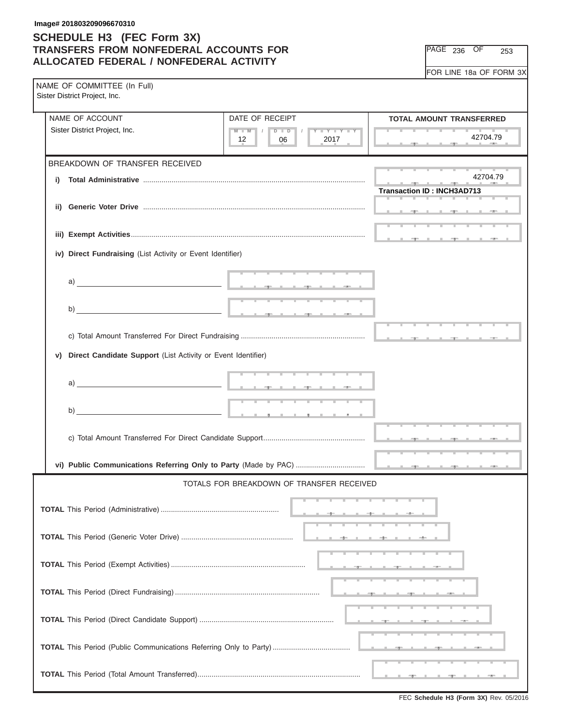PAGE 236 OF 253

| NAME OF COMMITTEE (In Full)<br>Sister District Project, Inc.                                                                                                                                                                                                                                                                                  |                                                          |                                   |
|-----------------------------------------------------------------------------------------------------------------------------------------------------------------------------------------------------------------------------------------------------------------------------------------------------------------------------------------------|----------------------------------------------------------|-----------------------------------|
| NAME OF ACCOUNT                                                                                                                                                                                                                                                                                                                               | DATE OF RECEIPT                                          | <b>TOTAL AMOUNT TRANSFERRED</b>   |
| Sister District Project, Inc.                                                                                                                                                                                                                                                                                                                 | $M$ $M$ $I$<br>$D$ $D$<br>Y LY LY LY<br>2017<br>12<br>06 | 42704.79                          |
| BREAKDOWN OF TRANSFER RECEIVED                                                                                                                                                                                                                                                                                                                |                                                          |                                   |
| i)                                                                                                                                                                                                                                                                                                                                            |                                                          | 42704.79                          |
|                                                                                                                                                                                                                                                                                                                                               |                                                          | <b>Transaction ID: INCH3AD713</b> |
|                                                                                                                                                                                                                                                                                                                                               |                                                          |                                   |
|                                                                                                                                                                                                                                                                                                                                               |                                                          |                                   |
| iv) Direct Fundraising (List Activity or Event Identifier)                                                                                                                                                                                                                                                                                    |                                                          |                                   |
|                                                                                                                                                                                                                                                                                                                                               |                                                          |                                   |
| a) $\overline{\phantom{a}}$                                                                                                                                                                                                                                                                                                                   |                                                          |                                   |
|                                                                                                                                                                                                                                                                                                                                               |                                                          |                                   |
| b)                                                                                                                                                                                                                                                                                                                                            |                                                          |                                   |
|                                                                                                                                                                                                                                                                                                                                               |                                                          |                                   |
|                                                                                                                                                                                                                                                                                                                                               |                                                          |                                   |
| Direct Candidate Support (List Activity or Event Identifier)<br>V)                                                                                                                                                                                                                                                                            |                                                          |                                   |
|                                                                                                                                                                                                                                                                                                                                               |                                                          |                                   |
| a) $\qquad \qquad$ $\qquad$ $\qquad$ $\qquad$ $\qquad$ $\qquad$ $\qquad$ $\qquad$ $\qquad$ $\qquad$ $\qquad$ $\qquad$ $\qquad$ $\qquad$ $\qquad$ $\qquad$ $\qquad$ $\qquad$ $\qquad$ $\qquad$ $\qquad$ $\qquad$ $\qquad$ $\qquad$ $\qquad$ $\qquad$ $\qquad$ $\qquad$ $\qquad$ $\qquad$ $\qquad$ $\qquad$ $\qquad$ $\qquad$ $\qquad$ $\qquad$ |                                                          |                                   |
|                                                                                                                                                                                                                                                                                                                                               |                                                          |                                   |
| $\mathsf{b}$ ) $\overline{\phantom{a}}$                                                                                                                                                                                                                                                                                                       |                                                          |                                   |
|                                                                                                                                                                                                                                                                                                                                               |                                                          |                                   |
|                                                                                                                                                                                                                                                                                                                                               |                                                          |                                   |
|                                                                                                                                                                                                                                                                                                                                               |                                                          |                                   |
|                                                                                                                                                                                                                                                                                                                                               | TOTALS FOR BREAKDOWN OF TRANSFER RECEIVED                |                                   |
|                                                                                                                                                                                                                                                                                                                                               |                                                          |                                   |
|                                                                                                                                                                                                                                                                                                                                               |                                                          |                                   |
|                                                                                                                                                                                                                                                                                                                                               |                                                          |                                   |
|                                                                                                                                                                                                                                                                                                                                               |                                                          |                                   |
|                                                                                                                                                                                                                                                                                                                                               |                                                          |                                   |
|                                                                                                                                                                                                                                                                                                                                               |                                                          |                                   |
|                                                                                                                                                                                                                                                                                                                                               |                                                          |                                   |
|                                                                                                                                                                                                                                                                                                                                               |                                                          |                                   |
|                                                                                                                                                                                                                                                                                                                                               |                                                          |                                   |
|                                                                                                                                                                                                                                                                                                                                               |                                                          |                                   |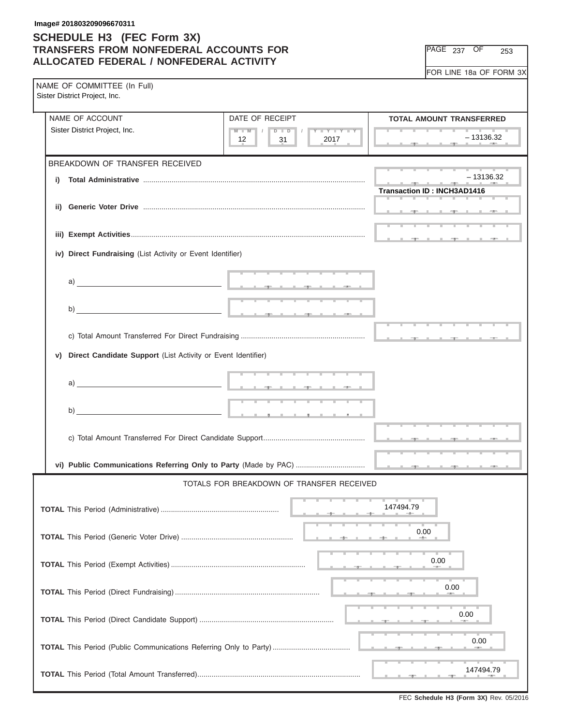PAGE 237 OF 253

| NAME OF COMMITTEE (In Full)<br>Sister District Project, Inc.       |                                                                                                                                                                                                                                      |                                                                                                                                                                                                                                                                                                                                                                                                                                                                                       |
|--------------------------------------------------------------------|--------------------------------------------------------------------------------------------------------------------------------------------------------------------------------------------------------------------------------------|---------------------------------------------------------------------------------------------------------------------------------------------------------------------------------------------------------------------------------------------------------------------------------------------------------------------------------------------------------------------------------------------------------------------------------------------------------------------------------------|
| NAME OF ACCOUNT                                                    | DATE OF RECEIPT                                                                                                                                                                                                                      | <b>TOTAL AMOUNT TRANSFERRED</b>                                                                                                                                                                                                                                                                                                                                                                                                                                                       |
| Sister District Project, Inc.                                      | $M$ $M$ $I$<br>$D$ $D$<br>Y FY FY FY<br>2017<br>12<br>31                                                                                                                                                                             | the contract of the contract of the contract of<br>– 13136.32                                                                                                                                                                                                                                                                                                                                                                                                                         |
| BREAKDOWN OF TRANSFER RECEIVED                                     |                                                                                                                                                                                                                                      |                                                                                                                                                                                                                                                                                                                                                                                                                                                                                       |
| i)                                                                 |                                                                                                                                                                                                                                      | $-13136.32$<br>$\frac{1}{\sqrt{2}}\left( \frac{1}{\sqrt{2}}\right) \left( \frac{1}{\sqrt{2}}\right) \left( \frac{1}{\sqrt{2}}\right) \left( \frac{1}{\sqrt{2}}\right) \left( \frac{1}{\sqrt{2}}\right) \left( \frac{1}{\sqrt{2}}\right) \left( \frac{1}{\sqrt{2}}\right) \left( \frac{1}{\sqrt{2}}\right) \left( \frac{1}{\sqrt{2}}\right) \left( \frac{1}{\sqrt{2}}\right) \left( \frac{1}{\sqrt{2}}\right) \left( \frac{1}{\sqrt{2}}\right) \left( \frac{1}{\sqrt{2}}\right) \left$ |
|                                                                    |                                                                                                                                                                                                                                      | <b>Transaction ID: INCH3AD1416</b>                                                                                                                                                                                                                                                                                                                                                                                                                                                    |
| ii)                                                                |                                                                                                                                                                                                                                      |                                                                                                                                                                                                                                                                                                                                                                                                                                                                                       |
|                                                                    |                                                                                                                                                                                                                                      |                                                                                                                                                                                                                                                                                                                                                                                                                                                                                       |
| iv) Direct Fundraising (List Activity or Event Identifier)         |                                                                                                                                                                                                                                      |                                                                                                                                                                                                                                                                                                                                                                                                                                                                                       |
|                                                                    |                                                                                                                                                                                                                                      |                                                                                                                                                                                                                                                                                                                                                                                                                                                                                       |
| a) $\overline{\phantom{a}}$                                        | <u>The companies of the companies of the companies of the companies of the companies of the companies of the companies of the companies of the companies of the companies of the companies of the companies of the companies of </u> |                                                                                                                                                                                                                                                                                                                                                                                                                                                                                       |
|                                                                    |                                                                                                                                                                                                                                      |                                                                                                                                                                                                                                                                                                                                                                                                                                                                                       |
| b)                                                                 |                                                                                                                                                                                                                                      |                                                                                                                                                                                                                                                                                                                                                                                                                                                                                       |
|                                                                    |                                                                                                                                                                                                                                      |                                                                                                                                                                                                                                                                                                                                                                                                                                                                                       |
| Direct Candidate Support (List Activity or Event Identifier)<br>v) |                                                                                                                                                                                                                                      |                                                                                                                                                                                                                                                                                                                                                                                                                                                                                       |
|                                                                    |                                                                                                                                                                                                                                      |                                                                                                                                                                                                                                                                                                                                                                                                                                                                                       |
|                                                                    |                                                                                                                                                                                                                                      |                                                                                                                                                                                                                                                                                                                                                                                                                                                                                       |
|                                                                    |                                                                                                                                                                                                                                      |                                                                                                                                                                                                                                                                                                                                                                                                                                                                                       |
| $\mathsf{b}$ )                                                     |                                                                                                                                                                                                                                      |                                                                                                                                                                                                                                                                                                                                                                                                                                                                                       |
|                                                                    |                                                                                                                                                                                                                                      |                                                                                                                                                                                                                                                                                                                                                                                                                                                                                       |
|                                                                    |                                                                                                                                                                                                                                      |                                                                                                                                                                                                                                                                                                                                                                                                                                                                                       |
|                                                                    | TOTALS FOR BREAKDOWN OF TRANSFER RECEIVED                                                                                                                                                                                            |                                                                                                                                                                                                                                                                                                                                                                                                                                                                                       |
|                                                                    |                                                                                                                                                                                                                                      |                                                                                                                                                                                                                                                                                                                                                                                                                                                                                       |
|                                                                    |                                                                                                                                                                                                                                      | 147494.79                                                                                                                                                                                                                                                                                                                                                                                                                                                                             |
|                                                                    |                                                                                                                                                                                                                                      | 0.00                                                                                                                                                                                                                                                                                                                                                                                                                                                                                  |
|                                                                    |                                                                                                                                                                                                                                      |                                                                                                                                                                                                                                                                                                                                                                                                                                                                                       |
|                                                                    |                                                                                                                                                                                                                                      | 0.00                                                                                                                                                                                                                                                                                                                                                                                                                                                                                  |
|                                                                    |                                                                                                                                                                                                                                      | 0.00                                                                                                                                                                                                                                                                                                                                                                                                                                                                                  |
|                                                                    |                                                                                                                                                                                                                                      |                                                                                                                                                                                                                                                                                                                                                                                                                                                                                       |
|                                                                    |                                                                                                                                                                                                                                      | 0.00                                                                                                                                                                                                                                                                                                                                                                                                                                                                                  |
|                                                                    |                                                                                                                                                                                                                                      | 0.00                                                                                                                                                                                                                                                                                                                                                                                                                                                                                  |
|                                                                    |                                                                                                                                                                                                                                      | 147494.79                                                                                                                                                                                                                                                                                                                                                                                                                                                                             |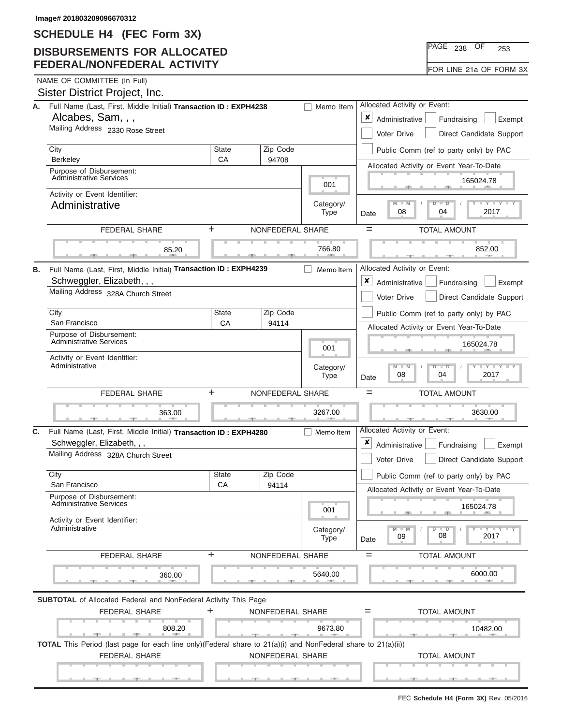## **DISBURSEMENTS FOR ALLOCATED FEDERAL/NONFEDERAL ACTIVITY**

|  | NAME OF COMMITTEE (In Full) |  |
|--|-----------------------------|--|

|    | Sister District Project, Inc.                                                                                                         |                                              |                          |                                                                          |                                                               |
|----|---------------------------------------------------------------------------------------------------------------------------------------|----------------------------------------------|--------------------------|--------------------------------------------------------------------------|---------------------------------------------------------------|
| А. | Full Name (Last, First, Middle Initial) Transaction ID: EXPH4238                                                                      | Allocated Activity or Event:                 |                          |                                                                          |                                                               |
|    | Alcabes, Sam, , ,                                                                                                                     | ×<br>Administrative<br>Fundraising<br>Exempt |                          |                                                                          |                                                               |
|    | Mailing Address 2330 Rose Street                                                                                                      | Voter Drive<br>Direct Candidate Support      |                          |                                                                          |                                                               |
|    | City                                                                                                                                  | Zip Code<br><b>State</b>                     |                          |                                                                          | Public Comm (ref to party only) by PAC                        |
|    | Berkeley<br>Purpose of Disbursement:                                                                                                  | СA                                           | 94708                    |                                                                          | Allocated Activity or Event Year-To-Date                      |
|    | <b>Administrative Services</b>                                                                                                        |                                              | 001                      | 165024.78                                                                |                                                               |
|    | Activity or Event Identifier:<br>Administrative                                                                                       |                                              | Category/<br><b>Type</b> | $M - M$<br>Y TYT<br>$\overline{\phantom{a}}$<br>08<br>04<br>2017<br>Date |                                                               |
|    | <b>FEDERAL SHARE</b>                                                                                                                  | ÷                                            | NONFEDERAL SHARE         |                                                                          | $=$<br><b>TOTAL AMOUNT</b>                                    |
|    |                                                                                                                                       |                                              |                          |                                                                          |                                                               |
|    | 85.20                                                                                                                                 |                                              |                          | 766.80                                                                   | 852.00                                                        |
| В. | Full Name (Last, First, Middle Initial) Transaction ID: EXPH4239                                                                      |                                              |                          | Memo Item                                                                | Allocated Activity or Event:                                  |
|    | Schweggler, Elizabeth, , ,<br>Mailing Address 328A Church Street                                                                      |                                              |                          |                                                                          | ×<br>Administrative<br>Fundraising<br>Exempt                  |
|    |                                                                                                                                       |                                              |                          |                                                                          | Voter Drive<br>Direct Candidate Support                       |
|    | City                                                                                                                                  | <b>State</b>                                 | Zip Code                 |                                                                          | Public Comm (ref to party only) by PAC                        |
|    | San Francisco<br>Purpose of Disbursement:                                                                                             | CA                                           | 94114                    |                                                                          | Allocated Activity or Event Year-To-Date                      |
|    | <b>Administrative Services</b>                                                                                                        |                                              |                          | 001                                                                      | 165024.78                                                     |
|    | Activity or Event Identifier:<br>Administrative                                                                                       |                                              |                          | Category/<br>Type                                                        | $M - M$<br>$D$ $D$<br>2017<br>08<br>04<br>Date                |
|    | +<br><b>FEDERAL SHARE</b><br>NONFEDERAL SHARE                                                                                         |                                              |                          |                                                                          |                                                               |
|    |                                                                                                                                       |                                              |                          |                                                                          | $=$<br><b>TOTAL AMOUNT</b>                                    |
|    | 363.00                                                                                                                                |                                              |                          | 3267.00                                                                  | 3630.00                                                       |
| C. | Full Name (Last, First, Middle Initial) Transaction ID: EXPH4280                                                                      |                                              |                          | Memo Item                                                                | Allocated Activity or Event:                                  |
|    | Schweggler, Elizabeth, , ,                                                                                                            |                                              |                          |                                                                          | ×<br>Administrative<br>Fundraising<br>Exempt                  |
|    | Mailing Address 328A Church Street                                                                                                    |                                              |                          |                                                                          | Direct Candidate Support<br>Voter Drive                       |
|    | City                                                                                                                                  | <b>State</b>                                 | Zip Code                 |                                                                          | Public Comm (ref to party only) by PAC                        |
|    | San Francisco                                                                                                                         | CA                                           | 94114                    |                                                                          | Allocated Activity or Event Year-To-Date                      |
|    | Purpose of Disbursement:<br><b>Administrative Services</b>                                                                            |                                              |                          | 001                                                                      | 165024.78                                                     |
|    | Activity or Event Identifier:<br>Administrative                                                                                       |                                              |                          | Category/<br>Type                                                        | $M$ $M$<br>$Y + Y + Y$<br>$D$ $D$<br>08<br>2017<br>09<br>Date |
|    | <b>FEDERAL SHARE</b>                                                                                                                  | ÷.                                           |                          |                                                                          | <b>TOTAL AMOUNT</b><br>$=$                                    |
|    | 360.00                                                                                                                                |                                              | NONFEDERAL SHARE         | 5640.00                                                                  | 6000.00                                                       |
|    |                                                                                                                                       |                                              |                          |                                                                          |                                                               |
|    | <b>SUBTOTAL</b> of Allocated Federal and NonFederal Activity This Page<br><b>FEDERAL SHARE</b>                                        | +                                            | NONFEDERAL SHARE         |                                                                          | <b>TOTAL AMOUNT</b><br>$=$                                    |
|    |                                                                                                                                       |                                              |                          |                                                                          |                                                               |
|    | 808.20                                                                                                                                |                                              |                          | 9673.80                                                                  | 10482.00                                                      |
|    | TOTAL This Period (last page for each line only)(Federal share to 21(a)(i) and NonFederal share to 21(a)(ii))<br><b>FEDERAL SHARE</b> |                                              | NONFEDERAL SHARE         |                                                                          | <b>TOTAL AMOUNT</b>                                           |

PAGE <sub>238</sub> OF 253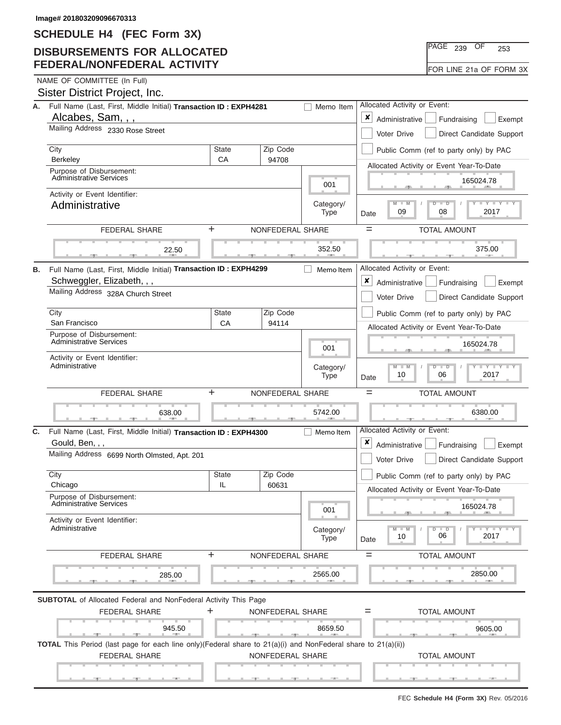## **DISBURSEMENTS FOR ALLOCATED FEDERAL/NONFEDERAL ACTIVITY**

|  | NAME OF COMMITTEE (In Full) |  |
|--|-----------------------------|--|

|    | Sister District Project, Inc.                                                                                                         |                                                           |                          |                          |                                                                |                                                                          |
|----|---------------------------------------------------------------------------------------------------------------------------------------|-----------------------------------------------------------|--------------------------|--------------------------|----------------------------------------------------------------|--------------------------------------------------------------------------|
| А. | Full Name (Last, First, Middle Initial) Transaction ID: EXPH4281                                                                      | Allocated Activity or Event:                              |                          |                          |                                                                |                                                                          |
|    | Alcabes, Sam, , ,                                                                                                                     | $\pmb{\times}$<br>Administrative<br>Fundraising<br>Exempt |                          |                          |                                                                |                                                                          |
|    | Mailing Address 2330 Rose Street                                                                                                      | Voter Drive<br>Direct Candidate Support                   |                          |                          |                                                                |                                                                          |
|    | City<br>Berkeley                                                                                                                      | <b>State</b><br>CA                                        |                          | Zip Code                 |                                                                | Public Comm (ref to party only) by PAC                                   |
|    | Purpose of Disbursement:                                                                                                              |                                                           |                          | 94708                    |                                                                | Allocated Activity or Event Year-To-Date                                 |
|    | <b>Administrative Services</b>                                                                                                        |                                                           |                          | 001                      | 165024.78                                                      |                                                                          |
|    | Activity or Event Identifier:                                                                                                         |                                                           |                          |                          | $M - M$<br>$\overline{\mathsf{D}}$<br>$\overline{\phantom{a}}$ |                                                                          |
|    | Administrative                                                                                                                        |                                                           | Category/<br><b>Type</b> | 2017<br>09<br>08<br>Date |                                                                |                                                                          |
|    | <b>FEDERAL SHARE</b>                                                                                                                  | +                                                         | NONFEDERAL SHARE         |                          |                                                                | $=$<br><b>TOTAL AMOUNT</b>                                               |
|    | 22.50                                                                                                                                 |                                                           |                          |                          | 352.50                                                         | 375.00                                                                   |
|    |                                                                                                                                       |                                                           |                          |                          |                                                                |                                                                          |
| В. | Full Name (Last, First, Middle Initial) Transaction ID: EXPH4299                                                                      |                                                           |                          |                          | Memo Item                                                      | Allocated Activity or Event:                                             |
|    | Schweggler, Elizabeth, , ,<br>Mailing Address 328A Church Street                                                                      |                                                           |                          |                          |                                                                | ×<br>Administrative<br>Fundraising<br>Exempt                             |
|    |                                                                                                                                       |                                                           |                          |                          |                                                                | <b>Voter Drive</b><br>Direct Candidate Support                           |
|    | City                                                                                                                                  | <b>State</b>                                              |                          | Zip Code                 |                                                                | Public Comm (ref to party only) by PAC                                   |
|    | San Francisco                                                                                                                         | CA                                                        |                          | 94114                    |                                                                | Allocated Activity or Event Year-To-Date                                 |
|    | Purpose of Disbursement:<br><b>Administrative Services</b>                                                                            |                                                           |                          |                          | 001                                                            | 165024.78                                                                |
|    | Activity or Event Identifier:                                                                                                         |                                                           |                          |                          |                                                                | $Y - Y$                                                                  |
|    | Administrative                                                                                                                        |                                                           |                          |                          | Category/<br>Type                                              | $M - M$<br>$\overline{\mathsf{D}}$<br>$\Box$<br>2017<br>10<br>06<br>Date |
|    |                                                                                                                                       |                                                           |                          |                          |                                                                |                                                                          |
|    | <b>FEDERAL SHARE</b>                                                                                                                  | +                                                         | NONFEDERAL SHARE         |                          |                                                                | $=$<br><b>TOTAL AMOUNT</b>                                               |
|    | 638.00                                                                                                                                |                                                           |                          |                          | 5742.00                                                        | 6380.00                                                                  |
| C. |                                                                                                                                       |                                                           |                          |                          | Memo Item                                                      | Allocated Activity or Event:                                             |
|    | Full Name (Last, First, Middle Initial) Transaction ID: EXPH4300<br>Gould, Ben, , ,                                                   |                                                           |                          |                          |                                                                | ×<br>Administrative<br>Fundraising<br>Exempt                             |
|    | Mailing Address 6699 North Olmsted, Apt. 201                                                                                          |                                                           |                          |                          |                                                                | Voter Drive<br>Direct Candidate Support                                  |
|    | City                                                                                                                                  | <b>State</b>                                              |                          | Zip Code                 |                                                                | Public Comm (ref to party only) by PAC                                   |
|    | Chicago                                                                                                                               | IL                                                        |                          | 60631                    |                                                                | Allocated Activity or Event Year-To-Date                                 |
|    | Purpose of Disbursement:<br><b>Administrative Services</b>                                                                            |                                                           |                          |                          | 001                                                            | 165024.78                                                                |
|    | Activity or Event Identifier:<br>Administrative                                                                                       |                                                           |                          |                          | Category/                                                      | $M - M$<br>$D$ $D$<br>Y Y Y                                              |
|    |                                                                                                                                       |                                                           |                          |                          | <b>Type</b>                                                    | 06<br>2017<br>10<br>Date                                                 |
|    | <b>FEDERAL SHARE</b>                                                                                                                  | +                                                         | NONFEDERAL SHARE         |                          |                                                                | <b>TOTAL AMOUNT</b><br>$=$                                               |
|    | 285.00                                                                                                                                |                                                           |                          |                          | 2565.00                                                        | 2850.00                                                                  |
|    |                                                                                                                                       |                                                           |                          |                          |                                                                |                                                                          |
|    | <b>SUBTOTAL</b> of Allocated Federal and NonFederal Activity This Page<br><b>FEDERAL SHARE</b>                                        | +                                                         | NONFEDERAL SHARE         |                          |                                                                | <b>TOTAL AMOUNT</b><br>$=$                                               |
|    | 945.50                                                                                                                                |                                                           |                          |                          | 8659.50                                                        |                                                                          |
|    | <b>Contract Contract Contract Contract</b>                                                                                            |                                                           |                          |                          |                                                                | 9605.00                                                                  |
|    | TOTAL This Period (last page for each line only)(Federal share to 21(a)(i) and NonFederal share to 21(a)(ii))<br><b>FEDERAL SHARE</b> |                                                           | NONFEDERAL SHARE         |                          |                                                                | <b>TOTAL AMOUNT</b>                                                      |

PAGE <sub>239</sub> OF 253

| FOR LINE 21a OF FORM 3X |
|-------------------------|
|-------------------------|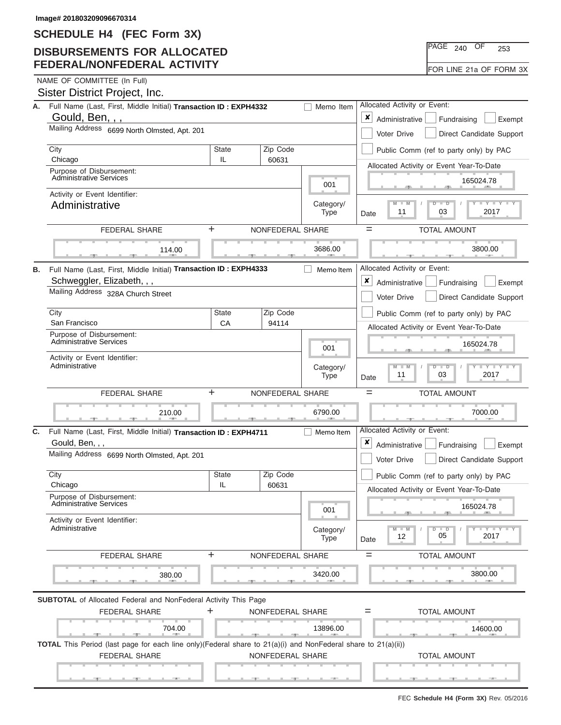## **DISBURSEMENTS FOR ALLOCATED FEDERAL/NONFEDERAL ACTIVITY**

FOR LINE 21a OF FORM 3X

NAME OF COMMITTEE (In Full)<br>Cioter Dietrict Dreiect

|    | Sister District Project, Inc.                                                                                                                  |                                              |                          |                                                                                      |                                                                                                                                 |
|----|------------------------------------------------------------------------------------------------------------------------------------------------|----------------------------------------------|--------------------------|--------------------------------------------------------------------------------------|---------------------------------------------------------------------------------------------------------------------------------|
|    | A. Full Name (Last, First, Middle Initial) Transaction ID: EXPH4332<br>Memo Item                                                               |                                              |                          |                                                                                      | Allocated Activity or Event:                                                                                                    |
|    | Gould, Ben, , ,                                                                                                                                | x<br>Administrative<br>Fundraising<br>Exempt |                          |                                                                                      |                                                                                                                                 |
|    | Mailing Address 6699 North Olmsted, Apt. 201                                                                                                   | Direct Candidate Support<br>Voter Drive      |                          |                                                                                      |                                                                                                                                 |
|    | City<br>Chicago                                                                                                                                | <b>State</b><br>IL                           | Zip Code<br>60631        |                                                                                      | Public Comm (ref to party only) by PAC                                                                                          |
|    | Purpose of Disbursement:                                                                                                                       |                                              |                          | Allocated Activity or Event Year-To-Date                                             |                                                                                                                                 |
|    | <b>Administrative Services</b>                                                                                                                 |                                              | 001                      | 165024.78                                                                            |                                                                                                                                 |
|    | Activity or Event Identifier:<br>Administrative                                                                                                |                                              |                          | Category/<br>Type                                                                    | $\mathbf{I}$ $\mathbf{Y}$ $\mathbf{I}$ $\mathbf{Y}$ $\mathbf{I}$ $\mathbf{Y}$<br>$M - M$<br>$D$ $D$<br>2017<br>03<br>11<br>Date |
|    | <b>FEDERAL SHARE</b>                                                                                                                           | ÷                                            | NONFEDERAL SHARE         |                                                                                      | $=$<br><b>TOTAL AMOUNT</b>                                                                                                      |
|    | 114.00                                                                                                                                         |                                              |                          | 3686.00                                                                              | 3800.00                                                                                                                         |
| В. | Full Name (Last, First, Middle Initial) Transaction ID: EXPH4333                                                                               |                                              |                          | Memo Item                                                                            | Allocated Activity or Event:                                                                                                    |
|    | Schweggler, Elizabeth, , ,                                                                                                                     |                                              |                          |                                                                                      | ×<br>Administrative<br>Fundraising<br>Exempt                                                                                    |
|    | Mailing Address 328A Church Street                                                                                                             |                                              |                          |                                                                                      | Voter Drive<br>Direct Candidate Support                                                                                         |
|    | City                                                                                                                                           | State                                        | Zip Code<br>94114        |                                                                                      | Public Comm (ref to party only) by PAC                                                                                          |
|    | San Francisco<br>Purpose of Disbursement:                                                                                                      | CA                                           |                          | Allocated Activity or Event Year-To-Date                                             |                                                                                                                                 |
|    | Administrative Services                                                                                                                        |                                              | 001                      | 165024.78                                                                            |                                                                                                                                 |
|    | Activity or Event Identifier:<br>Administrative                                                                                                |                                              | Category/<br><b>Type</b> | $M - M$<br><b>LEYTHEY LE</b><br>$\overline{D}$<br>$\Box$<br>11<br>03<br>2017<br>Date |                                                                                                                                 |
|    | <b>FEDERAL SHARE</b>                                                                                                                           | ÷                                            | NONFEDERAL SHARE         | $=$<br><b>TOTAL AMOUNT</b>                                                           |                                                                                                                                 |
|    | 210.00                                                                                                                                         |                                              |                          | 6790.00                                                                              | 7000.00                                                                                                                         |
| C. | Full Name (Last, First, Middle Initial) Transaction ID: EXPH4711<br>Gould, Ben, , ,                                                            |                                              |                          | Memo Item                                                                            | Allocated Activity or Event:<br>×<br>Administrative<br>Fundraising<br>Exempt                                                    |
|    | Mailing Address 6699 North Olmsted, Apt. 201                                                                                                   |                                              |                          |                                                                                      | Direct Candidate Support<br>Voter Drive                                                                                         |
|    | City                                                                                                                                           | <b>State</b>                                 | Zip Code                 |                                                                                      | Public Comm (ref to party only) by PAC                                                                                          |
|    | Chicago                                                                                                                                        | IL                                           | 60631                    |                                                                                      | Allocated Activity or Event Year-To-Date                                                                                        |
|    | Purpose of Disbursement:<br><b>Administrative Services</b>                                                                                     |                                              |                          | 001                                                                                  | 165024.78                                                                                                                       |
|    | Activity or Event Identifier:<br>Administrative                                                                                                |                                              |                          | Category/<br>Type                                                                    | $-1$ $-1$ $-1$ $-1$<br>$M - M$<br>$D$ $D$<br>05<br>2017<br>12<br>Date                                                           |
|    | FEDERAL SHARE                                                                                                                                  | $\ddot{}$                                    | NONFEDERAL SHARE         |                                                                                      | <b>TOTAL AMOUNT</b><br>$=$                                                                                                      |
|    | 380.00                                                                                                                                         |                                              |                          | 3420.00                                                                              | 3800.00                                                                                                                         |
|    | <b>SUBTOTAL</b> of Allocated Federal and NonFederal Activity This Page                                                                         |                                              |                          |                                                                                      |                                                                                                                                 |
|    | <b>FEDERAL SHARE</b>                                                                                                                           | ٠                                            | NONFEDERAL SHARE         |                                                                                      | <b>TOTAL AMOUNT</b><br>$=$                                                                                                      |
|    | 704.00                                                                                                                                         |                                              |                          | 13896.00                                                                             | 14600.00                                                                                                                        |
|    | <b>British Administration</b><br>TOTAL This Period (last page for each line only)(Federal share to 21(a)(i) and NonFederal share to 21(a)(ii)) |                                              |                          |                                                                                      |                                                                                                                                 |
|    | <b>FEDERAL SHARE</b>                                                                                                                           |                                              | NONFEDERAL SHARE         |                                                                                      | <b>TOTAL AMOUNT</b>                                                                                                             |
|    |                                                                                                                                                |                                              |                          |                                                                                      |                                                                                                                                 |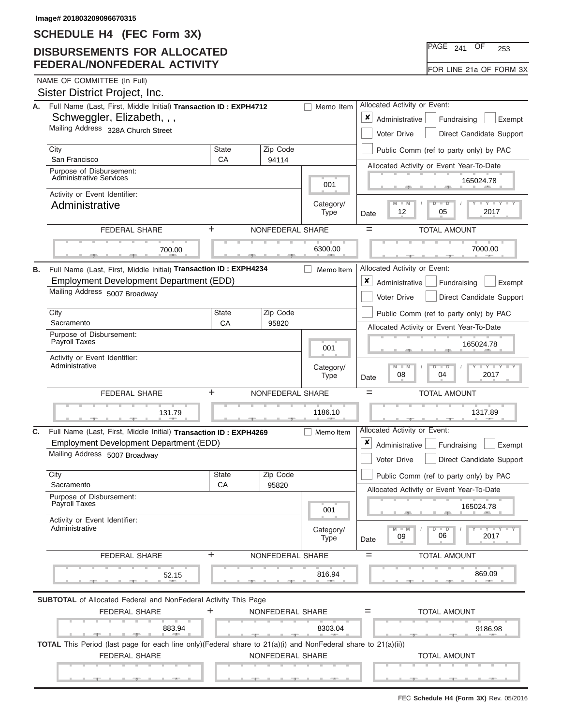# **DISBURSEMENTS FOR ALLOCATED FEDERAL/NONFEDERAL ACTIVITY**

|  | NAME OF COMMITTEE (In Full) |  |
|--|-----------------------------|--|

| NAME OF COMMITTEE (In Full)   |  |
|-------------------------------|--|
| Sister District Project, Inc. |  |

|    | A. Full Name (Last, First, Middle Initial) Transaction ID: EXPH4712                                                       |                                              | Memo Item                | Allocated Activity or Event:                                                       |                                                                            |  |  |
|----|---------------------------------------------------------------------------------------------------------------------------|----------------------------------------------|--------------------------|------------------------------------------------------------------------------------|----------------------------------------------------------------------------|--|--|
|    | Schweggler, Elizabeth, , ,                                                                                                | x<br>Administrative<br>Fundraising<br>Exempt |                          |                                                                                    |                                                                            |  |  |
|    | Mailing Address 328A Church Street                                                                                        | Direct Candidate Support<br>Voter Drive      |                          |                                                                                    |                                                                            |  |  |
|    | City<br>San Francisco                                                                                                     | State<br>CA                                  | Zip Code<br>94114        |                                                                                    | Public Comm (ref to party only) by PAC                                     |  |  |
|    | Purpose of Disbursement:                                                                                                  |                                              |                          |                                                                                    | Allocated Activity or Event Year-To-Date                                   |  |  |
|    | <b>Administrative Services</b>                                                                                            |                                              |                          | 001                                                                                | 165024.78                                                                  |  |  |
|    | Activity or Event Identifier:                                                                                             |                                              |                          |                                                                                    | $M - M$<br><b>LEY LEY LE</b><br>$\Box$<br>ъ                                |  |  |
|    | Administrative                                                                                                            |                                              |                          | Category/<br><b>Type</b>                                                           | 12<br>05<br>2017<br>Date                                                   |  |  |
|    | <b>FEDERAL SHARE</b>                                                                                                      | ÷.                                           | NONFEDERAL SHARE         |                                                                                    | $=$<br><b>TOTAL AMOUNT</b>                                                 |  |  |
|    | 700.00                                                                                                                    |                                              |                          | 6300.00                                                                            | 7000.00                                                                    |  |  |
| В. | Full Name (Last, First, Middle Initial) Transaction ID: EXPH4234                                                          |                                              |                          | Memo Item                                                                          | Allocated Activity or Event:                                               |  |  |
|    | Employment Development Department (EDD)                                                                                   |                                              |                          |                                                                                    | ×<br>Administrative<br>Fundraising<br>Exempt                               |  |  |
|    | Mailing Address 5007 Broadway                                                                                             |                                              |                          |                                                                                    | Voter Drive<br>Direct Candidate Support                                    |  |  |
|    | City                                                                                                                      | <b>State</b>                                 | Zip Code                 |                                                                                    | Public Comm (ref to party only) by PAC                                     |  |  |
|    | Sacramento                                                                                                                | CA                                           | 95820                    |                                                                                    | Allocated Activity or Event Year-To-Date                                   |  |  |
|    | Purpose of Disbursement:<br>Payroll Taxes                                                                                 |                                              | 001                      | 165024.78                                                                          |                                                                            |  |  |
|    | Activity or Event Identifier:                                                                                             |                                              |                          |                                                                                    |                                                                            |  |  |
|    | Administrative                                                                                                            |                                              | Category/<br><b>Type</b> | $M - M$<br>$L - Y - L - Y$<br>$\overline{D}$<br>$\Box$<br>08<br>2017<br>04<br>Date |                                                                            |  |  |
|    | $\ddot{}$<br><b>FEDERAL SHARE</b>                                                                                         | $=$<br><b>TOTAL AMOUNT</b>                   |                          |                                                                                    |                                                                            |  |  |
|    | 131.79                                                                                                                    |                                              |                          | 1186.10                                                                            | 1317.89                                                                    |  |  |
| C. | Full Name (Last, First, Middle Initial) Transaction ID: EXPH4269                                                          |                                              |                          | Memo Item                                                                          | Allocated Activity or Event:                                               |  |  |
|    | Employment Development Department (EDD)                                                                                   |                                              |                          |                                                                                    | ×<br>Administrative<br>Fundraising<br>Exempt                               |  |  |
|    | Mailing Address 5007 Broadway                                                                                             |                                              |                          |                                                                                    | Voter Drive<br>Direct Candidate Support                                    |  |  |
|    | City<br>Sacramento                                                                                                        | <b>State</b><br>CA                           | Zip Code<br>95820        |                                                                                    | Public Comm (ref to party only) by PAC                                     |  |  |
|    | Purpose of Disbursement:                                                                                                  |                                              |                          |                                                                                    | Allocated Activity or Event Year-To-Date                                   |  |  |
|    | Payroll Taxes                                                                                                             |                                              |                          | 001                                                                                | 165024.78<br>小                                                             |  |  |
|    | Activity or Event Identifier:<br>Administrative                                                                           |                                              |                          | Category/<br><b>Type</b>                                                           | $-1$ $-1$ $-1$ $-1$ $-1$<br>$M - M$<br>$D$ $D$<br>06<br>2017<br>09<br>Date |  |  |
|    | <b>FEDERAL SHARE</b>                                                                                                      | ÷.                                           | NONFEDERAL SHARE         |                                                                                    | <b>TOTAL AMOUNT</b><br>$=$                                                 |  |  |
|    | 52.15                                                                                                                     |                                              |                          | 816.94                                                                             | 869.09                                                                     |  |  |
|    | <b>SUBTOTAL</b> of Allocated Federal and NonFederal Activity This Page                                                    |                                              |                          |                                                                                    |                                                                            |  |  |
|    | <b>FEDERAL SHARE</b>                                                                                                      | ÷                                            | NONFEDERAL SHARE         |                                                                                    | <b>TOTAL AMOUNT</b><br>$=$                                                 |  |  |
|    | 883.94                                                                                                                    |                                              |                          | 8303.04<br><b>ALC: YES:</b>                                                        | 9186.98                                                                    |  |  |
|    | <b>TOTAL</b> This Period (last page for each line only)(Federal share to $21(a)(i)$ and NonFederal share to $21(a)(ii)$ ) |                                              |                          |                                                                                    |                                                                            |  |  |
|    | FEDERAL SHARE                                                                                                             |                                              | NONFEDERAL SHARE         |                                                                                    | <b>TOTAL AMOUNT</b>                                                        |  |  |
|    |                                                                                                                           |                                              |                          |                                                                                    |                                                                            |  |  |

PAGE <sub>241</sub> OF 253

|  |  | FOR LINE 21a OF FORM 3X |  |
|--|--|-------------------------|--|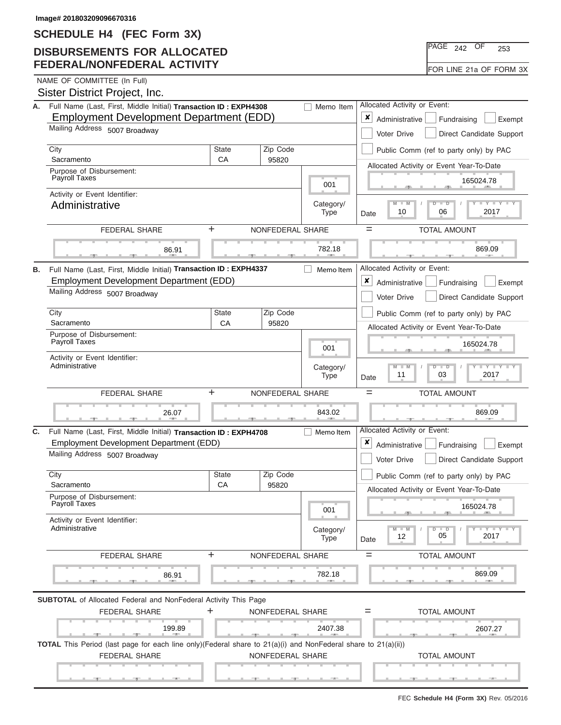## **DISBURSEMENTS FOR ALLOCATED FEDERAL/NONFEDERAL ACTIVITY**

NAME OF COMMITTEE (In Full)

| А. | Full Name (Last, First, Middle Initial) Transaction ID: EXPH4308                                              | Allocated Activity or Event:                 |                                         |                                                                                     |                                                                              |  |  |
|----|---------------------------------------------------------------------------------------------------------------|----------------------------------------------|-----------------------------------------|-------------------------------------------------------------------------------------|------------------------------------------------------------------------------|--|--|
|    | Employment Development Department (EDD)<br>Mailing Address 5007 Broadway                                      | x<br>Administrative<br>Fundraising<br>Exempt |                                         |                                                                                     |                                                                              |  |  |
|    |                                                                                                               |                                              | Voter Drive<br>Direct Candidate Support |                                                                                     |                                                                              |  |  |
|    | City                                                                                                          | <b>State</b>                                 | Zip Code                                |                                                                                     | Public Comm (ref to party only) by PAC                                       |  |  |
|    | Sacramento                                                                                                    | CA                                           | 95820                                   |                                                                                     | Allocated Activity or Event Year-To-Date                                     |  |  |
|    | Purpose of Disbursement:<br><b>Payroll Taxes</b>                                                              |                                              |                                         |                                                                                     | 165024.78                                                                    |  |  |
|    | Activity or Event Identifier:                                                                                 |                                              | 001                                     |                                                                                     |                                                                              |  |  |
|    | Administrative                                                                                                |                                              |                                         | Category/<br><b>Type</b>                                                            | <b>LEY LEY LE</b><br>$M - M$<br>$D$ $\Box$ $D$<br>2017<br>10<br>06<br>Date   |  |  |
|    | <b>FEDERAL SHARE</b>                                                                                          | ÷                                            | NONFEDERAL SHARE                        |                                                                                     | $=$<br><b>TOTAL AMOUNT</b>                                                   |  |  |
|    | 86.91                                                                                                         |                                              |                                         | 782.18                                                                              | 869.09                                                                       |  |  |
|    |                                                                                                               |                                              |                                         |                                                                                     |                                                                              |  |  |
| В. | Full Name (Last, First, Middle Initial) Transaction ID: EXPH4337                                              |                                              |                                         | Memo Item                                                                           | Allocated Activity or Event:                                                 |  |  |
|    | Employment Development Department (EDD)                                                                       |                                              |                                         | $\pmb{\times}$<br>Administrative<br>Fundraising<br>Exempt                           |                                                                              |  |  |
|    | Mailing Address 5007 Broadway                                                                                 |                                              |                                         | Voter Drive<br>Direct Candidate Support                                             |                                                                              |  |  |
|    | City                                                                                                          | State                                        | Zip Code                                |                                                                                     | Public Comm (ref to party only) by PAC                                       |  |  |
|    | Sacramento                                                                                                    | CA                                           | 95820                                   |                                                                                     | Allocated Activity or Event Year-To-Date                                     |  |  |
|    | Purpose of Disbursement:<br>Payroll Taxes                                                                     |                                              | 001                                     | 165024.78                                                                           |                                                                              |  |  |
|    | Activity or Event Identifier:                                                                                 |                                              |                                         |                                                                                     |                                                                              |  |  |
|    | Administrative                                                                                                |                                              | Category/<br><b>Type</b>                | $M - M$<br>$Y = Y$<br>$\overline{\mathsf{D}}$<br>$\Box$<br>11<br>2017<br>03<br>Date |                                                                              |  |  |
|    | ÷<br><b>FEDERAL SHARE</b>                                                                                     | $=$<br><b>TOTAL AMOUNT</b>                   |                                         |                                                                                     |                                                                              |  |  |
|    | 26.07                                                                                                         |                                              |                                         | 843.02                                                                              | 869.09                                                                       |  |  |
| C. | Full Name (Last, First, Middle Initial) Transaction ID: EXPH4708                                              |                                              |                                         | Memo Item                                                                           | Allocated Activity or Event:                                                 |  |  |
|    | Employment Development Department (EDD)                                                                       |                                              |                                         |                                                                                     | ×<br>Administrative<br>Fundraising<br>Exempt                                 |  |  |
|    | Mailing Address 5007 Broadway                                                                                 |                                              |                                         |                                                                                     | Direct Candidate Support<br><b>Voter Drive</b>                               |  |  |
|    | City                                                                                                          | <b>State</b>                                 | Zip Code                                |                                                                                     | Public Comm (ref to party only) by PAC                                       |  |  |
|    | Sacramento<br>Purpose of Disbursement:                                                                        | СA                                           | 95820                                   |                                                                                     | Allocated Activity or Event Year-To-Date                                     |  |  |
|    | Payroll Taxes                                                                                                 |                                              | 001                                     | 165024.78                                                                           |                                                                              |  |  |
|    | Activity or Event Identifier:<br>Administrative                                                               |                                              |                                         | Category/<br><b>Type</b>                                                            | $\Box Y \Box Y$<br>$\Box$<br>W<br>$\overline{D}$<br>05<br>2017<br>12<br>Date |  |  |
|    | FEDERAL SHARE                                                                                                 | $\ddot{}$                                    | NONFEDERAL SHARE                        |                                                                                     | <b>TOTAL AMOUNT</b><br>$=$                                                   |  |  |
|    | 86.91                                                                                                         |                                              |                                         | 782.18                                                                              | 869.09                                                                       |  |  |
|    | <b>SUBTOTAL</b> of Allocated Federal and NonFederal Activity This Page                                        |                                              |                                         |                                                                                     |                                                                              |  |  |
|    | <b>FEDERAL SHARE</b>                                                                                          | ÷                                            | NONFEDERAL SHARE                        |                                                                                     | <b>TOTAL AMOUNT</b><br>$=$                                                   |  |  |
|    | 199.89<br><b>Contract Contract Contract</b>                                                                   |                                              |                                         | 2407.38                                                                             | 2607.27                                                                      |  |  |
|    | TOTAL This Period (last page for each line only)(Federal share to 21(a)(i) and NonFederal share to 21(a)(ii)) |                                              |                                         |                                                                                     |                                                                              |  |  |
|    | <b>FEDERAL SHARE</b>                                                                                          |                                              | NONFEDERAL SHARE                        |                                                                                     | <b>TOTAL AMOUNT</b>                                                          |  |  |
|    |                                                                                                               |                                              |                                         |                                                                                     |                                                                              |  |  |
|    |                                                                                                               |                                              |                                         |                                                                                     |                                                                              |  |  |

PAGE <sub>242</sub> OF 253 FOR LINE 21a OF FORM 3X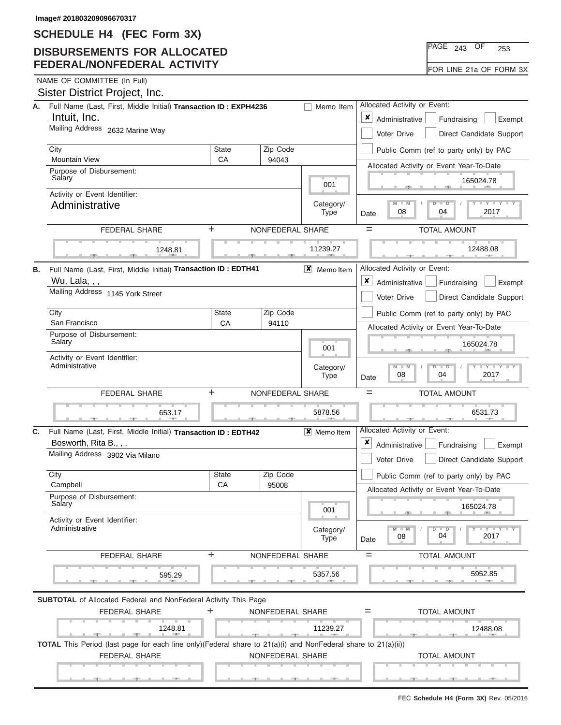## **DISBURSEMENTS FOR ALLOCATED FEDERAL/NONFEDERAL ACTIVITY**

| <b>NGF</b> | $\sim$ $\prime$<br>13 | 253 |
|------------|-----------------------|-----|
|            |                       |     |

FOR LINE 21a OF FORM 3X

NAME OF COMMITTEE (In Full)

|    | Sister District Project, Inc.                                                                                 |                                              |                          |                                                                                                                                 |                                                                                       |
|----|---------------------------------------------------------------------------------------------------------------|----------------------------------------------|--------------------------|---------------------------------------------------------------------------------------------------------------------------------|---------------------------------------------------------------------------------------|
| А. | Full Name (Last, First, Middle Initial) Transaction ID: EXPH4236                                              |                                              |                          |                                                                                                                                 | Allocated Activity or Event:                                                          |
|    | Intuit, Inc.                                                                                                  | x<br>Administrative<br>Fundraising<br>Exempt |                          |                                                                                                                                 |                                                                                       |
|    | Mailing Address 2632 Marine Way                                                                               |                                              |                          |                                                                                                                                 | Voter Drive<br>Direct Candidate Support                                               |
|    | City<br><b>Mountain View</b>                                                                                  | <b>State</b>                                 | Zip Code<br>94043        |                                                                                                                                 | Public Comm (ref to party only) by PAC                                                |
|    | Purpose of Disbursement:                                                                                      | CA                                           |                          | Allocated Activity or Event Year-To-Date                                                                                        |                                                                                       |
|    | Salary                                                                                                        |                                              | 001                      | 165024.78                                                                                                                       |                                                                                       |
|    | Activity or Event Identifier:<br>Administrative                                                               |                                              | Category/<br>Type        | $\mathbf{I}$ $\mathbf{Y}$ $\mathbf{I}$ $\mathbf{Y}$ $\mathbf{I}$ $\mathbf{Y}$<br>$M - M$<br>$D$ $D$<br>2017<br>08<br>04<br>Date |                                                                                       |
|    | FEDERAL SHARE                                                                                                 | ÷                                            | NONFEDERAL SHARE         |                                                                                                                                 | $=$<br><b>TOTAL AMOUNT</b>                                                            |
|    | 1248.81                                                                                                       |                                              |                          | 11239.27                                                                                                                        | 12488.08                                                                              |
| В. | Full Name (Last, First, Middle Initial) Transaction ID: EDTH41                                                |                                              |                          | $X$ Memoltem                                                                                                                    | Allocated Activity or Event:                                                          |
|    | Wu, Lala, , ,                                                                                                 |                                              |                          |                                                                                                                                 | ×<br>Administrative<br>Fundraising<br>Exempt                                          |
|    | Mailing Address 1145 York Street                                                                              |                                              |                          |                                                                                                                                 | Voter Drive<br>Direct Candidate Support                                               |
|    | City                                                                                                          | <b>State</b>                                 |                          | Public Comm (ref to party only) by PAC                                                                                          |                                                                                       |
|    | San Francisco<br>CA<br>94110<br>Purpose of Disbursement:                                                      |                                              |                          |                                                                                                                                 | Allocated Activity or Event Year-To-Date                                              |
|    | Salary                                                                                                        |                                              | 001                      | 165024.78                                                                                                                       |                                                                                       |
|    | Activity or Event Identifier:<br>Administrative                                                               |                                              | Category/<br><b>Type</b> | $M - M$<br>$-Y - Y - Y - Y$<br>$\overline{D}$<br>$\overline{\phantom{0}}$<br>08<br>04<br>2017<br>Date                           |                                                                                       |
|    | <b>FEDERAL SHARE</b>                                                                                          | ÷                                            | NONFEDERAL SHARE         | <b>TOTAL AMOUNT</b><br>$=$                                                                                                      |                                                                                       |
|    | 653.17                                                                                                        |                                              |                          | 5878.56                                                                                                                         | 6531.73                                                                               |
| C. | Full Name (Last, First, Middle Initial) Transaction ID: EDTH42                                                |                                              |                          | $\mathsf{X}$ Memo Item                                                                                                          | Allocated Activity or Event:                                                          |
|    | Bosworth, Rita B., , ,<br>Mailing Address 3902 Via Milano                                                     |                                              |                          |                                                                                                                                 | ×<br>Administrative<br>Fundraising<br>Exempt                                          |
|    |                                                                                                               |                                              |                          |                                                                                                                                 | Voter Drive<br>Direct Candidate Support                                               |
|    | City<br>Campbell                                                                                              | <b>State</b><br>СA                           | Zip Code<br>95008        |                                                                                                                                 | Public Comm (ref to party only) by PAC                                                |
|    | Purpose of Disbursement:<br>Salary                                                                            |                                              |                          |                                                                                                                                 | Allocated Activity or Event Year-To-Date                                              |
|    |                                                                                                               |                                              |                          | 001                                                                                                                             | 165024.78                                                                             |
|    | Activity or Event Identifier:<br>Administrative                                                               |                                              |                          | Category/<br><b>Type</b>                                                                                                        | $-Y$ $Y$ $ Y$ $ Y$<br>$M$ $M$<br>$\overline{D}$<br>$\Box$<br>04<br>2017<br>08<br>Date |
|    | FEDERAL SHARE                                                                                                 | $\pm$                                        | NONFEDERAL SHARE         |                                                                                                                                 | <b>TOTAL AMOUNT</b><br>$=$                                                            |
|    | 595.29                                                                                                        |                                              |                          | 5357.56                                                                                                                         | 5952.85                                                                               |
|    | <b>SUBTOTAL</b> of Allocated Federal and NonFederal Activity This Page                                        |                                              |                          |                                                                                                                                 |                                                                                       |
|    | <b>FEDERAL SHARE</b>                                                                                          | ÷                                            | NONFEDERAL SHARE         |                                                                                                                                 | <b>TOTAL AMOUNT</b><br>$=$                                                            |
|    | 1248.81<br><b>Contract Contract Contract</b>                                                                  |                                              |                          | 11239.27<br>The Company                                                                                                         | 12488.08                                                                              |
|    | TOTAL This Period (last page for each line only)(Federal share to 21(a)(i) and NonFederal share to 21(a)(ii)) |                                              |                          |                                                                                                                                 |                                                                                       |
|    | <b>FEDERAL SHARE</b><br>T<br>т                                                                                |                                              | NONFEDERAL SHARE         |                                                                                                                                 | <b>TOTAL AMOUNT</b>                                                                   |
|    |                                                                                                               |                                              |                          |                                                                                                                                 |                                                                                       |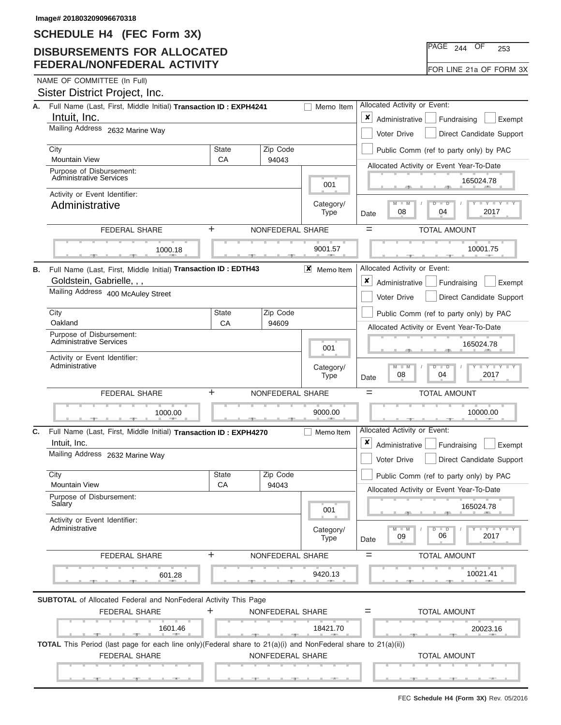## **DISBURSEMENTS FOR ALLOCATED FEDERAL/NONFEDERAL ACTIVITY**

| า^GE ∴ | 244 | つにつ |
|--------|-----|-----|
|        |     |     |

|  |  | NAME OF COMMITTEE (In Full) |  |  |
|--|--|-----------------------------|--|--|
|--|--|-----------------------------|--|--|

|    | Sister District Project, Inc.                                                                                             |                    |                          |                  |                                                                                      |                                          |                                                                         |
|----|---------------------------------------------------------------------------------------------------------------------------|--------------------|--------------------------|------------------|--------------------------------------------------------------------------------------|------------------------------------------|-------------------------------------------------------------------------|
| А. | Full Name (Last, First, Middle Initial) Transaction ID: EXPH4241<br>Memo Item                                             |                    |                          |                  |                                                                                      |                                          | Allocated Activity or Event:                                            |
|    | Intuit, Inc.                                                                                                              |                    |                          |                  |                                                                                      |                                          | Administrative<br>Fundraising<br>Exempt                                 |
|    | Mailing Address 2632 Marine Way                                                                                           |                    |                          |                  |                                                                                      |                                          | Voter Drive<br>Direct Candidate Support                                 |
|    | City                                                                                                                      | <b>State</b><br>CA |                          | Zip Code         |                                                                                      |                                          | Public Comm (ref to party only) by PAC                                  |
|    | <b>Mountain View</b><br>Purpose of Disbursement:                                                                          | 94043              |                          |                  | Allocated Activity or Event Year-To-Date                                             |                                          |                                                                         |
|    | <b>Administrative Services</b>                                                                                            |                    |                          | 001              |                                                                                      | 165024.78                                |                                                                         |
|    | Activity or Event Identifier:<br>Administrative                                                                           |                    |                          |                  | Category/                                                                            |                                          | $M - M$<br>$\overline{\mathsf{D}}$<br>$\overline{\phantom{a}}$          |
|    |                                                                                                                           |                    |                          |                  | <b>Type</b>                                                                          | Date                                     | 2017<br>08<br>04                                                        |
|    | <b>FEDERAL SHARE</b>                                                                                                      | +                  |                          | NONFEDERAL SHARE |                                                                                      | $=$                                      | <b>TOTAL AMOUNT</b>                                                     |
|    | 1000.18                                                                                                                   |                    |                          |                  | 9001.57                                                                              |                                          | 10001.75                                                                |
| В. | Full Name (Last, First, Middle Initial) Transaction ID: EDTH43                                                            |                    |                          |                  | $X$ Memoltem                                                                         |                                          | Allocated Activity or Event:                                            |
|    | Goldstein, Gabrielle, , ,                                                                                                 |                    |                          |                  |                                                                                      | ×                                        | Administrative<br>Fundraising<br>Exempt                                 |
|    | Mailing Address 400 McAuley Street                                                                                        |                    |                          |                  |                                                                                      |                                          | Voter Drive<br>Direct Candidate Support                                 |
|    | City<br>Zip Code<br><b>State</b>                                                                                          |                    |                          |                  |                                                                                      |                                          | Public Comm (ref to party only) by PAC                                  |
|    | Oakland<br>CA<br>94609<br>Purpose of Disbursement:                                                                        |                    |                          |                  |                                                                                      | Allocated Activity or Event Year-To-Date |                                                                         |
|    | Administrative Services                                                                                                   |                    | 001                      |                  | 165024.78                                                                            |                                          |                                                                         |
|    | Activity or Event Identifier:<br>Administrative                                                                           |                    | Category/<br><b>Type</b> | Date             | $Y - Y$<br>$M - M$<br>$\overline{D}$<br>$\overline{\phantom{0}}$<br>2017<br>08<br>04 |                                          |                                                                         |
|    | <b>FEDERAL SHARE</b>                                                                                                      | NONFEDERAL SHARE   |                          | $=$              | <b>TOTAL AMOUNT</b>                                                                  |                                          |                                                                         |
|    | 1000.00                                                                                                                   |                    |                          |                  | 9000.00                                                                              |                                          | 10000.00                                                                |
| C. | Full Name (Last, First, Middle Initial) Transaction ID: EXPH4270<br>Intuit, Inc.                                          |                    |                          |                  | Memo Item                                                                            | ×                                        | Allocated Activity or Event:<br>Administrative<br>Fundraising<br>Exempt |
|    | Mailing Address 2632 Marine Way                                                                                           |                    |                          |                  |                                                                                      |                                          | Voter Drive<br>Direct Candidate Support                                 |
|    | City<br><b>Mountain View</b>                                                                                              | <b>State</b><br>CA |                          | Zip Code         |                                                                                      |                                          | Public Comm (ref to party only) by PAC                                  |
|    | Purpose of Disbursement:                                                                                                  |                    |                          | 94043            |                                                                                      |                                          | Allocated Activity or Event Year-To-Date                                |
|    | Salary                                                                                                                    |                    |                          |                  | 001                                                                                  |                                          | 165024.78                                                               |
|    | Activity or Event Identifier:<br>Administrative                                                                           |                    |                          |                  | Category/<br><b>Type</b>                                                             | Date                                     | $M - M$<br>$Y \perp Y \perp Y$<br>ъ<br>$\Box$<br>06<br>2017<br>09       |
|    | <b>FEDERAL SHARE</b>                                                                                                      | +                  |                          | NONFEDERAL SHARE |                                                                                      | $=$                                      | <b>TOTAL AMOUNT</b>                                                     |
|    |                                                                                                                           |                    |                          |                  |                                                                                      |                                          |                                                                         |
|    | 601.28                                                                                                                    |                    |                          |                  | 9420.13                                                                              |                                          | 10021.41                                                                |
|    | <b>SUBTOTAL</b> of Allocated Federal and NonFederal Activity This Page                                                    |                    |                          |                  |                                                                                      |                                          |                                                                         |
|    | <b>FEDERAL SHARE</b>                                                                                                      | +                  |                          | NONFEDERAL SHARE |                                                                                      | $=$                                      | <b>TOTAL AMOUNT</b>                                                     |
|    | 1601.46<br><b>Contract Contract</b>                                                                                       |                    |                          |                  | 18421.70                                                                             |                                          | 20023.16                                                                |
|    | <b>TOTAL</b> This Period (last page for each line only)(Federal share to $21(a)(i)$ and NonFederal share to $21(a)(ii)$ ) |                    |                          |                  |                                                                                      |                                          |                                                                         |
|    | <b>FEDERAL SHARE</b>                                                                                                      |                    |                          |                  |                                                                                      |                                          |                                                                         |
|    |                                                                                                                           |                    | NONFEDERAL SHARE         |                  |                                                                                      |                                          | <b>TOTAL AMOUNT</b>                                                     |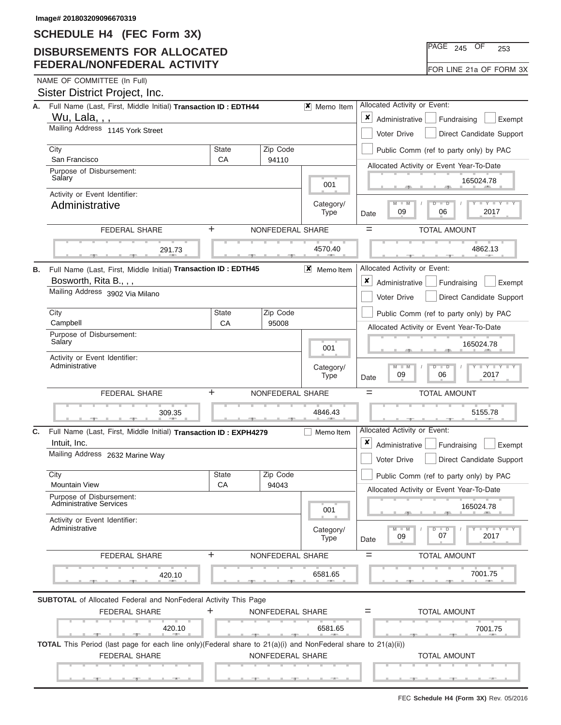## **DISBURSEMENTS FOR ALLOCATED FEDERAL/NONFEDERAL ACTIVITY**

|  | NAME OF COMMITTEE (In Full) |  |
|--|-----------------------------|--|
|  |                             |  |

|    | Sister District Project, Inc.                                                                                 |                    |                   |                                                               |                                                                                    |
|----|---------------------------------------------------------------------------------------------------------------|--------------------|-------------------|---------------------------------------------------------------|------------------------------------------------------------------------------------|
| А. | Full Name (Last, First, Middle Initial) Transaction ID: EDTH44                                                |                    |                   | <b>X</b> Memo Item                                            | Allocated Activity or Event:                                                       |
|    | Wu, Lala, , ,<br>Mailing Address 1145 York Street                                                             |                    |                   |                                                               | ×<br>Administrative<br>Fundraising<br>Exempt                                       |
|    |                                                                                                               |                    |                   |                                                               | Voter Drive<br>Direct Candidate Support                                            |
|    | City<br>San Francisco                                                                                         | <b>State</b><br>CA | Zip Code<br>94110 |                                                               | Public Comm (ref to party only) by PAC                                             |
|    | Purpose of Disbursement:                                                                                      |                    |                   |                                                               | Allocated Activity or Event Year-To-Date                                           |
|    | Salary                                                                                                        |                    | 001               | 165024.78                                                     |                                                                                    |
|    | Activity or Event Identifier:<br>Administrative                                                               |                    | Category/         | $M - M$<br>Y I Y<br>$\overline{\mathsf{D}}$<br>$\overline{D}$ |                                                                                    |
|    |                                                                                                               |                    |                   | <b>Type</b>                                                   | 2017<br>09<br>06<br>Date                                                           |
|    | <b>FEDERAL SHARE</b>                                                                                          | ÷.                 | NONFEDERAL SHARE  |                                                               | <b>TOTAL AMOUNT</b><br>$=$                                                         |
|    | 291.73                                                                                                        |                    |                   | 4570.40                                                       | 4862.13                                                                            |
|    |                                                                                                               |                    |                   |                                                               |                                                                                    |
| В. | Full Name (Last, First, Middle Initial) Transaction ID : EDTH45<br>Bosworth, Rita B., , ,                     |                    |                   | $\vert x \vert$<br>Memo Item                                  | Allocated Activity or Event:<br>×                                                  |
|    | Mailing Address 3902 Via Milano                                                                               |                    |                   |                                                               | Administrative<br>Fundraising<br>Exempt<br>Voter Drive<br>Direct Candidate Support |
|    | City                                                                                                          | <b>State</b>       | Zip Code          |                                                               |                                                                                    |
|    | Campbell                                                                                                      | CA                 | 95008             |                                                               | Public Comm (ref to party only) by PAC<br>Allocated Activity or Event Year-To-Date |
|    | Purpose of Disbursement:<br>Salary                                                                            |                    |                   |                                                               |                                                                                    |
|    | Activity or Event Identifier:                                                                                 |                    | 001               | 165024.78                                                     |                                                                                    |
|    | Administrative                                                                                                |                    | Category/         | $M - M$<br>$Y - Y$<br>$\overline{\mathbb{D}}$<br>2017         |                                                                                    |
|    |                                                                                                               |                    | Type              | 09<br>06<br>Date                                              |                                                                                    |
|    |                                                                                                               |                    |                   |                                                               |                                                                                    |
|    | <b>FEDERAL SHARE</b>                                                                                          | $\ddot{}$          | NONFEDERAL SHARE  |                                                               | $=$<br><b>TOTAL AMOUNT</b>                                                         |
|    | 309.35                                                                                                        |                    |                   | 4846.43                                                       | 5155.78                                                                            |
| С. |                                                                                                               |                    |                   | Memo Item                                                     | $-7$<br>Allocated Activity or Event:                                               |
|    | Full Name (Last, First, Middle Initial) Transaction ID: EXPH4279<br>Intuit, Inc.                              |                    |                   |                                                               | x<br>Administrative<br>Fundraising<br>Exempt                                       |
|    | Mailing Address 2632 Marine Way                                                                               |                    |                   |                                                               | Voter Drive<br>Direct Candidate Support                                            |
|    | City                                                                                                          | State              | Zip Code          |                                                               | Public Comm (ref to party only) by PAC                                             |
|    | <b>Mountain View</b>                                                                                          | CA                 | 94043             |                                                               | Allocated Activity or Event Year-To-Date                                           |
|    | Purpose of Disbursement:<br><b>Administrative Services</b>                                                    |                    |                   | 001                                                           | 165024.78                                                                          |
|    | Activity or Event Identifier:                                                                                 |                    |                   |                                                               |                                                                                    |
|    | Administrative                                                                                                |                    |                   | Category/<br>Type                                             | $M - M$<br>D<br>Y TY T<br>$\blacksquare$<br>07<br>2017<br>09<br>Date               |
|    | FEDERAL SHARE                                                                                                 | ÷                  | NONFEDERAL SHARE  |                                                               | <b>TOTAL AMOUNT</b><br>$=$                                                         |
|    |                                                                                                               |                    |                   |                                                               |                                                                                    |
|    | 420.10                                                                                                        |                    |                   | 6581.65<br><b>CONTRACTOR</b>                                  | 7001.75<br><b>CONTRACTOR</b>                                                       |
|    | <b>SUBTOTAL</b> of Allocated Federal and NonFederal Activity This Page                                        |                    |                   |                                                               |                                                                                    |
|    | <b>FEDERAL SHARE</b>                                                                                          | ÷.                 | NONFEDERAL SHARE  |                                                               | <b>TOTAL AMOUNT</b><br>$=$                                                         |
|    | 420.10                                                                                                        |                    |                   | 6581.65                                                       | 7001.75                                                                            |
|    | TOTAL This Period (last page for each line only)(Federal share to 21(a)(i) and NonFederal share to 21(a)(ii)) |                    |                   |                                                               |                                                                                    |
|    | <b>FEDERAL SHARE</b>                                                                                          |                    | NONFEDERAL SHARE  |                                                               | <b>TOTAL AMOUNT</b>                                                                |

PAGE <sub>245</sub> OF 253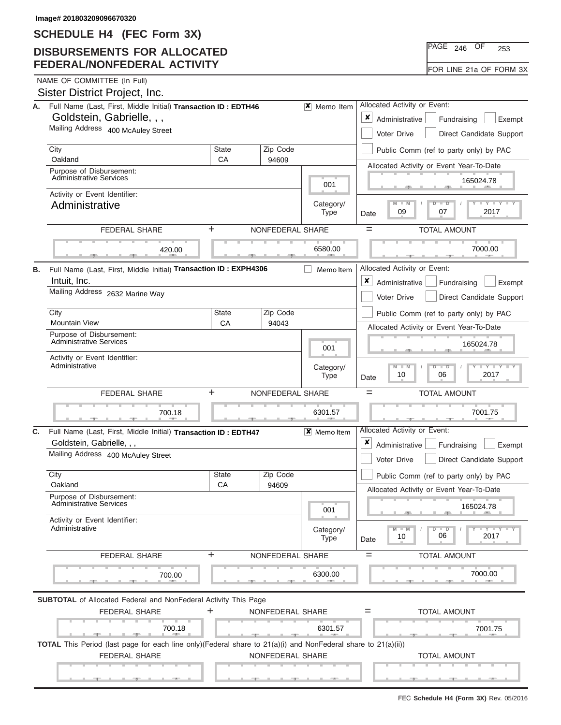## **DISBURSEMENTS FOR ALLOCATED FEDERAL/NONFEDERAL ACTIVITY**

|  | NAME OF COMMITTEE (In Full) |  |
|--|-----------------------------|--|

|    | Sister District Project, Inc.                                                                                                                     |                                         |                          |                                                                                           |                                                                       |
|----|---------------------------------------------------------------------------------------------------------------------------------------------------|-----------------------------------------|--------------------------|-------------------------------------------------------------------------------------------|-----------------------------------------------------------------------|
| А. | Full Name (Last, First, Middle Initial) Transaction ID: EDTH46                                                                                    |                                         |                          | $\vert x \vert$ Memo Item                                                                 | Allocated Activity or Event:                                          |
|    | Goldstein, Gabrielle, , ,                                                                                                                         |                                         |                          |                                                                                           | x<br>Administrative<br>Fundraising<br>Exempt                          |
|    | Mailing Address 400 McAuley Street                                                                                                                | Voter Drive<br>Direct Candidate Support |                          |                                                                                           |                                                                       |
|    | City                                                                                                                                              | <b>State</b>                            | Zip Code                 |                                                                                           | Public Comm (ref to party only) by PAC                                |
|    | Oakland<br>Purpose of Disbursement:                                                                                                               | CA                                      | 94609                    |                                                                                           | Allocated Activity or Event Year-To-Date                              |
|    | <b>Administrative Services</b>                                                                                                                    |                                         | 001                      | 165024.78                                                                                 |                                                                       |
|    | Activity or Event Identifier:<br>Administrative                                                                                                   |                                         | Category/                | $M - M$<br>₽<br>$\overline{\phantom{a}}$                                                  |                                                                       |
|    |                                                                                                                                                   |                                         |                          | <b>Type</b>                                                                               | 2017<br>09<br>07<br>Date                                              |
|    | <b>FEDERAL SHARE</b>                                                                                                                              | +                                       | NONFEDERAL SHARE         |                                                                                           | $=$<br><b>TOTAL AMOUNT</b>                                            |
|    | 420.00                                                                                                                                            |                                         |                          | 6580.00                                                                                   | 7000.00                                                               |
| В. | Full Name (Last, First, Middle Initial) Transaction ID: EXPH4306                                                                                  |                                         |                          | Memo Item                                                                                 | Allocated Activity or Event:                                          |
|    | Intuit, Inc.                                                                                                                                      |                                         |                          |                                                                                           | X<br>Administrative<br>Fundraising<br>Exempt                          |
|    | Mailing Address 2632 Marine Way                                                                                                                   |                                         |                          |                                                                                           | <b>Voter Drive</b><br>Direct Candidate Support                        |
|    | City                                                                                                                                              | <b>State</b>                            | Zip Code                 |                                                                                           | Public Comm (ref to party only) by PAC                                |
|    | <b>Mountain View</b>                                                                                                                              | CA                                      | 94043                    |                                                                                           | Allocated Activity or Event Year-To-Date                              |
|    | Purpose of Disbursement:<br><b>Administrative Services</b>                                                                                        |                                         |                          | 001                                                                                       | 165024.78                                                             |
|    | Activity or Event Identifier:                                                                                                                     |                                         |                          |                                                                                           |                                                                       |
|    | Administrative                                                                                                                                    |                                         | Category/<br><b>Type</b> | Y LY<br>$M - M$<br>$\overline{D}$<br>$\overline{\phantom{0}}$<br>2017<br>10<br>06<br>Date |                                                                       |
|    |                                                                                                                                                   |                                         |                          |                                                                                           |                                                                       |
|    | <b>FEDERAL SHARE</b>                                                                                                                              | +                                       | NONFEDERAL SHARE         |                                                                                           | $=$<br><b>TOTAL AMOUNT</b>                                            |
|    | 700.18                                                                                                                                            |                                         |                          | 6301.57                                                                                   | 7001.75                                                               |
| C. |                                                                                                                                                   |                                         |                          |                                                                                           | Allocated Activity or Event:                                          |
|    | Full Name (Last, First, Middle Initial) Transaction ID: EDTH47<br>Goldstein, Gabrielle, , ,                                                       |                                         |                          | X Memo Item                                                                               | ×<br>Administrative<br>Fundraising<br>Exempt                          |
|    | Mailing Address 400 McAuley Street                                                                                                                |                                         |                          |                                                                                           | Voter Drive<br>Direct Candidate Support                               |
|    | City                                                                                                                                              | <b>State</b>                            | Zip Code                 |                                                                                           | Public Comm (ref to party only) by PAC                                |
|    | Oakland                                                                                                                                           | CA                                      | 94609                    |                                                                                           | Allocated Activity or Event Year-To-Date                              |
|    | Purnose of Disbursement:<br><b>Administrative Services</b>                                                                                        |                                         |                          | 001                                                                                       | 165024.78                                                             |
|    | Activity or Event Identifier:<br>Administrative                                                                                                   |                                         |                          | Category/<br><b>Type</b>                                                                  | $M - M$<br>$Y$ $Y$ $Y$ $Y$<br>ъ<br>$\Box$<br>06<br>2017<br>10<br>Date |
|    | <b>FEDERAL SHARE</b>                                                                                                                              | +                                       | NONFEDERAL SHARE         |                                                                                           | <b>TOTAL AMOUNT</b><br>$=$                                            |
|    |                                                                                                                                                   |                                         |                          |                                                                                           |                                                                       |
|    | 700.00                                                                                                                                            |                                         |                          | 6300.00                                                                                   | 7000.00                                                               |
|    | <b>SUBTOTAL</b> of Allocated Federal and NonFederal Activity This Page                                                                            |                                         |                          |                                                                                           |                                                                       |
|    | <b>FEDERAL SHARE</b>                                                                                                                              | +                                       | NONFEDERAL SHARE         |                                                                                           | <b>TOTAL AMOUNT</b><br>$=$                                            |
|    | 700.18<br><b>All All Administration</b>                                                                                                           |                                         |                          | 6301.57                                                                                   | 7001.75                                                               |
|    | <b>TOTAL</b> This Period (last page for each line only)(Federal share to $21(a)(i)$ and NonFederal share to $21(a)(ii)$ )<br><b>FEDERAL SHARE</b> |                                         | NONFEDERAL SHARE         |                                                                                           | <b>TOTAL AMOUNT</b>                                                   |

PAGE <sub>246</sub> OF 253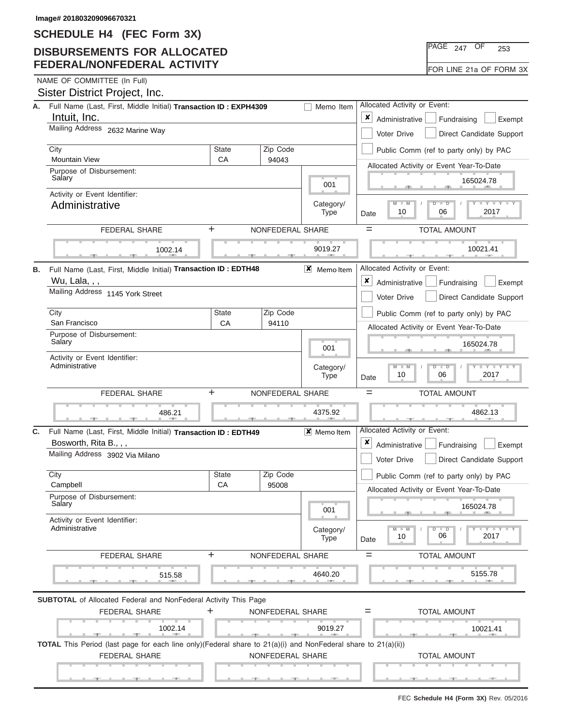## **DISBURSEMENTS FOR ALLOCATED FEDERAL/NONFEDERAL ACTIVITY**

| $PAGE$ 247 | OF | 253                     |  |
|------------|----|-------------------------|--|
|            |    | FOR LINE 21a OF FORM 3X |  |

NAME OF COMMITTEE (In Full)

|    | Sister District Project, Inc.                                                                                             |                                                                                           |                          |                                                                                           |                                                                                                                                                         |  |
|----|---------------------------------------------------------------------------------------------------------------------------|-------------------------------------------------------------------------------------------|--------------------------|-------------------------------------------------------------------------------------------|---------------------------------------------------------------------------------------------------------------------------------------------------------|--|
| А. | Full Name (Last, First, Middle Initial) Transaction ID: EXPH4309<br>Intuit, Inc.                                          | Allocated Activity or Event:<br>Memo Item<br>×<br>Administrative<br>Fundraising<br>Exempt |                          |                                                                                           |                                                                                                                                                         |  |
|    | Mailing Address 2632 Marine Way                                                                                           | Voter Drive<br>Direct Candidate Support                                                   |                          |                                                                                           |                                                                                                                                                         |  |
|    | City<br><b>Mountain View</b>                                                                                              | Zip Code<br><b>State</b>                                                                  |                          |                                                                                           |                                                                                                                                                         |  |
|    | Purpose of Disbursement:                                                                                                  | CA                                                                                        | 94043                    |                                                                                           | Allocated Activity or Event Year-To-Date                                                                                                                |  |
|    | Salary                                                                                                                    |                                                                                           |                          | 001                                                                                       | 165024.78                                                                                                                                               |  |
|    | Activity or Event Identifier:<br>Administrative                                                                           |                                                                                           | Category/<br><b>Type</b> | $M - M$<br>$D$ $D$<br><b>LEY LEY</b><br>10<br>06<br>2017<br>Date                          |                                                                                                                                                         |  |
|    | <b>FEDERAL SHARE</b>                                                                                                      | ÷.                                                                                        |                          | NONFEDERAL SHARE                                                                          | $=$<br><b>TOTAL AMOUNT</b>                                                                                                                              |  |
|    | 1002.14                                                                                                                   |                                                                                           |                          | 9019.27                                                                                   | 10021.41                                                                                                                                                |  |
|    |                                                                                                                           |                                                                                           |                          |                                                                                           | Allocated Activity or Event:                                                                                                                            |  |
| В. | Full Name (Last, First, Middle Initial) Transaction ID: EDTH48<br>Wu, Lala, , ,                                           |                                                                                           |                          | $\mathsf{X}$ Memoltem                                                                     | $\pmb{\times}$<br>Administrative<br>Fundraising<br>Exempt                                                                                               |  |
|    | Mailing Address 1145 York Street                                                                                          |                                                                                           |                          |                                                                                           | Direct Candidate Support<br>Voter Drive                                                                                                                 |  |
|    | City                                                                                                                      | <b>State</b>                                                                              | Zip Code                 |                                                                                           | Public Comm (ref to party only) by PAC                                                                                                                  |  |
|    | San Francisco                                                                                                             | CA                                                                                        | 94110                    |                                                                                           | Allocated Activity or Event Year-To-Date                                                                                                                |  |
|    | Purpose of Disbursement:<br>Salary                                                                                        |                                                                                           |                          | 001                                                                                       | 165024.78                                                                                                                                               |  |
|    | Activity or Event Identifier:<br>Administrative                                                                           |                                                                                           | Category/<br><b>Type</b> | $T - Y = T Y$<br>$M - M$<br>$\overline{\mathsf{D}}$<br>$\Box$<br>2017<br>10<br>06<br>Date |                                                                                                                                                         |  |
|    | <b>FEDERAL SHARE</b>                                                                                                      | +                                                                                         |                          | NONFEDERAL SHARE                                                                          | $=$<br><b>TOTAL AMOUNT</b>                                                                                                                              |  |
|    | 486.21                                                                                                                    |                                                                                           |                          | 4375.92                                                                                   | 4862.13<br>$-7$                                                                                                                                         |  |
| C. | Full Name (Last, First, Middle Initial) Transaction ID: EDTH49                                                            |                                                                                           |                          | X Memo Item                                                                               | Allocated Activity or Event:                                                                                                                            |  |
|    | Bosworth, Rita B., , ,                                                                                                    |                                                                                           |                          |                                                                                           | ×<br>Administrative<br>Fundraising<br>Exempt                                                                                                            |  |
|    | Mailing Address 3902 Via Milano                                                                                           |                                                                                           |                          |                                                                                           | Voter Drive<br>Direct Candidate Support                                                                                                                 |  |
|    | City<br>Campbell                                                                                                          | <b>State</b><br>CA                                                                        | Zip Code<br>95008        |                                                                                           | Public Comm (ref to party only) by PAC                                                                                                                  |  |
|    | Purpose of Disbursement:<br>Salary                                                                                        |                                                                                           |                          |                                                                                           | Allocated Activity or Event Year-To-Date<br>165024.78                                                                                                   |  |
|    | Activity or Event Identifier:                                                                                             |                                                                                           |                          | 001                                                                                       |                                                                                                                                                         |  |
|    | Administrative                                                                                                            |                                                                                           |                          | Category/<br><b>Type</b>                                                                  | $\blacksquare$ $\blacksquare$ $\blacksquare$ $\blacksquare$ $\blacksquare$ $\blacksquare$<br>$M - M$<br>D<br>$\blacksquare$<br>06<br>2017<br>10<br>Date |  |
|    | <b>FEDERAL SHARE</b>                                                                                                      | +                                                                                         |                          | NONFEDERAL SHARE                                                                          | <b>TOTAL AMOUNT</b><br>$=$                                                                                                                              |  |
|    |                                                                                                                           |                                                                                           |                          | 4640.20                                                                                   | 5155.78<br><b>AND IN</b>                                                                                                                                |  |
|    | 515.58                                                                                                                    |                                                                                           |                          |                                                                                           |                                                                                                                                                         |  |
|    |                                                                                                                           |                                                                                           |                          |                                                                                           |                                                                                                                                                         |  |
|    | <b>SUBTOTAL</b> of Allocated Federal and NonFederal Activity This Page<br><b>FEDERAL SHARE</b>                            | ÷                                                                                         |                          | NONFEDERAL SHARE                                                                          | <b>TOTAL AMOUNT</b><br>$=$                                                                                                                              |  |
|    | 1002.14                                                                                                                   |                                                                                           |                          | 9019.27                                                                                   | 10021.41                                                                                                                                                |  |
|    | <b>TOTAL</b> This Period (last page for each line only)(Federal share to $21(a)(i)$ and NonFederal share to $21(a)(ii)$ ) |                                                                                           |                          |                                                                                           |                                                                                                                                                         |  |
|    | FEDERAL SHARE                                                                                                             |                                                                                           |                          | NONFEDERAL SHARE                                                                          | <b>TOTAL AMOUNT</b>                                                                                                                                     |  |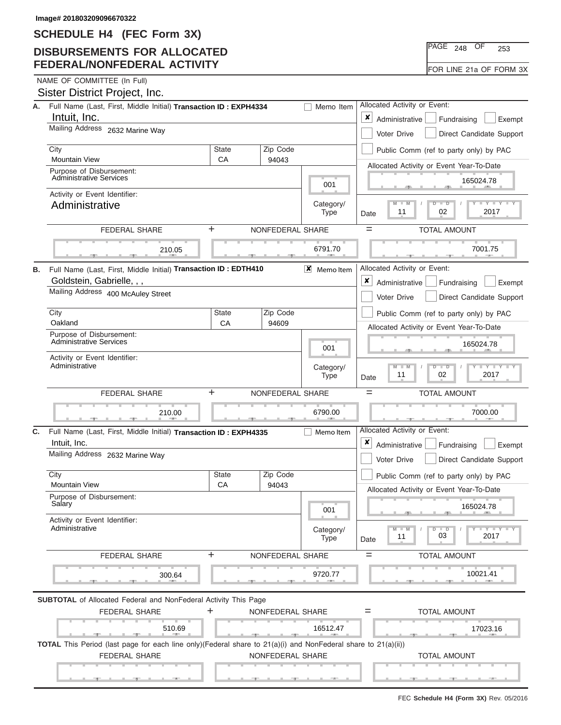# **DISBURSEMENTS FOR ALLOCATED FEDERAL/NONFEDERAL ACTIVITY**

| $PAGE$ 248              | OF | 253 |  |
|-------------------------|----|-----|--|
| FOR LINE 21a OF FORM 3X |    |     |  |

NAME OF COMMITTEE (In Full)

|    | Sister District Project, Inc.                                                                                                              |                                                           |                          |                                                                                          |                                                                                   |
|----|--------------------------------------------------------------------------------------------------------------------------------------------|-----------------------------------------------------------|--------------------------|------------------------------------------------------------------------------------------|-----------------------------------------------------------------------------------|
| А. | Full Name (Last, First, Middle Initial) Transaction ID: EXPH4334                                                                           | Allocated Activity or Event:                              |                          |                                                                                          |                                                                                   |
|    | Intuit, Inc.                                                                                                                               | $\pmb{\times}$<br>Administrative<br>Fundraising<br>Exempt |                          |                                                                                          |                                                                                   |
|    | Mailing Address 2632 Marine Way                                                                                                            | Voter Drive<br>Direct Candidate Support                   |                          |                                                                                          |                                                                                   |
|    | City                                                                                                                                       | <b>State</b>                                              | Zip Code                 |                                                                                          | Public Comm (ref to party only) by PAC                                            |
|    | <b>Mountain View</b>                                                                                                                       | СA                                                        | 94043                    |                                                                                          | Allocated Activity or Event Year-To-Date                                          |
|    | Purpose of Disbursement:<br><b>Administrative Services</b>                                                                                 |                                                           | 001                      | 165024.78                                                                                |                                                                                   |
|    | Activity or Event Identifier:                                                                                                              |                                                           |                          |                                                                                          |                                                                                   |
|    | Administrative                                                                                                                             |                                                           |                          | Category/<br><b>Type</b>                                                                 | $M - M$<br><b>LEY LEY</b><br>$\overline{D}$<br>$\Box$<br>11<br>02<br>2017<br>Date |
|    | <b>FEDERAL SHARE</b>                                                                                                                       | ÷.                                                        | NONFEDERAL SHARE         |                                                                                          | $=$<br><b>TOTAL AMOUNT</b>                                                        |
|    | 210.05                                                                                                                                     |                                                           |                          | 6791.70                                                                                  | 7001.75                                                                           |
| В. | Full Name (Last, First, Middle Initial) Transaction ID : EDTH410                                                                           |                                                           |                          | $\vert x \vert$<br>Memo Item                                                             | Allocated Activity or Event:                                                      |
|    | Goldstein, Gabrielle, , ,                                                                                                                  |                                                           |                          |                                                                                          | ×<br>Administrative<br>Fundraising<br>Exempt                                      |
|    | Mailing Address 400 McAuley Street                                                                                                         |                                                           |                          |                                                                                          | <b>Voter Drive</b><br>Direct Candidate Support                                    |
|    | City                                                                                                                                       | State                                                     | Zip Code                 |                                                                                          | Public Comm (ref to party only) by PAC                                            |
|    | Oakland                                                                                                                                    | CA                                                        | 94609                    |                                                                                          | Allocated Activity or Event Year-To-Date                                          |
|    | Purpose of Disbursement:<br>Administrative Services                                                                                        |                                                           |                          | 001                                                                                      | 165024.78                                                                         |
|    | Activity or Event Identifier:<br>Administrative                                                                                            |                                                           | Category/<br><b>Type</b> | $M - M$<br>$T$ $T$ $T$ $T$ $T$ $T$ $T$ $T$<br>$D$ $\Box$ $D$<br>11<br>02<br>2017<br>Date |                                                                                   |
|    | FEDERAL SHARE                                                                                                                              | $\ddot{}$                                                 | NONFEDERAL SHARE         |                                                                                          | $=$<br><b>TOTAL AMOUNT</b>                                                        |
|    |                                                                                                                                            |                                                           |                          |                                                                                          |                                                                                   |
|    | 210.00                                                                                                                                     |                                                           |                          | 6790.00                                                                                  | 7000.00                                                                           |
|    | Full Name (Last, First, Middle Initial) Transaction ID: EXPH4335                                                                           |                                                           |                          | Memo Item                                                                                | Allocated Activity or Event:                                                      |
|    | Intuit, Inc.                                                                                                                               |                                                           |                          |                                                                                          | x<br>Administrative<br>Fundraising<br>Exempt                                      |
|    | Mailing Address 2632 Marine Way                                                                                                            |                                                           |                          |                                                                                          | Voter Drive<br>Direct Candidate Support                                           |
|    | City                                                                                                                                       | <b>State</b>                                              | Zip Code                 |                                                                                          | Public Comm (ref to party only) by PAC                                            |
|    | <b>Mountain View</b>                                                                                                                       | CA                                                        | 94043                    |                                                                                          | Allocated Activity or Event Year-To-Date                                          |
| C. | Purpose of Disbursement:<br>Salary                                                                                                         |                                                           |                          | 001                                                                                      | 165024.78                                                                         |
|    | Activity or Event Identifier:<br>Administrative                                                                                            |                                                           |                          | Category/<br><b>Type</b>                                                                 | $M$ $M$<br>Y I Y I<br>$\overline{D}$<br>ு<br>03<br>2017<br>11                     |
|    |                                                                                                                                            |                                                           |                          |                                                                                          | Date                                                                              |
|    | <b>FEDERAL SHARE</b>                                                                                                                       | ÷                                                         | NONFEDERAL SHARE         |                                                                                          | <b>TOTAL AMOUNT</b><br>$=$                                                        |
|    | 300.64                                                                                                                                     |                                                           |                          | 9720.77                                                                                  | 10021.41                                                                          |
|    | <b>SUBTOTAL</b> of Allocated Federal and NonFederal Activity This Page<br>FEDERAL SHARE                                                    | ÷                                                         | NONFEDERAL SHARE         |                                                                                          | <b>TOTAL AMOUNT</b><br>$=$                                                        |
|    | 510.69                                                                                                                                     |                                                           |                          | 16512.47                                                                                 | 17023.16                                                                          |
|    | <b>Allen</b>                                                                                                                               |                                                           | $-1$                     |                                                                                          |                                                                                   |
|    | <b>TOTAL</b> This Period (last page for each line only)(Federal share to $21(a)(i)$ and NonFederal share to $21(a)(ii)$ )<br>FEDERAL SHARE |                                                           | NONFEDERAL SHARE         |                                                                                          | <b>TOTAL AMOUNT</b>                                                               |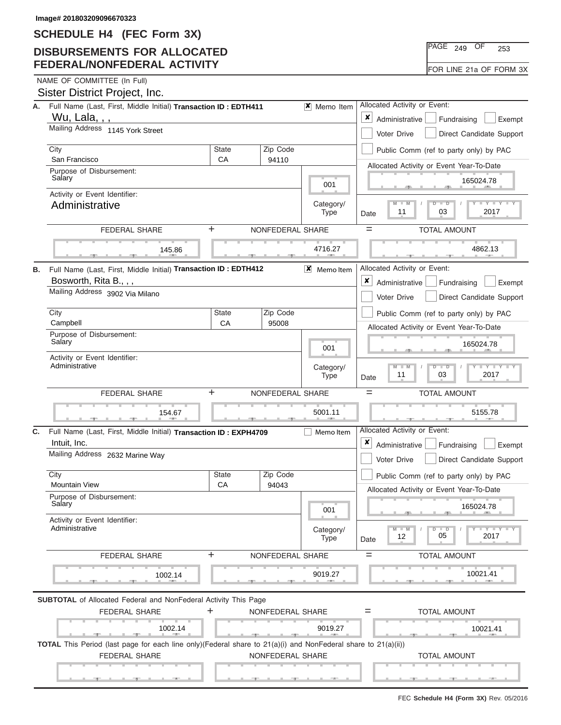## **DISBURSEMENTS FOR ALLOCATED FEDERAL/NONFEDERAL ACTIVITY**

|  | NAME OF COMMITTEE (In Full) |  |
|--|-----------------------------|--|
|  |                             |  |

|    | Sister District Project, Inc.                                                                                                                              |              |                          |                                                                                                                 |                                                                                    |
|----|------------------------------------------------------------------------------------------------------------------------------------------------------------|--------------|--------------------------|-----------------------------------------------------------------------------------------------------------------|------------------------------------------------------------------------------------|
| А. | Full Name (Last, First, Middle Initial) Transaction ID: EDTH411                                                                                            |              |                          | $\vert x \vert$ Memo Item                                                                                       | Allocated Activity or Event:                                                       |
|    | Wu, Lala, , ,                                                                                                                                              |              |                          |                                                                                                                 | $\pmb{\times}$<br>Administrative<br>Fundraising<br>Exempt                          |
|    | Mailing Address 1145 York Street                                                                                                                           |              |                          |                                                                                                                 | Voter Drive<br>Direct Candidate Support                                            |
|    | City                                                                                                                                                       | <b>State</b> | Zip Code                 |                                                                                                                 | Public Comm (ref to party only) by PAC                                             |
|    | San Francisco                                                                                                                                              | CA           | 94110                    |                                                                                                                 | Allocated Activity or Event Year-To-Date                                           |
|    | Purpose of Disbursement:<br>Salary                                                                                                                         |              | 001                      | 165024.78                                                                                                       |                                                                                    |
|    | Activity or Event Identifier:                                                                                                                              |              |                          |                                                                                                                 |                                                                                    |
|    | Administrative                                                                                                                                             |              | Category/<br><b>Type</b> | $M - M$<br>$\overline{\phantom{a}}$<br>2017<br>11<br>03<br>Date                                                 |                                                                                    |
|    | <b>FEDERAL SHARE</b>                                                                                                                                       | ÷.           | NONFEDERAL SHARE         |                                                                                                                 | $=$<br><b>TOTAL AMOUNT</b>                                                         |
|    |                                                                                                                                                            |              |                          |                                                                                                                 |                                                                                    |
|    | 145.86                                                                                                                                                     |              |                          | 4716.27                                                                                                         | 4862.13<br>$-7$                                                                    |
| В. | Full Name (Last, First, Middle Initial) Transaction ID : EDTH412                                                                                           |              |                          | $X$ Memoltem                                                                                                    | Allocated Activity or Event:                                                       |
|    | Bosworth, Rita B.,,,                                                                                                                                       |              |                          |                                                                                                                 | ×<br>Administrative<br>Fundraising<br>Exempt                                       |
|    | Mailing Address 3902 Via Milano                                                                                                                            |              |                          |                                                                                                                 | Voter Drive<br>Direct Candidate Support                                            |
|    | City                                                                                                                                                       | State        | Zip Code                 |                                                                                                                 | Public Comm (ref to party only) by PAC                                             |
|    | Campbell                                                                                                                                                   | CA           | 95008                    |                                                                                                                 | Allocated Activity or Event Year-To-Date                                           |
|    | Purpose of Disbursement:<br>Salary                                                                                                                         |              |                          | 001                                                                                                             | 165024.78                                                                          |
|    | Activity or Event Identifier:                                                                                                                              |              |                          |                                                                                                                 |                                                                                    |
|    | Administrative                                                                                                                                             |              | Category/                | $\mathbf{I} = \mathbf{Y} - \mathbf{I} - \mathbf{Y} - \mathbf{I}$<br>$M - M$<br>$\overline{D}$<br>$\overline{D}$ |                                                                                    |
|    |                                                                                                                                                            |              |                          | <b>Type</b>                                                                                                     | 11<br>03<br>2017<br>Date                                                           |
|    | <b>FEDERAL SHARE</b>                                                                                                                                       | +            | NONFEDERAL SHARE         |                                                                                                                 | $=$<br><b>TOTAL AMOUNT</b>                                                         |
|    | 154.67                                                                                                                                                     |              |                          | 5001.11                                                                                                         | 5155.78                                                                            |
|    |                                                                                                                                                            |              |                          |                                                                                                                 | Allocated Activity or Event:                                                       |
| C. | Full Name (Last, First, Middle Initial) Transaction ID: EXPH4709                                                                                           |              |                          | Memo Item                                                                                                       | x                                                                                  |
|    | Intuit, Inc.<br>Mailing Address 2632 Marine Way                                                                                                            |              |                          |                                                                                                                 | Administrative<br>Fundraising<br>Exempt<br>Voter Drive<br>Direct Candidate Support |
|    |                                                                                                                                                            | State        | Zip Code                 |                                                                                                                 |                                                                                    |
|    | City<br><b>Mountain View</b>                                                                                                                               | CA           | 94043                    |                                                                                                                 | Public Comm (ref to party only) by PAC                                             |
|    | Purpose of Disbursement:                                                                                                                                   |              |                          |                                                                                                                 | Allocated Activity or Event Year-To-Date                                           |
|    | Salary                                                                                                                                                     |              |                          | 001                                                                                                             | 165024.78                                                                          |
|    | Activity or Event Identifier:<br>Administrative                                                                                                            |              |                          | Category/                                                                                                       | $M - M$<br>⊪ D<br>Y Y<br>05<br>2017<br>12                                          |
|    |                                                                                                                                                            |              |                          | <b>Type</b>                                                                                                     | Date                                                                               |
|    | FEDERAL SHARE                                                                                                                                              | ÷            | NONFEDERAL SHARE         |                                                                                                                 | <b>TOTAL AMOUNT</b><br>$=$                                                         |
|    | 1002.14                                                                                                                                                    |              |                          | 9019.27                                                                                                         | 10021.41                                                                           |
|    |                                                                                                                                                            |              |                          |                                                                                                                 |                                                                                    |
|    | <b>SUBTOTAL</b> of Allocated Federal and NonFederal Activity This Page<br><b>FEDERAL SHARE</b>                                                             | +            | NONFEDERAL SHARE         |                                                                                                                 | <b>TOTAL AMOUNT</b><br>$=$                                                         |
|    | 1002.14                                                                                                                                                    |              |                          | 9019.27                                                                                                         | 10021.41                                                                           |
|    | $-11$<br><b>TOTAL</b> This Period (last page for each line only)(Federal share to $21(a)(i)$ and NonFederal share to $21(a)(ii)$ )<br><b>FEDERAL SHARE</b> |              | NONFEDERAL SHARE         |                                                                                                                 | <b>TOTAL AMOUNT</b>                                                                |

PAGE <sub>249</sub> OF 253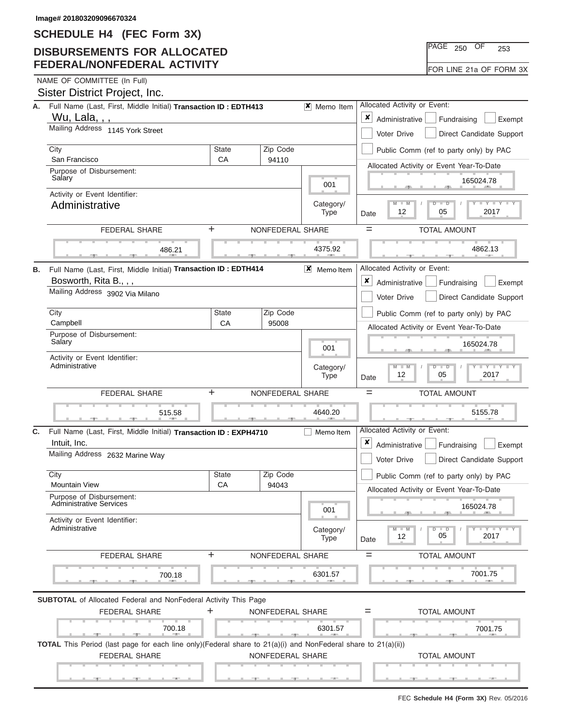## **DISBURSEMENTS FOR ALLOCATED FEDERAL/NONFEDERAL ACTIVITY**

|  | NAME OF COMMITTEE (In Full) |  |
|--|-----------------------------|--|

L

|    | Sister District Project, Inc.                                                                                 |                              |                                                |                                       |                                                                                                                    |
|----|---------------------------------------------------------------------------------------------------------------|------------------------------|------------------------------------------------|---------------------------------------|--------------------------------------------------------------------------------------------------------------------|
| А. | Full Name (Last, First, Middle Initial) Transaction ID: EDTH413                                               | Allocated Activity or Event: |                                                |                                       |                                                                                                                    |
|    | Wu, Lala, , ,<br>Mailing Address 1145 York Street                                                             |                              |                                                |                                       | x<br>Administrative<br>Fundraising<br>Exempt                                                                       |
|    |                                                                                                               |                              | <b>Voter Drive</b><br>Direct Candidate Support |                                       |                                                                                                                    |
|    | City<br>San Francisco                                                                                         | <b>State</b><br>CA           | Zip Code<br>94110                              |                                       | Public Comm (ref to party only) by PAC                                                                             |
|    | Purpose of Disbursement:                                                                                      |                              |                                                |                                       | Allocated Activity or Event Year-To-Date                                                                           |
|    | Salary                                                                                                        | 165024.78                    |                                                |                                       |                                                                                                                    |
|    | Activity or Event Identifier:                                                                                 |                              | Category/                                      | $M - M$<br>$T - Y = T - Y$<br>$D$ $D$ |                                                                                                                    |
|    | Administrative                                                                                                |                              |                                                | <b>Type</b>                           | 2017<br>12<br>05<br>Date                                                                                           |
|    | <b>FEDERAL SHARE</b>                                                                                          | ÷                            | NONFEDERAL SHARE                               |                                       | $=$<br><b>TOTAL AMOUNT</b>                                                                                         |
|    | 486.21                                                                                                        |                              |                                                | 4375.92                               | 4862.13                                                                                                            |
| В. | Full Name (Last, First, Middle Initial) Transaction ID: EDTH414<br>Bosworth, Rita B., , ,                     |                              |                                                | $X$ Memoltem                          | Allocated Activity or Event:<br>x                                                                                  |
|    | Mailing Address 3902 Via Milano                                                                               |                              |                                                |                                       | Administrative<br>Fundraising<br>Exempt<br>Direct Candidate Support<br>Voter Drive                                 |
|    | City                                                                                                          | <b>State</b>                 | Zip Code                                       |                                       |                                                                                                                    |
|    | Campbell                                                                                                      | CA                           | 95008                                          |                                       | Public Comm (ref to party only) by PAC                                                                             |
|    | Purpose of Disbursement:<br>Salary                                                                            |                              |                                                |                                       | Allocated Activity or Event Year-To-Date<br>165024.78                                                              |
|    |                                                                                                               |                              | 001                                            |                                       |                                                                                                                    |
|    | Activity or Event Identifier:<br>Administrative                                                               |                              |                                                |                                       | $M - M$<br>$D$ $D$<br>2017<br>12<br>05<br>Date                                                                     |
|    | ÷<br>FEDERAL SHARE                                                                                            | $=$<br><b>TOTAL AMOUNT</b>   |                                                |                                       |                                                                                                                    |
|    | 515.58                                                                                                        |                              |                                                | 4640.20                               | 5155.78                                                                                                            |
| C. | Full Name (Last, First, Middle Initial) Transaction ID: EXPH4710                                              |                              |                                                | Memo Item                             | Allocated Activity or Event:                                                                                       |
|    | Intuit, Inc.                                                                                                  |                              |                                                |                                       | ×<br>Administrative<br>Fundraising<br>Exempt                                                                       |
|    | Mailing Address 2632 Marine Way                                                                               |                              |                                                |                                       | Voter Drive<br>Direct Candidate Support                                                                            |
|    | City                                                                                                          | <b>State</b>                 | Zip Code                                       |                                       | Public Comm (ref to party only) by PAC                                                                             |
|    | <b>Mountain View</b>                                                                                          | CA                           | 94043                                          |                                       | Allocated Activity or Event Year-To-Date                                                                           |
|    | Purpose of Disbursement:<br><b>Administrative Services</b>                                                    |                              |                                                | 001                                   | 165024.78                                                                                                          |
|    | Activity or Event Identifier:<br>Administrative                                                               |                              |                                                |                                       | $M - M$<br>$D$ $D$<br>$\mathbf{I} = \mathbf{Y} - \mathbf{I} - \mathbf{Y} - \mathbf{I}$<br>05<br>2017<br>12<br>Date |
|    | FEDERAL SHARE                                                                                                 | $\ddot{}$                    | NONFEDERAL SHARE                               |                                       | <b>TOTAL AMOUNT</b><br>$=$                                                                                         |
|    | 700.18                                                                                                        |                              |                                                | 6301.57                               | 7001.75                                                                                                            |
|    | <b>SUBTOTAL</b> of Allocated Federal and NonFederal Activity This Page<br><b>FEDERAL SHARE</b>                | +                            | NONFEDERAL SHARE                               |                                       | <b>TOTAL AMOUNT</b><br>$=$                                                                                         |
|    | 700.18                                                                                                        |                              |                                                | 6301.57                               | 7001.75                                                                                                            |
|    | TOTAL This Period (last page for each line only)(Federal share to 21(a)(i) and NonFederal share to 21(a)(ii)) |                              |                                                |                                       |                                                                                                                    |
|    | <b>FEDERAL SHARE</b>                                                                                          |                              | NONFEDERAL SHARE                               |                                       | <b>TOTAL AMOUNT</b>                                                                                                |
|    | <u> Electronic Control</u>                                                                                    |                              |                                                |                                       |                                                                                                                    |

 ▲ ▲ ▲ , , .

<u>ا لتعبينو، ، وبيا</u> ليعبينو، ، وبي

PAGE <sub>250</sub> OF 253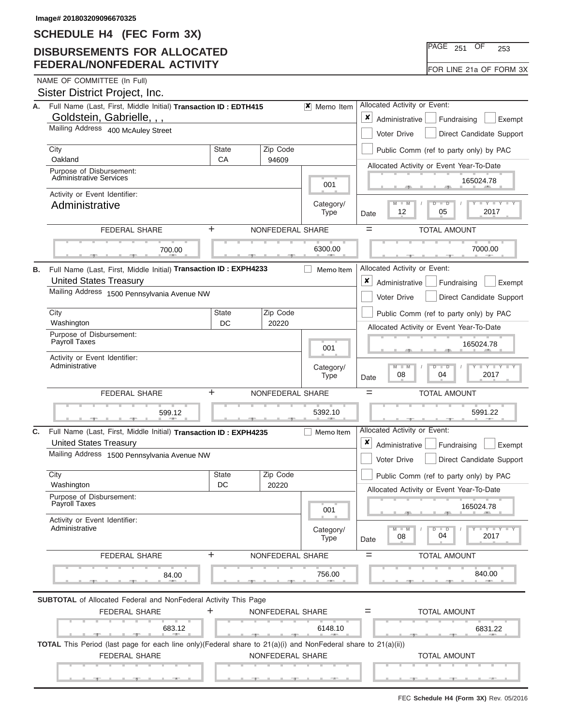## **DISBURSEMENTS FOR ALLOCATED FEDERAL/NONFEDERAL ACTIVITY**

|  | NAME OF COMMITTEE (In Full) |  |
|--|-----------------------------|--|

|    | Sister District Project, Inc.                                                                                                         |              |                           |                                                                      |                                                                          |
|----|---------------------------------------------------------------------------------------------------------------------------------------|--------------|---------------------------|----------------------------------------------------------------------|--------------------------------------------------------------------------|
| А. | Full Name (Last, First, Middle Initial) Transaction ID: EDTH415                                                                       |              | $\vert x \vert$ Memo Item | Allocated Activity or Event:                                         |                                                                          |
|    | Goldstein, Gabrielle, , ,                                                                                                             |              |                           | ×<br>Administrative<br>Fundraising<br>Exempt                         |                                                                          |
|    | Mailing Address 400 McAuley Street                                                                                                    |              |                           | Direct Candidate Support<br>Voter Drive                              |                                                                          |
|    | City<br>Oakland                                                                                                                       | <b>State</b> | Zip Code                  |                                                                      | Public Comm (ref to party only) by PAC                                   |
|    | Purpose of Disbursement:                                                                                                              | CA           | 94609                     |                                                                      | Allocated Activity or Event Year-To-Date                                 |
|    | <b>Administrative Services</b>                                                                                                        |              | 001                       | 165024.78                                                            |                                                                          |
|    | Activity or Event Identifier:<br>Administrative                                                                                       |              | Category/<br><b>Type</b>  | $M - M$<br>ᢧ<br>$\overline{\phantom{a}}$<br>2017<br>12<br>05<br>Date |                                                                          |
|    |                                                                                                                                       |              |                           |                                                                      |                                                                          |
|    | FEDERAL SHARE                                                                                                                         | ÷            | NONFEDERAL SHARE          | $=$<br><b>TOTAL AMOUNT</b>                                           |                                                                          |
|    | 700.00                                                                                                                                |              |                           | 6300.00                                                              | 7000.00                                                                  |
| В. | Full Name (Last, First, Middle Initial) Transaction ID: EXPH4233                                                                      |              |                           | Memo Item                                                            | Allocated Activity or Event:                                             |
|    | <b>United States Treasury</b><br>Mailing Address 1500 Pennsylvania Avenue NW                                                          |              |                           |                                                                      | $\pmb{\times}$<br>Administrative<br>Fundraising<br>Exempt                |
|    |                                                                                                                                       |              |                           |                                                                      | Voter Drive<br>Direct Candidate Support                                  |
|    | City<br>State<br>Zip Code                                                                                                             |              |                           | Public Comm (ref to party only) by PAC                               |                                                                          |
|    | Washington<br>DC<br>20220<br>Purpose of Disbursement:                                                                                 |              |                           |                                                                      | Allocated Activity or Event Year-To-Date                                 |
|    | Payroll Taxes                                                                                                                         |              |                           | 001                                                                  | 165024.78                                                                |
|    | Activity or Event Identifier:<br>Administrative                                                                                       |              |                           | Category/<br><b>Type</b>                                             | $M - M$<br>$\overline{\mathsf{D}}$<br>$\Box$<br>2017<br>08<br>04<br>Date |
|    |                                                                                                                                       |              |                           |                                                                      |                                                                          |
|    | <b>FEDERAL SHARE</b>                                                                                                                  | +            | NONFEDERAL SHARE          |                                                                      | <b>TOTAL AMOUNT</b><br>$=$                                               |
|    | 599.12                                                                                                                                |              |                           | 5392.10                                                              | 5991.22                                                                  |
| C. | Full Name (Last, First, Middle Initial) Transaction ID : EXPH4235                                                                     |              |                           | Memo Item                                                            | Allocated Activity or Event:                                             |
|    | <b>United States Treasury</b>                                                                                                         |              |                           |                                                                      | x<br>Administrative<br>Fundraising<br>Exempt                             |
|    | Mailing Address 1500 Pennsylvania Avenue NW                                                                                           |              |                           |                                                                      | Voter Drive<br>Direct Candidate Support                                  |
|    | City                                                                                                                                  | <b>State</b> | Zip Code                  |                                                                      | Public Comm (ref to party only) by PAC                                   |
|    | Washington                                                                                                                            | DC           | 20220                     |                                                                      | Allocated Activity or Event Year-To-Date                                 |
|    | Purpose of Disbursement:<br>Payroll Taxes                                                                                             |              |                           | 001                                                                  | 165024.78                                                                |
|    | Activity or Event Identifier:<br>Administrative                                                                                       |              |                           | Category/<br><b>Type</b>                                             | $M - M$<br>D<br>$\blacksquare$<br>04<br>2017<br>08<br>Date               |
|    | FEDERAL SHARE                                                                                                                         | ÷            | NONFEDERAL SHARE          |                                                                      | <b>TOTAL AMOUNT</b><br>$=$                                               |
|    | 84.00                                                                                                                                 |              |                           | 756.00                                                               | 840.00                                                                   |
|    |                                                                                                                                       |              |                           |                                                                      |                                                                          |
|    | <b>SUBTOTAL</b> of Allocated Federal and NonFederal Activity This Page                                                                |              |                           |                                                                      |                                                                          |
|    | <b>FEDERAL SHARE</b>                                                                                                                  | ÷.           | NONFEDERAL SHARE          |                                                                      | <b>TOTAL AMOUNT</b><br>$=$                                               |
|    | 683.12                                                                                                                                |              |                           | 6148.10                                                              | 6831.22                                                                  |
|    | TOTAL This Period (last page for each line only)(Federal share to 21(a)(i) and NonFederal share to 21(a)(ii))<br><b>FEDERAL SHARE</b> |              | NONFEDERAL SHARE          |                                                                      | <b>TOTAL AMOUNT</b>                                                      |

FEC **Schedule H4 (Form 3X)** Rev. 05/2016

| $\overline{\mathsf{PAGE}}$ 251 | OF | 253 |  |
|--------------------------------|----|-----|--|
|                                |    |     |  |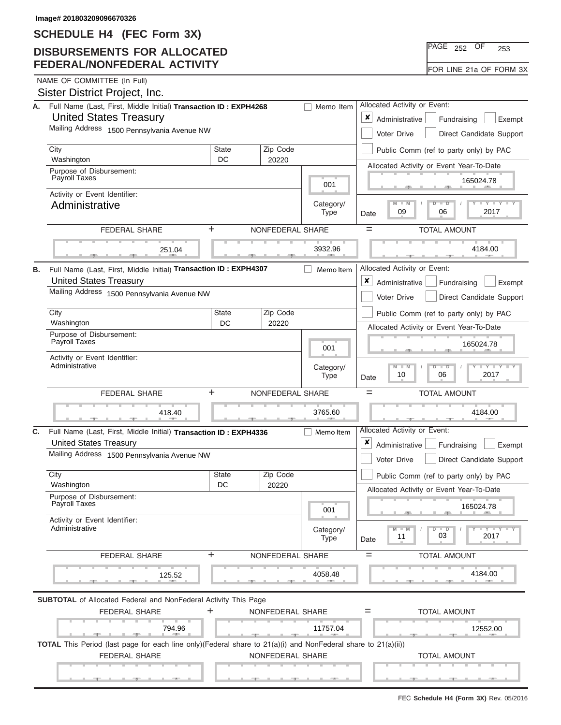# **DISBURSEMENTS FOR ALLOCATED FEDERAL/NONFEDERAL ACTIVITY**

| $PAGE$ 252 |  | ΟF | 253                     |  |
|------------|--|----|-------------------------|--|
|            |  |    | FOR LINE 21a OF FORM 3X |  |

NAME OF COMMITTEE (In Full)

|  |  | Sister District Project, Inc. |  |
|--|--|-------------------------------|--|
|--|--|-------------------------------|--|

| А. | Full Name (Last, First, Middle Initial) Transaction ID: EXPH4268<br><b>United States Treasury</b>              |                            |                                         | Memo Item                                                                               | Allocated Activity or Event:<br>x<br>Administrative<br>Fundraising<br>Exempt |
|----|----------------------------------------------------------------------------------------------------------------|----------------------------|-----------------------------------------|-----------------------------------------------------------------------------------------|------------------------------------------------------------------------------|
|    | Mailing Address 1500 Pennsylvania Avenue NW                                                                    |                            | Voter Drive<br>Direct Candidate Support |                                                                                         |                                                                              |
|    | City                                                                                                           | <b>State</b>               | Zip Code                                |                                                                                         | Public Comm (ref to party only) by PAC                                       |
|    | Washington                                                                                                     | <b>DC</b>                  | 20220                                   |                                                                                         |                                                                              |
|    | Purpose of Disbursement:<br>Payroll Taxes                                                                      |                            |                                         | Allocated Activity or Event Year-To-Date<br>165024.78                                   |                                                                              |
|    |                                                                                                                |                            | 001                                     |                                                                                         |                                                                              |
|    | Activity or Event Identifier:<br>Administrative                                                                |                            |                                         |                                                                                         | <b>LY LY LY</b><br>$M - M$<br>$D$ $\Box$ $D$<br>06<br>2017<br>09<br>Date     |
|    | ÷.<br><b>FEDERAL SHARE</b><br>NONFEDERAL SHARE                                                                 |                            |                                         |                                                                                         | $=$<br><b>TOTAL AMOUNT</b>                                                   |
|    | 251.04                                                                                                         |                            |                                         | 3932.96                                                                                 | 4184.00                                                                      |
| В. | Full Name (Last, First, Middle Initial) Transaction ID: EXPH4307                                               |                            |                                         | Memo Item                                                                               | Allocated Activity or Event:                                                 |
|    | <b>United States Treasury</b>                                                                                  |                            |                                         |                                                                                         | ×<br>Administrative<br>Fundraising<br>Exempt                                 |
|    | Mailing Address 1500 Pennsylvania Avenue NW                                                                    |                            |                                         |                                                                                         |                                                                              |
|    |                                                                                                                |                            |                                         |                                                                                         | Direct Candidate Support<br>Voter Drive                                      |
|    | City<br>Zip Code<br><b>State</b>                                                                               |                            |                                         |                                                                                         | Public Comm (ref to party only) by PAC                                       |
|    | Washington                                                                                                     | DC                         | 20220                                   |                                                                                         | Allocated Activity or Event Year-To-Date                                     |
|    | Purpose of Disbursement:<br>Payroll Taxes                                                                      |                            | 001                                     | 165024.78                                                                               |                                                                              |
|    | Activity or Event Identifier:<br>Administrative                                                                |                            |                                         |                                                                                         | $M - M$<br>Y LLY L                                                           |
|    |                                                                                                                |                            | Category/<br><b>Type</b>                | $\Box$<br>10<br>06<br>2017<br>Date                                                      |                                                                              |
|    | ÷<br><b>FEDERAL SHARE</b>                                                                                      | <b>TOTAL AMOUNT</b><br>$=$ |                                         |                                                                                         |                                                                              |
|    | 418.40                                                                                                         |                            |                                         | 3765.60                                                                                 | 4184.00                                                                      |
| C. | Full Name (Last, First, Middle Initial) Transaction ID: EXPH4336<br>Memo Item<br><b>United States Treasury</b> |                            |                                         |                                                                                         | Allocated Activity or Event:<br>x<br>Administrative<br>Fundraising<br>Exempt |
|    | Mailing Address 1500 Pennsylvania Avenue NW                                                                    |                            |                                         |                                                                                         | Direct Candidate Support<br>Voter Drive                                      |
|    | City                                                                                                           | <b>State</b>               | Zip Code                                |                                                                                         | Public Comm (ref to party only) by PAC                                       |
|    | Washington                                                                                                     | DC                         | 20220                                   |                                                                                         | Allocated Activity or Event Year-To-Date                                     |
|    | Purpose of Disbursement:<br>Payroll Taxes                                                                      |                            |                                         | 001                                                                                     | 165024.78                                                                    |
|    | Activity or Event Identifier:                                                                                  |                            |                                         |                                                                                         |                                                                              |
|    | Administrative                                                                                                 |                            | Category/<br><b>Type</b>                | $T - Y$ $T - Y$ $T - Y$<br>$\overline{D}$<br>$\Box$<br>$-M$<br>03<br>11<br>2017<br>Date |                                                                              |
|    | <b>FEDERAL SHARE</b>                                                                                           | $\ddot{}$                  | NONFEDERAL SHARE                        |                                                                                         | <b>TOTAL AMOUNT</b><br>$=$                                                   |
|    | 125.52                                                                                                         |                            |                                         | 4058.48                                                                                 | 4184.00                                                                      |
|    | <b>SUBTOTAL</b> of Allocated Federal and NonFederal Activity This Page                                         |                            |                                         |                                                                                         |                                                                              |
|    | ٠<br><b>FEDERAL SHARE</b>                                                                                      | NONFEDERAL SHARE           | <b>TOTAL AMOUNT</b><br>$=$              |                                                                                         |                                                                              |
|    | 794.96                                                                                                         |                            |                                         | 11757.04                                                                                | 12552.00                                                                     |
|    | TOTAL This Period (last page for each line only)(Federal share to 21(a)(i) and NonFederal share to 21(a)(ii))  |                            |                                         |                                                                                         |                                                                              |
|    | <b>FEDERAL SHARE</b><br>NONFEDERAL SHARE                                                                       |                            |                                         |                                                                                         | <b>TOTAL AMOUNT</b>                                                          |
|    | <u> The Common State State Sta</u> te                                                                          |                            |                                         |                                                                                         |                                                                              |
|    |                                                                                                                |                            |                                         |                                                                                         |                                                                              |